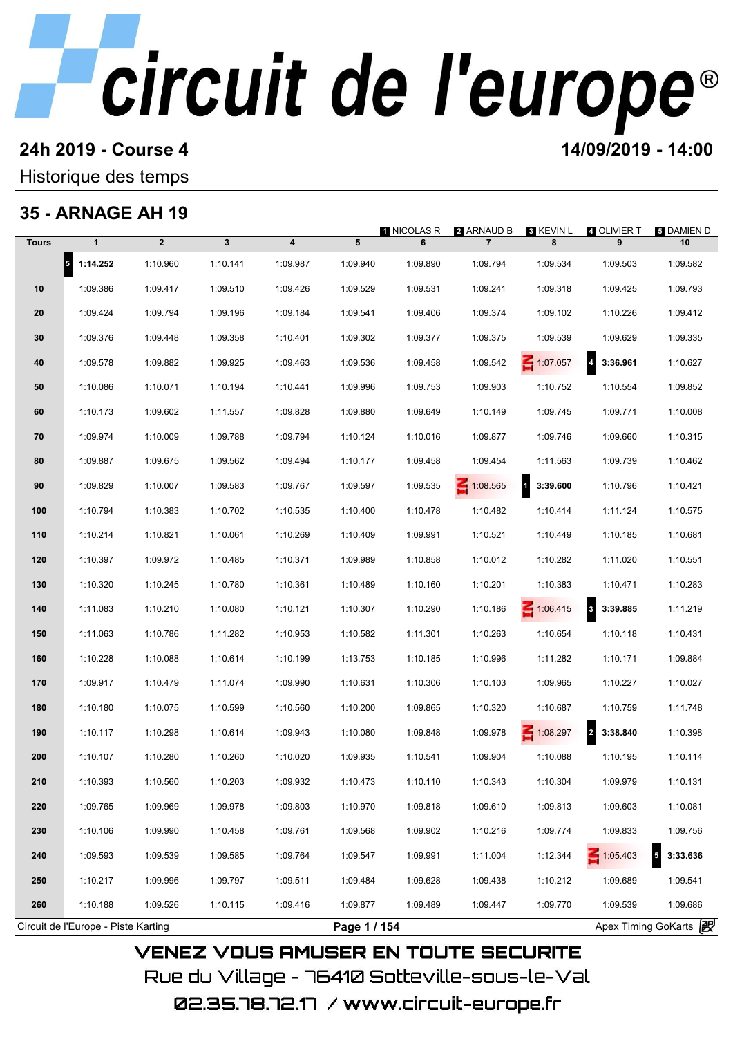### **24h 2019 - Course 4 14/09/2019 - 14:00**

Historique des temps

## **35 - ARNAGE AH 19**

|              | <u> 35 - ARNAGE AH 19</u>           |                |              |                |              | 1 NICOLAS R | 2 ARNAUD B     | <b>8 KEVIN L</b>         | 4 OLIVIER T                         | <b>5 DAMIEN D</b>                   |
|--------------|-------------------------------------|----------------|--------------|----------------|--------------|-------------|----------------|--------------------------|-------------------------------------|-------------------------------------|
| <b>Tours</b> | $\mathbf{1}$                        | $\overline{2}$ | $\mathbf{3}$ | $\overline{4}$ | 5            | 6           | $\overline{7}$ | 8                        | 9                                   | 10                                  |
|              | $5$ 1:14.252                        | 1:10.960       | 1:10.141     | 1:09.987       | 1:09.940     | 1:09.890    | 1:09.794       | 1:09.534                 | 1:09.503                            | 1:09.582                            |
| 10           | 1:09.386                            | 1:09.417       | 1:09.510     | 1:09.426       | 1:09.529     | 1:09.531    | 1:09.241       | 1:09.318                 | 1:09.425                            | 1:09.793                            |
| 20           | 1:09.424                            | 1:09.794       | 1:09.196     | 1:09.184       | 1:09.541     | 1:09.406    | 1:09.374       | 1:09.102                 | 1:10.226                            | 1:09.412                            |
| 30           | 1:09.376                            | 1:09.448       | 1:09.358     | 1:10.401       | 1:09.302     | 1:09.377    | 1:09.375       | 1:09.539                 | 1:09.629                            | 1:09.335                            |
| 40           | 1:09.578                            | 1:09.882       | 1:09.925     | 1:09.463       | 1:09.536     | 1:09.458    | 1:09.542       | $\leq 1:07.057$          | $\overline{\mathbf{4}}$<br>3:36.961 | 1:10.627                            |
| 50           | 1:10.086                            | 1:10.071       | 1:10.194     | 1:10.441       | 1:09.996     | 1:09.753    | 1:09.903       | 1:10.752                 | 1:10.554                            | 1:09.852                            |
| 60           | 1:10.173                            | 1:09.602       | 1:11.557     | 1:09.828       | 1:09.880     | 1:09.649    | 1:10.149       | 1:09.745                 | 1:09.771                            | 1:10.008                            |
| 70           | 1:09.974                            | 1:10.009       | 1:09.788     | 1:09.794       | 1:10.124     | 1:10.016    | 1:09.877       | 1:09.746                 | 1:09.660                            | 1:10.315                            |
| 80           | 1:09.887                            | 1:09.675       | 1:09.562     | 1:09.494       | 1:10.177     | 1:09.458    | 1:09.454       | 1:11.563                 | 1:09.739                            | 1:10.462                            |
| 90           | 1:09.829                            | 1:10.007       | 1:09.583     | 1:09.767       | 1:09.597     | 1:09.535    | 1:08.565       | $\mathbf{1}$<br>3:39.600 | 1:10.796                            | 1:10.421                            |
| 100          | 1:10.794                            | 1:10.383       | 1:10.702     | 1:10.535       | 1:10.400     | 1:10.478    | 1:10.482       | 1:10.414                 | 1:11.124                            | 1:10.575                            |
| 110          | 1:10.214                            | 1:10.821       | 1:10.061     | 1:10.269       | 1:10.409     | 1:09.991    | 1:10.521       | 1:10.449                 | 1:10.185                            | 1:10.681                            |
| 120          | 1:10.397                            | 1:09.972       | 1:10.485     | 1:10.371       | 1:09.989     | 1:10.858    | 1:10.012       | 1:10.282                 | 1:11.020                            | 1:10.551                            |
| 130          | 1:10.320                            | 1:10.245       | 1:10.780     | 1:10.361       | 1:10.489     | 1:10.160    | 1:10.201       | 1:10.383                 | 1:10.471                            | 1:10.283                            |
| 140          | 1:11.083                            | 1:10.210       | 1:10.080     | 1:10.121       | 1:10.307     | 1:10.290    | 1:10.186       | $\leq 1:06.415$          | $\mathbf{3}$<br>3:39.885            | 1:11.219                            |
| 150          | 1:11.063                            | 1:10.786       | 1:11.282     | 1:10.953       | 1:10.582     | 1:11.301    | 1:10.263       | 1:10.654                 | 1:10.118                            | 1:10.431                            |
| 160          | 1:10.228                            | 1:10.088       | 1:10.614     | 1:10.199       | 1:13.753     | 1:10.185    | 1:10.996       | 1:11.282                 | 1:10.171                            | 1:09.884                            |
| 170          | 1:09.917                            | 1:10.479       | 1:11.074     | 1:09.990       | 1:10.631     | 1:10.306    | 1:10.103       | 1:09.965                 | 1:10.227                            | 1:10.027                            |
| 180          | 1:10.180                            | 1:10.075       | 1:10.599     | 1:10.560       | 1:10.200     | 1:09.865    | 1:10.320       | 1:10.687                 | 1:10.759                            | 1:11.748                            |
| 190          | 1:10.117                            | 1:10.298       | 1:10.614     | 1:09.943       | 1:10.080     | 1:09.848    | 1:09.978       | $-1:08.297$              | $\overline{\mathbf{c}}$<br>3:38.840 | 1:10.398                            |
| 200          | 1:10.107                            | 1:10.280       | 1:10.260     | 1:10.020       | 1:09.935     | 1:10.541    | 1:09.904       | 1:10.088                 | 1:10.195                            | 1:10.114                            |
| 210          | 1:10.393                            | 1:10.560       | 1:10.203     | 1:09.932       | 1:10.473     | 1:10.110    | 1:10.343       | 1:10.304                 | 1:09.979                            | 1:10.131                            |
| 220          | 1:09.765                            | 1:09.969       | 1:09.978     | 1:09.803       | 1:10.970     | 1:09.818    | 1:09.610       | 1:09.813                 | 1:09.603                            | 1:10.081                            |
| 230          | 1:10.106                            | 1:09.990       | 1:10.458     | 1:09.761       | 1:09.568     | 1:09.902    | 1:10.216       | 1:09.774                 | 1:09.833                            | 1:09.756                            |
| 240          | 1:09.593                            | 1:09.539       | 1:09.585     | 1:09.764       | 1:09.547     | 1:09.991    | 1:11.004       | 1:12.344                 | $\leq 1:05.403$                     | $\overline{\mathbf{5}}$<br>3:33.636 |
| 250          | 1:10.217                            | 1:09.996       | 1:09.797     | 1:09.511       | 1:09.484     | 1:09.628    | 1:09.438       | 1:10.212                 | 1:09.689                            | 1:09.541                            |
| 260          | 1:10.188                            | 1:09.526       | 1:10.115     | 1:09.416       | 1:09.877     | 1:09.489    | 1:09.447       | 1:09.770                 | 1:09.539                            | 1:09.686                            |
|              | Circuit de l'Europe - Piste Karting |                |              |                | Page 1 / 154 |             |                |                          |                                     | Apex Timing GoKarts 2               |

Rue du Village – 76410 Sotteville-sous-le-Val 02.35.78.72.17 / www.circuit-europe.fr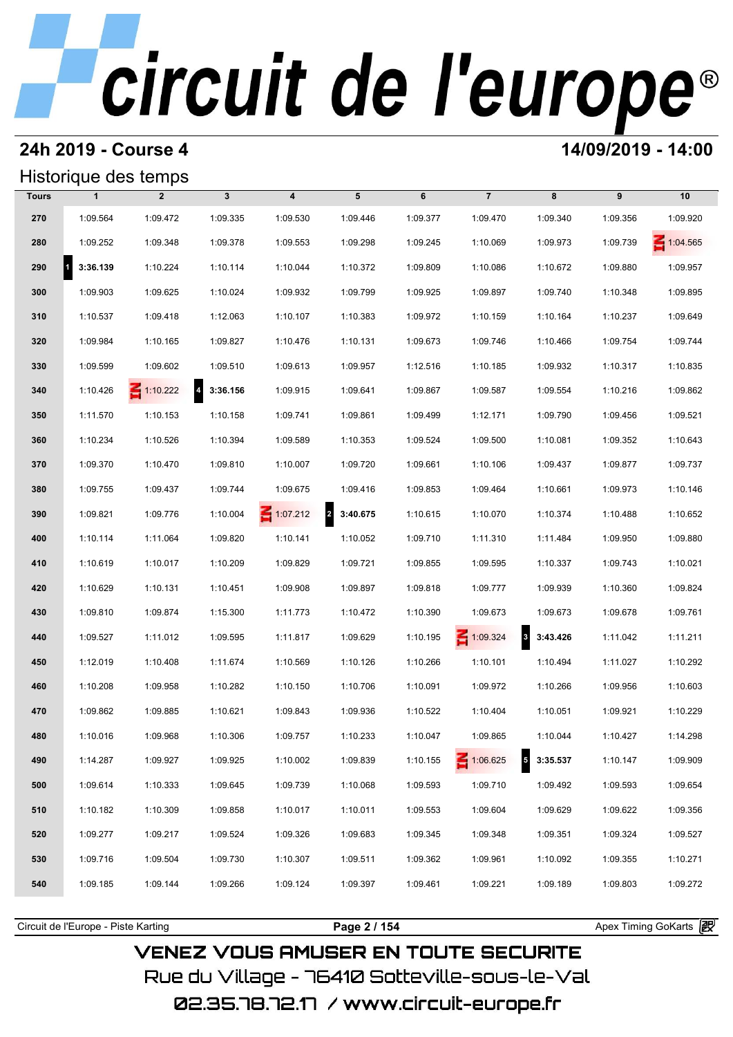### **24h 2019 - Course 4 14/09/2019 - 14:00**

## Historique des temps

|       |               | Historique des temps |                                      |                         |                                     |          |                 |                                     |          |                 |
|-------|---------------|----------------------|--------------------------------------|-------------------------|-------------------------------------|----------|-----------------|-------------------------------------|----------|-----------------|
| Tours | $\mathbf{1}$  | $\overline{2}$       | $\mathbf{3}$                         | $\overline{\mathbf{4}}$ | 5                                   | 6        | $\overline{7}$  | 8                                   | 9        | 10              |
| 270   | 1:09.564      | 1:09.472             | 1:09.335                             | 1:09.530                | 1:09.446                            | 1:09.377 | 1:09.470        | 1:09.340                            | 1:09.356 | 1:09.920        |
| 280   | 1:09.252      | 1:09.348             | 1:09.378                             | 1:09.553                | 1:09.298                            | 1:09.245 | 1:10.069        | 1:09.973                            | 1:09.739 | $\leq 1:04.565$ |
| 290   | 3:36.139<br>1 | 1:10.224             | 1:10.114                             | 1:10.044                | 1:10.372                            | 1:09.809 | 1:10.086        | 1:10.672                            | 1:09.880 | 1:09.957        |
| 300   | 1:09.903      | 1:09.625             | 1:10.024                             | 1:09.932                | 1:09.799                            | 1:09.925 | 1:09.897        | 1:09.740                            | 1:10.348 | 1:09.895        |
| 310   | 1:10.537      | 1:09.418             | 1:12.063                             | 1:10.107                | 1:10.383                            | 1:09.972 | 1:10.159        | 1:10.164                            | 1:10.237 | 1:09.649        |
| 320   | 1:09.984      | 1:10.165             | 1:09.827                             | 1:10.476                | 1:10.131                            | 1:09.673 | 1:09.746        | 1:10.466                            | 1:09.754 | 1:09.744        |
| 330   | 1:09.599      | 1:09.602             | 1:09.510                             | 1:09.613                | 1:09.957                            | 1:12.516 | 1:10.185        | 1:09.932                            | 1:10.317 | 1:10.835        |
| 340   | 1:10.426      | $\leq 1:10.222$      | $\overline{\phantom{a}}$<br>3:36.156 | 1:09.915                | 1:09.641                            | 1:09.867 | 1:09.587        | 1:09.554                            | 1:10.216 | 1:09.862        |
| 350   | 1:11.570      | 1:10.153             | 1:10.158                             | 1:09.741                | 1:09.861                            | 1:09.499 | 1:12.171        | 1:09.790                            | 1:09.456 | 1:09.521        |
| 360   | 1:10.234      | 1:10.526             | 1:10.394                             | 1:09.589                | 1:10.353                            | 1:09.524 | 1:09.500        | 1:10.081                            | 1:09.352 | 1:10.643        |
| 370   | 1:09.370      | 1:10.470             | 1:09.810                             | 1:10.007                | 1:09.720                            | 1:09.661 | 1:10.106        | 1:09.437                            | 1:09.877 | 1:09.737        |
| 380   | 1:09.755      | 1:09.437             | 1:09.744                             | 1:09.675                | 1:09.416                            | 1:09.853 | 1:09.464        | 1:10.661                            | 1:09.973 | 1:10.146        |
| 390   | 1:09.821      | 1:09.776             | 1:10.004                             | $\leq 1:07.212$         | $\overline{\mathbf{2}}$<br>3:40.675 | 1:10.615 | 1:10.070        | 1:10.374                            | 1:10.488 | 1:10.652        |
| 400   | 1:10.114      | 1:11.064             | 1:09.820                             | 1:10.141                | 1:10.052                            | 1:09.710 | 1:11.310        | 1:11.484                            | 1:09.950 | 1:09.880        |
| 410   | 1:10.619      | 1:10.017             | 1:10.209                             | 1:09.829                | 1:09.721                            | 1:09.855 | 1:09.595        | 1:10.337                            | 1:09.743 | 1:10.021        |
| 420   | 1:10.629      | 1:10.131             | 1:10.451                             | 1:09.908                | 1:09.897                            | 1:09.818 | 1:09.777        | 1:09.939                            | 1:10.360 | 1:09.824        |
| 430   | 1:09.810      | 1:09.874             | 1:15.300                             | 1:11.773                | 1:10.472                            | 1:10.390 | 1:09.673        | 1:09.673                            | 1:09.678 | 1:09.761        |
| 440   | 1:09.527      | 1:11.012             | 1:09.595                             | 1:11.817                | 1:09.629                            | 1:10.195 | $\leq 1:09.324$ | $\overline{\mathbf{3}}$<br>3:43.426 | 1:11.042 | 1:11.211        |
| 450   | 1:12.019      | 1:10.408             | 1:11.674                             | 1:10.569                | 1:10.126                            | 1:10.266 | 1:10.101        | 1:10.494                            | 1:11.027 | 1:10.292        |
| 460   | 1:10.208      | 1:09.958             | 1:10.282                             | 1:10.150                | 1:10.706                            | 1:10.091 | 1:09.972        | 1:10.266                            | 1:09.956 | 1:10.603        |
| 470   | 1:09.862      | 1:09.885             | 1:10.621                             | 1:09.843                | 1:09.936                            | 1:10.522 | 1:10.404        | 1:10.051                            | 1:09.921 | 1:10.229        |
| 480   | 1:10.016      | 1:09.968             | 1:10.306                             | 1:09.757                | 1:10.233                            | 1:10.047 | 1:09.865        | 1:10.044                            | 1:10.427 | 1:14.298        |
| 490   | 1:14.287      | 1:09.927             | 1:09.925                             | 1:10.002                | 1:09.839                            | 1:10.155 | $\leq 1:06.625$ | $5\quad 3:35.537$                   | 1:10.147 | 1:09.909        |
| 500   | 1:09.614      | 1:10.333             | 1:09.645                             | 1:09.739                | 1:10.068                            | 1:09.593 | 1:09.710        | 1:09.492                            | 1:09.593 | 1:09.654        |
| 510   | 1:10.182      | 1:10.309             | 1:09.858                             | 1:10.017                | 1:10.011                            | 1:09.553 | 1:09.604        | 1:09.629                            | 1:09.622 | 1:09.356        |
| 520   | 1:09.277      | 1:09.217             | 1:09.524                             | 1:09.326                | 1:09.683                            | 1:09.345 | 1:09.348        | 1:09.351                            | 1:09.324 | 1:09.527        |
| 530   | 1:09.716      | 1:09.504             | 1:09.730                             | 1:10.307                | 1:09.511                            | 1:09.362 | 1:09.961        | 1:10.092                            | 1:09.355 | 1:10.271        |
| 540   | 1:09.185      | 1:09.144             | 1:09.266                             | 1:09.124                | 1:09.397                            | 1:09.461 | 1:09.221        | 1:09.189                            | 1:09.803 | 1:09.272        |
|       |               |                      |                                      |                         |                                     |          |                 |                                     |          |                 |

**VENEZ VOUS AMUSER EN TOUTE SECURITE** Rue du Village – 76410 Sotteville-sous-le-Val

Circuit de l'Europe - Piste Karting **Page 2 / 154 Page 2 / 154** Apex Timing GoKarts and Apex Timing Apex Timing Go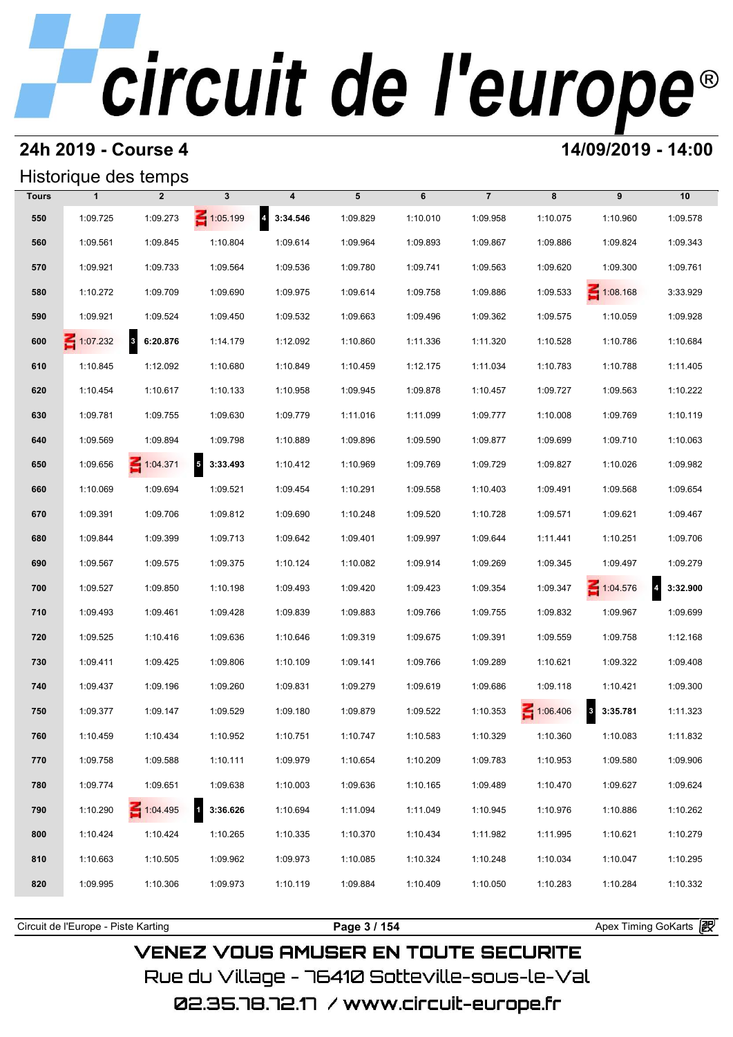## **24h 2019 - Course 4 14/09/2019 - 14:00**

### Historique des temps

|              | Historique des temps |                                     |                                      |                                     |          |          |                |          |                         |                                     |
|--------------|----------------------|-------------------------------------|--------------------------------------|-------------------------------------|----------|----------|----------------|----------|-------------------------|-------------------------------------|
| <b>Tours</b> | $\mathbf{1}$         | $\overline{2}$                      | $\mathbf{3}$                         | 4                                   | 5        | 6        | $\overline{7}$ | 8        | 9                       | 10                                  |
| 550          | 1:09.725             | 1:09.273                            | $\leq 1:05.199$                      | $\overline{\mathbf{4}}$<br>3:34.546 | 1:09.829 | 1:10.010 | 1:09.958       | 1:10.075 | 1:10.960                | 1:09.578                            |
| 560          | 1:09.561             | 1:09.845                            | 1:10.804                             | 1:09.614                            | 1:09.964 | 1:09.893 | 1:09.867       | 1:09.886 | 1:09.824                | 1:09.343                            |
| 570          | 1:09.921             | 1:09.733                            | 1:09.564                             | 1:09.536                            | 1:09.780 | 1:09.741 | 1:09.563       | 1:09.620 | 1:09.300                | 1:09.761                            |
| 580          | 1:10.272             | 1:09.709                            | 1:09.690                             | 1:09.975                            | 1:09.614 | 1:09.758 | 1:09.886       | 1:09.533 | $\leq 1:08.168$         | 3:33.929                            |
| 590          | 1:09.921             | 1:09.524                            | 1:09.450                             | 1:09.532                            | 1:09.663 | 1:09.496 | 1:09.362       | 1:09.575 | 1:10.059                | 1:09.928                            |
| 600          | $\leq 1:07.232$      | $\overline{\mathbf{3}}$<br>6:20.876 | 1:14.179                             | 1:12.092                            | 1:10.860 | 1:11.336 | 1:11.320       | 1:10.528 | 1:10.786                | 1:10.684                            |
| 610          | 1:10.845             | 1:12.092                            | 1:10.680                             | 1:10.849                            | 1:10.459 | 1:12.175 | 1:11.034       | 1:10.783 | 1:10.788                | 1:11.405                            |
| 620          | 1:10.454             | 1:10.617                            | 1:10.133                             | 1:10.958                            | 1:09.945 | 1:09.878 | 1:10.457       | 1:09.727 | 1:09.563                | 1:10.222                            |
| 630          | 1:09.781             | 1:09.755                            | 1:09.630                             | 1:09.779                            | 1:11.016 | 1:11.099 | 1:09.777       | 1:10.008 | 1:09.769                | 1:10.119                            |
| 640          | 1:09.569             | 1:09.894                            | 1:09.798                             | 1:10.889                            | 1:09.896 | 1:09.590 | 1:09.877       | 1:09.699 | 1:09.710                | 1:10.063                            |
| 650          | 1:09.656             | $\leq 1:04.371$                     | $\overline{\phantom{a}}$<br>3:33.493 | 1:10.412                            | 1:10.969 | 1:09.769 | 1:09.729       | 1:09.827 | 1:10.026                | 1:09.982                            |
| 660          | 1:10.069             | 1:09.694                            | 1:09.521                             | 1:09.454                            | 1:10.291 | 1:09.558 | 1:10.403       | 1:09.491 | 1:09.568                | 1:09.654                            |
| 670          | 1:09.391             | 1:09.706                            | 1:09.812                             | 1:09.690                            | 1:10.248 | 1:09.520 | 1:10.728       | 1:09.571 | 1:09.621                | 1:09.467                            |
| 680          | 1:09.844             | 1:09.399                            | 1:09.713                             | 1:09.642                            | 1:09.401 | 1:09.997 | 1:09.644       | 1:11.441 | 1:10.251                | 1:09.706                            |
| 690          | 1:09.567             | 1:09.575                            | 1:09.375                             | 1:10.124                            | 1:10.082 | 1:09.914 | 1:09.269       | 1:09.345 | 1:09.497                | 1:09.279                            |
| 700          | 1:09.527             | 1:09.850                            | 1:10.198                             | 1:09.493                            | 1:09.420 | 1:09.423 | 1:09.354       | 1:09.347 | $\leq 1:04.576$         | 3:32.900<br>$\overline{\mathbf{4}}$ |
| 710          | 1:09.493             | 1:09.461                            | 1:09.428                             | 1:09.839                            | 1:09.883 | 1:09.766 | 1:09.755       | 1:09.832 | 1:09.967                | 1:09.699                            |
| 720          | 1:09.525             | 1:10.416                            | 1:09.636                             | 1:10.646                            | 1:09.319 | 1:09.675 | 1:09.391       | 1:09.559 | 1:09.758                | 1:12.168                            |
| 730          | 1:09.411             | 1:09.425                            | 1:09.806                             | 1:10.109                            | 1:09.141 | 1:09.766 | 1:09.289       | 1:10.621 | 1:09.322                | 1:09.408                            |
| 740          | 1:09.437             | 1:09.196                            | 1:09.260                             | 1:09.831                            | 1:09.279 | 1:09.619 | 1:09.686       | 1:09.118 | 1:10.421                | 1:09.300                            |
| 750          | 1:09.377             | 1:09.147                            | 1:09.529                             | 1:09.180                            | 1:09.879 | 1:09.522 | 1:10.353       | 1:06.406 | $\mathbf 3$<br>3:35.781 | 1:11.323                            |
| 760          | 1:10.459             | 1:10.434                            | 1:10.952                             | 1:10.751                            | 1:10.747 | 1:10.583 | 1:10.329       | 1:10.360 | 1:10.083                | 1:11.832                            |
| 770          | 1:09.758             | 1:09.588                            | 1:10.111                             | 1:09.979                            | 1:10.654 | 1:10.209 | 1:09.783       | 1:10.953 | 1:09.580                | 1:09.906                            |
| 780          | 1:09.774             | 1:09.651                            | 1:09.638                             | 1:10.003                            | 1:09.636 | 1:10.165 | 1:09.489       | 1:10.470 | 1:09.627                | 1:09.624                            |
| 790          | 1:10.290             | 1:04.495                            | 3:36.626                             | 1:10.694                            | 1:11.094 | 1:11.049 | 1:10.945       | 1:10.976 | 1:10.886                | 1:10.262                            |
| 800          | 1:10.424             | 1:10.424                            | 1:10.265                             | 1:10.335                            | 1:10.370 | 1:10.434 | 1:11.982       | 1:11.995 | 1:10.621                | 1:10.279                            |
| 810          | 1:10.663             | 1:10.505                            | 1:09.962                             | 1:09.973                            | 1:10.085 | 1:10.324 | 1:10.248       | 1:10.034 | 1:10.047                | 1:10.295                            |
| 820          | 1:09.995             | 1:10.306                            | 1:09.973                             | 1:10.119                            | 1:09.884 | 1:10.409 | 1:10.050       | 1:10.283 | 1:10.284                | 1:10.332                            |
|              |                      |                                     |                                      |                                     |          |          |                |          |                         |                                     |

**VENEZ VOUS AMUSER EN TOUTE SECURITE** Rue du Village – 76410 Sotteville-sous-le-Val

Circuit de l'Europe - Piste Karting **Page 3 / 154 Page 3 / 154** Apex Timing GoKarts and Apex Timing Apex Timing Go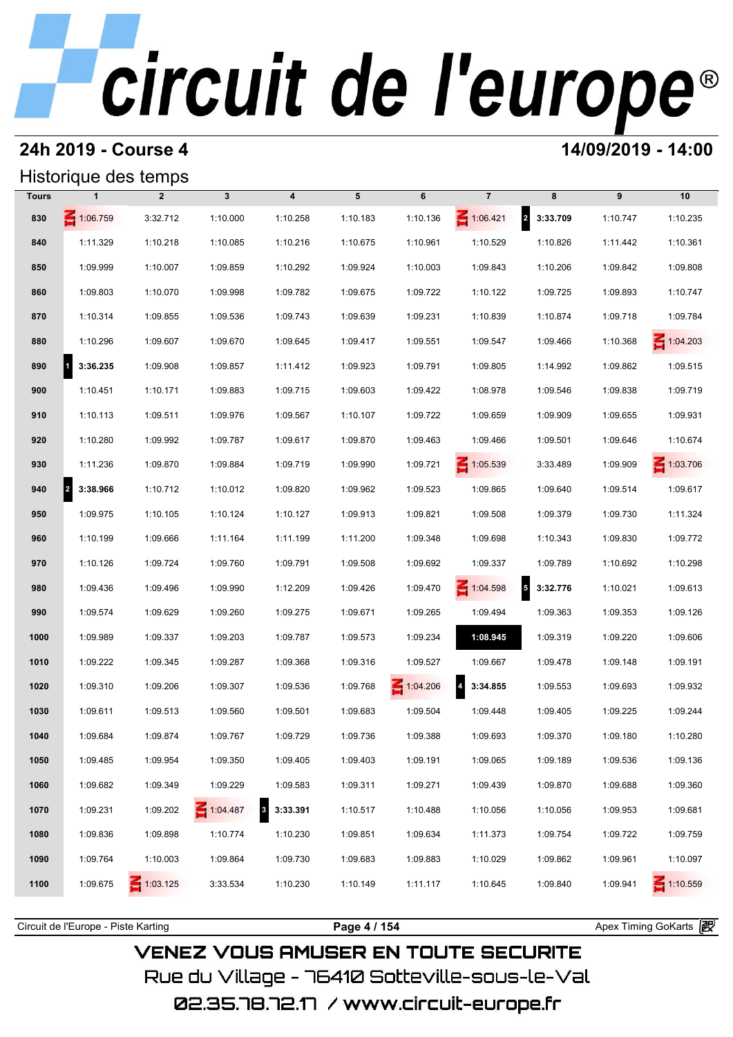### **24h 2019 - Course 4 14/09/2019 - 14:00**

### Historique des temps

|       |                                  | Historique des temps |              |                          |          |          |                            |              |          |                 |
|-------|----------------------------------|----------------------|--------------|--------------------------|----------|----------|----------------------------|--------------|----------|-----------------|
| Tours | $\mathbf{1}$                     | $\overline{2}$       | $\mathbf{3}$ | $\boldsymbol{4}$         | 5        | 6        | $\overline{7}$             | 8            | 9        | 10              |
| 830   | $\leq 1:06.759$                  | 3:32.712             | 1:10.000     | 1:10.258                 | 1:10.183 | 1:10.136 | $\leq 1:06.421$            | 2 3:33.709   | 1:10.747 | 1:10.235        |
| 840   | 1:11.329                         | 1:10.218             | 1:10.085     | 1:10.216                 | 1:10.675 | 1:10.961 | 1:10.529                   | 1:10.826     | 1:11.442 | 1:10.361        |
| 850   | 1:09.999                         | 1:10.007             | 1:09.859     | 1:10.292                 | 1:09.924 | 1:10.003 | 1:09.843                   | 1:10.206     | 1:09.842 | 1:09.808        |
| 860   | 1:09.803                         | 1:10.070             | 1:09.998     | 1:09.782                 | 1:09.675 | 1:09.722 | 1:10.122                   | 1:09.725     | 1:09.893 | 1:10.747        |
| 870   | 1:10.314                         | 1:09.855             | 1:09.536     | 1:09.743                 | 1:09.639 | 1:09.231 | 1:10.839                   | 1:10.874     | 1:09.718 | 1:09.784        |
| 880   | 1:10.296                         | 1:09.607             | 1:09.670     | 1:09.645                 | 1:09.417 | 1:09.551 | 1:09.547                   | 1:09.466     | 1:10.368 | $\leq 1:04.203$ |
| 890   | $\vert$ <sup>1</sup><br>3:36.235 | 1:09.908             | 1:09.857     | 1:11.412                 | 1:09.923 | 1:09.791 | 1:09.805                   | 1:14.992     | 1:09.862 | 1:09.515        |
| 900   | 1:10.451                         | 1:10.171             | 1:09.883     | 1:09.715                 | 1:09.603 | 1:09.422 | 1:08.978                   | 1:09.546     | 1:09.838 | 1:09.719        |
| 910   | 1:10.113                         | 1:09.511             | 1:09.976     | 1:09.567                 | 1:10.107 | 1:09.722 | 1:09.659                   | 1:09.909     | 1:09.655 | 1:09.931        |
| 920   | 1:10.280                         | 1:09.992             | 1:09.787     | 1:09.617                 | 1:09.870 | 1:09.463 | 1:09.466                   | 1:09.501     | 1:09.646 | 1:10.674        |
| 930   | 1:11.236                         | 1:09.870             | 1:09.884     | 1:09.719                 | 1:09.990 | 1:09.721 | $\leq 1:05.539$            | 3:33.489     | 1:09.909 | $\leq 1:03.706$ |
| 940   | $\vert$ <sup>2</sup><br>3:38.966 | 1:10.712             | 1:10.012     | 1:09.820                 | 1:09.962 | 1:09.523 | 1:09.865                   | 1:09.640     | 1:09.514 | 1:09.617        |
| 950   | 1:09.975                         | 1:10.105             | 1:10.124     | 1:10.127                 | 1:09.913 | 1:09.821 | 1:09.508                   | 1:09.379     | 1:09.730 | 1:11.324        |
| 960   | 1:10.199                         | 1:09.666             | 1:11.164     | 1:11.199                 | 1:11.200 | 1:09.348 | 1:09.698                   | 1:10.343     | 1:09.830 | 1:09.772        |
| 970   | 1:10.126                         | 1:09.724             | 1:09.760     | 1:09.791                 | 1:09.508 | 1:09.692 | 1:09.337                   | 1:09.789     | 1:10.692 | 1:10.298        |
| 980   | 1:09.436                         | 1:09.496             | 1:09.990     | 1:12.209                 | 1:09.426 | 1:09.470 | 1:04.598                   | $5$ 3:32.776 | 1:10.021 | 1:09.613        |
| 990   | 1:09.574                         | 1:09.629             | 1:09.260     | 1:09.275                 | 1:09.671 | 1:09.265 | 1:09.494                   | 1:09.363     | 1:09.353 | 1:09.126        |
| 1000  | 1:09.989                         | 1:09.337             | 1:09.203     | 1:09.787                 | 1:09.573 | 1:09.234 | 1:08.945                   | 1:09.319     | 1:09.220 | 1:09.606        |
| 1010  | 1:09.222                         | 1:09.345             | 1:09.287     | 1:09.368                 | 1:09.316 | 1:09.527 | 1:09.667                   | 1:09.478     | 1:09.148 | 1:09.191        |
| 1020  | 1:09.310                         | 1:09.206             | 1:09.307     | 1:09.536                 | 1:09.768 | 1:04.206 | $\overline{4}$<br>3:34.855 | 1:09.553     | 1:09.693 | 1:09.932        |
| 1030  | 1:09.611                         | 1:09.513             | 1:09.560     | 1:09.501                 | 1:09.683 | 1:09.504 | 1:09.448                   | 1:09.405     | 1:09.225 | 1:09.244        |
| 1040  | 1:09.684                         | 1:09.874             | 1:09.767     | 1:09.729                 | 1:09.736 | 1:09.388 | 1:09.693                   | 1:09.370     | 1:09.180 | 1:10.280        |
| 1050  | 1:09.485                         | 1:09.954             | 1:09.350     | 1:09.405                 | 1:09.403 | 1:09.191 | 1:09.065                   | 1:09.189     | 1:09.536 | 1:09.136        |
| 1060  | 1:09.682                         | 1:09.349             | 1:09.229     | 1:09.583                 | 1:09.311 | 1:09.271 | 1:09.439                   | 1:09.870     | 1:09.688 | 1:09.360        |
| 1070  | 1:09.231                         | 1:09.202             | 1:04.487     | $\mathbf{3}$<br>3:33.391 | 1:10.517 | 1:10.488 | 1:10.056                   | 1:10.056     | 1:09.953 | 1:09.681        |
| 1080  | 1:09.836                         | 1:09.898             | 1:10.774     | 1:10.230                 | 1:09.851 | 1:09.634 | 1:11.373                   | 1:09.754     | 1:09.722 | 1:09.759        |
| 1090  | 1:09.764                         | 1:10.003             | 1:09.864     | 1:09.730                 | 1:09.683 | 1:09.883 | 1:10.029                   | 1:09.862     | 1:09.961 | 1:10.097        |
| 1100  | 1:09.675                         | $\leq 1:03.125$      | 3:33.534     | 1:10.230                 | 1:10.149 | 1:11.117 | 1:10.645                   | 1:09.840     | 1:09.941 | $\leq 1:10.559$ |
|       |                                  |                      |              |                          |          |          |                            |              |          |                 |

**VENEZ VOUS AMUSER EN TOUTE SECURITE** Rue du Village – 76410 Sotteville-sous-le-Val 02.35.78.72.17 /www.circuit-europe.fr

Circuit de l'Europe - Piste Karting **Page 4 / 154 Page 4 / 154** Apex Timing GoKarts and Apex Timing Apex Timing Go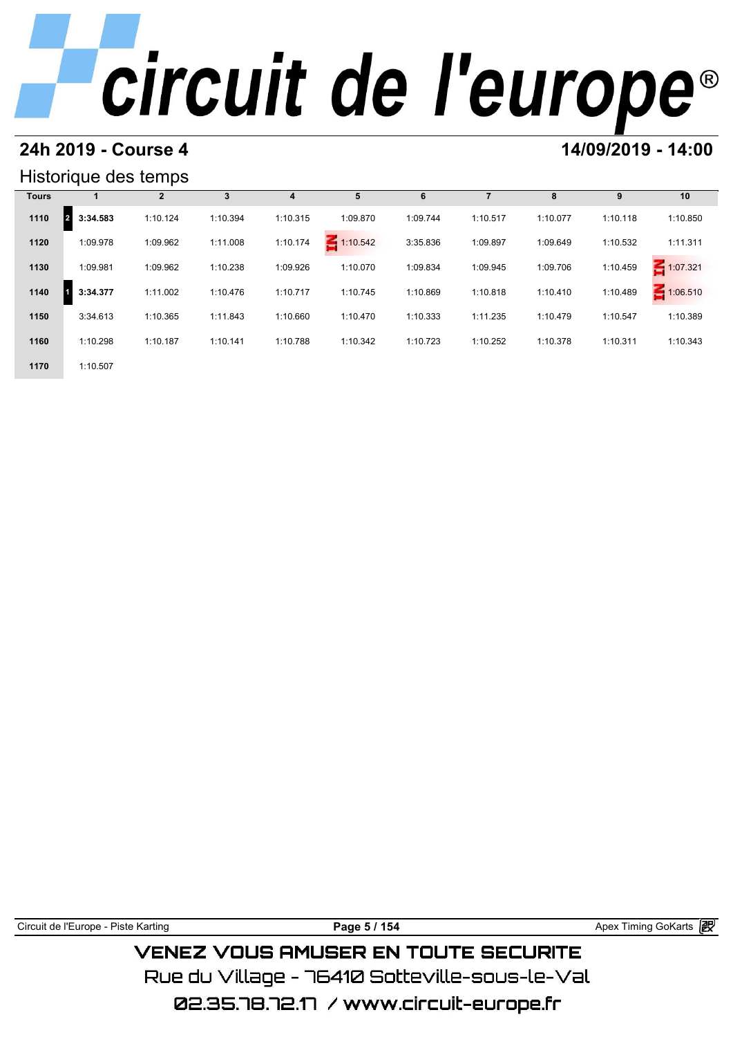### **24h 2019 - Course 4 14/09/2019 - 14:00**

### Historique des temps

|              | Historique des temps |              |          |          |             |          |          |          |          |               |
|--------------|----------------------|--------------|----------|----------|-------------|----------|----------|----------|----------|---------------|
| <b>Tours</b> |                      | $\mathbf{2}$ | 3        | 4        | 5           | 6        |          | 8        | 9        | 10            |
| 1110         | 3:34.583             | 1:10.124     | 1:10.394 | 1:10.315 | 1:09.870    | 1:09.744 | 1:10.517 | 1:10.077 | 1:10.118 | 1:10.850      |
| 1120         | 1:09.978             | 1:09.962     | 1:11.008 | 1:10.174 | $-1:10.542$ | 3:35.836 | 1:09.897 | 1:09.649 | 1:10.532 | 1:11.311      |
| 1130         | 1:09.981             | 1:09.962     | 1:10.238 | 1:09.926 | 1:10.070    | 1:09.834 | 1:09.945 | 1:09.706 | 1:10.459 | 1:07.321<br>Ε |
| 1140         | 3:34.377             | 1:11.002     | 1:10.476 | 1:10.717 | 1:10.745    | 1:10.869 | 1:10.818 | 1:10.410 | 1:10.489 | 1:06.510<br>Ε |
| 1150         | 3:34.613             | 1:10.365     | 1:11.843 | 1:10.660 | 1:10.470    | 1:10.333 | 1:11.235 | 1:10.479 | 1:10.547 | 1:10.389      |
| 1160         | 1:10.298             | 1:10.187     | 1:10.141 | 1:10.788 | 1:10.342    | 1:10.723 | 1:10.252 | 1:10.378 | 1:10.311 | 1:10.343      |
| 1170         | 1:10.507             |              |          |          |             |          |          |          |          |               |

Circuit de l'Europe - Piste Karting **Page 5 / 154 Page 5 / 154** Apex Timing GoKarts **in** 

**VENEZ VOUS AMUSER EN TOUTE SECURITE** Rue du Village – 76410 Sotteville-sous-le-Val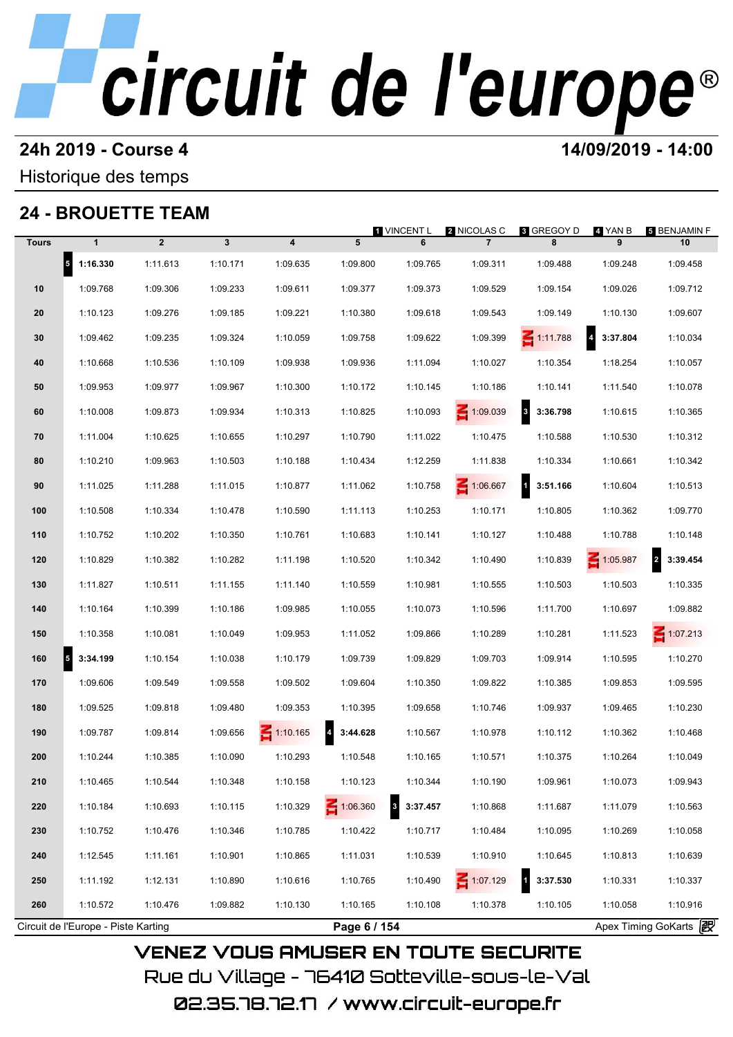### **24h 2019 - Course 4 14/09/2019 - 14:00**

Historique des temps

## **24 - BROUETTE TEAM**

|              |                                     |                |                         |                         |              | 1 VINCENT L   | 2 NICOLAS C     | <b>8 GREGOY D</b>  | 4. YAN B              | 5 BENJAMIN F    |
|--------------|-------------------------------------|----------------|-------------------------|-------------------------|--------------|---------------|-----------------|--------------------|-----------------------|-----------------|
| <b>Tours</b> | $\mathbf{1}$                        | $\overline{2}$ | $\overline{\mathbf{3}}$ | $\overline{\mathbf{4}}$ | 5            | 6             | $\overline{7}$  | 8                  | 9                     | 10              |
|              | $5$ 1:16.330                        | 1:11.613       | 1:10.171                | 1:09.635                | 1:09.800     | 1:09.765      | 1:09.311        | 1:09.488           | 1:09.248              | 1:09.458        |
| 10           | 1:09.768                            | 1:09.306       | 1:09.233                | 1:09.611                | 1:09.377     | 1:09.373      | 1:09.529        | 1:09.154           | 1:09.026              | 1:09.712        |
| 20           | 1:10.123                            | 1:09.276       | 1:09.185                | 1:09.221                | 1:10.380     | 1:09.618      | 1:09.543        | 1:09.149           | 1:10.130              | 1:09.607        |
| 30           | 1:09.462                            | 1:09.235       | 1:09.324                | 1:10.059                | 1:09.758     | 1:09.622      | 1:09.399        | $\leq 1:11.788$    | 4 3:37.804            | 1:10.034        |
| 40           | 1:10.668                            | 1:10.536       | 1:10.109                | 1:09.938                | 1:09.936     | 1:11.094      | 1:10.027        | 1:10.354           | 1:18.254              | 1:10.057        |
| 50           | 1:09.953                            | 1:09.977       | 1:09.967                | 1:10.300                | 1:10.172     | 1:10.145      | 1:10.186        | 1:10.141           | 1:11.540              | 1:10.078        |
| 60           | 1:10.008                            | 1:09.873       | 1:09.934                | 1:10.313                | 1:10.825     | 1:10.093      | $\leq 1:09.039$ | 8 3:36.798         | 1:10.615              | 1:10.365        |
| 70           | 1:11.004                            | 1:10.625       | 1:10.655                | 1:10.297                | 1:10.790     | 1:11.022      | 1:10.475        | 1:10.588           | 1:10.530              | 1:10.312        |
| 80           | 1:10.210                            | 1:09.963       | 1:10.503                | 1:10.188                | 1:10.434     | 1:12.259      | 1:11.838        | 1:10.334           | 1:10.661              | 1:10.342        |
| 90           | 1:11.025                            | 1:11.288       | 1:11.015                | 1:10.877                | 1:11.062     | 1:10.758      | 1:06.667        | $1 \quad 3:51.166$ | 1:10.604              | 1:10.513        |
| 100          | 1:10.508                            | 1:10.334       | 1:10.478                | 1:10.590                | 1:11.113     | 1:10.253      | 1:10.171        | 1:10.805           | 1:10.362              | 1:09.770        |
| 110          | 1:10.752                            | 1:10.202       | 1:10.350                | 1:10.761                | 1:10.683     | 1:10.141      | 1:10.127        | 1:10.488           | 1:10.788              | 1:10.148        |
| 120          | 1:10.829                            | 1:10.382       | 1:10.282                | 1:11.198                | 1:10.520     | 1:10.342      | 1:10.490        | 1:10.839           | 1:05.987              | 2 3:39.454      |
| 130          | 1:11.827                            | 1:10.511       | 1:11.155                | 1:11.140                | 1:10.559     | 1:10.981      | 1:10.555        | 1:10.503           | 1:10.503              | 1:10.335        |
| 140          | 1:10.164                            | 1:10.399       | 1:10.186                | 1:09.985                | 1:10.055     | 1:10.073      | 1:10.596        | 1:11.700           | 1:10.697              | 1:09.882        |
| 150          | 1:10.358                            | 1:10.081       | 1:10.049                | 1:09.953                | 1:11.052     | 1:09.866      | 1:10.289        | 1:10.281           | 1:11.523              | $\leq 1:07.213$ |
| 5<br>160     | 3:34.199                            | 1:10.154       | 1:10.038                | 1:10.179                | 1:09.739     | 1:09.829      | 1:09.703        | 1:09.914           | 1:10.595              | 1:10.270        |
| 170          | 1:09.606                            | 1:09.549       | 1:09.558                | 1:09.502                | 1:09.604     | 1:10.350      | 1:09.822        | 1:10.385           | 1:09.853              | 1:09.595        |
| 180          | 1:09.525                            | 1:09.818       | 1:09.480                | 1:09.353                | 1:10.395     | 1:09.658      | 1:10.746        | 1:09.937           | 1:09.465              | 1:10.230        |
| 190          | 1:09.787                            | 1:09.814       | 1:09.656                | $\leq 1:10.165$         | 3:44.628     | 1:10.567      | 1:10.978        | 1:10.112           | 1:10.362              | 1:10.468        |
| 200          | 1:10.244                            | 1:10.385       | 1:10.090                | 1:10.293                | 1:10.548     | 1:10.165      | 1:10.571        | 1:10.375           | 1:10.264              | 1:10.049        |
| 210          | 1:10.465                            | 1:10.544       | 1:10.348                | 1:10.158                | 1:10.123     | 1:10.344      | 1:10.190        | 1:09.961           | 1:10.073              | 1:09.943        |
| 220          | 1:10.184                            | 1:10.693       | 1:10.115                | 1:10.329                | 1:06.360     | 3<br>3:37.457 | 1:10.868        | 1:11.687           | 1:11.079              | 1:10.563        |
| 230          | 1:10.752                            | 1:10.476       | 1:10.346                | 1:10.785                | 1:10.422     | 1:10.717      | 1:10.484        | 1:10.095           | 1:10.269              | 1:10.058        |
| 240          | 1:12.545                            | 1:11.161       | 1:10.901                | 1:10.865                | 1:11.031     | 1:10.539      | 1:10.910        | 1:10.645           | 1:10.813              | 1:10.639        |
| 250          | 1:11.192                            | 1:12.131       | 1:10.890                | 1:10.616                | 1:10.765     | 1:10.490      | $\leq 1:07.129$ | 3:37.530           | 1:10.331              | 1:10.337        |
| 260          | 1:10.572                            | 1:10.476       | 1:09.882                | 1:10.130                | 1:10.165     | 1:10.108      | 1:10.378        | 1:10.105           | 1:10.058              | 1:10.916        |
|              | Circuit de l'Europe - Piste Karting |                |                         |                         | Page 6 / 154 |               |                 |                    | Apex Timing GoKarts 2 |                 |

02.35.78.72.17 /www.circuit-europe.fr

Rue du Village – 76410 Sotteville-sous-le-Val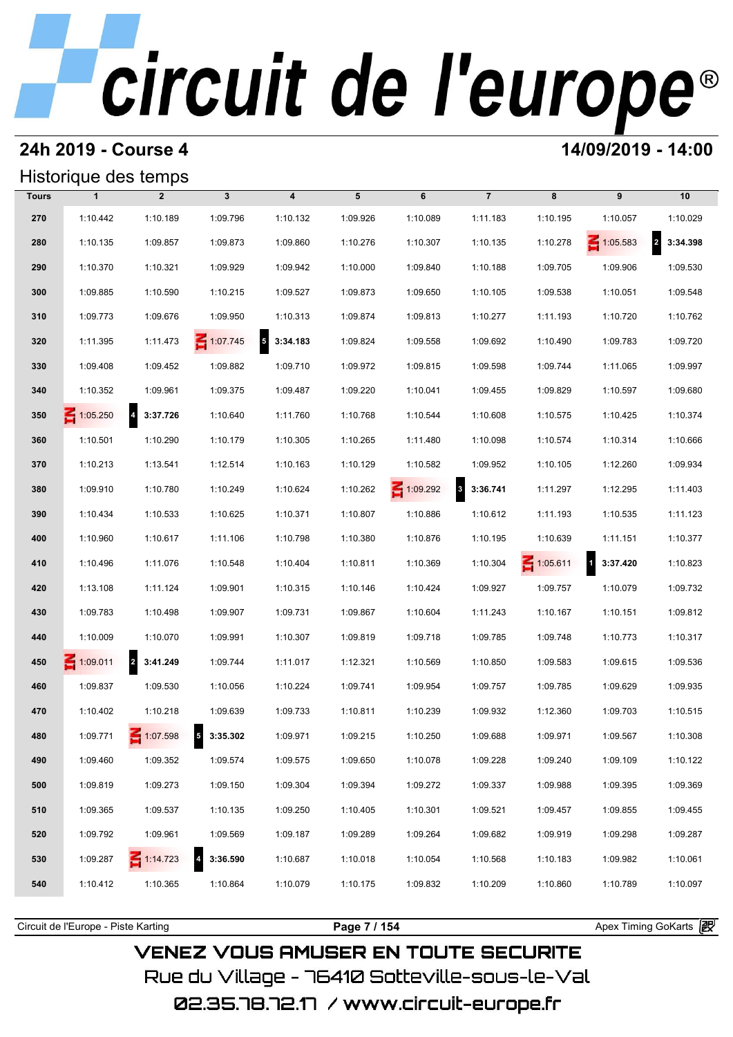### **24h 2019 - Course 4 14/09/2019 - 14:00**

### Historique des temps

|              | Historique des temps |                            |                                     |                                     |          |                 |                      |                 |                            |                            |
|--------------|----------------------|----------------------------|-------------------------------------|-------------------------------------|----------|-----------------|----------------------|-----------------|----------------------------|----------------------------|
| <b>Tours</b> | $\mathbf{1}$         | $\overline{2}$             | $\mathbf{3}$                        | $\overline{\mathbf{4}}$             | 5        | 6               | $\overline{7}$       | 8               | 9                          | 10                         |
| 270          | 1:10.442             | 1:10.189                   | 1:09.796                            | 1:10.132                            | 1:09.926 | 1:10.089        | 1:11.183             | 1:10.195        | 1:10.057                   | 1:10.029                   |
| 280          | 1:10.135             | 1:09.857                   | 1:09.873                            | 1:09.860                            | 1:10.276 | 1:10.307        | 1:10.135             | 1:10.278        | $\leq 1:05.583$            | $\overline{a}$<br>3:34.398 |
| 290          | 1:10.370             | 1:10.321                   | 1:09.929                            | 1:09.942                            | 1:10.000 | 1:09.840        | 1:10.188             | 1:09.705        | 1:09.906                   | 1:09.530                   |
| 300          | 1:09.885             | 1:10.590                   | 1:10.215                            | 1:09.527                            | 1:09.873 | 1:09.650        | 1:10.105             | 1:09.538        | 1:10.051                   | 1:09.548                   |
| 310          | 1:09.773             | 1:09.676                   | 1:09.950                            | 1:10.313                            | 1:09.874 | 1:09.813        | 1:10.277             | 1:11.193        | 1:10.720                   | 1:10.762                   |
| 320          | 1:11.395             | 1:11.473                   | $\leq 1:07.745$                     | $\overline{\mathbf{5}}$<br>3:34.183 | 1:09.824 | 1:09.558        | 1:09.692             | 1:10.490        | 1:09.783                   | 1:09.720                   |
| 330          | 1:09.408             | 1:09.452                   | 1:09.882                            | 1:09.710                            | 1:09.972 | 1:09.815        | 1:09.598             | 1:09.744        | 1:11.065                   | 1:09.997                   |
| 340          | 1:10.352             | 1:09.961                   | 1:09.375                            | 1:09.487                            | 1:09.220 | 1:10.041        | 1:09.455             | 1:09.829        | 1:10.597                   | 1:09.680                   |
| 350          | $\leq 1:05.250$      | $\overline{4}$<br>3:37.726 | 1:10.640                            | 1:11.760                            | 1:10.768 | 1:10.544        | 1:10.608             | 1:10.575        | 1:10.425                   | 1:10.374                   |
| 360          | 1:10.501             | 1:10.290                   | 1:10.179                            | 1:10.305                            | 1:10.265 | 1:11.480        | 1:10.098             | 1:10.574        | 1:10.314                   | 1:10.666                   |
| 370          | 1:10.213             | 1:13.541                   | 1:12.514                            | 1:10.163                            | 1:10.129 | 1:10.582        | 1:09.952             | 1:10.105        | 1:12.260                   | 1:09.934                   |
| 380          | 1:09.910             | 1:10.780                   | 1:10.249                            | 1:10.624                            | 1:10.262 | $\leq 1:09.292$ | $\bf{3}$<br>3:36.741 | 1:11.297        | 1:12.295                   | 1:11.403                   |
| 390          | 1:10.434             | 1:10.533                   | 1:10.625                            | 1:10.371                            | 1:10.807 | 1:10.886        | 1:10.612             | 1:11.193        | 1:10.535                   | 1:11.123                   |
| 400          | 1:10.960             | 1:10.617                   | 1:11.106                            | 1:10.798                            | 1:10.380 | 1:10.876        | 1:10.195             | 1:10.639        | 1:11.151                   | 1:10.377                   |
| 410          | 1:10.496             | 1:11.076                   | 1:10.548                            | 1:10.404                            | 1:10.811 | 1:10.369        | 1:10.304             | $\leq 1:05.611$ | $\overline{1}$<br>3:37.420 | 1:10.823                   |
| 420          | 1:13.108             | 1:11.124                   | 1:09.901                            | 1:10.315                            | 1:10.146 | 1:10.424        | 1:09.927             | 1:09.757        | 1:10.079                   | 1:09.732                   |
| 430          | 1:09.783             | 1:10.498                   | 1:09.907                            | 1:09.731                            | 1:09.867 | 1:10.604        | 1:11.243             | 1:10.167        | 1:10.151                   | 1:09.812                   |
| 440          | 1:10.009             | 1:10.070                   | 1:09.991                            | 1:10.307                            | 1:09.819 | 1:09.718        | 1:09.785             | 1:09.748        | 1:10.773                   | 1:10.317                   |
| 450          | $\leq 1:09.011$      | 2 3:41.249                 | 1:09.744                            | 1:11.017                            | 1:12.321 | 1:10.569        | 1:10.850             | 1:09.583        | 1:09.615                   | 1:09.536                   |
| 460          | 1:09.837             | 1:09.530                   | 1:10.056                            | 1:10.224                            | 1:09.741 | 1:09.954        | 1:09.757             | 1:09.785        | 1:09.629                   | 1:09.935                   |
| 470          | 1:10.402             | 1:10.218                   | 1:09.639                            | 1:09.733                            | 1:10.811 | 1:10.239        | 1:09.932             | 1:12.360        | 1:09.703                   | 1:10.515                   |
| 480          | 1:09.771             | 1:07.598                   | $5$ 3:35.302                        | 1:09.971                            | 1:09.215 | 1:10.250        | 1:09.688             | 1:09.971        | 1:09.567                   | 1:10.308                   |
| 490          | 1:09.460             | 1:09.352                   | 1:09.574                            | 1:09.575                            | 1:09.650 | 1:10.078        | 1:09.228             | 1:09.240        | 1:09.109                   | 1:10.122                   |
| 500          | 1:09.819             | 1:09.273                   | 1:09.150                            | 1:09.304                            | 1:09.394 | 1:09.272        | 1:09.337             | 1:09.988        | 1:09.395                   | 1:09.369                   |
| 510          | 1:09.365             | 1:09.537                   | 1:10.135                            | 1:09.250                            | 1:10.405 | 1:10.301        | 1:09.521             | 1:09.457        | 1:09.855                   | 1:09.455                   |
| 520          | 1:09.792             | 1:09.961                   | 1:09.569                            | 1:09.187                            | 1:09.289 | 1:09.264        | 1:09.682             | 1:09.919        | 1:09.298                   | 1:09.287                   |
| 530          | 1:09.287             | $\leq 1:14.723$            | $\overline{\mathbf{4}}$<br>3:36.590 | 1:10.687                            | 1:10.018 | 1:10.054        | 1:10.568             | 1:10.183        | 1:09.982                   | 1:10.061                   |
| 540          | 1:10.412             | 1:10.365                   | 1:10.864                            | 1:10.079                            | 1:10.175 | 1:09.832        | 1:10.209             | 1:10.860        | 1:10.789                   | 1:10.097                   |
|              |                      |                            |                                     |                                     |          |                 |                      |                 |                            |                            |

Circuit de l'Europe - Piste Karting **Page 7 / 154 Page 7 / 154** Apex Timing GoKarts and Apex Timing Apex Timing Go

**VENEZ VOUS AMUSER EN TOUTE SECURITE** Rue du Village – 76410 Sotteville-sous-le-Val 02.35.78.72.17 /www.circuit-europe.fr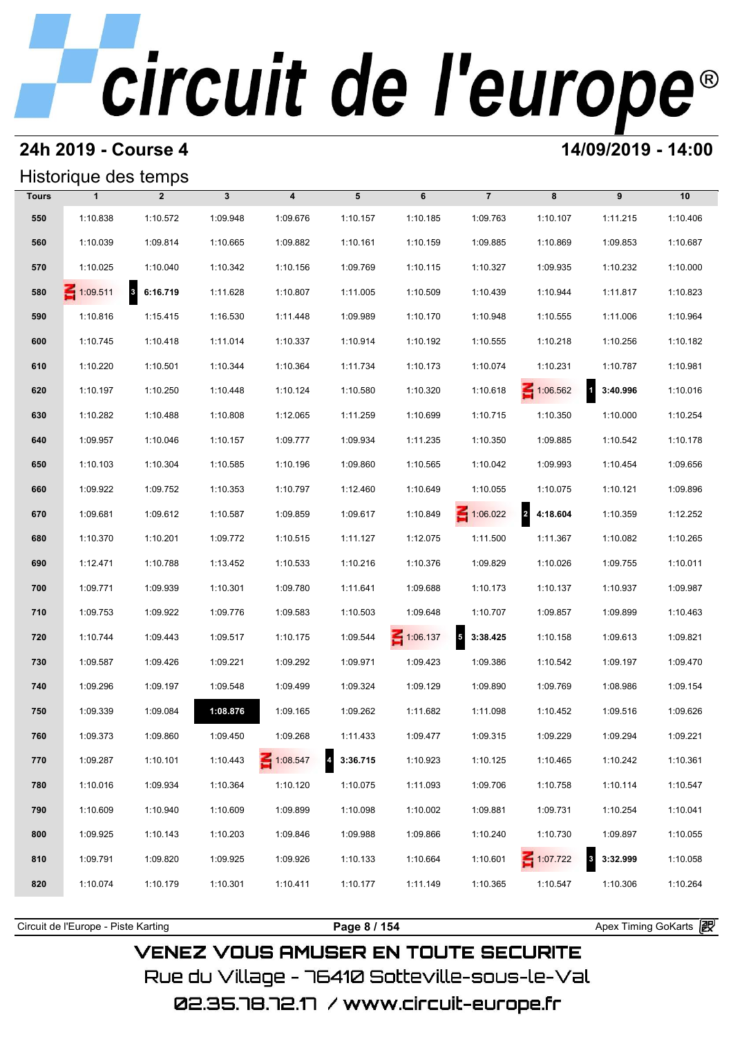## **24h 2019 - Course 4 14/09/2019 - 14:00**

### Historique des temps

|              | Historique des temps |                |              |                         |          |                 |                                     |                 |                                     |          |
|--------------|----------------------|----------------|--------------|-------------------------|----------|-----------------|-------------------------------------|-----------------|-------------------------------------|----------|
| <b>Tours</b> | $\mathbf{1}$         | $\overline{2}$ | $\mathbf{3}$ | $\overline{\mathbf{4}}$ | 5        | 6               | $\overline{7}$                      | 8               | 9                                   | 10       |
| 550          | 1:10.838             | 1:10.572       | 1:09.948     | 1:09.676                | 1:10.157 | 1:10.185        | 1:09.763                            | 1:10.107        | 1:11.215                            | 1:10.406 |
| 560          | 1:10.039             | 1:09.814       | 1:10.665     | 1:09.882                | 1:10.161 | 1:10.159        | 1:09.885                            | 1:10.869        | 1:09.853                            | 1:10.687 |
| 570          | 1:10.025             | 1:10.040       | 1:10.342     | 1:10.156                | 1:09.769 | 1:10.115        | 1:10.327                            | 1:09.935        | 1:10.232                            | 1:10.000 |
| 580          | $\leq 1:09.511$      | 8 6:16.719     | 1:11.628     | 1:10.807                | 1:11.005 | 1:10.509        | 1:10.439                            | 1:10.944        | 1:11.817                            | 1:10.823 |
| 590          | 1:10.816             | 1:15.415       | 1:16.530     | 1:11.448                | 1:09.989 | 1:10.170        | 1:10.948                            | 1:10.555        | 1:11.006                            | 1:10.964 |
| 600          | 1:10.745             | 1:10.418       | 1:11.014     | 1:10.337                | 1:10.914 | 1:10.192        | 1:10.555                            | 1:10.218        | 1:10.256                            | 1:10.182 |
| 610          | 1:10.220             | 1:10.501       | 1:10.344     | 1:10.364                | 1:11.734 | 1:10.173        | 1:10.074                            | 1:10.231        | 1:10.787                            | 1:10.981 |
| 620          | 1:10.197             | 1:10.250       | 1:10.448     | 1:10.124                | 1:10.580 | 1:10.320        | 1:10.618                            | 1:06.562        | $\overline{\mathbf{1}}$<br>3:40.996 | 1:10.016 |
| 630          | 1:10.282             | 1:10.488       | 1:10.808     | 1:12.065                | 1:11.259 | 1:10.699        | 1:10.715                            | 1:10.350        | 1:10.000                            | 1:10.254 |
| 640          | 1:09.957             | 1:10.046       | 1:10.157     | 1:09.777                | 1:09.934 | 1:11.235        | 1:10.350                            | 1:09.885        | 1:10.542                            | 1:10.178 |
| 650          | 1:10.103             | 1:10.304       | 1:10.585     | 1:10.196                | 1:09.860 | 1:10.565        | 1:10.042                            | 1:09.993        | 1:10.454                            | 1:09.656 |
| 660          | 1:09.922             | 1:09.752       | 1:10.353     | 1:10.797                | 1:12.460 | 1:10.649        | 1:10.055                            | 1:10.075        | 1:10.121                            | 1:09.896 |
| 670          | 1:09.681             | 1:09.612       | 1:10.587     | 1:09.859                | 1:09.617 | 1:10.849        | $\leq 1:06.022$                     | 2 4:18.604      | 1:10.359                            | 1:12.252 |
| 680          | 1:10.370             | 1:10.201       | 1:09.772     | 1:10.515                | 1:11.127 | 1:12.075        | 1:11.500                            | 1:11.367        | 1:10.082                            | 1:10.265 |
| 690          | 1:12.471             | 1:10.788       | 1:13.452     | 1:10.533                | 1:10.216 | 1:10.376        | 1:09.829                            | 1:10.026        | 1:09.755                            | 1:10.011 |
| 700          | 1:09.771             | 1:09.939       | 1:10.301     | 1:09.780                | 1:11.641 | 1:09.688        | 1:10.173                            | 1:10.137        | 1:10.937                            | 1:09.987 |
| 710          | 1:09.753             | 1:09.922       | 1:09.776     | 1:09.583                | 1:10.503 | 1:09.648        | 1:10.707                            | 1:09.857        | 1:09.899                            | 1:10.463 |
| 720          | 1:10.744             | 1:09.443       | 1:09.517     | 1:10.175                | 1:09.544 | $\leq 1:06.137$ | $\overline{\mathbf{5}}$<br>3:38.425 | 1:10.158        | 1:09.613                            | 1:09.821 |
| 730          | 1:09.587             | 1:09.426       | 1:09.221     | 1:09.292                | 1:09.971 | 1:09.423        | 1:09.386                            | 1:10.542        | 1:09.197                            | 1:09.470 |
| 740          | 1:09.296             | 1:09.197       | 1:09.548     | 1:09.499                | 1:09.324 | 1:09.129        | 1:09.890                            | 1:09.769        | 1:08.986                            | 1:09.154 |
| 750          | 1:09.339             | 1:09.084       | 1:08.876     | 1:09.165                | 1:09.262 | 1:11.682        | 1:11.098                            | 1:10.452        | 1:09.516                            | 1:09.626 |
| 760          | 1:09.373             | 1:09.860       | 1:09.450     | 1:09.268                | 1:11.433 | 1:09.477        | 1:09.315                            | 1:09.229        | 1:09.294                            | 1:09.221 |
| 770          | 1:09.287             | 1:10.101       | 1:10.443     | $\leq 1:08.547$         | 3:36.715 | 1:10.923        | 1:10.125                            | 1:10.465        | 1:10.242                            | 1:10.361 |
| 780          | 1:10.016             | 1:09.934       | 1:10.364     | 1:10.120                | 1:10.075 | 1:11.093        | 1:09.706                            | 1:10.758        | 1:10.114                            | 1:10.547 |
| 790          | 1:10.609             | 1:10.940       | 1:10.609     | 1:09.899                | 1:10.098 | 1:10.002        | 1:09.881                            | 1:09.731        | 1:10.254                            | 1:10.041 |
| 800          | 1:09.925             | 1:10.143       | 1:10.203     | 1:09.846                | 1:09.988 | 1:09.866        | 1:10.240                            | 1:10.730        | 1:09.897                            | 1:10.055 |
| 810          | 1:09.791             | 1:09.820       | 1:09.925     | 1:09.926                | 1:10.133 | 1:10.664        | 1:10.601                            | $\leq 1:07.722$ | $\overline{\mathbf{3}}$<br>3:32.999 | 1:10.058 |
| 820          | 1:10.074             | 1:10.179       | 1:10.301     | 1:10.411                | 1:10.177 | 1:11.149        | 1:10.365                            | 1:10.547        | 1:10.306                            | 1:10.264 |
|              |                      |                |              |                         |          |                 |                                     |                 |                                     |          |

**VENEZ VOUS AMUSER EN TOUTE SECURITE** Rue du Village – 76410 Sotteville-sous-le-Val 02.35.78.72.17 /www.circuit-europe.fr

Circuit de l'Europe - Piste Karting **Page 8 / 154 Page 8 / 154** Apex Timing GoKarts and Apex Timing Apex Timing Go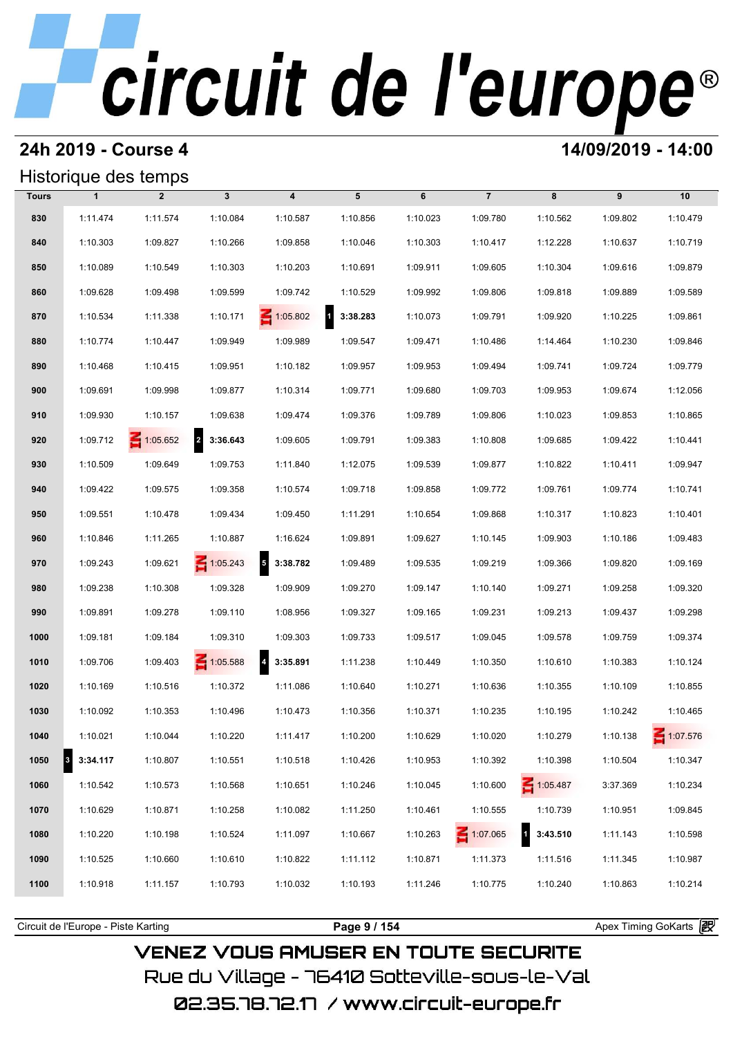### **24h 2019 - Course 4 14/09/2019 - 14:00**

### Historique des temps

|              |                                  | Historique des temps |                 |                         |                          |          |                 |             |          |          |
|--------------|----------------------------------|----------------------|-----------------|-------------------------|--------------------------|----------|-----------------|-------------|----------|----------|
| <b>Tours</b> | $\mathbf{1}$                     | $\overline{2}$       | $\mathbf{3}$    | $\overline{\mathbf{4}}$ | 5                        | 6        | $\overline{7}$  | 8           | 9        | 10       |
| 830          | 1:11.474                         | 1:11.574             | 1:10.084        | 1:10.587                | 1:10.856                 | 1:10.023 | 1:09.780        | 1:10.562    | 1:09.802 | 1:10.479 |
| 840          | 1:10.303                         | 1:09.827             | 1:10.266        | 1:09.858                | 1:10.046                 | 1:10.303 | 1:10.417        | 1:12.228    | 1:10.637 | 1:10.719 |
| 850          | 1:10.089                         | 1:10.549             | 1:10.303        | 1:10.203                | 1:10.691                 | 1:09.911 | 1:09.605        | 1:10.304    | 1:09.616 | 1:09.879 |
| 860          | 1:09.628                         | 1:09.498             | 1:09.599        | 1:09.742                | 1:10.529                 | 1:09.992 | 1:09.806        | 1:09.818    | 1:09.889 | 1:09.589 |
| 870          | 1:10.534                         | 1:11.338             | 1:10.171        | $\leq 1:05.802$         | $\mathbf{1}$<br>3:38.283 | 1:10.073 | 1:09.791        | 1:09.920    | 1:10.225 | 1:09.861 |
| 880          | 1:10.774                         | 1:10.447             | 1:09.949        | 1:09.989                | 1:09.547                 | 1:09.471 | 1:10.486        | 1:14.464    | 1:10.230 | 1:09.846 |
| 890          | 1:10.468                         | 1:10.415             | 1:09.951        | 1:10.182                | 1:09.957                 | 1:09.953 | 1:09.494        | 1:09.741    | 1:09.724 | 1:09.779 |
| 900          | 1:09.691                         | 1:09.998             | 1:09.877        | 1:10.314                | 1:09.771                 | 1:09.680 | 1:09.703        | 1:09.953    | 1:09.674 | 1:12.056 |
| 910          | 1:09.930                         | 1:10.157             | 1:09.638        | 1:09.474                | 1:09.376                 | 1:09.789 | 1:09.806        | 1:10.023    | 1:09.853 | 1:10.865 |
| 920          | 1:09.712                         | $\leq 1:05.652$      | 2 3:36.643      | 1:09.605                | 1:09.791                 | 1:09.383 | 1:10.808        | 1:09.685    | 1:09.422 | 1:10.441 |
| 930          | 1:10.509                         | 1:09.649             | 1:09.753        | 1:11.840                | 1:12.075                 | 1:09.539 | 1:09.877        | 1:10.822    | 1:10.411 | 1:09.947 |
| 940          | 1:09.422                         | 1:09.575             | 1:09.358        | 1:10.574                | 1:09.718                 | 1:09.858 | 1:09.772        | 1:09.761    | 1:09.774 | 1:10.741 |
| 950          | 1:09.551                         | 1:10.478             | 1:09.434        | 1:09.450                | 1:11.291                 | 1:10.654 | 1:09.868        | 1:10.317    | 1:10.823 | 1:10.401 |
| 960          | 1:10.846                         | 1:11.265             | 1:10.887        | 1:16.624                | 1:09.891                 | 1:09.627 | 1:10.145        | 1:09.903    | 1:10.186 | 1:09.483 |
| 970          | 1:09.243                         | 1:09.621             | $\leq 1:05.243$ | 5<br>3:38.782           | 1:09.489                 | 1:09.535 | 1:09.219        | 1:09.366    | 1:09.820 | 1:09.169 |
| 980          | 1:09.238                         | 1:10.308             | 1:09.328        | 1:09.909                | 1:09.270                 | 1:09.147 | 1:10.140        | 1:09.271    | 1:09.258 | 1:09.320 |
| 990          | 1:09.891                         | 1:09.278             | 1:09.110        | 1:08.956                | 1:09.327                 | 1:09.165 | 1:09.231        | 1:09.213    | 1:09.437 | 1:09.298 |
| 1000         | 1:09.181                         | 1:09.184             | 1:09.310        | 1:09.303                | 1:09.733                 | 1:09.517 | 1:09.045        | 1:09.578    | 1:09.759 | 1:09.374 |
| 1010         | 1:09.706                         | 1:09.403             | $\leq 1:05.588$ | $4\quad 3:35.891$       | 1:11.238                 | 1:10.449 | 1:10.350        | 1:10.610    | 1:10.383 | 1:10.124 |
| 1020         | 1:10.169                         | 1:10.516             | 1:10.372        | 1:11.086                | 1:10.640                 | 1:10.271 | 1:10.636        | 1:10.355    | 1:10.109 | 1:10.855 |
| 1030         | 1:10.092                         | 1:10.353             | 1:10.496        | 1:10.473                | 1:10.356                 | 1:10.371 | 1:10.235        | 1:10.195    | 1:10.242 | 1:10.465 |
| 1040         | 1:10.021                         | 1:10.044             | 1:10.220        | 1:11.417                | 1:10.200                 | 1:10.629 | 1:10.020        | 1:10.279    | 1:10.138 | 1:07.576 |
| 1050         | $\vert$ <sub>3</sub><br>3:34.117 | 1:10.807             | 1:10.551        | 1:10.518                | 1:10.426                 | 1:10.953 | 1:10.392        | 1:10.398    | 1:10.504 | 1:10.347 |
| 1060         | 1:10.542                         | 1:10.573             | 1:10.568        | 1:10.651                | 1:10.246                 | 1:10.045 | 1:10.600        | $-1:05.487$ | 3:37.369 | 1:10.234 |
| 1070         | 1:10.629                         | 1:10.871             | 1:10.258        | 1:10.082                | 1:11.250                 | 1:10.461 | 1:10.555        | 1:10.739    | 1:10.951 | 1:09.845 |
| 1080         | 1:10.220                         | 1:10.198             | 1:10.524        | 1:11.097                | 1:10.667                 | 1:10.263 | $\leq 1:07.065$ | 13:43.510   | 1:11.143 | 1:10.598 |
| 1090         | 1:10.525                         | 1:10.660             | 1:10.610        | 1:10.822                | 1:11.112                 | 1:10.871 | 1:11.373        | 1:11.516    | 1:11.345 | 1:10.987 |
| 1100         | 1:10.918                         | 1:11.157             | 1:10.793        | 1:10.032                | 1:10.193                 | 1:11.246 | 1:10.775        | 1:10.240    | 1:10.863 | 1:10.214 |
|              |                                  |                      |                 |                         |                          |          |                 |             |          |          |

Circuit de l'Europe - Piste Karting **Page 9 / 154 Page 9 / 154** Apex Timing GoKarts and Apex Timing Apex Timing Go

## **VENEZ VOUS AMUSER EN TOUTE SECURITE** Rue du Village – 76410 Sotteville-sous-le-Val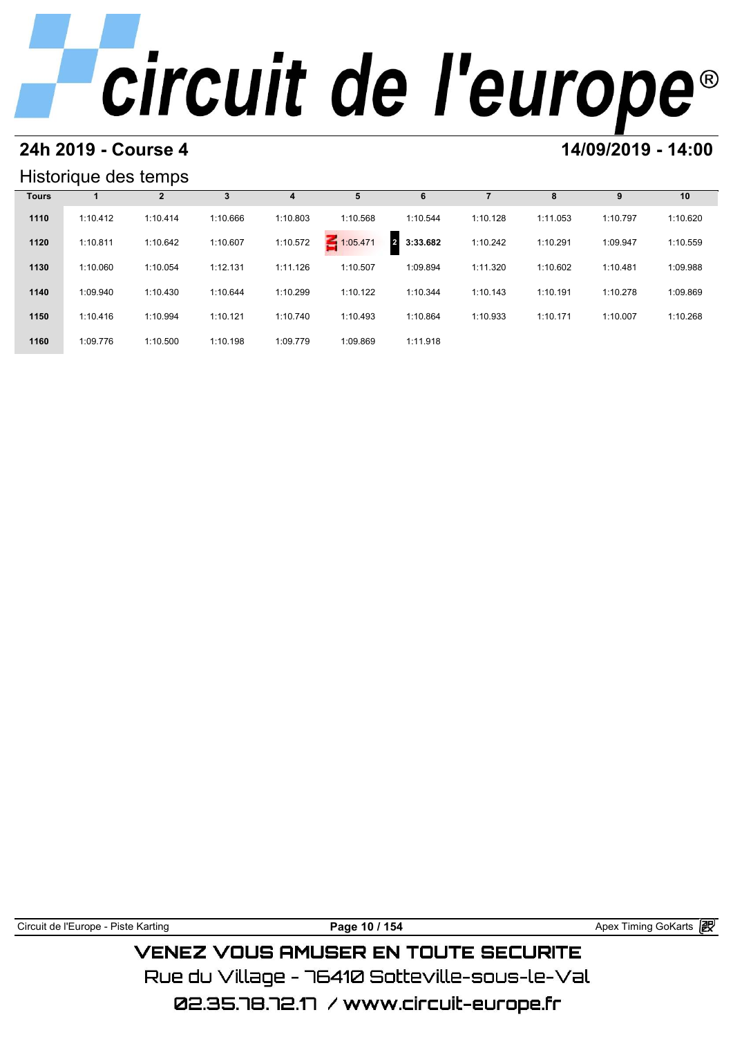### **24h 2019 - Course 4 14/09/2019 - 14:00**

## Historique des temps

|              | Historique des temps |                |          |          |          |               |          |          |          |          |
|--------------|----------------------|----------------|----------|----------|----------|---------------|----------|----------|----------|----------|
| <b>Tours</b> |                      | $\overline{2}$ | 3        | 4        | 5        | 6             |          | 8        | 9        | 10       |
| 1110         | 1:10.412             | 1:10.414       | 1:10.666 | 1:10.803 | 1:10.568 | 1:10.544      | 1:10.128 | 1:11.053 | 1:10.797 | 1:10.620 |
| 1120         | 1:10.811             | 1:10.642       | 1:10.607 | 1:10.572 | 1:05.471 | 3:33.682<br>2 | 1:10.242 | 1:10.291 | 1:09.947 | 1:10.559 |
| 1130         | 1:10.060             | 1:10.054       | 1:12.131 | 1:11.126 | 1:10.507 | 1:09.894      | 1:11.320 | 1:10.602 | 1:10.481 | 1:09.988 |
| 1140         | 1:09.940             | 1:10.430       | 1:10.644 | 1:10.299 | 1:10.122 | 1:10.344      | 1:10.143 | 1:10.191 | 1:10.278 | 1:09.869 |
| 1150         | 1:10.416             | 1:10.994       | 1:10.121 | 1:10.740 | 1:10.493 | 1:10.864      | 1:10.933 | 1:10.171 | 1:10.007 | 1:10.268 |
| 1160         | 1:09.776             | 1:10.500       | 1:10.198 | 1:09.779 | 1:09.869 | 1:11.918      |          |          |          |          |

Circuit de l'Europe - Piste Karting **Page 10 / 154 Page 10 / 154** Apex Timing GoKarts **in** 

**VENEZ VOUS AMUSER EN TOUTE SECURITE** Rue du Village – 76410 Sotteville-sous-le-Val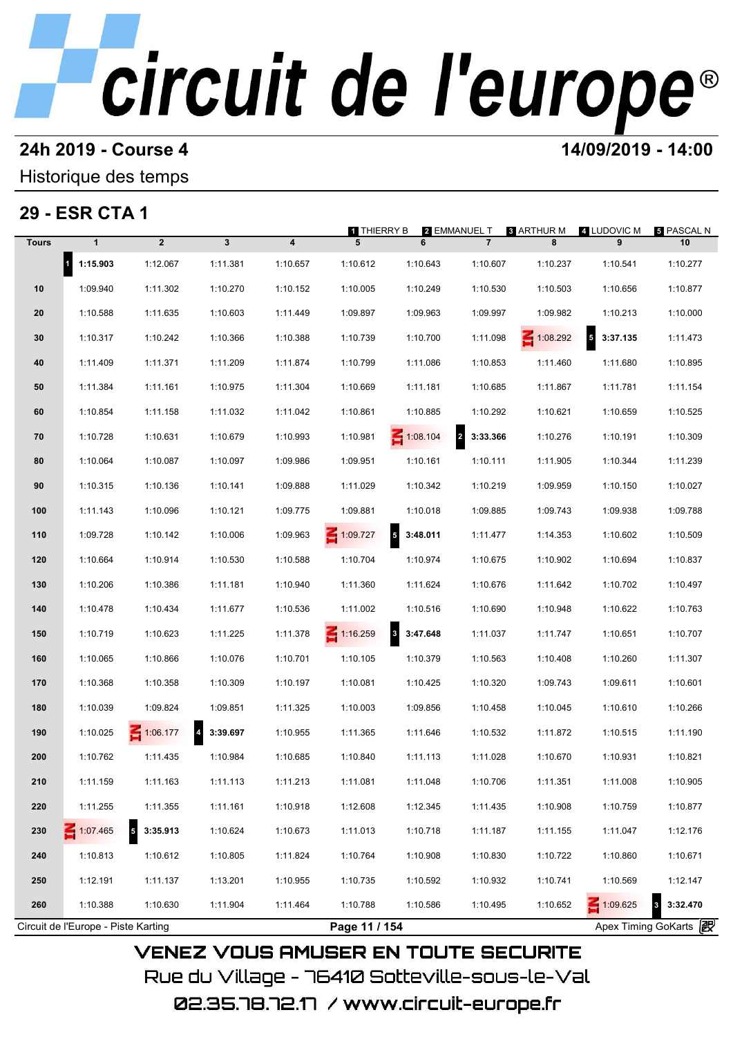# **24h 2019 - Course 4 12000 12000 14/09/2019 - 14:00**

### Historique des temps

## **29 - ESR CTA 1**

|              | 29 - ESR CTA 1                      |                            |          |          | 1 THIERRY B     |                 | 2 EMMANUEL T                        | <b>8 ARTHUR M</b> | 4 LUDOVIC M                         | 5 PASCAL N            |
|--------------|-------------------------------------|----------------------------|----------|----------|-----------------|-----------------|-------------------------------------|-------------------|-------------------------------------|-----------------------|
| <b>Tours</b> | $\mathbf{1}$                        | $\overline{2}$             | 3        | 4        | 5               | 6               | $\overline{7}$                      | 8                 | 9                                   | 10                    |
|              | $\mathbf{1}$<br>1:15.903            | 1:12.067                   | 1:11.381 | 1:10.657 | 1:10.612        | 1:10.643        | 1:10.607                            | 1:10.237          | 1:10.541                            | 1:10.277              |
| 10           | 1:09.940                            | 1:11.302                   | 1:10.270 | 1:10.152 | 1:10.005        | 1:10.249        | 1:10.530                            | 1:10.503          | 1:10.656                            | 1:10.877              |
| 20           | 1:10.588                            | 1:11.635                   | 1:10.603 | 1:11.449 | 1:09.897        | 1:09.963        | 1:09.997                            | 1:09.982          | 1:10.213                            | 1:10.000              |
| 30           | 1:10.317                            | 1:10.242                   | 1:10.366 | 1:10.388 | 1:10.739        | 1:10.700        | 1:11.098                            | $\leq 1:08.292$   | $\overline{\mathbf{5}}$<br>3:37.135 | 1:11.473              |
| 40           | 1:11.409                            | 1:11.371                   | 1:11.209 | 1:11.874 | 1:10.799        | 1:11.086        | 1:10.853                            | 1:11.460          | 1:11.680                            | 1:10.895              |
| 50           | 1:11.384                            | 1:11.161                   | 1:10.975 | 1:11.304 | 1:10.669        | 1:11.181        | 1:10.685                            | 1:11.867          | 1:11.781                            | 1:11.154              |
| 60           | 1:10.854                            | 1:11.158                   | 1:11.032 | 1:11.042 | 1:10.861        | 1:10.885        | 1:10.292                            | 1:10.621          | 1:10.659                            | 1:10.525              |
| 70           | 1:10.728                            | 1:10.631                   | 1:10.679 | 1:10.993 | 1:10.981        | $\leq 1:08.104$ | $\overline{\mathbf{2}}$<br>3:33.366 | 1:10.276          | 1:10.191                            | 1:10.309              |
| 80           | 1:10.064                            | 1:10.087                   | 1:10.097 | 1:09.986 | 1:09.951        | 1:10.161        | 1:10.111                            | 1:11.905          | 1:10.344                            | 1:11.239              |
| 90           | 1:10.315                            | 1:10.136                   | 1:10.141 | 1:09.888 | 1:11.029        | 1:10.342        | 1:10.219                            | 1:09.959          | 1:10.150                            | 1:10.027              |
| 100          | 1:11.143                            | 1:10.096                   | 1:10.121 | 1:09.775 | 1:09.881        | 1:10.018        | 1:09.885                            | 1:09.743          | 1:09.938                            | 1:09.788              |
| 110          | 1:09.728                            | 1:10.142                   | 1:10.006 | 1:09.963 | $\leq 1:09.727$ | 5<br>3:48.011   | 1:11.477                            | 1:14.353          | 1:10.602                            | 1:10.509              |
| 120          | 1:10.664                            | 1:10.914                   | 1:10.530 | 1:10.588 | 1:10.704        | 1:10.974        | 1:10.675                            | 1:10.902          | 1:10.694                            | 1:10.837              |
| 130          | 1:10.206                            | 1:10.386                   | 1:11.181 | 1:10.940 | 1:11.360        | 1:11.624        | 1:10.676                            | 1:11.642          | 1:10.702                            | 1:10.497              |
| 140          | 1:10.478                            | 1:10.434                   | 1:11.677 | 1:10.536 | 1:11.002        | 1:10.516        | 1:10.690                            | 1:10.948          | 1:10.622                            | 1:10.763              |
| 150          | 1:10.719                            | 1:10.623                   | 1:11.225 | 1:11.378 | $\leq 1:16.259$ | 3:47.648        | 1:11.037                            | 1:11.747          | 1:10.651                            | 1:10.707              |
| 160          | 1:10.065                            | 1:10.866                   | 1:10.076 | 1:10.701 | 1:10.105        | 1:10.379        | 1:10.563                            | 1:10.408          | 1:10.260                            | 1:11.307              |
| 170          | 1:10.368                            | 1:10.358                   | 1:10.309 | 1:10.197 | 1:10.081        | 1:10.425        | 1:10.320                            | 1:09.743          | 1:09.611                            | 1:10.601              |
| 180          | 1:10.039                            | 1:09.824                   | 1:09.851 | 1:11.325 | 1:10.003        | 1:09.856        | 1:10.458                            | 1:10.045          | 1:10.610                            | 1:10.266              |
| 190          | 1:10.025                            | 1:06.177                   | 3:39.697 | 1:10.955 | 1:11.365        | 1:11.646        | 1:10.532                            | 1:11.872          | 1:10.515                            | 1:11.190              |
| 200          | 1:10.762                            | 1:11.435                   | 1:10.984 | 1:10.685 | 1:10.840        | 1:11.113        | 1:11.028                            | 1:10.670          | 1:10.931                            | 1:10.821              |
| 210          | 1:11.159                            | 1:11.163                   | 1:11.113 | 1:11.213 | 1:11.081        | 1:11.048        | 1:10.706                            | 1:11.351          | 1:11.008                            | 1:10.905              |
| 220          | 1:11.255                            | 1:11.355                   | 1:11.161 | 1:10.918 | 1:12.608        | 1:12.345        | 1:11.435                            | 1:10.908          | 1:10.759                            | 1:10.877              |
| 230          | $-1:07.465$                         | $\overline{5}$<br>3:35.913 | 1:10.624 | 1:10.673 | 1:11.013        | 1:10.718        | 1:11.187                            | 1:11.155          | 1:11.047                            | 1:12.176              |
| 240          | 1:10.813                            | 1:10.612                   | 1:10.805 | 1:11.824 | 1:10.764        | 1:10.908        | 1:10.830                            | 1:10.722          | 1:10.860                            | 1:10.671              |
| 250          | 1:12.191                            | 1:11.137                   | 1:13.201 | 1:10.955 | 1:10.735        | 1:10.592        | 1:10.932                            | 1:10.741          | 1:10.569                            | 1:12.147              |
| 260          | 1:10.388                            | 1:10.630                   | 1:11.904 | 1:11.464 | 1:10.788        | 1:10.586        | 1:10.495                            | 1:10.652          | 1:09.625                            | 3:32.470              |
|              | Circuit de l'Europe - Piste Karting |                            |          |          | Page 11 / 154   |                 |                                     |                   |                                     | Apex Timing GoKarts 2 |

02.35.78.72.17 /www.circuit-europe.fr

Rue du Village – 76410 Sotteville-sous-le-Val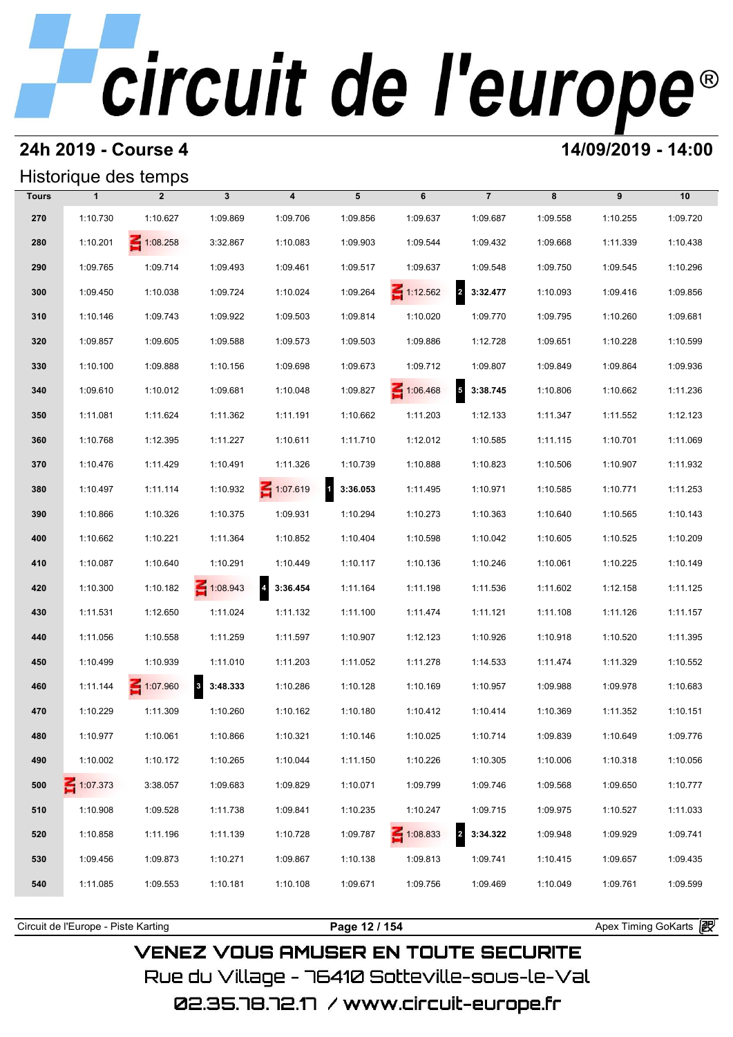### **24h 2019 - Course 4 14/09/2019 - 14:00**

## Historique des temps

## **Tours 1 2 3 4 5 6 7 8 9 10 270** 1:10.730 1:10.627 1:09.869 1:09.706 1:09.856 1:09.637 1:09.687 1:09.558 1:10.255 1:09.720 **280** 1:10.201 **2** 1:08.258 3:32.867 1:10.083 1:09.903 1:09.544 1:09.544 1:09.432 1:09.668 1:11.339 1:10.438 **270** 1:10.730 1:10.627 1:09.869 1:09.706 1:09.856 1:09.637 1:09.687 1:09.558 1:10.255 1:09.720<br> **280** 1:10.201 1:08.258 3:32.867 1:10.083 1:09.903 1:09.544 1:09.432 1:09.668 1:11.339 1:10.438<br> **290** 1:09.765 1:09.714 1:09 1:10.201 1:09.258 3:32.867 1:10.083 1:09.903 1:09.544 1:09.432 1:09.668 1:11.339 1:10.438<br> **290** 1:09.765 1:09.714 1:09.493 1:09.461 1:09.517 1:09.637 1:09.548 1:09.750 1:09.545 1:10.296<br> **300** 1:09.450 1:10.038 1:09.724 1 **310** 1:09.765 1:09.743 1:09.922 1:09.503 1:09.814 1:10.020 1:09.770 1:09.795 1:09.795 1:09.681 1:10.146 1:09.743 1:09.922 1:09.503 1:09.814 1:10.020 1:09.770 1:09.795 1:10.260 1:09.681 **300** 1:09.450 1:10.038 1:09.724 1:10.024 1:09.264 1:12.562 2 3:32.477 1:10.093 1:09.416 1:09.856<br> **310** 1:10.146 1:09.743 1:09.922 1:09.503 1:09.814 1:10.020 1:09.770 1:09.795 1:10.260 1:09.681<br> **320** 1:09.857 1:09.605 1: **310** 1:10.146 1:09.743 1:09.922 1:09.503 1:09.814 1:10.020 1:09.770 1:09.795 1:10.260 1:09.681<br> **320** 1:09.857 1:09.605 1:09.588 1:09.573 1:09.503 1:09.886 1:12.728 1:09.651 1:10.228 1:10.599<br> **330** 1:10.100 1:09.888 1:10 1:09.857 1:09.605 1:09.588 1:09.573 1:09.503 1:09.886 1:12.728 1:09.651 1:10.228 1:10.599<br> **330** 1:10.100 1:09.888 1:10.156 1:09.698 1:09.673 1:09.712 1:09.807 1:09.849 1:09.864 1:09.936<br> **340** 1:09.610 1:10.012 1:09.681 1 **330** 1:10.100 1:09.888 1:10.156 1:09.698 1:09.673 1:09.712 1:09.807 1:09.849 1:09.864 1:09.936<br> **340** 1:09.610 1:11.021 1:09.681 1:10.048 1:09.827 1:06.468 3:38.745 1:10.806 1:10.662 1:11.236<br> **350** 1:11.081 1:11.624 1:11 **340** 1:09.610 1:10.012 1:09.681 1:10.048 1:09.827 1:10.6468 5 **3:38.745** 1:10.806 1:10.662 1:11.236<br> **350** 1:11.081 1:11.624 1:11.362 1:11.191 1:10.662 1:11.203 1:12.133 1:11.347 1:11.552 1:12.123<br> **360** 1:10.768 1:12.395 **350** 1:11.081 1:11.624 1:11.362 1:11.191 1:10.662 1:11.203 1:12.133 1:11.347 1:11.552 1:12.123<br> **360** 1:10.768 1:12.395 1:11.227 1:10.611 1:11.710 1:12.012 1:10.585 1:11.115 1:10.701 1:11.069<br> **370** 1:10.476 1:11.429 1:10 **380** 1:10.768 1:12.395 1:11.227 1:10.611 1:11.710 1:12.012 1:10.585 1:11.115 1:10.701 1:11.069<br>**370** 1:10.476 1:11.429 1:10.491 1:11.326 1:10.739 1:10.888 1:10.823 1:10.506 1:10.907 1:11.932<br>**380** 1:10.497 1:11.114 1:10.9 **370** 1:10.476 1:11.429 1:10.491 1:11.326 1:10.739 1:10.888 1:10.823 1:10.506 1:10.907 1:11.932<br> **380** 1:10.497 1:11.114 1:10.932 1:0<mark>7.619 1:336.053</mark> 1:11.495 1:10.971 1:10.585 1:10.771 1:11.253<br> **390** 1:10.866 1:10.326 1 **400** 1:10.662 1:10.221 1:11.364 1:10.852 1:10.404 1:10.598 1:10.971 1:10.605 1:10.585 1:10.771 1:11.253<br> **400** 1:10.662 1:10.221 1:11.364 1:10.852 1:10.404 1:10.598 1:10.042 1:10.605 1:10.525 1:10.209 **410** 1:10.087 1:10.640 1:10.291 1:10.449 1:10.117 1:10.136 1:10.246 1:10.061 1:10.225 1:10.149 1:10.149 **400** 1:10.662 1:10.221 1:11.364 1:10.852 1:10.404 1:10.598 1:10.042 1:10.605 1:10.525 1:10.209<br> **410** 1:10.087 1:10.640 1:10.291 1:10.449 1:10.117 1:10.136 1:10.246 1:10.061 1:10.225 1:10.149<br> **420** 1:10.300 1:10.182 1:08 **410** 1:10.087 1:10.640 1:10.291 1:10.449 1:10.117 1:10.136 1:10.246 1:10.061 1:10.225 1:10.149<br> **420** 1:10.300 1:10.182 1:08.943 **43:36.454** 1:11.164 1:11.198 1:11.536 1:11.602 1:12.158 1:11.125<br> **430** 1:11.531 1:12.650 1 **420** 1:10.300 1:10.182 1:08.943 **3:36.454** 1:11.164 1:11.198 1:11.536 1:11.602 1:12.158 1:11.125<br> **430** 1:11.531 1:12.650 1:11.024 1:11.132 1:11.100 1:11.474 1:11.121 1:11.108 1:11.126 1:11.157<br> **440** 1:11.056 1:10.558 1: **430** 1:11.531 1:12.650 1:11.024 1:11.132 1:11.100 1:11.474 1:11.121 1:11.108 1:11.126 1:11.157<br> **440** 1:11.056 1:10.558 1:11.259 1:11.597 1:10.907 1:12.123 1:10.926 1:10.918 1:10.520 1:11.395<br> **450** 1:10.499 1:10.939 1:11 **440** 1:11.056 1:10.558 1:11.259 1:11.597 1:10.907 1:12.123 1:10.926 1:10.918 1:10.520 1:11.395<br> **450** 1:10.499 1:10.939 1:11.010 1:11.203 1:11.052 1:11.278 1:14.533 1:11.474 1:11.329 1:10.552<br> **460** 1:11.144 1:07.960 3 3: **450** 1:10.499 1:10.939 1:11.010 1:11.203 1:11.052 1:11.278 1:14.533 1:11.474 1:11.329 1:10.552<br> **460** 1:11.144 1:07.960 3 3:48.333 1:10.286 1:10.128 1:10.169 1:10.957 1:09.988 1:09.978 1:10.683<br> **470** 1:10.229 1:11.309 1: **480** 1:11.144 **1:10.7960 8 3:48.333** 1:10.286 1:10.128 1:10.169 1:10.957 1:09.988 1:09.978 1:10.683<br> **470** 1:10.229 1:11.309 1:10.260 1:10.162 1:10.180 1:10.412 1:10.414 1:10.369 1:11.352 1:10.151<br> **480** 1:10.977 1:10.061 **470** 1:10.229 1:11.309 1:10.260 1:10.162 1:10.180 1:10.412 1:10.414 1:10.369 1:11.352 1:10.151<br> **480** 1:10.977 1:10.061 1:10.866 1:10.321 1:10.146 1:10.025 1:10.714 1:09.839 1:10.649 1:09.776<br> **490** 1:10.002 1:10.172 1:10 **500** 1:10.77 1:10.172 1:09.683 1:09.829 1:10.071 1:09.799 1:09.746 1:09.568 1:09.650 1:10.777<br> **500** 1:07.373 3:38.057 1:09.683 1:09.829 1:10.071 1:09.799 1:09.746 1:09.568 1:09.650 1:10.777 **500** 1:10.002 1:10.172 1:10.265 1:10.044 1:11.150 1:10.226 1:10.305 1:10.006 1:10.318 1:10.056<br> **510** 1:10.908 1:09.528 1:11.738 1:09.841 1:10.235 1:10.247 1:09.715 1:09.975 1:10.527 1:11.033 **500 1:**107.373 3:38.057 1:09.683 1:09.829 1:10.071 1:09.799 1:09.746 1:09.568 1:09.650 1:10.777<br>**510** 1:10.908 1:09.528 1:11.738 1:09.841 1:10.235 1:10.247 1:09.715 1:09.975 1:10.527 1:11.033<br>**520** 1:10.858 1:11.196 1:11. **510** 1:10.908 1:09.528 1:11.738 1:09.841 1:10.235 1:10.247 1:09.715 1:09.975 1:10.527 1:11.033<br> **520** 1:10.858 1:11.196 1:11.139 1:10.728 1:09.787 1:08.833 2 3:34.322 1:09.948 1:09.929 1:09.741<br> **530** 1:09.456 1:09.873 1: **520** 1:10.858 1:11.196 1:11.139 1:10.728 1:09.787 1:08.833 2 3:34.322 1:09.948 1:09.929 1:09.741<br> **530** 1:09.456 1:09.873 1:10.271 1:09.867 1:10.138 1:09.813 1:09.741 1:10.415 1:09.657 1:09.435<br> **540** 1:11.085 1:09.553 1:

Circuit de l'Europe - Piste Karting **Page 12 / 154 Page 12 / 154** Apex Timing GoKarts **PEP** 

## VENEZ VOUS AMUSER EN TOUTE SECURITE Rue du Village – 76410 Sotteville-sous-le-Val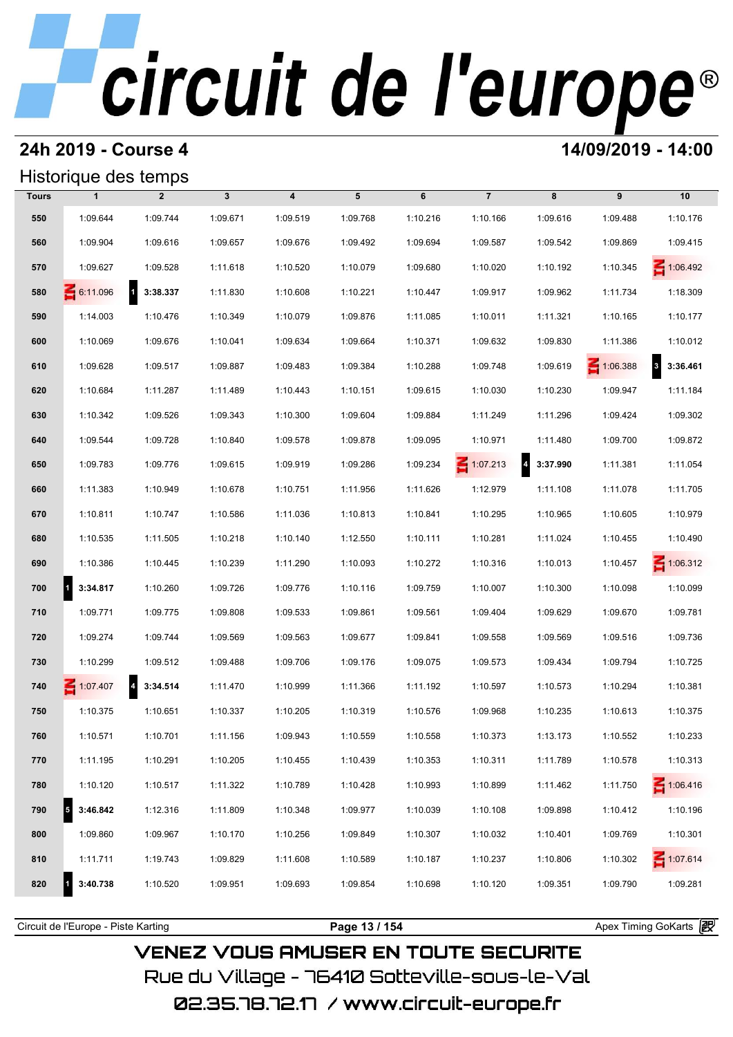### **24h 2019 - Course 4 14/09/2019 - 14:00**

### Historique des temps

|       | Historique des temps  |                                      |              |                         |          |          |                 |                                     |                 |                             |
|-------|-----------------------|--------------------------------------|--------------|-------------------------|----------|----------|-----------------|-------------------------------------|-----------------|-----------------------------|
| Tours | $\mathbf{1}$          | $\overline{2}$                       | $\mathbf{3}$ | $\overline{\mathbf{4}}$ | 5        | 6        | $\overline{7}$  | 8                                   | 9               | 10                          |
| 550   | 1:09.644              | 1:09.744                             | 1:09.671     | 1:09.519                | 1:09.768 | 1:10.216 | 1:10.166        | 1:09.616                            | 1:09.488        | 1:10.176                    |
| 560   | 1:09.904              | 1:09.616                             | 1:09.657     | 1:09.676                | 1:09.492 | 1:09.694 | 1:09.587        | 1:09.542                            | 1:09.869        | 1:09.415                    |
| 570   | 1:09.627              | 1:09.528                             | 1:11.618     | 1:10.520                | 1:10.079 | 1:09.680 | 1:10.020        | 1:10.192                            | 1:10.345        | $\leq 1:06.492$             |
| 580   | 6:11.096              | $1 \quad 3:38.337$                   | 1:11.830     | 1:10.608                | 1:10.221 | 1:10.447 | 1:09.917        | 1:09.962                            | 1:11.734        | 1:18.309                    |
| 590   | 1:14.003              | 1:10.476                             | 1:10.349     | 1:10.079                | 1:09.876 | 1:11.085 | 1:10.011        | 1:11.321                            | 1:10.165        | 1:10.177                    |
| 600   | 1:10.069              | 1:09.676                             | 1:10.041     | 1:09.634                | 1:09.664 | 1:10.371 | 1:09.632        | 1:09.830                            | 1:11.386        | 1:10.012                    |
| 610   | 1:09.628              | 1:09.517                             | 1:09.887     | 1:09.483                | 1:09.384 | 1:10.288 | 1:09.748        | 1:09.619                            | $\leq 1:06.388$ | 3:36.461<br>$3\overline{)}$ |
| 620   | 1:10.684              | 1:11.287                             | 1:11.489     | 1:10.443                | 1:10.151 | 1:09.615 | 1:10.030        | 1:10.230                            | 1:09.947        | 1:11.184                    |
| 630   | 1:10.342              | 1:09.526                             | 1:09.343     | 1:10.300                | 1:09.604 | 1:09.884 | 1:11.249        | 1:11.296                            | 1:09.424        | 1:09.302                    |
| 640   | 1:09.544              | 1:09.728                             | 1:10.840     | 1:09.578                | 1:09.878 | 1:09.095 | 1:10.971        | 1:11.480                            | 1:09.700        | 1:09.872                    |
| 650   | 1:09.783              | 1:09.776                             | 1:09.615     | 1:09.919                | 1:09.286 | 1:09.234 | $\leq 1:07.213$ | $\overline{\mathbf{4}}$<br>3:37.990 | 1:11.381        | 1:11.054                    |
| 660   | 1:11.383              | 1:10.949                             | 1:10.678     | 1:10.751                | 1:11.956 | 1:11.626 | 1:12.979        | 1:11.108                            | 1:11.078        | 1:11.705                    |
| 670   | 1:10.811              | 1:10.747                             | 1:10.586     | 1:11.036                | 1:10.813 | 1:10.841 | 1:10.295        | 1:10.965                            | 1:10.605        | 1:10.979                    |
| 680   | 1:10.535              | 1:11.505                             | 1:10.218     | 1:10.140                | 1:12.550 | 1:10.111 | 1:10.281        | 1:11.024                            | 1:10.455        | 1:10.490                    |
| 690   | 1:10.386              | 1:10.445                             | 1:10.239     | 1:11.290                | 1:10.093 | 1:10.272 | 1:10.316        | 1:10.013                            | 1:10.457        | $\leq 1:06.312$             |
| 700   | $\vert$ 1<br>3:34.817 | 1:10.260                             | 1:09.726     | 1:09.776                | 1:10.116 | 1:09.759 | 1:10.007        | 1:10.300                            | 1:10.098        | 1:10.099                    |
| 710   | 1:09.771              | 1:09.775                             | 1:09.808     | 1:09.533                | 1:09.861 | 1:09.561 | 1:09.404        | 1:09.629                            | 1:09.670        | 1:09.781                    |
| 720   | 1:09.274              | 1:09.744                             | 1:09.569     | 1:09.563                | 1:09.677 | 1:09.841 | 1:09.558        | 1:09.569                            | 1:09.516        | 1:09.736                    |
| 730   | 1:10.299              | 1:09.512                             | 1:09.488     | 1:09.706                | 1:09.176 | 1:09.075 | 1:09.573        | 1:09.434                            | 1:09.794        | 1:10.725                    |
| 740   | 1:07.407              | $\overline{\phantom{a}}$<br>3:34.514 | 1:11.470     | 1:10.999                | 1:11.366 | 1:11.192 | 1:10.597        | 1:10.573                            | 1:10.294        | 1:10.381                    |
| 750   | 1:10.375              | 1:10.651                             | 1:10.337     | 1:10.205                | 1:10.319 | 1:10.576 | 1:09.968        | 1:10.235                            | 1:10.613        | 1:10.375                    |
| 760   | 1:10.571              | 1:10.701                             | 1:11.156     | 1:09.943                | 1:10.559 | 1:10.558 | 1:10.373        | 1:13.173                            | 1:10.552        | 1:10.233                    |
| 770   | 1:11.195              | 1:10.291                             | 1:10.205     | 1:10.455                | 1:10.439 | 1:10.353 | 1:10.311        | 1:11.789                            | 1:10.578        | 1:10.313                    |
| 780   | 1:10.120              | 1:10.517                             | 1:11.322     | 1:10.789                | 1:10.428 | 1:10.993 | 1:10.899        | 1:11.462                            | 1:11.750        | $\leq 1:06.416$             |
| 790   | 3:46.842              | 1:12.316                             | 1:11.809     | 1:10.348                | 1:09.977 | 1:10.039 | 1:10.108        | 1:09.898                            | 1:10.412        | 1:10.196                    |
| 800   | 1:09.860              | 1:09.967                             | 1:10.170     | 1:10.256                | 1:09.849 | 1:10.307 | 1:10.032        | 1:10.401                            | 1:09.769        | 1:10.301                    |
| 810   | 1:11.711              | 1:19.743                             | 1:09.829     | 1:11.608                | 1:10.589 | 1:10.187 | 1:10.237        | 1:10.806                            | 1:10.302        | 1:07.614                    |
| 820   | 3:40.738              | 1:10.520                             | 1:09.951     | 1:09.693                | 1:09.854 | 1:10.698 | 1:10.120        | 1:09.351                            | 1:09.790        | 1:09.281                    |
|       |                       |                                      |              |                         |          |          |                 |                                     |                 |                             |

**VENEZ VOUS AMUSER EN TOUTE SECURITE** Rue du Village – 76410 Sotteville-sous-le-Val 02.35.78.72.17 / www.circuit-europe.fr

Circuit de l'Europe - Piste Karting **Page 13 / 154 Page 13 / 154** Apex Timing GoKarts **in**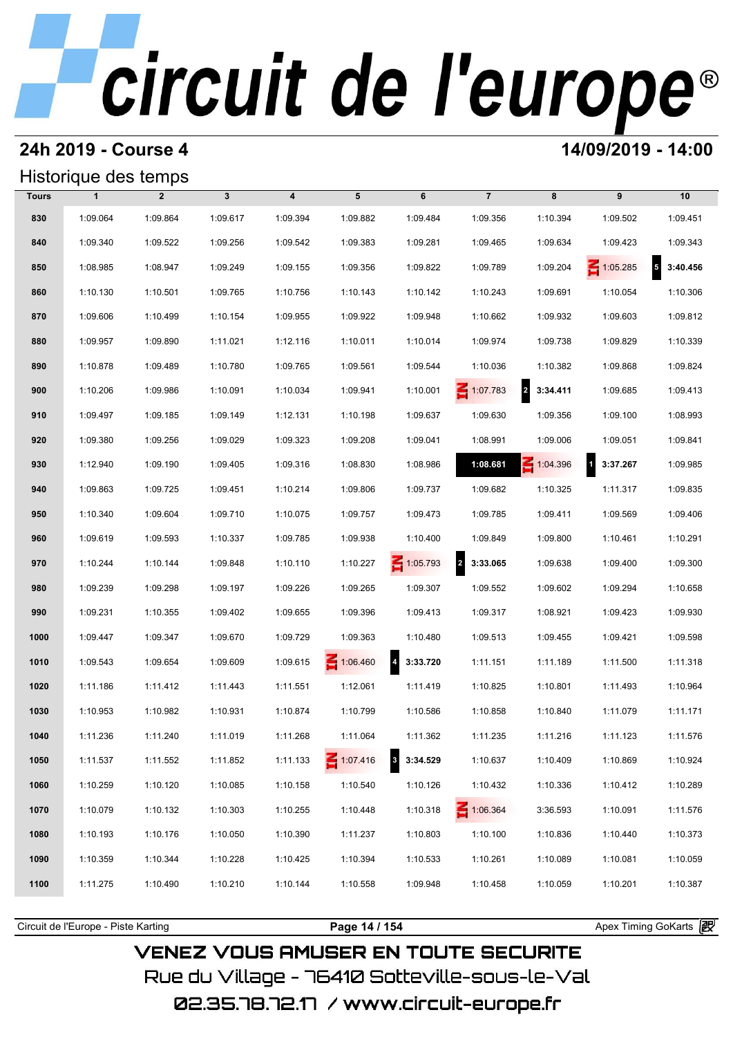### **24h 2019 - Course 4 14/09/2019 - 14:00**

## Historique des temps

|              | Historique des temps |                |              |                         |                 |                 |                                     |                                     |                                     |                            |
|--------------|----------------------|----------------|--------------|-------------------------|-----------------|-----------------|-------------------------------------|-------------------------------------|-------------------------------------|----------------------------|
| <b>Tours</b> | $\mathbf{1}$         | $\overline{2}$ | $\mathbf{3}$ | $\overline{\mathbf{4}}$ | 5               | 6               | $\overline{7}$                      | 8                                   | 9                                   | 10                         |
| 830          | 1:09.064             | 1:09.864       | 1:09.617     | 1:09.394                | 1:09.882        | 1:09.484        | 1:09.356                            | 1:10.394                            | 1:09.502                            | 1:09.451                   |
| 840          | 1:09.340             | 1:09.522       | 1:09.256     | 1:09.542                | 1:09.383        | 1:09.281        | 1:09.465                            | 1:09.634                            | 1:09.423                            | 1:09.343                   |
| 850          | 1:08.985             | 1:08.947       | 1:09.249     | 1:09.155                | 1:09.356        | 1:09.822        | 1:09.789                            | 1:09.204                            | $\leq 1:05.285$                     | $\overline{5}$<br>3:40.456 |
| 860          | 1:10.130             | 1:10.501       | 1:09.765     | 1:10.756                | 1:10.143        | 1:10.142        | 1:10.243                            | 1:09.691                            | 1:10.054                            | 1:10.306                   |
| 870          | 1:09.606             | 1:10.499       | 1:10.154     | 1:09.955                | 1:09.922        | 1:09.948        | 1:10.662                            | 1:09.932                            | 1:09.603                            | 1:09.812                   |
| 880          | 1:09.957             | 1:09.890       | 1:11.021     | 1:12.116                | 1:10.011        | 1:10.014        | 1:09.974                            | 1:09.738                            | 1:09.829                            | 1:10.339                   |
| 890          | 1:10.878             | 1:09.489       | 1:10.780     | 1:09.765                | 1:09.561        | 1:09.544        | 1:10.036                            | 1:10.382                            | 1:09.868                            | 1:09.824                   |
| 900          | 1:10.206             | 1:09.986       | 1:10.091     | 1:10.034                | 1:09.941        | 1:10.001        | $\leq 1:07.783$                     | $\overline{\mathbf{2}}$<br>3:34.411 | 1:09.685                            | 1:09.413                   |
| 910          | 1:09.497             | 1:09.185       | 1:09.149     | 1:12.131                | 1:10.198        | 1:09.637        | 1:09.630                            | 1:09.356                            | 1:09.100                            | 1:08.993                   |
| 920          | 1:09.380             | 1:09.256       | 1:09.029     | 1:09.323                | 1:09.208        | 1:09.041        | 1:08.991                            | 1:09.006                            | 1:09.051                            | 1:09.841                   |
| 930          | 1:12.940             | 1:09.190       | 1:09.405     | 1:09.316                | 1:08.830        | 1:08.986        | 1:08.681                            | $\leq 1:04.396$                     | $\overline{\mathbf{1}}$<br>3:37.267 | 1:09.985                   |
| 940          | 1:09.863             | 1:09.725       | 1:09.451     | 1:10.214                | 1:09.806        | 1:09.737        | 1:09.682                            | 1:10.325                            | 1:11.317                            | 1:09.835                   |
| 950          | 1:10.340             | 1:09.604       | 1:09.710     | 1:10.075                | 1:09.757        | 1:09.473        | 1:09.785                            | 1:09.411                            | 1:09.569                            | 1:09.406                   |
| 960          | 1:09.619             | 1:09.593       | 1:10.337     | 1:09.785                | 1:09.938        | 1:10.400        | 1:09.849                            | 1:09.800                            | 1:10.461                            | 1:10.291                   |
| 970          | 1:10.244             | 1:10.144       | 1:09.848     | 1:10.110                | 1:10.227        | $\leq 1:05.793$ | $\overline{\mathbf{2}}$<br>3:33.065 | 1:09.638                            | 1:09.400                            | 1:09.300                   |
| 980          | 1:09.239             | 1:09.298       | 1:09.197     | 1:09.226                | 1:09.265        | 1:09.307        | 1:09.552                            | 1:09.602                            | 1:09.294                            | 1:10.658                   |
| 990          | 1:09.231             | 1:10.355       | 1:09.402     | 1:09.655                | 1:09.396        | 1:09.413        | 1:09.317                            | 1:08.921                            | 1:09.423                            | 1:09.930                   |
| 1000         | 1:09.447             | 1:09.347       | 1:09.670     | 1:09.729                | 1:09.363        | 1:10.480        | 1:09.513                            | 1:09.455                            | 1:09.421                            | 1:09.598                   |
| 1010         | 1:09.543             | 1:09.654       | 1:09.609     | 1:09.615                | 1:06.460        | 4 3:33.720      | 1:11.151                            | 1:11.189                            | 1:11.500                            | 1:11.318                   |
| 1020         | 1:11.186             | 1:11.412       | 1:11.443     | 1:11.551                | 1:12.061        | 1:11.419        | 1:10.825                            | 1:10.801                            | 1:11.493                            | 1:10.964                   |
| 1030         | 1:10.953             | 1:10.982       | 1:10.931     | 1:10.874                | 1:10.799        | 1:10.586        | 1:10.858                            | 1:10.840                            | 1:11.079                            | 1:11.171                   |
| 1040         | 1:11.236             | 1:11.240       | 1:11.019     | 1:11.268                | 1:11.064        | 1:11.362        | 1:11.235                            | 1:11.216                            | 1:11.123                            | 1:11.576                   |
| 1050         | 1:11.537             | 1:11.552       | 1:11.852     | 1:11.133                | $\leq 1:07.416$ | 3 3:34.529      | 1:10.637                            | 1:10.409                            | 1:10.869                            | 1:10.924                   |
| 1060         | 1:10.259             | 1:10.120       | 1:10.085     | 1:10.158                | 1:10.540        | 1:10.126        | 1:10.432                            | 1:10.336                            | 1:10.412                            | 1:10.289                   |
| 1070         | 1:10.079             | 1:10.132       | 1:10.303     | 1:10.255                | 1:10.448        | 1:10.318        | $\leq 1:06.364$                     | 3:36.593                            | 1:10.091                            | 1:11.576                   |
| 1080         | 1:10.193             | 1:10.176       | 1:10.050     | 1:10.390                | 1:11.237        | 1:10.803        | 1:10.100                            | 1:10.836                            | 1:10.440                            | 1:10.373                   |
| 1090         | 1:10.359             | 1:10.344       | 1:10.228     | 1:10.425                | 1:10.394        | 1:10.533        | 1:10.261                            | 1:10.089                            | 1:10.081                            | 1:10.059                   |
| 1100         | 1:11.275             | 1:10.490       | 1:10.210     | 1:10.144                | 1:10.558        | 1:09.948        | 1:10.458                            | 1:10.059                            | 1:10.201                            | 1:10.387                   |
|              |                      |                |              |                         |                 |                 |                                     |                                     |                                     |                            |

**VENEZ VOUS AMUSER EN TOUTE SECURITE** Rue du Village – 76410 Sotteville-sous-le-Val 02.35.78.72.17 /www.circuit-europe.fr

Circuit de l'Europe - Piste Karting **Page 14 / 154 Page 14 / 154** Apex Timing GoKarts and Apex Timing Apex Timing Go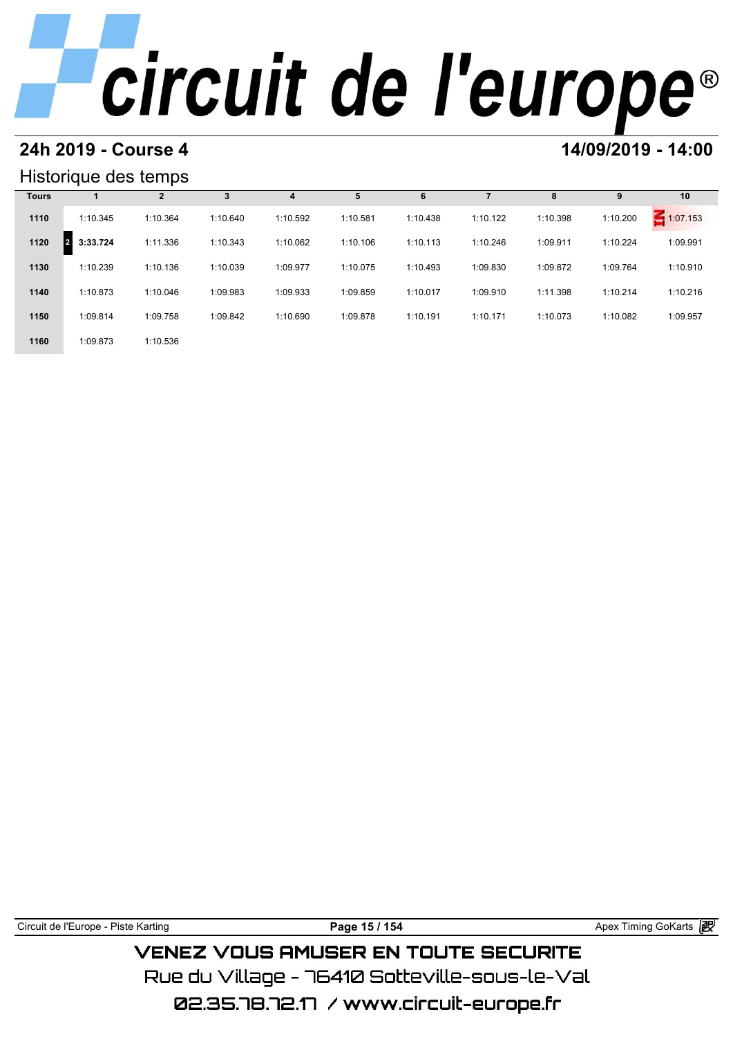### **24h 2019 - Course 4 14/09/2019 - 14:00**

### Historique des temps

|              | Historique des temps       |                |          |          |          |          |          |          |          |               |
|--------------|----------------------------|----------------|----------|----------|----------|----------|----------|----------|----------|---------------|
| <b>Tours</b> |                            | $\overline{2}$ | 3        | 4        | 5        | 6        |          | 8        | 9        | 10            |
| 1110         | 1:10.345                   | 1:10.364       | 1:10.640 | 1:10.592 | 1:10.581 | 1:10.438 | 1:10.122 | 1:10.398 | 1:10.200 | 1:07.153<br>s |
| 1120         | 3:33.724<br>$\overline{2}$ | 1:11.336       | 1:10.343 | 1:10.062 | 1:10.106 | 1:10.113 | 1:10.246 | 1:09.911 | 1:10.224 | 1:09.991      |
| 1130         | 1:10.239                   | 1:10.136       | 1:10.039 | 1:09.977 | 1:10.075 | 1:10.493 | 1:09.830 | 1:09.872 | 1:09.764 | 1:10.910      |
| 1140         | 1:10.873                   | 1:10.046       | 1:09.983 | 1:09.933 | 1:09.859 | 1:10.017 | 1:09.910 | 1:11.398 | 1:10.214 | 1:10.216      |
| 1150         | 1:09.814                   | 1:09.758       | 1:09.842 | 1:10.690 | 1:09.878 | 1:10.191 | 1:10.171 | 1:10.073 | 1:10.082 | 1:09.957      |
| 1160         | 1:09.873                   | 1:10.536       |          |          |          |          |          |          |          |               |

Circuit de l'Europe - Piste Karting **Page 15 / 154 Page 15 / 154** Apex Timing GoKarts and Apex Timing Apex Timing Go

**VENEZ VOUS AMUSER EN TOUTE SECURITE** Rue du Village – 76410 Sotteville-sous-le-Val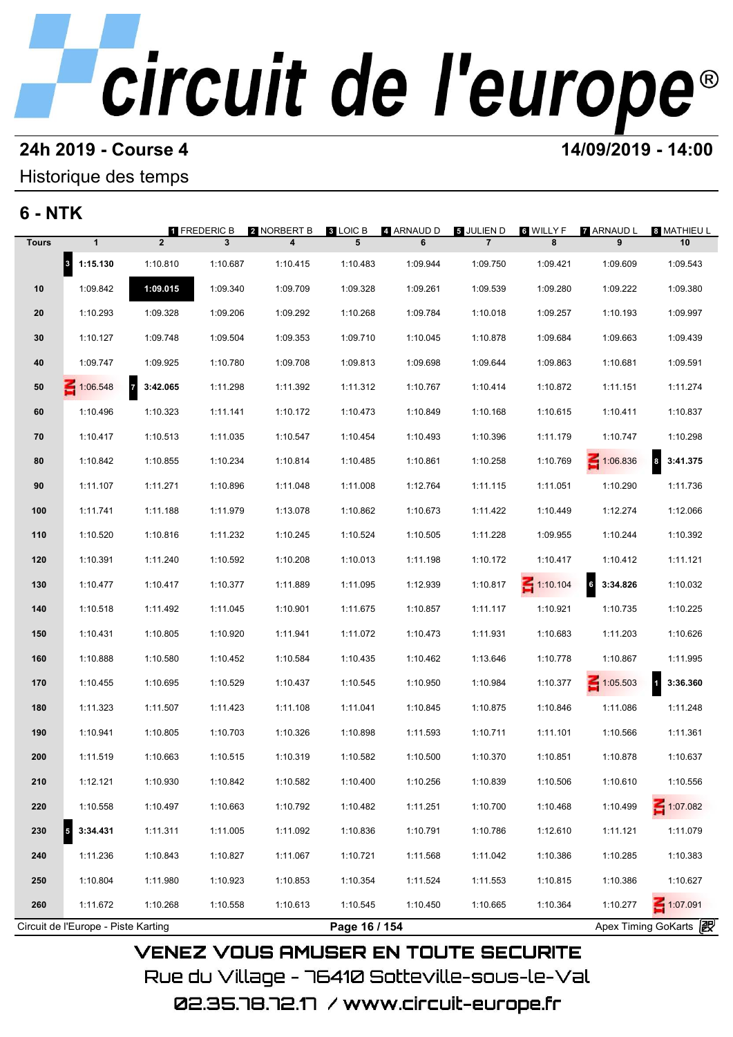# **24h 2019 - Course 4 12000 12000 14/09/2019 - 14:00**

### Historique des temps

## **6 - NTK**

| <b>Tours</b> |                                  |                            | 1 FREDERIC B | 2 NORBERT B | 3 LOIC B | 4 ARNAUD D | <b>5 JULIEN D</b> | ទ WILLY F       | <b>7</b> ARNAUD L          | 8 MATHIEU L           |
|--------------|----------------------------------|----------------------------|--------------|-------------|----------|------------|-------------------|-----------------|----------------------------|-----------------------|
|              | $\mathbf{1}$                     | $\overline{2}$             | 3            | 4           | 5        | 6          | $\overline{7}$    | 8               | 9                          | 10                    |
|              | $\vert$ <sup>3</sup><br>1:15.130 | 1:10.810                   | 1:10.687     | 1:10.415    | 1:10.483 | 1:09.944   | 1:09.750          | 1:09.421        | 1:09.609                   | 1:09.543              |
| 10           | 1:09.842                         | 1:09.015                   | 1:09.340     | 1:09.709    | 1:09.328 | 1:09.261   | 1:09.539          | 1:09.280        | 1:09.222                   | 1:09.380              |
| 20           | 1:10.293                         | 1:09.328                   | 1:09.206     | 1:09.292    | 1:10.268 | 1:09.784   | 1:10.018          | 1:09.257        | 1:10.193                   | 1:09.997              |
| 30           | 1:10.127                         | 1:09.748                   | 1:09.504     | 1:09.353    | 1:09.710 | 1:10.045   | 1:10.878          | 1:09.684        | 1:09.663                   | 1:09.439              |
| 40           | 1:09.747                         | 1:09.925                   | 1:10.780     | 1:09.708    | 1:09.813 | 1:09.698   | 1:09.644          | 1:09.863        | 1:10.681                   | 1:09.591              |
| 50           | 1:06.548                         | $\overline{7}$<br>3:42.065 | 1:11.298     | 1:11.392    | 1:11.312 | 1:10.767   | 1:10.414          | 1:10.872        | 1:11.151                   | 1:11.274              |
| 60           | 1:10.496                         | 1:10.323                   | 1:11.141     | 1:10.172    | 1:10.473 | 1:10.849   | 1:10.168          | 1:10.615        | 1:10.411                   | 1:10.837              |
| 70           | 1:10.417                         | 1:10.513                   | 1:11.035     | 1:10.547    | 1:10.454 | 1:10.493   | 1:10.396          | 1:11.179        | 1:10.747                   | 1:10.298              |
| 80           | 1:10.842                         | 1:10.855                   | 1:10.234     | 1:10.814    | 1:10.485 | 1:10.861   | 1:10.258          | 1:10.769        | 1:06.836                   | 3:41.375<br>8         |
| 90           | 1:11.107                         | 1:11.271                   | 1:10.896     | 1:11.048    | 1:11.008 | 1:12.764   | 1:11.115          | 1:11.051        | 1:10.290                   | 1:11.736              |
| 100          | 1:11.741                         | 1:11.188                   | 1:11.979     | 1:13.078    | 1:10.862 | 1:10.673   | 1:11.422          | 1:10.449        | 1:12.274                   | 1:12.066              |
| 110          | 1:10.520                         | 1:10.816                   | 1:11.232     | 1:10.245    | 1:10.524 | 1:10.505   | 1:11.228          | 1:09.955        | 1:10.244                   | 1:10.392              |
| 120          | 1:10.391                         | 1:11.240                   | 1:10.592     | 1:10.208    | 1:10.013 | 1:11.198   | 1:10.172          | 1:10.417        | 1:10.412                   | 1:11.121              |
| 130          | 1:10.477                         | 1:10.417                   | 1:10.377     | 1:11.889    | 1:11.095 | 1:12.939   | 1:10.817          | $\leq 1:10.104$ | G <sub>6</sub><br>3:34.826 | 1:10.032              |
| 140          | 1:10.518                         | 1:11.492                   | 1:11.045     | 1:10.901    | 1:11.675 | 1:10.857   | 1:11.117          | 1:10.921        | 1:10.735                   | 1:10.225              |
| 150          | 1:10.431                         | 1:10.805                   | 1:10.920     | 1:11.941    | 1:11.072 | 1:10.473   | 1:11.931          | 1:10.683        | 1:11.203                   | 1:10.626              |
| 160          | 1:10.888                         | 1:10.580                   | 1:10.452     | 1:10.584    | 1:10.435 | 1:10.462   | 1:13.646          | 1:10.778        | 1:10.867                   | 1:11.995              |
| 170          | 1:10.455                         | 1:10.695                   | 1:10.529     | 1:10.437    | 1:10.545 | 1:10.950   | 1:10.984          | 1:10.377        | $\leq 1:05.503$            | 3:36.360<br>$\vert$ 1 |
| 180          | 1:11.323                         | 1:11.507                   | 1:11.423     | 1:11.108    | 1:11.041 | 1:10.845   | 1:10.875          | 1:10.846        | 1:11.086                   | 1:11.248              |
| 190          | 1:10.941                         | 1:10.805                   | 1:10.703     | 1:10.326    | 1:10.898 | 1:11.593   | 1:10.711          | 1:11.101        | 1:10.566                   | 1:11.361              |
| 200          | 1:11.519                         | 1:10.663                   | 1:10.515     | 1:10.319    | 1:10.582 | 1:10.500   | 1:10.370          | 1:10.851        | 1:10.878                   | 1:10.637              |
| 210          | 1:12.121                         | 1:10.930                   | 1:10.842     | 1:10.582    | 1:10.400 | 1:10.256   | 1:10.839          | 1:10.506        | 1:10.610                   | 1:10.556              |
| 220          | 1:10.558                         | 1:10.497                   | 1:10.663     | 1:10.792    | 1:10.482 | 1:11.251   | 1:10.700          | 1:10.468        | 1:10.499                   | 1:07.082              |
| 230          | 5<br>3:34.431                    | 1:11.311                   | 1:11.005     | 1:11.092    | 1:10.836 | 1:10.791   | 1:10.786          | 1:12.610        | 1:11.121                   | 1:11.079              |
| 240          | 1:11.236                         | 1:10.843                   | 1:10.827     | 1:11.067    | 1:10.721 | 1:11.568   | 1:11.042          | 1:10.386        | 1:10.285                   | 1:10.383              |
| 250          | 1:10.804                         | 1:11.980                   | 1:10.923     | 1:10.853    | 1:10.354 | 1:11.524   | 1:11.553          | 1:10.815        | 1:10.386                   | 1:10.627              |
|              | 1:11.672                         | 1:10.268                   | 1:10.558     | 1:10.613    | 1:10.545 | 1:10.450   | 1:10.665          | 1:10.364        | 1:10.277                   | 1:07.091              |

02.35.78.72.17 / www.circuit-europe.fr

Rue du Village – 76410 Sotteville-sous-le-Val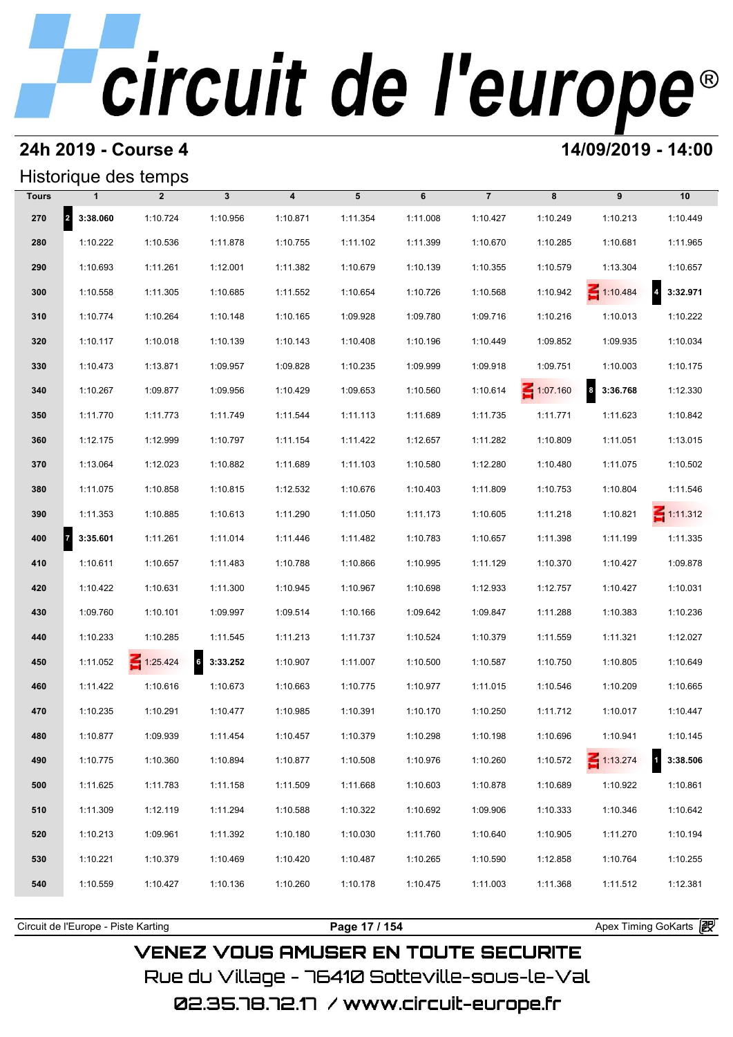### **24h 2019 - Course 4 14/09/2019 - 14:00**

## Historique des temps

|              | Historique des temps  |                 |                   |                         |          |          |                |                 |                      |                            |
|--------------|-----------------------|-----------------|-------------------|-------------------------|----------|----------|----------------|-----------------|----------------------|----------------------------|
| <b>Tours</b> | $\mathbf{1}$          | $\overline{2}$  | $\mathbf{3}$      | $\overline{\mathbf{4}}$ | 5        | 6        | $\overline{7}$ | 8               | 9                    | 10                         |
| 270          | 2 3:38.060            | 1:10.724        | 1:10.956          | 1:10.871                | 1:11.354 | 1:11.008 | 1:10.427       | 1:10.249        | 1:10.213             | 1:10.449                   |
| 280          | 1:10.222              | 1:10.536        | 1:11.878          | 1:10.755                | 1:11.102 | 1:11.399 | 1:10.670       | 1:10.285        | 1:10.681             | 1:11.965                   |
| 290          | 1:10.693              | 1:11.261        | 1:12.001          | 1:11.382                | 1:10.679 | 1:10.139 | 1:10.355       | 1:10.579        | 1:13.304             | 1:10.657                   |
| 300          | 1:10.558              | 1:11.305        | 1:10.685          | 1:11.552                | 1:10.654 | 1:10.726 | 1:10.568       | 1:10.942        | $\leq 1:10.484$      | $\overline{4}$<br>3:32.971 |
| 310          | 1:10.774              | 1:10.264        | 1:10.148          | 1:10.165                | 1:09.928 | 1:09.780 | 1:09.716       | 1:10.216        | 1:10.013             | 1:10.222                   |
| 320          | 1:10.117              | 1:10.018        | 1:10.139          | 1:10.143                | 1:10.408 | 1:10.196 | 1:10.449       | 1:09.852        | 1:09.935             | 1:10.034                   |
| 330          | 1:10.473              | 1:13.871        | 1:09.957          | 1:09.828                | 1:10.235 | 1:09.999 | 1:09.918       | 1:09.751        | 1:10.003             | 1:10.175                   |
| 340          | 1:10.267              | 1:09.877        | 1:09.956          | 1:10.429                | 1:09.653 | 1:10.560 | 1:10.614       | $\leq 1:07.160$ | $\bf{8}$<br>3:36.768 | 1:12.330                   |
| 350          | 1:11.770              | 1:11.773        | 1:11.749          | 1:11.544                | 1:11.113 | 1:11.689 | 1:11.735       | 1:11.771        | 1:11.623             | 1:10.842                   |
| 360          | 1:12.175              | 1:12.999        | 1:10.797          | 1:11.154                | 1:11.422 | 1:12.657 | 1:11.282       | 1:10.809        | 1:11.051             | 1:13.015                   |
| 370          | 1:13.064              | 1:12.023        | 1:10.882          | 1:11.689                | 1:11.103 | 1:10.580 | 1:12.280       | 1:10.480        | 1:11.075             | 1:10.502                   |
| 380          | 1:11.075              | 1:10.858        | 1:10.815          | 1:12.532                | 1:10.676 | 1:10.403 | 1:11.809       | 1:10.753        | 1:10.804             | 1:11.546                   |
| 390          | 1:11.353              | 1:10.885        | 1:10.613          | 1:11.290                | 1:11.050 | 1:11.173 | 1:10.605       | 1:11.218        | 1:10.821             | $\leq$ 1:11.312            |
| 400          | $\vert$ 7<br>3:35.601 | 1:11.261        | 1:11.014          | 1:11.446                | 1:11.482 | 1:10.783 | 1:10.657       | 1:11.398        | 1:11.199             | 1:11.335                   |
| 410          | 1:10.611              | 1:10.657        | 1:11.483          | 1:10.788                | 1:10.866 | 1:10.995 | 1:11.129       | 1:10.370        | 1:10.427             | 1:09.878                   |
| 420          | 1:10.422              | 1:10.631        | 1:11.300          | 1:10.945                | 1:10.967 | 1:10.698 | 1:12.933       | 1:12.757        | 1:10.427             | 1:10.031                   |
| 430          | 1:09.760              | 1:10.101        | 1:09.997          | 1:09.514                | 1:10.166 | 1:09.642 | 1:09.847       | 1:11.288        | 1:10.383             | 1:10.236                   |
| 440          | 1:10.233              | 1:10.285        | 1:11.545          | 1:11.213                | 1:11.737 | 1:10.524 | 1:10.379       | 1:11.559        | 1:11.321             | 1:12.027                   |
| 450          | 1:11.052              | $\leq 1:25.424$ | $6\quad 3:33.252$ | 1:10.907                | 1:11.007 | 1:10.500 | 1:10.587       | 1:10.750        | 1:10.805             | 1:10.649                   |
| 460          | 1:11.422              | 1:10.616        | 1:10.673          | 1:10.663                | 1:10.775 | 1:10.977 | 1:11.015       | 1:10.546        | 1:10.209             | 1:10.665                   |
| 470          | 1:10.235              | 1:10.291        | 1:10.477          | 1:10.985                | 1:10.391 | 1:10.170 | 1:10.250       | 1:11.712        | 1:10.017             | 1:10.447                   |
| 480          | 1:10.877              | 1:09.939        | 1:11.454          | 1:10.457                | 1:10.379 | 1:10.298 | 1:10.198       | 1:10.696        | 1:10.941             | 1:10.145                   |
| 490          | 1:10.775              | 1:10.360        | 1:10.894          | 1:10.877                | 1:10.508 | 1:10.976 | 1:10.260       | 1:10.572        | $\leq 1:13.274$      | 3:38.506                   |
| 500          | 1:11.625              | 1:11.783        | 1:11.158          | 1:11.509                | 1:11.668 | 1:10.603 | 1:10.878       | 1:10.689        | 1:10.922             | 1:10.861                   |
| 510          | 1:11.309              | 1:12.119        | 1:11.294          | 1:10.588                | 1:10.322 | 1:10.692 | 1:09.906       | 1:10.333        | 1:10.346             | 1:10.642                   |
| 520          | 1:10.213              | 1:09.961        | 1:11.392          | 1:10.180                | 1:10.030 | 1:11.760 | 1:10.640       | 1:10.905        | 1:11.270             | 1:10.194                   |
| 530          | 1:10.221              | 1:10.379        | 1:10.469          | 1:10.420                | 1:10.487 | 1:10.265 | 1:10.590       | 1:12.858        | 1:10.764             | 1:10.255                   |
| 540          | 1:10.559              | 1:10.427        | 1:10.136          | 1:10.260                | 1:10.178 | 1:10.475 | 1:11.003       | 1:11.368        | 1:11.512             | 1:12.381                   |
|              |                       |                 |                   |                         |          |          |                |                 |                      |                            |

**VENEZ VOUS AMUSER EN TOUTE SECURITE** Rue du Village – 76410 Sotteville-sous-le-Val 02.35.78.72.17 / www.circuit-europe.fr

Circuit de l'Europe - Piste Karting **Page 17 / 154 Page 17 / 154** Apex Timing GoKarts **i**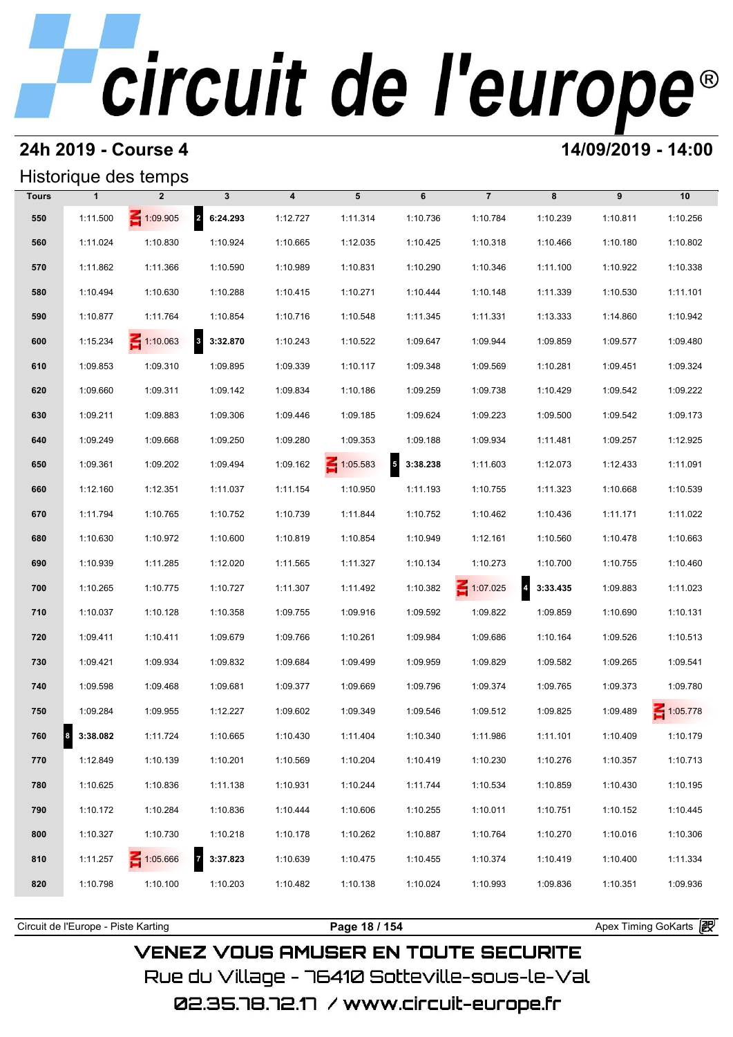## **24h 2019 - Course 4 14/09/2019 - 14:00**

### Historique des temps

|              |              | Historique des temps |                          |                         |                 |                                      |                 |            |          |          |
|--------------|--------------|----------------------|--------------------------|-------------------------|-----------------|--------------------------------------|-----------------|------------|----------|----------|
| <b>Tours</b> | $\mathbf{1}$ | $\overline{2}$       | $\mathbf{3}$             | $\overline{\mathbf{4}}$ | 5               | 6                                    | $\overline{7}$  | 8          | 9        | 10       |
| 550          | 1:11.500     | $\leq 1:09.905$      | 2 6:24.293               | 1:12.727                | 1:11.314        | 1:10.736                             | 1:10.784        | 1:10.239   | 1:10.811 | 1:10.256 |
| 560          | 1:11.024     | 1:10.830             | 1:10.924                 | 1:10.665                | 1:12.035        | 1:10.425                             | 1:10.318        | 1:10.466   | 1:10.180 | 1:10.802 |
| 570          | 1:11.862     | 1:11.366             | 1:10.590                 | 1:10.989                | 1:10.831        | 1:10.290                             | 1:10.346        | 1:11.100   | 1:10.922 | 1:10.338 |
| 580          | 1:10.494     | 1:10.630             | 1:10.288                 | 1:10.415                | 1:10.271        | 1:10.444                             | 1:10.148        | 1:11.339   | 1:10.530 | 1:11.101 |
| 590          | 1:10.877     | 1:11.764             | 1:10.854                 | 1:10.716                | 1:10.548        | 1:11.345                             | 1:11.331        | 1:13.333   | 1:14.860 | 1:10.942 |
| 600          | 1:15.234     | $\leq 1:10.063$      | 3 3:32.870               | 1:10.243                | 1:10.522        | 1:09.647                             | 1:09.944        | 1:09.859   | 1:09.577 | 1:09.480 |
| 610          | 1:09.853     | 1:09.310             | 1:09.895                 | 1:09.339                | 1:10.117        | 1:09.348                             | 1:09.569        | 1:10.281   | 1:09.451 | 1:09.324 |
| 620          | 1:09.660     | 1:09.311             | 1:09.142                 | 1:09.834                | 1:10.186        | 1:09.259                             | 1:09.738        | 1:10.429   | 1:09.542 | 1:09.222 |
| 630          | 1:09.211     | 1:09.883             | 1:09.306                 | 1:09.446                | 1:09.185        | 1:09.624                             | 1:09.223        | 1:09.500   | 1:09.542 | 1:09.173 |
| 640          | 1:09.249     | 1:09.668             | 1:09.250                 | 1:09.280                | 1:09.353        | 1:09.188                             | 1:09.934        | 1:11.481   | 1:09.257 | 1:12.925 |
| 650          | 1:09.361     | 1:09.202             | 1:09.494                 | 1:09.162                | $\leq 1:05.583$ | $\overline{\phantom{a}}$<br>3:38.238 | 1:11.603        | 1:12.073   | 1:12.433 | 1:11.091 |
| 660          | 1:12.160     | 1:12.351             | 1:11.037                 | 1:11.154                | 1:10.950        | 1:11.193                             | 1:10.755        | 1:11.323   | 1:10.668 | 1:10.539 |
| 670          | 1:11.794     | 1:10.765             | 1:10.752                 | 1:10.739                | 1:11.844        | 1:10.752                             | 1:10.462        | 1:10.436   | 1:11.171 | 1:11.022 |
| 680          | 1:10.630     | 1:10.972             | 1:10.600                 | 1:10.819                | 1:10.854        | 1:10.949                             | 1:12.161        | 1:10.560   | 1:10.478 | 1:10.663 |
| 690          | 1:10.939     | 1:11.285             | 1:12.020                 | 1:11.565                | 1:11.327        | 1:10.134                             | 1:10.273        | 1:10.700   | 1:10.755 | 1:10.460 |
| 700          | 1:10.265     | 1:10.775             | 1:10.727                 | 1:11.307                | 1:11.492        | 1:10.382                             | $\leq 1:07.025$ | 4 3:33.435 | 1:09.883 | 1:11.023 |
| 710          | 1:10.037     | 1:10.128             | 1:10.358                 | 1:09.755                | 1:09.916        | 1:09.592                             | 1:09.822        | 1:09.859   | 1:10.690 | 1:10.131 |
| 720          | 1:09.411     | 1:10.411             | 1:09.679                 | 1:09.766                | 1:10.261        | 1:09.984                             | 1:09.686        | 1:10.164   | 1:09.526 | 1:10.513 |
| 730          | 1:09.421     | 1:09.934             | 1:09.832                 | 1:09.684                | 1:09.499        | 1:09.959                             | 1:09.829        | 1:09.582   | 1:09.265 | 1:09.541 |
| 740          | 1:09.598     | 1:09.468             | 1:09.681                 | 1:09.377                | 1:09.669        | 1:09.796                             | 1:09.374        | 1:09.765   | 1:09.373 | 1:09.780 |
| 750          | 1:09.284     | 1:09.955             | 1:12.227                 | 1:09.602                | 1:09.349        | 1:09.546                             | 1:09.512        | 1:09.825   | 1:09.489 | 1:05.778 |
| 760          | 3:38.082     | 1:11.724             | 1:10.665                 | 1:10.430                | 1:11.404        | 1:10.340                             | 1:11.986        | 1:11.101   | 1:10.409 | 1:10.179 |
| 770          | 1:12.849     | 1:10.139             | 1:10.201                 | 1:10.569                | 1:10.204        | 1:10.419                             | 1:10.230        | 1:10.276   | 1:10.357 | 1:10.713 |
| 780          | 1:10.625     | 1:10.836             | 1:11.138                 | 1:10.931                | 1:10.244        | 1:11.744                             | 1:10.534        | 1:10.859   | 1:10.430 | 1:10.195 |
| 790          | 1:10.172     | 1:10.284             | 1:10.836                 | 1:10.444                | 1:10.606        | 1:10.255                             | 1:10.011        | 1:10.751   | 1:10.152 | 1:10.445 |
| 800          | 1:10.327     | 1:10.730             | 1:10.218                 | 1:10.178                | 1:10.262        | 1:10.887                             | 1:10.764        | 1:10.270   | 1:10.016 | 1:10.306 |
| 810          | 1:11.257     | 1:05.666             | $\mathbf{z}$<br>3:37.823 | 1:10.639                | 1:10.475        | 1:10.455                             | 1:10.374        | 1:10.419   | 1:10.400 | 1:11.334 |
| 820          | 1:10.798     | 1:10.100             | 1:10.203                 | 1:10.482                | 1:10.138        | 1:10.024                             | 1:10.993        | 1:09.836   | 1:10.351 | 1:09.936 |
|              |              |                      |                          |                         |                 |                                      |                 |            |          |          |

Circuit de l'Europe - Piste Karting **Page 18 / 154 Page 18 / 154** Apex Timing GoKarts **in Apex** 

## **VENEZ VOUS AMUSER EN TOUTE SECURITE** Rue du Village – 76410 Sotteville-sous-le-Val 02.35.78.72.17 /www.circuit-europe.fr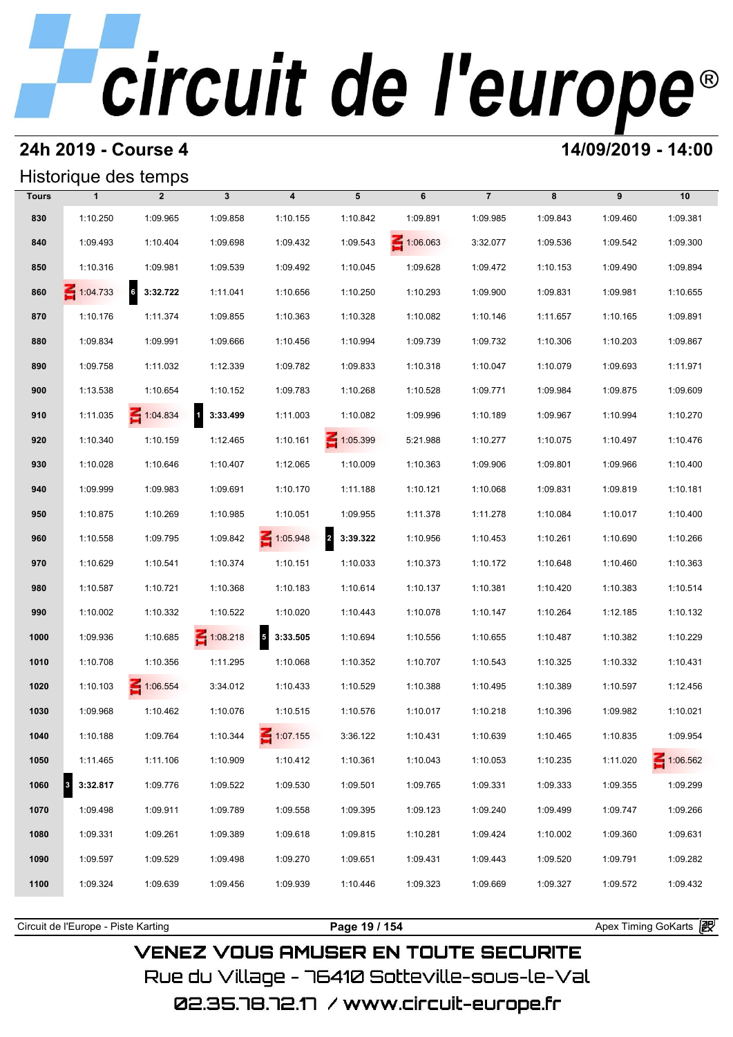## **24h 2019 - Course 4 14/09/2019 - 14:00**

### Historique des temps

|              | Historique des temps |                 |                            |                         |                                     |                 |                |          |          |                 |
|--------------|----------------------|-----------------|----------------------------|-------------------------|-------------------------------------|-----------------|----------------|----------|----------|-----------------|
| <b>Tours</b> | $\mathbf{1}$         | $\overline{2}$  | $\mathbf{3}$               | $\overline{\mathbf{4}}$ | 5                                   | 6               | $\overline{7}$ | 8        | 9        | 10              |
| 830          | 1:10.250             | 1:09.965        | 1:09.858                   | 1:10.155                | 1:10.842                            | 1:09.891        | 1:09.985       | 1:09.843 | 1:09.460 | 1:09.381        |
| 840          | 1:09.493             | 1:10.404        | 1:09.698                   | 1:09.432                | 1:09.543                            | $\leq 1:06.063$ | 3:32.077       | 1:09.536 | 1:09.542 | 1:09.300        |
| 850          | 1:10.316             | 1:09.981        | 1:09.539                   | 1:09.492                | 1:10.045                            | 1:09.628        | 1:09.472       | 1:10.153 | 1:09.490 | 1:09.894        |
| 860          | $\leq 1:04.733$      | $6$ 3:32.722    | 1:11.041                   | 1:10.656                | 1:10.250                            | 1:10.293        | 1:09.900       | 1:09.831 | 1:09.981 | 1:10.655        |
| 870          | 1:10.176             | 1:11.374        | 1:09.855                   | 1:10.363                | 1:10.328                            | 1:10.082        | 1:10.146       | 1:11.657 | 1:10.165 | 1:09.891        |
| 880          | 1:09.834             | 1:09.991        | 1:09.666                   | 1:10.456                | 1:10.994                            | 1:09.739        | 1:09.732       | 1:10.306 | 1:10.203 | 1:09.867        |
| 890          | 1:09.758             | 1:11.032        | 1:12.339                   | 1:09.782                | 1:09.833                            | 1:10.318        | 1:10.047       | 1:10.079 | 1:09.693 | 1:11.971        |
| 900          | 1:13.538             | 1:10.654        | 1:10.152                   | 1:09.783                | 1:10.268                            | 1:10.528        | 1:09.771       | 1:09.984 | 1:09.875 | 1:09.609        |
| 910          | 1:11.035             | $\leq 1:04.834$ | $\overline{1}$<br>3:33.499 | 1:11.003                | 1:10.082                            | 1:09.996        | 1:10.189       | 1:09.967 | 1:10.994 | 1:10.270        |
| 920          | 1:10.340             | 1:10.159        | 1:12.465                   | 1:10.161                | $\leq 1:05.399$                     | 5:21.988        | 1:10.277       | 1:10.075 | 1:10.497 | 1:10.476        |
| 930          | 1:10.028             | 1:10.646        | 1:10.407                   | 1:12.065                | 1:10.009                            | 1:10.363        | 1:09.906       | 1:09.801 | 1:09.966 | 1:10.400        |
| 940          | 1:09.999             | 1:09.983        | 1:09.691                   | 1:10.170                | 1:11.188                            | 1:10.121        | 1:10.068       | 1:09.831 | 1:09.819 | 1:10.181        |
| 950          | 1:10.875             | 1:10.269        | 1:10.985                   | 1:10.051                | 1:09.955                            | 1:11.378        | 1:11.278       | 1:10.084 | 1:10.017 | 1:10.400        |
| 960          | 1:10.558             | 1:09.795        | 1:09.842                   | $\leq 1:05.948$         | $\overline{\mathbf{2}}$<br>3:39.322 | 1:10.956        | 1:10.453       | 1:10.261 | 1:10.690 | 1:10.266        |
| 970          | 1:10.629             | 1:10.541        | 1:10.374                   | 1:10.151                | 1:10.033                            | 1:10.373        | 1:10.172       | 1:10.648 | 1:10.460 | 1:10.363        |
| 980          | 1:10.587             | 1:10.721        | 1:10.368                   | 1:10.183                | 1:10.614                            | 1:10.137        | 1:10.381       | 1:10.420 | 1:10.383 | 1:10.514        |
| 990          | 1:10.002             | 1:10.332        | 1:10.522                   | 1:10.020                | 1:10.443                            | 1:10.078        | 1:10.147       | 1:10.264 | 1:12.185 | 1:10.132        |
| 1000         | 1:09.936             | 1:10.685        | $\leq 1:08.218$            | 5<br>3:33.505           | 1:10.694                            | 1:10.556        | 1:10.655       | 1:10.487 | 1:10.382 | 1:10.229        |
| 1010         | 1:10.708             | 1:10.356        | 1:11.295                   | 1:10.068                | 1:10.352                            | 1:10.707        | 1:10.543       | 1:10.325 | 1:10.332 | 1:10.431        |
| 1020         | 1:10.103             | 1:06.554        | 3:34.012                   | 1:10.433                | 1:10.529                            | 1:10.388        | 1:10.495       | 1:10.389 | 1:10.597 | 1:12.456        |
| 1030         | 1:09.968             | 1:10.462        | 1:10.076                   | 1:10.515                | 1:10.576                            | 1:10.017        | 1:10.218       | 1:10.396 | 1:09.982 | 1:10.021        |
| 1040         | 1:10.188             | 1:09.764        | 1:10.344                   | 1:07.155                | 3:36.122                            | 1:10.431        | 1:10.639       | 1:10.465 | 1:10.835 | 1:09.954        |
| 1050         | 1:11.465             | 1:11.106        | 1:10.909                   | 1:10.412                | 1:10.361                            | 1:10.043        | 1:10.053       | 1:10.235 | 1:11.020 | $\leq 1:06.562$ |
| 1060         | 3:32.817<br>3        | 1:09.776        | 1:09.522                   | 1:09.530                | 1:09.501                            | 1:09.765        | 1:09.331       | 1:09.333 | 1:09.355 | 1:09.299        |
| 1070         | 1:09.498             | 1:09.911        | 1:09.789                   | 1:09.558                | 1:09.395                            | 1:09.123        | 1:09.240       | 1:09.499 | 1:09.747 | 1:09.266        |
| 1080         | 1:09.331             | 1:09.261        | 1:09.389                   | 1:09.618                | 1:09.815                            | 1:10.281        | 1:09.424       | 1:10.002 | 1:09.360 | 1:09.631        |
| 1090         | 1:09.597             | 1:09.529        | 1:09.498                   | 1:09.270                | 1:09.651                            | 1:09.431        | 1:09.443       | 1:09.520 | 1:09.791 | 1:09.282        |
| 1100         | 1:09.324             | 1:09.639        | 1:09.456                   | 1:09.939                | 1:10.446                            | 1:09.323        | 1:09.669       | 1:09.327 | 1:09.572 | 1:09.432        |
|              |                      |                 |                            |                         |                                     |                 |                |          |          |                 |

**VENEZ VOUS AMUSER EN TOUTE SECURITE** Rue du Village – 76410 Sotteville-sous-le-Val 02.35.78.72.17 / www.circuit-europe.fr

Circuit de l'Europe - Piste Karting **Page 19 / 154 Page 19 / 154** Apex Timing GoKarts **in Apex**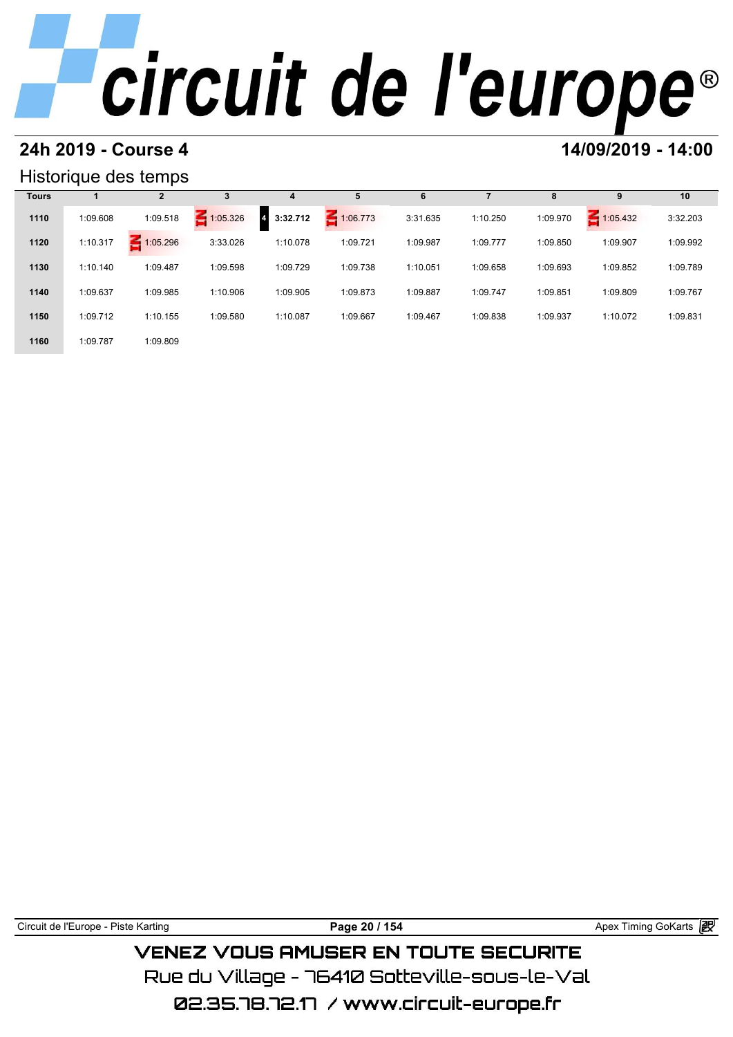## **24h 2019 - Course 4 14/09/2019 - 14:00**

### Historique des temps

|              |          | Historique des temps |          |                            |             |          |          |          |          |          |
|--------------|----------|----------------------|----------|----------------------------|-------------|----------|----------|----------|----------|----------|
| <b>Tours</b> |          | $\mathbf{2}$         | 3        | 4                          | 5           | 6        |          | 8        | 9        | 10       |
| 1110         | 1:09.608 | 1:09.518             | 1:05.326 | 3:32.712<br>$\overline{4}$ | $-1:06.773$ | 3:31.635 | 1:10.250 | 1:09.970 | 1:05.432 | 3:32.203 |
| 1120         | 1:10.317 | 1:05.296             | 3:33.026 | 1:10.078                   | 1:09.721    | 1:09.987 | 1:09.777 | 1:09.850 | 1:09.907 | 1:09.992 |
| 1130         | 1:10.140 | 1:09.487             | 1:09.598 | 1:09.729                   | 1:09.738    | 1:10.051 | 1:09.658 | 1:09.693 | 1:09.852 | 1:09.789 |
| 1140         | 1:09.637 | 1:09.985             | 1:10.906 | 1:09.905                   | 1:09.873    | 1:09.887 | 1:09.747 | 1:09.851 | 1:09.809 | 1:09.767 |
| 1150         | 1:09.712 | 1:10.155             | 1:09.580 | 1:10.087                   | 1:09.667    | 1:09.467 | 1:09.838 | 1:09.937 | 1:10.072 | 1:09.831 |
| 1160         | 1:09.787 | 1:09.809             |          |                            |             |          |          |          |          |          |

Circuit de l'Europe - Piste Karting **Page 20 / 154 Page 20 / 154** Apex Timing GoKarts **in** 

## **VENEZ VOUS AMUSER EN TOUTE SECURITE** Rue du Village – 76410 Sotteville-sous-le-Val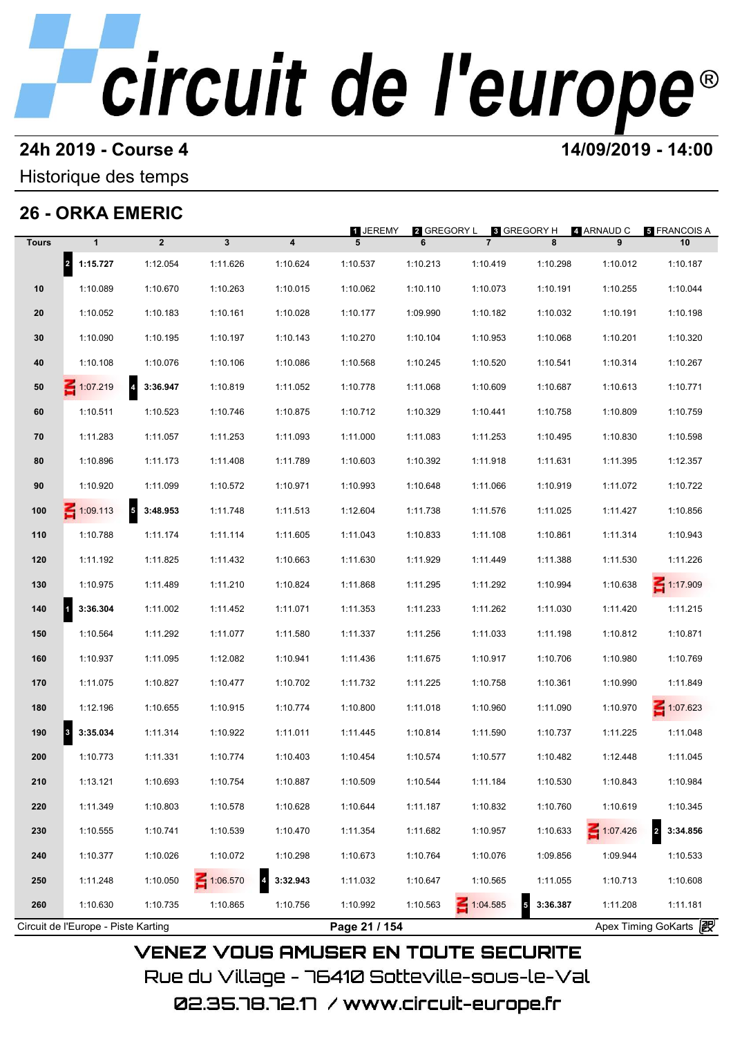# **24h 2019 - Course 4 12000 12000 14/09/2019 - 14:00**

### Historique des temps

## **26 - ORKA EMERIC**

|              | 26 - ORKA EMERIC                    |                                     |              |                            | <b>1 JEREMY</b> |                  |                               |               | 4 ARNAUD C   | <b>5 FRANCOIS A</b>        |
|--------------|-------------------------------------|-------------------------------------|--------------|----------------------------|-----------------|------------------|-------------------------------|---------------|--------------|----------------------------|
| <b>Tours</b> | $\mathbf{1}$                        | $\overline{2}$                      | $\mathbf{3}$ | 4                          | 5               | 2 GREGORY L<br>6 | 8 GREGORY H<br>$\overline{7}$ | 8             | 9            | 10                         |
|              | 2 1:15.727                          | 1:12.054                            | 1:11.626     | 1:10.624                   | 1:10.537        | 1:10.213         | 1:10.419                      | 1:10.298      | 1:10.012     | 1:10.187                   |
| 10           | 1:10.089                            | 1:10.670                            | 1:10.263     | 1:10.015                   | 1:10.062        | 1:10.110         | 1:10.073                      | 1:10.191      | 1:10.255     | 1:10.044                   |
| 20           | 1:10.052                            | 1:10.183                            | 1:10.161     | 1:10.028                   | 1:10.177        | 1:09.990         | 1:10.182                      | 1:10.032      | 1:10.191     | 1:10.198                   |
| 30           | 1:10.090                            | 1:10.195                            | 1:10.197     | 1:10.143                   | 1:10.270        | 1:10.104         | 1:10.953                      | 1:10.068      | 1:10.201     | 1:10.320                   |
| 40           | 1:10.108                            | 1:10.076                            | 1:10.106     | 1:10.086                   | 1:10.568        | 1:10.245         | 1:10.520                      | 1:10.541      | 1:10.314     | 1:10.267                   |
| 50           | 1:07.219                            | $\overline{\mathbf{4}}$<br>3:36.947 | 1:10.819     | 1:11.052                   | 1:10.778        | 1:11.068         | 1:10.609                      | 1:10.687      | 1:10.613     | 1:10.771                   |
| 60           | 1:10.511                            | 1:10.523                            | 1:10.746     | 1:10.875                   | 1:10.712        | 1:10.329         | 1:10.441                      | 1:10.758      | 1:10.809     | 1:10.759                   |
| 70           | 1:11.283                            | 1:11.057                            | 1:11.253     | 1:11.093                   | 1:11.000        | 1:11.083         | 1:11.253                      | 1:10.495      | 1:10.830     | 1:10.598                   |
| 80           | 1:10.896                            | 1:11.173                            | 1:11.408     | 1:11.789                   | 1:10.603        | 1:10.392         | 1:11.918                      | 1:11.631      | 1:11.395     | 1:12.357                   |
| 90           | 1:10.920                            | 1:11.099                            | 1:10.572     | 1:10.971                   | 1:10.993        | 1:10.648         | 1:11.066                      | 1:10.919      | 1:11.072     | 1:10.722                   |
| 100          | $\leq 1:09.113$                     | $\overline{\mathbf{5}}$<br>3:48.953 | 1:11.748     | 1:11.513                   | 1:12.604        | 1:11.738         | 1:11.576                      | 1:11.025      | 1:11.427     | 1:10.856                   |
| 110          | 1:10.788                            | 1:11.174                            | 1:11.114     | 1:11.605                   | 1:11.043        | 1:10.833         | 1:11.108                      | 1:10.861      | 1:11.314     | 1:10.943                   |
| 120          | 1:11.192                            | 1:11.825                            | 1:11.432     | 1:10.663                   | 1:11.630        | 1:11.929         | 1:11.449                      | 1:11.388      | 1:11.530     | 1:11.226                   |
| 130          | 1:10.975                            | 1:11.489                            | 1:11.210     | 1:10.824                   | 1:11.868        | 1:11.295         | 1:11.292                      | 1:10.994      | 1:10.638     | $\leq 1:17.909$            |
| 140          | 3:36.304                            | 1:11.002                            | 1:11.452     | 1:11.071                   | 1:11.353        | 1:11.233         | 1:11.262                      | 1:11.030      | 1:11.420     | 1:11.215                   |
| 150          | 1:10.564                            | 1:11.292                            | 1:11.077     | 1:11.580                   | 1:11.337        | 1:11.256         | 1:11.033                      | 1:11.198      | 1:10.812     | 1:10.871                   |
| 160          | 1:10.937                            | 1:11.095                            | 1:12.082     | 1:10.941                   | 1:11.436        | 1:11.675         | 1:10.917                      | 1:10.706      | 1:10.980     | 1:10.769                   |
| 170          | 1:11.075                            | 1:10.827                            | 1:10.477     | 1:10.702                   | 1:11.732        | 1:11.225         | 1:10.758                      | 1:10.361      | 1:10.990     | 1:11.849                   |
| 180          | 1:12.196                            | 1:10.655                            | 1:10.915     | 1:10.774                   | 1:10.800        | 1:11.018         | 1:10.960                      | 1:11.090      | 1:10.970     | $\leq 1:07.623$            |
| 190          | 3:35.034<br>3                       | 1:11.314                            | 1:10.922     | 1:11.011                   | 1:11.445        | 1:10.814         | 1:11.590                      | 1:10.737      | 1:11.225     | 1:11.048                   |
| 200          | 1:10.773                            | 1:11.331                            | 1:10.774     | 1:10.403                   | 1:10.454        | 1:10.574         | 1:10.577                      | 1:10.482      | 1:12.448     | 1:11.045                   |
| 210          | 1:13.121                            | 1:10.693                            | 1:10.754     | 1:10.887                   | 1:10.509        | 1:10.544         | 1:11.184                      | 1:10.530      | 1:10.843     | 1:10.984                   |
| 220          | 1:11.349                            | 1:10.803                            | 1:10.578     | 1:10.628                   | 1:10.644        | 1:11.187         | 1:10.832                      | 1:10.760      | 1:10.619     | 1:10.345                   |
| 230          | 1:10.555                            | 1:10.741                            | 1:10.539     | 1:10.470                   | 1:11.354        | 1:11.682         | 1:10.957                      | 1:10.633      | $- 1:07.426$ | $\overline{2}$<br>3:34.856 |
| 240          | 1:10.377                            | 1:10.026                            | 1:10.072     | 1:10.298                   | 1:10.673        | 1:10.764         | 1:10.076                      | 1:09.856      | 1:09.944     | 1:10.533                   |
| 250          | 1:11.248                            | 1:10.050                            | 1:06.570     | $\overline{4}$<br>3:32.943 | 1:11.032        | 1:10.647         | 1:10.565                      | 1:11.055      | 1:10.713     | 1:10.608                   |
| 260          | 1:10.630                            | 1:10.735                            | 1:10.865     | 1:10.756                   | 1:10.992        | 1:10.563         | 1:04.585                      | 5<br>3:36.387 | 1:11.208     | 1:11.181                   |
|              | Circuit de l'Europe - Piste Karting |                                     |              |                            | Page 21 / 154   |                  |                               |               |              | Apex Timing GoKarts 2      |

02.35.78.72.17 /www.circuit-europe.fr

Rue du Village – 76410 Sotteville-sous-le-Val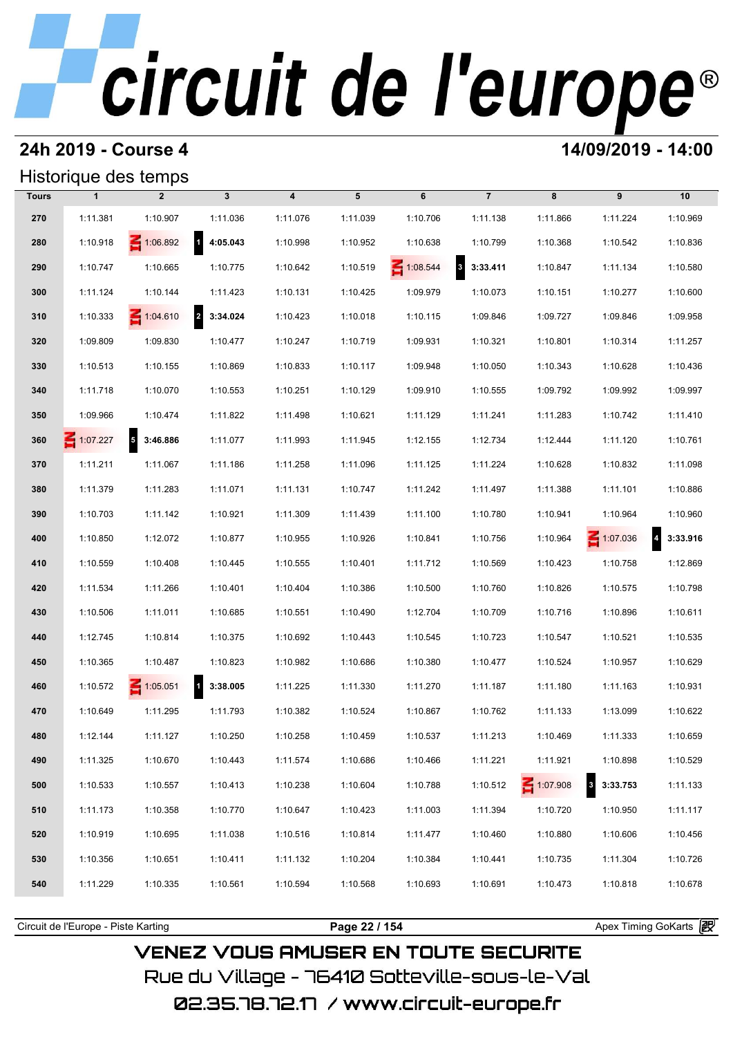## **24h 2019 - Course 4 14/09/2019 - 14:00**

## Historique des temps

|              |                 | Historique des temps |                            |                         |          |                 |                              |                 |                 |                            |
|--------------|-----------------|----------------------|----------------------------|-------------------------|----------|-----------------|------------------------------|-----------------|-----------------|----------------------------|
| <b>Tours</b> | $\mathbf{1}$    | $\overline{2}$       | $\mathbf{3}$               | $\overline{\mathbf{4}}$ | 5        | 6               | $\overline{7}$               | 8               | 9               | 10                         |
| 270          | 1:11.381        | 1:10.907             | 1:11.036                   | 1:11.076                | 1:11.039 | 1:10.706        | 1:11.138                     | 1:11.866        | 1:11.224        | 1:10.969                   |
| 280          | 1:10.918        | $\leq 1:06.892$      | 14:05.043                  | 1:10.998                | 1:10.952 | 1:10.638        | 1:10.799                     | 1:10.368        | 1:10.542        | 1:10.836                   |
| 290          | 1:10.747        | 1:10.665             | 1:10.775                   | 1:10.642                | 1:10.519 | $\leq 1:08.544$ | $\boldsymbol{3}$<br>3:33.411 | 1:10.847        | 1:11.134        | 1:10.580                   |
| 300          | 1:11.124        | 1:10.144             | 1:11.423                   | 1:10.131                | 1:10.425 | 1:09.979        | 1:10.073                     | 1:10.151        | 1:10.277        | 1:10.600                   |
| 310          | 1:10.333        | 1:04.610             | 2 3:34.024                 | 1:10.423                | 1:10.018 | 1:10.115        | 1:09.846                     | 1:09.727        | 1:09.846        | 1:09.958                   |
| 320          | 1:09.809        | 1:09.830             | 1:10.477                   | 1:10.247                | 1:10.719 | 1:09.931        | 1:10.321                     | 1:10.801        | 1:10.314        | 1:11.257                   |
| 330          | 1:10.513        | 1:10.155             | 1:10.869                   | 1:10.833                | 1:10.117 | 1:09.948        | 1:10.050                     | 1:10.343        | 1:10.628        | 1:10.436                   |
| 340          | 1:11.718        | 1:10.070             | 1:10.553                   | 1:10.251                | 1:10.129 | 1:09.910        | 1:10.555                     | 1:09.792        | 1:09.992        | 1:09.997                   |
| 350          | 1:09.966        | 1:10.474             | 1:11.822                   | 1:11.498                | 1:10.621 | 1:11.129        | 1:11.241                     | 1:11.283        | 1:10.742        | 1:11.410                   |
| 360          | $\leq 1:07.227$ | $5$ 3:46.886         | 1:11.077                   | 1:11.993                | 1:11.945 | 1:12.155        | 1:12.734                     | 1:12.444        | 1:11.120        | 1:10.761                   |
| 370          | 1:11.211        | 1:11.067             | 1:11.186                   | 1:11.258                | 1:11.096 | 1:11.125        | 1:11.224                     | 1:10.628        | 1:10.832        | 1:11.098                   |
| 380          | 1:11.379        | 1:11.283             | 1:11.071                   | 1:11.131                | 1:10.747 | 1:11.242        | 1:11.497                     | 1:11.388        | 1:11.101        | 1:10.886                   |
| 390          | 1:10.703        | 1:11.142             | 1:10.921                   | 1:11.309                | 1:11.439 | 1:11.100        | 1:10.780                     | 1:10.941        | 1:10.964        | 1:10.960                   |
| 400          | 1:10.850        | 1:12.072             | 1:10.877                   | 1:10.955                | 1:10.926 | 1:10.841        | 1:10.756                     | 1:10.964        | $\leq 1:07.036$ | $\overline{4}$<br>3:33.916 |
| 410          | 1:10.559        | 1:10.408             | 1:10.445                   | 1:10.555                | 1:10.401 | 1:11.712        | 1:10.569                     | 1:10.423        | 1:10.758        | 1:12.869                   |
| 420          | 1:11.534        | 1:11.266             | 1:10.401                   | 1:10.404                | 1:10.386 | 1:10.500        | 1:10.760                     | 1:10.826        | 1:10.575        | 1:10.798                   |
| 430          | 1:10.506        | 1:11.011             | 1:10.685                   | 1:10.551                | 1:10.490 | 1:12.704        | 1:10.709                     | 1:10.716        | 1:10.896        | 1:10.611                   |
| 440          | 1:12.745        | 1:10.814             | 1:10.375                   | 1:10.692                | 1:10.443 | 1:10.545        | 1:10.723                     | 1:10.547        | 1:10.521        | 1:10.535                   |
| 450          | 1:10.365        | 1:10.487             | 1:10.823                   | 1:10.982                | 1:10.686 | 1:10.380        | 1:10.477                     | 1:10.524        | 1:10.957        | 1:10.629                   |
| 460          | 1:10.572        | $\leq 1:05.051$      | $\overline{1}$<br>3:38.005 | 1:11.225                | 1:11.330 | 1:11.270        | 1:11.187                     | 1:11.180        | 1:11.163        | 1:10.931                   |
| 470          | 1:10.649        | 1:11.295             | 1:11.793                   | 1:10.382                | 1:10.524 | 1:10.867        | 1:10.762                     | 1:11.133        | 1:13.099        | 1:10.622                   |
| 480          | 1:12.144        | 1:11.127             | 1:10.250                   | 1:10.258                | 1:10.459 | 1:10.537        | 1:11.213                     | 1:10.469        | 1:11.333        | 1:10.659                   |
| 490          | 1:11.325        | 1:10.670             | 1:10.443                   | 1:11.574                | 1:10.686 | 1:10.466        | 1:11.221                     | 1:11.921        | 1:10.898        | 1:10.529                   |
| 500          | 1:10.533        | 1:10.557             | 1:10.413                   | 1:10.238                | 1:10.604 | 1:10.788        | 1:10.512                     | $\leq 1:07.908$ | 3<br>3:33.753   | 1:11.133                   |
| 510          | 1:11.173        | 1:10.358             | 1:10.770                   | 1:10.647                | 1:10.423 | 1:11.003        | 1:11.394                     | 1:10.720        | 1:10.950        | 1:11.117                   |
| 520          | 1:10.919        | 1:10.695             | 1:11.038                   | 1:10.516                | 1:10.814 | 1:11.477        | 1:10.460                     | 1:10.880        | 1:10.606        | 1:10.456                   |
| 530          | 1:10.356        | 1:10.651             | 1:10.411                   | 1:11.132                | 1:10.204 | 1:10.384        | 1:10.441                     | 1:10.735        | 1:11.304        | 1:10.726                   |
| 540          | 1:11.229        | 1:10.335             | 1:10.561                   | 1:10.594                | 1:10.568 | 1:10.693        | 1:10.691                     | 1:10.473        | 1:10.818        | 1:10.678                   |
|              |                 |                      |                            |                         |          |                 |                              |                 |                 |                            |

**VENEZ VOUS AMUSER EN TOUTE SECURITE** Rue du Village – 76410 Sotteville-sous-le-Val

Circuit de l'Europe - Piste Karting **Page 22 / 154 Page 22 / 154** Apex Timing GoKarts **in**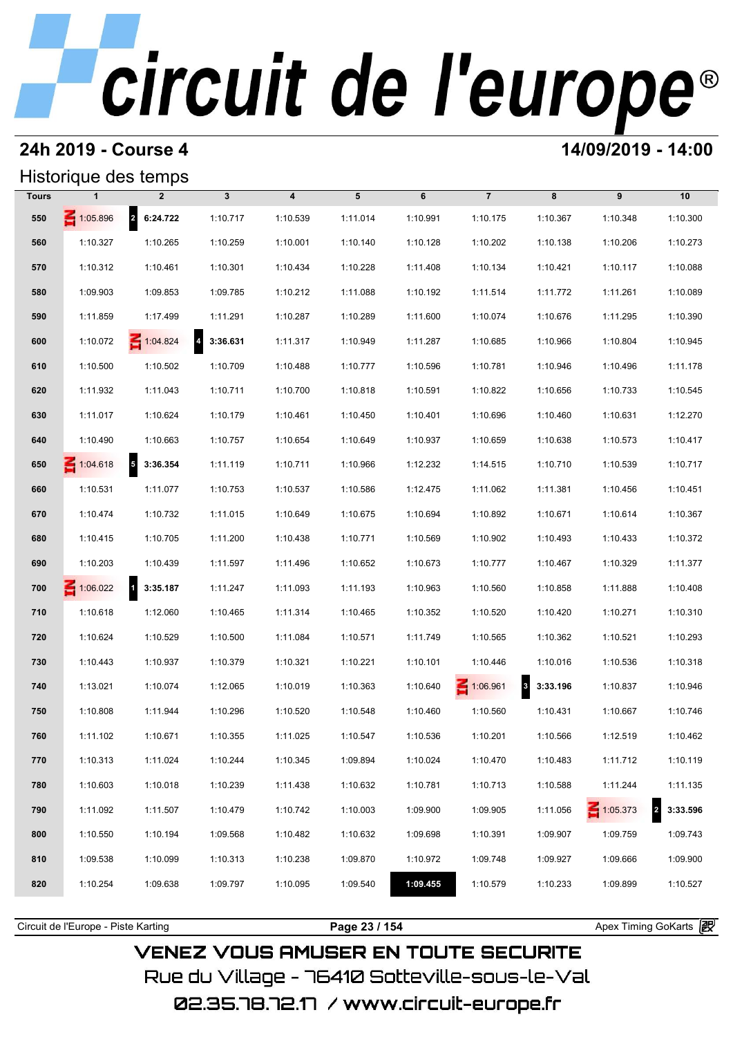# **24h 2019 - Course 4 12000 12000 14/09/2019 - 14:00**

### Historique des temps

|              | Historique des temps                |                                      |                            |          |               |          |                |                                     |          |                            |
|--------------|-------------------------------------|--------------------------------------|----------------------------|----------|---------------|----------|----------------|-------------------------------------|----------|----------------------------|
| <b>Tours</b> |                                     | $\overline{2}$                       | $\mathbf{3}$               | 4        | 5             | 6        | $\overline{7}$ | 8                                   | 9        | 10                         |
| 550          | 1:05.896                            | 2 6:24.722                           | 1:10.717                   | 1:10.539 | 1:11.014      | 1:10.991 | 1:10.175       | 1:10.367                            | 1:10.348 | 1:10.300                   |
| 560          | 1:10.327                            | 1:10.265                             | 1:10.259                   | 1:10.001 | 1:10.140      | 1:10.128 | 1:10.202       | 1:10.138                            | 1:10.206 | 1:10.273                   |
| 570          | 1:10.312                            | 1:10.461                             | 1:10.301                   | 1:10.434 | 1:10.228      | 1:11.408 | 1:10.134       | 1:10.421                            | 1:10.117 | 1:10.088                   |
| 580          | 1:09.903                            | 1:09.853                             | 1:09.785                   | 1:10.212 | 1:11.088      | 1:10.192 | 1:11.514       | 1:11.772                            | 1:11.261 | 1:10.089                   |
| 590          | 1:11.859                            | 1:17.499                             | 1:11.291                   | 1:10.287 | 1:10.289      | 1:11.600 | 1:10.074       | 1:10.676                            | 1:11.295 | 1:10.390                   |
| 600          | 1:10.072                            | 1:04.824                             | $\overline{a}$<br>3:36.631 | 1:11.317 | 1:10.949      | 1:11.287 | 1:10.685       | 1:10.966                            | 1:10.804 | 1:10.945                   |
| 610          | 1:10.500                            | 1:10.502                             | 1:10.709                   | 1:10.488 | 1:10.777      | 1:10.596 | 1:10.781       | 1:10.946                            | 1:10.496 | 1:11.178                   |
| 620          | 1:11.932                            | 1:11.043                             | 1:10.711                   | 1:10.700 | 1:10.818      | 1:10.591 | 1:10.822       | 1:10.656                            | 1:10.733 | 1:10.545                   |
| 630          | 1:11.017                            | 1:10.624                             | 1:10.179                   | 1:10.461 | 1:10.450      | 1:10.401 | 1:10.696       | 1:10.460                            | 1:10.631 | 1:12.270                   |
| 640          | 1:10.490                            | 1:10.663                             | 1:10.757                   | 1:10.654 | 1:10.649      | 1:10.937 | 1:10.659       | 1:10.638                            | 1:10.573 | 1:10.417                   |
| 650          | $\leq 1:04.618$                     | $\overline{\phantom{a}}$<br>3:36.354 | 1:11.119                   | 1:10.711 | 1:10.966      | 1:12.232 | 1:14.515       | 1:10.710                            | 1:10.539 | 1:10.717                   |
| 660          | 1:10.531                            | 1:11.077                             | 1:10.753                   | 1:10.537 | 1:10.586      | 1:12.475 | 1:11.062       | 1:11.381                            | 1:10.456 | 1:10.451                   |
| 670          | 1:10.474                            | 1:10.732                             | 1:11.015                   | 1:10.649 | 1:10.675      | 1:10.694 | 1:10.892       | 1:10.671                            | 1:10.614 | 1:10.367                   |
| 680          | 1:10.415                            | 1:10.705                             | 1:11.200                   | 1:10.438 | 1:10.771      | 1:10.569 | 1:10.902       | 1:10.493                            | 1:10.433 | 1:10.372                   |
| 690          | 1:10.203                            | 1:10.439                             | 1:11.597                   | 1:11.496 | 1:10.652      | 1:10.673 | 1:10.777       | 1:10.467                            | 1:10.329 | 1:11.377                   |
| 700          | 1:06.022                            | 13:35.187                            | 1:11.247                   | 1:11.093 | 1:11.193      | 1:10.963 | 1:10.560       | 1:10.858                            | 1:11.888 | 1:10.408                   |
| 710          | 1:10.618                            | 1:12.060                             | 1:10.465                   | 1:11.314 | 1:10.465      | 1:10.352 | 1:10.520       | 1:10.420                            | 1:10.271 | 1:10.310                   |
| 720          | 1:10.624                            | 1:10.529                             | 1:10.500                   | 1:11.084 | 1:10.571      | 1:11.749 | 1:10.565       | 1:10.362                            | 1:10.521 | 1:10.293                   |
| 730          | 1:10.443                            | 1:10.937                             | 1:10.379                   | 1:10.321 | 1:10.221      | 1:10.101 | 1:10.446       | 1:10.016                            | 1:10.536 | 1:10.318                   |
| 740          | 1:13.021                            | 1:10.074                             | 1:12.065                   | 1:10.019 | 1:10.363      | 1:10.640 | 1:06.961       | $\overline{\mathbf{3}}$<br>3:33.196 | 1:10.837 | 1:10.946                   |
| 750          | 1:10.808                            | 1:11.944                             | 1:10.296                   | 1:10.520 | 1:10.548      | 1:10.460 | 1:10.560       | 1:10.431                            | 1:10.667 | 1:10.746                   |
| 760          | 1:11.102                            | 1:10.671                             | 1:10.355                   | 1:11.025 | 1:10.547      | 1:10.536 | 1:10.201       | 1:10.566                            | 1:12.519 | 1:10.462                   |
| 770          | 1:10.313                            | 1:11.024                             | 1:10.244                   | 1:10.345 | 1:09.894      | 1:10.024 | 1:10.470       | 1:10.483                            | 1:11.712 | 1:10.119                   |
| 780          | 1:10.603                            | 1:10.018                             | 1:10.239                   | 1:11.438 | 1:10.632      | 1:10.781 | 1:10.713       | 1:10.588                            | 1:11.244 | 1:11.135                   |
| 790          | 1:11.092                            | 1:11.507                             | 1:10.479                   | 1:10.742 | 1:10.003      | 1:09.900 | 1:09.905       | 1:11.056                            | 1:05.373 | $\overline{2}$<br>3:33.596 |
| 800          | 1:10.550                            | 1:10.194                             | 1:09.568                   | 1:10.482 | 1:10.632      | 1:09.698 | 1:10.391       | 1:09.907                            | 1:09.759 | 1:09.743                   |
| 810          | 1:09.538                            | 1:10.099                             | 1:10.313                   | 1:10.238 | 1:09.870      | 1:10.972 | 1:09.748       | 1:09.927                            | 1:09.666 | 1:09.900                   |
| 820          | 1:10.254                            | 1:09.638                             | 1:09.797                   | 1:10.095 | 1:09.540      | 1:09.455 | 1:10.579       | 1:10.233                            | 1:09.899 | 1:10.527                   |
|              |                                     |                                      |                            |          |               |          |                |                                     |          |                            |
|              | Circuit de l'Europe - Piste Karting |                                      |                            |          | Page 23 / 154 |          |                |                                     |          | Apex Timing GoKarts 2      |

**VENEZ VOUS AMUSER EN TOUTE SECURITE** Rue du Village – 76410 Sotteville-sous-le-Val 02.35.78.72.17 /www.circuit-europe.fr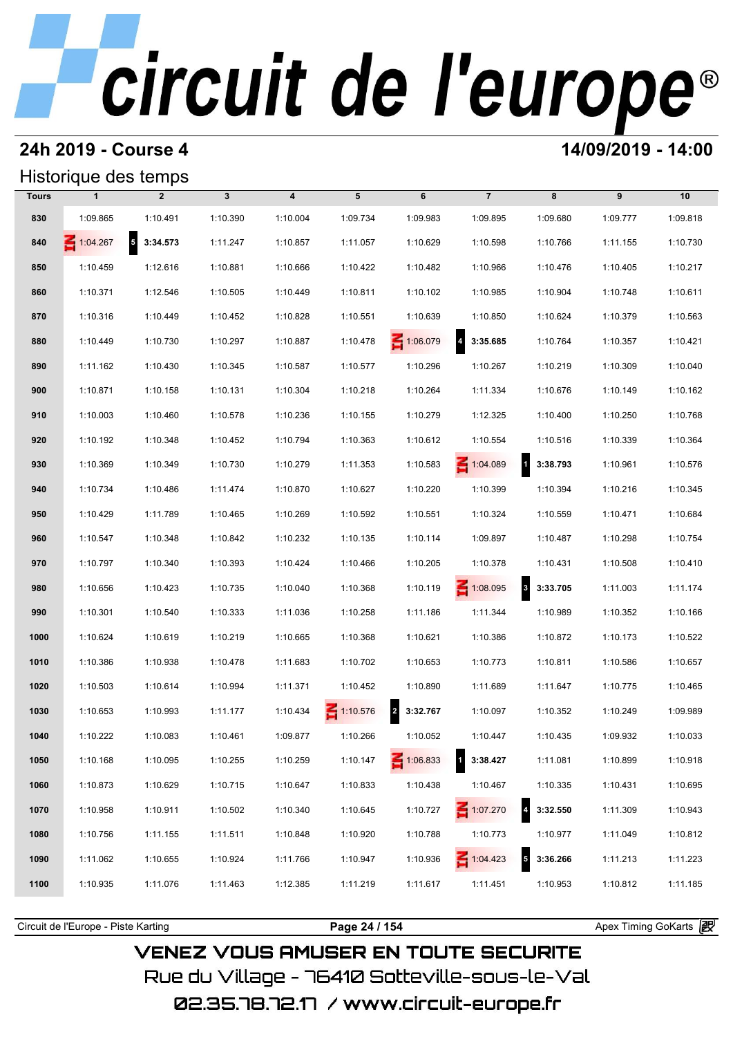### **24h 2019 - Course 4 14/09/2019 - 14:00**

## Historique des temps

|              | Historique des temps |                                      |              |                         |                 |                            |                                     |                                     |          |          |
|--------------|----------------------|--------------------------------------|--------------|-------------------------|-----------------|----------------------------|-------------------------------------|-------------------------------------|----------|----------|
| <b>Tours</b> | $\mathbf{1}$         | $\overline{2}$                       | $\mathbf{3}$ | $\overline{\mathbf{4}}$ | 5               | 6                          | $\overline{7}$                      | 8                                   | 9        | 10       |
| 830          | 1:09.865             | 1:10.491                             | 1:10.390     | 1:10.004                | 1:09.734        | 1:09.983                   | 1:09.895                            | 1:09.680                            | 1:09.777 | 1:09.818 |
| 840          | 1:04.267             | $\overline{\phantom{a}}$<br>3:34.573 | 1:11.247     | 1:10.857                | 1:11.057        | 1:10.629                   | 1:10.598                            | 1:10.766                            | 1:11.155 | 1:10.730 |
| 850          | 1:10.459             | 1:12.616                             | 1:10.881     | 1:10.666                | 1:10.422        | 1:10.482                   | 1:10.966                            | 1:10.476                            | 1:10.405 | 1:10.217 |
| 860          | 1:10.371             | 1:12.546                             | 1:10.505     | 1:10.449                | 1:10.811        | 1:10.102                   | 1:10.985                            | 1:10.904                            | 1:10.748 | 1:10.611 |
| 870          | 1:10.316             | 1:10.449                             | 1:10.452     | 1:10.828                | 1:10.551        | 1:10.639                   | 1:10.850                            | 1:10.624                            | 1:10.379 | 1:10.563 |
| 880          | 1:10.449             | 1:10.730                             | 1:10.297     | 1:10.887                | 1:10.478        | 1:06.079                   | $\overline{\mathbf{4}}$<br>3:35.685 | 1:10.764                            | 1:10.357 | 1:10.421 |
| 890          | 1:11.162             | 1:10.430                             | 1:10.345     | 1:10.587                | 1:10.577        | 1:10.296                   | 1:10.267                            | 1:10.219                            | 1:10.309 | 1:10.040 |
| 900          | 1:10.871             | 1:10.158                             | 1:10.131     | 1:10.304                | 1:10.218        | 1:10.264                   | 1:11.334                            | 1:10.676                            | 1:10.149 | 1:10.162 |
| 910          | 1:10.003             | 1:10.460                             | 1:10.578     | 1:10.236                | 1:10.155        | 1:10.279                   | 1:12.325                            | 1:10.400                            | 1:10.250 | 1:10.768 |
| 920          | 1:10.192             | 1:10.348                             | 1:10.452     | 1:10.794                | 1:10.363        | 1:10.612                   | 1:10.554                            | 1:10.516                            | 1:10.339 | 1:10.364 |
| 930          | 1:10.369             | 1:10.349                             | 1:10.730     | 1:10.279                | 1:11.353        | 1:10.583                   | $\leq 1:04.089$                     | $\overline{\mathbf{1}}$<br>3:38.793 | 1:10.961 | 1:10.576 |
| 940          | 1:10.734             | 1:10.486                             | 1:11.474     | 1:10.870                | 1:10.627        | 1:10.220                   | 1:10.399                            | 1:10.394                            | 1:10.216 | 1:10.345 |
| 950          | 1:10.429             | 1:11.789                             | 1:10.465     | 1:10.269                | 1:10.592        | 1:10.551                   | 1:10.324                            | 1:10.559                            | 1:10.471 | 1:10.684 |
| 960          | 1:10.547             | 1:10.348                             | 1:10.842     | 1:10.232                | 1:10.135        | 1:10.114                   | 1:09.897                            | 1:10.487                            | 1:10.298 | 1:10.754 |
| 970          | 1:10.797             | 1:10.340                             | 1:10.393     | 1:10.424                | 1:10.466        | 1:10.205                   | 1:10.378                            | 1:10.431                            | 1:10.508 | 1:10.410 |
| 980          | 1:10.656             | 1:10.423                             | 1:10.735     | 1:10.040                | 1:10.368        | 1:10.119                   | $\leq 1:08.095$                     | 3:33.705                            | 1:11.003 | 1:11.174 |
| 990          | 1:10.301             | 1:10.540                             | 1:10.333     | 1:11.036                | 1:10.258        | 1:11.186                   | 1:11.344                            | 1:10.989                            | 1:10.352 | 1:10.166 |
| 1000         | 1:10.624             | 1:10.619                             | 1:10.219     | 1:10.665                | 1:10.368        | 1:10.621                   | 1:10.386                            | 1:10.872                            | 1:10.173 | 1:10.522 |
| 1010         | 1:10.386             | 1:10.938                             | 1:10.478     | 1:11.683                | 1:10.702        | 1:10.653                   | 1:10.773                            | 1:10.811                            | 1:10.586 | 1:10.657 |
| 1020         | 1:10.503             | 1:10.614                             | 1:10.994     | 1:11.371                | 1:10.452        | 1:10.890                   | 1:11.689                            | 1:11.647                            | 1:10.775 | 1:10.465 |
| 1030         | 1:10.653             | 1:10.993                             | 1:11.177     | 1:10.434                | $\leq 1:10.576$ | 3:32.767<br>$\overline{a}$ | 1:10.097                            | 1:10.352                            | 1:10.249 | 1:09.989 |
| 1040         | 1:10.222             | 1:10.083                             | 1:10.461     | 1:09.877                | 1:10.266        | 1:10.052                   | 1:10.447                            | 1:10.435                            | 1:09.932 | 1:10.033 |
| 1050         | 1:10.168             | 1:10.095                             | 1:10.255     | 1:10.259                | 1:10.147        | $\leq 1:06.833$            | $\mathbf{1}$<br>3:38.427            | 1:11.081                            | 1:10.899 | 1:10.918 |
| 1060         | 1:10.873             | 1:10.629                             | 1:10.715     | 1:10.647                | 1:10.833        | 1:10.438                   | 1:10.467                            | 1:10.335                            | 1:10.431 | 1:10.695 |
| 1070         | 1:10.958             | 1:10.911                             | 1:10.502     | 1:10.340                | 1:10.645        | 1:10.727                   | $\leq 1:07.270$                     | 4 3:32.550                          | 1:11.309 | 1:10.943 |
| 1080         | 1:10.756             | 1:11.155                             | 1:11.511     | 1:10.848                | 1:10.920        | 1:10.788                   | 1:10.773                            | 1:10.977                            | 1:11.049 | 1:10.812 |
| 1090         | 1:11.062             | 1:10.655                             | 1:10.924     | 1:11.766                | 1:10.947        | 1:10.936                   | 1:04.423                            | $\sqrt{5}$<br>3:36.266              | 1:11.213 | 1:11.223 |
| 1100         | 1:10.935             | 1:11.076                             | 1:11.463     | 1:12.385                | 1:11.219        | 1:11.617                   | 1:11.451                            | 1:10.953                            | 1:10.812 | 1:11.185 |
|              |                      |                                      |              |                         |                 |                            |                                     |                                     |          |          |

**VENEZ VOUS AMUSER EN TOUTE SECURITE** Rue du Village – 76410 Sotteville-sous-le-Val

Circuit de l'Europe - Piste Karting **Page 24 / 154 Page 24 / 154** Apex Timing GoKarts and Apex Timing Apex Timing Go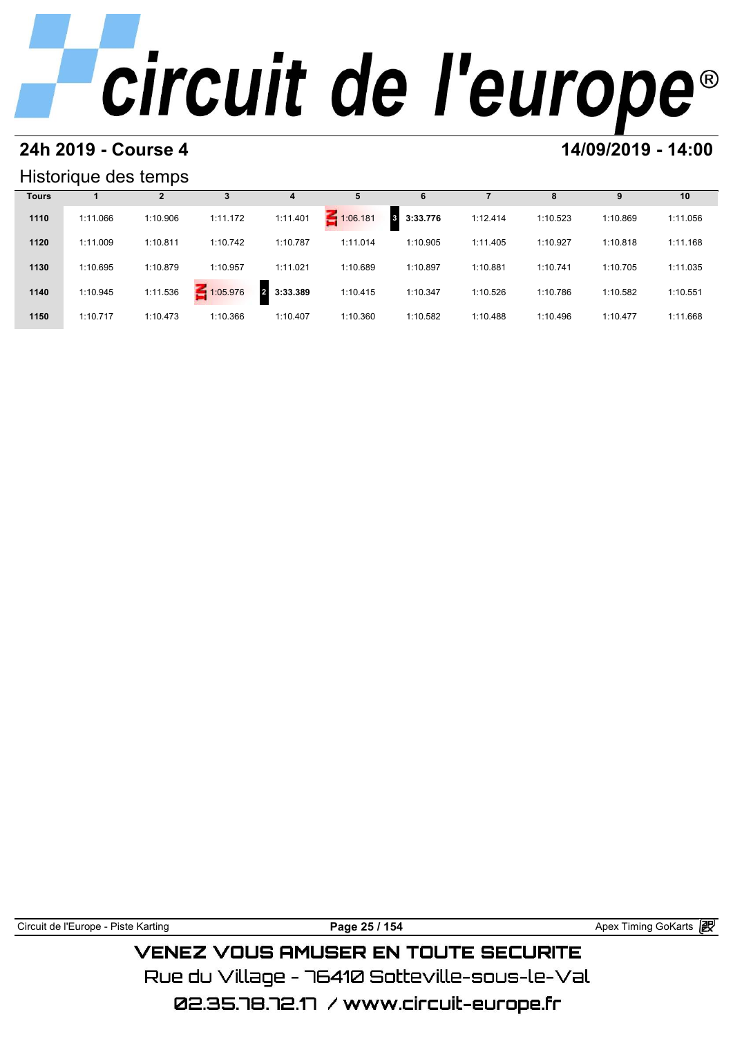### **24h 2019 - Course 4 14/09/2019 - 14:00**

### Historique des temps

|              | Historique des temps |          |          |                            |          |                            |          |          |          |          |
|--------------|----------------------|----------|----------|----------------------------|----------|----------------------------|----------|----------|----------|----------|
| <b>Tours</b> |                      | 2        | 3        | 4                          |          | ь                          |          | 8        | 9        | 10       |
| 1110         | 1:11.066             | 1:10.906 | 1:11.172 | 1:11.401                   | 1:06.181 | 3:33.776<br>3 <sup>1</sup> | 1:12.414 | 1:10.523 | 1:10.869 | 1:11.056 |
| 1120         | 1:11.009             | 1:10.811 | 1:10.742 | 1:10.787                   | 1:11.014 | 1:10.905                   | 1:11.405 | 1:10.927 | 1:10.818 | 1:11.168 |
| 1130         | 1:10.695             | 1:10.879 | 1:10.957 | 1:11.021                   | 1:10.689 | 1:10.897                   | 1:10.881 | 1:10.741 | 1:10.705 | 1:11.035 |
| 1140         | 1:10.945             | 1:11.536 | 1:05.976 | 3:33.389<br>$\overline{2}$ | 1:10.415 | 1:10.347                   | 1:10.526 | 1:10.786 | 1:10.582 | 1:10.551 |
| 1150         | 1:10.717             | 1:10.473 | 1:10.366 | 1:10.407                   | 1:10.360 | 1:10.582                   | 1:10.488 | 1:10.496 | 1:10.477 | 1:11.668 |

Circuit de l'Europe - Piste Karting **Page 25 / 154 Page 25 / 154** Apex Timing GoKarts **in VENEZ VOUS AMUSER EN TOUTE SECURITE** 

Rue du Village – 76410 Sotteville-sous-le-Val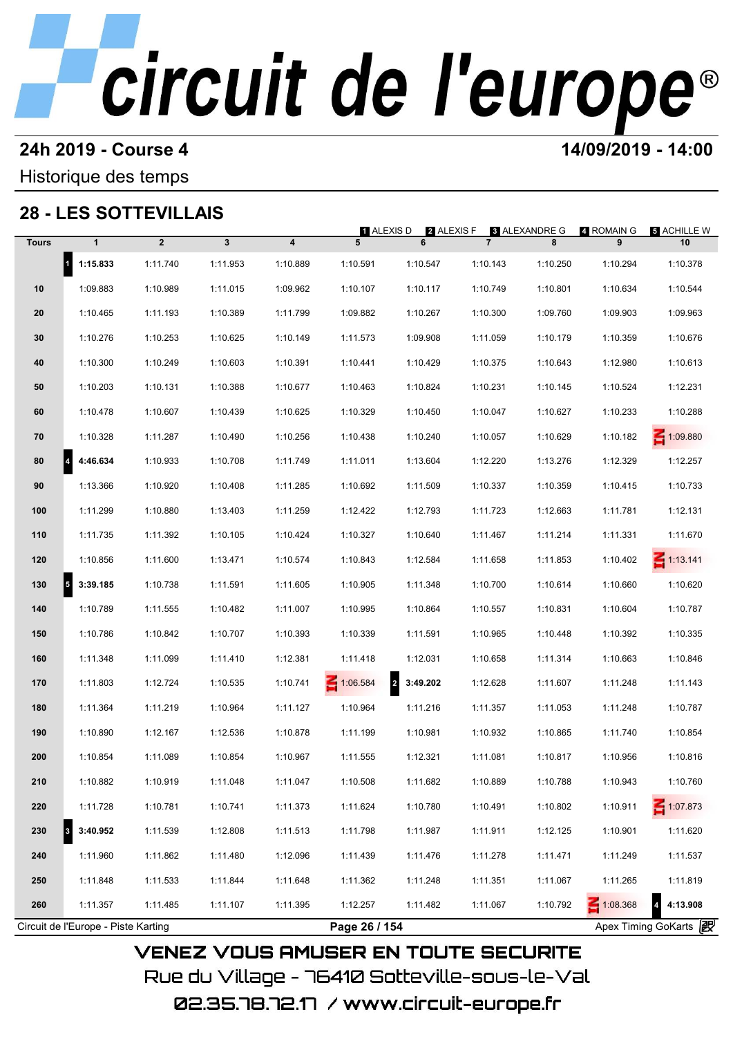### **24h 2019 - Course 4 14/09/2019 - 14:00**

### Historique des temps

## **28 - LES SOTTEVILLAIS**

|              |                                     | 28 - LES SOTTEVILLAIS |              |                         | 1 ALEXIS D    | 2 ALEXIS F                 |                | <b>3 ALEXANDRE G</b> | 4 ROMAIN G      | 5 ACHILLE W                         |
|--------------|-------------------------------------|-----------------------|--------------|-------------------------|---------------|----------------------------|----------------|----------------------|-----------------|-------------------------------------|
| <b>Tours</b> | $\mathbf{1}$                        | $\overline{2}$        | $\mathbf{3}$ | $\overline{\mathbf{4}}$ | 5             | 6                          | $\overline{7}$ | 8                    | 9               | 10                                  |
|              | $\vert$ <sup>1</sup><br>1:15.833    | 1:11.740              | 1:11.953     | 1:10.889                | 1:10.591      | 1:10.547                   | 1:10.143       | 1:10.250             | 1:10.294        | 1:10.378                            |
| 10           | 1:09.883                            | 1:10.989              | 1:11.015     | 1:09.962                | 1:10.107      | 1:10.117                   | 1:10.749       | 1:10.801             | 1:10.634        | 1:10.544                            |
| 20           | 1:10.465                            | 1:11.193              | 1:10.389     | 1:11.799                | 1:09.882      | 1:10.267                   | 1:10.300       | 1:09.760             | 1:09.903        | 1:09.963                            |
| 30           | 1:10.276                            | 1:10.253              | 1:10.625     | 1:10.149                | 1:11.573      | 1:09.908                   | 1:11.059       | 1:10.179             | 1:10.359        | 1:10.676                            |
| 40           | 1:10.300                            | 1:10.249              | 1:10.603     | 1:10.391                | 1:10.441      | 1:10.429                   | 1:10.375       | 1:10.643             | 1:12.980        | 1:10.613                            |
| 50           | 1:10.203                            | 1:10.131              | 1:10.388     | 1:10.677                | 1:10.463      | 1:10.824                   | 1:10.231       | 1:10.145             | 1:10.524        | 1:12.231                            |
| 60           | 1:10.478                            | 1:10.607              | 1:10.439     | 1:10.625                | 1:10.329      | 1:10.450                   | 1:10.047       | 1:10.627             | 1:10.233        | 1:10.288                            |
| 70           | 1:10.328                            | 1:11.287              | 1:10.490     | 1:10.256                | 1:10.438      | 1:10.240                   | 1:10.057       | 1:10.629             | 1:10.182        | 1:09.880                            |
| 80           | 4:46.634<br> 4                      | 1:10.933              | 1:10.708     | 1:11.749                | 1:11.011      | 1:13.604                   | 1:12.220       | 1:13.276             | 1:12.329        | 1:12.257                            |
| 90           | 1:13.366                            | 1:10.920              | 1:10.408     | 1:11.285                | 1:10.692      | 1:11.509                   | 1:10.337       | 1:10.359             | 1:10.415        | 1:10.733                            |
| 100          | 1:11.299                            | 1:10.880              | 1:13.403     | 1:11.259                | 1:12.422      | 1:12.793                   | 1:11.723       | 1:12.663             | 1:11.781        | 1:12.131                            |
| 110          | 1:11.735                            | 1:11.392              | 1:10.105     | 1:10.424                | 1:10.327      | 1:10.640                   | 1:11.467       | 1:11.214             | 1:11.331        | 1:11.670                            |
| 120          | 1:10.856                            | 1:11.600              | 1:13.471     | 1:10.574                | 1:10.843      | 1:12.584                   | 1:11.658       | 1:11.853             | 1:10.402        | $\leq 1:13.141$                     |
| 130          | $\overline{5}$<br>3:39.185          | 1:10.738              | 1:11.591     | 1:11.605                | 1:10.905      | 1:11.348                   | 1:10.700       | 1:10.614             | 1:10.660        | 1:10.620                            |
| 140          | 1:10.789                            | 1:11.555              | 1:10.482     | 1:11.007                | 1:10.995      | 1:10.864                   | 1:10.557       | 1:10.831             | 1:10.604        | 1:10.787                            |
| 150          | 1:10.786                            | 1:10.842              | 1:10.707     | 1:10.393                | 1:10.339      | 1:11.591                   | 1:10.965       | 1:10.448             | 1:10.392        | 1:10.335                            |
| 160          | 1:11.348                            | 1:11.099              | 1:11.410     | 1:12.381                | 1:11.418      | 1:12.031                   | 1:10.658       | 1:11.314             | 1:10.663        | 1:10.846                            |
| 170          | 1:11.803                            | 1:12.724              | 1:10.535     | 1:10.741                | 1:06.584      | $\overline{a}$<br>3:49.202 | 1:12.628       | 1:11.607             | 1:11.248        | 1:11.143                            |
| 180          | 1:11.364                            | 1:11.219              | 1:10.964     | 1:11.127                | 1:10.964      | 1:11.216                   | 1:11.357       | 1:11.053             | 1:11.248        | 1:10.787                            |
| 190          | 1:10.890                            | 1:12.167              | 1:12.536     | 1:10.878                | 1:11.199      | 1:10.981                   | 1:10.932       | 1:10.865             | 1:11.740        | 1:10.854                            |
| 200          | 1:10.854                            | 1:11.089              | 1:10.854     | 1:10.967                | 1:11.555      | 1:12.321                   | 1:11.081       | 1:10.817             | 1:10.956        | 1:10.816                            |
| 210          | 1:10.882                            | 1:10.919              | 1:11.048     | 1:11.047                | 1:10.508      | 1:11.682                   | 1:10.889       | 1:10.788             | 1:10.943        | 1:10.760                            |
| 220          | 1:11.728                            | 1:10.781              | 1:10.741     | 1:11.373                | 1:11.624      | 1:10.780                   | 1:10.491       | 1:10.802             | 1:10.911        | 1:07.873                            |
| 230          | 3:40.952<br>3                       | 1:11.539              | 1:12.808     | 1:11.513                | 1:11.798      | 1:11.987                   | 1:11.911       | 1:12.125             | 1:10.901        | 1:11.620                            |
| 240          | 1:11.960                            | 1:11.862              | 1:11.480     | 1:12.096                | 1:11.439      | 1:11.476                   | 1:11.278       | 1:11.471             | 1:11.249        | 1:11.537                            |
| 250          | 1:11.848                            | 1:11.533              | 1:11.844     | 1:11.648                | 1:11.362      | 1:11.248                   | 1:11.351       | 1:11.067             | 1:11.265        | 1:11.819                            |
| 260          | 1:11.357                            | 1:11.485              | 1:11.107     | 1:11.395                | 1:12.257      | 1:11.482                   | 1:11.067       | 1:10.792             | $\leq 1:08.368$ | $\overline{\mathbf{4}}$<br>4:13.908 |
|              | Circuit de l'Europe - Piste Karting |                       |              |                         | Page 26 / 154 |                            |                |                      |                 | Apex Timing GoKarts 2               |

02.35.78.72.17 / www.circuit-europe.fr

Rue du Village – 76410 Sotteville-sous-le-Val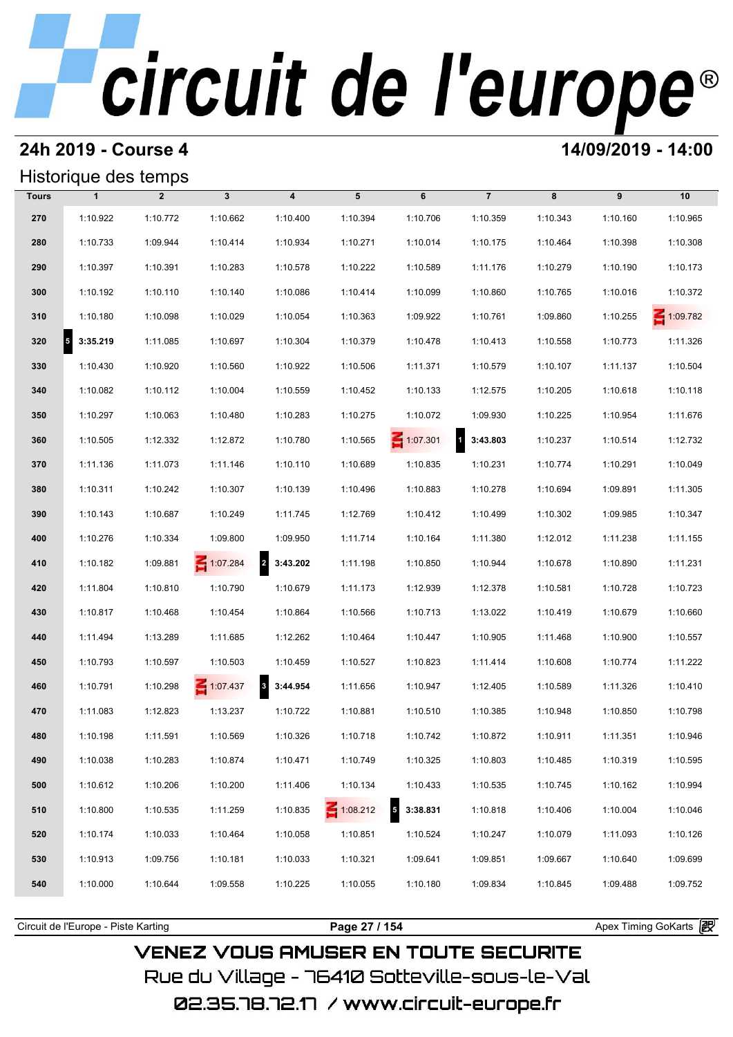### **24h 2019 - Course 4 14/09/2019 - 14:00**

### Historique des temps

|              | Historique des temps             |                |                 |                                     |                 |                 |                |          |          |          |
|--------------|----------------------------------|----------------|-----------------|-------------------------------------|-----------------|-----------------|----------------|----------|----------|----------|
| <b>Tours</b> | $\mathbf{1}$                     | $\overline{2}$ | $\mathbf{3}$    | $\overline{\mathbf{4}}$             | 5               | 6               | $\overline{7}$ | 8        | 9        | 10       |
| 270          | 1:10.922                         | 1:10.772       | 1:10.662        | 1:10.400                            | 1:10.394        | 1:10.706        | 1:10.359       | 1:10.343 | 1:10.160 | 1:10.965 |
| 280          | 1:10.733                         | 1:09.944       | 1:10.414        | 1:10.934                            | 1:10.271        | 1:10.014        | 1:10.175       | 1:10.464 | 1:10.398 | 1:10.308 |
| 290          | 1:10.397                         | 1:10.391       | 1:10.283        | 1:10.578                            | 1:10.222        | 1:10.589        | 1:11.176       | 1:10.279 | 1:10.190 | 1:10.173 |
| 300          | 1:10.192                         | 1:10.110       | 1:10.140        | 1:10.086                            | 1:10.414        | 1:10.099        | 1:10.860       | 1:10.765 | 1:10.016 | 1:10.372 |
| 310          | 1:10.180                         | 1:10.098       | 1:10.029        | 1:10.054                            | 1:10.363        | 1:09.922        | 1:10.761       | 1:09.860 | 1:10.255 | 1:09.782 |
| 320          | $\vert$ <sub>5</sub><br>3:35.219 | 1:11.085       | 1:10.697        | 1:10.304                            | 1:10.379        | 1:10.478        | 1:10.413       | 1:10.558 | 1:10.773 | 1:11.326 |
| 330          | 1:10.430                         | 1:10.920       | 1:10.560        | 1:10.922                            | 1:10.506        | 1:11.371        | 1:10.579       | 1:10.107 | 1:11.137 | 1:10.504 |
| 340          | 1:10.082                         | 1:10.112       | 1:10.004        | 1:10.559                            | 1:10.452        | 1:10.133        | 1:12.575       | 1:10.205 | 1:10.618 | 1:10.118 |
| 350          | 1:10.297                         | 1:10.063       | 1:10.480        | 1:10.283                            | 1:10.275        | 1:10.072        | 1:09.930       | 1:10.225 | 1:10.954 | 1:11.676 |
| 360          | 1:10.505                         | 1:12.332       | 1:12.872        | 1:10.780                            | 1:10.565        | $\leq 1:07.301$ | 13:43.803      | 1:10.237 | 1:10.514 | 1:12.732 |
| 370          | 1:11.136                         | 1:11.073       | 1:11.146        | 1:10.110                            | 1:10.689        | 1:10.835        | 1:10.231       | 1:10.774 | 1:10.291 | 1:10.049 |
| 380          | 1:10.311                         | 1:10.242       | 1:10.307        | 1:10.139                            | 1:10.496        | 1:10.883        | 1:10.278       | 1:10.694 | 1:09.891 | 1:11.305 |
| 390          | 1:10.143                         | 1:10.687       | 1:10.249        | 1:11.745                            | 1:12.769        | 1:10.412        | 1:10.499       | 1:10.302 | 1:09.985 | 1:10.347 |
| 400          | 1:10.276                         | 1:10.334       | 1:09.800        | 1:09.950                            | 1:11.714        | 1:10.164        | 1:11.380       | 1:12.012 | 1:11.238 | 1:11.155 |
| 410          | 1:10.182                         | 1:09.881       | $\leq 1:07.284$ | $\overline{2}$<br>3:43.202          | 1:11.198        | 1:10.850        | 1:10.944       | 1:10.678 | 1:10.890 | 1:11.231 |
| 420          | 1:11.804                         | 1:10.810       | 1:10.790        | 1:10.679                            | 1:11.173        | 1:12.939        | 1:12.378       | 1:10.581 | 1:10.728 | 1:10.723 |
| 430          | 1:10.817                         | 1:10.468       | 1:10.454        | 1:10.864                            | 1:10.566        | 1:10.713        | 1:13.022       | 1:10.419 | 1:10.679 | 1:10.660 |
| 440          | 1:11.494                         | 1:13.289       | 1:11.685        | 1:12.262                            | 1:10.464        | 1:10.447        | 1:10.905       | 1:11.468 | 1:10.900 | 1:10.557 |
| 450          | 1:10.793                         | 1:10.597       | 1:10.503        | 1:10.459                            | 1:10.527        | 1:10.823        | 1:11.414       | 1:10.608 | 1:10.774 | 1:11.222 |
| 460          | 1:10.791                         | 1:10.298       | 1:07.437        | $\overline{\mathbf{3}}$<br>3:44.954 | 1:11.656        | 1:10.947        | 1:12.405       | 1:10.589 | 1:11.326 | 1:10.410 |
| 470          | 1:11.083                         | 1:12.823       | 1:13.237        | 1:10.722                            | 1:10.881        | 1:10.510        | 1:10.385       | 1:10.948 | 1:10.850 | 1:10.798 |
| 480          | 1:10.198                         | 1:11.591       | 1:10.569        | 1:10.326                            | 1:10.718        | 1:10.742        | 1:10.872       | 1:10.911 | 1:11.351 | 1:10.946 |
| 490          | 1:10.038                         | 1:10.283       | 1:10.874        | 1:10.471                            | 1:10.749        | 1:10.325        | 1:10.803       | 1:10.485 | 1:10.319 | 1:10.595 |
| 500          | 1:10.612                         | 1:10.206       | 1:10.200        | 1:11.406                            | 1:10.134        | 1:10.433        | 1:10.535       | 1:10.745 | 1:10.162 | 1:10.994 |
| 510          | 1:10.800                         | 1:10.535       | 1:11.259        | 1:10.835                            | $\leq 1:08.212$ | 5<br>3:38.831   | 1:10.818       | 1:10.406 | 1:10.004 | 1:10.046 |
| 520          | 1:10.174                         | 1:10.033       | 1:10.464        | 1:10.058                            | 1:10.851        | 1:10.524        | 1:10.247       | 1:10.079 | 1:11.093 | 1:10.126 |
| 530          | 1:10.913                         | 1:09.756       | 1:10.181        | 1:10.033                            | 1:10.321        | 1:09.641        | 1:09.851       | 1:09.667 | 1:10.640 | 1:09.699 |
| 540          | 1:10.000                         | 1:10.644       | 1:09.558        | 1:10.225                            | 1:10.055        | 1:10.180        | 1:09.834       | 1:10.845 | 1:09.488 | 1:09.752 |
|              |                                  |                |                 |                                     |                 |                 |                |          |          |          |

**VENEZ VOUS AMUSER EN TOUTE SECURITE** Rue du Village – 76410 Sotteville-sous-le-Val 02.35.78.72.17 /www.circuit-europe.fr

Circuit de l'Europe - Piste Karting **Page 27 / 154 Page 27 / 154** Apex Timing GoKarts and Apex Timing Apex Timing Go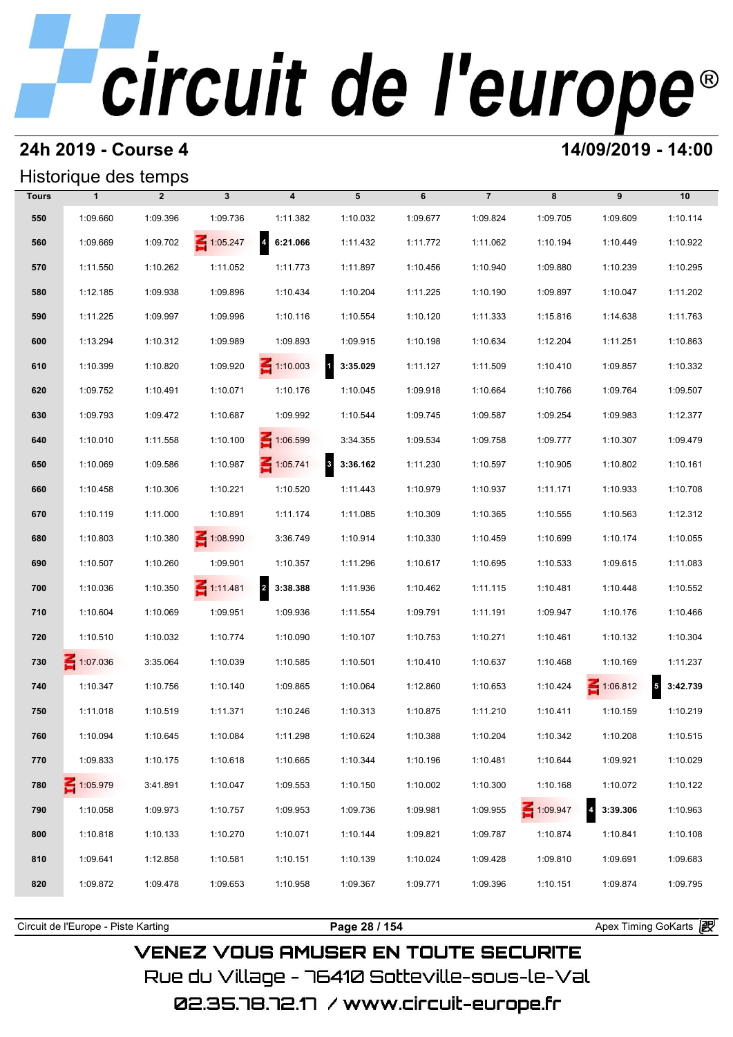### **24h 2019 - Course 4 14/09/2019 - 14:00**

### Historique des temps

|              | Historique des temps |                |                 |                                     |                                     |          |                |          |                                     |               |  |
|--------------|----------------------|----------------|-----------------|-------------------------------------|-------------------------------------|----------|----------------|----------|-------------------------------------|---------------|--|
| <b>Tours</b> | $\mathbf{1}$         | $\overline{2}$ | $\mathbf{3}$    | $\boldsymbol{4}$                    | 5                                   | 6        | $\overline{7}$ | 8        | 9                                   | 10            |  |
| 550          | 1:09.660             | 1:09.396       | 1:09.736        | 1:11.382                            | 1:10.032                            | 1:09.677 | 1:09.824       | 1:09.705 | 1:09.609                            | 1:10.114      |  |
| 560          | 1:09.669             | 1:09.702       | $\leq 1:05.247$ | $\overline{\mathbf{A}}$<br>6:21.066 | 1:11.432                            | 1:11.772 | 1:11.062       | 1:10.194 | 1:10.449                            | 1:10.922      |  |
| 570          | 1:11.550             | 1:10.262       | 1:11.052        | 1:11.773                            | 1:11.897                            | 1:10.456 | 1:10.940       | 1:09.880 | 1:10.239                            | 1:10.295      |  |
| 580          | 1:12.185             | 1:09.938       | 1:09.896        | 1:10.434                            | 1:10.204                            | 1:11.225 | 1:10.190       | 1:09.897 | 1:10.047                            | 1:11.202      |  |
| 590          | 1:11.225             | 1:09.997       | 1:09.996        | 1:10.116                            | 1:10.554                            | 1:10.120 | 1:11.333       | 1:15.816 | 1:14.638                            | 1:11.763      |  |
| 600          | 1:13.294             | 1:10.312       | 1:09.989        | 1:09.893                            | 1:09.915                            | 1:10.198 | 1:10.634       | 1:12.204 | 1:11.251                            | 1:10.863      |  |
| 610          | 1:10.399             | 1:10.820       | 1:09.920        | $\leq 1:10.003$                     | $1 \quad 3:35.029$                  | 1:11.127 | 1:11.509       | 1:10.410 | 1:09.857                            | 1:10.332      |  |
| 620          | 1:09.752             | 1:10.491       | 1:10.071        | 1:10.176                            | 1:10.045                            | 1:09.918 | 1:10.664       | 1:10.766 | 1:09.764                            | 1:09.507      |  |
| 630          | 1:09.793             | 1:09.472       | 1:10.687        | 1:09.992                            | 1:10.544                            | 1:09.745 | 1:09.587       | 1:09.254 | 1:09.983                            | 1:12.377      |  |
| 640          | 1:10.010             | 1:11.558       | 1:10.100        | $\leq 1:06.599$                     | 3:34.355                            | 1:09.534 | 1:09.758       | 1:09.777 | 1:10.307                            | 1:09.479      |  |
| 650          | 1:10.069             | 1:09.586       | 1:10.987        | $\leq 1:05.741$                     | $\overline{\mathbf{3}}$<br>3:36.162 | 1:11.230 | 1:10.597       | 1:10.905 | 1:10.802                            | 1:10.161      |  |
| 660          | 1:10.458             | 1:10.306       | 1:10.221        | 1:10.520                            | 1:11.443                            | 1:10.979 | 1:10.937       | 1:11.171 | 1:10.933                            | 1:10.708      |  |
| 670          | 1:10.119             | 1:11.000       | 1:10.891        | 1:11.174                            | 1:11.085                            | 1:10.309 | 1:10.365       | 1:10.555 | 1:10.563                            | 1:12.312      |  |
| 680          | 1:10.803             | 1:10.380       | $\leq 1:08.990$ | 3:36.749                            | 1:10.914                            | 1:10.330 | 1:10.459       | 1:10.699 | 1:10.174                            | 1:10.055      |  |
| 690          | 1:10.507             | 1:10.260       | 1:09.901        | 1:10.357                            | 1:11.296                            | 1:10.617 | 1:10.695       | 1:10.533 | 1:09.615                            | 1:11.083      |  |
| 700          | 1:10.036             | 1:10.350       | $\leq 1:11.481$ | $\overline{\mathbf{2}}$<br>3:38.388 | 1:11.936                            | 1:10.462 | 1:11.115       | 1:10.481 | 1:10.448                            | 1:10.552      |  |
| 710          | 1:10.604             | 1:10.069       | 1:09.951        | 1:09.936                            | 1:11.554                            | 1:09.791 | 1:11.191       | 1:09.947 | 1:10.176                            | 1:10.466      |  |
| 720          | 1:10.510             | 1:10.032       | 1:10.774        | 1:10.090                            | 1:10.107                            | 1:10.753 | 1:10.271       | 1:10.461 | 1:10.132                            | 1:10.304      |  |
| 730          | $\leq 1:07.036$      | 3:35.064       | 1:10.039        | 1:10.585                            | 1:10.501                            | 1:10.410 | 1:10.637       | 1:10.468 | 1:10.169                            | 1:11.237      |  |
| 740          | 1:10.347             | 1:10.756       | 1:10.140        | 1:09.865                            | 1:10.064                            | 1:12.860 | 1:10.653       | 1:10.424 | $\leq 1:06.812$                     | 5<br>3:42.739 |  |
| 750          | 1:11.018             | 1:10.519       | 1:11.371        | 1:10.246                            | 1:10.313                            | 1:10.875 | 1:11.210       | 1:10.411 | 1:10.159                            | 1:10.219      |  |
| 760          | 1:10.094             | 1:10.645       | 1:10.084        | 1:11.298                            | 1:10.624                            | 1:10.388 | 1:10.204       | 1:10.342 | 1:10.208                            | 1:10.515      |  |
| 770          | 1:09.833             | 1:10.175       | 1:10.618        | 1:10.665                            | 1:10.344                            | 1:10.196 | 1:10.481       | 1:10.644 | 1:09.921                            | 1:10.029      |  |
| 780          | $-1:05.979$          | 3:41.891       | 1:10.047        | 1:09.553                            | 1:10.150                            | 1:10.002 | 1:10.300       | 1:10.168 | 1:10.072                            | 1:10.122      |  |
| 790          | 1:10.058             | 1:09.973       | 1:10.757        | 1:09.953                            | 1:09.736                            | 1:09.981 | 1:09.955       | 1:09.947 | $\overline{\mathbf{r}}$<br>3:39.306 | 1:10.963      |  |
| 800          | 1:10.818             | 1:10.133       | 1:10.270        | 1:10.071                            | 1:10.144                            | 1:09.821 | 1:09.787       | 1:10.874 | 1:10.841                            | 1:10.108      |  |
| 810          | 1:09.641             | 1:12.858       | 1:10.581        | 1:10.151                            | 1:10.139                            | 1:10.024 | 1:09.428       | 1:09.810 | 1:09.691                            | 1:09.683      |  |
| 820          | 1:09.872             | 1:09.478       | 1:09.653        | 1:10.958                            | 1:09.367                            | 1:09.771 | 1:09.396       | 1:10.151 | 1:09.874                            | 1:09.795      |  |
|              |                      |                |                 |                                     |                                     |          |                |          |                                     |               |  |

**VENEZ VOUS AMUSER EN TOUTE SECURITE** Rue du Village – 76410 Sotteville-sous-le-Val

Circuit de l'Europe - Piste Karting **Page 28 / 154 Page 28 / 154** Apex Timing GoKarts **in**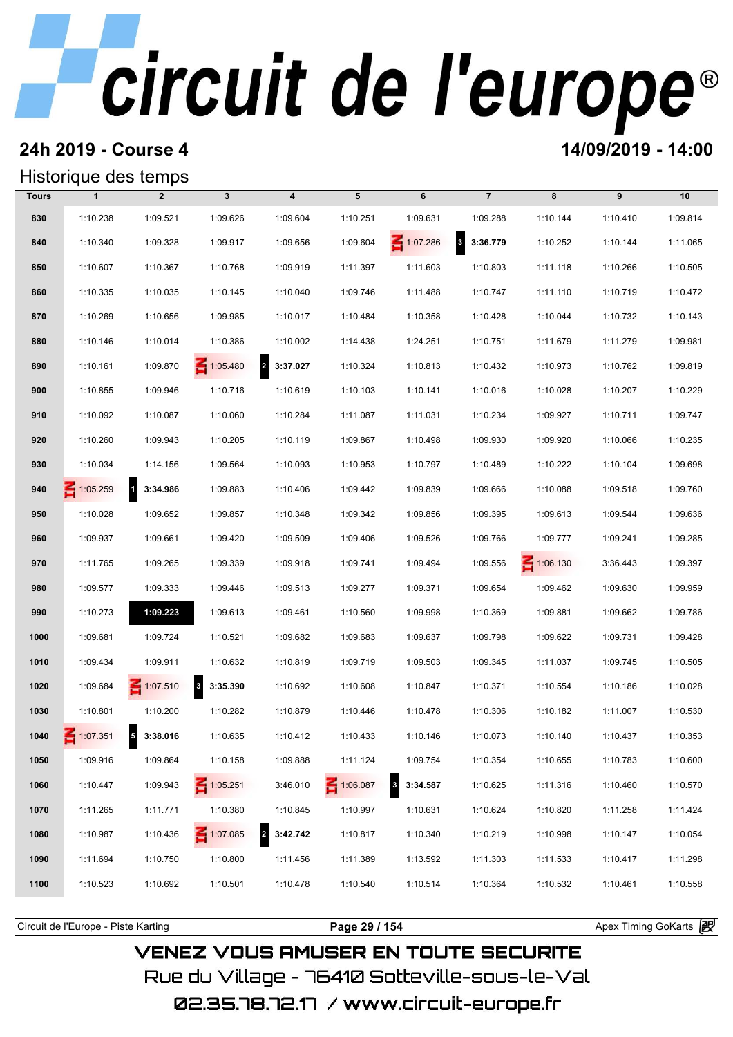### **24h 2019 - Course 4 14/09/2019 - 14:00**

### Historique des temps

|              | Historique des temps |                            |                                     |                                     |                 |                      |                                     |                 |          |          |
|--------------|----------------------|----------------------------|-------------------------------------|-------------------------------------|-----------------|----------------------|-------------------------------------|-----------------|----------|----------|
| <b>Tours</b> | $\mathbf{1}$         | $\overline{2}$             | $\mathbf{3}$                        | $\overline{\mathbf{4}}$             | 5               | 6                    | $\overline{7}$                      | 8               | 9        | 10       |
| 830          | 1:10.238             | 1:09.521                   | 1:09.626                            | 1:09.604                            | 1:10.251        | 1:09.631             | 1:09.288                            | 1:10.144        | 1:10.410 | 1:09.814 |
| 840          | 1:10.340             | 1:09.328                   | 1:09.917                            | 1:09.656                            | 1:09.604        | 1:07.286             | $\overline{\mathbf{3}}$<br>3:36.779 | 1:10.252        | 1:10.144 | 1:11.065 |
| 850          | 1:10.607             | 1:10.367                   | 1:10.768                            | 1:09.919                            | 1:11.397        | 1:11.603             | 1:10.803                            | 1:11.118        | 1:10.266 | 1:10.505 |
| 860          | 1:10.335             | 1:10.035                   | 1:10.145                            | 1:10.040                            | 1:09.746        | 1:11.488             | 1:10.747                            | 1:11.110        | 1:10.719 | 1:10.472 |
| 870          | 1:10.269             | 1:10.656                   | 1:09.985                            | 1:10.017                            | 1:10.484        | 1:10.358             | 1:10.428                            | 1:10.044        | 1:10.732 | 1:10.143 |
| 880          | 1:10.146             | 1:10.014                   | 1:10.386                            | 1:10.002                            | 1:14.438        | 1:24.251             | 1:10.751                            | 1:11.679        | 1:11.279 | 1:09.981 |
| 890          | 1:10.161             | 1:09.870                   | 1:05.480                            | $\overline{\mathbf{r}}$<br>3:37.027 | 1:10.324        | 1:10.813             | 1:10.432                            | 1:10.973        | 1:10.762 | 1:09.819 |
| 900          | 1:10.855             | 1:09.946                   | 1:10.716                            | 1:10.619                            | 1:10.103        | 1:10.141             | 1:10.016                            | 1:10.028        | 1:10.207 | 1:10.229 |
| 910          | 1:10.092             | 1:10.087                   | 1:10.060                            | 1:10.284                            | 1:11.087        | 1:11.031             | 1:10.234                            | 1:09.927        | 1:10.711 | 1:09.747 |
| 920          | 1:10.260             | 1:09.943                   | 1:10.205                            | 1:10.119                            | 1:09.867        | 1:10.498             | 1:09.930                            | 1:09.920        | 1:10.066 | 1:10.235 |
| 930          | 1:10.034             | 1:14.156                   | 1:09.564                            | 1:10.093                            | 1:10.953        | 1:10.797             | 1:10.489                            | 1:10.222        | 1:10.104 | 1:09.698 |
| 940          | 1:05.259             | 3:34.986<br>$\blacksquare$ | 1:09.883                            | 1:10.406                            | 1:09.442        | 1:09.839             | 1:09.666                            | 1:10.088        | 1:09.518 | 1:09.760 |
| 950          | 1:10.028             | 1:09.652                   | 1:09.857                            | 1:10.348                            | 1:09.342        | 1:09.856             | 1:09.395                            | 1:09.613        | 1:09.544 | 1:09.636 |
| 960          | 1:09.937             | 1:09.661                   | 1:09.420                            | 1:09.509                            | 1:09.406        | 1:09.526             | 1:09.766                            | 1:09.777        | 1:09.241 | 1:09.285 |
| 970          | 1:11.765             | 1:09.265                   | 1:09.339                            | 1:09.918                            | 1:09.741        | 1:09.494             | 1:09.556                            | $\leq 1:06.130$ | 3:36.443 | 1:09.397 |
| 980          | 1:09.577             | 1:09.333                   | 1:09.446                            | 1:09.513                            | 1:09.277        | 1:09.371             | 1:09.654                            | 1:09.462        | 1:09.630 | 1:09.959 |
| 990          | 1:10.273             | 1:09.223                   | 1:09.613                            | 1:09.461                            | 1:10.560        | 1:09.998             | 1:10.369                            | 1:09.881        | 1:09.662 | 1:09.786 |
| 1000         | 1:09.681             | 1:09.724                   | 1:10.521                            | 1:09.682                            | 1:09.683        | 1:09.637             | 1:09.798                            | 1:09.622        | 1:09.731 | 1:09.428 |
| 1010         | 1:09.434             | 1:09.911                   | 1:10.632                            | 1:10.819                            | 1:09.719        | 1:09.503             | 1:09.345                            | 1:11.037        | 1:09.745 | 1:10.505 |
| 1020         | 1:09.684             | $\leq 1:07.510$            | $\overline{\mathbf{3}}$<br>3:35.390 | 1:10.692                            | 1:10.608        | 1:10.847             | 1:10.371                            | 1:10.554        | 1:10.186 | 1:10.028 |
| 1030         | 1:10.801             | 1:10.200                   | 1:10.282                            | 1:10.879                            | 1:10.446        | 1:10.478             | 1:10.306                            | 1:10.182        | 1:11.007 | 1:10.530 |
| 1040         | $\leq 1:07.351$      | 5<br>3:38.016              | 1:10.635                            | 1:10.412                            | 1:10.433        | 1:10.146             | 1:10.073                            | 1:10.140        | 1:10.437 | 1:10.353 |
| 1050         | 1:09.916             | 1:09.864                   | 1:10.158                            | 1:09.888                            | 1:11.124        | 1:09.754             | 1:10.354                            | 1:10.655        | 1:10.783 | 1:10.600 |
| 1060         | 1:10.447             | 1:09.943                   | $\leq 1:05.251$                     | 3:46.010                            | $\leq 1:06.087$ | 3:34.587<br>$\bf{3}$ | 1:10.625                            | 1:11.316        | 1:10.460 | 1:10.570 |
| 1070         | 1:11.265             | 1:11.771                   | 1:10.380                            | 1:10.845                            | 1:10.997        | 1:10.631             | 1:10.624                            | 1:10.820        | 1:11.258 | 1:11.424 |
| 1080         | 1:10.987             | 1:10.436                   | $\leq 1:07.085$                     | $\overline{\mathbf{2}}$<br>3:42.742 | 1:10.817        | 1:10.340             | 1:10.219                            | 1:10.998        | 1:10.147 | 1:10.054 |
| 1090         | 1:11.694             | 1:10.750                   | 1:10.800                            | 1:11.456                            | 1:11.389        | 1:13.592             | 1:11.303                            | 1:11.533        | 1:10.417 | 1:11.298 |
| 1100         | 1:10.523             | 1:10.692                   | 1:10.501                            | 1:10.478                            | 1:10.540        | 1:10.514             | 1:10.364                            | 1:10.532        | 1:10.461 | 1:10.558 |
|              |                      |                            |                                     |                                     |                 |                      |                                     |                 |          |          |

Circuit de l'Europe - Piste Karting **Page 29 / 154 Page 29 / 154** Apex Timing GoKarts **in** 

## **VENEZ VOUS AMUSER EN TOUTE SECURITE** Rue du Village – 76410 Sotteville-sous-le-Val 02.35.78.72.17 / www.circuit-europe.fr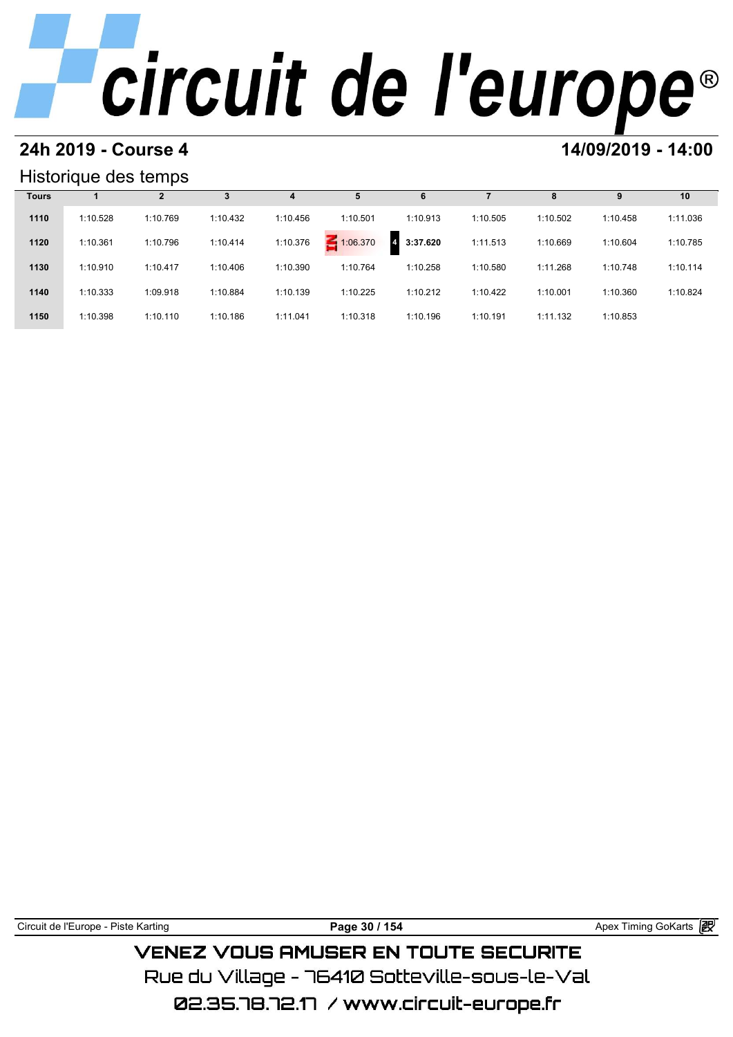# **24h 2019 - Course 4 14/09/2019 - 14:00**

### Historique des temps

|              | Historique des temps |          |          |          |          |                            |          |          |          |          |  |  |  |
|--------------|----------------------|----------|----------|----------|----------|----------------------------|----------|----------|----------|----------|--|--|--|
| <b>Tours</b> |                      | 2        | 3        | 4        |          | 6                          |          | 8        | 9        | 10       |  |  |  |
| 1110         | 1:10.528             | 1:10.769 | 1:10.432 | 1:10.456 | 1:10.501 | 1:10.913                   | 1:10.505 | 1:10.502 | 1:10.458 | 1:11.036 |  |  |  |
| 1120         | 1:10.361             | 1:10.796 | 1:10.414 | 1:10.376 | 1:06.370 | 3:37.620<br>$\overline{4}$ | 1:11.513 | 1:10.669 | 1:10.604 | 1:10.785 |  |  |  |
| 1130         | 1:10.910             | 1:10.417 | 1:10.406 | 1:10.390 | 1:10.764 | 1:10.258                   | 1:10.580 | 1:11.268 | 1:10.748 | 1:10.114 |  |  |  |
| 1140         | 1:10.333             | 1:09.918 | 1:10.884 | 1:10.139 | 1:10.225 | 1:10.212                   | 1:10.422 | 1:10.001 | 1:10.360 | 1:10.824 |  |  |  |
| 1150         | 1:10.398             | 1:10.110 | 1:10.186 | 1:11.041 | 1:10.318 | 1:10.196                   | 1:10.191 | 1:11.132 | 1:10.853 |          |  |  |  |

| Circuit de l'Europe - Piste Karting | Page 30 / 154                                 | Apex Timing GoKarts a |
|-------------------------------------|-----------------------------------------------|-----------------------|
|                                     | <b>VENEZ VOUS AMUSER EN TOUTE SECURITE</b>    |                       |
|                                     | Rue du Villane – 76410 Sotteville-sous-le-Val |                       |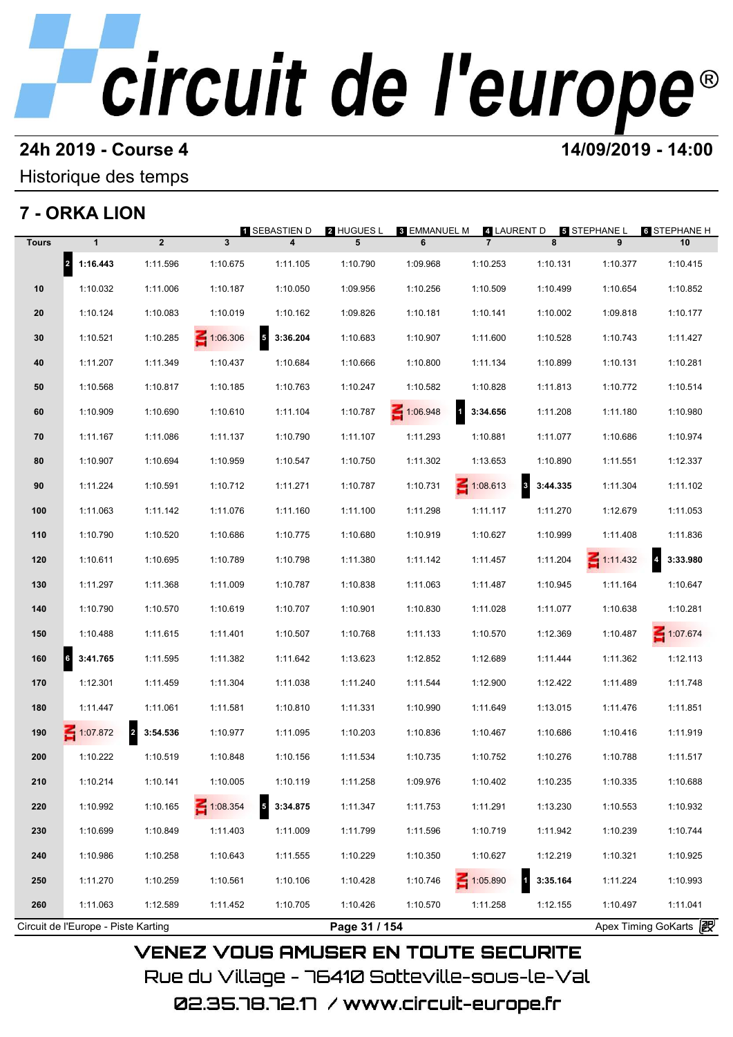### **24h 2019 - Course 4 14/09/2019 - 14:00**

Historique des temps

## **7 - ORKA LION**

|              | 7 - ORKA LION                       |                            |                         | 1 SEBASTIEN D                        | <b>2 HUGUES L</b> | 3 EMMANUEL M | 4 LAURENT D     |                                     | <b>5 STEPHANE L</b> | <b>6 STEPHANE H</b>        |
|--------------|-------------------------------------|----------------------------|-------------------------|--------------------------------------|-------------------|--------------|-----------------|-------------------------------------|---------------------|----------------------------|
| <b>Tours</b> | $\mathbf{1}$                        | $\overline{2}$             | $\overline{\mathbf{3}}$ | 4                                    | 5                 | 6            | $\overline{7}$  | 8                                   | 9                   | 10                         |
|              | 2 1:16.443                          | 1:11.596                   | 1:10.675                | 1:11.105                             | 1:10.790          | 1:09.968     | 1:10.253        | 1:10.131                            | 1:10.377            | 1:10.415                   |
| 10           | 1:10.032                            | 1:11.006                   | 1:10.187                | 1:10.050                             | 1:09.956          | 1:10.256     | 1:10.509        | 1:10.499                            | 1:10.654            | 1:10.852                   |
| 20           | 1:10.124                            | 1:10.083                   | 1:10.019                | 1:10.162                             | 1:09.826          | 1:10.181     | 1:10.141        | 1:10.002                            | 1:09.818            | 1:10.177                   |
| 30           | 1:10.521                            | 1:10.285                   | $\leq 1:06.306$         | $\overline{\phantom{a}}$<br>3:36.204 | 1:10.683          | 1:10.907     | 1:11.600        | 1:10.528                            | 1:10.743            | 1:11.427                   |
| 40           | 1:11.207                            | 1:11.349                   | 1:10.437                | 1:10.684                             | 1:10.666          | 1:10.800     | 1:11.134        | 1:10.899                            | 1:10.131            | 1:10.281                   |
| 50           | 1:10.568                            | 1:10.817                   | 1:10.185                | 1:10.763                             | 1:10.247          | 1:10.582     | 1:10.828        | 1:11.813                            | 1:10.772            | 1:10.514                   |
| 60           | 1:10.909                            | 1:10.690                   | 1:10.610                | 1:11.104                             | 1:10.787          | 1:06.948     | 1 3:34.656      | 1:11.208                            | 1:11.180            | 1:10.980                   |
| 70           | 1:11.167                            | 1:11.086                   | 1:11.137                | 1:10.790                             | 1:11.107          | 1:11.293     | 1:10.881        | 1:11.077                            | 1:10.686            | 1:10.974                   |
| 80           | 1:10.907                            | 1:10.694                   | 1:10.959                | 1:10.547                             | 1:10.750          | 1:11.302     | 1:13.653        | 1:10.890                            | 1:11.551            | 1:12.337                   |
| 90           | 1:11.224                            | 1:10.591                   | 1:10.712                | 1:11.271                             | 1:10.787          | 1:10.731     | $\leq 1:08.613$ | $\mathbf{3}$<br>3:44.335            | 1:11.304            | 1:11.102                   |
| 100          | 1:11.063                            | 1:11.142                   | 1:11.076                | 1:11.160                             | 1:11.100          | 1:11.298     | 1:11.117        | 1:11.270                            | 1:12.679            | 1:11.053                   |
| 110          | 1:10.790                            | 1:10.520                   | 1:10.686                | 1:10.775                             | 1:10.680          | 1:10.919     | 1:10.627        | 1:10.999                            | 1:11.408            | 1:11.836                   |
| 120          | 1:10.611                            | 1:10.695                   | 1:10.789                | 1:10.798                             | 1:11.380          | 1:11.142     | 1:11.457        | 1:11.204                            | $\leq 1:11.432$     | $\overline{4}$<br>3:33.980 |
| 130          | 1:11.297                            | 1:11.368                   | 1:11.009                | 1:10.787                             | 1:10.838          | 1:11.063     | 1:11.487        | 1:10.945                            | 1:11.164            | 1:10.647                   |
| 140          | 1:10.790                            | 1:10.570                   | 1:10.619                | 1:10.707                             | 1:10.901          | 1:10.830     | 1:11.028        | 1:11.077                            | 1:10.638            | 1:10.281                   |
| 150          | 1:10.488                            | 1:11.615                   | 1:11.401                | 1:10.507                             | 1:10.768          | 1:11.133     | 1:10.570        | 1:12.369                            | 1:10.487            | 1:07.674                   |
| 160          | $\vert$ 6<br>3:41.765               | 1:11.595                   | 1:11.382                | 1:11.642                             | 1:13.623          | 1:12.852     | 1:12.689        | 1:11.444                            | 1:11.362            | 1:12.113                   |
| 170          | 1:12.301                            | 1:11.459                   | 1:11.304                | 1:11.038                             | 1:11.240          | 1:11.544     | 1:12.900        | 1:12.422                            | 1:11.489            | 1:11.748                   |
| 180          | 1:11.447                            | 1:11.061                   | 1:11.581                | 1:10.810                             | 1:11.331          | 1:10.990     | 1:11.649        | 1:13.015                            | 1:11.476            | 1:11.851                   |
| 190          | $-1:07.872$                         | $\overline{2}$<br>3:54.536 | 1:10.977                | 1:11.095                             | 1:10.203          | 1:10.836     | 1:10.467        | 1:10.686                            | 1:10.416            | 1:11.919                   |
| 200          | 1:10.222                            | 1:10.519                   | 1:10.848                | 1:10.156                             | 1:11.534          | 1:10.735     | 1:10.752        | 1:10.276                            | 1:10.788            | 1:11.517                   |
| 210          | 1:10.214                            | 1:10.141                   | 1:10.005                | 1:10.119                             | 1:11.258          | 1:09.976     | 1:10.402        | 1:10.235                            | 1:10.335            | 1:10.688                   |
| 220          | 1:10.992                            | 1:10.165                   | $\leq 1:08.354$         | $\overline{\phantom{a}}$<br>3:34.875 | 1:11.347          | 1:11.753     | 1:11.291        | 1:13.230                            | 1:10.553            | 1:10.932                   |
| 230          | 1:10.699                            | 1:10.849                   | 1:11.403                | 1:11.009                             | 1:11.799          | 1:11.596     | 1:10.719        | 1:11.942                            | 1:10.239            | 1:10.744                   |
| 240          | 1:10.986                            | 1:10.258                   | 1:10.643                | 1:11.555                             | 1:10.229          | 1:10.350     | 1:10.627        | 1:12.219                            | 1:10.321            | 1:10.925                   |
| 250          | 1:11.270                            | 1:10.259                   | 1:10.561                | 1:10.106                             | 1:10.428          | 1:10.746     | $\leq 1:05.890$ | $\overline{\mathbf{1}}$<br>3:35.164 | 1:11.224            | 1:10.993                   |
| 260          | 1:11.063                            | 1:12.589                   | 1:11.452                | 1:10.705                             | 1:10.426          | 1:10.570     | 1:11.258        | 1:12.155                            | 1:10.497            | 1:11.041                   |
|              | Circuit de l'Europe - Piste Karting |                            |                         |                                      | Page 31 / 154     |              |                 |                                     |                     | Apex Timing GoKarts 2      |

Rue du Village – 76410 Sotteville-sous-le-Val 02.35.78.72.17 /www.circuit-europe.fr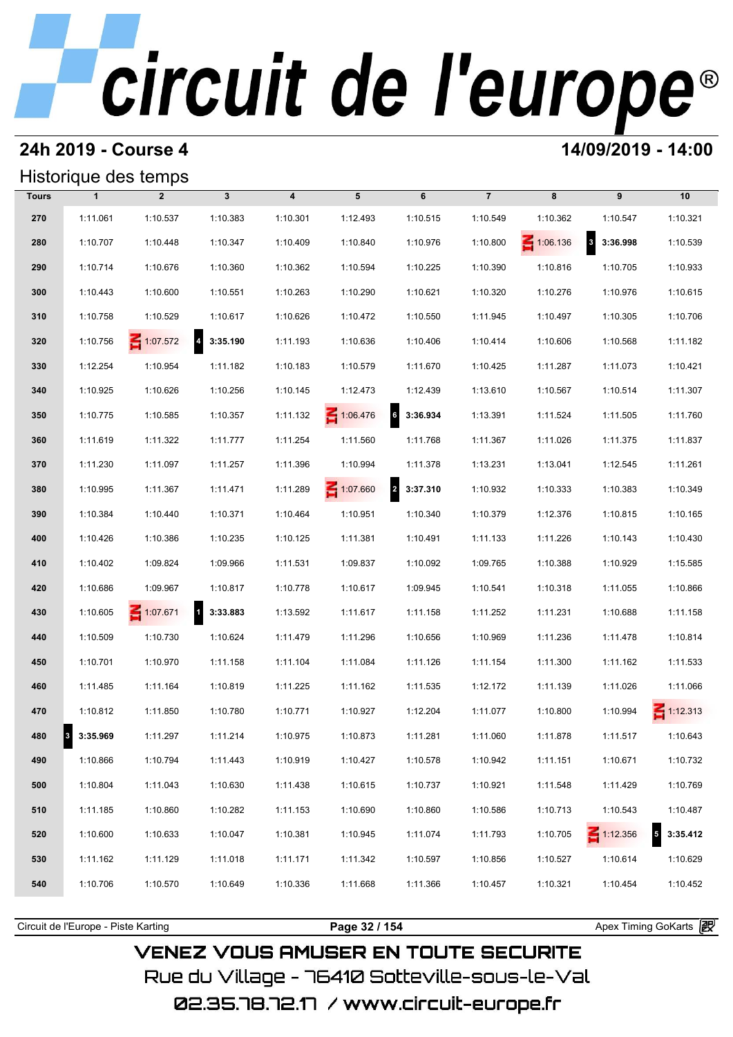### **24h 2019 - Course 4 14/09/2019 - 14:00**

## Historique des temps

|              | Historique des temps |                 |                            |                         |          |                                     |                |                 |                                     |                            |
|--------------|----------------------|-----------------|----------------------------|-------------------------|----------|-------------------------------------|----------------|-----------------|-------------------------------------|----------------------------|
| <b>Tours</b> | $\mathbf{1}$         | $\overline{2}$  | $\mathbf{3}$               | $\overline{\mathbf{4}}$ | 5        | 6                                   | $\overline{7}$ | 8               | 9                                   | 10                         |
| 270          | 1:11.061             | 1:10.537        | 1:10.383                   | 1:10.301                | 1:12.493 | 1:10.515                            | 1:10.549       | 1:10.362        | 1:10.547                            | 1:10.321                   |
| 280          | 1:10.707             | 1:10.448        | 1:10.347                   | 1:10.409                | 1:10.840 | 1:10.976                            | 1:10.800       | $\leq 1:06.136$ | $\overline{\mathbf{3}}$<br>3:36.998 | 1:10.539                   |
| 290          | 1:10.714             | 1:10.676        | 1:10.360                   | 1:10.362                | 1:10.594 | 1:10.225                            | 1:10.390       | 1:10.816        | 1:10.705                            | 1:10.933                   |
| 300          | 1:10.443             | 1:10.600        | 1:10.551                   | 1:10.263                | 1:10.290 | 1:10.621                            | 1:10.320       | 1:10.276        | 1:10.976                            | 1:10.615                   |
| 310          | 1:10.758             | 1:10.529        | 1:10.617                   | 1:10.626                | 1:10.472 | 1:10.550                            | 1:11.945       | 1:10.497        | 1:10.305                            | 1:10.706                   |
| 320          | 1:10.756             | $\leq 1:07.572$ | $\overline{a}$<br>3:35.190 | 1:11.193                | 1:10.636 | 1:10.406                            | 1:10.414       | 1:10.606        | 1:10.568                            | 1:11.182                   |
| 330          | 1:12.254             | 1:10.954        | 1:11.182                   | 1:10.183                | 1:10.579 | 1:11.670                            | 1:10.425       | 1:11.287        | 1:11.073                            | 1:10.421                   |
| 340          | 1:10.925             | 1:10.626        | 1:10.256                   | 1:10.145                | 1:12.473 | 1:12.439                            | 1:13.610       | 1:10.567        | 1:10.514                            | 1:11.307                   |
| 350          | 1:10.775             | 1:10.585        | 1:10.357                   | 1:11.132                | 1:06.476 | $6\overline{6}$<br>3:36.934         | 1:13.391       | 1:11.524        | 1:11.505                            | 1:11.760                   |
| 360          | 1:11.619             | 1:11.322        | 1:11.777                   | 1:11.254                | 1:11.560 | 1:11.768                            | 1:11.367       | 1:11.026        | 1:11.375                            | 1:11.837                   |
| 370          | 1:11.230             | 1:11.097        | 1:11.257                   | 1:11.396                | 1:10.994 | 1:11.378                            | 1:13.231       | 1:13.041        | 1:12.545                            | 1:11.261                   |
| 380          | 1:10.995             | 1:11.367        | 1:11.471                   | 1:11.289                | 1:07.660 | $\overline{\mathbf{2}}$<br>3:37.310 | 1:10.932       | 1:10.333        | 1:10.383                            | 1:10.349                   |
| 390          | 1:10.384             | 1:10.440        | 1:10.371                   | 1:10.464                | 1:10.951 | 1:10.340                            | 1:10.379       | 1:12.376        | 1:10.815                            | 1:10.165                   |
| 400          | 1:10.426             | 1:10.386        | 1:10.235                   | 1:10.125                | 1:11.381 | 1:10.491                            | 1:11.133       | 1:11.226        | 1:10.143                            | 1:10.430                   |
| 410          | 1:10.402             | 1:09.824        | 1:09.966                   | 1:11.531                | 1:09.837 | 1:10.092                            | 1:09.765       | 1:10.388        | 1:10.929                            | 1:15.585                   |
| 420          | 1:10.686             | 1:09.967        | 1:10.817                   | 1:10.778                | 1:10.617 | 1:09.945                            | 1:10.541       | 1:10.318        | 1:11.055                            | 1:10.866                   |
| 430          | 1:10.605             | 1:07.671        | $\mathbf{1}$<br>3:33.883   | 1:13.592                | 1:11.617 | 1:11.158                            | 1:11.252       | 1:11.231        | 1:10.688                            | 1:11.158                   |
| 440          | 1:10.509             | 1:10.730        | 1:10.624                   | 1:11.479                | 1:11.296 | 1:10.656                            | 1:10.969       | 1:11.236        | 1:11.478                            | 1:10.814                   |
| 450          | 1:10.701             | 1:10.970        | 1:11.158                   | 1:11.104                | 1:11.084 | 1:11.126                            | 1:11.154       | 1:11.300        | 1:11.162                            | 1:11.533                   |
| 460          | 1:11.485             | 1:11.164        | 1:10.819                   | 1:11.225                | 1:11.162 | 1:11.535                            | 1:12.172       | 1:11.139        | 1:11.026                            | 1:11.066                   |
| 470          | 1:10.812             | 1:11.850        | 1:10.780                   | 1:10.771                | 1:10.927 | 1:12.204                            | 1:11.077       | 1:10.800        | 1:10.994                            | $\leq 1:12.313$            |
| 480          | 8 3:35.969           | 1:11.297        | 1:11.214                   | 1:10.975                | 1:10.873 | 1:11.281                            | 1:11.060       | 1:11.878        | 1:11.517                            | 1:10.643                   |
| 490          | 1:10.866             | 1:10.794        | 1:11.443                   | 1:10.919                | 1:10.427 | 1:10.578                            | 1:10.942       | 1:11.151        | 1:10.671                            | 1:10.732                   |
| 500          | 1:10.804             | 1:11.043        | 1:10.630                   | 1:11.438                | 1:10.615 | 1:10.737                            | 1:10.921       | 1:11.548        | 1:11.429                            | 1:10.769                   |
| 510          | 1:11.185             | 1:10.860        | 1:10.282                   | 1:11.153                | 1:10.690 | 1:10.860                            | 1:10.586       | 1:10.713        | 1:10.543                            | 1:10.487                   |
| 520          | 1:10.600             | 1:10.633        | 1:10.047                   | 1:10.381                | 1:10.945 | 1:11.074                            | 1:11.793       | 1:10.705        | $\leq 1:12.356$                     | $\overline{5}$<br>3:35.412 |
| 530          | 1:11.162             | 1:11.129        | 1:11.018                   | 1:11.171                | 1:11.342 | 1:10.597                            | 1:10.856       | 1:10.527        | 1:10.614                            | 1:10.629                   |
| 540          | 1:10.706             | 1:10.570        | 1:10.649                   | 1:10.336                | 1:11.668 | 1:11.366                            | 1:10.457       | 1:10.321        | 1:10.454                            | 1:10.452                   |
|              |                      |                 |                            |                         |          |                                     |                |                 |                                     |                            |

**VENEZ VOUS AMUSER EN TOUTE SECURITE** 

Rue du Village – 76410 Sotteville-sous-le-Val

Circuit de l'Europe - Piste Karting **Page 32 / 154 Page 32 / 154** Apex Timing GoKarts and Apex Timing Apex Timing Go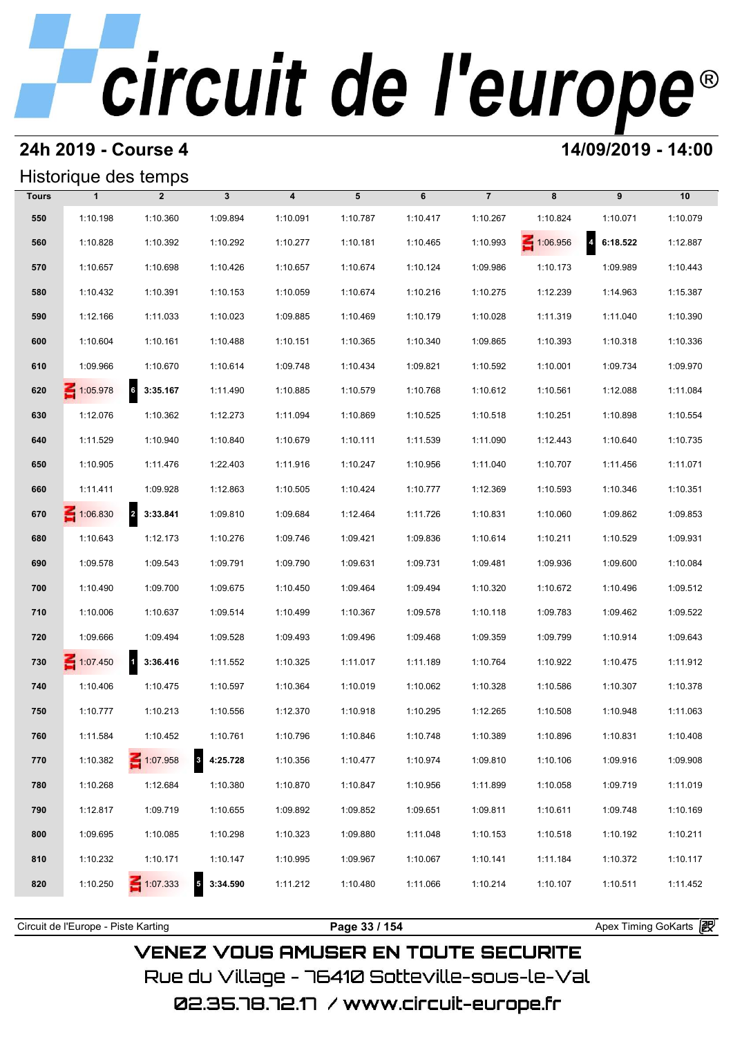### **24h 2019 - Course 4 14/09/2019 - 14:00**

## Historique des temps

|              |                 | Historique des temps       |              |                  |          |          |                |          |                            |          |
|--------------|-----------------|----------------------------|--------------|------------------|----------|----------|----------------|----------|----------------------------|----------|
| <b>Tours</b> | $\mathbf{1}$    | $\overline{2}$             | $\mathbf{3}$ | $\boldsymbol{4}$ | 5        | 6        | $\overline{7}$ | 8        | 9                          | 10       |
| 550          | 1:10.198        | 1:10.360                   | 1:09.894     | 1:10.091         | 1:10.787 | 1:10.417 | 1:10.267       | 1:10.824 | 1:10.071                   | 1:10.079 |
| 560          | 1:10.828        | 1:10.392                   | 1:10.292     | 1:10.277         | 1:10.181 | 1:10.465 | 1:10.993       | 1:06.956 | $\overline{a}$<br>6:18.522 | 1:12.887 |
| 570          | 1:10.657        | 1:10.698                   | 1:10.426     | 1:10.657         | 1:10.674 | 1:10.124 | 1:09.986       | 1:10.173 | 1:09.989                   | 1:10.443 |
| 580          | 1:10.432        | 1:10.391                   | 1:10.153     | 1:10.059         | 1:10.674 | 1:10.216 | 1:10.275       | 1:12.239 | 1:14.963                   | 1:15.387 |
| 590          | 1:12.166        | 1:11.033                   | 1:10.023     | 1:09.885         | 1:10.469 | 1:10.179 | 1:10.028       | 1:11.319 | 1:11.040                   | 1:10.390 |
| 600          | 1:10.604        | 1:10.161                   | 1:10.488     | 1:10.151         | 1:10.365 | 1:10.340 | 1:09.865       | 1:10.393 | 1:10.318                   | 1:10.336 |
| 610          | 1:09.966        | 1:10.670                   | 1:10.614     | 1:09.748         | 1:10.434 | 1:09.821 | 1:10.592       | 1:10.001 | 1:09.734                   | 1:09.970 |
| 620          | $\leq 1:05.978$ | $6\phantom{a}$<br>3:35.167 | 1:11.490     | 1:10.885         | 1:10.579 | 1:10.768 | 1:10.612       | 1:10.561 | 1:12.088                   | 1:11.084 |
| 630          | 1:12.076        | 1:10.362                   | 1:12.273     | 1:11.094         | 1:10.869 | 1:10.525 | 1:10.518       | 1:10.251 | 1:10.898                   | 1:10.554 |
| 640          | 1:11.529        | 1:10.940                   | 1:10.840     | 1:10.679         | 1:10.111 | 1:11.539 | 1:11.090       | 1:12.443 | 1:10.640                   | 1:10.735 |
| 650          | 1:10.905        | 1:11.476                   | 1:22.403     | 1:11.916         | 1:10.247 | 1:10.956 | 1:11.040       | 1:10.707 | 1:11.456                   | 1:11.071 |
| 660          | 1:11.411        | 1:09.928                   | 1:12.863     | 1:10.505         | 1:10.424 | 1:10.777 | 1:12.369       | 1:10.593 | 1:10.346                   | 1:10.351 |
| 670          | $\leq 1:06.830$ | 2 3:33.841                 | 1:09.810     | 1:09.684         | 1:12.464 | 1:11.726 | 1:10.831       | 1:10.060 | 1:09.862                   | 1:09.853 |
| 680          | 1:10.643        | 1:12.173                   | 1:10.276     | 1:09.746         | 1:09.421 | 1:09.836 | 1:10.614       | 1:10.211 | 1:10.529                   | 1:09.931 |
| 690          | 1:09.578        | 1:09.543                   | 1:09.791     | 1:09.790         | 1:09.631 | 1:09.731 | 1:09.481       | 1:09.936 | 1:09.600                   | 1:10.084 |
| 700          | 1:10.490        | 1:09.700                   | 1:09.675     | 1:10.450         | 1:09.464 | 1:09.494 | 1:10.320       | 1:10.672 | 1:10.496                   | 1:09.512 |
| 710          | 1:10.006        | 1:10.637                   | 1:09.514     | 1:10.499         | 1:10.367 | 1:09.578 | 1:10.118       | 1:09.783 | 1:09.462                   | 1:09.522 |
| 720          | 1:09.666        | 1:09.494                   | 1:09.528     | 1:09.493         | 1:09.496 | 1:09.468 | 1:09.359       | 1:09.799 | 1:10.914                   | 1:09.643 |
| 730          | $\leq 1:07.450$ | 1 3:36.416                 | 1:11.552     | 1:10.325         | 1:11.017 | 1:11.189 | 1:10.764       | 1:10.922 | 1:10.475                   | 1:11.912 |
| 740          | 1:10.406        | 1:10.475                   | 1:10.597     | 1:10.364         | 1:10.019 | 1:10.062 | 1:10.328       | 1:10.586 | 1:10.307                   | 1:10.378 |
| 750          | 1:10.777        | 1:10.213                   | 1:10.556     | 1:12.370         | 1:10.918 | 1:10.295 | 1:12.265       | 1:10.508 | 1:10.948                   | 1:11.063 |
| 760          | 1:11.584        | 1:10.452                   | 1:10.761     | 1:10.796         | 1:10.846 | 1:10.748 | 1:10.389       | 1:10.896 | 1:10.831                   | 1:10.408 |
| 770          | 1:10.382        | 1:07.958                   | 84:25.728    | 1:10.356         | 1:10.477 | 1:10.974 | 1:09.810       | 1:10.106 | 1:09.916                   | 1:09.908 |
| 780          | 1:10.268        | 1:12.684                   | 1:10.380     | 1:10.870         | 1:10.847 | 1:10.956 | 1:11.899       | 1:10.058 | 1:09.719                   | 1:11.019 |
| 790          | 1:12.817        | 1:09.719                   | 1:10.655     | 1:09.892         | 1:09.852 | 1:09.651 | 1:09.811       | 1:10.611 | 1:09.748                   | 1:10.169 |
| 800          | 1:09.695        | 1:10.085                   | 1:10.298     | 1:10.323         | 1:09.880 | 1:11.048 | 1:10.153       | 1:10.518 | 1:10.192                   | 1:10.211 |
| 810          | 1:10.232        | 1:10.171                   | 1:10.147     | 1:10.995         | 1:09.967 | 1:10.067 | 1:10.141       | 1:11.184 | 1:10.372                   | 1:10.117 |
| 820          | 1:10.250        | $\leq 1:07.333$            | 3:34.590     | 1:11.212         | 1:10.480 | 1:11.066 | 1:10.214       | 1:10.107 | 1:10.511                   | 1:11.452 |
|              |                 |                            |              |                  |          |          |                |          |                            |          |

**VENEZ VOUS AMUSER EN TOUTE SECURITE** Rue du Village – 76410 Sotteville-sous-le-Val 02.35.78.72.17 /www.circuit-europe.fr

Circuit de l'Europe - Piste Karting **Page 33 / 154 Page 33 / 154** Apex Timing GoKarts **in Apex**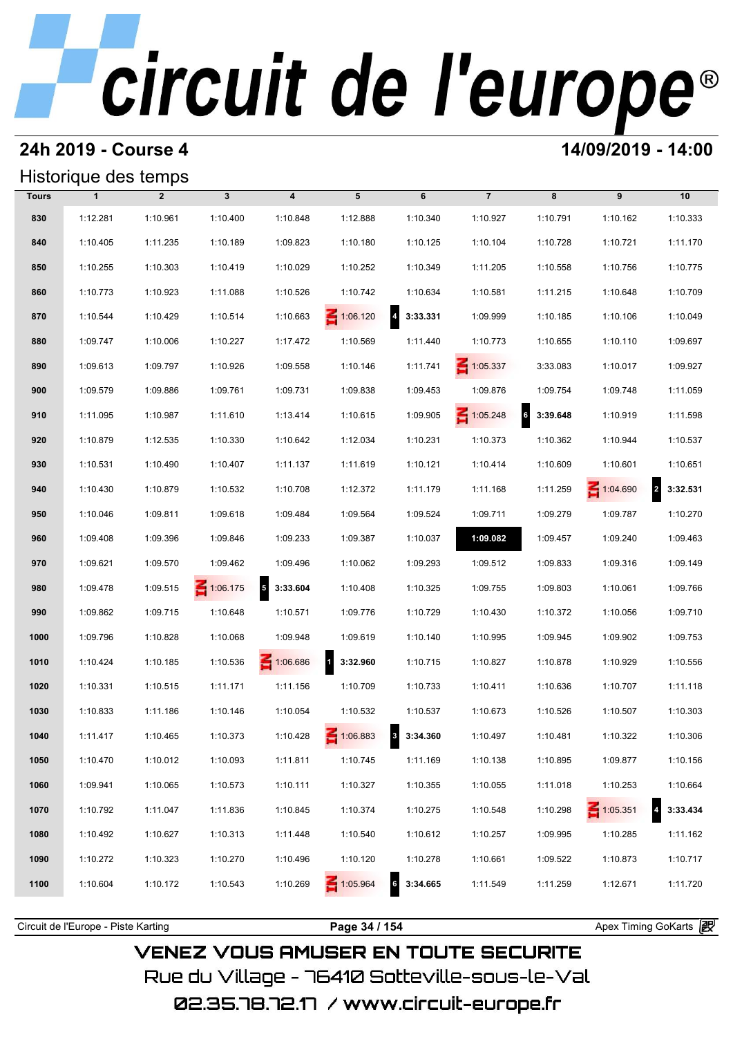# **24h 2019 - Course 4 12000 12000 14/09/2019 - 14:00**

### Historique des temps

|              | Historique des temps |                |                 |                         |                 |                                     |                 |                             |                 |                            |  |
|--------------|----------------------|----------------|-----------------|-------------------------|-----------------|-------------------------------------|-----------------|-----------------------------|-----------------|----------------------------|--|
| <b>Tours</b> | $\mathbf{1}$         | $\overline{2}$ | $\mathbf{3}$    | $\overline{\mathbf{4}}$ | 5               | 6                                   | $\overline{7}$  | 8                           | 9               | 10                         |  |
| 830          | 1:12.281             | 1:10.961       | 1:10.400        | 1:10.848                | 1:12.888        | 1:10.340                            | 1:10.927        | 1:10.791                    | 1:10.162        | 1:10.333                   |  |
| 840          | 1:10.405             | 1:11.235       | 1:10.189        | 1:09.823                | 1:10.180        | 1:10.125                            | 1:10.104        | 1:10.728                    | 1:10.721        | 1:11.170                   |  |
| 850          | 1:10.255             | 1:10.303       | 1:10.419        | 1:10.029                | 1:10.252        | 1:10.349                            | 1:11.205        | 1:10.558                    | 1:10.756        | 1:10.775                   |  |
| 860          | 1:10.773             | 1:10.923       | 1:11.088        | 1:10.526                | 1:10.742        | 1:10.634                            | 1:10.581        | 1:11.215                    | 1:10.648        | 1:10.709                   |  |
| 870          | 1:10.544             | 1:10.429       | 1:10.514        | 1:10.663                | $\leq 1:06.120$ | $\overline{\mathbf{A}}$<br>3:33.331 | 1:09.999        | 1:10.185                    | 1:10.106        | 1:10.049                   |  |
| 880          | 1:09.747             | 1:10.006       | 1:10.227        | 1:17.472                | 1:10.569        | 1:11.440                            | 1:10.773        | 1:10.655                    | 1:10.110        | 1:09.697                   |  |
| 890          | 1:09.613             | 1:09.797       | 1:10.926        | 1:09.558                | 1:10.146        | 1:11.741                            | $\leq 1:05.337$ | 3:33.083                    | 1:10.017        | 1:09.927                   |  |
| 900          | 1:09.579             | 1:09.886       | 1:09.761        | 1:09.731                | 1:09.838        | 1:09.453                            | 1:09.876        | 1:09.754                    | 1:09.748        | 1:11.059                   |  |
| 910          | 1:11.095             | 1:10.987       | 1:11.610        | 1:13.414                | 1:10.615        | 1:09.905                            | $\leq 1:05.248$ | $6\overline{6}$<br>3:39.648 | 1:10.919        | 1:11.598                   |  |
| 920          | 1:10.879             | 1:12.535       | 1:10.330        | 1:10.642                | 1:12.034        | 1:10.231                            | 1:10.373        | 1:10.362                    | 1:10.944        | 1:10.537                   |  |
| 930          | 1:10.531             | 1:10.490       | 1:10.407        | 1:11.137                | 1:11.619        | 1:10.121                            | 1:10.414        | 1:10.609                    | 1:10.601        | 1:10.651                   |  |
| 940          | 1:10.430             | 1:10.879       | 1:10.532        | 1:10.708                | 1:12.372        | 1:11.179                            | 1:11.168        | 1:11.259                    | $\leq 1:04.690$ | $\overline{a}$<br>3:32.531 |  |
| 950          | 1:10.046             | 1:09.811       | 1:09.618        | 1:09.484                | 1:09.564        | 1:09.524                            | 1:09.711        | 1:09.279                    | 1:09.787        | 1:10.270                   |  |
| 960          | 1:09.408             | 1:09.396       | 1:09.846        | 1:09.233                | 1:09.387        | 1:10.037                            | 1:09.082        | 1:09.457                    | 1:09.240        | 1:09.463                   |  |
| 970          | 1:09.621             | 1:09.570       | 1:09.462        | 1:09.496                | 1:10.062        | 1:09.293                            | 1:09.512        | 1:09.833                    | 1:09.316        | 1:09.149                   |  |
| 980          | 1:09.478             | 1:09.515       | $\leq 1:06.175$ | $5\quad 3:33.604$       | 1:10.408        | 1:10.325                            | 1:09.755        | 1:09.803                    | 1:10.061        | 1:09.766                   |  |
| 990          | 1:09.862             | 1:09.715       | 1:10.648        | 1:10.571                | 1:09.776        | 1:10.729                            | 1:10.430        | 1:10.372                    | 1:10.056        | 1:09.710                   |  |
| 1000         | 1:09.796             | 1:10.828       | 1:10.068        | 1:09.948                | 1:09.619        | 1:10.140                            | 1:10.995        | 1:09.945                    | 1:09.902        | 1:09.753                   |  |
| 1010         | 1:10.424             | 1:10.185       | 1:10.536        | 1:06.686                | 13:32.960       | 1:10.715                            | 1:10.827        | 1:10.878                    | 1:10.929        | 1:10.556                   |  |
| 1020         | 1:10.331             | 1:10.515       | 1:11.171        | 1:11.156                | 1:10.709        | 1:10.733                            | 1:10.411        | 1:10.636                    | 1:10.707        | 1:11.118                   |  |
| 1030         | 1:10.833             | 1:11.186       | 1:10.146        | 1:10.054                | 1:10.532        | 1:10.537                            | 1:10.673        | 1:10.526                    | 1:10.507        | 1:10.303                   |  |
| 1040         | 1:11.417             | 1:10.465       | 1:10.373        | 1:10.428                | $\leq 1:06.883$ | 3 3:34.360                          | 1:10.497        | 1:10.481                    | 1:10.322        | 1:10.306                   |  |
| 1050         | 1:10.470             | 1:10.012       | 1:10.093        | 1:11.811                | 1:10.745        | 1:11.169                            | 1:10.138        | 1:10.895                    | 1:09.877        | 1:10.156                   |  |
| 1060         | 1:09.941             | 1:10.065       | 1:10.573        | 1:10.111                | 1:10.327        | 1:10.355                            | 1:10.055        | 1:11.018                    | 1:10.253        | 1:10.664                   |  |
| 1070         | 1:10.792             | 1:11.047       | 1:11.836        | 1:10.845                | 1:10.374        | 1:10.275                            | 1:10.548        | 1:10.298                    | $\leq 1:05.351$ | 3:33.434                   |  |
| 1080         | 1:10.492             | 1:10.627       | 1:10.313        | 1:11.448                | 1:10.540        | 1:10.612                            | 1:10.257        | 1:09.995                    | 1:10.285        | 1:11.162                   |  |
| 1090         | 1:10.272             | 1:10.323       | 1:10.270        | 1:10.496                | 1:10.120        | 1:10.278                            | 1:10.661        | 1:09.522                    | 1:10.873        | 1:10.717                   |  |
| 1100         | 1:10.604             | 1:10.172       | 1:10.543        | 1:10.269                | $\leq 1:05.964$ | 63:34.665                           | 1:11.549        | 1:11.259                    | 1:12.671        | 1:11.720                   |  |
|              |                      |                |                 |                         |                 |                                     |                 |                             |                 |                            |  |

**VENEZ VOUS AMUSER EN TOUTE SECURITE** Rue du Village – 76410 Sotteville-sous-le-Val

Circuit de l'Europe - Piste Karting **Page 34 / 154 Page 34 / 154** Apex Timing GoKarts and Apex Timing Apex Timing Go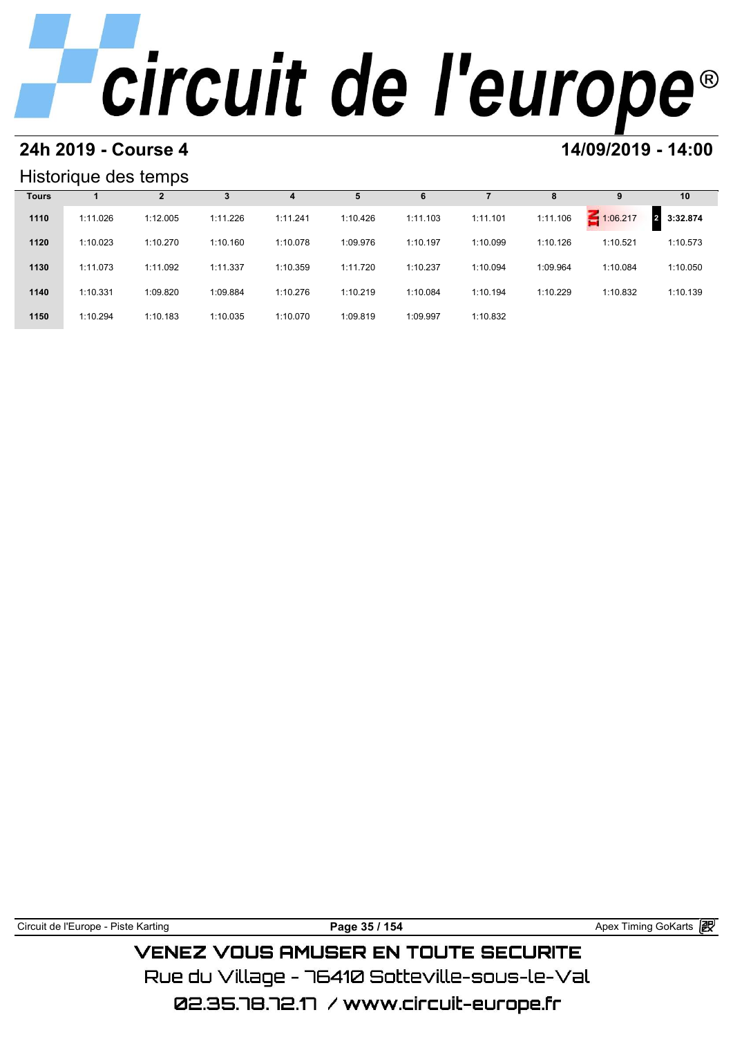### **24h 2019 - Course 4 14/09/2019 - 14:00**

### Historique des temps

|              | Historique des temps |          |          |          |          |          |          |          |          |                            |  |  |  |
|--------------|----------------------|----------|----------|----------|----------|----------|----------|----------|----------|----------------------------|--|--|--|
| <b>Tours</b> |                      | 2        | 3        | 4        | 5        | 6        |          | 8        | 9        | 10                         |  |  |  |
| 1110         | 1:11.026             | 1:12.005 | 1:11.226 | 1:11.241 | 1:10.426 | 1:11.103 | 1:11.101 | 1:11.106 | 1:06.217 | 3:32.874<br>$\overline{2}$ |  |  |  |
| 1120         | 1:10.023             | 1:10.270 | 1:10.160 | 1:10.078 | 1:09.976 | 1:10.197 | 1:10.099 | 1:10.126 | 1:10.521 | 1:10.573                   |  |  |  |
| 1130         | 1:11.073             | 1:11.092 | 1:11.337 | 1:10.359 | 1:11.720 | 1:10.237 | 1:10.094 | 1:09.964 | 1:10.084 | 1:10.050                   |  |  |  |
| 1140         | 1:10.331             | 1:09.820 | 1:09.884 | 1:10.276 | 1:10.219 | 1:10.084 | 1:10.194 | 1:10.229 | 1:10.832 | 1:10.139                   |  |  |  |
| 1150         | 1:10.294             | 1:10.183 | 1:10.035 | 1:10.070 | 1:09.819 | 1:09.997 | 1:10.832 |          |          |                            |  |  |  |

| Circuit<br>Karting<br>Piste<br>-urope<br>. de | 154<br>ao<br>-35 | - 141<br>GoKarts<br>imina<br>ΔnΔ<br>IE)<br>ששר |
|-----------------------------------------------|------------------|------------------------------------------------|
|                                               |                  |                                                |

## **VENEZ VOUS AMUSER EN TOUTE SECURITE** Rue du Village – 76410 Sotteville-sous-le-Val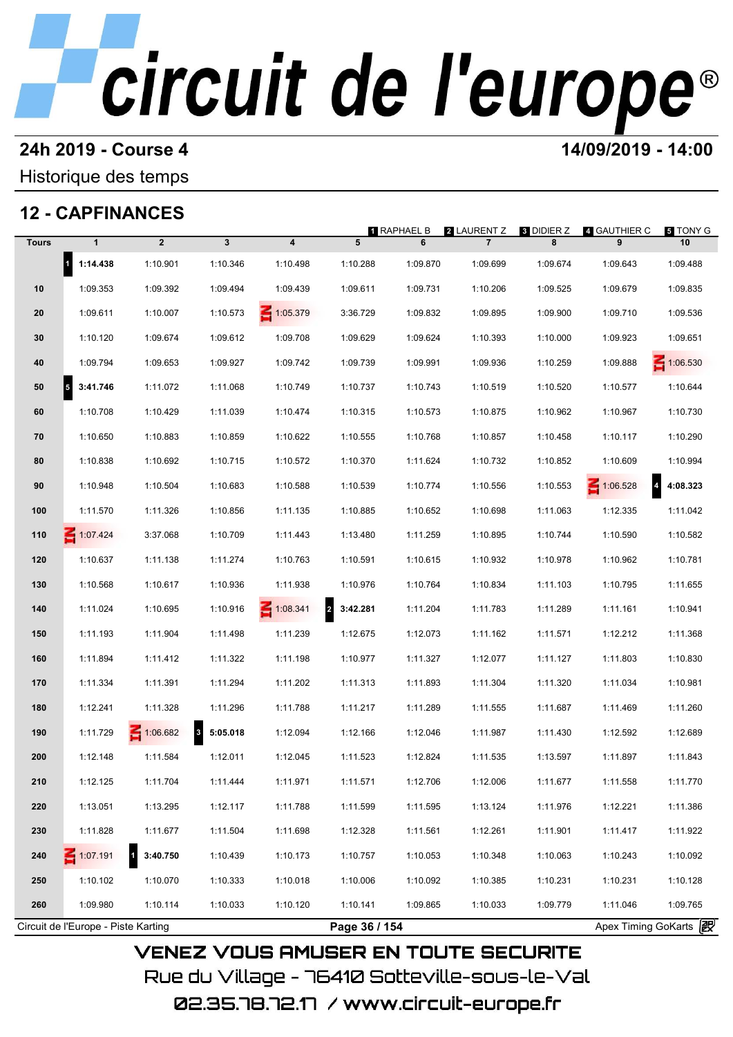# **24h 2019 - Course 4 12000 12000 14/09/2019 - 14:00**

### Historique des temps

## **12 - CAPFINANCES**

|              |                                      |                |                          |               |                            | <b>1 RAPHAEL B</b> | <b>2</b> LAURENT Z | <b>8 DIDIER Z</b>     | 4 GAUTHIER C                               | 5 TONY G        |
|--------------|--------------------------------------|----------------|--------------------------|---------------|----------------------------|--------------------|--------------------|-----------------------|--------------------------------------------|-----------------|
| <b>Tours</b> | $\mathbf{1}$                         | $\overline{2}$ | $\mathbf{3}$             | 4             | 5                          | 6                  | $\overline{7}$     | 8                     | 9                                          | 10              |
|              | $\mathbf{1}$<br>1:14.438             | 1:10.901       | 1:10.346                 | 1:10.498      | 1:10.288                   | 1:09.870           | 1:09.699           | 1:09.674              | 1:09.643                                   | 1:09.488        |
| 10           | 1:09.353                             | 1:09.392       | 1:09.494                 | 1:09.439      | 1:09.611                   | 1:09.731           | 1:10.206           | 1:09.525              | 1:09.679                                   | 1:09.835        |
| 20           | 1:09.611                             | 1:10.007       | 1:10.573                 | 1:05.379      | 3:36.729                   | 1:09.832           | 1:09.895           | 1:09.900              | 1:09.710                                   | 1:09.536        |
| 30           | 1:10.120                             | 1:09.674       | 1:09.612                 | 1:09.708      | 1:09.629                   | 1:09.624           | 1:10.393           | 1:10.000              | 1:09.923                                   | 1:09.651        |
| 40           | 1:09.794                             | 1:09.653       | 1:09.927                 | 1:09.742      | 1:09.739                   | 1:09.991           | 1:09.936           | 1:10.259              | 1:09.888                                   | $\leq 1:06.530$ |
| 50           | 3:41.746<br>$\overline{\phantom{a}}$ | 1:11.072       | 1:11.068                 | 1:10.749      | 1:10.737                   | 1:10.743           | 1:10.519           | 1:10.520              | 1:10.577                                   | 1:10.644        |
| 60           | 1:10.708                             | 1:10.429       | 1:11.039                 | 1:10.474      | 1:10.315                   | 1:10.573           | 1:10.875           | 1:10.962              | 1:10.967                                   | 1:10.730        |
| 70           | 1:10.650                             | 1:10.883       | 1:10.859                 | 1:10.622      | 1:10.555                   | 1:10.768           | 1:10.857           | 1:10.458              | 1:10.117                                   | 1:10.290        |
| 80           | 1:10.838                             | 1:10.692       | 1:10.715                 | 1:10.572      | 1:10.370                   | 1:11.624           | 1:10.732           | 1:10.852              | 1:10.609                                   | 1:10.994        |
| 90           | 1:10.948                             | 1:10.504       | 1:10.683                 | 1:10.588      | 1:10.539                   | 1:10.774           | 1:10.556           | 1:10.553              | $\overline{\mathbf{r}}$<br>$\leq 1:06.528$ | 4:08.323        |
| 100          | 1:11.570                             | 1:11.326       | 1:10.856                 | 1:11.135      | 1:10.885                   | 1:10.652           | 1:10.698           | 1:11.063              | 1:12.335                                   | 1:11.042        |
| 110          | $\leq 1:07.424$                      | 3:37.068       | 1:10.709                 | 1:11.443      | 1:13.480                   | 1:11.259           | 1:10.895           | 1:10.744              | 1:10.590                                   | 1:10.582        |
| 120          | 1:10.637                             | 1:11.138       | 1:11.274                 | 1:10.763      | 1:10.591                   | 1:10.615           | 1:10.932           | 1:10.978              | 1:10.962                                   | 1:10.781        |
| 130          | 1:10.568                             | 1:10.617       | 1:10.936                 | 1:11.938      | 1:10.976                   | 1:10.764           | 1:10.834           | 1:11.103              | 1:10.795                                   | 1:11.655        |
| 140          | 1:11.024                             | 1:10.695       | 1:10.916                 | 1:08.341      | $\overline{2}$<br>3:42.281 | 1:11.204           | 1:11.783           | 1:11.289              | 1:11.161                                   | 1:10.941        |
| 150          | 1:11.193                             | 1:11.904       | 1:11.498                 | 1:11.239      | 1:12.675                   | 1:12.073           | 1:11.162           | 1:11.571              | 1:12.212                                   | 1:11.368        |
| 160          | 1:11.894                             | 1:11.412       | 1:11.322                 | 1:11.198      | 1:10.977                   | 1:11.327           | 1:12.077           | 1:11.127              | 1:11.803                                   | 1:10.830        |
| 170          | 1:11.334                             | 1:11.391       | 1:11.294                 | 1:11.202      | 1:11.313                   | 1:11.893           | 1:11.304           | 1:11.320              | 1:11.034                                   | 1:10.981        |
| 180          | 1:12.241                             | 1:11.328       | 1:11.296                 | 1:11.788      | 1:11.217                   | 1:11.289           | 1:11.555           | 1:11.687              | 1:11.469                                   | 1:11.260        |
| 190          | 1:11.729                             | 1:06.682       | $\mathbf{3}$<br>5:05.018 | 1:12.094      | 1:12.166                   | 1:12.046           | 1:11.987           | 1:11.430              | 1:12.592                                   | 1:12.689        |
| 200          | 1:12.148                             | 1:11.584       | 1:12.011                 | 1:12.045      | 1:11.523                   | 1:12.824           | 1:11.535           | 1:13.597              | 1:11.897                                   | 1:11.843        |
| 210          | 1:12.125                             | 1:11.704       | 1:11.444                 | 1:11.971      | 1:11.571                   | 1:12.706           | 1:12.006           | 1:11.677              | 1:11.558                                   | 1:11.770        |
| 220          | 1:13.051                             | 1:13.295       | 1:12.117                 | 1:11.788      | 1:11.599                   | 1:11.595           | 1:13.124           | 1:11.976              | 1:12.221                                   | 1:11.386        |
| 230          | 1:11.828                             | 1:11.677       | 1:11.504                 | 1:11.698      | 1:12.328                   | 1:11.561           | 1:12.261           | 1:11.901              | 1:11.417                                   | 1:11.922        |
| 240          | 1:07.191                             | 3:40.750       | 1:10.439                 | 1:10.173      | 1:10.757                   | 1:10.053           | 1:10.348           | 1:10.063              | 1:10.243                                   | 1:10.092        |
| 250          | 1:10.102                             | 1:10.070       | 1:10.333                 | 1:10.018      | 1:10.006                   | 1:10.092           | 1:10.385           | 1:10.231              | 1:10.231                                   | 1:10.128        |
| 260          | 1:09.980                             | 1:10.114       | 1:10.033                 | 1:10.120      | 1:10.141                   | 1:09.865           | 1:10.033           | 1:09.779              | 1:11.046                                   | 1:09.765        |
|              | Circuit de l'Europe - Piste Karting  |                |                          | Page 36 / 154 |                            |                    |                    | Apex Timing GoKarts 2 |                                            |                 |

Rue du Village – 76410 Sotteville-sous-le-Val 02.35.78.72.17 /www.circuit-europe.fr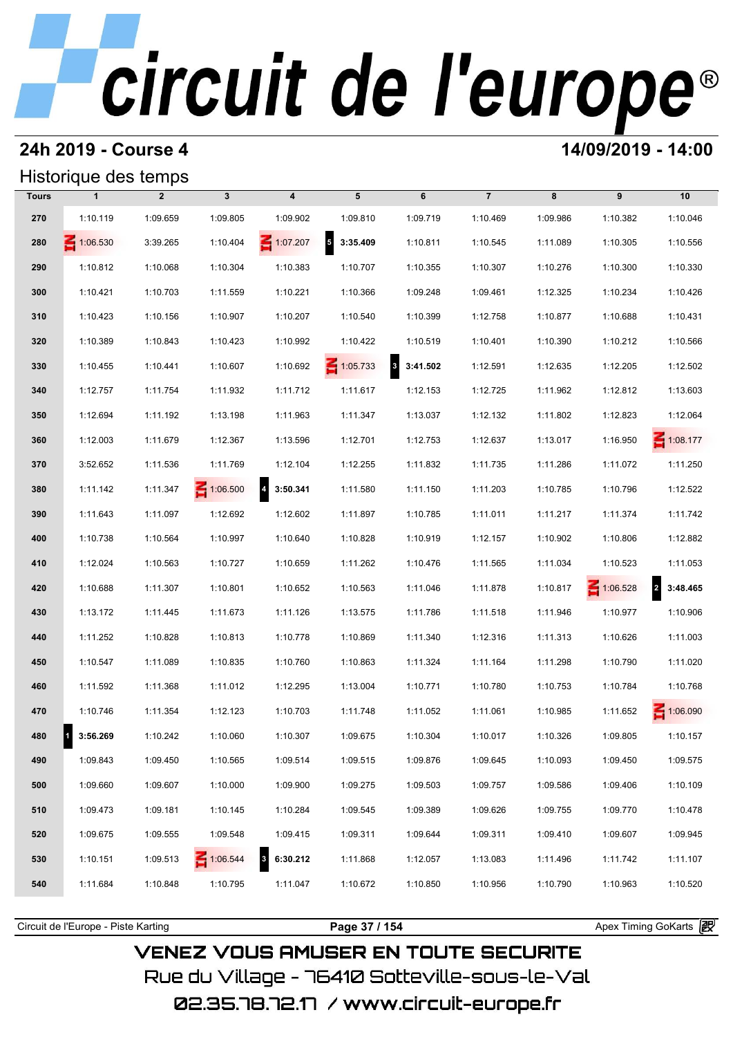## **24h 2019 - Course 4 14/09/2019 - 14:00**

## Historique des temps

|              | Historique des temps |                |                 |                                     |                                      |            |                |          |                 |                 |
|--------------|----------------------|----------------|-----------------|-------------------------------------|--------------------------------------|------------|----------------|----------|-----------------|-----------------|
| <b>Tours</b> | $\mathbf{1}$         | $\overline{2}$ | $\mathbf{3}$    | $\overline{\mathbf{4}}$             | 5                                    | 6          | $\overline{7}$ | 8        | 9               | 10              |
| 270          | 1:10.119             | 1:09.659       | 1:09.805        | 1:09.902                            | 1:09.810                             | 1:09.719   | 1:10.469       | 1:09.986 | 1:10.382        | 1:10.046        |
| 280          | $\leq 1:06.530$      | 3:39.265       | 1:10.404        | $\leq 1:07.207$                     | $\overline{\phantom{a}}$<br>3:35.409 | 1:10.811   | 1:10.545       | 1:11.089 | 1:10.305        | 1:10.556        |
| 290          | 1:10.812             | 1:10.068       | 1:10.304        | 1:10.383                            | 1:10.707                             | 1:10.355   | 1:10.307       | 1:10.276 | 1:10.300        | 1:10.330        |
| 300          | 1:10.421             | 1:10.703       | 1:11.559        | 1:10.221                            | 1:10.366                             | 1:09.248   | 1:09.461       | 1:12.325 | 1:10.234        | 1:10.426        |
| 310          | 1:10.423             | 1:10.156       | 1:10.907        | 1:10.207                            | 1:10.540                             | 1:10.399   | 1:12.758       | 1:10.877 | 1:10.688        | 1:10.431        |
| 320          | 1:10.389             | 1:10.843       | 1:10.423        | 1:10.992                            | 1:10.422                             | 1:10.519   | 1:10.401       | 1:10.390 | 1:10.212        | 1:10.566        |
| 330          | 1:10.455             | 1:10.441       | 1:10.607        | 1:10.692                            | 1:05.733                             | 8 3:41.502 | 1:12.591       | 1:12.635 | 1:12.205        | 1:12.502        |
| 340          | 1:12.757             | 1:11.754       | 1:11.932        | 1:11.712                            | 1:11.617                             | 1:12.153   | 1:12.725       | 1:11.962 | 1:12.812        | 1:13.603        |
| 350          | 1:12.694             | 1:11.192       | 1:13.198        | 1:11.963                            | 1:11.347                             | 1:13.037   | 1:12.132       | 1:11.802 | 1:12.823        | 1:12.064        |
| 360          | 1:12.003             | 1:11.679       | 1:12.367        | 1:13.596                            | 1:12.701                             | 1:12.753   | 1:12.637       | 1:13.017 | 1:16.950        | $\leq 1:08.177$ |
| 370          | 3:52.652             | 1:11.536       | 1:11.769        | 1:12.104                            | 1:12.255                             | 1:11.832   | 1:11.735       | 1:11.286 | 1:11.072        | 1:11.250        |
| 380          | 1:11.142             | 1:11.347       | $\leq 1:06.500$ | $\overline{\mathbf{r}}$<br>3:50.341 | 1:11.580                             | 1:11.150   | 1:11.203       | 1:10.785 | 1:10.796        | 1:12.522        |
| 390          | 1:11.643             | 1:11.097       | 1:12.692        | 1:12.602                            | 1:11.897                             | 1:10.785   | 1:11.011       | 1:11.217 | 1:11.374        | 1:11.742        |
| 400          | 1:10.738             | 1:10.564       | 1:10.997        | 1:10.640                            | 1:10.828                             | 1:10.919   | 1:12.157       | 1:10.902 | 1:10.806        | 1:12.882        |
| 410          | 1:12.024             | 1:10.563       | 1:10.727        | 1:10.659                            | 1:11.262                             | 1:10.476   | 1:11.565       | 1:11.034 | 1:10.523        | 1:11.053        |
| 420          | 1:10.688             | 1:11.307       | 1:10.801        | 1:10.652                            | 1:10.563                             | 1:11.046   | 1:11.878       | 1:10.817 | $\leq 1:06.528$ | 2 3:48.465      |
| 430          | 1:13.172             | 1:11.445       | 1:11.673        | 1:11.126                            | 1:13.575                             | 1:11.786   | 1:11.518       | 1:11.946 | 1:10.977        | 1:10.906        |
| 440          | 1:11.252             | 1:10.828       | 1:10.813        | 1:10.778                            | 1:10.869                             | 1:11.340   | 1:12.316       | 1:11.313 | 1:10.626        | 1:11.003        |
| 450          | 1:10.547             | 1:11.089       | 1:10.835        | 1:10.760                            | 1:10.863                             | 1:11.324   | 1:11.164       | 1:11.298 | 1:10.790        | 1:11.020        |
| 460          | 1:11.592             | 1:11.368       | 1:11.012        | 1:12.295                            | 1:13.004                             | 1:10.771   | 1:10.780       | 1:10.753 | 1:10.784        | 1:10.768        |
| 470          | 1:10.746             | 1:11.354       | 1:12.123        | 1:10.703                            | 1:11.748                             | 1:11.052   | 1:11.061       | 1:10.985 | 1:11.652        | $\leq 1:06.090$ |
| 480          | 3:56.269             | 1:10.242       | 1:10.060        | 1:10.307                            | 1:09.675                             | 1:10.304   | 1:10.017       | 1:10.326 | 1:09.805        | 1:10.157        |
| 490          | 1:09.843             | 1:09.450       | 1:10.565        | 1:09.514                            | 1:09.515                             | 1:09.876   | 1:09.645       | 1:10.093 | 1:09.450        | 1:09.575        |
| 500          | 1:09.660             | 1:09.607       | 1:10.000        | 1:09.900                            | 1:09.275                             | 1:09.503   | 1:09.757       | 1:09.586 | 1:09.406        | 1:10.109        |
| 510          | 1:09.473             | 1:09.181       | 1:10.145        | 1:10.284                            | 1:09.545                             | 1:09.389   | 1:09.626       | 1:09.755 | 1:09.770        | 1:10.478        |
| 520          | 1:09.675             | 1:09.555       | 1:09.548        | 1:09.415                            | 1:09.311                             | 1:09.644   | 1:09.311       | 1:09.410 | 1:09.607        | 1:09.945        |
| 530          | 1:10.151             | 1:09.513       | $\leq 1:06.544$ | 3<br>6:30.212                       | 1:11.868                             | 1:12.057   | 1:13.083       | 1:11.496 | 1:11.742        | 1:11.107        |
| 540          | 1:11.684             | 1:10.848       | 1:10.795        | 1:11.047                            | 1:10.672                             | 1:10.850   | 1:10.956       | 1:10.790 | 1:10.963        | 1:10.520        |
|              |                      |                |                 |                                     |                                      |            |                |          |                 |                 |

**VENEZ VOUS AMUSER EN TOUTE SECURITE** Rue du Village – 76410 Sotteville-sous-le-Val

02.35.78.72.17 /www.circuit-europe.fr

Circuit de l'Europe - Piste Karting **Page 37 / 154 Page 37 / 154** Apex Timing GoKarts and Apex Timing Apex Timing Go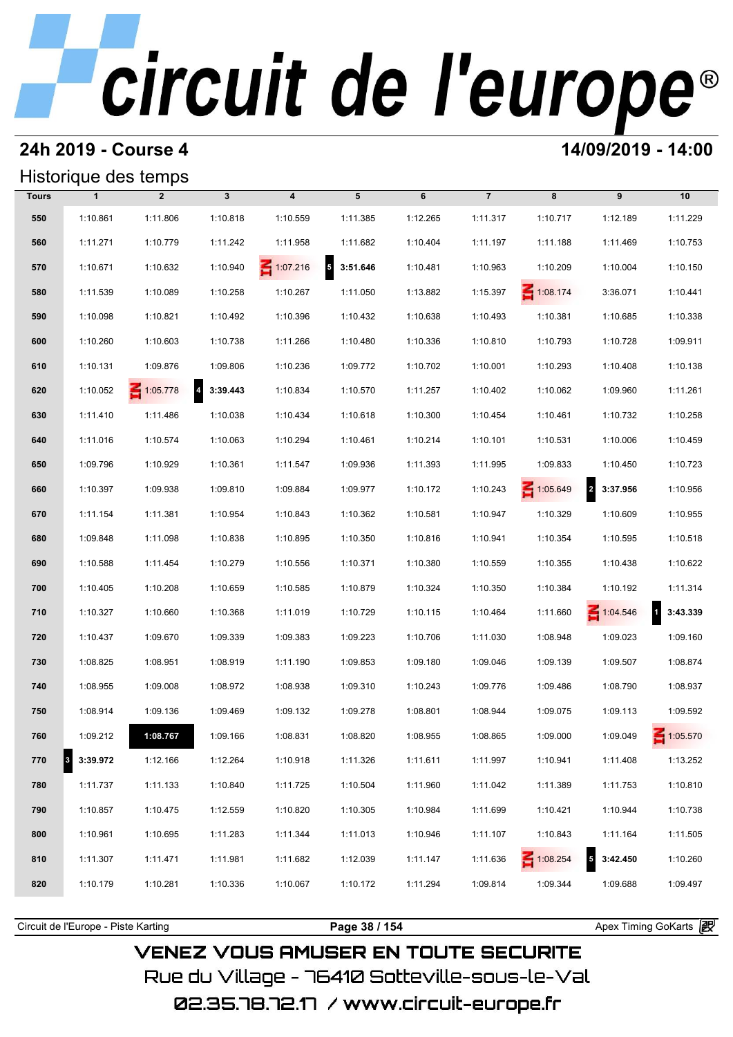## **24h 2019 - Course 4 14/09/2019 - 14:00**

## Historique des temps

| Historique des temps |               |                 |                            |                         |               |          |                |                 |                                     |                 |  |
|----------------------|---------------|-----------------|----------------------------|-------------------------|---------------|----------|----------------|-----------------|-------------------------------------|-----------------|--|
| <b>Tours</b>         | $\mathbf{1}$  | $\overline{2}$  | $\mathbf{3}$               | $\overline{\mathbf{4}}$ | 5             | 6        | $\overline{7}$ | 8               | 9                                   | 10              |  |
| 550                  | 1:10.861      | 1:11.806        | 1:10.818                   | 1:10.559                | 1:11.385      | 1:12.265 | 1:11.317       | 1:10.717        | 1:12.189                            | 1:11.229        |  |
| 560                  | 1:11.271      | 1:10.779        | 1:11.242                   | 1:11.958                | 1:11.682      | 1:10.404 | 1:11.197       | 1:11.188        | 1:11.469                            | 1:10.753        |  |
| 570                  | 1:10.671      | 1:10.632        | 1:10.940                   | $\leq 1:07.216$         | 5<br>3:51.646 | 1:10.481 | 1:10.963       | 1:10.209        | 1:10.004                            | 1:10.150        |  |
| 580                  | 1:11.539      | 1:10.089        | 1:10.258                   | 1:10.267                | 1:11.050      | 1:13.882 | 1:15.397       | $\leq 1:08.174$ | 3:36.071                            | 1:10.441        |  |
| 590                  | 1:10.098      | 1:10.821        | 1:10.492                   | 1:10.396                | 1:10.432      | 1:10.638 | 1:10.493       | 1:10.381        | 1:10.685                            | 1:10.338        |  |
| 600                  | 1:10.260      | 1:10.603        | 1:10.738                   | 1:11.266                | 1:10.480      | 1:10.336 | 1:10.810       | 1:10.793        | 1:10.728                            | 1:09.911        |  |
| 610                  | 1:10.131      | 1:09.876        | 1:09.806                   | 1:10.236                | 1:09.772      | 1:10.702 | 1:10.001       | 1:10.293        | 1:10.408                            | 1:10.138        |  |
| 620                  | 1:10.052      | $\leq 1:05.778$ | $\overline{4}$<br>3:39.443 | 1:10.834                | 1:10.570      | 1:11.257 | 1:10.402       | 1:10.062        | 1:09.960                            | 1:11.261        |  |
| 630                  | 1:11.410      | 1:11.486        | 1:10.038                   | 1:10.434                | 1:10.618      | 1:10.300 | 1:10.454       | 1:10.461        | 1:10.732                            | 1:10.258        |  |
| 640                  | 1:11.016      | 1:10.574        | 1:10.063                   | 1:10.294                | 1:10.461      | 1:10.214 | 1:10.101       | 1:10.531        | 1:10.006                            | 1:10.459        |  |
| 650                  | 1:09.796      | 1:10.929        | 1:10.361                   | 1:11.547                | 1:09.936      | 1:11.393 | 1:11.995       | 1:09.833        | 1:10.450                            | 1:10.723        |  |
| 660                  | 1:10.397      | 1:09.938        | 1:09.810                   | 1:09.884                | 1:09.977      | 1:10.172 | 1:10.243       | $\leq 1:05.649$ | $\overline{a}$<br>3:37.956          | 1:10.956        |  |
| 670                  | 1:11.154      | 1:11.381        | 1:10.954                   | 1:10.843                | 1:10.362      | 1:10.581 | 1:10.947       | 1:10.329        | 1:10.609                            | 1:10.955        |  |
| 680                  | 1:09.848      | 1:11.098        | 1:10.838                   | 1:10.895                | 1:10.350      | 1:10.816 | 1:10.941       | 1:10.354        | 1:10.595                            | 1:10.518        |  |
| 690                  | 1:10.588      | 1:11.454        | 1:10.279                   | 1:10.556                | 1:10.371      | 1:10.380 | 1:10.559       | 1:10.355        | 1:10.438                            | 1:10.622        |  |
| 700                  | 1:10.405      | 1:10.208        | 1:10.659                   | 1:10.585                | 1:10.879      | 1:10.324 | 1:10.350       | 1:10.384        | 1:10.192                            | 1:11.314        |  |
| 710                  | 1:10.327      | 1:10.660        | 1:10.368                   | 1:11.019                | 1:10.729      | 1:10.115 | 1:10.464       | 1:11.660        | $\leq 1:04.546$                     | 3:43.339        |  |
| 720                  | 1:10.437      | 1:09.670        | 1:09.339                   | 1:09.383                | 1:09.223      | 1:10.706 | 1:11.030       | 1:08.948        | 1:09.023                            | 1:09.160        |  |
| 730                  | 1:08.825      | 1:08.951        | 1:08.919                   | 1:11.190                | 1:09.853      | 1:09.180 | 1:09.046       | 1:09.139        | 1:09.507                            | 1:08.874        |  |
| 740                  | 1:08.955      | 1:09.008        | 1:08.972                   | 1:08.938                | 1:09.310      | 1:10.243 | 1:09.776       | 1:09.486        | 1:08.790                            | 1:08.937        |  |
| 750                  | 1:08.914      | 1:09.136        | 1:09.469                   | 1:09.132                | 1:09.278      | 1:08.801 | 1:08.944       | 1:09.075        | 1:09.113                            | 1:09.592        |  |
| 760                  | 1:09.212      | 1:08.767        | 1:09.166                   | 1:08.831                | 1:08.820      | 1:08.955 | 1:08.865       | 1:09.000        | 1:09.049                            | $\leq 1:05.570$ |  |
| 770                  | 3:39.972<br>3 | 1:12.166        | 1:12.264                   | 1:10.918                | 1:11.326      | 1:11.611 | 1:11.997       | 1:10.941        | 1:11.408                            | 1:13.252        |  |
| 780                  | 1:11.737      | 1:11.133        | 1:10.840                   | 1:11.725                | 1:10.504      | 1:11.960 | 1:11.042       | 1:11.389        | 1:11.753                            | 1:10.810        |  |
| 790                  | 1:10.857      | 1:10.475        | 1:12.559                   | 1:10.820                | 1:10.305      | 1:10.984 | 1:11.699       | 1:10.421        | 1:10.944                            | 1:10.738        |  |
| 800                  | 1:10.961      | 1:10.695        | 1:11.283                   | 1:11.344                | 1:11.013      | 1:10.946 | 1:11.107       | 1:10.843        | 1:11.164                            | 1:11.505        |  |
| 810                  | 1:11.307      | 1:11.471        | 1:11.981                   | 1:11.682                | 1:12.039      | 1:11.147 | 1:11.636       | 1:08.254        | $\overline{\mathbf{5}}$<br>3:42.450 | 1:10.260        |  |
| 820                  | 1:10.179      | 1:10.281        | 1:10.336                   | 1:10.067                | 1:10.172      | 1:11.294 | 1:09.814       | 1:09.344        | 1:09.688                            | 1:09.497        |  |
|                      |               |                 |                            |                         |               |          |                |                 |                                     |                 |  |

**VENEZ VOUS AMUSER EN TOUTE SECURITE** Rue du Village – 76410 Sotteville-sous-le-Val

Circuit de l'Europe - Piste Karting **Page 38 / 154 Page 38 / 154** Apex Timing GoKarts and Apex Timing Apex Timing Go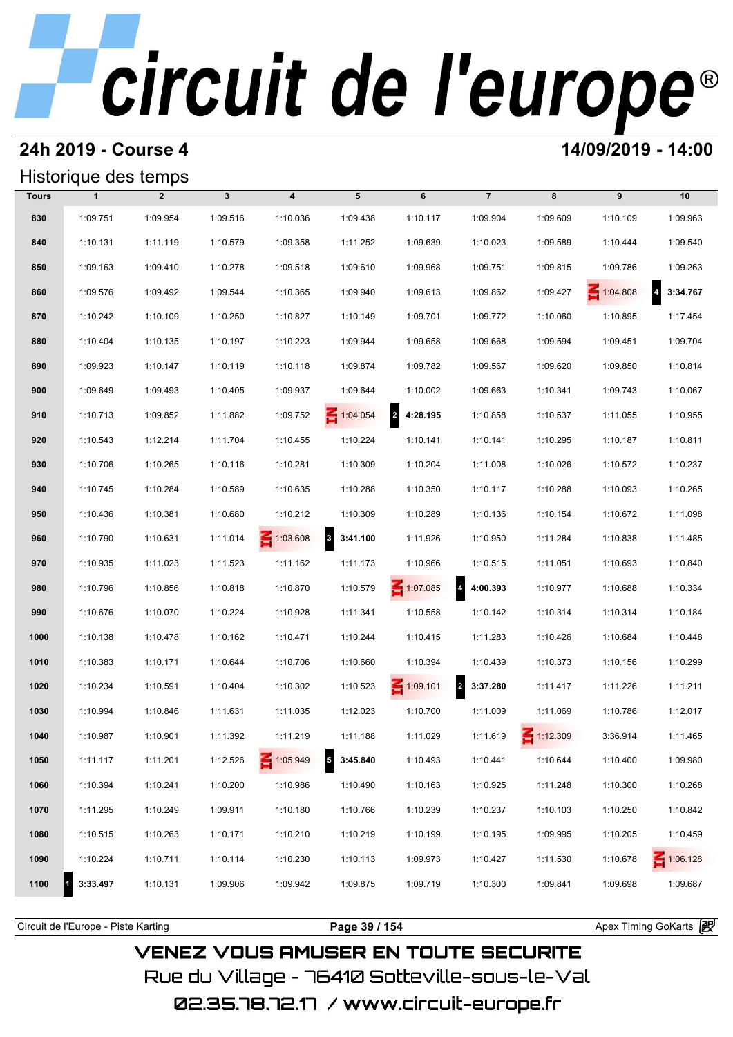### **24h 2019 - Course 4 14/09/2019 - 14:00**

### Historique des temps

|              | Historique des temps |                |              |                         |                                      |                                     |                                     |                 |          |                                     |
|--------------|----------------------|----------------|--------------|-------------------------|--------------------------------------|-------------------------------------|-------------------------------------|-----------------|----------|-------------------------------------|
| <b>Tours</b> | $\mathbf{1}$         | $\overline{2}$ | $\mathbf{3}$ | $\overline{\mathbf{4}}$ | 5                                    | 6                                   | $\overline{7}$                      | 8               | 9        | 10                                  |
| 830          | 1:09.751             | 1:09.954       | 1:09.516     | 1:10.036                | 1:09.438                             | 1:10.117                            | 1:09.904                            | 1:09.609        | 1:10.109 | 1:09.963                            |
| 840          | 1:10.131             | 1:11.119       | 1:10.579     | 1:09.358                | 1:11.252                             | 1:09.639                            | 1:10.023                            | 1:09.589        | 1:10.444 | 1:09.540                            |
| 850          | 1:09.163             | 1:09.410       | 1:10.278     | 1:09.518                | 1:09.610                             | 1:09.968                            | 1:09.751                            | 1:09.815        | 1:09.786 | 1:09.263                            |
| 860          | 1:09.576             | 1:09.492       | 1:09.544     | 1:10.365                | 1:09.940                             | 1:09.613                            | 1:09.862                            | 1:09.427        | 1:04.808 | $\overline{\mathbf{4}}$<br>3:34.767 |
| 870          | 1:10.242             | 1:10.109       | 1:10.250     | 1:10.827                | 1:10.149                             | 1:09.701                            | 1:09.772                            | 1:10.060        | 1:10.895 | 1:17.454                            |
| 880          | 1:10.404             | 1:10.135       | 1:10.197     | 1:10.223                | 1:09.944                             | 1:09.658                            | 1:09.668                            | 1:09.594        | 1:09.451 | 1:09.704                            |
| 890          | 1:09.923             | 1:10.147       | 1:10.119     | 1:10.118                | 1:09.874                             | 1:09.782                            | 1:09.567                            | 1:09.620        | 1:09.850 | 1:10.814                            |
| 900          | 1:09.649             | 1:09.493       | 1:10.405     | 1:09.937                | 1:09.644                             | 1:10.002                            | 1:09.663                            | 1:10.341        | 1:09.743 | 1:10.067                            |
| 910          | 1:10.713             | 1:09.852       | 1:11.882     | 1:09.752                | 1:04.054                             | $\overline{\mathbf{r}}$<br>4:28.195 | 1:10.858                            | 1:10.537        | 1:11.055 | 1:10.955                            |
| 920          | 1:10.543             | 1:12.214       | 1:11.704     | 1:10.455                | 1:10.224                             | 1:10.141                            | 1:10.141                            | 1:10.295        | 1:10.187 | 1:10.811                            |
| 930          | 1:10.706             | 1:10.265       | 1:10.116     | 1:10.281                | 1:10.309                             | 1:10.204                            | 1:11.008                            | 1:10.026        | 1:10.572 | 1:10.237                            |
| 940          | 1:10.745             | 1:10.284       | 1:10.589     | 1:10.635                | 1:10.288                             | 1:10.350                            | 1:10.117                            | 1:10.288        | 1:10.093 | 1:10.265                            |
| 950          | 1:10.436             | 1:10.381       | 1:10.680     | 1:10.212                | 1:10.309                             | 1:10.289                            | 1:10.136                            | 1:10.154        | 1:10.672 | 1:11.098                            |
| 960          | 1:10.790             | 1:10.631       | 1:11.014     | $\leq 1:03.608$         | $\overline{\mathbf{3}}$<br>3:41.100  | 1:11.926                            | 1:10.950                            | 1:11.284        | 1:10.838 | 1:11.485                            |
| 970          | 1:10.935             | 1:11.023       | 1:11.523     | 1:11.162                | 1:11.173                             | 1:10.966                            | 1:10.515                            | 1:11.051        | 1:10.693 | 1:10.840                            |
| 980          | 1:10.796             | 1:10.856       | 1:10.818     | 1:10.870                | 1:10.579                             | $\leq 1:07.085$                     | 4 4:00.393                          | 1:10.977        | 1:10.688 | 1:10.334                            |
| 990          | 1:10.676             | 1:10.070       | 1:10.224     | 1:10.928                | 1:11.341                             | 1:10.558                            | 1:10.142                            | 1:10.314        | 1:10.314 | 1:10.184                            |
| 1000         | 1:10.138             | 1:10.478       | 1:10.162     | 1:10.471                | 1:10.244                             | 1:10.415                            | 1:11.283                            | 1:10.426        | 1:10.684 | 1:10.448                            |
| 1010         | 1:10.383             | 1:10.171       | 1:10.644     | 1:10.706                | 1:10.660                             | 1:10.394                            | 1:10.439                            | 1:10.373        | 1:10.156 | 1:10.299                            |
| 1020         | 1:10.234             | 1:10.591       | 1:10.404     | 1:10.302                | 1:10.523                             | $\leq 1:09.101$                     | $\overline{\mathbf{2}}$<br>3:37.280 | 1:11.417        | 1:11.226 | 1:11.211                            |
| 1030         | 1:10.994             | 1:10.846       | 1:11.631     | 1:11.035                | 1:12.023                             | 1:10.700                            | 1:11.009                            | 1:11.069        | 1:10.786 | 1:12.017                            |
| 1040         | 1:10.987             | 1:10.901       | 1:11.392     | 1:11.219                | 1:11.188                             | 1:11.029                            | 1:11.619                            | $\leq 1:12.309$ | 3:36.914 | 1:11.465                            |
| 1050         | 1:11.117             | 1:11.201       | 1:12.526     | 1:05.949                | $\overline{\phantom{a}}$<br>3:45.840 | 1:10.493                            | 1:10.441                            | 1:10.644        | 1:10.400 | 1:09.980                            |
| 1060         | 1:10.394             | 1:10.241       | 1:10.200     | 1:10.986                | 1:10.490                             | 1:10.163                            | 1:10.925                            | 1:11.248        | 1:10.300 | 1:10.268                            |
| 1070         | 1:11.295             | 1:10.249       | 1:09.911     | 1:10.180                | 1:10.766                             | 1:10.239                            | 1:10.237                            | 1:10.103        | 1:10.250 | 1:10.842                            |
| 1080         | 1:10.515             | 1:10.263       | 1:10.171     | 1:10.210                | 1:10.219                             | 1:10.199                            | 1:10.195                            | 1:09.995        | 1:10.205 | 1:10.459                            |
| 1090         | 1:10.224             | 1:10.711       | 1:10.114     | 1:10.230                | 1:10.113                             | 1:09.973                            | 1:10.427                            | 1:11.530        | 1:10.678 | $\leq 1:06.128$                     |
| 1100         | 3:33.497             | 1:10.131       | 1:09.906     | 1:09.942                | 1:09.875                             | 1:09.719                            | 1:10.300                            | 1:09.841        | 1:09.698 | 1:09.687                            |
|              |                      |                |              |                         |                                      |                                     |                                     |                 |          |                                     |

**VENEZ VOUS AMUSER EN TOUTE SECURITE** Rue du Village – 76410 Sotteville-sous-le-Val 02.35.78.72.17 /www.circuit-europe.fr

Circuit de l'Europe - Piste Karting **Page 39 / 154 Page 39 / 154** Apex Timing GoKarts and Apex Timing Apex Timing Go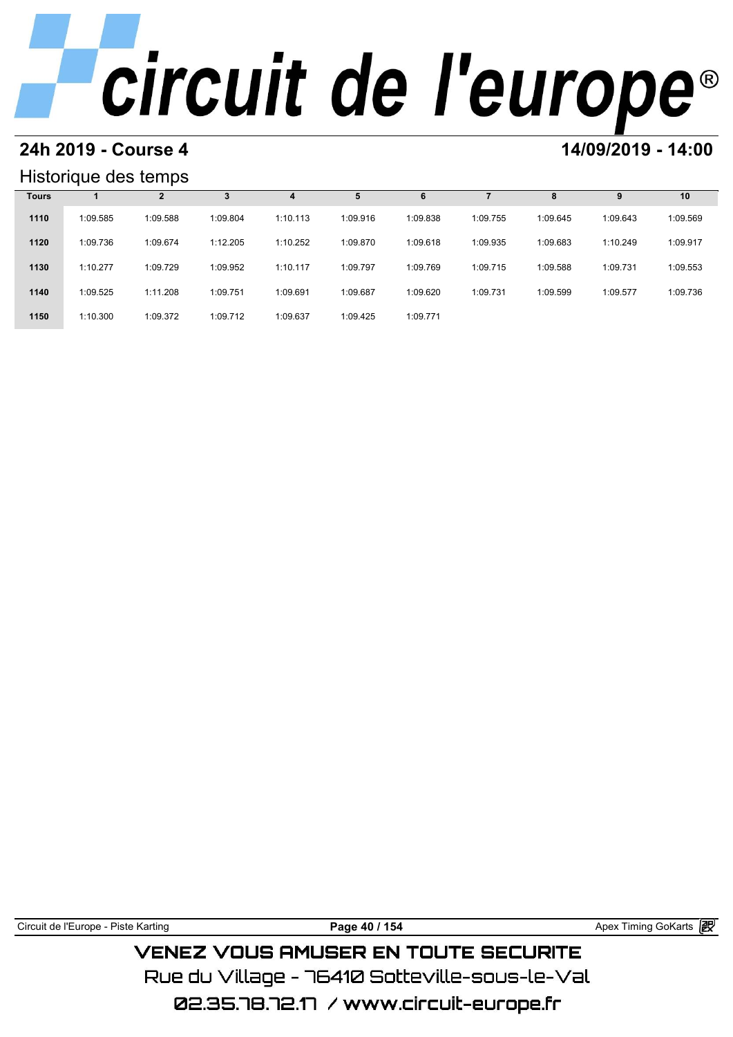# **24h 2019 - Course 4 12000 12000 14/09/2019 - 14:00**

### Historique des temps

|              | Historique des temps |          |          |          |          |          |          |          |          |          |
|--------------|----------------------|----------|----------|----------|----------|----------|----------|----------|----------|----------|
| <b>Tours</b> |                      | 2        | 3        | 4        |          | 6        |          | 8        | 9        | 10       |
| 1110         | 1:09.585             | 1:09.588 | 1:09.804 | 1:10.113 | 1:09.916 | 1:09.838 | 1:09.755 | 1:09.645 | 1:09.643 | 1:09.569 |
| 1120         | 1:09.736             | 1:09.674 | 1:12.205 | 1:10.252 | 1:09.870 | 1:09.618 | 1:09.935 | 1:09.683 | 1:10.249 | 1:09.917 |
| 1130         | 1:10.277             | 1:09.729 | 1:09.952 | 1:10.117 | 1:09.797 | 1:09.769 | 1:09.715 | 1:09.588 | 1:09.731 | 1:09.553 |
| 1140         | 1:09.525             | 1:11.208 | 1:09.751 | 1:09.691 | 1:09.687 | 1:09.620 | 1:09.731 | 1:09.599 | 1:09.577 | 1:09.736 |
| 1150         | 1:10.300             | 1:09.372 | 1:09.712 | 1:09.637 | 1:09.425 | 1:09.771 |          |          |          |          |

Circuit de l'Europe - Piste Karting **Page 40 / 154 Page 40 / 154** Apex Timing GoKarts and Apex Timing Apex Timing Go **VENEZ VOUS AMUSER EN TOUTE SECURITE** Rue du Village – 76410 Sotteville-sous-le-Val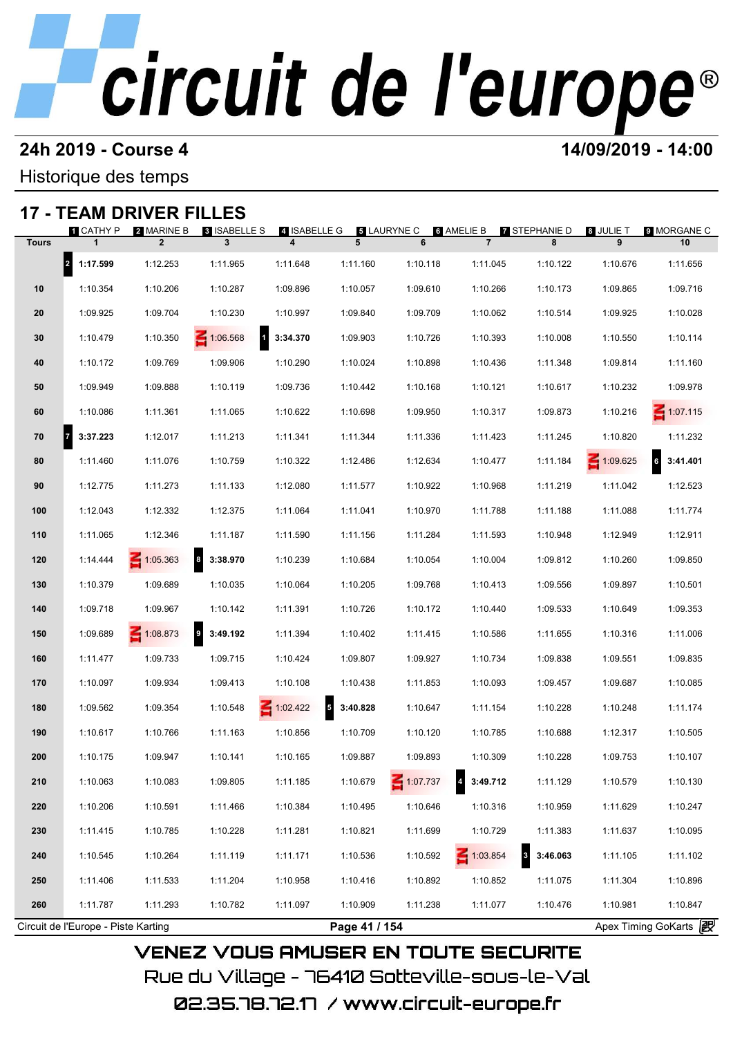## **24h 2019 - Course 4 14/09/2019 - 14:00**

Historique des temps

## **17 - TEAM DRIVER FILLES**

| $17 -$       | <b>I LAM DRIVER FILLES</b>          |                              |                                   |                   |                                      |                 |                              |                                     |                 |                          |
|--------------|-------------------------------------|------------------------------|-----------------------------------|-------------------|--------------------------------------|-----------------|------------------------------|-------------------------------------|-----------------|--------------------------|
| <b>Tours</b> | 1 CATHY P                           | 2 MARINE B<br>$\overline{2}$ | <b>8 ISABELLE S</b><br>3          | 4 ISABELLE G<br>4 | 5 LAURYNE C<br>5                     | 6               | 6 AMELIE B<br>$\overline{7}$ | <b>7 STEPHANIE D</b><br>8           | 8 JULIE T<br>9  | <b>9 MORGANE C</b><br>10 |
|              |                                     |                              |                                   |                   |                                      |                 |                              |                                     |                 |                          |
|              | 2 1:17.599                          | 1:12.253                     | 1:11.965                          | 1:11.648          | 1:11.160                             | 1:10.118        | 1:11.045                     | 1:10.122                            | 1:10.676        | 1:11.656                 |
| 10           | 1:10.354                            | 1:10.206                     | 1:10.287                          | 1:09.896          | 1:10.057                             | 1:09.610        | 1:10.266                     | 1:10.173                            | 1:09.865        | 1:09.716                 |
| 20           | 1:09.925                            | 1:09.704                     | 1:10.230                          | 1:10.997          | 1:09.840                             | 1:09.709        | 1:10.062                     | 1:10.514                            | 1:09.925        | 1:10.028                 |
| 30           | 1:10.479                            | 1:10.350                     | $\blacksquare$<br>$\leq 1:06.568$ | 3:34.370          | 1:09.903                             | 1:10.726        | 1:10.393                     | 1:10.008                            | 1:10.550        | 1:10.114                 |
| 40           | 1:10.172                            | 1:09.769                     | 1:09.906                          | 1:10.290          | 1:10.024                             | 1:10.898        | 1:10.436                     | 1:11.348                            | 1:09.814        | 1:11.160                 |
| 50           | 1:09.949                            | 1:09.888                     | 1:10.119                          | 1:09.736          | 1:10.442                             | 1:10.168        | 1:10.121                     | 1:10.617                            | 1:10.232        | 1:09.978                 |
| 60           | 1:10.086                            | 1:11.361                     | 1:11.065                          | 1:10.622          | 1:10.698                             | 1:09.950        | 1:10.317                     | 1:09.873                            | 1:10.216        | $\leq 1:07.115$          |
| 70           | $\overline{7}$<br>3:37.223          | 1:12.017                     | 1:11.213                          | 1:11.341          | 1:11.344                             | 1:11.336        | 1:11.423                     | 1:11.245                            | 1:10.820        | 1:11.232                 |
| 80           | 1:11.460                            | 1:11.076                     | 1:10.759                          | 1:10.322          | 1:12.486                             | 1:12.634        | 1:10.477                     | 1:11.184                            | $\leq 1:09.625$ | <b>6</b><br>3:41.401     |
| 90           | 1:12.775                            | 1:11.273                     | 1:11.133                          | 1:12.080          | 1:11.577                             | 1:10.922        | 1:10.968                     | 1:11.219                            | 1:11.042        | 1:12.523                 |
| 100          | 1:12.043                            | 1:12.332                     | 1:12.375                          | 1:11.064          | 1:11.041                             | 1:10.970        | 1:11.788                     | 1:11.188                            | 1:11.088        | 1:11.774                 |
| 110          | 1:11.065                            | 1:12.346                     | 1:11.187                          | 1:11.590          | 1:11.156                             | 1:11.284        | 1:11.593                     | 1:10.948                            | 1:12.949        | 1:12.911                 |
| 120          | 1:14.444                            | $\leq 1:05.363$              | 3:38.970<br>$\boldsymbol{8}$      | 1:10.239          | 1:10.684                             | 1:10.054        | 1:10.004                     | 1:09.812                            | 1:10.260        | 1:09.850                 |
| 130          | 1:10.379                            | 1:09.689                     | 1:10.035                          | 1:10.064          | 1:10.205                             | 1:09.768        | 1:10.413                     | 1:09.556                            | 1:09.897        | 1:10.501                 |
| 140          | 1:09.718                            | 1:09.967                     | 1:10.142                          | 1:11.391          | 1:10.726                             | 1:10.172        | 1:10.440                     | 1:09.533                            | 1:10.649        | 1:09.353                 |
| 150          | 1:09.689                            | $\leq 1:08.873$              | 3:49.192<br>9                     | 1:11.394          | 1:10.402                             | 1:11.415        | 1:10.586                     | 1:11.655                            | 1:10.316        | 1:11.006                 |
| 160          | 1:11.477                            | 1:09.733                     | 1:09.715                          | 1:10.424          | 1:09.807                             | 1:09.927        | 1:10.734                     | 1:09.838                            | 1:09.551        | 1:09.835                 |
| 170          | 1:10.097                            | 1:09.934                     | 1:09.413                          | 1:10.108          | 1:10.438                             | 1:11.853        | 1:10.093                     | 1:09.457                            | 1:09.687        | 1:10.085                 |
| 180          | 1:09.562                            | 1:09.354                     | 1:10.548                          | $\leq 1:02.422$   | $\overline{\phantom{a}}$<br>3:40.828 | 1:10.647        | 1:11.154                     | 1:10.228                            | 1:10.248        | 1:11.174                 |
| 190          | 1:10.617                            | 1:10.766                     | 1:11.163                          | 1:10.856          | 1:10.709                             | 1:10.120        | 1:10.785                     | 1:10.688                            | 1:12.317        | 1:10.505                 |
|              |                                     |                              |                                   |                   |                                      |                 |                              |                                     |                 |                          |
| 200          | 1:10.175                            | 1:09.947                     | 1:10.141                          | 1:10.165          | 1:09.887                             | 1:09.893        | 1:10.309                     | 1:10.228                            | 1:09.753        | 1:10.107                 |
| 210          | 1:10.063                            | 1:10.083                     | 1:09.805                          | 1:11.185          | 1:10.679                             | $\leq 1:07.737$ | 3:49.712                     | 1:11.129                            | 1:10.579        | 1:10.130                 |
| 220          | 1:10.206                            | 1:10.591                     | 1:11.466                          | 1:10.384          | 1:10.495                             | 1:10.646        | 1:10.316                     | 1:10.959                            | 1:11.629        | 1:10.247                 |
| 230          | 1:11.415                            | 1:10.785                     | 1:10.228                          | 1:11.281          | 1:10.821                             | 1:11.699        | 1:10.729                     | 1:11.383                            | 1:11.637        | 1:10.095                 |
| 240          | 1:10.545                            | 1:10.264                     | 1:11.119                          | 1:11.171          | 1:10.536                             | 1:10.592        | $\leq 1:03.854$              | $\overline{\mathbf{3}}$<br>3:46.063 | 1:11.105        | 1:11.102                 |
| 250          | 1:11.406                            | 1:11.533                     | 1:11.204                          | 1:10.958          | 1:10.416                             | 1:10.892        | 1:10.852                     | 1:11.075                            | 1:11.304        | 1:10.896                 |
| 260          | 1:11.787                            | 1:11.293                     | 1:10.782                          | 1:11.097          | 1:10.909                             | 1:11.238        | 1:11.077                     | 1:10.476                            | 1:10.981        | 1:10.847                 |
|              | Circuit de l'Europe - Piste Karting |                              |                                   |                   | Page 41 / 154                        |                 |                              |                                     |                 | Apex Timing GoKarts 2    |

02.35.78.72.17 / www.circuit-europe.fr

Rue du Village – 76410 Sotteville–sous–le–Val

**VENEZ VOUS AMUSER EN TOUTE SECURITE**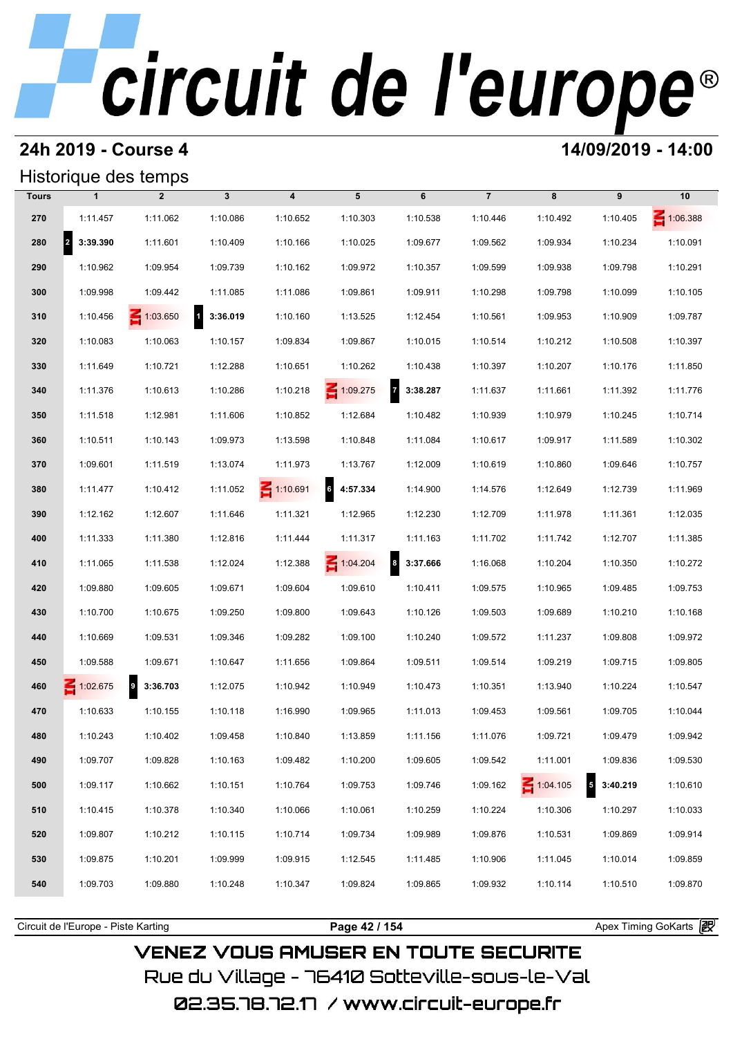## **24h 2019 - Course 4 14/09/2019 - 14:00**

## Historique des temps

|              |                                  | Historique des temps |              |                         |                 |                              |                |                 |                        |          |
|--------------|----------------------------------|----------------------|--------------|-------------------------|-----------------|------------------------------|----------------|-----------------|------------------------|----------|
| <b>Tours</b> | $\mathbf{1}$                     | $\overline{2}$       | $\mathbf{3}$ | $\overline{\mathbf{4}}$ | 5               | 6                            | $\overline{7}$ | 8               | 9                      | 10       |
| 270          | 1:11.457                         | 1:11.062             | 1:10.086     | 1:10.652                | 1:10.303        | 1:10.538                     | 1:10.446       | 1:10.492        | 1:10.405               | 1:06.388 |
| 280          | $\vert$ <sub>2</sub><br>3:39.390 | 1:11.601             | 1:10.409     | 1:10.166                | 1:10.025        | 1:09.677                     | 1:09.562       | 1:09.934        | 1:10.234               | 1:10.091 |
| 290          | 1:10.962                         | 1:09.954             | 1:09.739     | 1:10.162                | 1:09.972        | 1:10.357                     | 1:09.599       | 1:09.938        | 1:09.798               | 1:10.291 |
| 300          | 1:09.998                         | 1:09.442             | 1:11.085     | 1:11.086                | 1:09.861        | 1:09.911                     | 1:10.298       | 1:09.798        | 1:10.099               | 1:10.105 |
| 310          | 1:10.456                         | $\leq 1:03.650$      | 13:36.019    | 1:10.160                | 1:13.525        | 1:12.454                     | 1:10.561       | 1:09.953        | 1:10.909               | 1:09.787 |
| 320          | 1:10.083                         | 1:10.063             | 1:10.157     | 1:09.834                | 1:09.867        | 1:10.015                     | 1:10.514       | 1:10.212        | 1:10.508               | 1:10.397 |
| 330          | 1:11.649                         | 1:10.721             | 1:12.288     | 1:10.651                | 1:10.262        | 1:10.438                     | 1:10.397       | 1:10.207        | 1:10.176               | 1:11.850 |
| 340          | 1:11.376                         | 1:10.613             | 1:10.286     | 1:10.218                | $\leq 1:09.275$ | $\overline{7}$<br>3:38.287   | 1:11.637       | 1:11.661        | 1:11.392               | 1:11.776 |
| 350          | 1:11.518                         | 1:12.981             | 1:11.606     | 1:10.852                | 1:12.684        | 1:10.482                     | 1:10.939       | 1:10.979        | 1:10.245               | 1:10.714 |
| 360          | 1:10.511                         | 1:10.143             | 1:09.973     | 1:13.598                | 1:10.848        | 1:11.084                     | 1:10.617       | 1:09.917        | 1:11.589               | 1:10.302 |
| 370          | 1:09.601                         | 1:11.519             | 1:13.074     | 1:11.973                | 1:13.767        | 1:12.009                     | 1:10.619       | 1:10.860        | 1:09.646               | 1:10.757 |
| 380          | 1:11.477                         | 1:10.412             | 1:11.052     | $\leq 1:10.691$         | 6<br>4:57.334   | 1:14.900                     | 1:14.576       | 1:12.649        | 1:12.739               | 1:11.969 |
| 390          | 1:12.162                         | 1:12.607             | 1:11.646     | 1:11.321                | 1:12.965        | 1:12.230                     | 1:12.709       | 1:11.978        | 1:11.361               | 1:12.035 |
| 400          | 1:11.333                         | 1:11.380             | 1:12.816     | 1:11.444                | 1:11.317        | 1:11.163                     | 1:11.702       | 1:11.742        | 1:12.707               | 1:11.385 |
| 410          | 1:11.065                         | 1:11.538             | 1:12.024     | 1:12.388                | 1:04.204        | $\boldsymbol{8}$<br>3:37.666 | 1:16.068       | 1:10.204        | 1:10.350               | 1:10.272 |
| 420          | 1:09.880                         | 1:09.605             | 1:09.671     | 1:09.604                | 1:09.610        | 1:10.411                     | 1:09.575       | 1:10.965        | 1:09.485               | 1:09.753 |
| 430          | 1:10.700                         | 1:10.675             | 1:09.250     | 1:09.800                | 1:09.643        | 1:10.126                     | 1:09.503       | 1:09.689        | 1:10.210               | 1:10.168 |
| 440          | 1:10.669                         | 1:09.531             | 1:09.346     | 1:09.282                | 1:09.100        | 1:10.240                     | 1:09.572       | 1:11.237        | 1:09.808               | 1:09.972 |
| 450          | 1:09.588                         | 1:09.671             | 1:10.647     | 1:11.656                | 1:09.864        | 1:09.511                     | 1:09.514       | 1:09.219        | 1:09.715               | 1:09.805 |
| 460          | $\leq 1:02.675$                  | 9<br>3:36.703        | 1:12.075     | 1:10.942                | 1:10.949        | 1:10.473                     | 1:10.351       | 1:13.940        | 1:10.224               | 1:10.547 |
| 470          | 1:10.633                         | 1:10.155             | 1:10.118     | 1:16.990                | 1:09.965        | 1:11.013                     | 1:09.453       | 1:09.561        | 1:09.705               | 1:10.044 |
| 480          | 1:10.243                         | 1:10.402             | 1:09.458     | 1:10.840                | 1:13.859        | 1:11.156                     | 1:11.076       | 1:09.721        | 1:09.479               | 1:09.942 |
| 490          | 1:09.707                         | 1:09.828             | 1:10.163     | 1:09.482                | 1:10.200        | 1:09.605                     | 1:09.542       | 1:11.001        | 1:09.836               | 1:09.530 |
| 500          | 1:09.117                         | 1:10.662             | 1:10.151     | 1:10.764                | 1:09.753        | 1:09.746                     | 1:09.162       | $\leq 1:04.105$ | $\sqrt{5}$<br>3:40.219 | 1:10.610 |
| 510          | 1:10.415                         | 1:10.378             | 1:10.340     | 1:10.066                | 1:10.061        | 1:10.259                     | 1:10.224       | 1:10.306        | 1:10.297               | 1:10.033 |
| 520          | 1:09.807                         | 1:10.212             | 1:10.115     | 1:10.714                | 1:09.734        | 1:09.989                     | 1:09.876       | 1:10.531        | 1:09.869               | 1:09.914 |
| 530          | 1:09.875                         | 1:10.201             | 1:09.999     | 1:09.915                | 1:12.545        | 1:11.485                     | 1:10.906       | 1:11.045        | 1:10.014               | 1:09.859 |
| 540          | 1:09.703                         | 1:09.880             | 1:10.248     | 1:10.347                | 1:09.824        | 1:09.865                     | 1:09.932       | 1:10.114        | 1:10.510               | 1:09.870 |
|              |                                  |                      |              |                         |                 |                              |                |                 |                        |          |

Circuit de l'Europe - Piste Karting **Page 42 / 154 Page 42 / 154** Apex Timing GoKarts and Apex Timing Apex Timing Go

**VENEZ VOUS AMUSER EN TOUTE SECURITE** Rue du Village – 76410 Sotteville-sous-le-Val 02.35.78.72.17 / www.circuit-europe.fr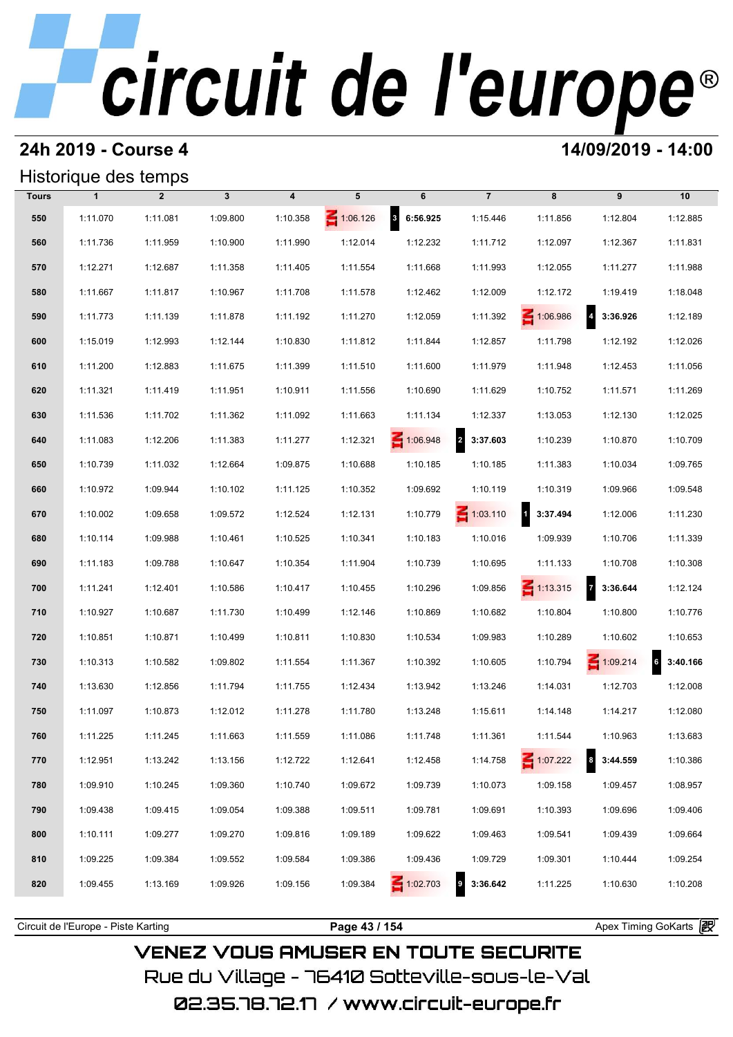## **24h 2019 - Course 4 14/09/2019 - 14:00**

### Historique des temps

|              | Historique des temps |                |              |                         |                 |                                     |                            |                 |                                     |                   |
|--------------|----------------------|----------------|--------------|-------------------------|-----------------|-------------------------------------|----------------------------|-----------------|-------------------------------------|-------------------|
| <b>Tours</b> | $\mathbf{1}$         | $\overline{2}$ | $\mathbf{3}$ | $\overline{\mathbf{4}}$ | 5               | 6                                   | $\overline{7}$             | 8               | 9                                   | 10                |
| 550          | 1:11.070             | 1:11.081       | 1:09.800     | 1:10.358                | $\leq 1:06.126$ | $\overline{\mathbf{3}}$<br>6:56.925 | 1:15.446                   | 1:11.856        | 1:12.804                            | 1:12.885          |
| 560          | 1:11.736             | 1:11.959       | 1:10.900     | 1:11.990                | 1:12.014        | 1:12.232                            | 1:11.712                   | 1:12.097        | 1:12.367                            | 1:11.831          |
| 570          | 1:12.271             | 1:12.687       | 1:11.358     | 1:11.405                | 1:11.554        | 1:11.668                            | 1:11.993                   | 1:12.055        | 1:11.277                            | 1:11.988          |
| 580          | 1:11.667             | 1:11.817       | 1:10.967     | 1:11.708                | 1:11.578        | 1:12.462                            | 1:12.009                   | 1:12.172        | 1:19.419                            | 1:18.048          |
| 590          | 1:11.773             | 1:11.139       | 1:11.878     | 1:11.192                | 1:11.270        | 1:12.059                            | 1:11.392                   | 1:06.986        | $\overline{\mathbf{4}}$<br>3:36.926 | 1:12.189          |
| 600          | 1:15.019             | 1:12.993       | 1:12.144     | 1:10.830                | 1:11.812        | 1:11.844                            | 1:12.857                   | 1:11.798        | 1:12.192                            | 1:12.026          |
| 610          | 1:11.200             | 1:12.883       | 1:11.675     | 1:11.399                | 1:11.510        | 1:11.600                            | 1:11.979                   | 1:11.948        | 1:12.453                            | 1:11.056          |
| 620          | 1:11.321             | 1:11.419       | 1:11.951     | 1:10.911                | 1:11.556        | 1:10.690                            | 1:11.629                   | 1:10.752        | 1:11.571                            | 1:11.269          |
| 630          | 1:11.536             | 1:11.702       | 1:11.362     | 1:11.092                | 1:11.663        | 1:11.134                            | 1:12.337                   | 1:13.053        | 1:12.130                            | 1:12.025          |
| 640          | 1:11.083             | 1:12.206       | 1:11.383     | 1:11.277                | 1:12.321        | 1:06.948                            | 2 3:37.603                 | 1:10.239        | 1:10.870                            | 1:10.709          |
| 650          | 1:10.739             | 1:11.032       | 1:12.664     | 1:09.875                | 1:10.688        | 1:10.185                            | 1:10.185                   | 1:11.383        | 1:10.034                            | 1:09.765          |
| 660          | 1:10.972             | 1:09.944       | 1:10.102     | 1:11.125                | 1:10.352        | 1:09.692                            | 1:10.119                   | 1:10.319        | 1:09.966                            | 1:09.548          |
| 670          | 1:10.002             | 1:09.658       | 1:09.572     | 1:12.524                | 1:12.131        | 1:10.779                            | $\leq 1:03.110$            | 1 3:37.494      | 1:12.006                            | 1:11.230          |
| 680          | 1:10.114             | 1:09.988       | 1:10.461     | 1:10.525                | 1:10.341        | 1:10.183                            | 1:10.016                   | 1:09.939        | 1:10.706                            | 1:11.339          |
| 690          | 1:11.183             | 1:09.788       | 1:10.647     | 1:10.354                | 1:11.904        | 1:10.739                            | 1:10.695                   | 1:11.133        | 1:10.708                            | 1:10.308          |
| 700          | 1:11.241             | 1:12.401       | 1:10.586     | 1:10.417                | 1:10.455        | 1:10.296                            | 1:09.856                   | $\leq 1:13.315$ | $\overline{7}$<br>3:36.644          | 1:12.124          |
| 710          | 1:10.927             | 1:10.687       | 1:11.730     | 1:10.499                | 1:12.146        | 1:10.869                            | 1:10.682                   | 1:10.804        | 1:10.800                            | 1:10.776          |
| 720          | 1:10.851             | 1:10.871       | 1:10.499     | 1:10.811                | 1:10.830        | 1:10.534                            | 1:09.983                   | 1:10.289        | 1:10.602                            | 1:10.653          |
| 730          | 1:10.313             | 1:10.582       | 1:09.802     | 1:11.554                | 1:11.367        | 1:10.392                            | 1:10.605                   | 1:10.794        | $\leq 1:09.214$                     | $6\quad 3:40.166$ |
| 740          | 1:13.630             | 1:12.856       | 1:11.794     | 1:11.755                | 1:12.434        | 1:13.942                            | 1:13.246                   | 1:14.031        | 1:12.703                            | 1:12.008          |
| 750          | 1:11.097             | 1:10.873       | 1:12.012     | 1:11.278                | 1:11.780        | 1:13.248                            | 1:15.611                   | 1:14.148        | 1:14.217                            | 1:12.080          |
| 760          | 1:11.225             | 1:11.245       | 1:11.663     | 1:11.559                | 1:11.086        | 1:11.748                            | 1:11.361                   | 1:11.544        | 1:10.963                            | 1:13.683          |
| 770          | 1:12.951             | 1:13.242       | 1:13.156     | 1:12.722                | 1:12.641        | 1:12.458                            | 1:14.758                   | 1:07.222        | $\bf{8}$<br>3:44.559                | 1:10.386          |
| 780          | 1:09.910             | 1:10.245       | 1:09.360     | 1:10.740                | 1:09.672        | 1:09.739                            | 1:10.073                   | 1:09.158        | 1:09.457                            | 1:08.957          |
| 790          | 1:09.438             | 1:09.415       | 1:09.054     | 1:09.388                | 1:09.511        | 1:09.781                            | 1:09.691                   | 1:10.393        | 1:09.696                            | 1:09.406          |
| 800          | 1:10.111             | 1:09.277       | 1:09.270     | 1:09.816                | 1:09.189        | 1:09.622                            | 1:09.463                   | 1:09.541        | 1:09.439                            | 1:09.664          |
| 810          | 1:09.225             | 1:09.384       | 1:09.552     | 1:09.584                | 1:09.386        | 1:09.436                            | 1:09.729                   | 1:09.301        | 1:10.444                            | 1:09.254          |
| 820          | 1:09.455             | 1:13.169       | 1:09.926     | 1:09.156                | 1:09.384        | 1:02.703                            | $\overline{9}$<br>3:36.642 | 1:11.225        | 1:10.630                            | 1:10.208          |
|              |                      |                |              |                         |                 |                                     |                            |                 |                                     |                   |

**VENEZ VOUS AMUSER EN TOUTE SECURITE** Rue du Village – 76410 Sotteville-sous-le-Val 02.35.78.72.17 / www.circuit-europe.fr

Circuit de l'Europe - Piste Karting **Page 43 / 154 Page 43 / 154** Apex Timing GoKarts and Apex Timing Apex Timing Go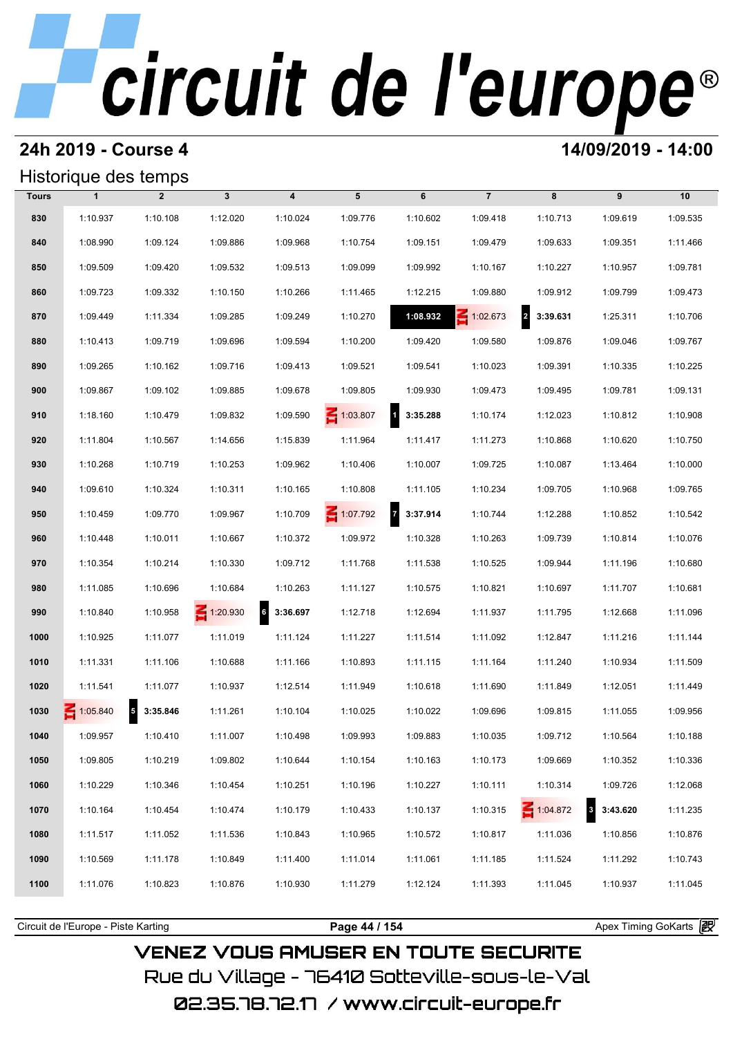## **24h 2019 - Course 4 14/09/2019 - 14:00**

## Historique des temps

|              | Historique des temps |                                      |                 |                  |                 |                          |                 |                            |                          |          |
|--------------|----------------------|--------------------------------------|-----------------|------------------|-----------------|--------------------------|-----------------|----------------------------|--------------------------|----------|
| <b>Tours</b> | $\mathbf{1}$         | $\overline{2}$                       | $\mathbf{3}$    | $\boldsymbol{4}$ | 5               | 6                        | $\overline{7}$  | 8                          | 9                        | 10       |
| 830          | 1:10.937             | 1:10.108                             | 1:12.020        | 1:10.024         | 1:09.776        | 1:10.602                 | 1:09.418        | 1:10.713                   | 1:09.619                 | 1:09.535 |
| 840          | 1:08.990             | 1:09.124                             | 1:09.886        | 1:09.968         | 1:10.754        | 1:09.151                 | 1:09.479        | 1:09.633                   | 1:09.351                 | 1:11.466 |
| 850          | 1:09.509             | 1:09.420                             | 1:09.532        | 1:09.513         | 1:09.099        | 1:09.992                 | 1:10.167        | 1:10.227                   | 1:10.957                 | 1:09.781 |
| 860          | 1:09.723             | 1:09.332                             | 1:10.150        | 1:10.266         | 1:11.465        | 1:12.215                 | 1:09.880        | 1:09.912                   | 1:09.799                 | 1:09.473 |
| 870          | 1:09.449             | 1:11.334                             | 1:09.285        | 1:09.249         | 1:10.270        | 1:08.932                 | $\leq 1:02.673$ | $\overline{a}$<br>3:39.631 | 1:25.311                 | 1:10.706 |
| 880          | 1:10.413             | 1:09.719                             | 1:09.696        | 1:09.594         | 1:10.200        | 1:09.420                 | 1:09.580        | 1:09.876                   | 1:09.046                 | 1:09.767 |
| 890          | 1:09.265             | 1:10.162                             | 1:09.716        | 1:09.413         | 1:09.521        | 1:09.541                 | 1:10.023        | 1:09.391                   | 1:10.335                 | 1:10.225 |
| 900          | 1:09.867             | 1:09.102                             | 1:09.885        | 1:09.678         | 1:09.805        | 1:09.930                 | 1:09.473        | 1:09.495                   | 1:09.781                 | 1:09.131 |
| 910          | 1:18.160             | 1:10.479                             | 1:09.832        | 1:09.590         | $\leq 1:03.807$ | $\mathbf{1}$<br>3:35.288 | 1:10.174        | 1:12.023                   | 1:10.812                 | 1:10.908 |
| 920          | 1:11.804             | 1:10.567                             | 1:14.656        | 1:15.839         | 1:11.964        | 1:11.417                 | 1:11.273        | 1:10.868                   | 1:10.620                 | 1:10.750 |
| 930          | 1:10.268             | 1:10.719                             | 1:10.253        | 1:09.962         | 1:10.406        | 1:10.007                 | 1:09.725        | 1:10.087                   | 1:13.464                 | 1:10.000 |
| 940          | 1:09.610             | 1:10.324                             | 1:10.311        | 1:10.165         | 1:10.808        | 1:11.105                 | 1:10.234        | 1:09.705                   | 1:10.968                 | 1:09.765 |
| 950          | 1:10.459             | 1:09.770                             | 1:09.967        | 1:10.709         | $\leq 1:07.792$ | 7 3:37.914               | 1:10.744        | 1:12.288                   | 1:10.852                 | 1:10.542 |
| 960          | 1:10.448             | 1:10.011                             | 1:10.667        | 1:10.372         | 1:09.972        | 1:10.328                 | 1:10.263        | 1:09.739                   | 1:10.814                 | 1:10.076 |
| 970          | 1:10.354             | 1:10.214                             | 1:10.330        | 1:09.712         | 1:11.768        | 1:11.538                 | 1:10.525        | 1:09.944                   | 1:11.196                 | 1:10.680 |
| 980          | 1:11.085             | 1:10.696                             | 1:10.684        | 1:10.263         | 1:11.127        | 1:10.575                 | 1:10.821        | 1:10.697                   | 1:11.707                 | 1:10.681 |
| 990          | 1:10.840             | 1:10.958                             | $\leq 1:20.930$ | 6<br>3:36.697    | 1:12.718        | 1:12.694                 | 1:11.937        | 1:11.795                   | 1:12.668                 | 1:11.096 |
| 1000         | 1:10.925             | 1:11.077                             | 1:11.019        | 1:11.124         | 1:11.227        | 1:11.514                 | 1:11.092        | 1:12.847                   | 1:11.216                 | 1:11.144 |
| 1010         | 1:11.331             | 1:11.106                             | 1:10.688        | 1:11.166         | 1:10.893        | 1:11.115                 | 1:11.164        | 1:11.240                   | 1:10.934                 | 1:11.509 |
| 1020         | 1:11.541             | 1:11.077                             | 1:10.937        | 1:12.514         | 1:11.949        | 1:10.618                 | 1:11.690        | 1:11.849                   | 1:12.051                 | 1:11.449 |
| 1030         | 1:05.840             | $\overline{\phantom{a}}$<br>3:35.846 | 1:11.261        | 1:10.104         | 1:10.025        | 1:10.022                 | 1:09.696        | 1:09.815                   | 1:11.055                 | 1:09.956 |
| 1040         | 1:09.957             | 1:10.410                             | 1:11.007        | 1:10.498         | 1:09.993        | 1:09.883                 | 1:10.035        | 1:09.712                   | 1:10.564                 | 1:10.188 |
| 1050         | 1:09.805             | 1:10.219                             | 1:09.802        | 1:10.644         | 1:10.154        | 1:10.163                 | 1:10.173        | 1:09.669                   | 1:10.352                 | 1:10.336 |
| 1060         | 1:10.229             | 1:10.346                             | 1:10.454        | 1:10.251         | 1:10.196        | 1:10.227                 | 1:10.111        | 1:10.314                   | 1:09.726                 | 1:12.068 |
| 1070         | 1:10.164             | 1:10.454                             | 1:10.474        | 1:10.179         | 1:10.433        | 1:10.137                 | 1:10.315        | $\leq 1:04.872$            | $\mathbf{3}$<br>3:43.620 | 1:11.235 |
| 1080         | 1:11.517             | 1:11.052                             | 1:11.536        | 1:10.843         | 1:10.965        | 1:10.572                 | 1:10.817        | 1:11.036                   | 1:10.856                 | 1:10.876 |
| 1090         | 1:10.569             | 1:11.178                             | 1:10.849        | 1:11.400         | 1:11.014        | 1:11.061                 | 1:11.185        | 1:11.524                   | 1:11.292                 | 1:10.743 |
| 1100         | 1:11.076             | 1:10.823                             | 1:10.876        | 1:10.930         | 1:11.279        | 1:12.124                 | 1:11.393        | 1:11.045                   | 1:10.937                 | 1:11.045 |
|              |                      |                                      |                 |                  |                 |                          |                 |                            |                          |          |

**VENEZ VOUS AMUSER EN TOUTE SECURITE** Rue du Village – 76410 Sotteville-sous-le-Val

Circuit de l'Europe - Piste Karting **Page 44 / 154 Page 44 / 154** Apex Timing GoKarts and Apex Timing Apex Timing Go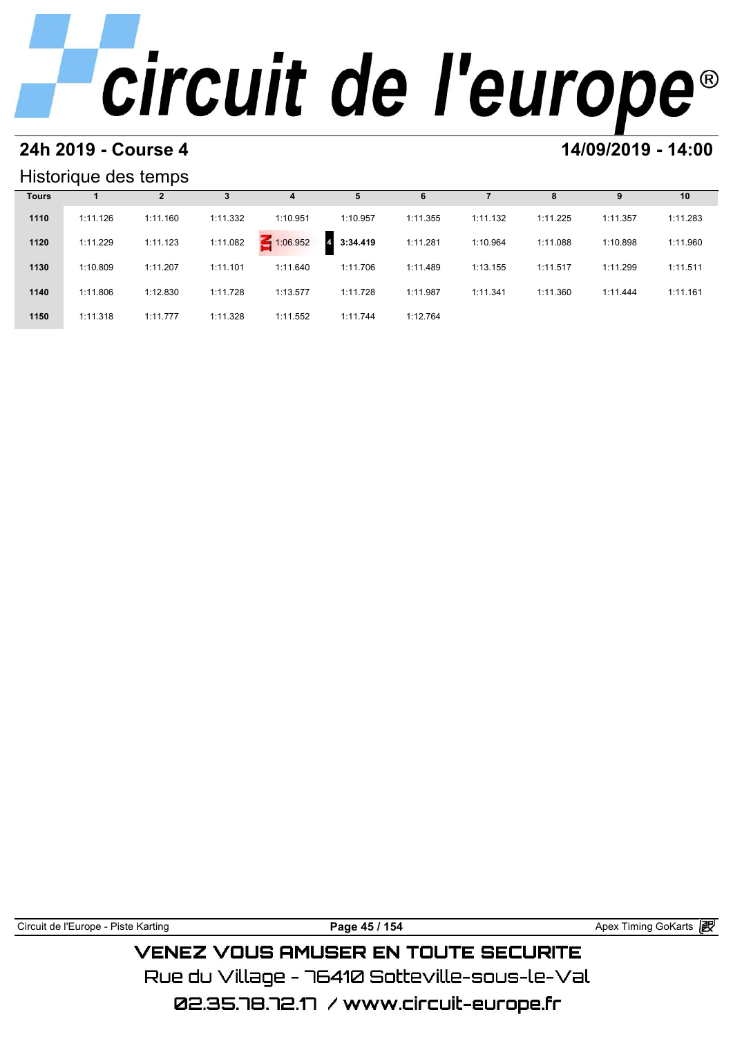# **24h 2019 - Course 4 14/09/2019 - 14:00**

### Historique des temps

|              | Historique des temps |          |          |          |                            |          |          |          |          |          |
|--------------|----------------------|----------|----------|----------|----------------------------|----------|----------|----------|----------|----------|
| <b>Tours</b> |                      | 2        | 3        | 4        | 5                          | 6        |          | 8        | 9        | 10       |
| 1110         | 1:11.126             | 1:11.160 | 1:11.332 | 1:10.951 | 1:10.957                   | 1:11.355 | 1:11.132 | 1:11.225 | 1:11.357 | 1:11.283 |
| 1120         | 1:11.229             | 1:11.123 | 1:11.082 | 1:06.952 | 3:34.419<br>$\overline{4}$ | 1:11.281 | 1:10.964 | 1:11.088 | 1:10.898 | 1:11.960 |
| 1130         | 1:10.809             | 1:11.207 | 1:11.101 | 1:11.640 | 1:11.706                   | 1:11.489 | 1:13.155 | 1:11.517 | 1:11.299 | 1:11.511 |
| 1140         | 1:11.806             | 1:12.830 | 1:11.728 | 1:13.577 | 1:11.728                   | 1:11.987 | 1:11.341 | 1:11.360 | 1:11.444 | 1:11.161 |
| 1150         | 1:11.318             | 1:11.777 | 1:11.328 | 1:11.552 | 1:11.744                   | 1:12.764 |          |          |          |          |

| Circuit de l'Europe - Piste Karting | Page 45 / 154                                 | Apex Timing GoKarts a |
|-------------------------------------|-----------------------------------------------|-----------------------|
|                                     | <b>VENEZ VOUS AMUSER EN TOUTE SECURITE</b>    |                       |
|                                     | Due du Villane – 76410 Sotteville-sous-le-Val |                       |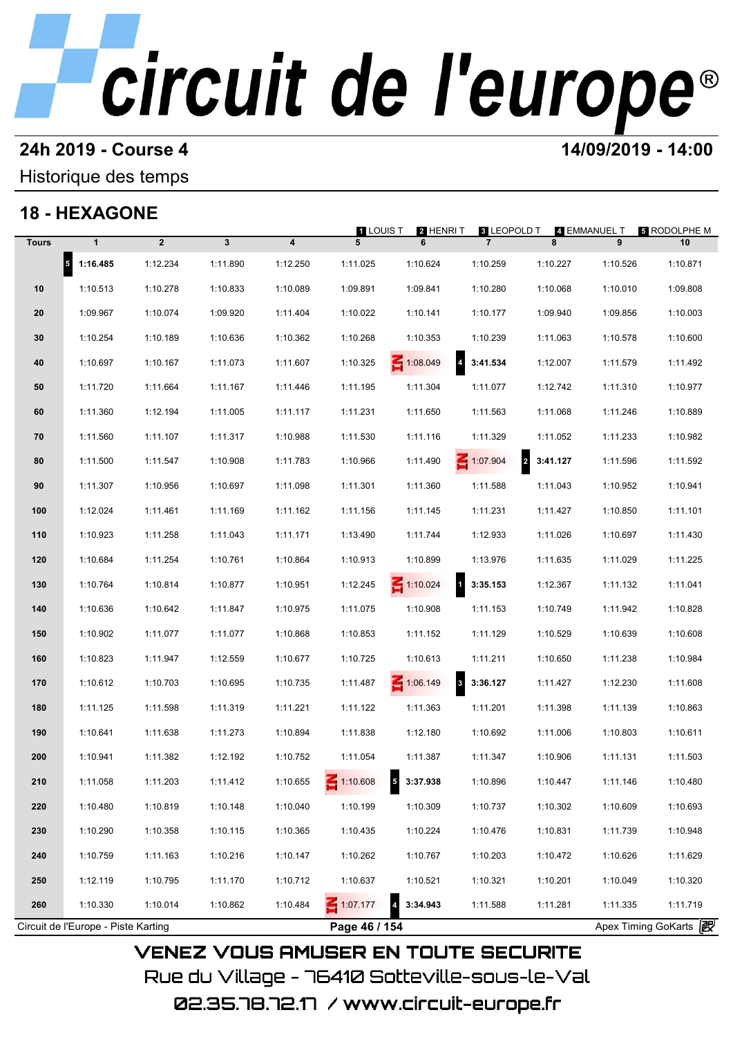# **24h 2019 - Course 4 12000 12000 14/09/2019 - 14:00**

## Historique des temps

## **18 - HEXAGONE**

|              | 18 - HEXAGONE                       |                |              |          | 1 LOUIS T       | 2 HENRI T       | <b>8 LEOPOLD T</b>                  |                                     | 4 EMMANUEL T | <b>5 RODOLPHE M</b>   |
|--------------|-------------------------------------|----------------|--------------|----------|-----------------|-----------------|-------------------------------------|-------------------------------------|--------------|-----------------------|
| <b>Tours</b> | $\mathbf{1}$                        | $\overline{2}$ | $\mathbf{3}$ | 4        | 5               | 6               | $\overline{7}$                      | 8                                   | 9            | 10                    |
|              | $5$ 1:16.485                        | 1:12.234       | 1:11.890     | 1:12.250 | 1:11.025        | 1:10.624        | 1:10.259                            | 1:10.227                            | 1:10.526     | 1:10.871              |
| 10           | 1:10.513                            | 1:10.278       | 1:10.833     | 1:10.089 | 1:09.891        | 1:09.841        | 1:10.280                            | 1:10.068                            | 1:10.010     | 1:09.808              |
| 20           | 1:09.967                            | 1:10.074       | 1:09.920     | 1:11.404 | 1:10.022        | 1:10.141        | 1:10.177                            | 1:09.940                            | 1:09.856     | 1:10.003              |
| 30           | 1:10.254                            | 1:10.189       | 1:10.636     | 1:10.362 | 1:10.268        | 1:10.353        | 1:10.239                            | 1:11.063                            | 1:10.578     | 1:10.600              |
| 40           | 1:10.697                            | 1:10.167       | 1:11.073     | 1:11.607 | 1:10.325        | $\leq 1:08.049$ | $\overline{\mathbf{A}}$<br>3:41.534 | 1:12.007                            | 1:11.579     | 1:11.492              |
| 50           | 1:11.720                            | 1:11.664       | 1:11.167     | 1:11.446 | 1:11.195        | 1:11.304        | 1:11.077                            | 1:12.742                            | 1:11.310     | 1:10.977              |
| 60           | 1:11.360                            | 1:12.194       | 1:11.005     | 1:11.117 | 1:11.231        | 1:11.650        | 1:11.563                            | 1:11.068                            | 1:11.246     | 1:10.889              |
| 70           | 1:11.560                            | 1:11.107       | 1:11.317     | 1:10.988 | 1:11.530        | 1:11.116        | 1:11.329                            | 1:11.052                            | 1:11.233     | 1:10.982              |
| 80           | 1:11.500                            | 1:11.547       | 1:10.908     | 1:11.783 | 1:10.966        | 1:11.490        | $\leq 1:07.904$                     | $\overline{\mathbf{r}}$<br>3:41.127 | 1:11.596     | 1:11.592              |
| 90           | 1:11.307                            | 1:10.956       | 1:10.697     | 1:11.098 | 1:11.301        | 1:11.360        | 1:11.588                            | 1:11.043                            | 1:10.952     | 1:10.941              |
| 100          | 1:12.024                            | 1:11.461       | 1:11.169     | 1:11.162 | 1:11.156        | 1:11.145        | 1:11.231                            | 1:11.427                            | 1:10.850     | 1:11.101              |
| 110          | 1:10.923                            | 1:11.258       | 1:11.043     | 1:11.171 | 1:13.490        | 1:11.744        | 1:12.933                            | 1:11.026                            | 1:10.697     | 1:11.430              |
| 120          | 1:10.684                            | 1:11.254       | 1:10.761     | 1:10.864 | 1:10.913        | 1:10.899        | 1:13.976                            | 1:11.635                            | 1:11.029     | 1:11.225              |
| 130          | 1:10.764                            | 1:10.814       | 1:10.877     | 1:10.951 | 1:12.245        | $\leq 1:10.024$ | $\overline{\mathbf{1}}$<br>3:35.153 | 1:12.367                            | 1:11.132     | 1:11.041              |
| 140          | 1:10.636                            | 1:10.642       | 1:11.847     | 1:10.975 | 1:11.075        | 1:10.908        | 1:11.153                            | 1:10.749                            | 1:11.942     | 1:10.828              |
| 150          | 1:10.902                            | 1:11.077       | 1:11.077     | 1:10.868 | 1:10.853        | 1:11.152        | 1:11.129                            | 1:10.529                            | 1:10.639     | 1:10.608              |
| 160          | 1:10.823                            | 1:11.947       | 1:12.559     | 1:10.677 | 1:10.725        | 1:10.613        | 1:11.211                            | 1:10.650                            | 1:11.238     | 1:10.984              |
| 170          | 1:10.612                            | 1:10.703       | 1:10.695     | 1:10.735 | 1:11.487        | $\leq 1:06.149$ | $\overline{\mathbf{3}}$<br>3:36.127 | 1:11.427                            | 1:12.230     | 1:11.608              |
| 180          | 1:11.125                            | 1:11.598       | 1:11.319     | 1:11.221 | 1:11.122        | 1:11.363        | 1:11.201                            | 1:11.398                            | 1:11.139     | 1:10.863              |
| 190          | 1:10.641                            | 1:11.638       | 1:11.273     | 1:10.894 | 1:11.838        | 1:12.180        | 1:10.692                            | 1:11.006                            | 1:10.803     | 1:10.611              |
| 200          | 1:10.941                            | 1:11.382       | 1:12.192     | 1:10.752 | 1:11.054        | 1:11.387        | 1:11.347                            | 1:10.906                            | 1:11.131     | 1:11.503              |
| 210          | 1:11.058                            | 1:11.203       | 1:11.412     | 1:10.655 | $\leq 1:10.608$ | 5<br>3:37.938   | 1:10.896                            | 1:10.447                            | 1:11.146     | 1:10.480              |
| 220          | 1:10.480                            | 1:10.819       | 1:10.148     | 1:10.040 | 1:10.199        | 1:10.309        | 1:10.737                            | 1:10.302                            | 1:10.609     | 1:10.693              |
| 230          | 1:10.290                            | 1:10.358       | 1:10.115     | 1:10.365 | 1:10.435        | 1:10.224        | 1:10.476                            | 1:10.831                            | 1:11.739     | 1:10.948              |
| 240          | 1:10.759                            | 1:11.163       | 1:10.216     | 1:10.147 | 1:10.262        | 1:10.767        | 1:10.203                            | 1:10.472                            | 1:10.626     | 1:11.629              |
| 250          | 1:12.119                            | 1:10.795       | 1:11.170     | 1:10.712 | 1:10.637        | 1:10.521        | 1:10.321                            | 1:10.201                            | 1:10.049     | 1:10.320              |
| 260          | 1:10.330                            | 1:10.014       | 1:10.862     | 1:10.484 | Ξ<br>1:07.177   | 3:34.943        | 1:11.588                            | 1:11.281                            | 1:11.335     | 1:11.719              |
|              | Circuit de l'Europe - Piste Karting |                |              |          | Page 46 / 154   |                 |                                     |                                     |              | Apex Timing GoKarts 2 |

02.35.78.72.17 / www.circuit-europe.fr

Rue du Village – 76410 Sotteville-sous-le-Val

**VENEZ VOUS AMUSER EN TOUTE SECURITE**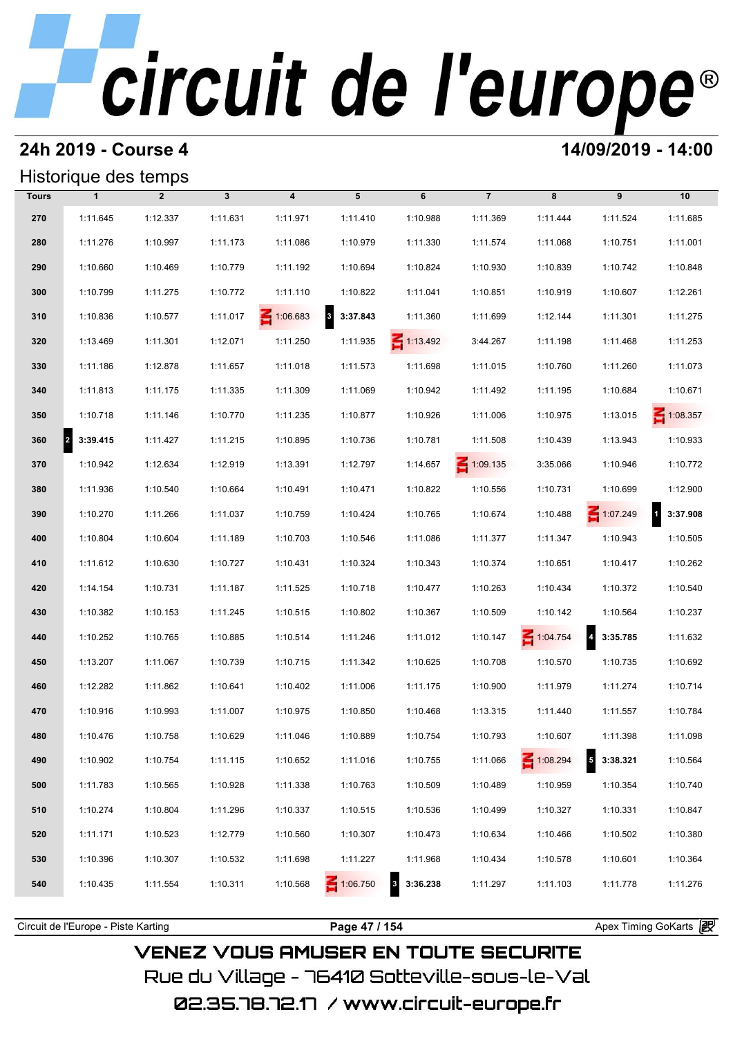### **24h 2019 - Course 4 14/09/2019 - 14:00**

|              | Historique des temps |                |              |                         |                                     |                 |                 |          |                                      |                 |
|--------------|----------------------|----------------|--------------|-------------------------|-------------------------------------|-----------------|-----------------|----------|--------------------------------------|-----------------|
| <b>Tours</b> | $\mathbf{1}$         | $\overline{2}$ | $\mathbf{3}$ | $\overline{\mathbf{4}}$ | 5                                   | 6               | $\overline{7}$  | 8        | 9                                    | 10              |
| 270          | 1:11.645             | 1:12.337       | 1:11.631     | 1:11.971                | 1:11.410                            | 1:10.988        | 1:11.369        | 1:11.444 | 1:11.524                             | 1:11.685        |
| 280          | 1:11.276             | 1:10.997       | 1:11.173     | 1:11.086                | 1:10.979                            | 1:11.330        | 1:11.574        | 1:11.068 | 1:10.751                             | 1:11.001        |
| 290          | 1:10.660             | 1:10.469       | 1:10.779     | 1:11.192                | 1:10.694                            | 1:10.824        | 1:10.930        | 1:10.839 | 1:10.742                             | 1:10.848        |
| 300          | 1:10.799             | 1:11.275       | 1:10.772     | 1:11.110                | 1:10.822                            | 1:11.041        | 1:10.851        | 1:10.919 | 1:10.607                             | 1:12.261        |
| 310          | 1:10.836             | 1:10.577       | 1:11.017     | $\leq 1:06.683$         | $\overline{\mathbf{3}}$<br>3:37.843 | 1:11.360        | 1:11.699        | 1:12.144 | 1:11.301                             | 1:11.275        |
| 320          | 1:13.469             | 1:11.301       | 1:12.071     | 1:11.250                | 1:11.935                            | $\leq 1:13.492$ | 3:44.267        | 1:11.198 | 1:11.468                             | 1:11.253        |
| 330          | 1:11.186             | 1:12.878       | 1:11.657     | 1:11.018                | 1:11.573                            | 1:11.698        | 1:11.015        | 1:10.760 | 1:11.260                             | 1:11.073        |
| 340          | 1:11.813             | 1:11.175       | 1:11.335     | 1:11.309                | 1:11.069                            | 1:10.942        | 1:11.492        | 1:11.195 | 1:10.684                             | 1:10.671        |
| 350          | 1:10.718             | 1:11.146       | 1:10.770     | 1:11.235                | 1:10.877                            | 1:10.926        | 1:11.006        | 1:10.975 | 1:13.015                             | $\leq 1:08.357$ |
| 360          | 2 3:39.415           | 1:11.427       | 1:11.215     | 1:10.895                | 1:10.736                            | 1:10.781        | 1:11.508        | 1:10.439 | 1:13.943                             | 1:10.933        |
| 370          | 1:10.942             | 1:12.634       | 1:12.919     | 1:13.391                | 1:12.797                            | 1:14.657        | $\leq 1:09.135$ | 3:35.066 | 1:10.946                             | 1:10.772        |
| 380          | 1:11.936             | 1:10.540       | 1:10.664     | 1:10.491                | 1:10.471                            | 1:10.822        | 1:10.556        | 1:10.731 | 1:10.699                             | 1:12.900        |
| 390          | 1:10.270             | 1:11.266       | 1:11.037     | 1:10.759                | 1:10.424                            | 1:10.765        | 1:10.674        | 1:10.488 | $\leq 1:07.249$                      | 3:37.908<br>1   |
| 400          | 1:10.804             | 1:10.604       | 1:11.189     | 1:10.703                | 1:10.546                            | 1:11.086        | 1:11.377        | 1:11.347 | 1:10.943                             | 1:10.505        |
| 410          | 1:11.612             | 1:10.630       | 1:10.727     | 1:10.431                | 1:10.324                            | 1:10.343        | 1:10.374        | 1:10.651 | 1:10.417                             | 1:10.262        |
| 420          | 1:14.154             | 1:10.731       | 1:11.187     | 1:11.525                | 1:10.718                            | 1:10.477        | 1:10.263        | 1:10.434 | 1:10.372                             | 1:10.540        |
| 430          | 1:10.382             | 1:10.153       | 1:11.245     | 1:10.515                | 1:10.802                            | 1:10.367        | 1:10.509        | 1:10.142 | 1:10.564                             | 1:10.237        |
| 440          | 1:10.252             | 1:10.765       | 1:10.885     | 1:10.514                | 1:11.246                            | 1:11.012        | 1:10.147        | 1:04.754 | $\overline{4}$<br>3:35.785           | 1:11.632        |
| 450          | 1:13.207             | 1:11.067       | 1:10.739     | 1:10.715                | 1:11.342                            | 1:10.625        | 1:10.708        | 1:10.570 | 1:10.735                             | 1:10.692        |
| 460          | 1:12.282             | 1:11.862       | 1:10.641     | 1:10.402                | 1:11.006                            | 1:11.175        | 1:10.900        | 1:11.979 | 1:11.274                             | 1:10.714        |
| 470          | 1:10.916             | 1:10.993       | 1:11.007     | 1:10.975                | 1:10.850                            | 1:10.468        | 1:13.315        | 1:11.440 | 1:11.557                             | 1:10.784        |
| 480          | 1:10.476             | 1:10.758       | 1:10.629     | 1:11.046                | 1:10.889                            | 1:10.754        | 1:10.793        | 1:10.607 | 1:11.398                             | 1:11.098        |
| 490          | 1:10.902             | 1:10.754       | 1:11.115     | 1:10.652                | 1:11.016                            | 1:10.755        | 1:11.066        | 1:08.294 | $\overline{\phantom{a}}$<br>3:38.321 | 1:10.564        |
| 500          | 1:11.783             | 1:10.565       | 1:10.928     | 1:11.338                | 1:10.763                            | 1:10.509        | 1:10.489        | 1:10.959 | 1:10.354                             | 1:10.740        |
| 510          | 1:10.274             | 1:10.804       | 1:11.296     | 1:10.337                | 1:10.515                            | 1:10.536        | 1:10.499        | 1:10.327 | 1:10.331                             | 1:10.847        |
| 520          | 1:11.171             | 1:10.523       | 1:12.779     | 1:10.560                | 1:10.307                            | 1:10.473        | 1:10.634        | 1:10.466 | 1:10.502                             | 1:10.380        |
| 530          | 1:10.396             | 1:10.307       | 1:10.532     | 1:11.698                | 1:11.227                            | 1:11.968        | 1:10.434        | 1:10.578 | 1:10.601                             | 1:10.364        |
| 540          | 1:10.435             | 1:11.554       | 1:10.311     | 1:10.568                | 1:06.750                            | 3<br>3:36.238   | 1:11.297        | 1:11.103 | 1:11.778                             | 1:11.276        |
|              |                      |                |              |                         |                                     |                 |                 |          |                                      |                 |

**VENEZ VOUS AMUSER EN TOUTE SECURITE** Rue du Village – 76410 Sotteville-sous-le-Val

Circuit de l'Europe - Piste Karting **Page 47 / 154 Page 47 / 154** Apex Timing GoKarts and Apex Timing Apex Timing Go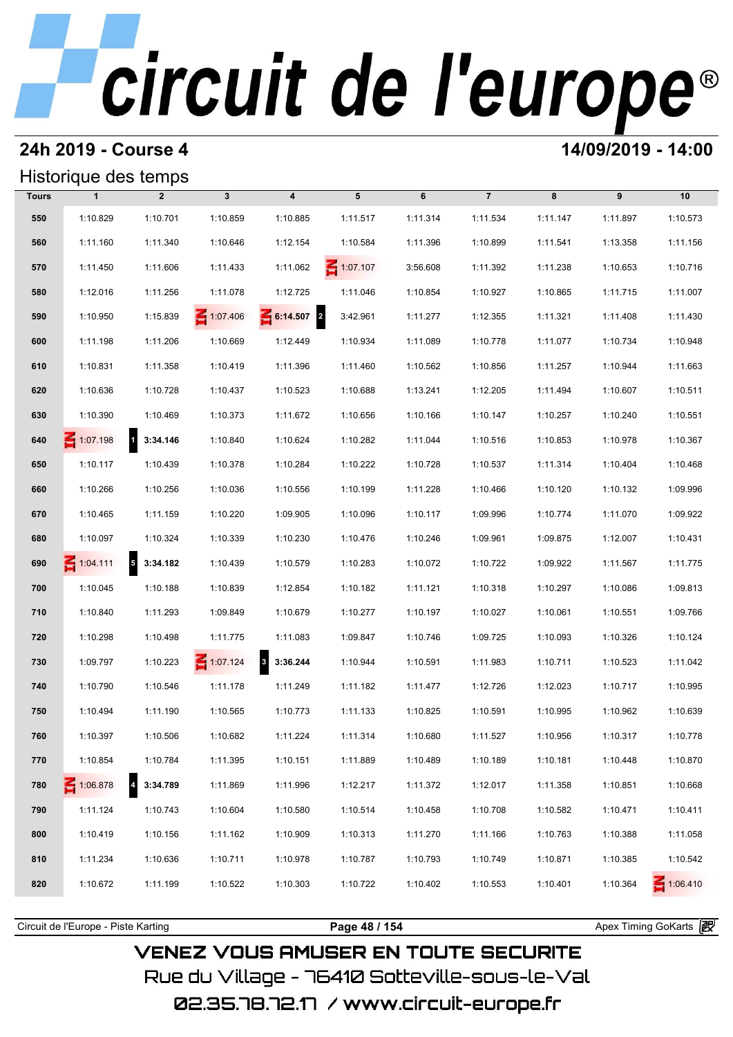## **24h 2019 - Course 4 14/09/2019 - 14:00**

## Historique des temps

| Historique des temps |                 |                            |                 |                         |                 |          |                |          |          |                 |  |
|----------------------|-----------------|----------------------------|-----------------|-------------------------|-----------------|----------|----------------|----------|----------|-----------------|--|
| <b>Tours</b>         | $\mathbf{1}$    | $\overline{2}$             | $\mathbf{3}$    | $\overline{\mathbf{4}}$ | 5               | 6        | $\overline{7}$ | 8        | 9        | 10              |  |
| 550                  | 1:10.829        | 1:10.701                   | 1:10.859        | 1:10.885                | 1:11.517        | 1:11.314 | 1:11.534       | 1:11.147 | 1:11.897 | 1:10.573        |  |
| 560                  | 1:11.160        | 1:11.340                   | 1:10.646        | 1:12.154                | 1:10.584        | 1:11.396 | 1:10.899       | 1:11.541 | 1:13.358 | 1:11.156        |  |
| 570                  | 1:11.450        | 1:11.606                   | 1:11.433        | 1:11.062                | $\leq 1:07.107$ | 3:56.608 | 1:11.392       | 1:11.238 | 1:10.653 | 1:10.716        |  |
| 580                  | 1:12.016        | 1:11.256                   | 1:11.078        | 1:12.725                | 1:11.046        | 1:10.854 | 1:10.927       | 1:10.865 | 1:11.715 | 1:11.007        |  |
| 590                  | 1:10.950        | 1:15.839                   | 1:07.406        | 6:14.507 2              | 3:42.961        | 1:11.277 | 1:12.355       | 1:11.321 | 1:11.408 | 1:11.430        |  |
| 600                  | 1:11.198        | 1:11.206                   | 1:10.669        | 1:12.449                | 1:10.934        | 1:11.089 | 1:10.778       | 1:11.077 | 1:10.734 | 1:10.948        |  |
| 610                  | 1:10.831        | 1:11.358                   | 1:10.419        | 1:11.396                | 1:11.460        | 1:10.562 | 1:10.856       | 1:11.257 | 1:10.944 | 1:11.663        |  |
| 620                  | 1:10.636        | 1:10.728                   | 1:10.437        | 1:10.523                | 1:10.688        | 1:13.241 | 1:12.205       | 1:11.494 | 1:10.607 | 1:10.511        |  |
| 630                  | 1:10.390        | 1:10.469                   | 1:10.373        | 1:11.672                | 1:10.656        | 1:10.166 | 1:10.147       | 1:10.257 | 1:10.240 | 1:10.551        |  |
| 640                  | $\leq 1:07.198$ | 1 3:34.146                 | 1:10.840        | 1:10.624                | 1:10.282        | 1:11.044 | 1:10.516       | 1:10.853 | 1:10.978 | 1:10.367        |  |
| 650                  | 1:10.117        | 1:10.439                   | 1:10.378        | 1:10.284                | 1:10.222        | 1:10.728 | 1:10.537       | 1:11.314 | 1:10.404 | 1:10.468        |  |
| 660                  | 1:10.266        | 1:10.256                   | 1:10.036        | 1:10.556                | 1:10.199        | 1:11.228 | 1:10.466       | 1:10.120 | 1:10.132 | 1:09.996        |  |
| 670                  | 1:10.465        | 1:11.159                   | 1:10.220        | 1:09.905                | 1:10.096        | 1:10.117 | 1:09.996       | 1:10.774 | 1:11.070 | 1:09.922        |  |
| 680                  | 1:10.097        | 1:10.324                   | 1:10.339        | 1:10.230                | 1:10.476        | 1:10.246 | 1:09.961       | 1:09.875 | 1:12.007 | 1:10.431        |  |
| 690                  | $\leq 1:04.111$ | $\overline{5}$<br>3:34.182 | 1:10.439        | 1:10.579                | 1:10.283        | 1:10.072 | 1:10.722       | 1:09.922 | 1:11.567 | 1:11.775        |  |
| 700                  | 1:10.045        | 1:10.188                   | 1:10.839        | 1:12.854                | 1:10.182        | 1:11.121 | 1:10.318       | 1:10.297 | 1:10.086 | 1:09.813        |  |
| 710                  | 1:10.840        | 1:11.293                   | 1:09.849        | 1:10.679                | 1:10.277        | 1:10.197 | 1:10.027       | 1:10.061 | 1:10.551 | 1:09.766        |  |
| 720                  | 1:10.298        | 1:10.498                   | 1:11.775        | 1:11.083                | 1:09.847        | 1:10.746 | 1:09.725       | 1:10.093 | 1:10.326 | 1:10.124        |  |
| 730                  | 1:09.797        | 1:10.223                   | $\leq 1:07.124$ | 8 3:36.244              | 1:10.944        | 1:10.591 | 1:11.983       | 1:10.711 | 1:10.523 | 1:11.042        |  |
| 740                  | 1:10.790        | 1:10.546                   | 1:11.178        | 1:11.249                | 1:11.182        | 1:11.477 | 1:12.726       | 1:12.023 | 1:10.717 | 1:10.995        |  |
| 750                  | 1:10.494        | 1:11.190                   | 1:10.565        | 1:10.773                | 1:11.133        | 1:10.825 | 1:10.591       | 1:10.995 | 1:10.962 | 1:10.639        |  |
| 760                  | 1:10.397        | 1:10.506                   | 1:10.682        | 1:11.224                | 1:11.314        | 1:10.680 | 1:11.527       | 1:10.956 | 1:10.317 | 1:10.778        |  |
| 770                  | 1:10.854        | 1:10.784                   | 1:11.395        | 1:10.151                | 1:11.889        | 1:10.489 | 1:10.189       | 1:10.181 | 1:10.448 | 1:10.870        |  |
| 780                  | 1:06.878        | $\overline{4}$<br>3:34.789 | 1:11.869        | 1:11.996                | 1:12.217        | 1:11.372 | 1:12.017       | 1:11.358 | 1:10.851 | 1:10.668        |  |
| 790                  | 1:11.124        | 1:10.743                   | 1:10.604        | 1:10.580                | 1:10.514        | 1:10.458 | 1:10.708       | 1:10.582 | 1:10.471 | 1:10.411        |  |
| 800                  | 1:10.419        | 1:10.156                   | 1:11.162        | 1:10.909                | 1:10.313        | 1:11.270 | 1:11.166       | 1:10.763 | 1:10.388 | 1:11.058        |  |
| 810                  | 1:11.234        | 1:10.636                   | 1:10.711        | 1:10.978                | 1:10.787        | 1:10.793 | 1:10.749       | 1:10.871 | 1:10.385 | 1:10.542        |  |
| 820                  | 1:10.672        | 1:11.199                   | 1:10.522        | 1:10.303                | 1:10.722        | 1:10.402 | 1:10.553       | 1:10.401 | 1:10.364 | $\leq 1:06.410$ |  |
|                      |                 |                            |                 |                         |                 |          |                |          |          |                 |  |

## **VENEZ VOUS AMUSER EN TOUTE SECURITE** Rue du Village – 76410 Sotteville-sous-le-Val

02.35.78.72.17 /www.circuit-europe.fr

Circuit de l'Europe - Piste Karting **Page 48 / 154 Page 48 / 154 Page 18 / Page 48 / 154** Apex Timing GoKarts and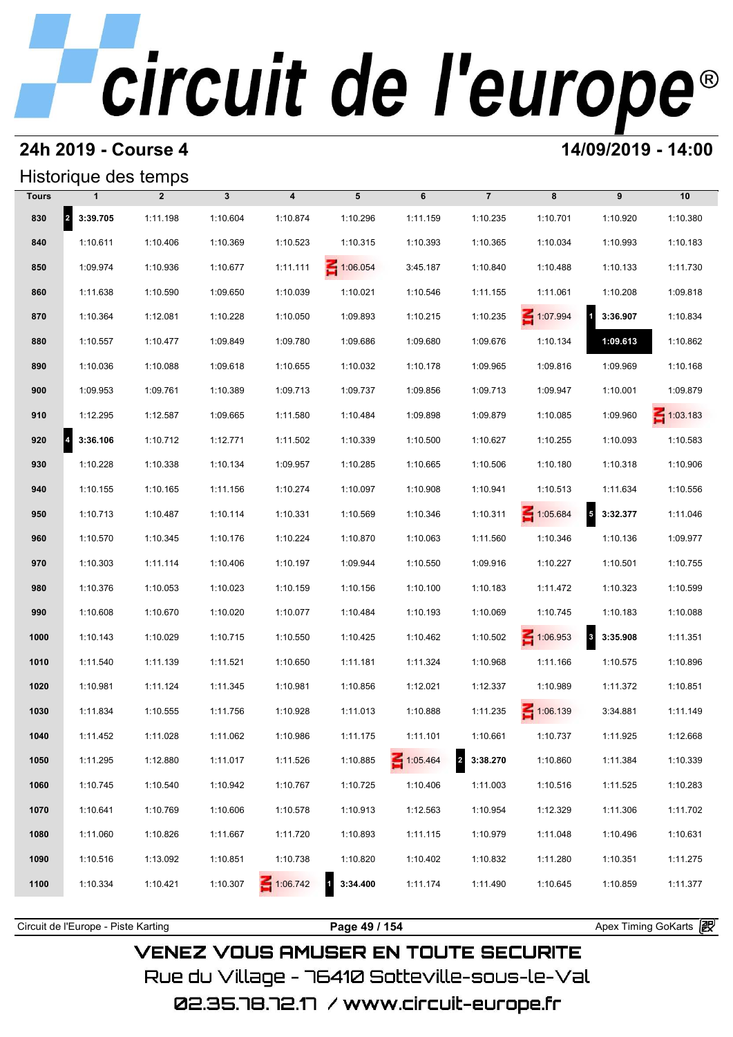## **24h 2019 - Course 4 14/09/2019 - 14:00**

|              | Historique des temps |                |              |                         |                 |                 |                                     |                 |                                     |                 |
|--------------|----------------------|----------------|--------------|-------------------------|-----------------|-----------------|-------------------------------------|-----------------|-------------------------------------|-----------------|
| <b>Tours</b> | 1                    | $\overline{2}$ | $\mathbf{3}$ | $\overline{\mathbf{4}}$ | 5               | 6               | $\overline{7}$                      | 8               | 9                                   | 10              |
| 830          | 2 3:39.705           | 1:11.198       | 1:10.604     | 1:10.874                | 1:10.296        | 1:11.159        | 1:10.235                            | 1:10.701        | 1:10.920                            | 1:10.380        |
| 840          | 1:10.611             | 1:10.406       | 1:10.369     | 1:10.523                | 1:10.315        | 1:10.393        | 1:10.365                            | 1:10.034        | 1:10.993                            | 1:10.183        |
| 850          | 1:09.974             | 1:10.936       | 1:10.677     | 1:11.111                | $\leq 1:06.054$ | 3:45.187        | 1:10.840                            | 1:10.488        | 1:10.133                            | 1:11.730        |
| 860          | 1:11.638             | 1:10.590       | 1:09.650     | 1:10.039                | 1:10.021        | 1:10.546        | 1:11.155                            | 1:11.061        | 1:10.208                            | 1:09.818        |
| 870          | 1:10.364             | 1:12.081       | 1:10.228     | 1:10.050                | 1:09.893        | 1:10.215        | 1:10.235                            | 1:07.994        | $\overline{1}$<br>3:36.907          | 1:10.834        |
| 880          | 1:10.557             | 1:10.477       | 1:09.849     | 1:09.780                | 1:09.686        | 1:09.680        | 1:09.676                            | 1:10.134        | 1:09.613                            | 1:10.862        |
| 890          | 1:10.036             | 1:10.088       | 1:09.618     | 1:10.655                | 1:10.032        | 1:10.178        | 1:09.965                            | 1:09.816        | 1:09.969                            | 1:10.168        |
| 900          | 1:09.953             | 1:09.761       | 1:10.389     | 1:09.713                | 1:09.737        | 1:09.856        | 1:09.713                            | 1:09.947        | 1:10.001                            | 1:09.879        |
| 910          | 1:12.295             | 1:12.587       | 1:09.665     | 1:11.580                | 1:10.484        | 1:09.898        | 1:09.879                            | 1:10.085        | 1:09.960                            | $\leq 1:03.183$ |
| 920          | 3:36.106             | 1:10.712       | 1:12.771     | 1:11.502                | 1:10.339        | 1:10.500        | 1:10.627                            | 1:10.255        | 1:10.093                            | 1:10.583        |
| 930          | 1:10.228             | 1:10.338       | 1:10.134     | 1:09.957                | 1:10.285        | 1:10.665        | 1:10.506                            | 1:10.180        | 1:10.318                            | 1:10.906        |
| 940          | 1:10.155             | 1:10.165       | 1:11.156     | 1:10.274                | 1:10.097        | 1:10.908        | 1:10.941                            | 1:10.513        | 1:11.634                            | 1:10.556        |
| 950          | 1:10.713             | 1:10.487       | 1:10.114     | 1:10.331                | 1:10.569        | 1:10.346        | 1:10.311                            | 1:05.684        | $5\quad 3:32.377$                   | 1:11.046        |
| 960          | 1:10.570             | 1:10.345       | 1:10.176     | 1:10.224                | 1:10.870        | 1:10.063        | 1:11.560                            | 1:10.346        | 1:10.136                            | 1:09.977        |
| 970          | 1:10.303             | 1:11.114       | 1:10.406     | 1:10.197                | 1:09.944        | 1:10.550        | 1:09.916                            | 1:10.227        | 1:10.501                            | 1:10.755        |
| 980          | 1:10.376             | 1:10.053       | 1:10.023     | 1:10.159                | 1:10.156        | 1:10.100        | 1:10.183                            | 1:11.472        | 1:10.323                            | 1:10.599        |
| 990          | 1:10.608             | 1:10.670       | 1:10.020     | 1:10.077                | 1:10.484        | 1:10.193        | 1:10.069                            | 1:10.745        | 1:10.183                            | 1:10.088        |
| 1000         | 1:10.143             | 1:10.029       | 1:10.715     | 1:10.550                | 1:10.425        | 1:10.462        | 1:10.502                            | $\leq 1:06.953$ | $\overline{\mathbf{3}}$<br>3:35.908 | 1:11.351        |
| 1010         | 1:11.540             | 1:11.139       | 1:11.521     | 1:10.650                | 1:11.181        | 1:11.324        | 1:10.968                            | 1:11.166        | 1:10.575                            | 1:10.896        |
| 1020         | 1:10.981             | 1:11.124       | 1:11.345     | 1:10.981                | 1:10.856        | 1:12.021        | 1:12.337                            | 1:10.989        | 1:11.372                            | 1:10.851        |
| 1030         | 1:11.834             | 1:10.555       | 1:11.756     | 1:10.928                | 1:11.013        | 1:10.888        | 1:11.235                            | $\leq 1:06.139$ | 3:34.881                            | 1:11.149        |
| 1040         | 1:11.452             | 1:11.028       | 1:11.062     | 1:10.986                | 1:11.175        | 1:11.101        | 1:10.661                            | 1:10.737        | 1:11.925                            | 1:12.668        |
| 1050         | 1:11.295             | 1:12.880       | 1:11.017     | 1:11.526                | 1:10.885        | $\leq 1:05.464$ | $\overline{\mathbf{2}}$<br>3:38.270 | 1:10.860        | 1:11.384                            | 1:10.339        |
| 1060         | 1:10.745             | 1:10.540       | 1:10.942     | 1:10.767                | 1:10.725        | 1:10.406        | 1:11.003                            | 1:10.516        | 1:11.525                            | 1:10.283        |
| 1070         | 1:10.641             | 1:10.769       | 1:10.606     | 1:10.578                | 1:10.913        | 1:12.563        | 1:10.954                            | 1:12.329        | 1:11.306                            | 1:11.702        |
| 1080         | 1:11.060             | 1:10.826       | 1:11.667     | 1:11.720                | 1:10.893        | 1:11.115        | 1:10.979                            | 1:11.048        | 1:10.496                            | 1:10.631        |
| 1090         | 1:10.516             | 1:13.092       | 1:10.851     | 1:10.738                | 1:10.820        | 1:10.402        | 1:10.832                            | 1:11.280        | 1:10.351                            | 1:11.275        |
| 1100         | 1:10.334             | 1:10.421       | 1:10.307     | 1:06.742                | 3:34.400        | 1:11.174        | 1:11.490                            | 1:10.645        | 1:10.859                            | 1:11.377        |
|              |                      |                |              |                         |                 |                 |                                     |                 |                                     |                 |

**VENEZ VOUS AMUSER EN TOUTE SECURITE** Rue du Village – 76410 Sotteville-sous-le-Val 02.35.78.72.17 / www.circuit-europe.fr

Circuit de l'Europe - Piste Karting **Page 49 / 154 Page 49 / 154** Apex Timing GoKarts **in**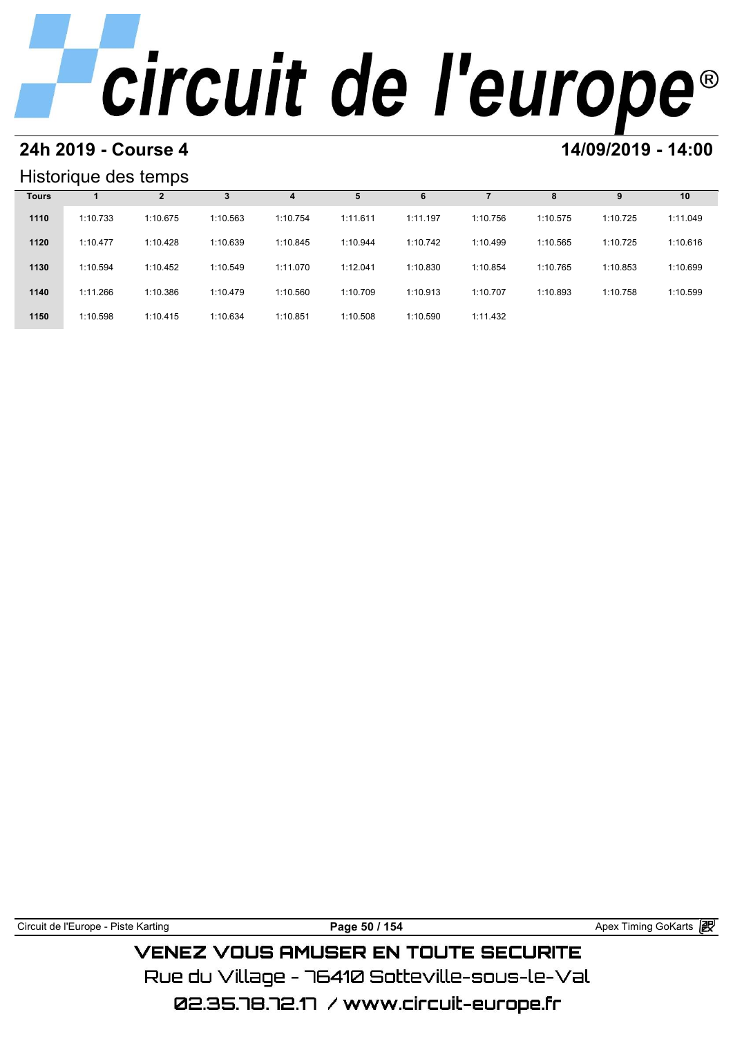# **24h 2019 - Course 4 14/09/2019 - 14:00**

### Historique des temps

|              | Historique des temps |          |          |          |          |          |          |          |          |          |  |  |  |
|--------------|----------------------|----------|----------|----------|----------|----------|----------|----------|----------|----------|--|--|--|
| <b>Tours</b> |                      | 2        | 3        | 4        |          | 6        |          | 8        | 9        | 10       |  |  |  |
| 1110         | 1:10.733             | 1:10.675 | 1:10.563 | 1:10.754 | 1:11.611 | 1:11.197 | 1:10.756 | 1:10.575 | 1:10.725 | 1:11.049 |  |  |  |
| 1120         | 1:10.477             | 1:10.428 | 1:10.639 | 1:10.845 | 1:10.944 | 1:10.742 | 1:10.499 | 1:10.565 | 1:10.725 | 1:10.616 |  |  |  |
| 1130         | 1:10.594             | 1:10.452 | 1:10.549 | 1:11.070 | 1:12.041 | 1:10.830 | 1:10.854 | 1:10.765 | 1:10.853 | 1:10.699 |  |  |  |
| 1140         | 1:11.266             | 1:10.386 | 1:10.479 | 1:10.560 | 1:10.709 | 1:10.913 | 1:10.707 | 1:10.893 | 1:10.758 | 1:10.599 |  |  |  |
| 1150         | 1:10.598             | 1:10.415 | 1:10.634 | 1:10.851 | 1:10.508 | 1:10.590 | 1:11.432 |          |          |          |  |  |  |

| Circuit de l'Europe - Piste Karting | Page 50 / 154                                 | Apex Timing GoKarts 2 |
|-------------------------------------|-----------------------------------------------|-----------------------|
|                                     | <b>VENEZ VOUS AMUSER EN TOUTE SECURITE</b>    |                       |
|                                     | Rue du Villane – 76410 Sotteville-sous-le-Val |                       |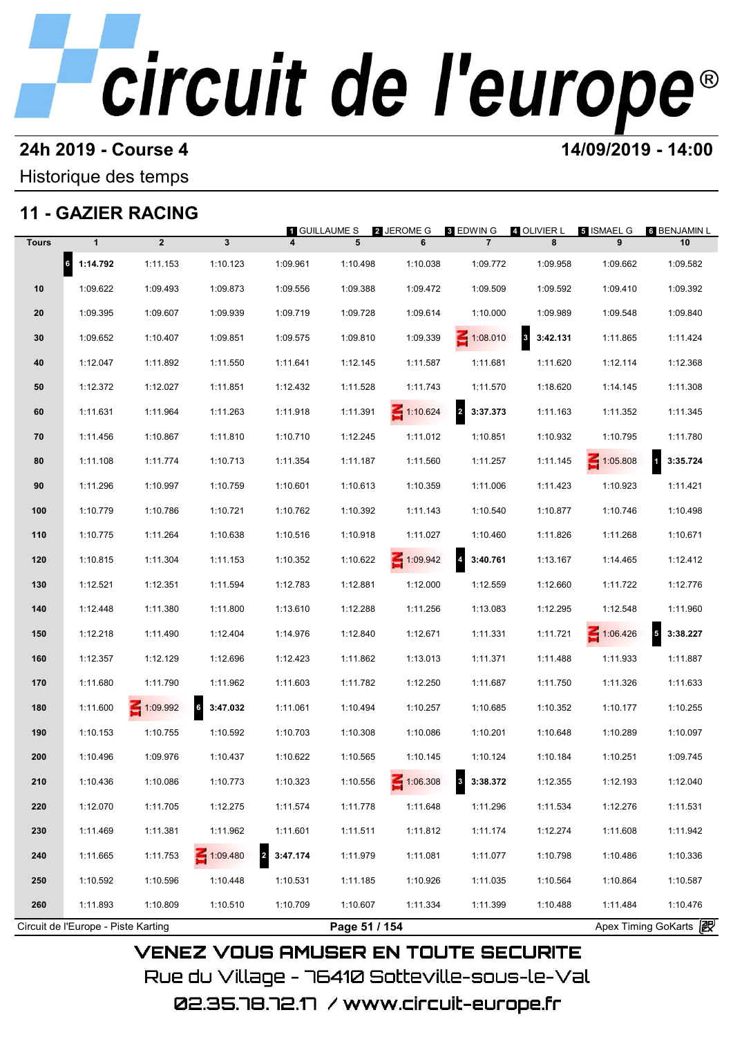### **24h 2019 - Course 4 14/09/2019 - 14:00**

Historique des temps

## **11 - GAZIER RACING**

|              |                                     |                |              | <b>1 GUILLAUME S</b>                |               | 2 JEROME G      | 3 EDWIN G                           | 4 OLIVIER L | 5 ISMAEL G      | 6 BENJAMIN L             |
|--------------|-------------------------------------|----------------|--------------|-------------------------------------|---------------|-----------------|-------------------------------------|-------------|-----------------|--------------------------|
| <b>Tours</b> | $\mathbf{1}$                        | $\overline{2}$ | 3            |                                     | 5             | 6               | $\overline{7}$                      | 8           | 9               | 10                       |
|              | $6$ 1:14.792                        | 1:11.153       | 1:10.123     | 1:09.961                            | 1:10.498      | 1:10.038        | 1:09.772                            | 1:09.958    | 1:09.662        | 1:09.582                 |
| 10           | 1:09.622                            | 1:09.493       | 1:09.873     | 1:09.556                            | 1:09.388      | 1:09.472        | 1:09.509                            | 1:09.592    | 1:09.410        | 1:09.392                 |
| 20           | 1:09.395                            | 1:09.607       | 1:09.939     | 1:09.719                            | 1:09.728      | 1:09.614        | 1:10.000                            | 1:09.989    | 1:09.548        | 1:09.840                 |
| 30           | 1:09.652                            | 1:10.407       | 1:09.851     | 1:09.575                            | 1:09.810      | 1:09.339        | $\leq 1:08.010$                     | 3:42.131    | 1:11.865        | 1:11.424                 |
| 40           | 1:12.047                            | 1:11.892       | 1:11.550     | 1:11.641                            | 1:12.145      | 1:11.587        | 1:11.681                            | 1:11.620    | 1:12.114        | 1:12.368                 |
| 50           | 1:12.372                            | 1:12.027       | 1:11.851     | 1:12.432                            | 1:11.528      | 1:11.743        | 1:11.570                            | 1:18.620    | 1:14.145        | 1:11.308                 |
| 60           | 1:11.631                            | 1:11.964       | 1:11.263     | 1:11.918                            | 1:11.391      | $\leq 1:10.624$ | 2 3:37.373                          | 1:11.163    | 1:11.352        | 1:11.345                 |
| 70           | 1:11.456                            | 1:10.867       | 1:11.810     | 1:10.710                            | 1:12.245      | 1:11.012        | 1:10.851                            | 1:10.932    | 1:10.795        | 1:11.780                 |
| 80           | 1:11.108                            | 1:11.774       | 1:10.713     | 1:11.354                            | 1:11.187      | 1:11.560        | 1:11.257                            | 1:11.145    | $\leq 1:05.808$ | 3:35.724<br>$\mathbf{1}$ |
| 90           | 1:11.296                            | 1:10.997       | 1:10.759     | 1:10.601                            | 1:10.613      | 1:10.359        | 1:11.006                            | 1:11.423    | 1:10.923        | 1:11.421                 |
| 100          | 1:10.779                            | 1:10.786       | 1:10.721     | 1:10.762                            | 1:10.392      | 1:11.143        | 1:10.540                            | 1:10.877    | 1:10.746        | 1:10.498                 |
| 110          | 1:10.775                            | 1:11.264       | 1:10.638     | 1:10.516                            | 1:10.918      | 1:11.027        | 1:10.460                            | 1:11.826    | 1:11.268        | 1:10.671                 |
| 120          | 1:10.815                            | 1:11.304       | 1:11.153     | 1:10.352                            | 1:10.622      | 1:09.942        | $\overline{a}$<br>3:40.761          | 1:13.167    | 1:14.465        | 1:12.412                 |
| 130          | 1:12.521                            | 1:12.351       | 1:11.594     | 1:12.783                            | 1:12.881      | 1:12.000        | 1:12.559                            | 1:12.660    | 1:11.722        | 1:12.776                 |
| 140          | 1:12.448                            | 1:11.380       | 1:11.800     | 1:13.610                            | 1:12.288      | 1:11.256        | 1:13.083                            | 1:12.295    | 1:12.548        | 1:11.960                 |
| 150          | 1:12.218                            | 1:11.490       | 1:12.404     | 1:14.976                            | 1:12.840      | 1:12.671        | 1:11.331                            | 1:11.721    | 1:06.426        | $5$ 3:38.227             |
| 160          | 1:12.357                            | 1:12.129       | 1:12.696     | 1:12.423                            | 1:11.862      | 1:13.013        | 1:11.371                            | 1:11.488    | 1:11.933        | 1:11.887                 |
| 170          | 1:11.680                            | 1:11.790       | 1:11.962     | 1:11.603                            | 1:11.782      | 1:12.250        | 1:11.687                            | 1:11.750    | 1:11.326        | 1:11.633                 |
| 180          | 1:11.600                            | $-1:09.992$    | $6$ 3:47.032 | 1:11.061                            | 1:10.494      | 1:10.257        | 1:10.685                            | 1:10.352    | 1:10.177        | 1:10.255                 |
| 190          | 1:10.153                            | 1:10.755       | 1:10.592     | 1:10.703                            | 1:10.308      | 1:10.086        | 1:10.201                            | 1:10.648    | 1:10.289        | 1:10.097                 |
| 200          | 1:10.496                            | 1:09.976       | 1:10.437     | 1:10.622                            | 1:10.565      | 1:10.145        | 1:10.124                            | 1:10.184    | 1:10.251        | 1:09.745                 |
| 210          | 1:10.436                            | 1:10.086       | 1:10.773     | 1:10.323                            | 1:10.556      | 1:06.308        | $\overline{\mathbf{3}}$<br>3:38.372 | 1:12.355    | 1:12.193        | 1:12.040                 |
| 220          | 1:12.070                            | 1:11.705       | 1:12.275     | 1:11.574                            | 1:11.778      | 1:11.648        | 1:11.296                            | 1:11.534    | 1:12.276        | 1:11.531                 |
| 230          | 1:11.469                            | 1:11.381       | 1:11.962     | 1:11.601                            | 1:11.511      | 1:11.812        | 1:11.174                            | 1:12.274    | 1:11.608        | 1:11.942                 |
| 240          | 1:11.665                            | 1:11.753       | 1:09.480     | $\overline{\mathbf{2}}$<br>3:47.174 | 1:11.979      | 1:11.081        | 1:11.077                            | 1:10.798    | 1:10.486        | 1:10.336                 |
| 250          | 1:10.592                            | 1:10.596       | 1:10.448     | 1:10.531                            | 1:11.185      | 1:10.926        | 1:11.035                            | 1:10.564    | 1:10.864        | 1:10.587                 |
| 260          | 1:11.893                            | 1:10.809       | 1:10.510     | 1:10.709                            | 1:10.607      | 1:11.334        | 1:11.399                            | 1:10.488    | 1:11.484        | 1:10.476                 |
|              | Circuit de l'Europe - Piste Karting |                |              |                                     | Page 51 / 154 |                 |                                     |             |                 | Apex Timing GoKarts 2    |

Rue du Village – 76410 Sotteville-sous-le-Val 02.35.78.72.17 /www.circuit-europe.fr

**VENEZ VOUS AMUSER EN TOUTE SECURITE**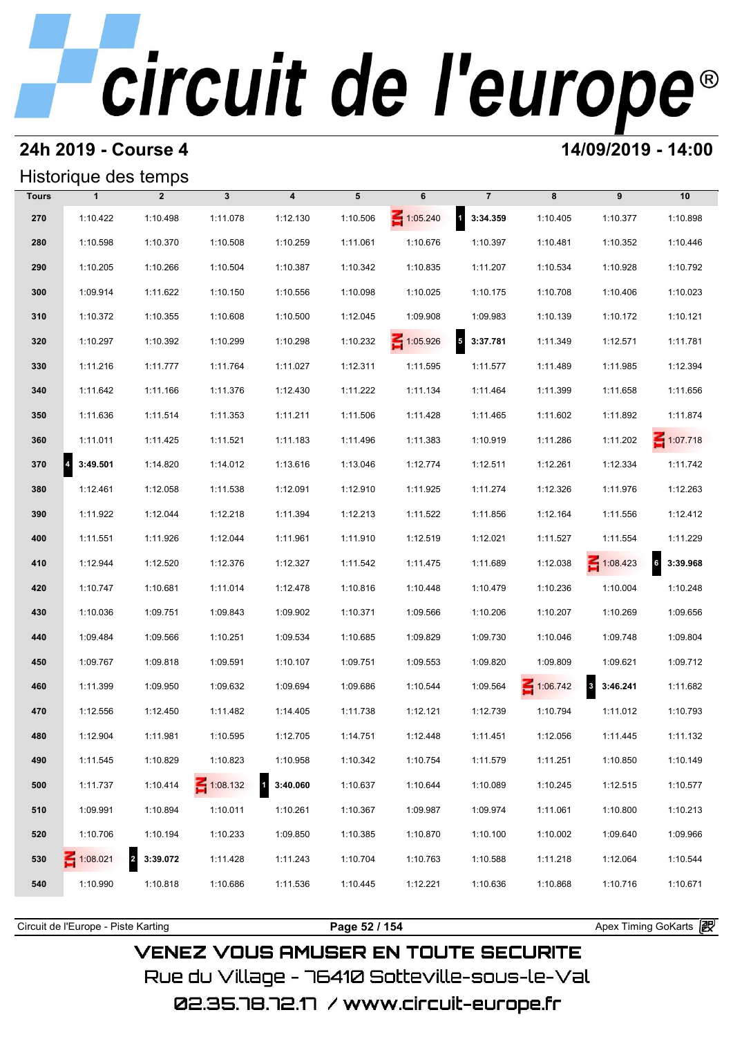### **24h 2019 - Course 4 14/09/2019 - 14:00**

### Historique des temps

|              | Historique des temps  |                            |                 |                                     |          |                 |                        |          |                                     |                 |
|--------------|-----------------------|----------------------------|-----------------|-------------------------------------|----------|-----------------|------------------------|----------|-------------------------------------|-----------------|
| <b>Tours</b> | $\mathbf{1}$          | $\overline{2}$             | $\mathbf{3}$    | $\overline{\mathbf{4}}$             | 5        | 6               | $\overline{7}$         | 8        | 9                                   | 10              |
| 270          | 1:10.422              | 1:10.498                   | 1:11.078        | 1:12.130                            | 1:10.506 | $\leq 1:05.240$ | 1 3:34.359             | 1:10.405 | 1:10.377                            | 1:10.898        |
| 280          | 1:10.598              | 1:10.370                   | 1:10.508        | 1:10.259                            | 1:11.061 | 1:10.676        | 1:10.397               | 1:10.481 | 1:10.352                            | 1:10.446        |
| 290          | 1:10.205              | 1:10.266                   | 1:10.504        | 1:10.387                            | 1:10.342 | 1:10.835        | 1:11.207               | 1:10.534 | 1:10.928                            | 1:10.792        |
| 300          | 1:09.914              | 1:11.622                   | 1:10.150        | 1:10.556                            | 1:10.098 | 1:10.025        | 1:10.175               | 1:10.708 | 1:10.406                            | 1:10.023        |
| 310          | 1:10.372              | 1:10.355                   | 1:10.608        | 1:10.500                            | 1:12.045 | 1:09.908        | 1:09.983               | 1:10.139 | 1:10.172                            | 1:10.121        |
| 320          | 1:10.297              | 1:10.392                   | 1:10.299        | 1:10.298                            | 1:10.232 | $\leq 1:05.926$ | $\sqrt{5}$<br>3:37.781 | 1:11.349 | 1:12.571                            | 1:11.781        |
| 330          | 1:11.216              | 1:11.777                   | 1:11.764        | 1:11.027                            | 1:12.311 | 1:11.595        | 1:11.577               | 1:11.489 | 1:11.985                            | 1:12.394        |
| 340          | 1:11.642              | 1:11.166                   | 1:11.376        | 1:12.430                            | 1:11.222 | 1:11.134        | 1:11.464               | 1:11.399 | 1:11.658                            | 1:11.656        |
| 350          | 1:11.636              | 1:11.514                   | 1:11.353        | 1:11.211                            | 1:11.506 | 1:11.428        | 1:11.465               | 1:11.602 | 1:11.892                            | 1:11.874        |
| 360          | 1:11.011              | 1:11.425                   | 1:11.521        | 1:11.183                            | 1:11.496 | 1:11.383        | 1:10.919               | 1:11.286 | 1:11.202                            | $\leq 1:07.718$ |
| 370          | $\vert$ 4<br>3:49.501 | 1:14.820                   | 1:14.012        | 1:13.616                            | 1:13.046 | 1:12.774        | 1:12.511               | 1:12.261 | 1:12.334                            | 1:11.742        |
| 380          | 1:12.461              | 1:12.058                   | 1:11.538        | 1:12.091                            | 1:12.910 | 1:11.925        | 1:11.274               | 1:12.326 | 1:11.976                            | 1:12.263        |
| 390          | 1:11.922              | 1:12.044                   | 1:12.218        | 1:11.394                            | 1:12.213 | 1:11.522        | 1:11.856               | 1:12.164 | 1:11.556                            | 1:12.412        |
| 400          | 1:11.551              | 1:11.926                   | 1:12.044        | 1:11.961                            | 1:11.910 | 1:12.519        | 1:12.021               | 1:11.527 | 1:11.554                            | 1:11.229        |
| 410          | 1:12.944              | 1:12.520                   | 1:12.376        | 1:12.327                            | 1:11.542 | 1:11.475        | 1:11.689               | 1:12.038 | $\leq 1:08.423$                     | 6<br>3:39.968   |
| 420          | 1:10.747              | 1:10.681                   | 1:11.014        | 1:12.478                            | 1:10.816 | 1:10.448        | 1:10.479               | 1:10.236 | 1:10.004                            | 1:10.248        |
| 430          | 1:10.036              | 1:09.751                   | 1:09.843        | 1:09.902                            | 1:10.371 | 1:09.566        | 1:10.206               | 1:10.207 | 1:10.269                            | 1:09.656        |
| 440          | 1:09.484              | 1:09.566                   | 1:10.251        | 1:09.534                            | 1:10.685 | 1:09.829        | 1:09.730               | 1:10.046 | 1:09.748                            | 1:09.804        |
| 450          | 1:09.767              | 1:09.818                   | 1:09.591        | 1:10.107                            | 1:09.751 | 1:09.553        | 1:09.820               | 1:09.809 | 1:09.621                            | 1:09.712        |
| 460          | 1:11.399              | 1:09.950                   | 1:09.632        | 1:09.694                            | 1:09.686 | 1:10.544        | 1:09.564               | 1:06.742 | $\overline{\mathbf{3}}$<br>3:46.241 | 1:11.682        |
| 470          | 1:12.556              | 1:12.450                   | 1:11.482        | 1:14.405                            | 1:11.738 | 1:12.121        | 1:12.739               | 1:10.794 | 1:11.012                            | 1:10.793        |
| 480          | 1:12.904              | 1:11.981                   | 1:10.595        | 1:12.705                            | 1:14.751 | 1:12.448        | 1:11.451               | 1:12.056 | 1:11.445                            | 1:11.132        |
| 490          | 1:11.545              | 1:10.829                   | 1:10.823        | 1:10.958                            | 1:10.342 | 1:10.754        | 1:11.579               | 1:11.251 | 1:10.850                            | 1:10.149        |
| 500          | 1:11.737              | 1:10.414                   | $\leq 1:08.132$ | $\overline{\mathbf{1}}$<br>3:40.060 | 1:10.637 | 1:10.644        | 1:10.089               | 1:10.245 | 1:12.515                            | 1:10.577        |
| 510          | 1:09.991              | 1:10.894                   | 1:10.011        | 1:10.261                            | 1:10.367 | 1:09.987        | 1:09.974               | 1:11.061 | 1:10.800                            | 1:10.213        |
| 520          | 1:10.706              | 1:10.194                   | 1:10.233        | 1:09.850                            | 1:10.385 | 1:10.870        | 1:10.100               | 1:10.002 | 1:09.640                            | 1:09.966        |
| 530          | 1:08.021              | $\overline{a}$<br>3:39.072 | 1:11.428        | 1:11.243                            | 1:10.704 | 1:10.763        | 1:10.588               | 1:11.218 | 1:12.064                            | 1:10.544        |
| 540          | 1:10.990              | 1:10.818                   | 1:10.686        | 1:11.536                            | 1:10.445 | 1:12.221        | 1:10.636               | 1:10.868 | 1:10.716                            | 1:10.671        |
|              |                       |                            |                 |                                     |          |                 |                        |          |                                     |                 |

**VENEZ VOUS AMUSER EN TOUTE SECURITE** Rue du Village – 76410 Sotteville-sous-le-Val

Circuit de l'Europe - Piste Karting **Page 52 / 154 Page 52 / 154** Apex Timing GoKarts **in**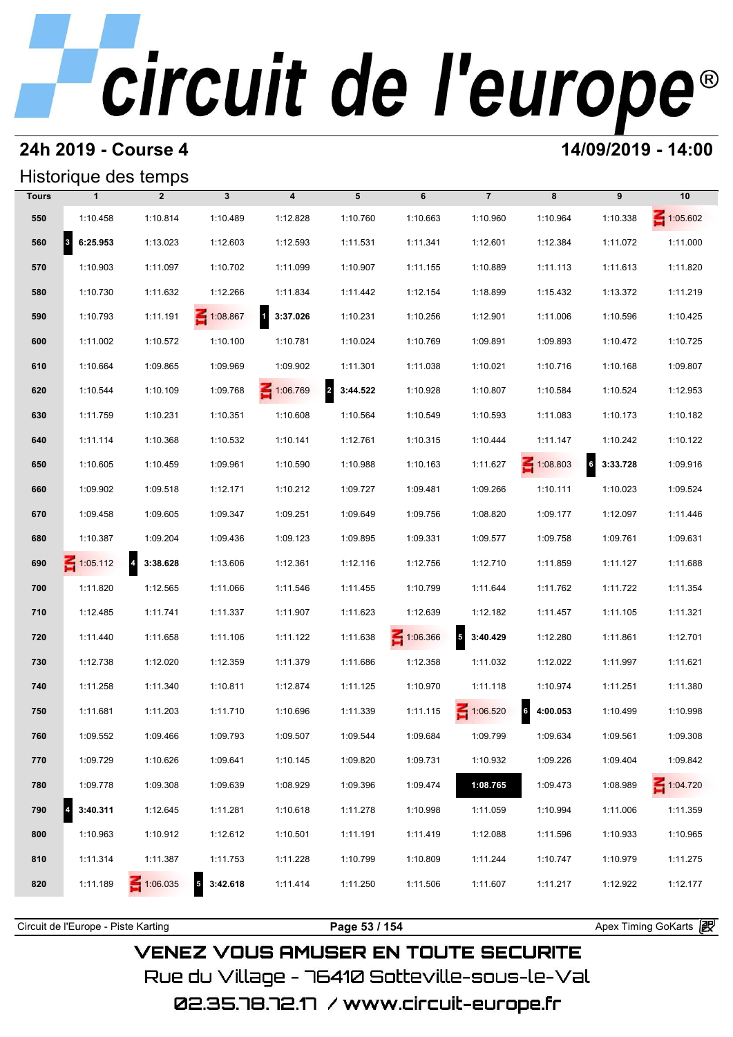## **24h 2019 - Course 4 14/09/2019 - 14:00**

## Historique des temps

|              |                       | Historique des temps                |                   |                                     |                            |          |                        |                            |                             |                 |
|--------------|-----------------------|-------------------------------------|-------------------|-------------------------------------|----------------------------|----------|------------------------|----------------------------|-----------------------------|-----------------|
| <b>Tours</b> | $\mathbf{1}$          | $\overline{2}$                      | $\mathbf{3}$      | $\boldsymbol{4}$                    | 5                          | 6        | $\overline{7}$         | 8                          | 9                           | 10              |
| 550          | 1:10.458              | 1:10.814                            | 1:10.489          | 1:12.828                            | 1:10.760                   | 1:10.663 | 1:10.960               | 1:10.964                   | 1:10.338                    | $\leq 1:05.602$ |
| 560          | $\vert$ 3<br>6:25.953 | 1:13.023                            | 1:12.603          | 1:12.593                            | 1:11.531                   | 1:11.341 | 1:12.601               | 1:12.384                   | 1:11.072                    | 1:11.000        |
| 570          | 1:10.903              | 1:11.097                            | 1:10.702          | 1:11.099                            | 1:10.907                   | 1:11.155 | 1:10.889               | 1:11.113                   | 1:11.613                    | 1:11.820        |
| 580          | 1:10.730              | 1:11.632                            | 1:12.266          | 1:11.834                            | 1:11.442                   | 1:12.154 | 1:18.899               | 1:15.432                   | 1:13.372                    | 1:11.219        |
| 590          | 1:10.793              | 1:11.191                            | 1:08.867          | $\overline{\mathbf{1}}$<br>3:37.026 | 1:10.231                   | 1:10.256 | 1:12.901               | 1:11.006                   | 1:10.596                    | 1:10.425        |
| 600          | 1:11.002              | 1:10.572                            | 1:10.100          | 1:10.781                            | 1:10.024                   | 1:10.769 | 1:09.891               | 1:09.893                   | 1:10.472                    | 1:10.725        |
| 610          | 1:10.664              | 1:09.865                            | 1:09.969          | 1:09.902                            | 1:11.301                   | 1:11.038 | 1:10.021               | 1:10.716                   | 1:10.168                    | 1:09.807        |
| 620          | 1:10.544              | 1:10.109                            | 1:09.768          | 1:06.769                            | $\overline{2}$<br>3:44.522 | 1:10.928 | 1:10.807               | 1:10.584                   | 1:10.524                    | 1:12.953        |
| 630          | 1:11.759              | 1:10.231                            | 1:10.351          | 1:10.608                            | 1:10.564                   | 1:10.549 | 1:10.593               | 1:11.083                   | 1:10.173                    | 1:10.182        |
| 640          | 1:11.114              | 1:10.368                            | 1:10.532          | 1:10.141                            | 1:12.761                   | 1:10.315 | 1:10.444               | 1:11.147                   | 1:10.242                    | 1:10.122        |
| 650          | 1:10.605              | 1:10.459                            | 1:09.961          | 1:10.590                            | 1:10.988                   | 1:10.163 | 1:11.627               | $\leq 1:08.803$            | $6\overline{6}$<br>3:33.728 | 1:09.916        |
| 660          | 1:09.902              | 1:09.518                            | 1:12.171          | 1:10.212                            | 1:09.727                   | 1:09.481 | 1:09.266               | 1:10.111                   | 1:10.023                    | 1:09.524        |
| 670          | 1:09.458              | 1:09.605                            | 1:09.347          | 1:09.251                            | 1:09.649                   | 1:09.756 | 1:08.820               | 1:09.177                   | 1:12.097                    | 1:11.446        |
| 680          | 1:10.387              | 1:09.204                            | 1:09.436          | 1:09.123                            | 1:09.895                   | 1:09.331 | 1:09.577               | 1:09.758                   | 1:09.761                    | 1:09.631        |
| 690          | 1:05.112              | $\overline{\mathbf{A}}$<br>3:38.628 | 1:13.606          | 1:12.361                            | 1:12.116                   | 1:12.756 | 1:12.710               | 1:11.859                   | 1:11.127                    | 1:11.688        |
| 700          | 1:11.820              | 1:12.565                            | 1:11.066          | 1:11.546                            | 1:11.455                   | 1:10.799 | 1:11.644               | 1:11.762                   | 1:11.722                    | 1:11.354        |
| 710          | 1:12.485              | 1:11.741                            | 1:11.337          | 1:11.907                            | 1:11.623                   | 1:12.639 | 1:12.182               | 1:11.457                   | 1:11.105                    | 1:11.321        |
| 720          | 1:11.440              | 1:11.658                            | 1:11.106          | 1:11.122                            | 1:11.638                   | 1:06.366 | $\sqrt{5}$<br>3:40.429 | 1:12.280                   | 1:11.861                    | 1:12.701        |
| 730          | 1:12.738              | 1:12.020                            | 1:12.359          | 1:11.379                            | 1:11.686                   | 1:12.358 | 1:11.032               | 1:12.022                   | 1:11.997                    | 1:11.621        |
| 740          | 1:11.258              | 1:11.340                            | 1:10.811          | 1:12.874                            | 1:11.125                   | 1:10.970 | 1:11.118               | 1:10.974                   | 1:11.251                    | 1:11.380        |
| 750          | 1:11.681              | 1:11.203                            | 1:11.710          | 1:10.696                            | 1:11.339                   | 1:11.115 | 1:06.520               | 6 <sup>1</sup><br>4:00.053 | 1:10.499                    | 1:10.998        |
| 760          | 1:09.552              | 1:09.466                            | 1:09.793          | 1:09.507                            | 1:09.544                   | 1:09.684 | 1:09.799               | 1:09.634                   | 1:09.561                    | 1:09.308        |
| 770          | 1:09.729              | 1:10.626                            | 1:09.641          | 1:10.145                            | 1:09.820                   | 1:09.731 | 1:10.932               | 1:09.226                   | 1:09.404                    | 1:09.842        |
| 780          | 1:09.778              | 1:09.308                            | 1:09.639          | 1:08.929                            | 1:09.396                   | 1:09.474 | 1:08.765               | 1:09.473                   | 1:08.989                    | 1:04.720        |
| 790          | 3:40.311              | 1:12.645                            | 1:11.281          | 1:10.618                            | 1:11.278                   | 1:10.998 | 1:11.059               | 1:10.994                   | 1:11.006                    | 1:11.359        |
| 800          | 1:10.963              | 1:10.912                            | 1:12.612          | 1:10.501                            | 1:11.191                   | 1:11.419 | 1:12.088               | 1:11.596                   | 1:10.933                    | 1:10.965        |
| 810          | 1:11.314              | 1:11.387                            | 1:11.753          | 1:11.228                            | 1:10.799                   | 1:10.809 | 1:11.244               | 1:10.747                   | 1:10.979                    | 1:11.275        |
| 820          | 1:11.189              | $\leq 1:06.035$                     | $5\quad 3:42.618$ | 1:11.414                            | 1:11.250                   | 1:11.506 | 1:11.607               | 1:11.217                   | 1:12.922                    | 1:12.177        |
|              |                       |                                     |                   |                                     |                            |          |                        |                            |                             |                 |

**VENEZ VOUS AMUSER EN TOUTE SECURITE** Rue du Village – 76410 Sotteville-sous-le-Val

Circuit de l'Europe - Piste Karting **Page 53 / 154 Page 53 / 154** Apex Timing GoKarts **in**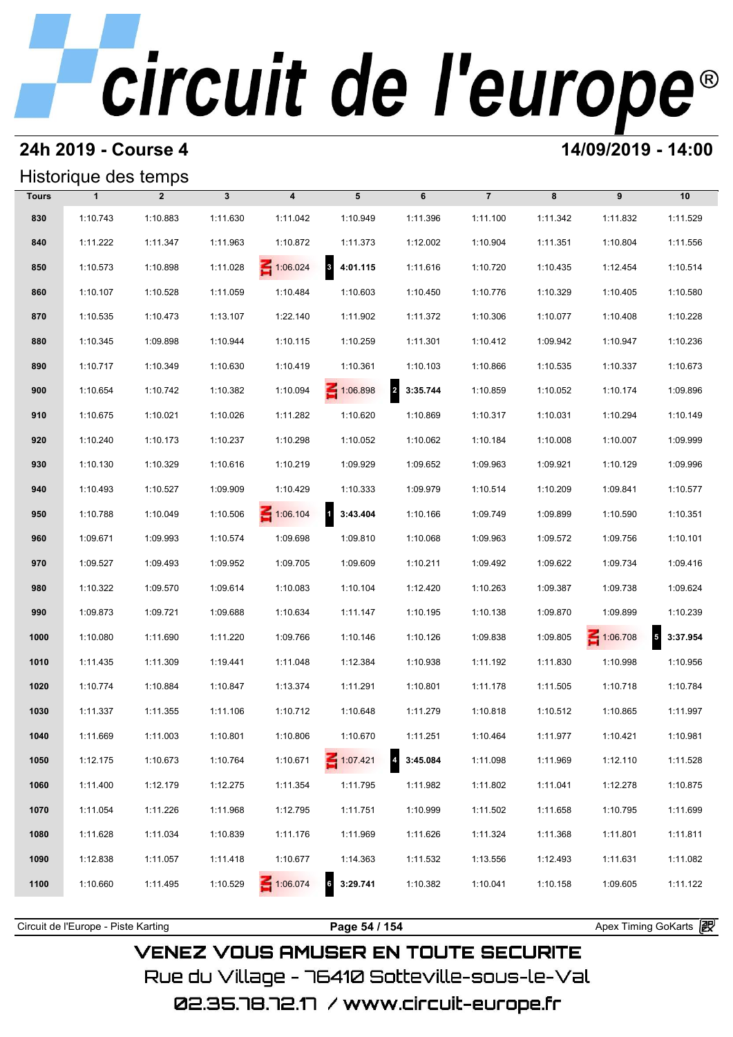### **24h 2019 - Course 4 14/09/2019 - 14:00**

### Historique des temps

|              | Historique des temps |                |              |                  |                             |                            |                |          |                 |                        |
|--------------|----------------------|----------------|--------------|------------------|-----------------------------|----------------------------|----------------|----------|-----------------|------------------------|
| <b>Tours</b> | $\mathbf{1}$         | $\overline{2}$ | $\mathbf{3}$ | $\boldsymbol{4}$ | 5                           | 6                          | $\overline{7}$ | 8        | 9               | 10                     |
| 830          | 1:10.743             | 1:10.883       | 1:11.630     | 1:11.042         | 1:10.949                    | 1:11.396                   | 1:11.100       | 1:11.342 | 1:11.832        | 1:11.529               |
| 840          | 1:11.222             | 1:11.347       | 1:11.963     | 1:10.872         | 1:11.373                    | 1:12.002                   | 1:10.904       | 1:11.351 | 1:10.804        | 1:11.556               |
| 850          | 1:10.573             | 1:10.898       | 1:11.028     | 1:06.024         | $3\overline{3}$<br>4:01.115 | 1:11.616                   | 1:10.720       | 1:10.435 | 1:12.454        | 1:10.514               |
| 860          | 1:10.107             | 1:10.528       | 1:11.059     | 1:10.484         | 1:10.603                    | 1:10.450                   | 1:10.776       | 1:10.329 | 1:10.405        | 1:10.580               |
| 870          | 1:10.535             | 1:10.473       | 1:13.107     | 1:22.140         | 1:11.902                    | 1:11.372                   | 1:10.306       | 1:10.077 | 1:10.408        | 1:10.228               |
| 880          | 1:10.345             | 1:09.898       | 1:10.944     | 1:10.115         | 1:10.259                    | 1:11.301                   | 1:10.412       | 1:09.942 | 1:10.947        | 1:10.236               |
| 890          | 1:10.717             | 1:10.349       | 1:10.630     | 1:10.419         | 1:10.361                    | 1:10.103                   | 1:10.866       | 1:10.535 | 1:10.337        | 1:10.673               |
| 900          | 1:10.654             | 1:10.742       | 1:10.382     | 1:10.094         | 1:06.898                    | $\overline{a}$<br>3:35.744 | 1:10.859       | 1:10.052 | 1:10.174        | 1:09.896               |
| 910          | 1:10.675             | 1:10.021       | 1:10.026     | 1:11.282         | 1:10.620                    | 1:10.869                   | 1:10.317       | 1:10.031 | 1:10.294        | 1:10.149               |
| 920          | 1:10.240             | 1:10.173       | 1:10.237     | 1:10.298         | 1:10.052                    | 1:10.062                   | 1:10.184       | 1:10.008 | 1:10.007        | 1:09.999               |
| 930          | 1:10.130             | 1:10.329       | 1:10.616     | 1:10.219         | 1:09.929                    | 1:09.652                   | 1:09.963       | 1:09.921 | 1:10.129        | 1:09.996               |
| 940          | 1:10.493             | 1:10.527       | 1:09.909     | 1:10.429         | 1:10.333                    | 1:09.979                   | 1:10.514       | 1:10.209 | 1:09.841        | 1:10.577               |
| 950          | 1:10.788             | 1:10.049       | 1:10.506     | $\leq 1:06.104$  | $1 \quad 3:43.404$          | 1:10.166                   | 1:09.749       | 1:09.899 | 1:10.590        | 1:10.351               |
| 960          | 1:09.671             | 1:09.993       | 1:10.574     | 1:09.698         | 1:09.810                    | 1:10.068                   | 1:09.963       | 1:09.572 | 1:09.756        | 1:10.101               |
| 970          | 1:09.527             | 1:09.493       | 1:09.952     | 1:09.705         | 1:09.609                    | 1:10.211                   | 1:09.492       | 1:09.622 | 1:09.734        | 1:09.416               |
| 980          | 1:10.322             | 1:09.570       | 1:09.614     | 1:10.083         | 1:10.104                    | 1:12.420                   | 1:10.263       | 1:09.387 | 1:09.738        | 1:09.624               |
| 990          | 1:09.873             | 1:09.721       | 1:09.688     | 1:10.634         | 1:11.147                    | 1:10.195                   | 1:10.138       | 1:09.870 | 1:09.899        | 1:10.239               |
| 1000         | 1:10.080             | 1:11.690       | 1:11.220     | 1:09.766         | 1:10.146                    | 1:10.126                   | 1:09.838       | 1:09.805 | $\leq 1:06.708$ | $\sqrt{5}$<br>3:37.954 |
| 1010         | 1:11.435             | 1:11.309       | 1:19.441     | 1:11.048         | 1:12.384                    | 1:10.938                   | 1:11.192       | 1:11.830 | 1:10.998        | 1:10.956               |
| 1020         | 1:10.774             | 1:10.884       | 1:10.847     | 1:13.374         | 1:11.291                    | 1:10.801                   | 1:11.178       | 1:11.505 | 1:10.718        | 1:10.784               |
| 1030         | 1:11.337             | 1:11.355       | 1:11.106     | 1:10.712         | 1:10.648                    | 1:11.279                   | 1:10.818       | 1:10.512 | 1:10.865        | 1:11.997               |
| 1040         | 1:11.669             | 1:11.003       | 1:10.801     | 1:10.806         | 1:10.670                    | 1:11.251                   | 1:10.464       | 1:11.977 | 1:10.421        | 1:10.981               |
| 1050         | 1:12.175             | 1:10.673       | 1:10.764     | 1:10.671         | $\leq 1:07.421$             | $\overline{4}$<br>3:45.084 | 1:11.098       | 1:11.969 | 1:12.110        | 1:11.528               |
| 1060         | 1:11.400             | 1:12.179       | 1:12.275     | 1:11.354         | 1:11.795                    | 1:11.982                   | 1:11.802       | 1:11.041 | 1:12.278        | 1:10.875               |
| 1070         | 1:11.054             | 1:11.226       | 1:11.968     | 1:12.795         | 1:11.751                    | 1:10.999                   | 1:11.502       | 1:11.658 | 1:10.795        | 1:11.699               |
| 1080         | 1:11.628             | 1:11.034       | 1:10.839     | 1:11.176         | 1:11.969                    | 1:11.626                   | 1:11.324       | 1:11.368 | 1:11.801        | 1:11.811               |
| 1090         | 1:12.838             | 1:11.057       | 1:11.418     | 1:10.677         | 1:14.363                    | 1:11.532                   | 1:13.556       | 1:12.493 | 1:11.631        | 1:11.082               |
| 1100         | 1:10.660             | 1:11.495       | 1:10.529     | 1:06.074         | 3:29.741                    | 1:10.382                   | 1:10.041       | 1:10.158 | 1:09.605        | 1:11.122               |
|              |                      |                |              |                  |                             |                            |                |          |                 |                        |

**VENEZ VOUS AMUSER EN TOUTE SECURITE** Rue du Village – 76410 Sotteville-sous-le-Val 02.35.78.72.17 /www.circuit-europe.fr

Circuit de l'Europe - Piste Karting **Page 54 / 154 Page 54 / 154** Apex Timing GoKarts and Apex Timing Apex Timing Go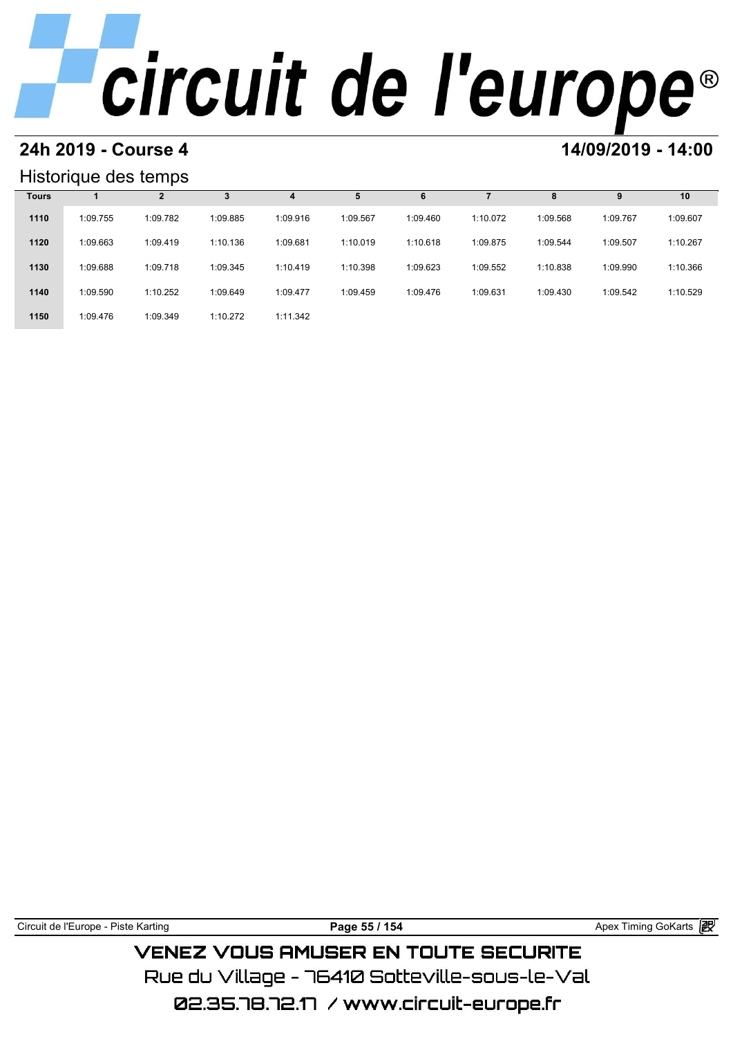# **24h 2019 - Course 4 12000 12000 14/09/2019 - 14:00**

### Historique des temps

| Historique des temps |          |          |          |          |          |          |          |          |          |          |  |
|----------------------|----------|----------|----------|----------|----------|----------|----------|----------|----------|----------|--|
| <b>Tours</b>         |          | 2        | 3        | 4        |          | 6        |          | 8        | 9        | 10       |  |
| 1110                 | 1:09.755 | 1:09.782 | 1:09.885 | 1:09.916 | 1:09.567 | 1:09.460 | 1:10.072 | 1:09.568 | 1:09.767 | 1:09.607 |  |
| 1120                 | 1:09.663 | 1:09.419 | 1:10.136 | 1:09.681 | 1:10.019 | 1:10.618 | 1:09.875 | 1:09.544 | 1:09.507 | 1:10.267 |  |
| 1130                 | 1:09.688 | 1:09.718 | 1:09.345 | 1:10.419 | 1:10.398 | 1:09.623 | 1:09.552 | 1:10.838 | 1:09.990 | 1:10.366 |  |
| 1140                 | 1:09.590 | 1:10.252 | 1:09.649 | 1:09.477 | 1:09.459 | 1:09.476 | 1:09.631 | 1:09.430 | 1:09.542 | 1:10.529 |  |
| 1150                 | 1:09.476 | 1:09.349 | 1:10.272 | 1:11.342 |          |          |          |          |          |          |  |

Circuit de l'Europe - Piste Karting **Page 55 / 154 Page 55 / 154** Apex Timing GoKarts and Apex Timing Apex Timing Go

**VENEZ VOUS AMUSER EN TOUTE SECURITE** Rue du Village – 76410 Sotteville-sous-le-Val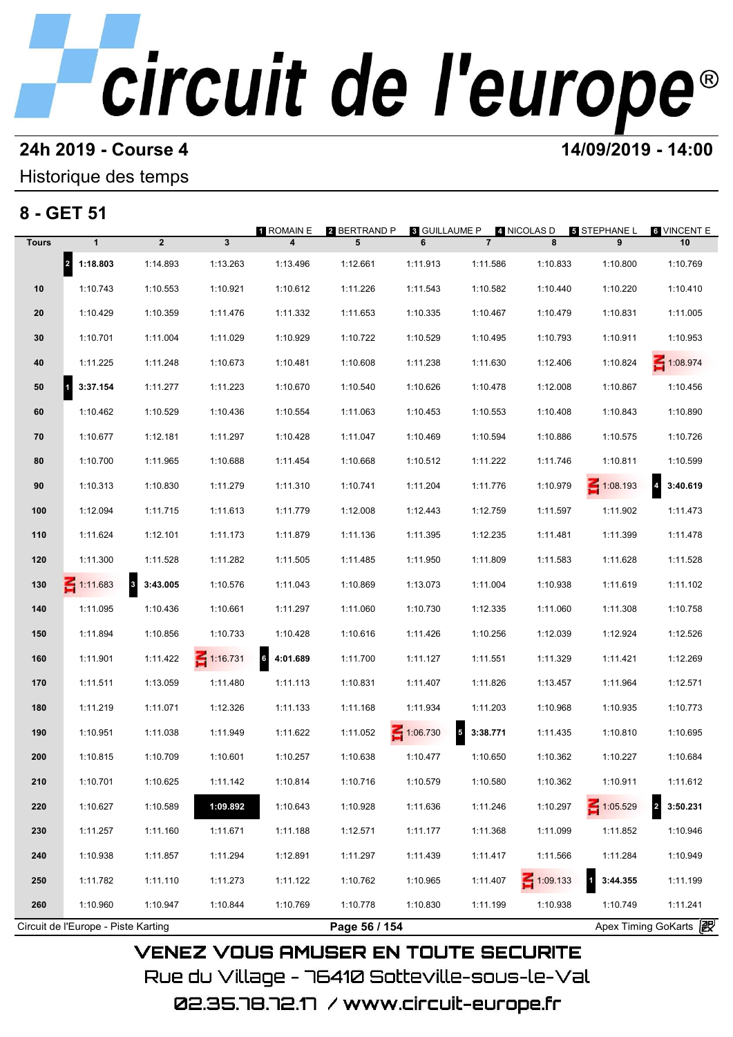# **24h 2019 - Course 4 12000 12000 14/09/2019 - 14:00**

## Historique des temps

## **8 - GET 51**

| 8 - GET 51   |                                     |                                     |                 | 1 ROMAIN E                  | 2 BERTRAND P  | <b>8 GUILLAUME P</b> |                                      | 4 NICOLAS D     | <b>5 STEPHANE L</b>        | <b>6 VINCENT E</b>                  |
|--------------|-------------------------------------|-------------------------------------|-----------------|-----------------------------|---------------|----------------------|--------------------------------------|-----------------|----------------------------|-------------------------------------|
| <b>Tours</b> | $\mathbf{1}$                        | $\overline{2}$                      | $\mathbf{3}$    | 4                           | 5             | 6                    | $\overline{7}$                       | 8               | 9                          | 10                                  |
|              | 2 1:18.803                          | 1:14.893                            | 1:13.263        | 1:13.496                    | 1:12.661      | 1:11.913             | 1:11.586                             | 1:10.833        | 1:10.800                   | 1:10.769                            |
| 10           | 1:10.743                            | 1:10.553                            | 1:10.921        | 1:10.612                    | 1:11.226      | 1:11.543             | 1:10.582                             | 1:10.440        | 1:10.220                   | 1:10.410                            |
| 20           | 1:10.429                            | 1:10.359                            | 1:11.476        | 1:11.332                    | 1:11.653      | 1:10.335             | 1:10.467                             | 1:10.479        | 1:10.831                   | 1:11.005                            |
| 30           | 1:10.701                            | 1:11.004                            | 1:11.029        | 1:10.929                    | 1:10.722      | 1:10.529             | 1:10.495                             | 1:10.793        | 1:10.911                   | 1:10.953                            |
| 40           | 1:11.225                            | 1:11.248                            | 1:10.673        | 1:10.481                    | 1:10.608      | 1:11.238             | 1:11.630                             | 1:12.406        | 1:10.824                   | 1:08.974                            |
| 50           | 3:37.154<br>11                      | 1:11.277                            | 1:11.223        | 1:10.670                    | 1:10.540      | 1:10.626             | 1:10.478                             | 1:12.008        | 1:10.867                   | 1:10.456                            |
| 60           | 1:10.462                            | 1:10.529                            | 1:10.436        | 1:10.554                    | 1:11.063      | 1:10.453             | 1:10.553                             | 1:10.408        | 1:10.843                   | 1:10.890                            |
| 70           | 1:10.677                            | 1:12.181                            | 1:11.297        | 1:10.428                    | 1:11.047      | 1:10.469             | 1:10.594                             | 1:10.886        | 1:10.575                   | 1:10.726                            |
| 80           | 1:10.700                            | 1:11.965                            | 1:10.688        | 1:11.454                    | 1:10.668      | 1:10.512             | 1:11.222                             | 1:11.746        | 1:10.811                   | 1:10.599                            |
| 90           | 1:10.313                            | 1:10.830                            | 1:11.279        | 1:11.310                    | 1:10.741      | 1:11.204             | 1:11.776                             | 1:10.979        | $\leq 1:08.193$            | $\overline{\mathbf{4}}$<br>3:40.619 |
| 100          | 1:12.094                            | 1:11.715                            | 1:11.613        | 1:11.779                    | 1:12.008      | 1:12.443             | 1:12.759                             | 1:11.597        | 1:11.902                   | 1:11.473                            |
| 110          | 1:11.624                            | 1:12.101                            | 1:11.173        | 1:11.879                    | 1:11.136      | 1:11.395             | 1:12.235                             | 1:11.481        | 1:11.399                   | 1:11.478                            |
| 120          | 1:11.300                            | 1:11.528                            | 1:11.282        | 1:11.505                    | 1:11.485      | 1:11.950             | 1:11.809                             | 1:11.583        | 1:11.628                   | 1:11.528                            |
| 130          | $\leq 1:11.683$                     | $\overline{\mathbf{3}}$<br>3:43.005 | 1:10.576        | 1:11.043                    | 1:10.869      | 1:13.073             | 1:11.004                             | 1:10.938        | 1:11.619                   | 1:11.102                            |
| 140          | 1:11.095                            | 1:10.436                            | 1:10.661        | 1:11.297                    | 1:11.060      | 1:10.730             | 1:12.335                             | 1:11.060        | 1:11.308                   | 1:10.758                            |
| 150          | 1:11.894                            | 1:10.856                            | 1:10.733        | 1:10.428                    | 1:10.616      | 1:11.426             | 1:10.256                             | 1:12.039        | 1:12.924                   | 1:12.526                            |
| 160          | 1:11.901                            | 1:11.422                            | $\leq 1:16.731$ | $6\overline{6}$<br>4:01.689 | 1:11.700      | 1:11.127             | 1:11.551                             | 1:11.329        | 1:11.421                   | 1:12.269                            |
| 170          | 1:11.511                            | 1:13.059                            | 1:11.480        | 1:11.113                    | 1:10.831      | 1:11.407             | 1:11.826                             | 1:13.457        | 1:11.964                   | 1:12.571                            |
| 180          | 1:11.219                            | 1:11.071                            | 1:12.326        | 1:11.133                    | 1:11.168      | 1:11.934             | 1:11.203                             | 1:10.968        | 1:10.935                   | 1:10.773                            |
| 190          | 1:10.951                            | 1:11.038                            | 1:11.949        | 1:11.622                    | 1:11.052      | 1:06.730             | $\overline{\phantom{a}}$<br>3:38.771 | 1:11.435        | 1:10.810                   | 1:10.695                            |
| 200          | 1:10.815                            | 1:10.709                            | 1:10.601        | 1:10.257                    | 1:10.638      | 1:10.477             | 1:10.650                             | 1:10.362        | 1:10.227                   | 1:10.684                            |
| 210          | 1:10.701                            | 1:10.625                            | 1:11.142        | 1:10.814                    | 1:10.716      | 1:10.579             | 1:10.580                             | 1:10.362        | 1:10.911                   | 1:11.612                            |
| 220          | 1:10.627                            | 1:10.589                            | 1:09.892        | 1:10.643                    | 1:10.928      | 1:11.636             | 1:11.246                             | 1:10.297        | $\leq 1:05.529$            | $\overline{2}$<br>3:50.231          |
| 230          | 1:11.257                            | 1:11.160                            | 1:11.671        | 1:11.188                    | 1:12.571      | 1:11.177             | 1:11.368                             | 1:11.099        | 1:11.852                   | 1:10.946                            |
| 240          | 1:10.938                            | 1:11.857                            | 1:11.294        | 1:12.891                    | 1:11.297      | 1:11.439             | 1:11.417                             | 1:11.566        | 1:11.284                   | 1:10.949                            |
| 250          | 1:11.782                            | 1:11.110                            | 1:11.273        | 1:11.122                    | 1:10.762      | 1:10.965             | 1:11.407                             | $\leq 1:09.133$ | $\overline{1}$<br>3:44.355 | 1:11.199                            |
| 260          | 1:10.960                            | 1:10.947                            | 1:10.844        | 1:10.769                    | 1:10.778      | 1:10.830             | 1:11.199                             | 1:10.938        | 1:10.749                   | 1:11.241                            |
|              | Circuit de l'Europe - Piste Karting |                                     |                 |                             | Page 56 / 154 |                      |                                      |                 |                            | Apex Timing GoKarts 2               |

Rue du Village – 76410 Sotteville-sous-le-Val 02.35.78.72.17 / www.circuit-europe.fr

**VENEZ VOUS AMUSER EN TOUTE SECURITE**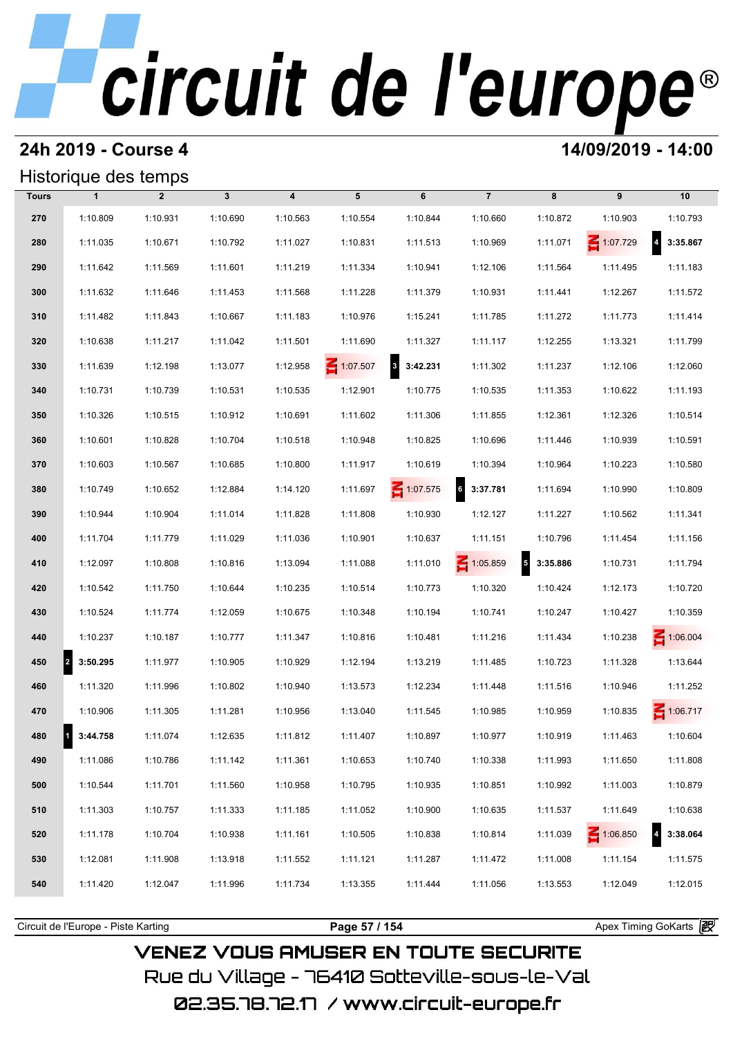### **24h 2019 - Course 4 14/09/2019 - 14:00**

### Historique des temps

|              | Historique des temps             |                |              |                         |          |                 |                             |                                      |                 |                                     |
|--------------|----------------------------------|----------------|--------------|-------------------------|----------|-----------------|-----------------------------|--------------------------------------|-----------------|-------------------------------------|
| <b>Tours</b> | $\mathbf{1}$                     | $\overline{2}$ | $\mathbf{3}$ | $\overline{\mathbf{4}}$ | 5        | 6               | $\overline{7}$              | 8                                    | 9               | 10                                  |
| 270          | 1:10.809                         | 1:10.931       | 1:10.690     | 1:10.563                | 1:10.554 | 1:10.844        | 1:10.660                    | 1:10.872                             | 1:10.903        | 1:10.793                            |
| 280          | 1:11.035                         | 1:10.671       | 1:10.792     | 1:11.027                | 1:10.831 | 1:11.513        | 1:10.969                    | 1:11.071                             | 1:07.729        | $\overline{\mathbf{4}}$<br>3:35.867 |
| 290          | 1:11.642                         | 1:11.569       | 1:11.601     | 1:11.219                | 1:11.334 | 1:10.941        | 1:12.106                    | 1:11.564                             | 1:11.495        | 1:11.183                            |
| 300          | 1:11.632                         | 1:11.646       | 1:11.453     | 1:11.568                | 1:11.228 | 1:11.379        | 1:10.931                    | 1:11.441                             | 1:12.267        | 1:11.572                            |
| 310          | 1:11.482                         | 1:11.843       | 1:10.667     | 1:11.183                | 1:10.976 | 1:15.241        | 1:11.785                    | 1:11.272                             | 1:11.773        | 1:11.414                            |
| 320          | 1:10.638                         | 1:11.217       | 1:11.042     | 1:11.501                | 1:11.690 | 1:11.327        | 1:11.117                    | 1:12.255                             | 1:13.321        | 1:11.799                            |
| 330          | 1:11.639                         | 1:12.198       | 1:13.077     | 1:12.958                | 1:07.507 | 3:42.231        | 1:11.302                    | 1:11.237                             | 1:12.106        | 1:12.060                            |
| 340          | 1:10.731                         | 1:10.739       | 1:10.531     | 1:10.535                | 1:12.901 | 1:10.775        | 1:10.535                    | 1:11.353                             | 1:10.622        | 1:11.193                            |
| 350          | 1:10.326                         | 1:10.515       | 1:10.912     | 1:10.691                | 1:11.602 | 1:11.306        | 1:11.855                    | 1:12.361                             | 1:12.326        | 1:10.514                            |
| 360          | 1:10.601                         | 1:10.828       | 1:10.704     | 1:10.518                | 1:10.948 | 1:10.825        | 1:10.696                    | 1:11.446                             | 1:10.939        | 1:10.591                            |
| 370          | 1:10.603                         | 1:10.567       | 1:10.685     | 1:10.800                | 1:11.917 | 1:10.619        | 1:10.394                    | 1:10.964                             | 1:10.223        | 1:10.580                            |
| 380          | 1:10.749                         | 1:10.652       | 1:12.884     | 1:14.120                | 1:11.697 | $\leq 1:07.575$ | $6\overline{6}$<br>3:37.781 | 1:11.694                             | 1:10.990        | 1:10.809                            |
| 390          | 1:10.944                         | 1:10.904       | 1:11.014     | 1:11.828                | 1:11.808 | 1:10.930        | 1:12.127                    | 1:11.227                             | 1:10.562        | 1:11.341                            |
| 400          | 1:11.704                         | 1:11.779       | 1:11.029     | 1:11.036                | 1:10.901 | 1:10.637        | 1:11.151                    | 1:10.796                             | 1:11.454        | 1:11.156                            |
| 410          | 1:12.097                         | 1:10.808       | 1:10.816     | 1:13.094                | 1:11.088 | 1:11.010        | $\leq 1:05.859$             | $\overline{\phantom{a}}$<br>3:35.886 | 1:10.731        | 1:11.794                            |
| 420          | 1:10.542                         | 1:11.750       | 1:10.644     | 1:10.235                | 1:10.514 | 1:10.773        | 1:10.320                    | 1:10.424                             | 1:12.173        | 1:10.720                            |
| 430          | 1:10.524                         | 1:11.774       | 1:12.059     | 1:10.675                | 1:10.348 | 1:10.194        | 1:10.741                    | 1:10.247                             | 1:10.427        | 1:10.359                            |
| 440          | 1:10.237                         | 1:10.187       | 1:10.777     | 1:11.347                | 1:10.816 | 1:10.481        | 1:11.216                    | 1:11.434                             | 1:10.238        | $\leq 1:06.004$                     |
| 450          | $\vert$ <sup>2</sup><br>3:50.295 | 1:11.977       | 1:10.905     | 1:10.929                | 1:12.194 | 1:13.219        | 1:11.485                    | 1:10.723                             | 1:11.328        | 1:13.644                            |
| 460          | 1:11.320                         | 1:11.996       | 1:10.802     | 1:10.940                | 1:13.573 | 1:12.234        | 1:11.448                    | 1:11.516                             | 1:10.946        | 1:11.252                            |
| 470          | 1:10.906                         | 1:11.305       | 1:11.281     | 1:10.956                | 1:13.040 | 1:11.545        | 1:10.985                    | 1:10.959                             | 1:10.835        | $\leq 1:06.717$                     |
| 480          | 3:44.758                         | 1:11.074       | 1:12.635     | 1:11.812                | 1:11.407 | 1:10.897        | 1:10.977                    | 1:10.919                             | 1:11.463        | 1:10.604                            |
| 490          | 1:11.086                         | 1:10.786       | 1:11.142     | 1:11.361                | 1:10.653 | 1:10.740        | 1:10.338                    | 1:11.993                             | 1:11.650        | 1:11.808                            |
| 500          | 1:10.544                         | 1:11.701       | 1:11.560     | 1:10.958                | 1:10.795 | 1:10.935        | 1:10.851                    | 1:10.992                             | 1:11.003        | 1:10.879                            |
| 510          | 1:11.303                         | 1:10.757       | 1:11.333     | 1:11.185                | 1:11.052 | 1:10.900        | 1:10.635                    | 1:11.537                             | 1:11.649        | 1:10.638                            |
| 520          | 1:11.178                         | 1:10.704       | 1:10.938     | 1:11.161                | 1:10.505 | 1:10.838        | 1:10.814                    | 1:11.039                             | $\leq 1:06.850$ | 3:38.064                            |
| 530          | 1:12.081                         | 1:11.908       | 1:13.918     | 1:11.552                | 1:11.121 | 1:11.287        | 1:11.472                    | 1:11.008                             | 1:11.154        | 1:11.575                            |
| 540          | 1:11.420                         | 1:12.047       | 1:11.996     | 1:11.734                | 1:13.355 | 1:11.444        | 1:11.056                    | 1:13.553                             | 1:12.049        | 1:12.015                            |
|              |                                  |                |              |                         |          |                 |                             |                                      |                 |                                     |

**VENEZ VOUS AMUSER EN TOUTE SECURITE** Rue du Village – 76410 Sotteville-sous-le-Val

Circuit de l'Europe - Piste Karting **Page 57 / 154 Page 57 / 154** Apex Timing GoKarts and Apex Timing Apex Timing Go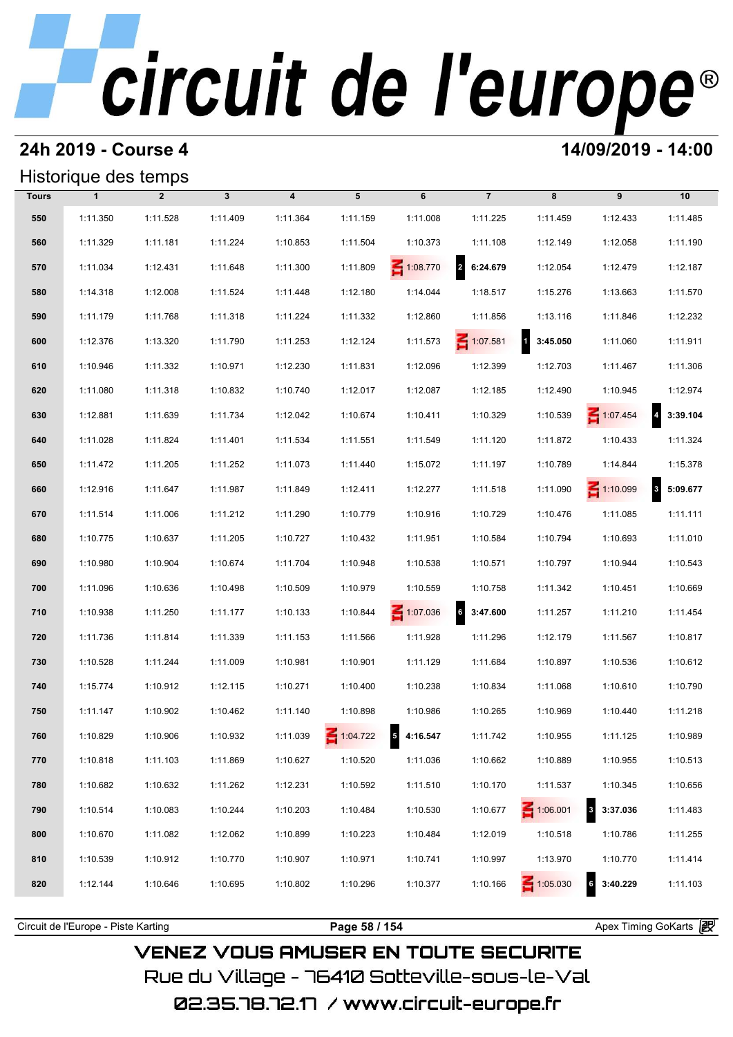### **24h 2019 - Course 4 14/09/2019 - 14:00**

## Historique des temps

|              | Historique des temps |                |              |                         |          |           |                            |                    |                          |                                     |
|--------------|----------------------|----------------|--------------|-------------------------|----------|-----------|----------------------------|--------------------|--------------------------|-------------------------------------|
| <b>Tours</b> | $\mathbf{1}$         | $\overline{2}$ | $\mathbf{3}$ | $\overline{\mathbf{4}}$ | 5        | 6         | $\overline{7}$             | 8                  | 9                        | 10                                  |
| 550          | 1:11.350             | 1:11.528       | 1:11.409     | 1:11.364                | 1:11.159 | 1:11.008  | 1:11.225                   | 1:11.459           | 1:12.433                 | 1:11.485                            |
| 560          | 1:11.329             | 1:11.181       | 1:11.224     | 1:10.853                | 1:11.504 | 1:10.373  | 1:11.108                   | 1:12.149           | 1:12.058                 | 1:11.190                            |
| 570          | 1:11.034             | 1:12.431       | 1:11.648     | 1:11.300                | 1:11.809 | 1:08.770  | $\overline{2}$<br>6:24.679 | 1:12.054           | 1:12.479                 | 1:12.187                            |
| 580          | 1:14.318             | 1:12.008       | 1:11.524     | 1:11.448                | 1:12.180 | 1:14.044  | 1:18.517                   | 1:15.276           | 1:13.663                 | 1:11.570                            |
| 590          | 1:11.179             | 1:11.768       | 1:11.318     | 1:11.224                | 1:11.332 | 1:12.860  | 1:11.856                   | 1:13.116           | 1:11.846                 | 1:12.232                            |
| 600          | 1:12.376             | 1:13.320       | 1:11.790     | 1:11.253                | 1:12.124 | 1:11.573  | 1:07.581                   | $1 \quad 3:45.050$ | 1:11.060                 | 1:11.911                            |
| 610          | 1:10.946             | 1:11.332       | 1:10.971     | 1:12.230                | 1:11.831 | 1:12.096  | 1:12.399                   | 1:12.703           | 1:11.467                 | 1:11.306                            |
| 620          | 1:11.080             | 1:11.318       | 1:10.832     | 1:10.740                | 1:12.017 | 1:12.087  | 1:12.185                   | 1:12.490           | 1:10.945                 | 1:12.974                            |
| 630          | 1:12.881             | 1:11.639       | 1:11.734     | 1:12.042                | 1:10.674 | 1:10.411  | 1:10.329                   | 1:10.539           | 1:07.454                 | $\overline{4}$<br>3:39.104          |
| 640          | 1:11.028             | 1:11.824       | 1:11.401     | 1:11.534                | 1:11.551 | 1:11.549  | 1:11.120                   | 1:11.872           | 1:10.433                 | 1:11.324                            |
| 650          | 1:11.472             | 1:11.205       | 1:11.252     | 1:11.073                | 1:11.440 | 1:15.072  | 1:11.197                   | 1:10.789           | 1:14.844                 | 1:15.378                            |
| 660          | 1:12.916             | 1:11.647       | 1:11.987     | 1:11.849                | 1:12.411 | 1:12.277  | 1:11.518                   | 1:11.090           | $\leq 1:10.099$          | $\overline{\mathbf{3}}$<br>5:09.677 |
| 670          | 1:11.514             | 1:11.006       | 1:11.212     | 1:11.290                | 1:10.779 | 1:10.916  | 1:10.729                   | 1:10.476           | 1:11.085                 | 1:11.111                            |
| 680          | 1:10.775             | 1:10.637       | 1:11.205     | 1:10.727                | 1:10.432 | 1:11.951  | 1:10.584                   | 1:10.794           | 1:10.693                 | 1:11.010                            |
| 690          | 1:10.980             | 1:10.904       | 1:10.674     | 1:11.704                | 1:10.948 | 1:10.538  | 1:10.571                   | 1:10.797           | 1:10.944                 | 1:10.543                            |
| 700          | 1:11.096             | 1:10.636       | 1:10.498     | 1:10.509                | 1:10.979 | 1:10.559  | 1:10.758                   | 1:11.342           | 1:10.451                 | 1:10.669                            |
| 710          | 1:10.938             | 1:11.250       | 1:11.177     | 1:10.133                | 1:10.844 | 1:07.036  | 6<br>3:47.600              | 1:11.257           | 1:11.210                 | 1:11.454                            |
| 720          | 1:11.736             | 1:11.814       | 1:11.339     | 1:11.153                | 1:11.566 | 1:11.928  | 1:11.296                   | 1:12.179           | 1:11.567                 | 1:10.817                            |
| 730          | 1:10.528             | 1:11.244       | 1:11.009     | 1:10.981                | 1:10.901 | 1:11.129  | 1:11.684                   | 1:10.897           | 1:10.536                 | 1:10.612                            |
| 740          | 1:15.774             | 1:10.912       | 1:12.115     | 1:10.271                | 1:10.400 | 1:10.238  | 1:10.834                   | 1:11.068           | 1:10.610                 | 1:10.790                            |
| 750          | 1:11.147             | 1:10.902       | 1:10.462     | 1:11.140                | 1:10.898 | 1:10.986  | 1:10.265                   | 1:10.969           | 1:10.440                 | 1:11.218                            |
| 760          | 1:10.829             | 1:10.906       | 1:10.932     | 1:11.039                | 1:04.722 | 54:16.547 | 1:11.742                   | 1:10.955           | 1:11.125                 | 1:10.989                            |
| 770          | 1:10.818             | 1:11.103       | 1:11.869     | 1:10.627                | 1:10.520 | 1:11.036  | 1:10.662                   | 1:10.889           | 1:10.955                 | 1:10.513                            |
| 780          | 1:10.682             | 1:10.632       | 1:11.262     | 1:12.231                | 1:10.592 | 1:11.510  | 1:10.170                   | 1:11.537           | 1:10.345                 | 1:10.656                            |
| 790          | 1:10.514             | 1:10.083       | 1:10.244     | 1:10.203                | 1:10.484 | 1:10.530  | 1:10.677                   | $\leq 1:06.001$    | $\mathbf{3}$<br>3:37.036 | 1:11.483                            |
| 800          | 1:10.670             | 1:11.082       | 1:12.062     | 1:10.899                | 1:10.223 | 1:10.484  | 1:12.019                   | 1:10.518           | 1:10.786                 | 1:11.255                            |
| 810          | 1:10.539             | 1:10.912       | 1:10.770     | 1:10.907                | 1:10.971 | 1:10.741  | 1:10.997                   | 1:13.970           | 1:10.770                 | 1:11.414                            |
| 820          | 1:12.144             | 1:10.646       | 1:10.695     | 1:10.802                | 1:10.296 | 1:10.377  | 1:10.166                   | $\leq 1:05.030$    | $6 \mid$<br>3:40.229     | 1:11.103                            |
|              |                      |                |              |                         |          |           |                            |                    |                          |                                     |

**VENEZ VOUS AMUSER EN TOUTE SECURITE** Rue du Village – 76410 Sotteville-sous-le-Val

Circuit de l'Europe - Piste Karting **Page 58 / 154 Page 58 / 154** Apex Timing GoKarts and Apex Timing Apex Timing Go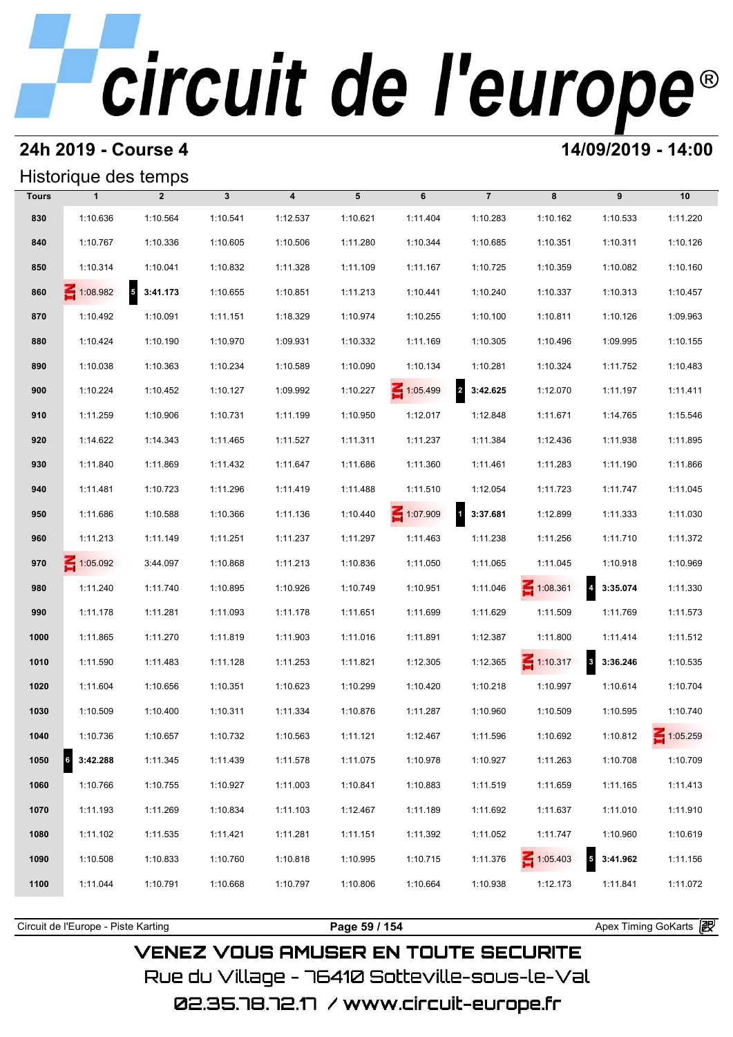## **24h 2019 - Course 4 14/09/2019 - 14:00**

## Historique des temps

|              | Historique des temps  |                |              |                         |          |                 |                                     |                 |                                     |                 |
|--------------|-----------------------|----------------|--------------|-------------------------|----------|-----------------|-------------------------------------|-----------------|-------------------------------------|-----------------|
| <b>Tours</b> | $\mathbf{1}$          | $\overline{2}$ | $\mathbf{3}$ | $\overline{\mathbf{4}}$ | 5        | 6               | $\overline{7}$                      | 8               | 9                                   | 10              |
| 830          | 1:10.636              | 1:10.564       | 1:10.541     | 1:12.537                | 1:10.621 | 1:11.404        | 1:10.283                            | 1:10.162        | 1:10.533                            | 1:11.220        |
| 840          | 1:10.767              | 1:10.336       | 1:10.605     | 1:10.506                | 1:11.280 | 1:10.344        | 1:10.685                            | 1:10.351        | 1:10.311                            | 1:10.126        |
| 850          | 1:10.314              | 1:10.041       | 1:10.832     | 1:11.328                | 1:11.109 | 1:11.167        | 1:10.725                            | 1:10.359        | 1:10.082                            | 1:10.160        |
| 860          | $\leq 1:08.982$       | $5$ 3:41.173   | 1:10.655     | 1:10.851                | 1:11.213 | 1:10.441        | 1:10.240                            | 1:10.337        | 1:10.313                            | 1:10.457        |
| 870          | 1:10.492              | 1:10.091       | 1:11.151     | 1:18.329                | 1:10.974 | 1:10.255        | 1:10.100                            | 1:10.811        | 1:10.126                            | 1:09.963        |
| 880          | 1:10.424              | 1:10.190       | 1:10.970     | 1:09.931                | 1:10.332 | 1:11.169        | 1:10.305                            | 1:10.496        | 1:09.995                            | 1:10.155        |
| 890          | 1:10.038              | 1:10.363       | 1:10.234     | 1:10.589                | 1:10.090 | 1:10.134        | 1:10.281                            | 1:10.324        | 1:11.752                            | 1:10.483        |
| 900          | 1:10.224              | 1:10.452       | 1:10.127     | 1:09.992                | 1:10.227 | $\leq 1:05.499$ | $\overline{\mathbf{2}}$<br>3:42.625 | 1:12.070        | 1:11.197                            | 1:11.411        |
| 910          | 1:11.259              | 1:10.906       | 1:10.731     | 1:11.199                | 1:10.950 | 1:12.017        | 1:12.848                            | 1:11.671        | 1:14.765                            | 1:15.546        |
| 920          | 1:14.622              | 1:14.343       | 1:11.465     | 1:11.527                | 1:11.311 | 1:11.237        | 1:11.384                            | 1:12.436        | 1:11.938                            | 1:11.895        |
| 930          | 1:11.840              | 1:11.869       | 1:11.432     | 1:11.647                | 1:11.686 | 1:11.360        | 1:11.461                            | 1:11.283        | 1:11.190                            | 1:11.866        |
| 940          | 1:11.481              | 1:10.723       | 1:11.296     | 1:11.419                | 1:11.488 | 1:11.510        | 1:12.054                            | 1:11.723        | 1:11.747                            | 1:11.045        |
| 950          | 1:11.686              | 1:10.588       | 1:10.366     | 1:11.136                | 1:10.440 | $\leq 1:07.909$ | 1 3:37.681                          | 1:12.899        | 1:11.333                            | 1:11.030        |
| 960          | 1:11.213              | 1:11.149       | 1:11.251     | 1:11.237                | 1:11.297 | 1:11.463        | 1:11.238                            | 1:11.256        | 1:11.710                            | 1:11.372        |
| 970          | 1:05.092              | 3:44.097       | 1:10.868     | 1:11.213                | 1:10.836 | 1:11.050        | 1:11.065                            | 1:11.045        | 1:10.918                            | 1:10.969        |
| 980          | 1:11.240              | 1:11.740       | 1:10.895     | 1:10.926                | 1:10.749 | 1:10.951        | 1:11.046                            | $\leq 1:08.361$ | $\overline{\mathbf{r}}$<br>3:35.074 | 1:11.330        |
| 990          | 1:11.178              | 1:11.281       | 1:11.093     | 1:11.178                | 1:11.651 | 1:11.699        | 1:11.629                            | 1:11.509        | 1:11.769                            | 1:11.573        |
| 1000         | 1:11.865              | 1:11.270       | 1:11.819     | 1:11.903                | 1:11.016 | 1:11.891        | 1:12.387                            | 1:11.800        | 1:11.414                            | 1:11.512        |
| 1010         | 1:11.590              | 1:11.483       | 1:11.128     | 1:11.253                | 1:11.821 | 1:12.305        | 1:12.365                            | $\leq 1:10.317$ | 8 3:36.246                          | 1:10.535        |
| 1020         | 1:11.604              | 1:10.656       | 1:10.351     | 1:10.623                | 1:10.299 | 1:10.420        | 1:10.218                            | 1:10.997        | 1:10.614                            | 1:10.704        |
| 1030         | 1:10.509              | 1:10.400       | 1:10.311     | 1:11.334                | 1:10.876 | 1:11.287        | 1:10.960                            | 1:10.509        | 1:10.595                            | 1:10.740        |
| 1040         | 1:10.736              | 1:10.657       | 1:10.732     | 1:10.563                | 1:11.121 | 1:12.467        | 1:11.596                            | 1:10.692        | 1:10.812                            | $\leq 1:05.259$ |
| 1050         | $\vert$ 6<br>3:42.288 | 1:11.345       | 1:11.439     | 1:11.578                | 1:11.075 | 1:10.978        | 1:10.927                            | 1:11.263        | 1:10.708                            | 1:10.709        |
| 1060         | 1:10.766              | 1:10.755       | 1:10.927     | 1:11.003                | 1:10.841 | 1:10.883        | 1:11.519                            | 1:11.659        | 1:11.165                            | 1:11.413        |
| 1070         | 1:11.193              | 1:11.269       | 1:10.834     | 1:11.103                | 1:12.467 | 1:11.189        | 1:11.692                            | 1:11.637        | 1:11.010                            | 1:11.910        |
| 1080         | 1:11.102              | 1:11.535       | 1:11.421     | 1:11.281                | 1:11.151 | 1:11.392        | 1:11.052                            | 1:11.747        | 1:10.960                            | 1:10.619        |
| 1090         | 1:10.508              | 1:10.833       | 1:10.760     | 1:10.818                | 1:10.995 | 1:10.715        | 1:11.376                            | $\leq 1:05.403$ | $\overline{\mathbf{5}}$<br>3:41.962 | 1:11.156        |
| 1100         | 1:11.044              | 1:10.791       | 1:10.668     | 1:10.797                | 1:10.806 | 1:10.664        | 1:10.938                            | 1:12.173        | 1:11.841                            | 1:11.072        |
|              |                       |                |              |                         |          |                 |                                     |                 |                                     |                 |

**VENEZ VOUS AMUSER EN TOUTE SECURITE** Rue du Village – 76410 Sotteville-sous-le-Val 02.35.78.72.17 /www.circuit-europe.fr

Circuit de l'Europe - Piste Karting **Page 59 / 154 Page 59 / 154** Apex Timing GoKarts and Apex Timing Apex Timing Go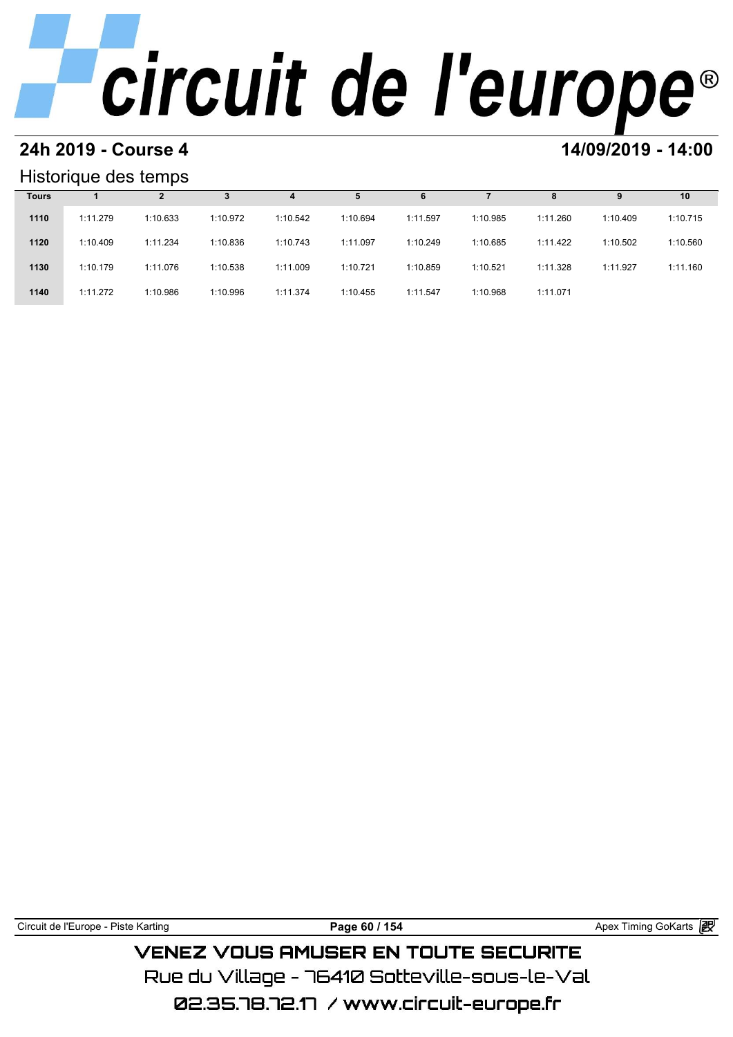# **24h 2019 - Course 4 14/09/2019 - 14:00**

### Historique des temps

|              | Historique des temps |          |          |          |          |          |          |          |          |          |
|--------------|----------------------|----------|----------|----------|----------|----------|----------|----------|----------|----------|
| <b>Tours</b> |                      |          |          | 4        | 5        | 6        |          | 8        | 9        | 10       |
| 1110         | 1:11.279             | 1:10.633 | 1:10.972 | 1:10.542 | 1:10.694 | 1:11.597 | 1:10.985 | 1:11.260 | 1:10.409 | 1:10.715 |
| 1120         | 1:10.409             | 1:11.234 | 1:10.836 | 1:10.743 | 1:11.097 | 1:10.249 | 1:10.685 | 1:11.422 | 1:10.502 | 1:10.560 |
| 1130         | 1:10.179             | 1:11.076 | 1:10.538 | 1:11.009 | 1:10.721 | 1:10.859 | 1:10.521 | 1:11.328 | 1:11.927 | 1:11.160 |
| 1140         | 1:11.272             | 1:10.986 | 1:10.996 | 1:11.374 | 1:10.455 | 1:11.547 | 1:10.968 | 1:11.071 |          |          |

| Circuit de l'Europe - Piste Karting | Page 60 / 154                                 | Apex Timing GoKarts <b>段</b> |  |
|-------------------------------------|-----------------------------------------------|------------------------------|--|
|                                     | <b>VENEZ VOUS AMUSER EN TOUTE SECURITE</b>    |                              |  |
|                                     | Rue du Village – 76410 Sotteville–sous–le–Val |                              |  |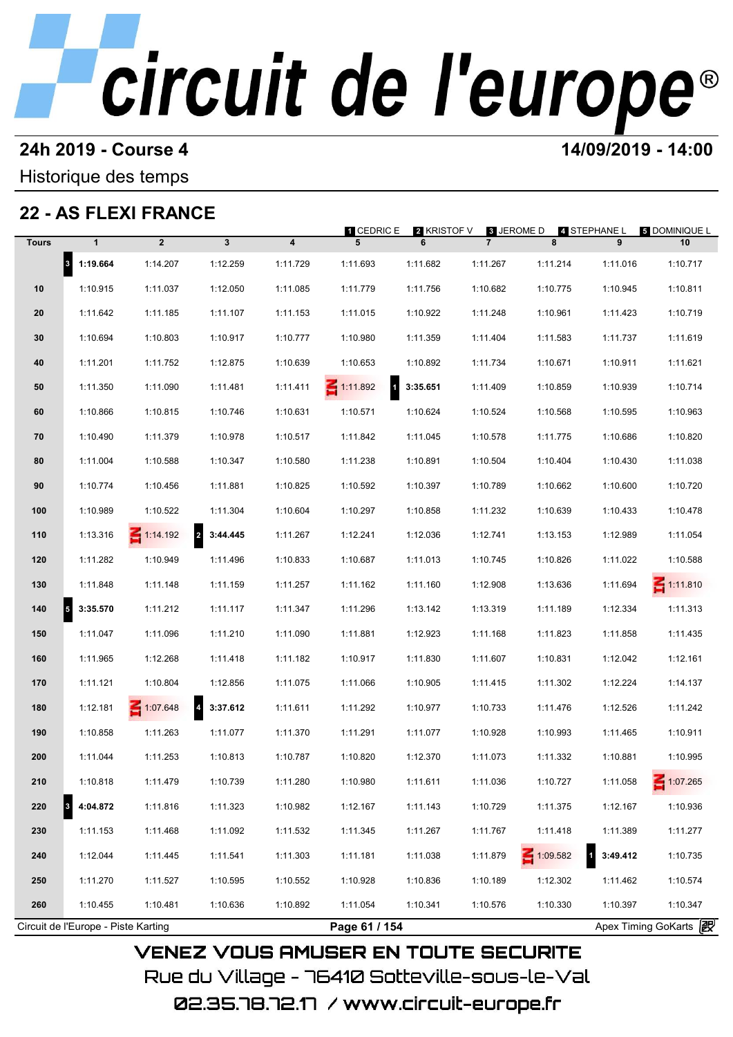### **24h 2019 - Course 4 14/09/2019 - 14:00**

Historique des temps

## **22 - AS FLEXI FRANCE**

|              |                                  |                 |                                     |          | 1 CEDRIC E                      | <b>2 KRISTOF V</b> | 8 JEROME D     |          | 4 STEPHANE L | <b>5 DOMINIQUE L</b> |
|--------------|----------------------------------|-----------------|-------------------------------------|----------|---------------------------------|--------------------|----------------|----------|--------------|----------------------|
| <b>Tours</b> | $\mathbf{1}$                     | $\overline{2}$  | 3                                   | 4        | 5                               | 6                  | $\overline{7}$ | 8        | 9            | 10                   |
|              | $\vert$ <sup>3</sup><br>1:19.664 | 1:14.207        | 1:12.259                            | 1:11.729 | 1:11.693                        | 1:11.682           | 1:11.267       | 1:11.214 | 1:11.016     | 1:10.717             |
| 10           | 1:10.915                         | 1:11.037        | 1:12.050                            | 1:11.085 | 1:11.779                        | 1:11.756           | 1:10.682       | 1:10.775 | 1:10.945     | 1:10.811             |
| 20           | 1:11.642                         | 1:11.185        | 1:11.107                            | 1:11.153 | 1:11.015                        | 1:10.922           | 1:11.248       | 1:10.961 | 1:11.423     | 1:10.719             |
| 30           | 1:10.694                         | 1:10.803        | 1:10.917                            | 1:10.777 | 1:10.980                        | 1:11.359           | 1:11.404       | 1:11.583 | 1:11.737     | 1:11.619             |
| 40           | 1:11.201                         | 1:11.752        | 1:12.875                            | 1:10.639 | 1:10.653                        | 1:10.892           | 1:11.734       | 1:10.671 | 1:10.911     | 1:11.621             |
| 50           | 1:11.350                         | 1:11.090        | 1:11.481                            | 1:11.411 | $\mathbf{1}$<br>$\leq 1:11.892$ | 3:35.651           | 1:11.409       | 1:10.859 | 1:10.939     | 1:10.714             |
| 60           | 1:10.866                         | 1:10.815        | 1:10.746                            | 1:10.631 | 1:10.571                        | 1:10.624           | 1:10.524       | 1:10.568 | 1:10.595     | 1:10.963             |
| 70           | 1:10.490                         | 1:11.379        | 1:10.978                            | 1:10.517 | 1:11.842                        | 1:11.045           | 1:10.578       | 1:11.775 | 1:10.686     | 1:10.820             |
| 80           | 1:11.004                         | 1:10.588        | 1:10.347                            | 1:10.580 | 1:11.238                        | 1:10.891           | 1:10.504       | 1:10.404 | 1:10.430     | 1:11.038             |
| 90           | 1:10.774                         | 1:10.456        | 1:11.881                            | 1:10.825 | 1:10.592                        | 1:10.397           | 1:10.789       | 1:10.662 | 1:10.600     | 1:10.720             |
| 100          | 1:10.989                         | 1:10.522        | 1:11.304                            | 1:10.604 | 1:10.297                        | 1:10.858           | 1:11.232       | 1:10.639 | 1:10.433     | 1:10.478             |
| 110          | 1:13.316                         | $\leq 1:14.192$ | $\overline{a}$<br>3:44.445          | 1:11.267 | 1:12.241                        | 1:12.036           | 1:12.741       | 1:13.153 | 1:12.989     | 1:11.054             |
| 120          | 1:11.282                         | 1:10.949        | 1:11.496                            | 1:10.833 | 1:10.687                        | 1:11.013           | 1:10.745       | 1:10.826 | 1:11.022     | 1:10.588             |
| 130          | 1:11.848                         | 1:11.148        | 1:11.159                            | 1:11.257 | 1:11.162                        | 1:11.160           | 1:12.908       | 1:13.636 | 1:11.694     | $\leq 1:11.810$      |
| 140          | 3:35.570<br>5                    | 1:11.212        | 1:11.117                            | 1:11.347 | 1:11.296                        | 1:13.142           | 1:13.319       | 1:11.189 | 1:12.334     | 1:11.313             |
| 150          | 1:11.047                         | 1:11.096        | 1:11.210                            | 1:11.090 | 1:11.881                        | 1:12.923           | 1:11.168       | 1:11.823 | 1:11.858     | 1:11.435             |
| 160          | 1:11.965                         | 1:12.268        | 1:11.418                            | 1:11.182 | 1:10.917                        | 1:11.830           | 1:11.607       | 1:10.831 | 1:12.042     | 1:12.161             |
| 170          | 1:11.121                         | 1:10.804        | 1:12.856                            | 1:11.075 | 1:11.066                        | 1:10.905           | 1:11.415       | 1:11.302 | 1:12.224     | 1:14.137             |
| 180          | 1:12.181                         | 1:07.648        | $\overline{\mathbf{4}}$<br>3:37.612 | 1:11.611 | 1:11.292                        | 1:10.977           | 1:10.733       | 1:11.476 | 1:12.526     | 1:11.242             |
| 190          | 1:10.858                         | 1:11.263        | 1:11.077                            | 1:11.370 | 1:11.291                        | 1:11.077           | 1:10.928       | 1:10.993 | 1:11.465     | 1:10.911             |
| 200          | 1:11.044                         | 1:11.253        | 1:10.813                            | 1:10.787 | 1:10.820                        | 1:12.370           | 1:11.073       | 1:11.332 | 1:10.881     | 1:10.995             |
| 210          | 1:10.818                         | 1:11.479        | 1:10.739                            | 1:11.280 | 1:10.980                        | 1:11.611           | 1:11.036       | 1:10.727 | 1:11.058     | 1:07.265             |
| 220          | 4:04.872<br>3                    | 1:11.816        | 1:11.323                            | 1:10.982 | 1:12.167                        | 1:11.143           | 1:10.729       | 1:11.375 | 1:12.167     | 1:10.936             |
| 230          | 1:11.153                         | 1:11.468        | 1:11.092                            | 1:11.532 | 1:11.345                        | 1:11.267           | 1:11.767       | 1:11.418 | 1:11.389     | 1:11.277             |
| 240          | 1:12.044                         | 1:11.445        | 1:11.541                            | 1:11.303 | 1:11.181                        | 1:11.038           | 1:11.879       | 1:09.582 | 3:49.412     | 1:10.735             |
| 250          | 1:11.270                         | 1:11.527        | 1:10.595                            | 1:10.552 | 1:10.928                        | 1:10.836           | 1:10.189       | 1:12.302 | 1:11.462     | 1:10.574             |
| 260          | 1:10.455                         | 1:10.481        | 1:10.636                            | 1:10.892 | 1:11.054                        | 1:10.341           | 1:10.576       | 1:10.330 | 1:10.397     | 1:10.347             |

02.35.78.72.17 / www.circuit-europe.fr

Rue du Village – 76410 Sotteville-sous-le-Val

**VENEZ VOUS AMUSER EN TOUTE SECURITE**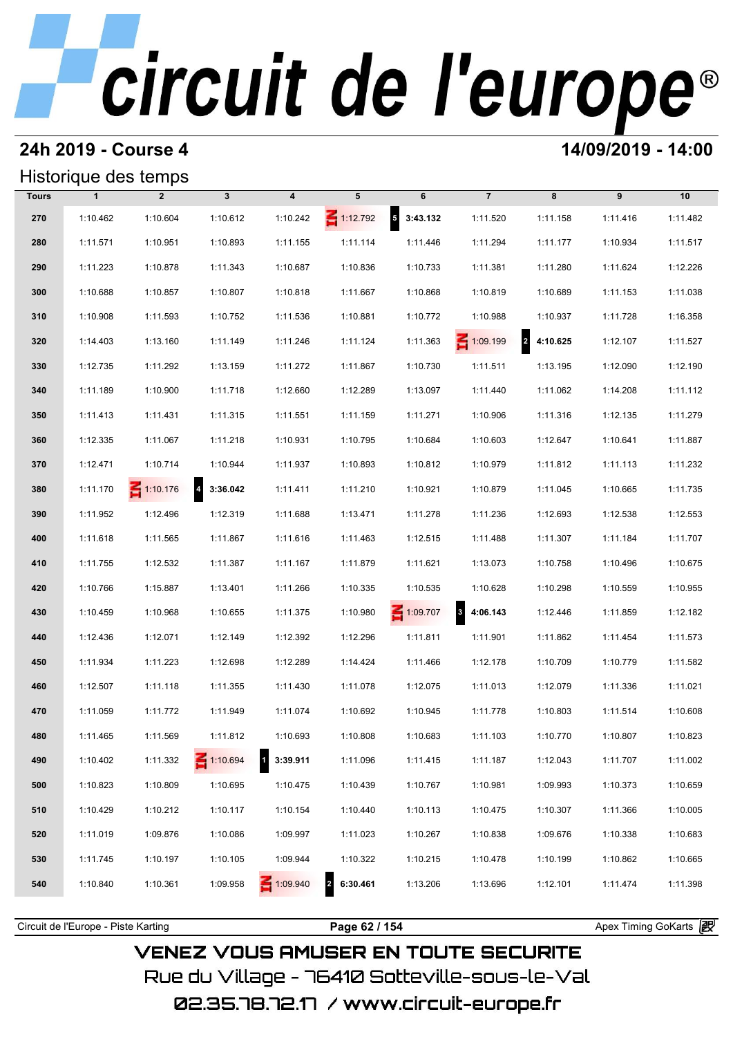## **24h 2019 - Course 4 14/09/2019 - 14:00**

## Historique des temps

|              |              | Historique des temps |                            |                                     |                 |              |                                     |            |          |          |
|--------------|--------------|----------------------|----------------------------|-------------------------------------|-----------------|--------------|-------------------------------------|------------|----------|----------|
| <b>Tours</b> | $\mathbf{1}$ | $\overline{2}$       | $\mathbf{3}$               | $\overline{\mathbf{4}}$             | 5               | 6            | $\overline{7}$                      | 8          | 9        | 10       |
| 270          | 1:10.462     | 1:10.604             | 1:10.612                   | 1:10.242                            | $\leq 1:12.792$ | $5$ 3:43.132 | 1:11.520                            | 1:11.158   | 1:11.416 | 1:11.482 |
| 280          | 1:11.571     | 1:10.951             | 1:10.893                   | 1:11.155                            | 1:11.114        | 1:11.446     | 1:11.294                            | 1:11.177   | 1:10.934 | 1:11.517 |
| 290          | 1:11.223     | 1:10.878             | 1:11.343                   | 1:10.687                            | 1:10.836        | 1:10.733     | 1:11.381                            | 1:11.280   | 1:11.624 | 1:12.226 |
| 300          | 1:10.688     | 1:10.857             | 1:10.807                   | 1:10.818                            | 1:11.667        | 1:10.868     | 1:10.819                            | 1:10.689   | 1:11.153 | 1:11.038 |
| 310          | 1:10.908     | 1:11.593             | 1:10.752                   | 1:11.536                            | 1:10.881        | 1:10.772     | 1:10.988                            | 1:10.937   | 1:11.728 | 1:16.358 |
| 320          | 1:14.403     | 1:13.160             | 1:11.149                   | 1:11.246                            | 1:11.124        | 1:11.363     | 1:09.199                            | 2 4:10.625 | 1:12.107 | 1:11.527 |
| 330          | 1:12.735     | 1:11.292             | 1:13.159                   | 1:11.272                            | 1:11.867        | 1:10.730     | 1:11.511                            | 1:13.195   | 1:12.090 | 1:12.190 |
| 340          | 1:11.189     | 1:10.900             | 1:11.718                   | 1:12.660                            | 1:12.289        | 1:13.097     | 1:11.440                            | 1:11.062   | 1:14.208 | 1:11.112 |
| 350          | 1:11.413     | 1:11.431             | 1:11.315                   | 1:11.551                            | 1:11.159        | 1:11.271     | 1:10.906                            | 1:11.316   | 1:12.135 | 1:11.279 |
| 360          | 1:12.335     | 1:11.067             | 1:11.218                   | 1:10.931                            | 1:10.795        | 1:10.684     | 1:10.603                            | 1:12.647   | 1:10.641 | 1:11.887 |
| 370          | 1:12.471     | 1:10.714             | 1:10.944                   | 1:11.937                            | 1:10.893        | 1:10.812     | 1:10.979                            | 1:11.812   | 1:11.113 | 1:11.232 |
| 380          | 1:11.170     | $\leq 1:10.176$      | $\overline{a}$<br>3:36.042 | 1:11.411                            | 1:11.210        | 1:10.921     | 1:10.879                            | 1:11.045   | 1:10.665 | 1:11.735 |
| 390          | 1:11.952     | 1:12.496             | 1:12.319                   | 1:11.688                            | 1:13.471        | 1:11.278     | 1:11.236                            | 1:12.693   | 1:12.538 | 1:12.553 |
| 400          | 1:11.618     | 1:11.565             | 1:11.867                   | 1:11.616                            | 1:11.463        | 1:12.515     | 1:11.488                            | 1:11.307   | 1:11.184 | 1:11.707 |
| 410          | 1:11.755     | 1:12.532             | 1:11.387                   | 1:11.167                            | 1:11.879        | 1:11.621     | 1:13.073                            | 1:10.758   | 1:10.496 | 1:10.675 |
| 420          | 1:10.766     | 1:15.887             | 1:13.401                   | 1:11.266                            | 1:10.335        | 1:10.535     | 1:10.628                            | 1:10.298   | 1:10.559 | 1:10.955 |
| 430          | 1:10.459     | 1:10.968             | 1:10.655                   | 1:11.375                            | 1:10.980        | 1:09.707     | $\overline{\mathbf{3}}$<br>4:06.143 | 1:12.446   | 1:11.859 | 1:12.182 |
| 440          | 1:12.436     | 1:12.071             | 1:12.149                   | 1:12.392                            | 1:12.296        | 1:11.811     | 1:11.901                            | 1:11.862   | 1:11.454 | 1:11.573 |
| 450          | 1:11.934     | 1:11.223             | 1:12.698                   | 1:12.289                            | 1:14.424        | 1:11.466     | 1:12.178                            | 1:10.709   | 1:10.779 | 1:11.582 |
| 460          | 1:12.507     | 1:11.118             | 1:11.355                   | 1:11.430                            | 1:11.078        | 1:12.075     | 1:11.013                            | 1:12.079   | 1:11.336 | 1:11.021 |
| 470          | 1:11.059     | 1:11.772             | 1:11.949                   | 1:11.074                            | 1:10.692        | 1:10.945     | 1:11.778                            | 1:10.803   | 1:11.514 | 1:10.608 |
| 480          | 1:11.465     | 1:11.569             | 1:11.812                   | 1:10.693                            | 1:10.808        | 1:10.683     | 1:11.103                            | 1:10.770   | 1:10.807 | 1:10.823 |
| 490          | 1:10.402     | 1:11.332             | $\leq 1:10.694$            | $\overline{\mathbf{1}}$<br>3:39.911 | 1:11.096        | 1:11.415     | 1:11.187                            | 1:12.043   | 1:11.707 | 1:11.002 |
| 500          | 1:10.823     | 1:10.809             | 1:10.695                   | 1:10.475                            | 1:10.439        | 1:10.767     | 1:10.981                            | 1:09.993   | 1:10.373 | 1:10.659 |
| 510          | 1:10.429     | 1:10.212             | 1:10.117                   | 1:10.154                            | 1:10.440        | 1:10.113     | 1:10.475                            | 1:10.307   | 1:11.366 | 1:10.005 |
| 520          | 1:11.019     | 1:09.876             | 1:10.086                   | 1:09.997                            | 1:11.023        | 1:10.267     | 1:10.838                            | 1:09.676   | 1:10.338 | 1:10.683 |
| 530          | 1:11.745     | 1:10.197             | 1:10.105                   | 1:09.944                            | 1:10.322        | 1:10.215     | 1:10.478                            | 1:10.199   | 1:10.862 | 1:10.665 |
| 540          | 1:10.840     | 1:10.361             | 1:09.958                   | 1:09.940                            | 6:30.461        | 1:13.206     | 1:13.696                            | 1:12.101   | 1:11.474 | 1:11.398 |
|              |              |                      |                            |                                     |                 |              |                                     |            |          |          |

**VENEZ VOUS AMUSER EN TOUTE SECURITE** Rue du Village – 76410 Sotteville-sous-le-Val 02.35.78.72.17 /www.circuit-europe.fr

Circuit de l'Europe - Piste Karting **Page 62 / 154 Page 62 / 154** Apex Timing GoKarts **in**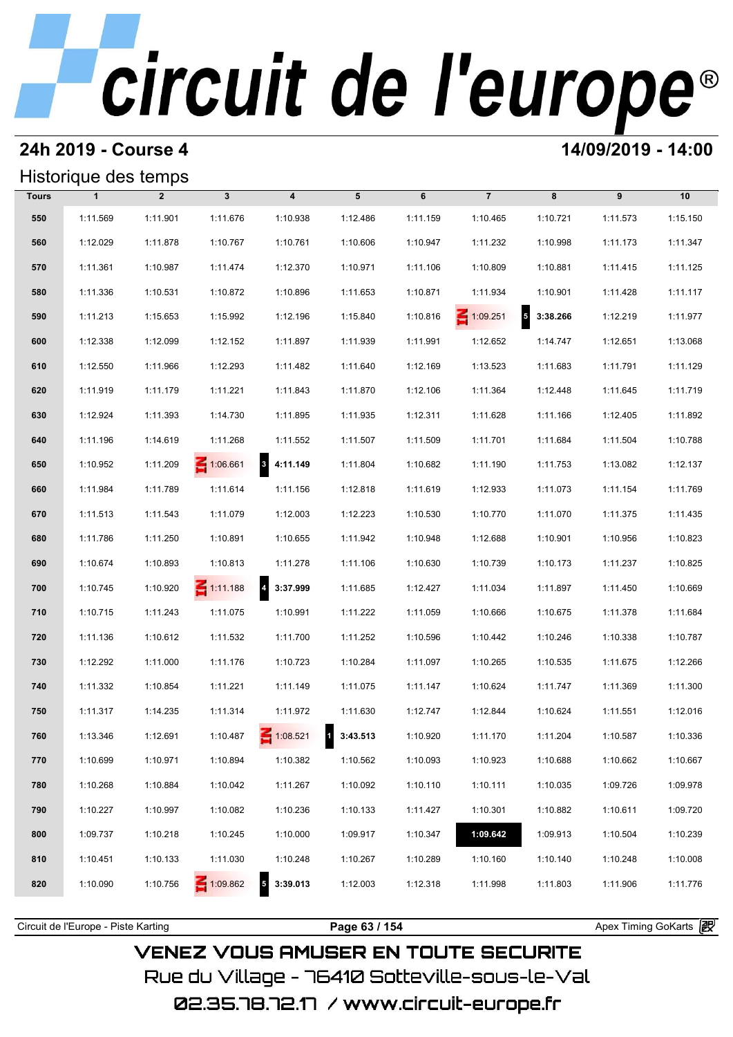## **24h 2019 - Course 4 14/09/2019 - 14:00**

## Historique des temps

|              | Historique des temps |                |                 |                                      |          |          |                 |                                     |          |          |  |  |  |  |
|--------------|----------------------|----------------|-----------------|--------------------------------------|----------|----------|-----------------|-------------------------------------|----------|----------|--|--|--|--|
| <b>Tours</b> | $\mathbf{1}$         | $\overline{2}$ | $\mathbf{3}$    | $\overline{\mathbf{4}}$              | 5        | 6        | $\overline{7}$  | 8                                   | 9        | 10       |  |  |  |  |
| 550          | 1:11.569             | 1:11.901       | 1:11.676        | 1:10.938                             | 1:12.486 | 1:11.159 | 1:10.465        | 1:10.721                            | 1:11.573 | 1:15.150 |  |  |  |  |
| 560          | 1:12.029             | 1:11.878       | 1:10.767        | 1:10.761                             | 1:10.606 | 1:10.947 | 1:11.232        | 1:10.998                            | 1:11.173 | 1:11.347 |  |  |  |  |
| 570          | 1:11.361             | 1:10.987       | 1:11.474        | 1:12.370                             | 1:10.971 | 1:11.106 | 1:10.809        | 1:10.881                            | 1:11.415 | 1:11.125 |  |  |  |  |
| 580          | 1:11.336             | 1:10.531       | 1:10.872        | 1:10.896                             | 1:11.653 | 1:10.871 | 1:11.934        | 1:10.901                            | 1:11.428 | 1:11.117 |  |  |  |  |
| 590          | 1:11.213             | 1:15.653       | 1:15.992        | 1:12.196                             | 1:15.840 | 1:10.816 | $\leq 1:09.251$ | $\overline{\mathbf{5}}$<br>3:38.266 | 1:12.219 | 1:11.977 |  |  |  |  |
| 600          | 1:12.338             | 1:12.099       | 1:12.152        | 1:11.897                             | 1:11.939 | 1:11.991 | 1:12.652        | 1:14.747                            | 1:12.651 | 1:13.068 |  |  |  |  |
| 610          | 1:12.550             | 1:11.966       | 1:12.293        | 1:11.482                             | 1:11.640 | 1:12.169 | 1:13.523        | 1:11.683                            | 1:11.791 | 1:11.129 |  |  |  |  |
| 620          | 1:11.919             | 1:11.179       | 1:11.221        | 1:11.843                             | 1:11.870 | 1:12.106 | 1:11.364        | 1:12.448                            | 1:11.645 | 1:11.719 |  |  |  |  |
| 630          | 1:12.924             | 1:11.393       | 1:14.730        | 1:11.895                             | 1:11.935 | 1:12.311 | 1:11.628        | 1:11.166                            | 1:12.405 | 1:11.892 |  |  |  |  |
| 640          | 1:11.196             | 1:14.619       | 1:11.268        | 1:11.552                             | 1:11.507 | 1:11.509 | 1:11.701        | 1:11.684                            | 1:11.504 | 1:10.788 |  |  |  |  |
| 650          | 1:10.952             | 1:11.209       | 1:06.661        | $\overline{\mathbf{3}}$<br>4:11.149  | 1:11.804 | 1:10.682 | 1:11.190        | 1:11.753                            | 1:13.082 | 1:12.137 |  |  |  |  |
| 660          | 1:11.984             | 1:11.789       | 1:11.614        | 1:11.156                             | 1:12.818 | 1:11.619 | 1:12.933        | 1:11.073                            | 1:11.154 | 1:11.769 |  |  |  |  |
| 670          | 1:11.513             | 1:11.543       | 1:11.079        | 1:12.003                             | 1:12.223 | 1:10.530 | 1:10.770        | 1:11.070                            | 1:11.375 | 1:11.435 |  |  |  |  |
| 680          | 1:11.786             | 1:11.250       | 1:10.891        | 1:10.655                             | 1:11.942 | 1:10.948 | 1:12.688        | 1:10.901                            | 1:10.956 | 1:10.823 |  |  |  |  |
| 690          | 1:10.674             | 1:10.893       | 1:10.813        | 1:11.278                             | 1:11.106 | 1:10.630 | 1:10.739        | 1:10.173                            | 1:11.237 | 1:10.825 |  |  |  |  |
| 700          | 1:10.745             | 1:10.920       | $\leq 1:11.188$ | $\overline{\mathbf{r}}$<br>3:37.999  | 1:11.685 | 1:12.427 | 1:11.034        | 1:11.897                            | 1:11.450 | 1:10.669 |  |  |  |  |
| 710          | 1:10.715             | 1:11.243       | 1:11.075        | 1:10.991                             | 1:11.222 | 1:11.059 | 1:10.666        | 1:10.675                            | 1:11.378 | 1:11.684 |  |  |  |  |
| 720          | 1:11.136             | 1:10.612       | 1:11.532        | 1:11.700                             | 1:11.252 | 1:10.596 | 1:10.442        | 1:10.246                            | 1:10.338 | 1:10.787 |  |  |  |  |
| 730          | 1:12.292             | 1:11.000       | 1:11.176        | 1:10.723                             | 1:10.284 | 1:11.097 | 1:10.265        | 1:10.535                            | 1:11.675 | 1:12.266 |  |  |  |  |
| 740          | 1:11.332             | 1:10.854       | 1:11.221        | 1:11.149                             | 1:11.075 | 1:11.147 | 1:10.624        | 1:11.747                            | 1:11.369 | 1:11.300 |  |  |  |  |
| 750          | 1:11.317             | 1:14.235       | 1:11.314        | 1:11.972                             | 1:11.630 | 1:12.747 | 1:12.844        | 1:10.624                            | 1:11.551 | 1:12.016 |  |  |  |  |
| 760          | 1:13.346             | 1:12.691       | 1:10.487        | $\leq 1:08.521$                      | 3:43.513 | 1:10.920 | 1:11.170        | 1:11.204                            | 1:10.587 | 1:10.336 |  |  |  |  |
| 770          | 1:10.699             | 1:10.971       | 1:10.894        | 1:10.382                             | 1:10.562 | 1:10.093 | 1:10.923        | 1:10.688                            | 1:10.662 | 1:10.667 |  |  |  |  |
| 780          | 1:10.268             | 1:10.884       | 1:10.042        | 1:11.267                             | 1:10.092 | 1:10.110 | 1:10.111        | 1:10.035                            | 1:09.726 | 1:09.978 |  |  |  |  |
| 790          | 1:10.227             | 1:10.997       | 1:10.082        | 1:10.236                             | 1:10.133 | 1:11.427 | 1:10.301        | 1:10.882                            | 1:10.611 | 1:09.720 |  |  |  |  |
| 800          | 1:09.737             | 1:10.218       | 1:10.245        | 1:10.000                             | 1:09.917 | 1:10.347 | 1:09.642        | 1:09.913                            | 1:10.504 | 1:10.239 |  |  |  |  |
| 810          | 1:10.451             | 1:10.133       | 1:11.030        | 1:10.248                             | 1:10.267 | 1:10.289 | 1:10.160        | 1:10.140                            | 1:10.248 | 1:10.008 |  |  |  |  |
| 820          | 1:10.090             | 1:10.756       | 1:09.862        | $\overline{\phantom{a}}$<br>3:39.013 | 1:12.003 | 1:12.318 | 1:11.998        | 1:11.803                            | 1:11.906 | 1:11.776 |  |  |  |  |
|              |                      |                |                 |                                      |          |          |                 |                                     |          |          |  |  |  |  |

**VENEZ VOUS AMUSER EN TOUTE SECURITE** Rue du Village – 76410 Sotteville-sous-le-Val 02.35.78.72.17 /www.circuit-europe.fr

Circuit de l'Europe - Piste Karting **Page 63 / 154 Page 63 / 154** Apex Timing GoKarts **in Apex**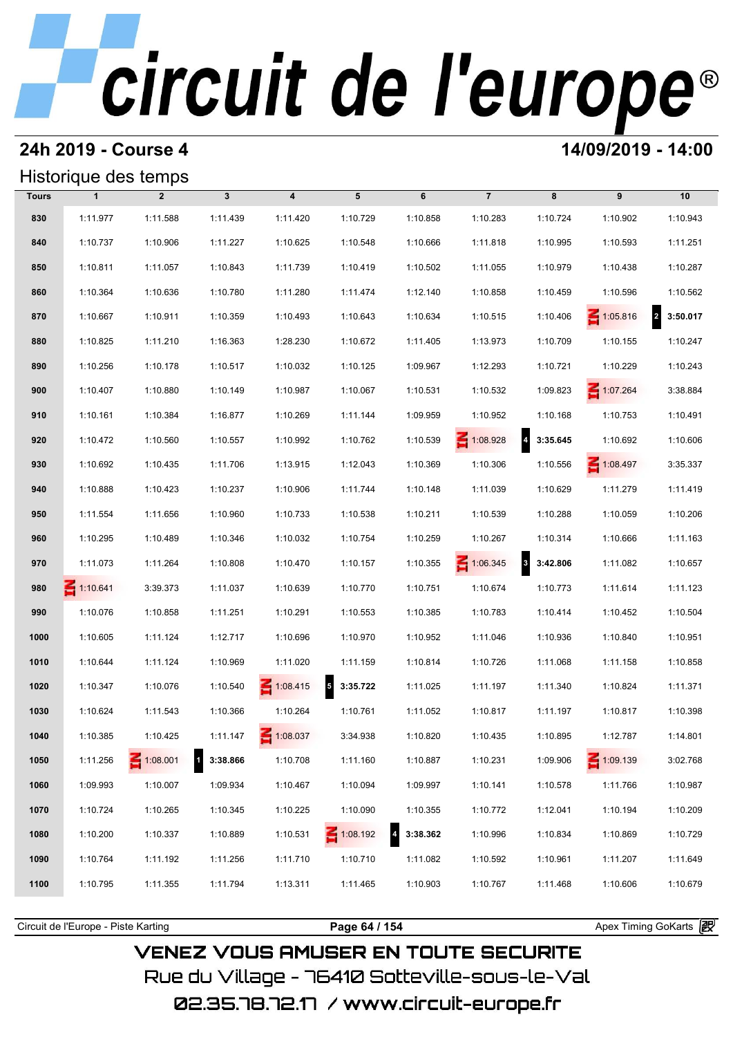### **24h 2019 - Course 4 14/09/2019 - 14:00**

## Historique des temps

|              |                 | Historique des temps |              |                  |                 |          |                 |            |                 |                            |
|--------------|-----------------|----------------------|--------------|------------------|-----------------|----------|-----------------|------------|-----------------|----------------------------|
| <b>Tours</b> | $\mathbf{1}$    | $\overline{2}$       | $\mathbf{3}$ | $\boldsymbol{4}$ | 5               | 6        | $\overline{7}$  | 8          | 9               | 10                         |
| 830          | 1:11.977        | 1:11.588             | 1:11.439     | 1:11.420         | 1:10.729        | 1:10.858 | 1:10.283        | 1:10.724   | 1:10.902        | 1:10.943                   |
| 840          | 1:10.737        | 1:10.906             | 1:11.227     | 1:10.625         | 1:10.548        | 1:10.666 | 1:11.818        | 1:10.995   | 1:10.593        | 1:11.251                   |
| 850          | 1:10.811        | 1:11.057             | 1:10.843     | 1:11.739         | 1:10.419        | 1:10.502 | 1:11.055        | 1:10.979   | 1:10.438        | 1:10.287                   |
| 860          | 1:10.364        | 1:10.636             | 1:10.780     | 1:11.280         | 1:11.474        | 1:12.140 | 1:10.858        | 1:10.459   | 1:10.596        | 1:10.562                   |
| 870          | 1:10.667        | 1:10.911             | 1:10.359     | 1:10.493         | 1:10.643        | 1:10.634 | 1:10.515        | 1:10.406   | $\leq 1:05.816$ | $\overline{a}$<br>3:50.017 |
| 880          | 1:10.825        | 1:11.210             | 1:16.363     | 1:28.230         | 1:10.672        | 1:11.405 | 1:13.973        | 1:10.709   | 1:10.155        | 1:10.247                   |
| 890          | 1:10.256        | 1:10.178             | 1:10.517     | 1:10.032         | 1:10.125        | 1:09.967 | 1:12.293        | 1:10.721   | 1:10.229        | 1:10.243                   |
| 900          | 1:10.407        | 1:10.880             | 1:10.149     | 1:10.987         | 1:10.067        | 1:10.531 | 1:10.532        | 1:09.823   | $\leq 1:07.264$ | 3:38.884                   |
| 910          | 1:10.161        | 1:10.384             | 1:16.877     | 1:10.269         | 1:11.144        | 1:09.959 | 1:10.952        | 1:10.168   | 1:10.753        | 1:10.491                   |
| 920          | 1:10.472        | 1:10.560             | 1:10.557     | 1:10.992         | 1:10.762        | 1:10.539 | $\leq 1:08.928$ | 4 3:35.645 | 1:10.692        | 1:10.606                   |
| 930          | 1:10.692        | 1:10.435             | 1:11.706     | 1:13.915         | 1:12.043        | 1:10.369 | 1:10.306        | 1:10.556   | 1:08.497        | 3:35.337                   |
| 940          | 1:10.888        | 1:10.423             | 1:10.237     | 1:10.906         | 1:11.744        | 1:10.148 | 1:11.039        | 1:10.629   | 1:11.279        | 1:11.419                   |
| 950          | 1:11.554        | 1:11.656             | 1:10.960     | 1:10.733         | 1:10.538        | 1:10.211 | 1:10.539        | 1:10.288   | 1:10.059        | 1:10.206                   |
| 960          | 1:10.295        | 1:10.489             | 1:10.346     | 1:10.032         | 1:10.754        | 1:10.259 | 1:10.267        | 1:10.314   | 1:10.666        | 1:11.163                   |
| 970          | 1:11.073        | 1:11.264             | 1:10.808     | 1:10.470         | 1:10.157        | 1:10.355 | $\leq 1:06.345$ | 8 3:42.806 | 1:11.082        | 1:10.657                   |
| 980          | $\leq 1:10.641$ | 3:39.373             | 1:11.037     | 1:10.639         | 1:10.770        | 1:10.751 | 1:10.674        | 1:10.773   | 1:11.614        | 1:11.123                   |
| 990          | 1:10.076        | 1:10.858             | 1:11.251     | 1:10.291         | 1:10.553        | 1:10.385 | 1:10.783        | 1:10.414   | 1:10.452        | 1:10.504                   |
| 1000         | 1:10.605        | 1:11.124             | 1:12.717     | 1:10.696         | 1:10.970        | 1:10.952 | 1:11.046        | 1:10.936   | 1:10.840        | 1:10.951                   |
| 1010         | 1:10.644        | 1:11.124             | 1:10.969     | 1:11.020         | 1:11.159        | 1:10.814 | 1:10.726        | 1:11.068   | 1:11.158        | 1:10.858                   |
| 1020         | 1:10.347        | 1:10.076             | 1:10.540     | $\leq 1:08.415$  | 5<br>3:35.722   | 1:11.025 | 1:11.197        | 1:11.340   | 1:10.824        | 1:11.371                   |
| 1030         | 1:10.624        | 1:11.543             | 1:10.366     | 1:10.264         | 1:10.761        | 1:11.052 | 1:10.817        | 1:11.197   | 1:10.817        | 1:10.398                   |
| 1040         | 1:10.385        | 1:10.425             | 1:11.147     | 1:08.037         | 3:34.938        | 1:10.820 | 1:10.435        | 1:10.895   | 1:12.787        | 1:14.801                   |
| 1050         | 1:11.256        | $\leq 1:08.001$      | 1 3:38.866   | 1:10.708         | 1:11.160        | 1:10.887 | 1:10.231        | 1:09.906   | $\leq 1:09.139$ | 3:02.768                   |
| 1060         | 1:09.993        | 1:10.007             | 1:09.934     | 1:10.467         | 1:10.094        | 1:09.997 | 1:10.141        | 1:10.578   | 1:11.766        | 1:10.987                   |
| 1070         | 1:10.724        | 1:10.265             | 1:10.345     | 1:10.225         | 1:10.090        | 1:10.355 | 1:10.772        | 1:12.041   | 1:10.194        | 1:10.209                   |
| 1080         | 1:10.200        | 1:10.337             | 1:10.889     | 1:10.531         | $\leq 1:08.192$ | 3:38.362 | 1:10.996        | 1:10.834   | 1:10.869        | 1:10.729                   |
| 1090         | 1:10.764        | 1:11.192             | 1:11.256     | 1:11.710         | 1:10.710        | 1:11.082 | 1:10.592        | 1:10.961   | 1:11.207        | 1:11.649                   |
| 1100         | 1:10.795        | 1:11.355             | 1:11.794     | 1:13.311         | 1:11.465        | 1:10.903 | 1:10.767        | 1:11.468   | 1:10.606        | 1:10.679                   |
|              |                 |                      |              |                  |                 |          |                 |            |                 |                            |

**VENEZ VOUS AMUSER EN TOUTE SECURITE** Rue du Village – 76410 Sotteville-sous-le-Val 02.35.78.72.17 /www.circuit-europe.fr

Circuit de l'Europe - Piste Karting **Page 64 / 154 Page 64 / 154** Apex Timing GoKarts **P**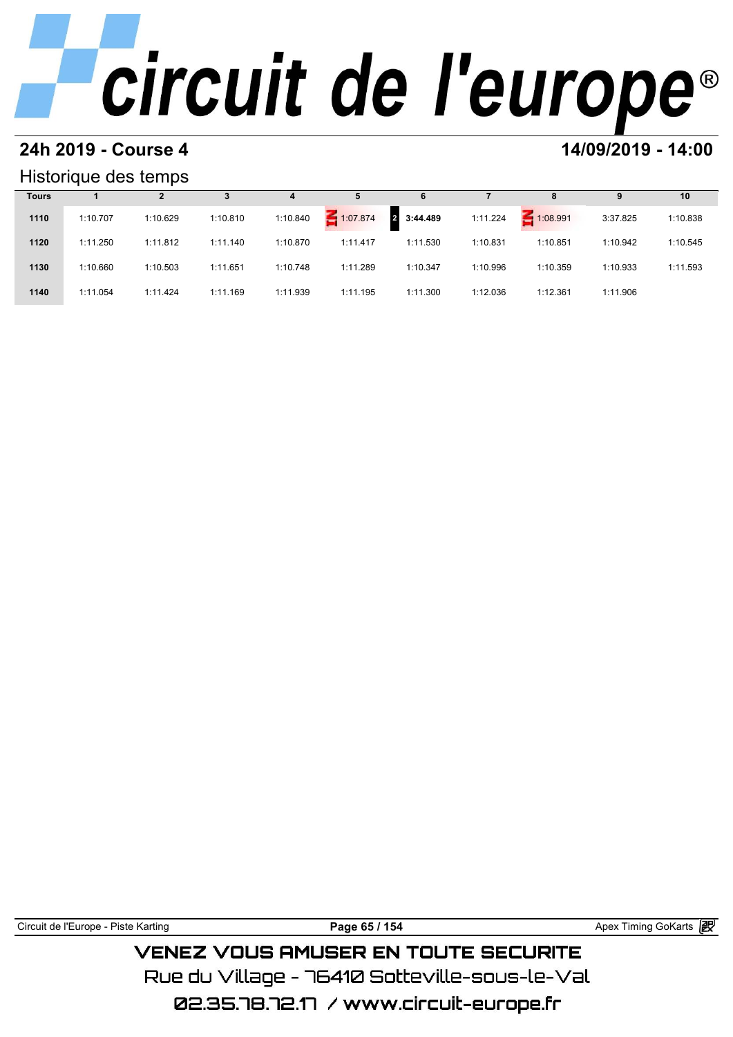# **24h 2019 - Course 4 14/09/2019 - 14:00**

### Historique des temps

|              | Historique des temps |          |          |          |             |               |          |             |          |          |
|--------------|----------------------|----------|----------|----------|-------------|---------------|----------|-------------|----------|----------|
| <b>Tours</b> |                      |          |          | 4        | 5           | 6             |          | 8           | 9        | 10       |
| 1110         | 1:10.707             | 1:10.629 | 1:10.810 | 1:10.840 | $-1:07.874$ | 3:44.489<br>2 | 1:11.224 | $-1:08.991$ | 3:37.825 | 1:10.838 |
| 1120         | 1:11.250             | 1:11.812 | 1:11.140 | 1:10.870 | 1:11.417    | 1:11.530      | 1:10.831 | 1:10.851    | 1:10.942 | 1:10.545 |
| 1130         | 1:10.660             | 1:10.503 | 1:11.651 | 1:10.748 | 1:11.289    | 1:10.347      | 1:10.996 | 1:10.359    | 1:10.933 | 1:11.593 |
| 1140         | 1:11.054             | 1:11.424 | 1:11.169 | 1:11.939 | 1:11.195    | 1:11.300      | 1:12.036 | 1:12.361    | 1:11.906 |          |

| Circuit de l'Europe - Piste Karting | Paɑe 65 / 154                       | Apex Timing GoKarts <b>段</b> |
|-------------------------------------|-------------------------------------|------------------------------|
|                                     | VENEZ VOUS AMUSER EN TOUTE SECURITE |                              |

Rue du Village – 76410 Sotteville–sous–le–Val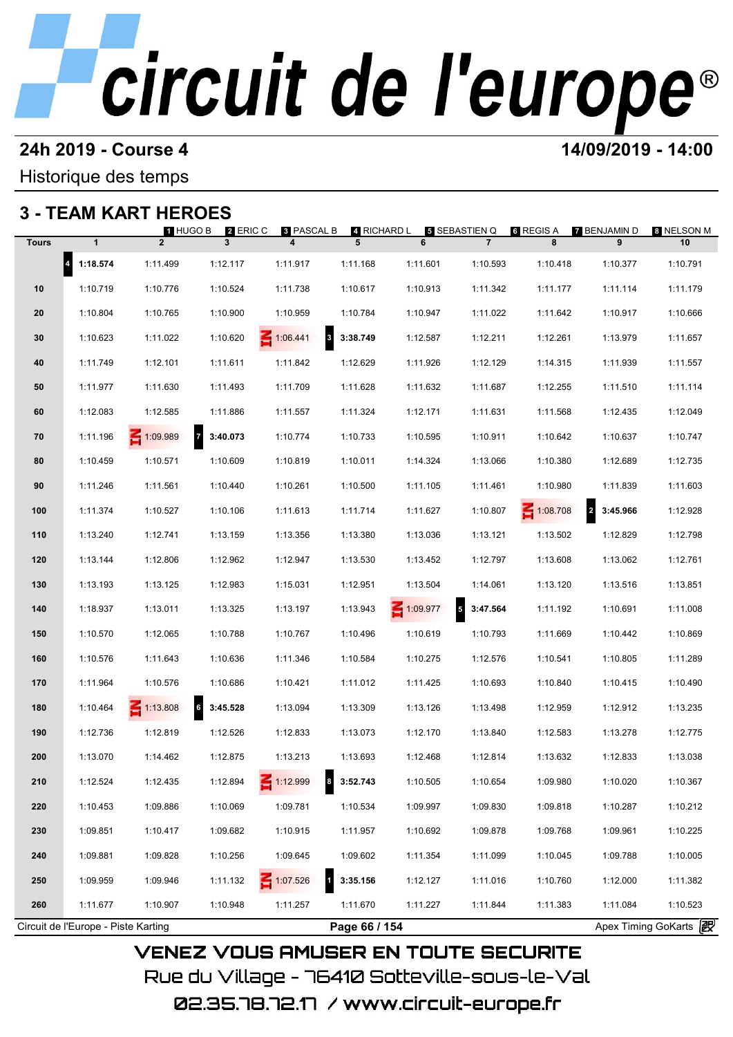# **24h 2019 - Course 4 12000 12000 14/09/2019 - 14:00**

Historique des temps

## **3 - TEAM KART HEROES**

|              |                                     | 1 HUGO B        | 2 ERIC C      | 8 PASCAL B      | 4 RICHARD L                          |                 | 5 SEBASTIEN Q                        | 6 REGIS A | 7 BENJAMIN D               | ខ NELSON M            |
|--------------|-------------------------------------|-----------------|---------------|-----------------|--------------------------------------|-----------------|--------------------------------------|-----------|----------------------------|-----------------------|
| <b>Tours</b> | $\mathbf{1}$                        | 2 <sup>2</sup>  | $\mathbf{3}$  | 4               | 5                                    | 6               | $\overline{7}$                       | 8         | 9                          | 10                    |
|              | $\vert 4 \vert$<br>1:18.574         | 1:11.499        | 1:12.117      | 1:11.917        | 1:11.168                             | 1:11.601        | 1:10.593                             | 1:10.418  | 1:10.377                   | 1:10.791              |
| 10           | 1:10.719                            | 1:10.776        | 1:10.524      | 1:11.738        | 1:10.617                             | 1:10.913        | 1:11.342                             | 1:11.177  | 1:11.114                   | 1:11.179              |
| 20           | 1:10.804                            | 1:10.765        | 1:10.900      | 1:10.959        | 1:10.784                             | 1:10.947        | 1:11.022                             | 1:11.642  | 1:10.917                   | 1:10.666              |
| 30           | 1:10.623                            | 1:11.022        | 1:10.620      | $-1:06.441$     | 8 3:38.749                           | 1:12.587        | 1:12.211                             | 1:12.261  | 1:13.979                   | 1:11.657              |
| 40           | 1:11.749                            | 1:12.101        | 1:11.611      | 1:11.842        | 1:12.629                             | 1:11.926        | 1:12.129                             | 1:14.315  | 1:11.939                   | 1:11.557              |
| 50           | 1:11.977                            | 1:11.630        | 1:11.493      | 1:11.709        | 1:11.628                             | 1:11.632        | 1:11.687                             | 1:12.255  | 1:11.510                   | 1:11.114              |
| 60           | 1:12.083                            | 1:12.585        | 1:11.886      | 1:11.557        | 1:11.324                             | 1:12.171        | 1:11.631                             | 1:11.568  | 1:12.435                   | 1:12.049              |
| 70           | 1:11.196                            | 1:09.989        | 3:40.073      | 1:10.774        | 1:10.733                             | 1:10.595        | 1:10.911                             | 1:10.642  | 1:10.637                   | 1:10.747              |
| 80           | 1:10.459                            | 1:10.571        | 1:10.609      | 1:10.819        | 1:10.011                             | 1:14.324        | 1:13.066                             | 1:10.380  | 1:12.689                   | 1:12.735              |
| 90           | 1:11.246                            | 1:11.561        | 1:10.440      | 1:10.261        | 1:10.500                             | 1:11.105        | 1:11.461                             | 1:10.980  | 1:11.839                   | 1:11.603              |
| 100          | 1:11.374                            | 1:10.527        | 1:10.106      | 1:11.613        | 1:11.714                             | 1:11.627        | 1:10.807                             | 1:08.708  | $\overline{a}$<br>3:45.966 | 1:12.928              |
| 110          | 1:13.240                            | 1:12.741        | 1:13.159      | 1:13.356        | 1:13.380                             | 1:13.036        | 1:13.121                             | 1:13.502  | 1:12.829                   | 1:12.798              |
| 120          | 1:13.144                            | 1:12.806        | 1:12.962      | 1:12.947        | 1:13.530                             | 1:13.452        | 1:12.797                             | 1:13.608  | 1:13.062                   | 1:12.761              |
| 130          | 1:13.193                            | 1:13.125        | 1:12.983      | 1:15.031        | 1:12.951                             | 1:13.504        | 1:14.061                             | 1:13.120  | 1:13.516                   | 1:13.851              |
| 140          | 1:18.937                            | 1:13.011        | 1:13.325      | 1:13.197        | 1:13.943                             | $\leq 1:09.977$ | $\overline{\phantom{a}}$<br>3:47.564 | 1:11.192  | 1:10.691                   | 1:11.008              |
| 150          | 1:10.570                            | 1:12.065        | 1:10.788      | 1:10.767        | 1:10.496                             | 1:10.619        | 1:10.793                             | 1:11.669  | 1:10.442                   | 1:10.869              |
| 160          | 1:10.576                            | 1:11.643        | 1:10.636      | 1:11.346        | 1:10.584                             | 1:10.275        | 1:12.576                             | 1:10.541  | 1:10.805                   | 1:11.289              |
| 170          | 1:11.964                            | 1:10.576        | 1:10.686      | 1:10.421        | 1:11.012                             | 1:11.425        | 1:10.693                             | 1:10.840  | 1:10.415                   | 1:10.490              |
| 180          | 1:10.464                            | $\leq 1:13.808$ | 6<br>3:45.528 | 1:13.094        | 1:13.309                             | 1:13.126        | 1:13.498                             | 1:12.959  | 1:12.912                   | 1:13.235              |
| 190          | 1:12.736                            | 1:12.819        | 1:12.526      | 1:12.833        | 1:13.073                             | 1:12.170        | 1:13.840                             | 1:12.583  | 1:13.278                   | 1:12.775              |
| 200          | 1:13.070                            | 1:14.462        | 1:12.875      | 1:13.213        | 1:13.693                             | 1:12.468        | 1:12.814                             | 1:13.632  | 1:12.833                   | 1:13.038              |
| 210          | 1:12.524                            | 1:12.435        | 1:12.894      | $\leq 1:12.999$ | $\overline{\phantom{a}}$<br>3:52.743 | 1:10.505        | 1:10.654                             | 1:09.980  | 1:10.020                   | 1:10.367              |
| 220          | 1:10.453                            | 1:09.886        | 1:10.069      | 1:09.781        | 1:10.534                             | 1:09.997        | 1:09.830                             | 1:09.818  | 1:10.287                   | 1:10.212              |
| 230          | 1:09.851                            | 1:10.417        | 1:09.682      | 1:10.915        | 1:11.957                             | 1:10.692        | 1:09.878                             | 1:09.768  | 1:09.961                   | 1:10.225              |
| 240          | 1:09.881                            | 1:09.828        | 1:10.256      | 1:09.645        | 1:09.602                             | 1:11.354        | 1:11.099                             | 1:10.045  | 1:09.788                   | 1:10.005              |
| 250          | 1:09.959                            | 1:09.946        | 1:11.132      | 1:07.526        | $\mathbf{1}$<br>3:35.156             | 1:12.127        | 1:11.016                             | 1:10.760  | 1:12.000                   | 1:11.382              |
| 260          | 1:11.677                            | 1:10.907        | 1:10.948      | 1:11.257        | 1:11.670                             | 1:11.227        | 1:11.844                             | 1:11.383  | 1:11.084                   | 1:10.523              |
|              | Circuit de l'Europe - Piste Karting |                 |               |                 | Page 66 / 154                        |                 |                                      |           |                            | Apex Timing GoKarts 2 |

**VENEZ VOUS AMUSER EN TOUTE SECURITE** Rue du Village – 76410 Sotteville-sous-le-Val 02.35.78.72.17 /www.circuit-europe.fr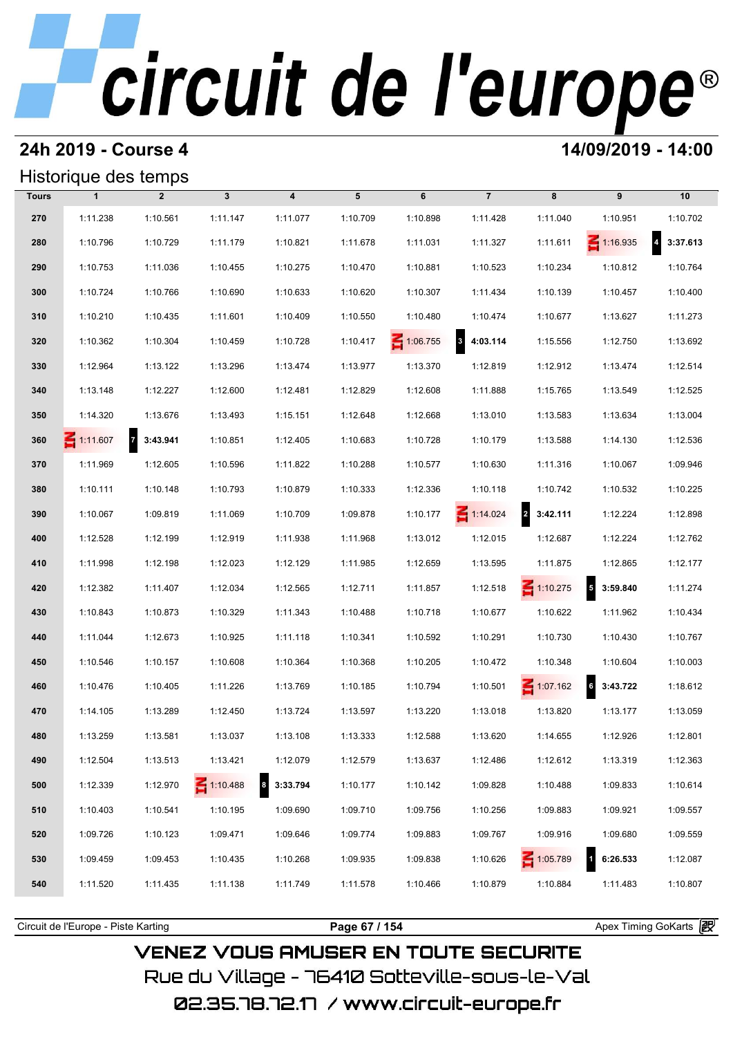### **24h 2019 - Course 4 14/09/2019 - 14:00**

### Historique des temps

|              | Historique des temps |                |                 |                              |          |          |                                     |                 |                      |                            |  |  |
|--------------|----------------------|----------------|-----------------|------------------------------|----------|----------|-------------------------------------|-----------------|----------------------|----------------------------|--|--|
| <b>Tours</b> | $\mathbf{1}$         | $\overline{2}$ | $\mathbf{3}$    | $\overline{\mathbf{4}}$      | 5        | 6        | $\overline{7}$                      | 8               | 9                    | 10                         |  |  |
| 270          | 1:11.238             | 1:10.561       | 1:11.147        | 1:11.077                     | 1:10.709 | 1:10.898 | 1:11.428                            | 1:11.040        | 1:10.951             | 1:10.702                   |  |  |
| 280          | 1:10.796             | 1:10.729       | 1:11.179        | 1:10.821                     | 1:11.678 | 1:11.031 | 1:11.327                            | 1:11.611        | $\leq 1:16.935$      | $\overline{4}$<br>3:37.613 |  |  |
| 290          | 1:10.753             | 1:11.036       | 1:10.455        | 1:10.275                     | 1:10.470 | 1:10.881 | 1:10.523                            | 1:10.234        | 1:10.812             | 1:10.764                   |  |  |
| 300          | 1:10.724             | 1:10.766       | 1:10.690        | 1:10.633                     | 1:10.620 | 1:10.307 | 1:11.434                            | 1:10.139        | 1:10.457             | 1:10.400                   |  |  |
| 310          | 1:10.210             | 1:10.435       | 1:11.601        | 1:10.409                     | 1:10.550 | 1:10.480 | 1:10.474                            | 1:10.677        | 1:13.627             | 1:11.273                   |  |  |
| 320          | 1:10.362             | 1:10.304       | 1:10.459        | 1:10.728                     | 1:10.417 | 1:06.755 | $\overline{\mathbf{3}}$<br>4:03.114 | 1:15.556        | 1:12.750             | 1:13.692                   |  |  |
| 330          | 1:12.964             | 1:13.122       | 1:13.296        | 1:13.474                     | 1:13.977 | 1:13.370 | 1:12.819                            | 1:12.912        | 1:13.474             | 1:12.514                   |  |  |
| 340          | 1:13.148             | 1:12.227       | 1:12.600        | 1:12.481                     | 1:12.829 | 1:12.608 | 1:11.888                            | 1:15.765        | 1:13.549             | 1:12.525                   |  |  |
| 350          | 1:14.320             | 1:13.676       | 1:13.493        | 1:15.151                     | 1:12.648 | 1:12.668 | 1:13.010                            | 1:13.583        | 1:13.634             | 1:13.004                   |  |  |
| 360          | $\leq 1:11.607$      | $7$ 3:43.941   | 1:10.851        | 1:12.405                     | 1:10.683 | 1:10.728 | 1:10.179                            | 1:13.588        | 1:14.130             | 1:12.536                   |  |  |
| 370          | 1:11.969             | 1:12.605       | 1:10.596        | 1:11.822                     | 1:10.288 | 1:10.577 | 1:10.630                            | 1:11.316        | 1:10.067             | 1:09.946                   |  |  |
| 380          | 1:10.111             | 1:10.148       | 1:10.793        | 1:10.879                     | 1:10.333 | 1:12.336 | 1:10.118                            | 1:10.742        | 1:10.532             | 1:10.225                   |  |  |
| 390          | 1:10.067             | 1:09.819       | 1:11.069        | 1:10.709                     | 1:09.878 | 1:10.177 | $\leq 1:14.024$                     | 2 3:42.111      | 1:12.224             | 1:12.898                   |  |  |
| 400          | 1:12.528             | 1:12.199       | 1:12.919        | 1:11.938                     | 1:11.968 | 1:13.012 | 1:12.015                            | 1:12.687        | 1:12.224             | 1:12.762                   |  |  |
| 410          | 1:11.998             | 1:12.198       | 1:12.023        | 1:12.129                     | 1:11.985 | 1:12.659 | 1:13.595                            | 1:11.875        | 1:12.865             | 1:12.177                   |  |  |
| 420          | 1:12.382             | 1:11.407       | 1:12.034        | 1:12.565                     | 1:12.711 | 1:11.857 | 1:12.518                            | $\leq 1:10.275$ | $5\quad 3:59.840$    | 1:11.274                   |  |  |
| 430          | 1:10.843             | 1:10.873       | 1:10.329        | 1:11.343                     | 1:10.488 | 1:10.718 | 1:10.677                            | 1:10.622        | 1:11.962             | 1:10.434                   |  |  |
| 440          | 1:11.044             | 1:12.673       | 1:10.925        | 1:11.118                     | 1:10.341 | 1:10.592 | 1:10.291                            | 1:10.730        | 1:10.430             | 1:10.767                   |  |  |
| 450          | 1:10.546             | 1:10.157       | 1:10.608        | 1:10.364                     | 1:10.368 | 1:10.205 | 1:10.472                            | 1:10.348        | 1:10.604             | 1:10.003                   |  |  |
| 460          | 1:10.476             | 1:10.405       | 1:11.226        | 1:13.769                     | 1:10.185 | 1:10.794 | 1:10.501                            | 1:07.162        | $\bf{6}$<br>3:43.722 | 1:18.612                   |  |  |
| 470          | 1:14.105             | 1:13.289       | 1:12.450        | 1:13.724                     | 1:13.597 | 1:13.220 | 1:13.018                            | 1:13.820        | 1:13.177             | 1:13.059                   |  |  |
| 480          | 1:13.259             | 1:13.581       | 1:13.037        | 1:13.108                     | 1:13.333 | 1:12.588 | 1:13.620                            | 1:14.655        | 1:12.926             | 1:12.801                   |  |  |
| 490          | 1:12.504             | 1:13.513       | 1:13.421        | 1:12.079                     | 1:12.579 | 1:13.637 | 1:12.486                            | 1:12.612        | 1:13.319             | 1:12.363                   |  |  |
| 500          | 1:12.339             | 1:12.970       | $\leq 1:10.488$ | $\boldsymbol{8}$<br>3:33.794 | 1:10.177 | 1:10.142 | 1:09.828                            | 1:10.488        | 1:09.833             | 1:10.614                   |  |  |
| 510          | 1:10.403             | 1:10.541       | 1:10.195        | 1:09.690                     | 1:09.710 | 1:09.756 | 1:10.256                            | 1:09.883        | 1:09.921             | 1:09.557                   |  |  |
| 520          | 1:09.726             | 1:10.123       | 1:09.471        | 1:09.646                     | 1:09.774 | 1:09.883 | 1:09.767                            | 1:09.916        | 1:09.680             | 1:09.559                   |  |  |
| 530          | 1:09.459             | 1:09.453       | 1:10.435        | 1:10.268                     | 1:09.935 | 1:09.838 | 1:10.626                            | 1:05.789        | 6:26.533             | 1:12.087                   |  |  |
| 540          | 1:11.520             | 1:11.435       | 1:11.138        | 1:11.749                     | 1:11.578 | 1:10.466 | 1:10.879                            | 1:10.884        | 1:11.483             | 1:10.807                   |  |  |
|              |                      |                |                 |                              |          |          |                                     |                 |                      |                            |  |  |

**VENEZ VOUS AMUSER EN TOUTE SECURITE** Rue du Village – 76410 Sotteville-sous-le-Val

Circuit de l'Europe - Piste Karting **Page 67 / 154 Page 67 / 154** Apex Timing GoKarts **P**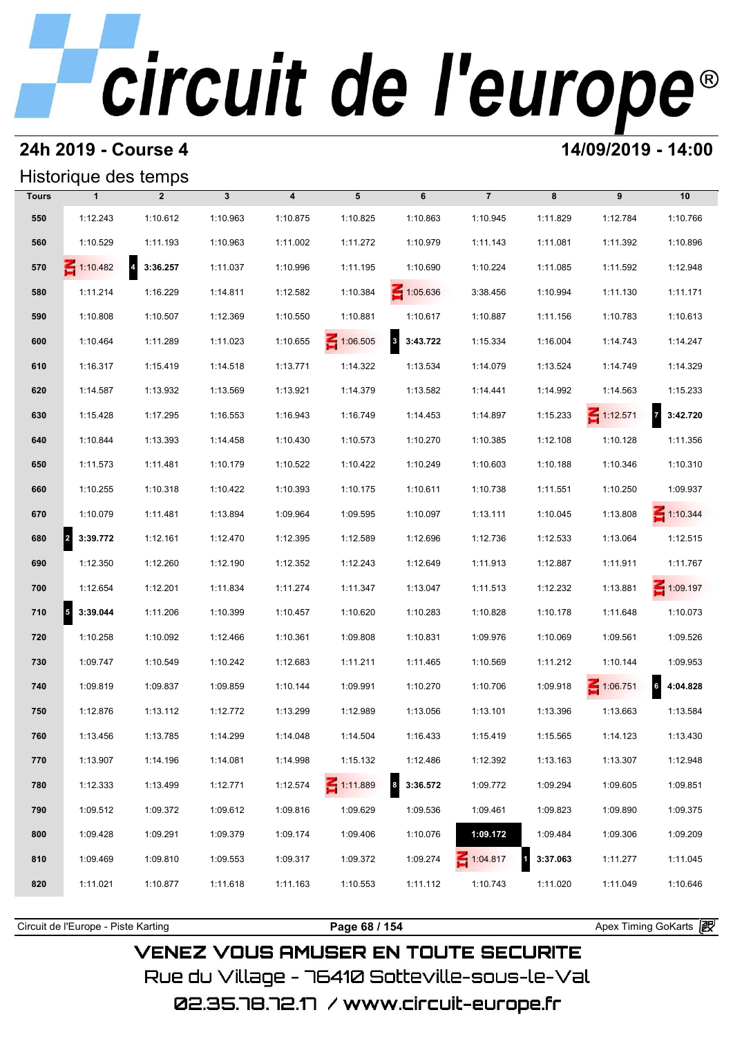## **24h 2019 - Course 4 14/09/2019 - 14:00**

## Historique des temps

|              | Historique des temps                 |                            |              |                         |                 |                          |                |          |                 |                            |
|--------------|--------------------------------------|----------------------------|--------------|-------------------------|-----------------|--------------------------|----------------|----------|-----------------|----------------------------|
| <b>Tours</b> | $\mathbf{1}$                         | $\overline{2}$             | $\mathbf{3}$ | $\overline{\mathbf{4}}$ | 5               | 6                        | $\overline{7}$ | 8        | 9               | 10                         |
| 550          | 1:12.243                             | 1:10.612                   | 1:10.963     | 1:10.875                | 1:10.825        | 1:10.863                 | 1:10.945       | 1:11.829 | 1:12.784        | 1:10.766                   |
| 560          | 1:10.529                             | 1:11.193                   | 1:10.963     | 1:11.002                | 1:11.272        | 1:10.979                 | 1:11.143       | 1:11.081 | 1:11.392        | 1:10.896                   |
| 570          | $\leq 1:10.482$                      | $\overline{4}$<br>3:36.257 | 1:11.037     | 1:10.996                | 1:11.195        | 1:10.690                 | 1:10.224       | 1:11.085 | 1:11.592        | 1:12.948                   |
| 580          | 1:11.214                             | 1:16.229                   | 1:14.811     | 1:12.582                | 1:10.384        | $\leq 1:05.636$          | 3:38.456       | 1:10.994 | 1:11.130        | 1:11.171                   |
| 590          | 1:10.808                             | 1:10.507                   | 1:12.369     | 1:10.550                | 1:10.881        | 1:10.617                 | 1:10.887       | 1:11.156 | 1:10.783        | 1:10.613                   |
| 600          | 1:10.464                             | 1:11.289                   | 1:11.023     | 1:10.655                | 1:06.505        | $\mathbf{3}$<br>3:43.722 | 1:15.334       | 1:16.004 | 1:14.743        | 1:14.247                   |
| 610          | 1:16.317                             | 1:15.419                   | 1:14.518     | 1:13.771                | 1:14.322        | 1:13.534                 | 1:14.079       | 1:13.524 | 1:14.749        | 1:14.329                   |
| 620          | 1:14.587                             | 1:13.932                   | 1:13.569     | 1:13.921                | 1:14.379        | 1:13.582                 | 1:14.441       | 1:14.992 | 1:14.563        | 1:15.233                   |
| 630          | 1:15.428                             | 1:17.295                   | 1:16.553     | 1:16.943                | 1:16.749        | 1:14.453                 | 1:14.897       | 1:15.233 | $\leq 1:12.571$ | $\overline{7}$<br>3:42.720 |
| 640          | 1:10.844                             | 1:13.393                   | 1:14.458     | 1:10.430                | 1:10.573        | 1:10.270                 | 1:10.385       | 1:12.108 | 1:10.128        | 1:11.356                   |
| 650          | 1:11.573                             | 1:11.481                   | 1:10.179     | 1:10.522                | 1:10.422        | 1:10.249                 | 1:10.603       | 1:10.188 | 1:10.346        | 1:10.310                   |
| 660          | 1:10.255                             | 1:10.318                   | 1:10.422     | 1:10.393                | 1:10.175        | 1:10.611                 | 1:10.738       | 1:11.551 | 1:10.250        | 1:09.937                   |
| 670          | 1:10.079                             | 1:11.481                   | 1:13.894     | 1:09.964                | 1:09.595        | 1:10.097                 | 1:13.111       | 1:10.045 | 1:13.808        | $\leq 1:10.344$            |
| 680          | $\overline{2}$<br>3:39.772           | 1:12.161                   | 1:12.470     | 1:12.395                | 1:12.589        | 1:12.696                 | 1:12.736       | 1:12.533 | 1:13.064        | 1:12.515                   |
| 690          | 1:12.350                             | 1:12.260                   | 1:12.190     | 1:12.352                | 1:12.243        | 1:12.649                 | 1:11.913       | 1:12.887 | 1:11.911        | 1:11.767                   |
| 700          | 1:12.654                             | 1:12.201                   | 1:11.834     | 1:11.274                | 1:11.347        | 1:13.047                 | 1:11.513       | 1:12.232 | 1:13.881        | $\leq 1:09.197$            |
| 710          | $\overline{\phantom{a}}$<br>3:39.044 | 1:11.206                   | 1:10.399     | 1:10.457                | 1:10.620        | 1:10.283                 | 1:10.828       | 1:10.178 | 1:11.648        | 1:10.073                   |
| 720          | 1:10.258                             | 1:10.092                   | 1:12.466     | 1:10.361                | 1:09.808        | 1:10.831                 | 1:09.976       | 1:10.069 | 1:09.561        | 1:09.526                   |
| 730          | 1:09.747                             | 1:10.549                   | 1:10.242     | 1:12.683                | 1:11.211        | 1:11.465                 | 1:10.569       | 1:11.212 | 1:10.144        | 1:09.953                   |
| 740          | 1:09.819                             | 1:09.837                   | 1:09.859     | 1:10.144                | 1:09.991        | 1:10.270                 | 1:10.706       | 1:09.918 | 1:06.751        | 6<br>4:04.828              |
| 750          | 1:12.876                             | 1:13.112                   | 1:12.772     | 1:13.299                | 1:12.989        | 1:13.056                 | 1:13.101       | 1:13.396 | 1:13.663        | 1:13.584                   |
| 760          | 1:13.456                             | 1:13.785                   | 1:14.299     | 1:14.048                | 1:14.504        | 1:16.433                 | 1:15.419       | 1:15.565 | 1:14.123        | 1:13.430                   |
| 770          | 1:13.907                             | 1:14.196                   | 1:14.081     | 1:14.998                | 1:15.132        | 1:12.486                 | 1:12.392       | 1:13.163 | 1:13.307        | 1:12.948                   |
| 780          | 1:12.333                             | 1:13.499                   | 1:12.771     | 1:12.574                | $\leq 1:11.889$ | 3:36.572<br>8            | 1:09.772       | 1:09.294 | 1:09.605        | 1:09.851                   |
| 790          | 1:09.512                             | 1:09.372                   | 1:09.612     | 1:09.816                | 1:09.629        | 1:09.536                 | 1:09.461       | 1:09.823 | 1:09.890        | 1:09.375                   |
| 800          | 1:09.428                             | 1:09.291                   | 1:09.379     | 1:09.174                | 1:09.406        | 1:10.076                 | 1:09.172       | 1:09.484 | 1:09.306        | 1:09.209                   |
| 810          | 1:09.469                             | 1:09.810                   | 1:09.553     | 1:09.317                | 1:09.372        | 1:09.274                 | 1:04.817       | 3:37.063 | 1:11.277        | 1:11.045                   |
| 820          | 1:11.021                             | 1:10.877                   | 1:11.618     | 1:11.163                | 1:10.553        | 1:11.112                 | 1:10.743       | 1:11.020 | 1:11.049        | 1:10.646                   |

**VENEZ VOUS AMUSER EN TOUTE SECURITE** Rue du Village – 76410 Sotteville-sous-le-Val 02.35.78.72.17 /www.circuit-europe.fr

Circuit de l'Europe - Piste Karting **Page 68 / 154 Page 68 / 154** Apex Timing GoKarts **in Apex**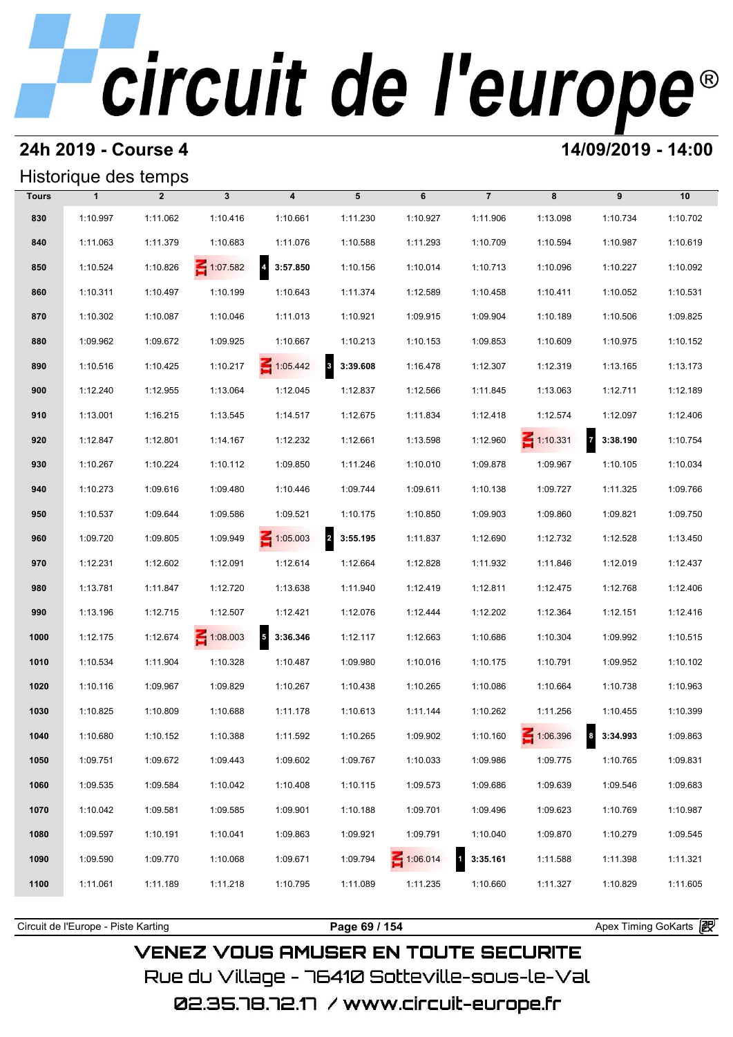## **24h 2019 - Course 4 14/09/2019 - 14:00**

## Historique des temps

| Historique des temps |              |                |                 |                                      |                                     |                 |                          |                 |                            |          |  |
|----------------------|--------------|----------------|-----------------|--------------------------------------|-------------------------------------|-----------------|--------------------------|-----------------|----------------------------|----------|--|
| <b>Tours</b>         | $\mathbf{1}$ | $\overline{2}$ | $\mathbf{3}$    | $\overline{\mathbf{4}}$              | 5                                   | 6               | $\overline{7}$           | 8               | 9                          | 10       |  |
| 830                  | 1:10.997     | 1:11.062       | 1:10.416        | 1:10.661                             | 1:11.230                            | 1:10.927        | 1:11.906                 | 1:13.098        | 1:10.734                   | 1:10.702 |  |
| 840                  | 1:11.063     | 1:11.379       | 1:10.683        | 1:11.076                             | 1:10.588                            | 1:11.293        | 1:10.709                 | 1:10.594        | 1:10.987                   | 1:10.619 |  |
| 850                  | 1:10.524     | 1:10.826       | $\leq 1:07.582$ | $\overline{\phantom{a}}$<br>3:57.850 | 1:10.156                            | 1:10.014        | 1:10.713                 | 1:10.096        | 1:10.227                   | 1:10.092 |  |
| 860                  | 1:10.311     | 1:10.497       | 1:10.199        | 1:10.643                             | 1:11.374                            | 1:12.589        | 1:10.458                 | 1:10.411        | 1:10.052                   | 1:10.531 |  |
| 870                  | 1:10.302     | 1:10.087       | 1:10.046        | 1:11.013                             | 1:10.921                            | 1:09.915        | 1:09.904                 | 1:10.189        | 1:10.506                   | 1:09.825 |  |
| 880                  | 1:09.962     | 1:09.672       | 1:09.925        | 1:10.667                             | 1:10.213                            | 1:10.153        | 1:09.853                 | 1:10.609        | 1:10.975                   | 1:10.152 |  |
| 890                  | 1:10.516     | 1:10.425       | 1:10.217        | $\leq 1:05.442$                      | 8 3:39.608                          | 1:16.478        | 1:12.307                 | 1:12.319        | 1:13.165                   | 1:13.173 |  |
| 900                  | 1:12.240     | 1:12.955       | 1:13.064        | 1:12.045                             | 1:12.837                            | 1:12.566        | 1:11.845                 | 1:13.063        | 1:12.711                   | 1:12.189 |  |
| 910                  | 1:13.001     | 1:16.215       | 1:13.545        | 1:14.517                             | 1:12.675                            | 1:11.834        | 1:12.418                 | 1:12.574        | 1:12.097                   | 1:12.406 |  |
| 920                  | 1:12.847     | 1:12.801       | 1:14.167        | 1:12.232                             | 1:12.661                            | 1:13.598        | 1:12.960                 | $\leq 1:10.331$ | $\overline{z}$<br>3:38.190 | 1:10.754 |  |
| 930                  | 1:10.267     | 1:10.224       | 1:10.112        | 1:09.850                             | 1:11.246                            | 1:10.010        | 1:09.878                 | 1:09.967        | 1:10.105                   | 1:10.034 |  |
| 940                  | 1:10.273     | 1:09.616       | 1:09.480        | 1:10.446                             | 1:09.744                            | 1:09.611        | 1:10.138                 | 1:09.727        | 1:11.325                   | 1:09.766 |  |
| 950                  | 1:10.537     | 1:09.644       | 1:09.586        | 1:09.521                             | 1:10.175                            | 1:10.850        | 1:09.903                 | 1:09.860        | 1:09.821                   | 1:09.750 |  |
| 960                  | 1:09.720     | 1:09.805       | 1:09.949        | $\leq 1:05.003$                      | $\overline{\mathbf{2}}$<br>3:55.195 | 1:11.837        | 1:12.690                 | 1:12.732        | 1:12.528                   | 1:13.450 |  |
| 970                  | 1:12.231     | 1:12.602       | 1:12.091        | 1:12.614                             | 1:12.664                            | 1:12.828        | 1:11.932                 | 1:11.846        | 1:12.019                   | 1:12.437 |  |
| 980                  | 1:13.781     | 1:11.847       | 1:12.720        | 1:13.638                             | 1:11.940                            | 1:12.419        | 1:12.811                 | 1:12.475        | 1:12.768                   | 1:12.406 |  |
| 990                  | 1:13.196     | 1:12.715       | 1:12.507        | 1:12.421                             | 1:12.076                            | 1:12.444        | 1:12.202                 | 1:12.364        | 1:12.151                   | 1:12.416 |  |
| 1000                 | 1:12.175     | 1:12.674       | $\leq 1:08.003$ | $\overline{\phantom{a}}$<br>3:36.346 | 1:12.117                            | 1:12.663        | 1:10.686                 | 1:10.304        | 1:09.992                   | 1:10.515 |  |
| 1010                 | 1:10.534     | 1:11.904       | 1:10.328        | 1:10.487                             | 1:09.980                            | 1:10.016        | 1:10.175                 | 1:10.791        | 1:09.952                   | 1:10.102 |  |
| 1020                 | 1:10.116     | 1:09.967       | 1:09.829        | 1:10.267                             | 1:10.438                            | 1:10.265        | 1:10.086                 | 1:10.664        | 1:10.738                   | 1:10.963 |  |
| 1030                 | 1:10.825     | 1:10.809       | 1:10.688        | 1:11.178                             | 1:10.613                            | 1:11.144        | 1:10.262                 | 1:11.256        | 1:10.455                   | 1:10.399 |  |
| 1040                 | 1:10.680     | 1:10.152       | 1:10.388        | 1:11.592                             | 1:10.265                            | 1:09.902        | 1:10.160                 | 1:06.396        | 8 3:34.993                 | 1:09.863 |  |
| 1050                 | 1:09.751     | 1:09.672       | 1:09.443        | 1:09.602                             | 1:09.767                            | 1:10.033        | 1:09.986                 | 1:09.775        | 1:10.765                   | 1:09.831 |  |
| 1060                 | 1:09.535     | 1:09.584       | 1:10.042        | 1:10.408                             | 1:10.115                            | 1:09.573        | 1:09.686                 | 1:09.639        | 1:09.546                   | 1:09.683 |  |
| 1070                 | 1:10.042     | 1:09.581       | 1:09.585        | 1:09.901                             | 1:10.188                            | 1:09.701        | 1:09.496                 | 1:09.623        | 1:10.769                   | 1:10.987 |  |
| 1080                 | 1:09.597     | 1:10.191       | 1:10.041        | 1:09.863                             | 1:09.921                            | 1:09.791        | 1:10.040                 | 1:09.870        | 1:10.279                   | 1:09.545 |  |
| 1090                 | 1:09.590     | 1:09.770       | 1:10.068        | 1:09.671                             | 1:09.794                            | $\leq 1:06.014$ | $\mathbf{1}$<br>3:35.161 | 1:11.588        | 1:11.398                   | 1:11.321 |  |
| 1100                 | 1:11.061     | 1:11.189       | 1:11.218        | 1:10.795                             | 1:11.089                            | 1:11.235        | 1:10.660                 | 1:11.327        | 1:10.829                   | 1:11.605 |  |
|                      |              |                |                 |                                      |                                     |                 |                          |                 |                            |          |  |

## **VENEZ VOUS AMUSER EN TOUTE SECURITE**

Rue du Village – 76410 Sotteville-sous-le-Val

Circuit de l'Europe - Piste Karting **Page 69 / 154 Page 69 / 154** Apex Timing GoKarts **P**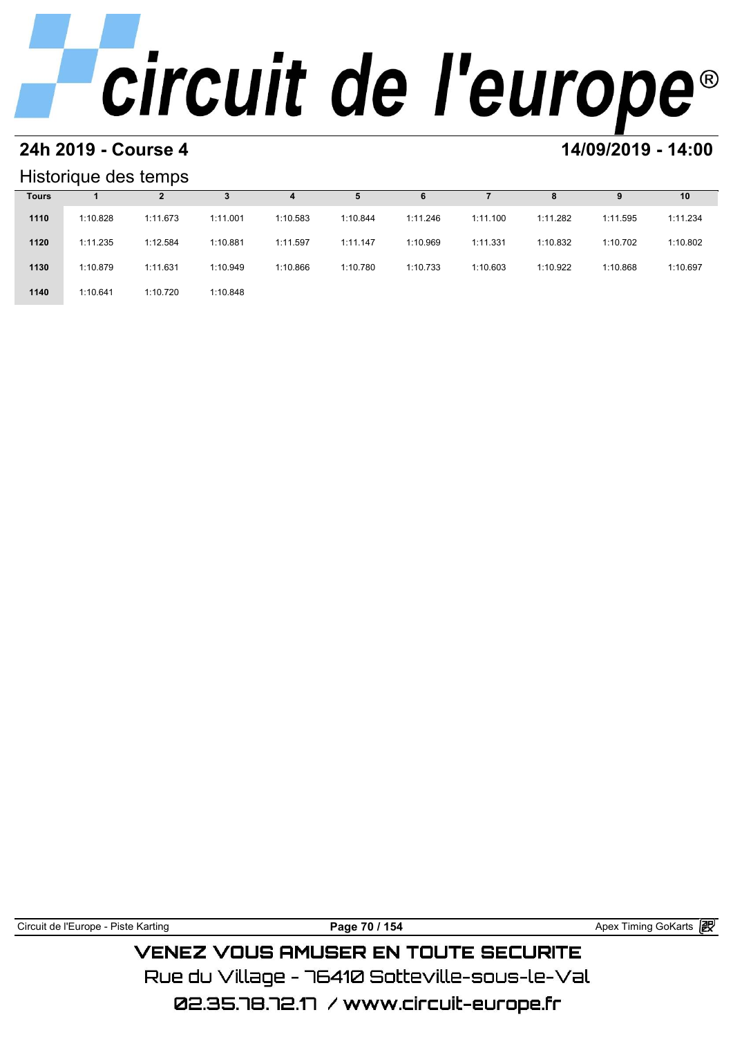# **24h 2019 - Course 4 14/09/2019 - 14:00**

## Historique des temps

| Historique des temps |          |          |          |          |          |          |          |          |          |          |  |
|----------------------|----------|----------|----------|----------|----------|----------|----------|----------|----------|----------|--|
| <b>Tours</b>         |          |          |          | 4        | 5        | 6        |          | 8        | 9        | 10       |  |
| 1110                 | 1:10.828 | 1:11.673 | 1:11.001 | 1:10.583 | 1:10.844 | 1:11.246 | 1:11.100 | 1:11.282 | 1:11.595 | 1:11.234 |  |
| 1120                 | 1:11.235 | 1:12.584 | 1:10.881 | 1:11.597 | 1:11.147 | 1:10.969 | 1:11.331 | 1:10.832 | 1:10.702 | 1:10.802 |  |
| 1130                 | 1:10.879 | 1:11.631 | 1:10.949 | 1:10.866 | 1:10.780 | 1:10.733 | 1:10.603 | 1:10.922 | 1:10.868 | 1:10.697 |  |
| 1140                 | 1:10.641 | 1:10.720 | 1:10.848 |          |          |          |          |          |          |          |  |

| Circuit de l'Europe - Piste Karting | Page 70 / 154                                 | Apex Timing GoKarts 2 |
|-------------------------------------|-----------------------------------------------|-----------------------|
|                                     | <b>VENEZ VOUS AMUSER EN TOUTE SECURITE</b>    |                       |
|                                     | Rue du Village – 76410 Sotteville–sous–le–Val |                       |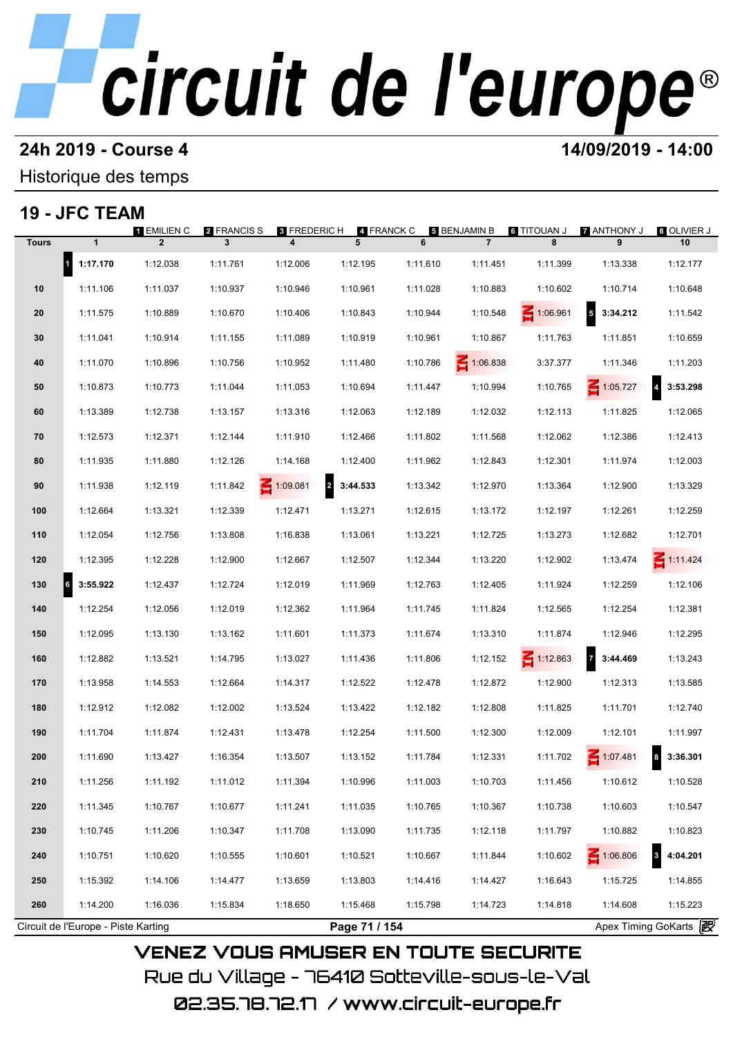### **24h 2019 - Course 4 14/09/2019 - 14:00**

Historique des temps

## **19 - JFC TEAM**

|              | $\mathbf{1}$             | 1 EMILIEN C<br>$\overline{2}$ | <b>2</b> FRANCIS S<br>3 | 8 FREDERIC H<br>4 | 4 FRANCK C<br>5                     | 6        | <b>5 BENJAMIN B</b><br>$\overline{7}$ | <b>G TITOUAN J</b><br>8 | 7 ANTHONY J<br>9 | 8 OLIVIER J<br>10 |
|--------------|--------------------------|-------------------------------|-------------------------|-------------------|-------------------------------------|----------|---------------------------------------|-------------------------|------------------|-------------------|
| <b>Tours</b> |                          |                               |                         |                   |                                     |          |                                       |                         |                  |                   |
|              | $\mathbf{1}$<br>1:17.170 | 1:12.038                      | 1:11.761                | 1:12.006          | 1:12.195                            | 1:11.610 | 1:11.451                              | 1:11.399                | 1:13.338         | 1:12.177          |
| 10           | 1:11.106                 | 1:11.037                      | 1:10.937                | 1:10.946          | 1:10.961                            | 1:11.028 | 1:10.883                              | 1:10.602                | 1:10.714         | 1:10.648          |
| 20           | 1:11.575                 | 1:10.889                      | 1:10.670                | 1:10.406          | 1:10.843                            | 1:10.944 | 1:10.548                              | 1:06.961                | 5<br>3:34.212    | 1:11.542          |
| 30           | 1:11.041                 | 1:10.914                      | 1:11.155                | 1:11.089          | 1:10.919                            | 1:10.961 | 1:10.867                              | 1:11.763                | 1:11.851         | 1:10.659          |
| 40           | 1:11.070                 | 1:10.896                      | 1:10.756                | 1:10.952          | 1:11.480                            | 1:10.786 | 1:06.838                              | 3:37.377                | 1:11.346         | 1:11.203          |
| 50           | 1:10.873                 | 1:10.773                      | 1:11.044                | 1:11.053          | 1:10.694                            | 1:11.447 | 1:10.994                              | 1:10.765                | $\leq 1:05.727$  | 3:53.298          |
| 60           | 1:13.389                 | 1:12.738                      | 1:13.157                | 1:13.316          | 1:12.063                            | 1:12.189 | 1:12.032                              | 1:12.113                | 1:11.825         | 1:12.065          |
| 70           | 1:12.573                 | 1:12.371                      | 1:12.144                | 1:11.910          | 1:12.466                            | 1:11.802 | 1:11.568                              | 1:12.062                | 1:12.386         | 1:12.413          |
| 80           | 1:11.935                 | 1:11.880                      | 1:12.126                | 1:14.168          | 1:12.400                            | 1:11.962 | 1:12.843                              | 1:12.301                | 1:11.974         | 1:12.003          |
| 90           | 1:11.938                 | 1:12.119                      | 1:11.842                | $\leq 1:09.081$   | $\overline{\mathbf{2}}$<br>3:44.533 | 1:13.342 | 1:12.970                              | 1:13.364                | 1:12.900         | 1:13.329          |
| 100          | 1:12.664                 | 1:13.321                      | 1:12.339                | 1:12.471          | 1:13.271                            | 1:12.615 | 1:13.172                              | 1:12.197                | 1:12.261         | 1:12.259          |
| 110          | 1:12.054                 | 1:12.756                      | 1:13.808                | 1:16.838          | 1:13.061                            | 1:13.221 | 1:12.725                              | 1:13.273                | 1:12.682         | 1:12.701          |
| 120          | 1:12.395                 | 1:12.228                      | 1:12.900                | 1:12.667          | 1:12.507                            | 1:12.344 | 1:13.220                              | 1:12.902                | 1:13.474         | $\leq 1:11.424$   |
| 130          | 6<br>3:55.922            | 1:12.437                      | 1:12.724                | 1:12.019          | 1:11.969                            | 1:12.763 | 1:12.405                              | 1:11.924                | 1:12.259         | 1:12.106          |
| 140          | 1:12.254                 | 1:12.056                      | 1:12.019                | 1:12.362          | 1:11.964                            | 1:11.745 | 1:11.824                              | 1:12.565                | 1:12.254         | 1:12.381          |
| 150          | 1:12.095                 | 1:13.130                      | 1:13.162                | 1:11.601          | 1:11.373                            | 1:11.674 | 1:13.310                              | 1:11.874                | 1:12.946         | 1:12.295          |
| 160          | 1:12.882                 | 1:13.521                      | 1:14.795                | 1:13.027          | 1:11.436                            | 1:11.806 | 1:12.152                              | 1:12.863                | 3:44.469         | 1:13.243          |
| 170          | 1:13.958                 | 1:14.553                      | 1:12.664                | 1:14.317          | 1:12.522                            | 1:12.478 | 1:12.872                              | 1:12.900                | 1:12.313         | 1:13.585          |
| 180          | 1:12.912                 | 1:12.082                      | 1:12.002                | 1:13.524          | 1:13.422                            | 1:12.182 | 1:12.808                              | 1:11.825                | 1:11.701         | 1:12.740          |
| 190          | 1:11.704                 | 1:11.874                      | 1:12.431                | 1:13.478          | 1:12.254                            | 1:11.500 | 1:12.300                              | 1:12.009                | 1:12.101         | 1:11.997          |
| 200          | 1:11.690                 | 1:13.427                      | 1:16.354                | 1:13.507          | 1:13.152                            | 1:11.784 | 1:12.331                              | 1:11.702                | 1:07.481         | $8$ 3:36.301      |
| 210          | 1:11.256                 | 1:11.192                      | 1:11.012                | 1:11.394          | 1:10.996                            | 1:11.003 | 1:10.703                              | 1:11.456                | 1:10.612         | 1:10.528          |
|              |                          |                               |                         |                   |                                     |          |                                       |                         |                  |                   |
| 220          | 1:11.345                 | 1:10.767                      | 1:10.677                | 1:11.241          | 1:11.035                            | 1:10.765 | 1:10.367                              | 1:10.738                | 1:10.603         | 1:10.547          |
| 230          | 1:10.745                 | 1:11.206                      | 1:10.347                | 1:11.708          | 1:13.090                            | 1:11.735 | 1:12.118                              | 1:11.797                | 1:10.882         | 1:10.823          |
| 240          | 1:10.751                 | 1:10.620                      | 1:10.555                | 1:10.601          | 1:10.521                            | 1:10.667 | 1:11.844                              | 1:10.602                | $\leq 1:06.806$  | 4:04.201          |
| 250          | 1:15.392                 | 1:14.106                      | 1:14.477                | 1:13.659          | 1:13.803                            | 1:14.416 | 1:14.427                              | 1:16.643                | 1:15.725         | 1:14.855          |
| 260          | 1:14.200                 | 1:16.036                      | 1:15.834                | 1:18.650          | 1:15.468                            | 1:15.798 | 1:14.723                              | 1:14.818                | 1:14.608         | 1:15.223          |

02.35.78.72.17 / www.circuit-europe.fr

Rue du Village – 76410 Sotteville-sous-le-Val

**VENEZ VOUS AMUSER EN TOUTE SECURITE**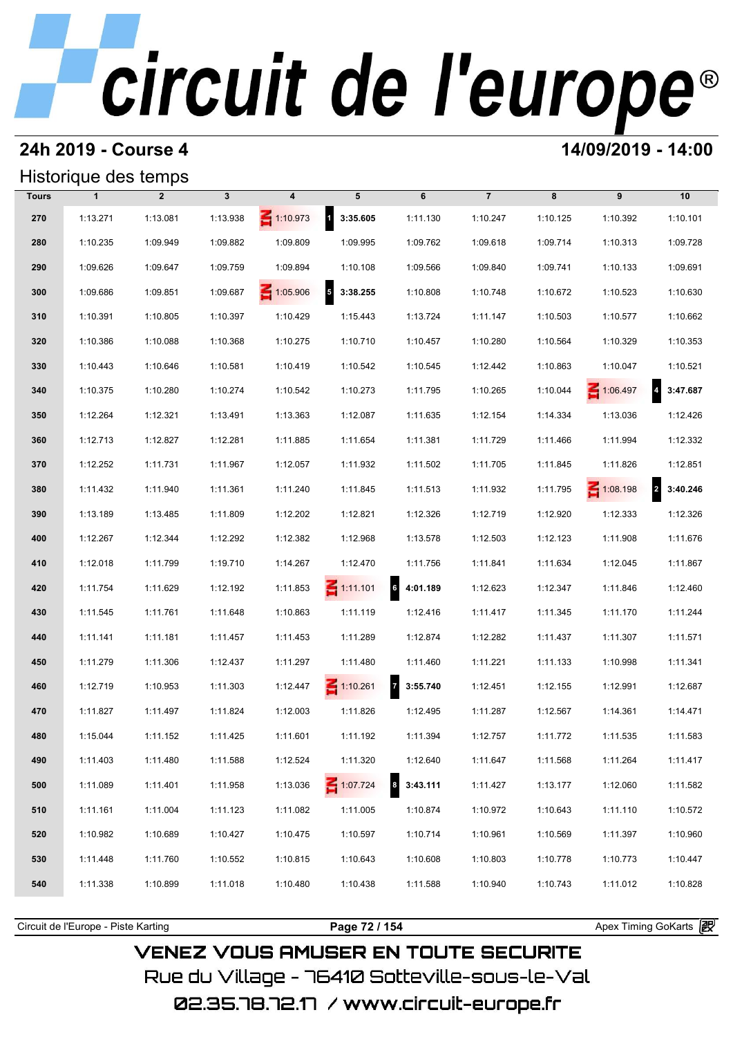## **24h 2019 - Course 4 14/09/2019 - 14:00**

## Historique des temps

|              | Historique des temps |                |          |                 |                                      |                              |                |          |                 |                            |  |  |  |
|--------------|----------------------|----------------|----------|-----------------|--------------------------------------|------------------------------|----------------|----------|-----------------|----------------------------|--|--|--|
| <b>Tours</b> | $\mathbf{1}$         | $\overline{2}$ | 3        | 4               | 5                                    | 6                            | $\overline{7}$ | 8        | 9               | 10                         |  |  |  |
| 270          | 1:13.271             | 1:13.081       | 1:13.938 | $\leq 1:10.973$ | $\mathbf{1}$<br>3:35.605             | 1:11.130                     | 1:10.247       | 1:10.125 | 1:10.392        | 1:10.101                   |  |  |  |
| 280          | 1:10.235             | 1:09.949       | 1:09.882 | 1:09.809        | 1:09.995                             | 1:09.762                     | 1:09.618       | 1:09.714 | 1:10.313        | 1:09.728                   |  |  |  |
| 290          | 1:09.626             | 1:09.647       | 1:09.759 | 1:09.894        | 1:10.108                             | 1:09.566                     | 1:09.840       | 1:09.741 | 1:10.133        | 1:09.691                   |  |  |  |
| 300          | 1:09.686             | 1:09.851       | 1:09.687 | $\leq 1:05.906$ | $\overline{\phantom{a}}$<br>3:38.255 | 1:10.808                     | 1:10.748       | 1:10.672 | 1:10.523        | 1:10.630                   |  |  |  |
| 310          | 1:10.391             | 1:10.805       | 1:10.397 | 1:10.429        | 1:15.443                             | 1:13.724                     | 1:11.147       | 1:10.503 | 1:10.577        | 1:10.662                   |  |  |  |
| 320          | 1:10.386             | 1:10.088       | 1:10.368 | 1:10.275        | 1:10.710                             | 1:10.457                     | 1:10.280       | 1:10.564 | 1:10.329        | 1:10.353                   |  |  |  |
| 330          | 1:10.443             | 1:10.646       | 1:10.581 | 1:10.419        | 1:10.542                             | 1:10.545                     | 1:12.442       | 1:10.863 | 1:10.047        | 1:10.521                   |  |  |  |
| 340          | 1:10.375             | 1:10.280       | 1:10.274 | 1:10.542        | 1:10.273                             | 1:11.795                     | 1:10.265       | 1:10.044 | 1:06.497        | 3:47.687                   |  |  |  |
| 350          | 1:12.264             | 1:12.321       | 1:13.491 | 1:13.363        | 1:12.087                             | 1:11.635                     | 1:12.154       | 1:14.334 | 1:13.036        | 1:12.426                   |  |  |  |
| 360          | 1:12.713             | 1:12.827       | 1:12.281 | 1:11.885        | 1:11.654                             | 1:11.381                     | 1:11.729       | 1:11.466 | 1:11.994        | 1:12.332                   |  |  |  |
| 370          | 1:12.252             | 1:11.731       | 1:11.967 | 1:12.057        | 1:11.932                             | 1:11.502                     | 1:11.705       | 1:11.845 | 1:11.826        | 1:12.851                   |  |  |  |
| 380          | 1:11.432             | 1:11.940       | 1:11.361 | 1:11.240        | 1:11.845                             | 1:11.513                     | 1:11.932       | 1:11.795 | $\leq 1:08.198$ | $\overline{2}$<br>3:40.246 |  |  |  |
| 390          | 1:13.189             | 1:13.485       | 1:11.809 | 1:12.202        | 1:12.821                             | 1:12.326                     | 1:12.719       | 1:12.920 | 1:12.333        | 1:12.326                   |  |  |  |
| 400          | 1:12.267             | 1:12.344       | 1:12.292 | 1:12.382        | 1:12.968                             | 1:13.578                     | 1:12.503       | 1:12.123 | 1:11.908        | 1:11.676                   |  |  |  |
| 410          | 1:12.018             | 1:11.799       | 1:19.710 | 1:14.267        | 1:12.470                             | 1:11.756                     | 1:11.841       | 1:11.634 | 1:12.045        | 1:11.867                   |  |  |  |
| 420          | 1:11.754             | 1:11.629       | 1:12.192 | 1:11.853        | $\leq 1:11.101$                      | 64:01.189                    | 1:12.623       | 1:12.347 | 1:11.846        | 1:12.460                   |  |  |  |
| 430          | 1:11.545             | 1:11.761       | 1:11.648 | 1:10.863        | 1:11.119                             | 1:12.416                     | 1:11.417       | 1:11.345 | 1:11.170        | 1:11.244                   |  |  |  |
| 440          | 1:11.141             | 1:11.181       | 1:11.457 | 1:11.453        | 1:11.289                             | 1:12.874                     | 1:12.282       | 1:11.437 | 1:11.307        | 1:11.571                   |  |  |  |
| 450          | 1:11.279             | 1:11.306       | 1:12.437 | 1:11.297        | 1:11.480                             | 1:11.460                     | 1:11.221       | 1:11.133 | 1:10.998        | 1:11.341                   |  |  |  |
| 460          | 1:12.719             | 1:10.953       | 1:11.303 | 1:12.447        | $\leq 1:10.261$                      | $\overline{7}$<br>3:55.740   | 1:12.451       | 1:12.155 | 1:12.991        | 1:12.687                   |  |  |  |
| 470          | 1:11.827             | 1:11.497       | 1:11.824 | 1:12.003        | 1:11.826                             | 1:12.495                     | 1:11.287       | 1:12.567 | 1:14.361        | 1:14.471                   |  |  |  |
| 480          | 1:15.044             | 1:11.152       | 1:11.425 | 1:11.601        | 1:11.192                             | 1:11.394                     | 1:12.757       | 1:11.772 | 1:11.535        | 1:11.583                   |  |  |  |
| 490          | 1:11.403             | 1:11.480       | 1:11.588 | 1:12.524        | 1:11.320                             | 1:12.640                     | 1:11.647       | 1:11.568 | 1:11.264        | 1:11.417                   |  |  |  |
| 500          | 1:11.089             | 1:11.401       | 1:11.958 | 1:13.036        | $\leq 1:07.724$                      | $\boldsymbol{8}$<br>3:43.111 | 1:11.427       | 1:13.177 | 1:12.060        | 1:11.582                   |  |  |  |
| 510          | 1:11.161             | 1:11.004       | 1:11.123 | 1:11.082        | 1:11.005                             | 1:10.874                     | 1:10.972       | 1:10.643 | 1:11.110        | 1:10.572                   |  |  |  |
| 520          | 1:10.982             | 1:10.689       | 1:10.427 | 1:10.475        | 1:10.597                             | 1:10.714                     | 1:10.961       | 1:10.569 | 1:11.397        | 1:10.960                   |  |  |  |
| 530          | 1:11.448             | 1:11.760       | 1:10.552 | 1:10.815        | 1:10.643                             | 1:10.608                     | 1:10.803       | 1:10.778 | 1:10.773        | 1:10.447                   |  |  |  |
| 540          | 1:11.338             | 1:10.899       | 1:11.018 | 1:10.480        | 1:10.438                             | 1:11.588                     | 1:10.940       | 1:10.743 | 1:11.012        | 1:10.828                   |  |  |  |
|              |                      |                |          |                 |                                      |                              |                |          |                 |                            |  |  |  |

**VENEZ VOUS AMUSER EN TOUTE SECURITE** Rue du Village – 76410 Sotteville-sous-le-Val

02.35.78.72.17 /www.circuit-europe.fr

Circuit de l'Europe - Piste Karting **Page 72 / 154 Page 72 / 154** Apex Timing GoKarts **i**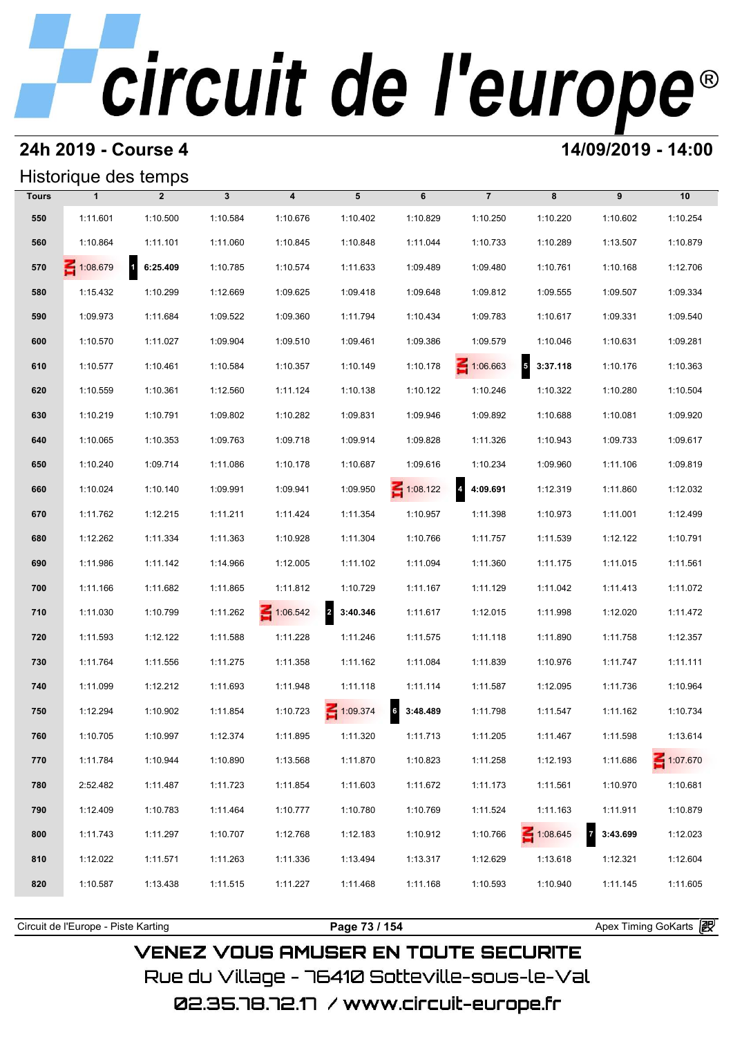## **24h 2019 - Course 4 14/09/2019 - 14:00**

## Historique des temps

|              | Historique des temps |                            |              |                         |                            |                      |                            |                 |                            |          |
|--------------|----------------------|----------------------------|--------------|-------------------------|----------------------------|----------------------|----------------------------|-----------------|----------------------------|----------|
| <b>Tours</b> | $\mathbf{1}$         | $\overline{2}$             | $\mathbf{3}$ | $\overline{\mathbf{4}}$ | 5                          | 6                    | $\overline{7}$             | 8               | 9                          | 10       |
| 550          | 1:11.601             | 1:10.500                   | 1:10.584     | 1:10.676                | 1:10.402                   | 1:10.829             | 1:10.250                   | 1:10.220        | 1:10.602                   | 1:10.254 |
| 560          | 1:10.864             | 1:11.101                   | 1:11.060     | 1:10.845                | 1:10.848                   | 1:11.044             | 1:10.733                   | 1:10.289        | 1:13.507                   | 1:10.879 |
| 570          | 1:08.679             | $\blacksquare$<br>6:25.409 | 1:10.785     | 1:10.574                | 1:11.633                   | 1:09.489             | 1:09.480                   | 1:10.761        | 1:10.168                   | 1:12.706 |
| 580          | 1:15.432             | 1:10.299                   | 1:12.669     | 1:09.625                | 1:09.418                   | 1:09.648             | 1:09.812                   | 1:09.555        | 1:09.507                   | 1:09.334 |
| 590          | 1:09.973             | 1:11.684                   | 1:09.522     | 1:09.360                | 1:11.794                   | 1:10.434             | 1:09.783                   | 1:10.617        | 1:09.331                   | 1:09.540 |
| 600          | 1:10.570             | 1:11.027                   | 1:09.904     | 1:09.510                | 1:09.461                   | 1:09.386             | 1:09.579                   | 1:10.046        | 1:10.631                   | 1:09.281 |
| 610          | 1:10.577             | 1:10.461                   | 1:10.584     | 1:10.357                | 1:10.149                   | 1:10.178             | $\leq 1:06.663$            | $5$ 3:37.118    | 1:10.176                   | 1:10.363 |
| 620          | 1:10.559             | 1:10.361                   | 1:12.560     | 1:11.124                | 1:10.138                   | 1:10.122             | 1:10.246                   | 1:10.322        | 1:10.280                   | 1:10.504 |
| 630          | 1:10.219             | 1:10.791                   | 1:09.802     | 1:10.282                | 1:09.831                   | 1:09.946             | 1:09.892                   | 1:10.688        | 1:10.081                   | 1:09.920 |
| 640          | 1:10.065             | 1:10.353                   | 1:09.763     | 1:09.718                | 1:09.914                   | 1:09.828             | 1:11.326                   | 1:10.943        | 1:09.733                   | 1:09.617 |
| 650          | 1:10.240             | 1:09.714                   | 1:11.086     | 1:10.178                | 1:10.687                   | 1:09.616             | 1:10.234                   | 1:09.960        | 1:11.106                   | 1:09.819 |
| 660          | 1:10.024             | 1:10.140                   | 1:09.991     | 1:09.941                | 1:09.950                   | $\leq 1:08.122$      | $\overline{4}$<br>4:09.691 | 1:12.319        | 1:11.860                   | 1:12.032 |
| 670          | 1:11.762             | 1:12.215                   | 1:11.211     | 1:11.424                | 1:11.354                   | 1:10.957             | 1:11.398                   | 1:10.973        | 1:11.001                   | 1:12.499 |
| 680          | 1:12.262             | 1:11.334                   | 1:11.363     | 1:10.928                | 1:11.304                   | 1:10.766             | 1:11.757                   | 1:11.539        | 1:12.122                   | 1:10.791 |
| 690          | 1:11.986             | 1:11.142                   | 1:14.966     | 1:12.005                | 1:11.102                   | 1:11.094             | 1:11.360                   | 1:11.175        | 1:11.015                   | 1:11.561 |
| 700          | 1:11.166             | 1:11.682                   | 1:11.865     | 1:11.812                | 1:10.729                   | 1:11.167             | 1:11.129                   | 1:11.042        | 1:11.413                   | 1:11.072 |
| 710          | 1:11.030             | 1:10.799                   | 1:11.262     | $\leq 1:06.542$         | $\overline{2}$<br>3:40.346 | 1:11.617             | 1:12.015                   | 1:11.998        | 1:12.020                   | 1:11.472 |
| 720          | 1:11.593             | 1:12.122                   | 1:11.588     | 1:11.228                | 1:11.246                   | 1:11.575             | 1:11.118                   | 1:11.890        | 1:11.758                   | 1:12.357 |
| 730          | 1:11.764             | 1:11.556                   | 1:11.275     | 1:11.358                | 1:11.162                   | 1:11.084             | 1:11.839                   | 1:10.976        | 1:11.747                   | 1:11.111 |
| 740          | 1:11.099             | 1:12.212                   | 1:11.693     | 1:11.948                | 1:11.118                   | 1:11.114             | 1:11.587                   | 1:12.095        | 1:11.736                   | 1:10.964 |
| 750          | 1:12.294             | 1:10.902                   | 1:11.854     | 1:10.723                | 1:09.374                   | $6 \mid$<br>3:48.489 | 1:11.798                   | 1:11.547        | 1:11.162                   | 1:10.734 |
| 760          | 1:10.705             | 1:10.997                   | 1:12.374     | 1:11.895                | 1:11.320                   | 1:11.713             | 1:11.205                   | 1:11.467        | 1:11.598                   | 1:13.614 |
| 770          | 1:11.784             | 1:10.944                   | 1:10.890     | 1:13.568                | 1:11.870                   | 1:10.823             | 1:11.258                   | 1:12.193        | 1:11.686                   | 1:07.670 |
| 780          | 2:52.482             | 1:11.487                   | 1:11.723     | 1:11.854                | 1:11.603                   | 1:11.672             | 1:11.173                   | 1:11.561        | 1:10.970                   | 1:10.681 |
| 790          | 1:12.409             | 1:10.783                   | 1:11.464     | 1:10.777                | 1:10.780                   | 1:10.769             | 1:11.524                   | 1:11.163        | 1:11.911                   | 1:10.879 |
| 800          | 1:11.743             | 1:11.297                   | 1:10.707     | 1:12.768                | 1:12.183                   | 1:10.912             | 1:10.766                   | $\leq 1:08.645$ | $\overline{7}$<br>3:43.699 | 1:12.023 |
| 810          | 1:12.022             | 1:11.571                   | 1:11.263     | 1:11.336                | 1:13.494                   | 1:13.317             | 1:12.629                   | 1:13.618        | 1:12.321                   | 1:12.604 |
| 820          | 1:10.587             | 1:13.438                   | 1:11.515     | 1:11.227                | 1:11.468                   | 1:11.168             | 1:10.593                   | 1:10.940        | 1:11.145                   | 1:11.605 |
|              |                      |                            |              |                         |                            |                      |                            |                 |                            |          |

**VENEZ VOUS AMUSER EN TOUTE SECURITE** Rue du Village – 76410 Sotteville-sous-le-Val

02.35.78.72.17 /www.circuit-europe.fr

Circuit de l'Europe - Piste Karting **Page 73 / 154 Page 73 / 154** Apex Timing GoKarts **in**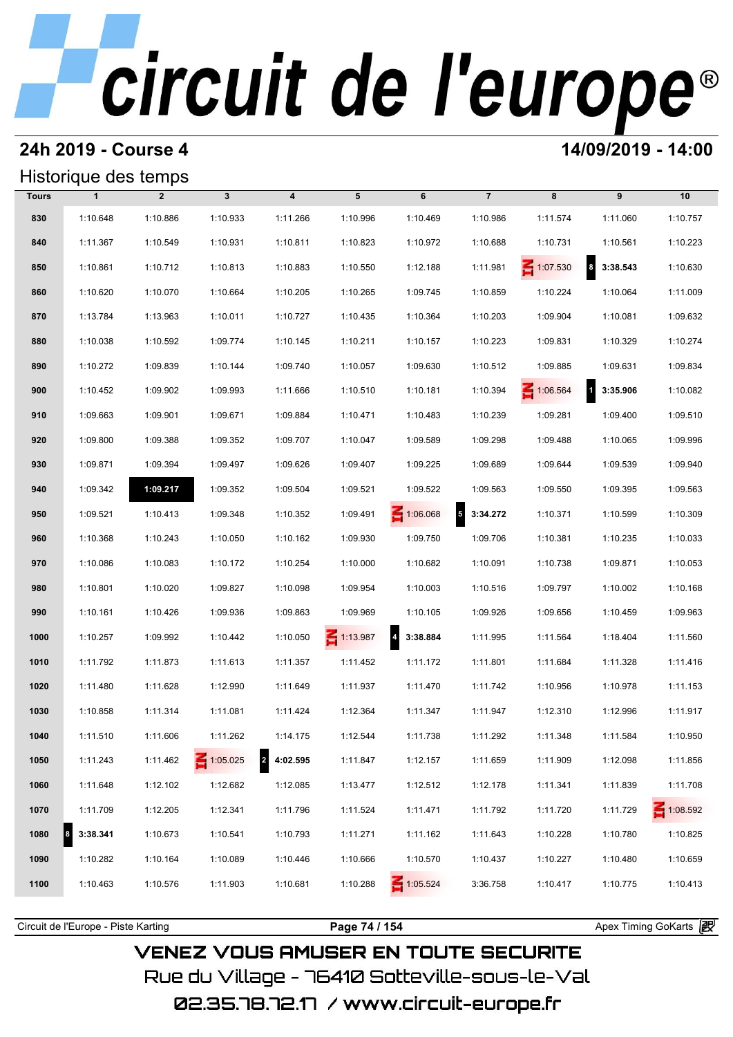## **24h 2019 - Course 4 14/09/2019 - 14:00**

## Historique des temps

|              | Historique des temps |                |                 |                            |                 |                            |                |                 |                                     |                 |
|--------------|----------------------|----------------|-----------------|----------------------------|-----------------|----------------------------|----------------|-----------------|-------------------------------------|-----------------|
| <b>Tours</b> | $\mathbf{1}$         | $\overline{2}$ | $\mathbf{3}$    | $\overline{\mathbf{4}}$    | 5               | 6                          | $\overline{7}$ | 8               | 9                                   | 10              |
| 830          | 1:10.648             | 1:10.886       | 1:10.933        | 1:11.266                   | 1:10.996        | 1:10.469                   | 1:10.986       | 1:11.574        | 1:11.060                            | 1:10.757        |
| 840          | 1:11.367             | 1:10.549       | 1:10.931        | 1:10.811                   | 1:10.823        | 1:10.972                   | 1:10.688       | 1:10.731        | 1:10.561                            | 1:10.223        |
| 850          | 1:10.861             | 1:10.712       | 1:10.813        | 1:10.883                   | 1:10.550        | 1:12.188                   | 1:11.981       | $\leq 1:07.530$ | $\overline{\mathbf{8}}$<br>3:38.543 | 1:10.630        |
| 860          | 1:10.620             | 1:10.070       | 1:10.664        | 1:10.205                   | 1:10.265        | 1:09.745                   | 1:10.859       | 1:10.224        | 1:10.064                            | 1:11.009        |
| 870          | 1:13.784             | 1:13.963       | 1:10.011        | 1:10.727                   | 1:10.435        | 1:10.364                   | 1:10.203       | 1:09.904        | 1:10.081                            | 1:09.632        |
| 880          | 1:10.038             | 1:10.592       | 1:09.774        | 1:10.145                   | 1:10.211        | 1:10.157                   | 1:10.223       | 1:09.831        | 1:10.329                            | 1:10.274        |
| 890          | 1:10.272             | 1:09.839       | 1:10.144        | 1:09.740                   | 1:10.057        | 1:09.630                   | 1:10.512       | 1:09.885        | 1:09.631                            | 1:09.834        |
| 900          | 1:10.452             | 1:09.902       | 1:09.993        | 1:11.666                   | 1:10.510        | 1:10.181                   | 1:10.394       | 1:06.564        | $\overline{1}$<br>3:35.906          | 1:10.082        |
| 910          | 1:09.663             | 1:09.901       | 1:09.671        | 1:09.884                   | 1:10.471        | 1:10.483                   | 1:10.239       | 1:09.281        | 1:09.400                            | 1:09.510        |
| 920          | 1:09.800             | 1:09.388       | 1:09.352        | 1:09.707                   | 1:10.047        | 1:09.589                   | 1:09.298       | 1:09.488        | 1:10.065                            | 1:09.996        |
| 930          | 1:09.871             | 1:09.394       | 1:09.497        | 1:09.626                   | 1:09.407        | 1:09.225                   | 1:09.689       | 1:09.644        | 1:09.539                            | 1:09.940        |
| 940          | 1:09.342             | 1:09.217       | 1:09.352        | 1:09.504                   | 1:09.521        | 1:09.522                   | 1:09.563       | 1:09.550        | 1:09.395                            | 1:09.563        |
| 950          | 1:09.521             | 1:10.413       | 1:09.348        | 1:10.352                   | 1:09.491        | $\leq 1:06.068$            | $5$ 3:34.272   | 1:10.371        | 1:10.599                            | 1:10.309        |
| 960          | 1:10.368             | 1:10.243       | 1:10.050        | 1:10.162                   | 1:09.930        | 1:09.750                   | 1:09.706       | 1:10.381        | 1:10.235                            | 1:10.033        |
| 970          | 1:10.086             | 1:10.083       | 1:10.172        | 1:10.254                   | 1:10.000        | 1:10.682                   | 1:10.091       | 1:10.738        | 1:09.871                            | 1:10.053        |
| 980          | 1:10.801             | 1:10.020       | 1:09.827        | 1:10.098                   | 1:09.954        | 1:10.003                   | 1:10.516       | 1:09.797        | 1:10.002                            | 1:10.168        |
| 990          | 1:10.161             | 1:10.426       | 1:09.936        | 1:09.863                   | 1:09.969        | 1:10.105                   | 1:09.926       | 1:09.656        | 1:10.459                            | 1:09.963        |
| 1000         | 1:10.257             | 1:09.992       | 1:10.442        | 1:10.050                   | $\leq 1:13.987$ | $\overline{a}$<br>3:38.884 | 1:11.995       | 1:11.564        | 1:18.404                            | 1:11.560        |
| 1010         | 1:11.792             | 1:11.873       | 1:11.613        | 1:11.357                   | 1:11.452        | 1:11.172                   | 1:11.801       | 1:11.684        | 1:11.328                            | 1:11.416        |
| 1020         | 1:11.480             | 1:11.628       | 1:12.990        | 1:11.649                   | 1:11.937        | 1:11.470                   | 1:11.742       | 1:10.956        | 1:10.978                            | 1:11.153        |
| 1030         | 1:10.858             | 1:11.314       | 1:11.081        | 1:11.424                   | 1:12.364        | 1:11.347                   | 1:11.947       | 1:12.310        | 1:12.996                            | 1:11.917        |
| 1040         | 1:11.510             | 1:11.606       | 1:11.262        | 1:14.175                   | 1:12.544        | 1:11.738                   | 1:11.292       | 1:11.348        | 1:11.584                            | 1:10.950        |
| 1050         | 1:11.243             | 1:11.462       | $\leq 1:05.025$ | $\overline{a}$<br>4:02.595 | 1:11.847        | 1:12.157                   | 1:11.659       | 1:11.909        | 1:12.098                            | 1:11.856        |
| 1060         | 1:11.648             | 1:12.102       | 1:12.682        | 1:12.085                   | 1:13.477        | 1:12.512                   | 1:12.178       | 1:11.341        | 1:11.839                            | 1:11.708        |
| 1070         | 1:11.709             | 1:12.205       | 1:12.341        | 1:11.796                   | 1:11.524        | 1:11.471                   | 1:11.792       | 1:11.720        | 1:11.729                            | $\leq 1:08.592$ |
| 1080         | 3:38.341<br>8        | 1:10.673       | 1:10.541        | 1:10.793                   | 1:11.271        | 1:11.162                   | 1:11.643       | 1:10.228        | 1:10.780                            | 1:10.825        |
| 1090         | 1:10.282             | 1:10.164       | 1:10.089        | 1:10.446                   | 1:10.666        | 1:10.570                   | 1:10.437       | 1:10.227        | 1:10.480                            | 1:10.659        |
| 1100         | 1:10.463             | 1:10.576       | 1:11.903        | 1:10.681                   | 1:10.288        | $\leq 1:05.524$            | 3:36.758       | 1:10.417        | 1:10.775                            | 1:10.413        |
|              |                      |                |                 |                            |                 |                            |                |                 |                                     |                 |

**VENEZ VOUS AMUSER EN TOUTE SECURITE** Rue du Village – 76410 Sotteville-sous-le-Val

Circuit de l'Europe - Piste Karting **Page 74 / 154 Page 74 / 154** Apex Timing GoKarts **in**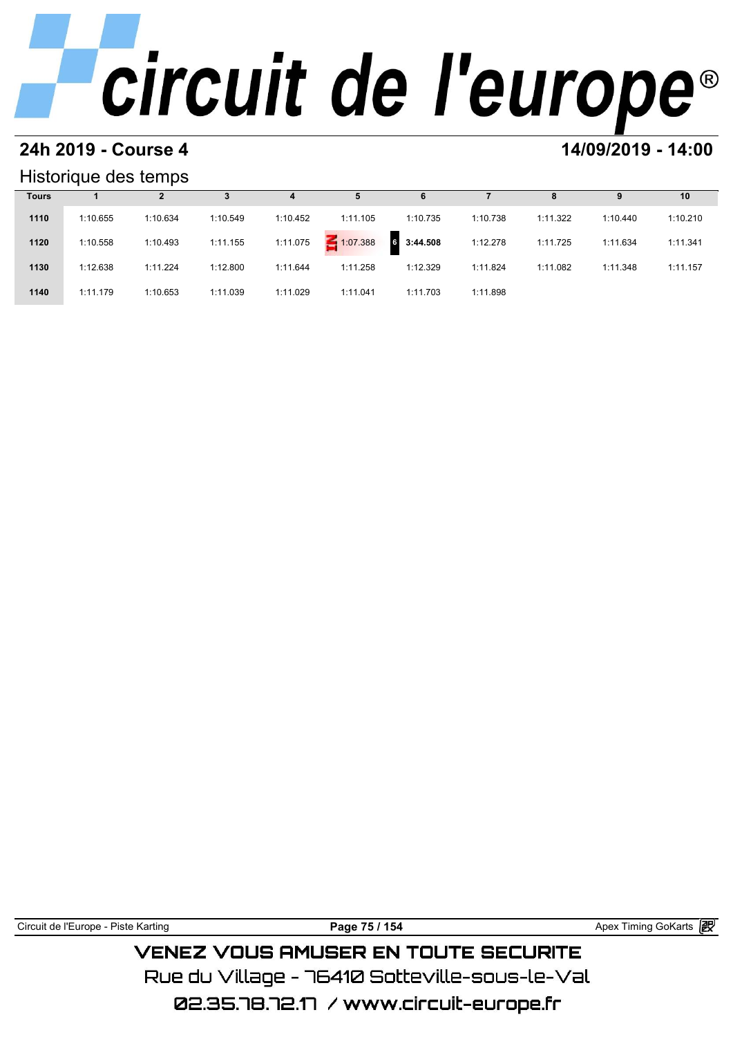### **24h 2019 - Course 4 14/09/2019 - 14:00**

### Historique des temps

|              | Historique des temps |          |          |          |             |                      |          |          |          |          |
|--------------|----------------------|----------|----------|----------|-------------|----------------------|----------|----------|----------|----------|
| <b>Tours</b> |                      |          |          | 4        | 5           | 6                    |          | 8        | 9        | 10       |
| 1110         | 1:10.655             | 1:10.634 | 1:10.549 | 1:10.452 | 1:11.105    | 1:10.735             | 1:10.738 | 1:11.322 | 1:10.440 | 1:10.210 |
| 1120         | 1:10.558             | 1:10.493 | 1:11.155 | 1:11.075 | $-1:07.388$ | 3:44.508<br><b>G</b> | 1:12.278 | 1:11.725 | 1:11.634 | 1:11.341 |
| 1130         | 1:12.638             | 1:11.224 | 1:12.800 | 1:11.644 | 1:11.258    | 1:12.329             | 1:11.824 | 1:11.082 | 1:11.348 | 1:11.157 |
| 1140         | 1:11.179             | 1:10.653 | 1:11.039 | 1:11.029 | 1:11.041    | 1:11.703             | 1:11.898 |          |          |          |

Circuit de l'Europe - Piste Karting **Page 75 / 154 Page 75 / 154** Apex Timing GoKarts **in VENEZ VOUS AMUSER EN TOUTE SECURITE** 

Rue du Village – 76410 Sotteville-sous-le-Val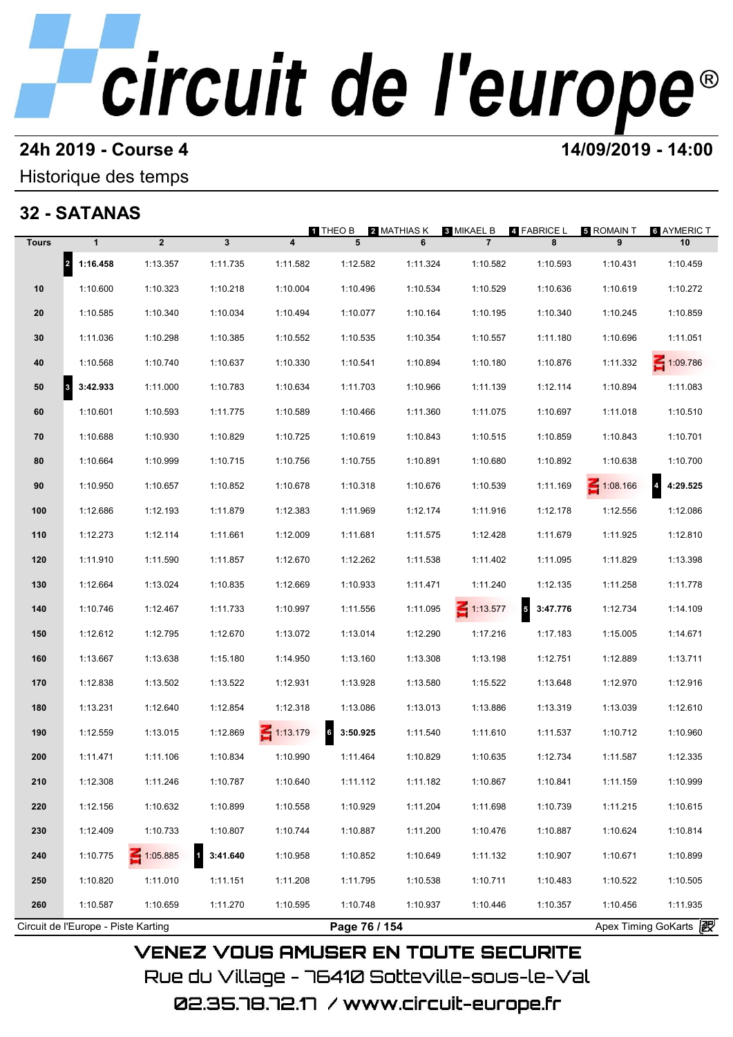### **24h 2019 - Course 4 14/09/2019 - 14:00**

## Historique des temps

## **32 - SATANAS**

|              |                                     |                 |          |                         | <b>1 THEO B</b> | 2 MATHIAS K   | <b>3 MIKAEL B</b> | 4 FABRICE L   | 5 ROMAIN T            | <b>6 AYMERIC T</b>                  |
|--------------|-------------------------------------|-----------------|----------|-------------------------|-----------------|---------------|-------------------|---------------|-----------------------|-------------------------------------|
| <b>Tours</b> | $\mathbf{1}$                        | $\overline{2}$  | 3        | $\overline{\mathbf{4}}$ | 5               | 6             | $\overline{7}$    | 8             | 9                     | 10                                  |
|              | 2 1:16.458                          | 1:13.357        | 1:11.735 | 1:11.582                | 1:12.582        | 1:11.324      | 1:10.582          | 1:10.593      | 1:10.431              | 1:10.459                            |
| 10           | 1:10.600                            | 1:10.323        | 1:10.218 | 1:10.004                | 1:10.496        | 1:10.534      | 1:10.529          | 1:10.636      | 1:10.619              | 1:10.272                            |
| 20           | 1:10.585                            | 1:10.340        | 1:10.034 | 1:10.494                | 1:10.077        | 1:10.164      | 1:10.195          | 1:10.340      | 1:10.245              | 1:10.859                            |
| 30           | 1:11.036                            | 1:10.298        | 1:10.385 | 1:10.552                | 1:10.535        | 1:10.354      | 1:10.557          | 1:11.180      | 1:10.696              | 1:11.051                            |
| 40           | 1:10.568                            | 1:10.740        | 1:10.637 | 1:10.330                | 1:10.541        | 1:10.894      | 1:10.180          | 1:10.876      | 1:11.332              | 1:09.786                            |
| 50<br>3      | 3:42.933                            | 1:11.000        | 1:10.783 | 1:10.634                | 1:11.703        | 1:10.966      | 1:11.139          | 1:12.114      | 1:10.894              | 1:11.083                            |
| 60           | 1:10.601                            | 1:10.593        | 1:11.775 | 1:10.589                | 1:10.466        | 1:11.360      | 1:11.075          | 1:10.697      | 1:11.018              | 1:10.510                            |
| 70           | 1:10.688                            | 1:10.930        | 1:10.829 | 1:10.725                | 1:10.619        | 1:10.843      | 1:10.515          | 1:10.859      | 1:10.843              | 1:10.701                            |
| 80           | 1:10.664                            | 1:10.999        | 1:10.715 | 1:10.756                | 1:10.755        | 1:10.891      | 1:10.680          | 1:10.892      | 1:10.638              | 1:10.700                            |
| 90           | 1:10.950                            | 1:10.657        | 1:10.852 | 1:10.678                | 1:10.318        | 1:10.676      | 1:10.539          | 1:11.169      | $\leq 1:08.166$       | $\overline{\mathbf{4}}$<br>4:29.525 |
| 100          | 1:12.686                            | 1:12.193        | 1:11.879 | 1:12.383                | 1:11.969        | 1:12.174      | 1:11.916          | 1:12.178      | 1:12.556              | 1:12.086                            |
| 110          | 1:12.273                            | 1:12.114        | 1:11.661 | 1:12.009                | 1:11.681        | 1:11.575      | 1:12.428          | 1:11.679      | 1:11.925              | 1:12.810                            |
| 120          | 1:11.910                            | 1:11.590        | 1:11.857 | 1:12.670                | 1:12.262        | 1:11.538      | 1:11.402          | 1:11.095      | 1:11.829              | 1:13.398                            |
| 130          | 1:12.664                            | 1:13.024        | 1:10.835 | 1:12.669                | 1:10.933        | 1:11.471      | 1:11.240          | 1:12.135      | 1:11.258              | 1:11.778                            |
| 140          | 1:10.746                            | 1:12.467        | 1:11.733 | 1:10.997                | 1:11.556        | 1:11.095      | $\leq 1:13.577$   | 5<br>3:47.776 | 1:12.734              | 1:14.109                            |
| 150          | 1:12.612                            | 1:12.795        | 1:12.670 | 1:13.072                | 1:13.014        | 1:12.290      | 1:17.216          | 1:17.183      | 1:15.005              | 1:14.671                            |
| 160          | 1:13.667                            | 1:13.638        | 1:15.180 | 1:14.950                | 1:13.160        | 1:13.308      | 1:13.198          | 1:12.751      | 1:12.889              | 1:13.711                            |
| 170          | 1:12.838                            | 1:13.502        | 1:13.522 | 1:12.931                | 1:13.928        | 1:13.580      | 1:15.522          | 1:13.648      | 1:12.970              | 1:12.916                            |
| 180          | 1:13.231                            | 1:12.640        | 1:12.854 | 1:12.318                | 1:13.086        | 1:13.013      | 1:13.886          | 1:13.319      | 1:13.039              | 1:12.610                            |
| 190          | 1:12.559                            | 1:13.015        | 1:12.869 | $\leq 1:13.179$         | 3:50.925<br>6   | 1:11.540      | 1:11.610          | 1:11.537      | 1:10.712              | 1:10.960                            |
| 200          | 1:11.471                            | 1:11.106        | 1:10.834 | 1:10.990                | 1:11.464        | 1:10.829      | 1:10.635          | 1:12.734      | 1:11.587              | 1:12.335                            |
| 210          | 1:12.308                            | 1:11.246        | 1:10.787 | 1:10.640                | 1:11.112        | 1:11.182      | 1:10.867          | 1:10.841      | 1:11.159              | 1:10.999                            |
| 220          | 1:12.156                            | 1:10.632        | 1:10.899 | 1:10.558                | 1:10.929        | 1:11.204      | 1:11.698          | 1:10.739      | 1:11.215              | 1:10.615                            |
| 230          | 1:12.409                            | 1:10.733        | 1:10.807 | 1:10.744                | 1:10.887        | 1:11.200      | 1:10.476          | 1:10.887      | 1:10.624              | 1:10.814                            |
| 240          | 1:10.775                            | $\leq 1:05.885$ | 3:41.640 | 1:10.958                | 1:10.852        | 1:10.649      | 1:11.132          | 1:10.907      | 1:10.671              | 1:10.899                            |
| 250          | 1:10.820                            | 1:11.010        | 1:11.151 | 1:11.208                | 1:11.795        | 1:10.538      | 1:10.711          | 1:10.483      | 1:10.522              | 1:10.505                            |
| 260          | 1:10.587                            | 1:10.659        | 1:11.270 | 1:10.595                | 1:10.748        | 1:10.937      | 1:10.446          | 1:10.357      | 1:10.456              | 1:11.935                            |
|              | Circuit de l'Europe - Piste Karting |                 |          |                         |                 | Page 76 / 154 |                   |               | Apex Timing GoKarts 2 |                                     |

02.35.78.72.17 / www.circuit-europe.fr

Rue du Village – 76410 Sotteville-sous-le-Val

**VENEZ VOUS AMUSER EN TOUTE SECURITE**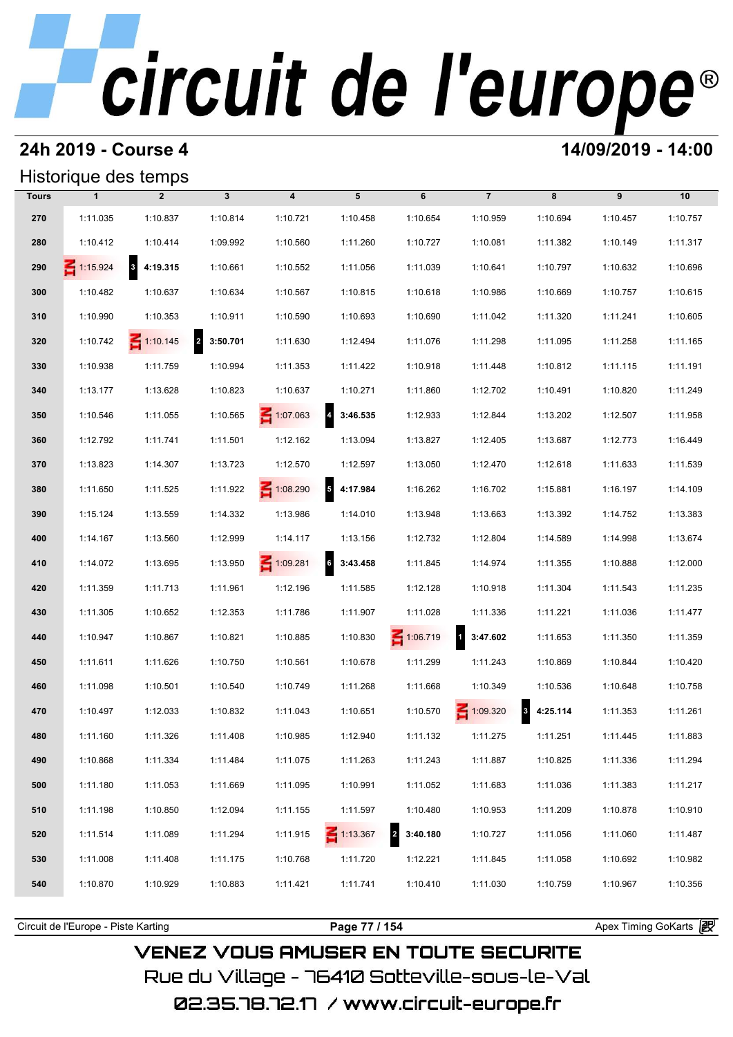## **24h 2019 - Course 4 14/09/2019 - 14:00**

## Historique des temps

|              |                 | Historique des temps                |              |                         |                            |                            |                          |                          |          |          |
|--------------|-----------------|-------------------------------------|--------------|-------------------------|----------------------------|----------------------------|--------------------------|--------------------------|----------|----------|
| <b>Tours</b> | $\mathbf{1}$    | $\overline{2}$                      | $\mathbf{3}$ | $\overline{\mathbf{4}}$ | 5                          | 6                          | $\overline{7}$           | 8                        | 9        | 10       |
| 270          | 1:11.035        | 1:10.837                            | 1:10.814     | 1:10.721                | 1:10.458                   | 1:10.654                   | 1:10.959                 | 1:10.694                 | 1:10.457 | 1:10.757 |
| 280          | 1:10.412        | 1:10.414                            | 1:09.992     | 1:10.560                | 1:11.260                   | 1:10.727                   | 1:10.081                 | 1:11.382                 | 1:10.149 | 1:11.317 |
| 290          | $\leq 1:15.924$ | $\overline{\mathbf{3}}$<br>4:19.315 | 1:10.661     | 1:10.552                | 1:11.056                   | 1:11.039                   | 1:10.641                 | 1:10.797                 | 1:10.632 | 1:10.696 |
| 300          | 1:10.482        | 1:10.637                            | 1:10.634     | 1:10.567                | 1:10.815                   | 1:10.618                   | 1:10.986                 | 1:10.669                 | 1:10.757 | 1:10.615 |
| 310          | 1:10.990        | 1:10.353                            | 1:10.911     | 1:10.590                | 1:10.693                   | 1:10.690                   | 1:11.042                 | 1:11.320                 | 1:11.241 | 1:10.605 |
| 320          | 1:10.742        | $\leq 1:10.145$                     | 2 3:50.701   | 1:11.630                | 1:12.494                   | 1:11.076                   | 1:11.298                 | 1:11.095                 | 1:11.258 | 1:11.165 |
| 330          | 1:10.938        | 1:11.759                            | 1:10.994     | 1:11.353                | 1:11.422                   | 1:10.918                   | 1:11.448                 | 1:10.812                 | 1:11.115 | 1:11.191 |
| 340          | 1:13.177        | 1:13.628                            | 1:10.823     | 1:10.637                | 1:10.271                   | 1:11.860                   | 1:12.702                 | 1:10.491                 | 1:10.820 | 1:11.249 |
| 350          | 1:10.546        | 1:11.055                            | 1:10.565     | $\leq 1:07.063$         | 3:46.535<br>$\overline{4}$ | 1:12.933                   | 1:12.844                 | 1:13.202                 | 1:12.507 | 1:11.958 |
| 360          | 1:12.792        | 1:11.741                            | 1:11.501     | 1:12.162                | 1:13.094                   | 1:13.827                   | 1:12.405                 | 1:13.687                 | 1:12.773 | 1:16.449 |
| 370          | 1:13.823        | 1:14.307                            | 1:13.723     | 1:12.570                | 1:12.597                   | 1:13.050                   | 1:12.470                 | 1:12.618                 | 1:11.633 | 1:11.539 |
| 380          | 1:11.650        | 1:11.525                            | 1:11.922     | $\leq 1:08.290$         | $\overline{5}$<br>4:17.984 | 1:16.262                   | 1:16.702                 | 1:15.881                 | 1:16.197 | 1:14.109 |
| 390          | 1:15.124        | 1:13.559                            | 1:14.332     | 1:13.986                | 1:14.010                   | 1:13.948                   | 1:13.663                 | 1:13.392                 | 1:14.752 | 1:13.383 |
| 400          | 1:14.167        | 1:13.560                            | 1:12.999     | 1:14.117                | 1:13.156                   | 1:12.732                   | 1:12.804                 | 1:14.589                 | 1:14.998 | 1:13.674 |
| 410          | 1:14.072        | 1:13.695                            | 1:13.950     | $\leq 1:09.281$         | 6<br>3:43.458              | 1:11.845                   | 1:14.974                 | 1:11.355                 | 1:10.888 | 1:12.000 |
| 420          | 1:11.359        | 1:11.713                            | 1:11.961     | 1:12.196                | 1:11.585                   | 1:12.128                   | 1:10.918                 | 1:11.304                 | 1:11.543 | 1:11.235 |
| 430          | 1:11.305        | 1:10.652                            | 1:12.353     | 1:11.786                | 1:11.907                   | 1:11.028                   | 1:11.336                 | 1:11.221                 | 1:11.036 | 1:11.477 |
| 440          | 1:10.947        | 1:10.867                            | 1:10.821     | 1:10.885                | 1:10.830                   | 1:06.719                   | $\mathbf{1}$<br>3:47.602 | 1:11.653                 | 1:11.350 | 1:11.359 |
| 450          | 1:11.611        | 1:11.626                            | 1:10.750     | 1:10.561                | 1:10.678                   | 1:11.299                   | 1:11.243                 | 1:10.869                 | 1:10.844 | 1:10.420 |
| 460          | 1:11.098        | 1:10.501                            | 1:10.540     | 1:10.749                | 1:11.268                   | 1:11.668                   | 1:10.349                 | 1:10.536                 | 1:10.648 | 1:10.758 |
| 470          | 1:10.497        | 1:12.033                            | 1:10.832     | 1:11.043                | 1:10.651                   | 1:10.570                   | 1:09.320                 | $\mathbf{3}$<br>4:25.114 | 1:11.353 | 1:11.261 |
| 480          | 1:11.160        | 1:11.326                            | 1:11.408     | 1:10.985                | 1:12.940                   | 1:11.132                   | 1:11.275                 | 1:11.251                 | 1:11.445 | 1:11.883 |
| 490          | 1:10.868        | 1:11.334                            | 1:11.484     | 1:11.075                | 1:11.263                   | 1:11.243                   | 1:11.887                 | 1:10.825                 | 1:11.336 | 1:11.294 |
| 500          | 1:11.180        | 1:11.053                            | 1:11.669     | 1:11.095                | 1:10.991                   | 1:11.052                   | 1:11.683                 | 1:11.036                 | 1:11.383 | 1:11.217 |
| 510          | 1:11.198        | 1:10.850                            | 1:12.094     | 1:11.155                | 1:11.597                   | 1:10.480                   | 1:10.953                 | 1:11.209                 | 1:10.878 | 1:10.910 |
| 520          | 1:11.514        | 1:11.089                            | 1:11.294     | 1:11.915                | $\leq 1:13.367$            | $\overline{2}$<br>3:40.180 | 1:10.727                 | 1:11.056                 | 1:11.060 | 1:11.487 |
| 530          | 1:11.008        | 1:11.408                            | 1:11.175     | 1:10.768                | 1:11.720                   | 1:12.221                   | 1:11.845                 | 1:11.058                 | 1:10.692 | 1:10.982 |
| 540          | 1:10.870        | 1:10.929                            | 1:10.883     | 1:11.421                | 1:11.741                   | 1:10.410                   | 1:11.030                 | 1:10.759                 | 1:10.967 | 1:10.356 |
|              |                 |                                     |              |                         |                            |                            |                          |                          |          |          |

Circuit de l'Europe - Piste Karting **Page 77 / 154 Page 77 / 154** Apex Timing GoKarts and Apex Timing Apex Timing Go

**VENEZ VOUS AMUSER EN TOUTE SECURITE** Rue du Village – 76410 Sotteville-sous-le-Val 02.35.78.72.17 /www.circuit-europe.fr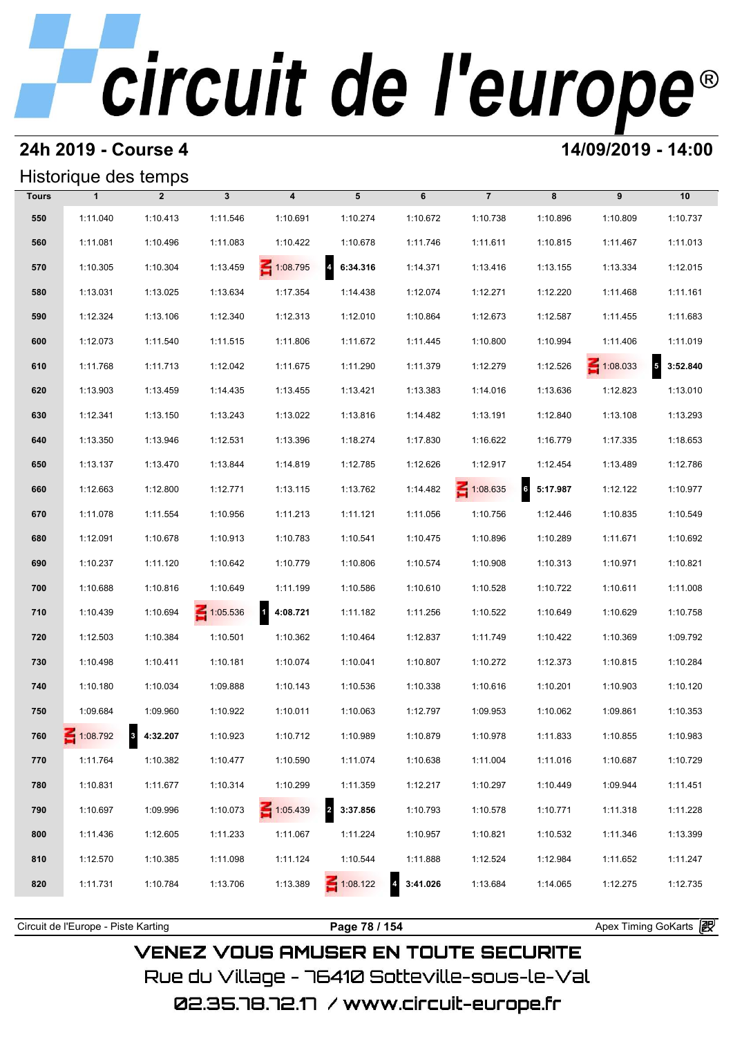### **24h 2019 - Course 4 14/09/2019 - 14:00**

### Historique des temps

|              | Historique des temps |                |                 |                                     |                            |          |                 |                             |                 |                   |
|--------------|----------------------|----------------|-----------------|-------------------------------------|----------------------------|----------|-----------------|-----------------------------|-----------------|-------------------|
| <b>Tours</b> | $\mathbf{1}$         | $\overline{2}$ | $\mathbf{3}$    | $\overline{\mathbf{4}}$             | 5                          | 6        | $\overline{7}$  | 8                           | 9               | 10                |
| 550          | 1:11.040             | 1:10.413       | 1:11.546        | 1:10.691                            | 1:10.274                   | 1:10.672 | 1:10.738        | 1:10.896                    | 1:10.809        | 1:10.737          |
| 560          | 1:11.081             | 1:10.496       | 1:11.083        | 1:10.422                            | 1:10.678                   | 1:11.746 | 1:11.611        | 1:10.815                    | 1:11.467        | 1:11.013          |
| 570          | 1:10.305             | 1:10.304       | 1:13.459        | 1:08.795                            | $\overline{4}$<br>6:34.316 | 1:14.371 | 1:13.416        | 1:13.155                    | 1:13.334        | 1:12.015          |
| 580          | 1:13.031             | 1:13.025       | 1:13.634        | 1:17.354                            | 1:14.438                   | 1:12.074 | 1:12.271        | 1:12.220                    | 1:11.468        | 1:11.161          |
| 590          | 1:12.324             | 1:13.106       | 1:12.340        | 1:12.313                            | 1:12.010                   | 1:10.864 | 1:12.673        | 1:12.587                    | 1:11.455        | 1:11.683          |
| 600          | 1:12.073             | 1:11.540       | 1:11.515        | 1:11.806                            | 1:11.672                   | 1:11.445 | 1:10.800        | 1:10.994                    | 1:11.406        | 1:11.019          |
| 610          | 1:11.768             | 1:11.713       | 1:12.042        | 1:11.675                            | 1:11.290                   | 1:11.379 | 1:12.279        | 1:12.526                    | $\leq 1:08.033$ | $5\quad 3:52.840$ |
| 620          | 1:13.903             | 1:13.459       | 1:14.435        | 1:13.455                            | 1:13.421                   | 1:13.383 | 1:14.016        | 1:13.636                    | 1:12.823        | 1:13.010          |
| 630          | 1:12.341             | 1:13.150       | 1:13.243        | 1:13.022                            | 1:13.816                   | 1:14.482 | 1:13.191        | 1:12.840                    | 1:13.108        | 1:13.293          |
| 640          | 1:13.350             | 1:13.946       | 1:12.531        | 1:13.396                            | 1:18.274                   | 1:17.830 | 1:16.622        | 1:16.779                    | 1:17.335        | 1:18.653          |
| 650          | 1:13.137             | 1:13.470       | 1:13.844        | 1:14.819                            | 1:12.785                   | 1:12.626 | 1:12.917        | 1:12.454                    | 1:13.489        | 1:12.786          |
| 660          | 1:12.663             | 1:12.800       | 1:12.771        | 1:13.115                            | 1:13.762                   | 1:14.482 | $\leq 1:08.635$ | $6\overline{6}$<br>5:17.987 | 1:12.122        | 1:10.977          |
| 670          | 1:11.078             | 1:11.554       | 1:10.956        | 1:11.213                            | 1:11.121                   | 1:11.056 | 1:10.756        | 1:12.446                    | 1:10.835        | 1:10.549          |
| 680          | 1:12.091             | 1:10.678       | 1:10.913        | 1:10.783                            | 1:10.541                   | 1:10.475 | 1:10.896        | 1:10.289                    | 1:11.671        | 1:10.692          |
| 690          | 1:10.237             | 1:11.120       | 1:10.642        | 1:10.779                            | 1:10.806                   | 1:10.574 | 1:10.908        | 1:10.313                    | 1:10.971        | 1:10.821          |
| 700          | 1:10.688             | 1:10.816       | 1:10.649        | 1:11.199                            | 1:10.586                   | 1:10.610 | 1:10.528        | 1:10.722                    | 1:10.611        | 1:11.008          |
| 710          | 1:10.439             | 1:10.694       | $\leq 1:05.536$ | $\overline{\mathbf{1}}$<br>4:08.721 | 1:11.182                   | 1:11.256 | 1:10.522        | 1:10.649                    | 1:10.629        | 1:10.758          |
| 720          | 1:12.503             | 1:10.384       | 1:10.501        | 1:10.362                            | 1:10.464                   | 1:12.837 | 1:11.749        | 1:10.422                    | 1:10.369        | 1:09.792          |
| 730          | 1:10.498             | 1:10.411       | 1:10.181        | 1:10.074                            | 1:10.041                   | 1:10.807 | 1:10.272        | 1:12.373                    | 1:10.815        | 1:10.284          |
| 740          | 1:10.180             | 1:10.034       | 1:09.888        | 1:10.143                            | 1:10.536                   | 1:10.338 | 1:10.616        | 1:10.201                    | 1:10.903        | 1:10.120          |
| 750          | 1:09.684             | 1:09.960       | 1:10.922        | 1:10.011                            | 1:10.063                   | 1:12.797 | 1:09.953        | 1:10.062                    | 1:09.861        | 1:10.353          |
| 760          | $\leq 1:08.792$      | 8 4:32.207     | 1:10.923        | 1:10.712                            | 1:10.989                   | 1:10.879 | 1:10.978        | 1:11.833                    | 1:10.855        | 1:10.983          |
| 770          | 1:11.764             | 1:10.382       | 1:10.477        | 1:10.590                            | 1:11.074                   | 1:10.638 | 1:11.004        | 1:11.016                    | 1:10.687        | 1:10.729          |
| 780          | 1:10.831             | 1:11.677       | 1:10.314        | 1:10.299                            | 1:11.359                   | 1:12.217 | 1:10.297        | 1:10.449                    | 1:09.944        | 1:11.451          |
| 790          | 1:10.697             | 1:09.996       | 1:10.073        | $\leq 1:05.439$                     | 3:37.856                   | 1:10.793 | 1:10.578        | 1:10.771                    | 1:11.318        | 1:11.228          |
| 800          | 1:11.436             | 1:12.605       | 1:11.233        | 1:11.067                            | 1:11.224                   | 1:10.957 | 1:10.821        | 1:10.532                    | 1:11.346        | 1:13.399          |
| 810          | 1:12.570             | 1:10.385       | 1:11.098        | 1:11.124                            | 1:10.544                   | 1:11.888 | 1:12.524        | 1:12.984                    | 1:11.652        | 1:11.247          |
| 820          | 1:11.731             | 1:10.784       | 1:13.706        | 1:13.389                            | $\leq 1:08.122$            | 3:41.026 | 1:13.684        | 1:14.065                    | 1:12.275        | 1:12.735          |
|              |                      |                |                 |                                     |                            |          |                 |                             |                 |                   |

**VENEZ VOUS AMUSER EN TOUTE SECURITE** Rue du Village – 76410 Sotteville-sous-le-Val 02.35.78.72.17 /www.circuit-europe.fr

Circuit de l'Europe - Piste Karting **Page 78 / 154 Page 78 / 154** Apex Timing GoKarts **in**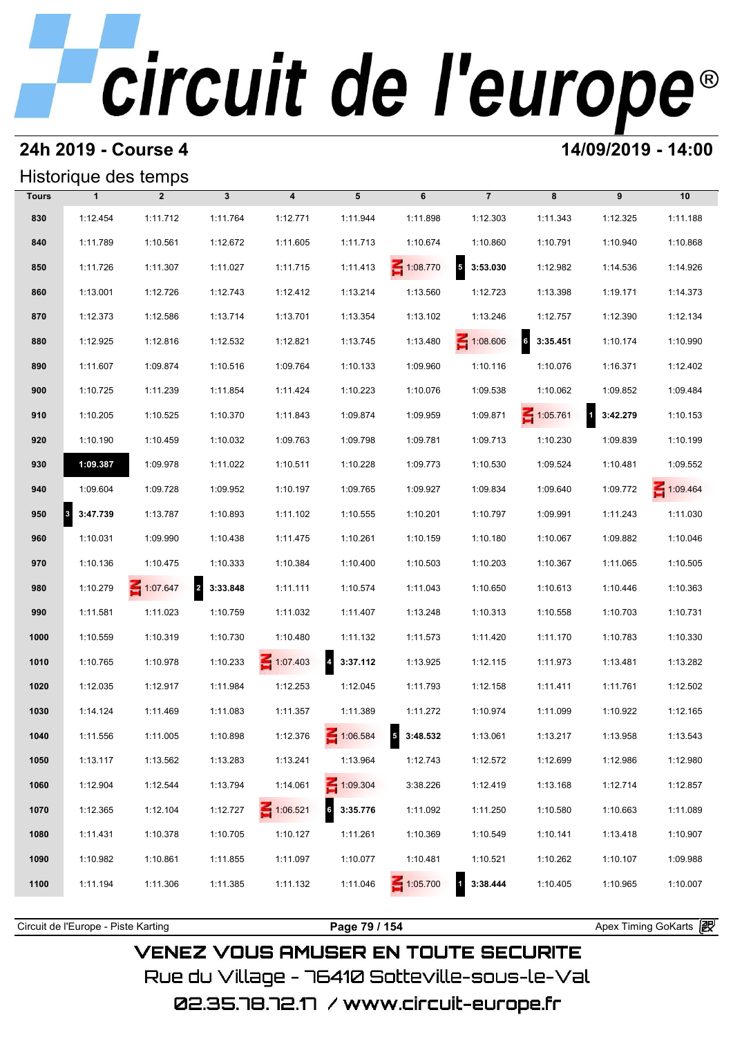### **24h 2019 - Course 4 14/09/2019 - 14:00**

### Historique des temps

|              |              | Historique des temps |              |                         |                   |                   |                            |                             |                            |                 |
|--------------|--------------|----------------------|--------------|-------------------------|-------------------|-------------------|----------------------------|-----------------------------|----------------------------|-----------------|
| <b>Tours</b> | $\mathbf{1}$ | $\overline{2}$       | $\mathbf{3}$ | $\overline{\mathbf{4}}$ | 5                 | 6                 | $\overline{7}$             | 8                           | 9                          | 10              |
| 830          | 1:12.454     | 1:11.712             | 1:11.764     | 1:12.771                | 1:11.944          | 1:11.898          | 1:12.303                   | 1:11.343                    | 1:12.325                   | 1:11.188        |
| 840          | 1:11.789     | 1:10.561             | 1:12.672     | 1:11.605                | 1:11.713          | 1:10.674          | 1:10.860                   | 1:10.791                    | 1:10.940                   | 1:10.868        |
| 850          | 1:11.726     | 1:11.307             | 1:11.027     | 1:11.715                | 1:11.413          | $\leq 1:08.770$   | $5\phantom{a}$<br>3:53.030 | 1:12.982                    | 1:14.536                   | 1:14.926        |
| 860          | 1:13.001     | 1:12.726             | 1:12.743     | 1:12.412                | 1:13.214          | 1:13.560          | 1:12.723                   | 1:13.398                    | 1:19.171                   | 1:14.373        |
| 870          | 1:12.373     | 1:12.586             | 1:13.714     | 1:13.701                | 1:13.354          | 1:13.102          | 1:13.246                   | 1:12.757                    | 1:12.390                   | 1:12.134        |
| 880          | 1:12.925     | 1:12.816             | 1:12.532     | 1:12.821                | 1:13.745          | 1:13.480          | 1:08.606                   | $6\overline{6}$<br>3:35.451 | 1:10.174                   | 1:10.990        |
| 890          | 1:11.607     | 1:09.874             | 1:10.516     | 1:09.764                | 1:10.133          | 1:09.960          | 1:10.116                   | 1:10.076                    | 1:16.371                   | 1:12.402        |
| 900          | 1:10.725     | 1:11.239             | 1:11.854     | 1:11.424                | 1:10.223          | 1:10.076          | 1:09.538                   | 1:10.062                    | 1:09.852                   | 1:09.484        |
| 910          | 1:10.205     | 1:10.525             | 1:10.370     | 1:11.843                | 1:09.874          | 1:09.959          | 1:09.871                   | $\leq 1:05.761$             | $\overline{1}$<br>3:42.279 | 1:10.153        |
| 920          | 1:10.190     | 1:10.459             | 1:10.032     | 1:09.763                | 1:09.798          | 1:09.781          | 1:09.713                   | 1:10.230                    | 1:09.839                   | 1:10.199        |
| 930          | 1:09.387     | 1:09.978             | 1:11.022     | 1:10.511                | 1:10.228          | 1:09.773          | 1:10.530                   | 1:09.524                    | 1:10.481                   | 1:09.552        |
| 940          | 1:09.604     | 1:09.728             | 1:09.952     | 1:10.197                | 1:09.765          | 1:09.927          | 1:09.834                   | 1:09.640                    | 1:09.772                   | $\leq 1:09.464$ |
| 950          | 8 3:47.739   | 1:13.787             | 1:10.893     | 1:11.102                | 1:10.555          | 1:10.201          | 1:10.797                   | 1:09.991                    | 1:11.243                   | 1:11.030        |
| 960          | 1:10.031     | 1:09.990             | 1:10.438     | 1:11.475                | 1:10.261          | 1:10.159          | 1:10.180                   | 1:10.067                    | 1:09.882                   | 1:10.046        |
| 970          | 1:10.136     | 1:10.475             | 1:10.333     | 1:10.384                | 1:10.400          | 1:10.503          | 1:10.203                   | 1:10.367                    | 1:11.065                   | 1:10.505        |
| 980          | 1:10.279     | $\leq 1:07.647$      | 2 3:33.848   | 1:11.111                | 1:10.574          | 1:11.043          | 1:10.650                   | 1:10.613                    | 1:10.446                   | 1:10.363        |
| 990          | 1:11.581     | 1:11.023             | 1:10.759     | 1:11.032                | 1:11.407          | 1:13.248          | 1:10.313                   | 1:10.558                    | 1:10.703                   | 1:10.731        |
| 1000         | 1:10.559     | 1:10.319             | 1:10.730     | 1:10.480                | 1:11.132          | 1:11.573          | 1:11.420                   | 1:11.170                    | 1:10.783                   | 1:10.330        |
| 1010         | 1:10.765     | 1:10.978             | 1:10.233     | $\leq 1:07.403$         | $4\quad 3:37.112$ | 1:13.925          | 1:12.115                   | 1:11.973                    | 1:13.481                   | 1:13.282        |
| 1020         | 1:12.035     | 1:12.917             | 1:11.984     | 1:12.253                | 1:12.045          | 1:11.793          | 1:12.158                   | 1:11.411                    | 1:11.761                   | 1:12.502        |
| 1030         | 1:14.124     | 1:11.469             | 1:11.083     | 1:11.357                | 1:11.389          | 1:11.272          | 1:10.974                   | 1:11.099                    | 1:10.922                   | 1:12.165        |
| 1040         | 1:11.556     | 1:11.005             | 1:10.898     | 1:12.376                | 1:06.584          | $5\quad 3:48.532$ | 1:13.061                   | 1:13.217                    | 1:13.958                   | 1:13.543        |
| 1050         | 1:13.117     | 1:13.562             | 1:13.283     | 1:13.241                | 1:13.964          | 1:12.743          | 1:12.572                   | 1:12.699                    | 1:12.986                   | 1:12.980        |
| 1060         | 1:12.904     | 1:12.544             | 1:13.794     | 1:14.061                | 1:09.304          | 3:38.226          | 1:12.419                   | 1:13.168                    | 1:12.714                   | 1:12.857        |
| 1070         | 1:12.365     | 1:12.104             | 1:12.727     | $\leq 1:06.521$         | 3:35.776          | 1:11.092          | 1:11.250                   | 1:10.580                    | 1:10.663                   | 1:11.089        |
| 1080         | 1:11.431     | 1:10.378             | 1:10.705     | 1:10.127                | 1:11.261          | 1:10.369          | 1:10.549                   | 1:10.141                    | 1:13.418                   | 1:10.907        |
| 1090         | 1:10.982     | 1:10.861             | 1:11.855     | 1:11.097                | 1:10.077          | 1:10.481          | 1:10.521                   | 1:10.262                    | 1:10.107                   | 1:09.988        |
| 1100         | 1:11.194     | 1:11.306             | 1:11.385     | 1:11.132                | 1:11.046          | 1:05.700          | 1 3:38.444                 | 1:10.405                    | 1:10.965                   | 1:10.007        |
|              |              |                      |              |                         |                   |                   |                            |                             |                            |                 |

**VENEZ VOUS AMUSER EN TOUTE SECURITE** Rue du Village – 76410 Sotteville-sous-le-Val

02.35.78.72.17 / www.circuit-europe.fr

Circuit de l'Europe - Piste Karting **Page 79 / 154 Page 79 / 154** Apex Timing GoKarts **in Apex**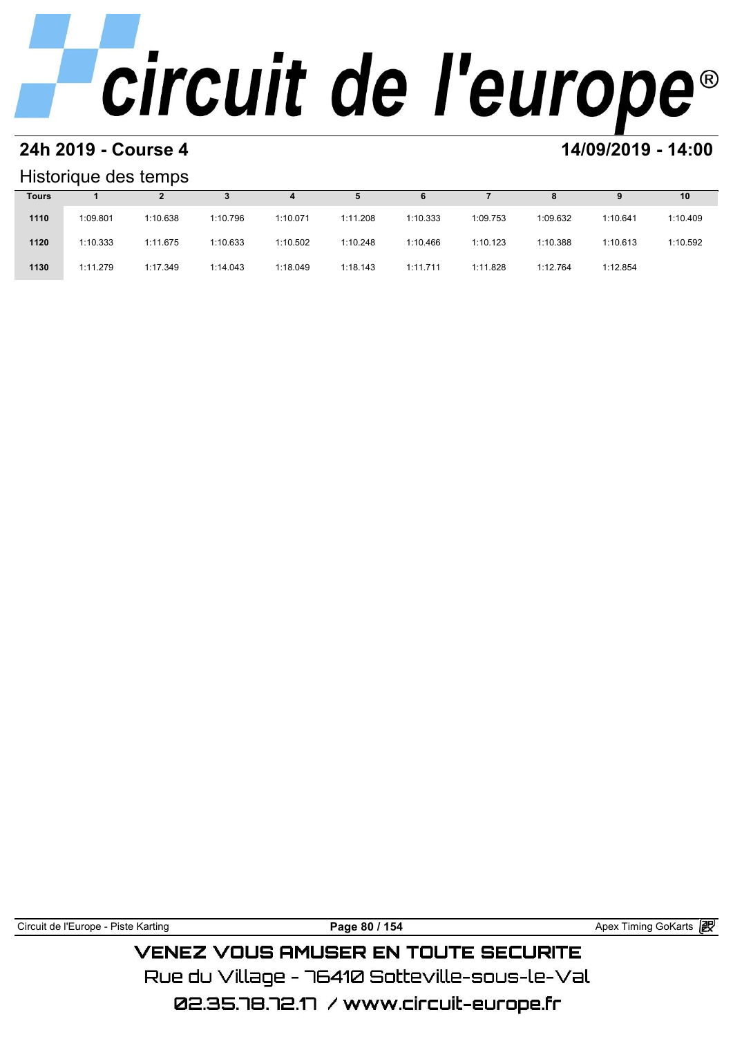### **24h 2019 - Course 4 14/09/2019 - 14:00**

## Historique des temps

|              | Historique des temps |          |          |          |          |          |          |          |          |          |
|--------------|----------------------|----------|----------|----------|----------|----------|----------|----------|----------|----------|
| <b>Tours</b> |                      |          |          | 4        | 5        | 6        |          | 8        | 9        | 10       |
| 1110         | 1:09.801             | 1:10.638 | 1:10.796 | 1:10.071 | 1:11.208 | 1:10.333 | 1:09.753 | 1:09.632 | 1:10.641 | 1:10.409 |
| 1120         | 1:10.333             | 1:11.675 | 1:10.633 | 1:10.502 | 1:10.248 | 1:10.466 | 1:10.123 | 1:10.388 | 1:10.613 | 1:10.592 |
| 1130         | 1:11.279             | 1:17.349 | 1:14.043 | 1:18.049 | 1:18.143 | 1:11.711 | 1:11.828 | 1:12.764 | 1:12.854 |          |

Circuit de l'Europe - Piste Karting **Page 80 / 154 Page 80 / 154** Apex Timing GoKarts **P VENEZ VOUS AMUSER EN TOUTE SECURITE** 

Rue du Village – 76410 Sotteville-sous-le-Val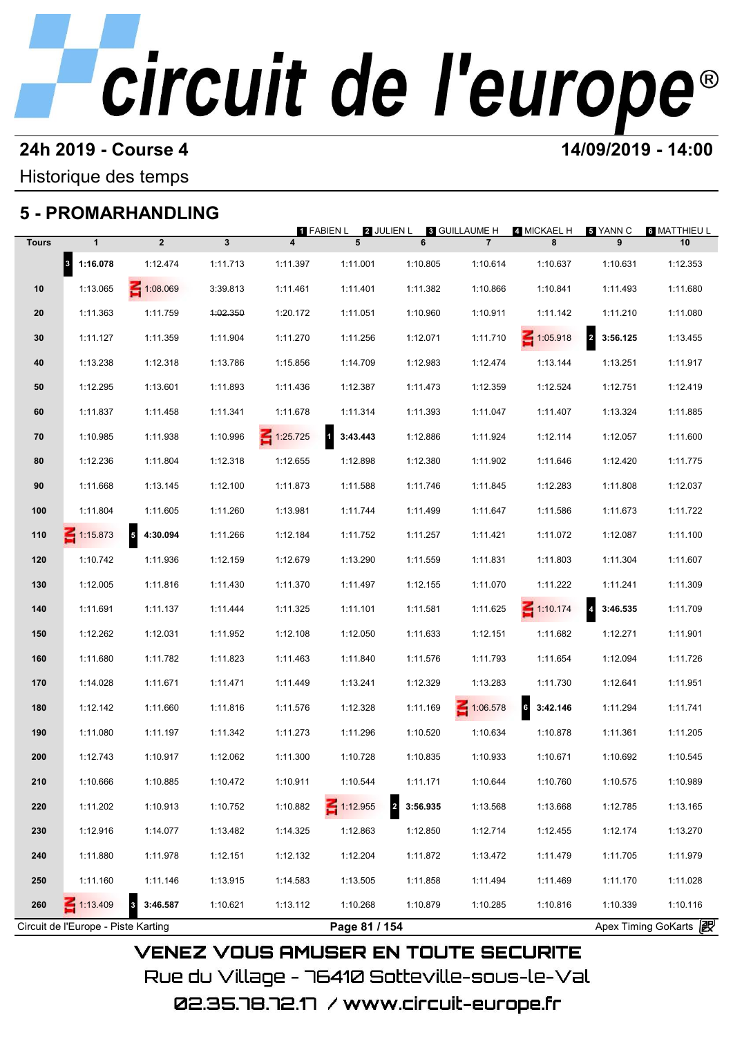## **24h 2019 - Course 4 14/09/2019 - 14:00**

Historique des temps

## **5 - PROMARHANDLING**

|              |              |                                     |          | 1 FABIEN L              | 2 JULIEN L |                            | 8 GUILLAUME H   | 4 MICKAEL H     | 5 YANN C                   | 6 MATTHIEU L |
|--------------|--------------|-------------------------------------|----------|-------------------------|------------|----------------------------|-----------------|-----------------|----------------------------|--------------|
| <b>Tours</b> | $\mathbf{1}$ | $\overline{2}$                      | 3        | $\overline{\mathbf{4}}$ | 5          | 6                          | $\overline{7}$  | 8               | 9                          | 10           |
|              | 8 1:16.078   | 1:12.474                            | 1:11.713 | 1:11.397                | 1:11.001   | 1:10.805                   | 1:10.614        | 1:10.637        | 1:10.631                   | 1:12.353     |
| 10           | 1:13.065     | 1:08.069                            | 3:39.813 | 1:11.461                | 1:11.401   | 1:11.382                   | 1:10.866        | 1:10.841        | 1:11.493                   | 1:11.680     |
| 20           | 1:11.363     | 1:11.759                            | 4:02.350 | 1:20.172                | 1:11.051   | 1:10.960                   | 1:10.911        | 1:11.142        | 1:11.210                   | 1:11.080     |
| 30           | 1:11.127     | 1:11.359                            | 1:11.904 | 1:11.270                | 1:11.256   | 1:12.071                   | 1:11.710        | $\leq 1:05.918$ | $\overline{a}$<br>3:56.125 | 1:13.455     |
| 40           | 1:13.238     | 1:12.318                            | 1:13.786 | 1:15.856                | 1:14.709   | 1:12.983                   | 1:12.474        | 1:13.144        | 1:13.251                   | 1:11.917     |
| 50           | 1:12.295     | 1:13.601                            | 1:11.893 | 1:11.436                | 1:12.387   | 1:11.473                   | 1:12.359        | 1:12.524        | 1:12.751                   | 1:12.419     |
| 60           | 1:11.837     | 1:11.458                            | 1:11.341 | 1:11.678                | 1:11.314   | 1:11.393                   | 1:11.047        | 1:11.407        | 1:13.324                   | 1:11.885     |
| 70           | 1:10.985     | 1:11.938                            | 1:10.996 | $\leq 1:25.725$         | 3:43.443   | 1:12.886                   | 1:11.924        | 1:12.114        | 1:12.057                   | 1:11.600     |
| 80           | 1:12.236     | 1:11.804                            | 1:12.318 | 1:12.655                | 1:12.898   | 1:12.380                   | 1:11.902        | 1:11.646        | 1:12.420                   | 1:11.775     |
| 90           | 1:11.668     | 1:13.145                            | 1:12.100 | 1:11.873                | 1:11.588   | 1:11.746                   | 1:11.845        | 1:12.283        | 1:11.808                   | 1:12.037     |
| 100          | 1:11.804     | 1:11.605                            | 1:11.260 | 1:13.981                | 1:11.744   | 1:11.499                   | 1:11.647        | 1:11.586        | 1:11.673                   | 1:11.722     |
| 110          | $-1:15.873$  | $5\phantom{.0}$<br>4:30.094         | 1:11.266 | 1:12.184                | 1:11.752   | 1:11.257                   | 1:11.421        | 1:11.072        | 1:12.087                   | 1:11.100     |
| 120          | 1:10.742     | 1:11.936                            | 1:12.159 | 1:12.679                | 1:13.290   | 1:11.559                   | 1:11.831        | 1:11.803        | 1:11.304                   | 1:11.607     |
| 130          | 1:12.005     | 1:11.816                            | 1:11.430 | 1:11.370                | 1:11.497   | 1:12.155                   | 1:11.070        | 1:11.222        | 1:11.241                   | 1:11.309     |
| 140          | 1:11.691     | 1:11.137                            | 1:11.444 | 1:11.325                | 1:11.101   | 1:11.581                   | 1:11.625        | $\leq 1:10.174$ | 3:46.535<br>$\overline{4}$ | 1:11.709     |
| 150          | 1:12.262     | 1:12.031                            | 1:11.952 | 1:12.108                | 1:12.050   | 1:11.633                   | 1:12.151        | 1:11.682        | 1:12.271                   | 1:11.901     |
| 160          | 1:11.680     | 1:11.782                            | 1:11.823 | 1:11.463                | 1:11.840   | 1:11.576                   | 1:11.793        | 1:11.654        | 1:12.094                   | 1:11.726     |
| 170          | 1:14.028     | 1:11.671                            | 1:11.471 | 1:11.449                | 1:13.241   | 1:12.329                   | 1:13.283        | 1:11.730        | 1:12.641                   | 1:11.951     |
| 180          | 1:12.142     | 1:11.660                            | 1:11.816 | 1:11.576                | 1:12.328   | 1:11.169                   | $\leq 1:06.578$ | 3:42.146        | 1:11.294                   | 1:11.741     |
| 190          | 1:11.080     | 1:11.197                            | 1:11.342 | 1:11.273                | 1:11.296   | 1:10.520                   | 1:10.634        | 1:10.878        | 1:11.361                   | 1:11.205     |
| 200          | 1:12.743     | 1:10.917                            | 1:12.062 | 1:11.300                | 1:10.728   | 1:10.835                   | 1:10.933        | 1:10.671        | 1:10.692                   | 1:10.545     |
| 210          | 1:10.666     | 1:10.885                            | 1:10.472 | 1:10.911                | 1:10.544   | 1:11.171                   | 1:10.644        | 1:10.760        | 1:10.575                   | 1:10.989     |
| 220          | 1:11.202     | 1:10.913                            | 1:10.752 | 1:10.882                | 1:12.955   | $\overline{a}$<br>3:56.935 | 1:13.568        | 1:13.668        | 1:12.785                   | 1:13.165     |
| 230          | 1:12.916     | 1:14.077                            | 1:13.482 | 1:14.325                | 1:12.863   | 1:12.850                   | 1:12.714        | 1:12.455        | 1:12.174                   | 1:13.270     |
| 240          | 1:11.880     | 1:11.978                            | 1:12.151 | 1:12.132                | 1:12.204   | 1:11.872                   | 1:13.472        | 1:11.479        | 1:11.705                   | 1:11.979     |
| 250          | 1:11.160     | 1:11.146                            | 1:13.915 | 1:14.583                | 1:13.505   | 1:11.858                   | 1:11.494        | 1:11.469        | 1:11.170                   | 1:11.028     |
| 260          | 1:13.409     | $\overline{\mathbf{3}}$<br>3:46.587 | 1:10.621 | 1:13.112                | 1:10.268   | 1:10.879                   | 1:10.285        | 1:10.816        | 1:10.339                   | 1:10.116     |

Rue du Village – 76410 Sotteville-sous-le-Val 02.35.78.72.17 /www.circuit-europe.fr

**VENEZ VOUS AMUSER EN TOUTE SECURITE**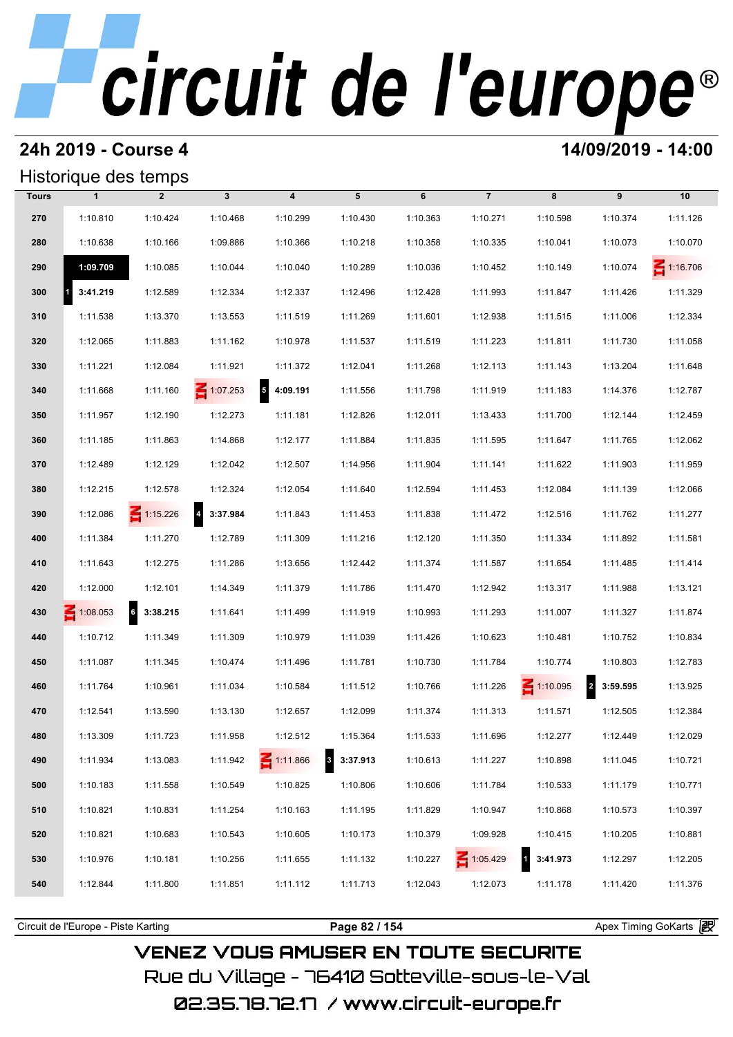## **24h 2019 - Course 4 14/09/2019 - 14:00**

## Historique des temps

|              | Historique des temps |                 |                 |                                      |                          |          |                |                          |                            |                 |
|--------------|----------------------|-----------------|-----------------|--------------------------------------|--------------------------|----------|----------------|--------------------------|----------------------------|-----------------|
| <b>Tours</b> | $\mathbf{1}$         | $\overline{2}$  | $\mathbf{3}$    | $\overline{\mathbf{4}}$              | 5                        | 6        | $\overline{7}$ | 8                        | 9                          | 10              |
| 270          | 1:10.810             | 1:10.424        | 1:10.468        | 1:10.299                             | 1:10.430                 | 1:10.363 | 1:10.271       | 1:10.598                 | 1:10.374                   | 1:11.126        |
| 280          | 1:10.638             | 1:10.166        | 1:09.886        | 1:10.366                             | 1:10.218                 | 1:10.358 | 1:10.335       | 1:10.041                 | 1:10.073                   | 1:10.070        |
| 290          | 1:09.709             | 1:10.085        | 1:10.044        | 1:10.040                             | 1:10.289                 | 1:10.036 | 1:10.452       | 1:10.149                 | 1:10.074                   | $\leq 1:16.706$ |
| 300          | 3:41.219             | 1:12.589        | 1:12.334        | 1:12.337                             | 1:12.496                 | 1:12.428 | 1:11.993       | 1:11.847                 | 1:11.426                   | 1:11.329        |
| 310          | 1:11.538             | 1:13.370        | 1:13.553        | 1:11.519                             | 1:11.269                 | 1:11.601 | 1:12.938       | 1:11.515                 | 1:11.006                   | 1:12.334        |
| 320          | 1:12.065             | 1:11.883        | 1:11.162        | 1:10.978                             | 1:11.537                 | 1:11.519 | 1:11.223       | 1:11.811                 | 1:11.730                   | 1:11.058        |
| 330          | 1:11.221             | 1:12.084        | 1:11.921        | 1:11.372                             | 1:12.041                 | 1:11.268 | 1:12.113       | 1:11.143                 | 1:13.204                   | 1:11.648        |
| 340          | 1:11.668             | 1:11.160        | $\leq 1:07.253$ | $\overline{\phantom{a}}$<br>4:09.191 | 1:11.556                 | 1:11.798 | 1:11.919       | 1:11.183                 | 1:14.376                   | 1:12.787        |
| 350          | 1:11.957             | 1:12.190        | 1:12.273        | 1:11.181                             | 1:12.826                 | 1:12.011 | 1:13.433       | 1:11.700                 | 1:12.144                   | 1:12.459        |
| 360          | 1:11.185             | 1:11.863        | 1:14.868        | 1:12.177                             | 1:11.884                 | 1:11.835 | 1:11.595       | 1:11.647                 | 1:11.765                   | 1:12.062        |
| 370          | 1:12.489             | 1:12.129        | 1:12.042        | 1:12.507                             | 1:14.956                 | 1:11.904 | 1:11.141       | 1:11.622                 | 1:11.903                   | 1:11.959        |
| 380          | 1:12.215             | 1:12.578        | 1:12.324        | 1:12.054                             | 1:11.640                 | 1:12.594 | 1:11.453       | 1:12.084                 | 1:11.139                   | 1:12.066        |
| 390          | 1:12.086             | $\leq 1:15.226$ | 4 3:37.984      | 1:11.843                             | 1:11.453                 | 1:11.838 | 1:11.472       | 1:12.516                 | 1:11.762                   | 1:11.277        |
| 400          | 1:11.384             | 1:11.270        | 1:12.789        | 1:11.309                             | 1:11.216                 | 1:12.120 | 1:11.350       | 1:11.334                 | 1:11.892                   | 1:11.581        |
| 410          | 1:11.643             | 1:12.275        | 1:11.286        | 1:13.656                             | 1:12.442                 | 1:11.374 | 1:11.587       | 1:11.654                 | 1:11.485                   | 1:11.414        |
| 420          | 1:12.000             | 1:12.101        | 1:14.349        | 1:11.379                             | 1:11.786                 | 1:11.470 | 1:12.942       | 1:13.317                 | 1:11.988                   | 1:13.121        |
| 430          | $\leq 1:08.053$      | 6<br>3:38.215   | 1:11.641        | 1:11.499                             | 1:11.919                 | 1:10.993 | 1:11.293       | 1:11.007                 | 1:11.327                   | 1:11.874        |
| 440          | 1:10.712             | 1:11.349        | 1:11.309        | 1:10.979                             | 1:11.039                 | 1:11.426 | 1:10.623       | 1:10.481                 | 1:10.752                   | 1:10.834        |
| 450          | 1:11.087             | 1:11.345        | 1:10.474        | 1:11.496                             | 1:11.781                 | 1:10.730 | 1:11.784       | 1:10.774                 | 1:10.803                   | 1:12.783        |
| 460          | 1:11.764             | 1:10.961        | 1:11.034        | 1:10.584                             | 1:11.512                 | 1:10.766 | 1:11.226       | $\leq 1:10.095$          | $\overline{2}$<br>3:59.595 | 1:13.925        |
| 470          | 1:12.541             | 1:13.590        | 1:13.130        | 1:12.657                             | 1:12.099                 | 1:11.374 | 1:11.313       | 1:11.571                 | 1:12.505                   | 1:12.384        |
| 480          | 1:13.309             | 1:11.723        | 1:11.958        | 1:12.512                             | 1:15.364                 | 1:11.533 | 1:11.696       | 1:12.277                 | 1:12.449                   | 1:12.029        |
| 490          | 1:11.934             | 1:13.083        | 1:11.942        | 1:11.866                             | $\mathbf{3}$<br>3:37.913 | 1:10.613 | 1:11.227       | 1:10.898                 | 1:11.045                   | 1:10.721        |
| 500          | 1:10.183             | 1:11.558        | 1:10.549        | 1:10.825                             | 1:10.806                 | 1:10.606 | 1:11.784       | 1:10.533                 | 1:11.179                   | 1:10.771        |
| 510          | 1:10.821             | 1:10.831        | 1:11.254        | 1:10.163                             | 1:11.195                 | 1:11.829 | 1:10.947       | 1:10.868                 | 1:10.573                   | 1:10.397        |
| 520          | 1:10.821             | 1:10.683        | 1:10.543        | 1:10.605                             | 1:10.173                 | 1:10.379 | 1:09.928       | 1:10.415                 | 1:10.205                   | 1:10.881        |
| 530          | 1:10.976             | 1:10.181        | 1:10.256        | 1:11.655                             | 1:11.132                 | 1:10.227 | 1:05.429       | 3:41.973<br>$\mathbf{1}$ | 1:12.297                   | 1:12.205        |
| 540          | 1:12.844             | 1:11.800        | 1:11.851        | 1:11.112                             | 1:11.713                 | 1:12.043 | 1:12.073       | 1:11.178                 | 1:11.420                   | 1:11.376        |

**VENEZ VOUS AMUSER EN TOUTE SECURITE** Rue du Village – 76410 Sotteville-sous-le-Val

02.35.78.72.17 /www.circuit-europe.fr

Circuit de l'Europe - Piste Karting **Page 82 / 154 Page 82 / 154** Apex Timing GoKarts **in**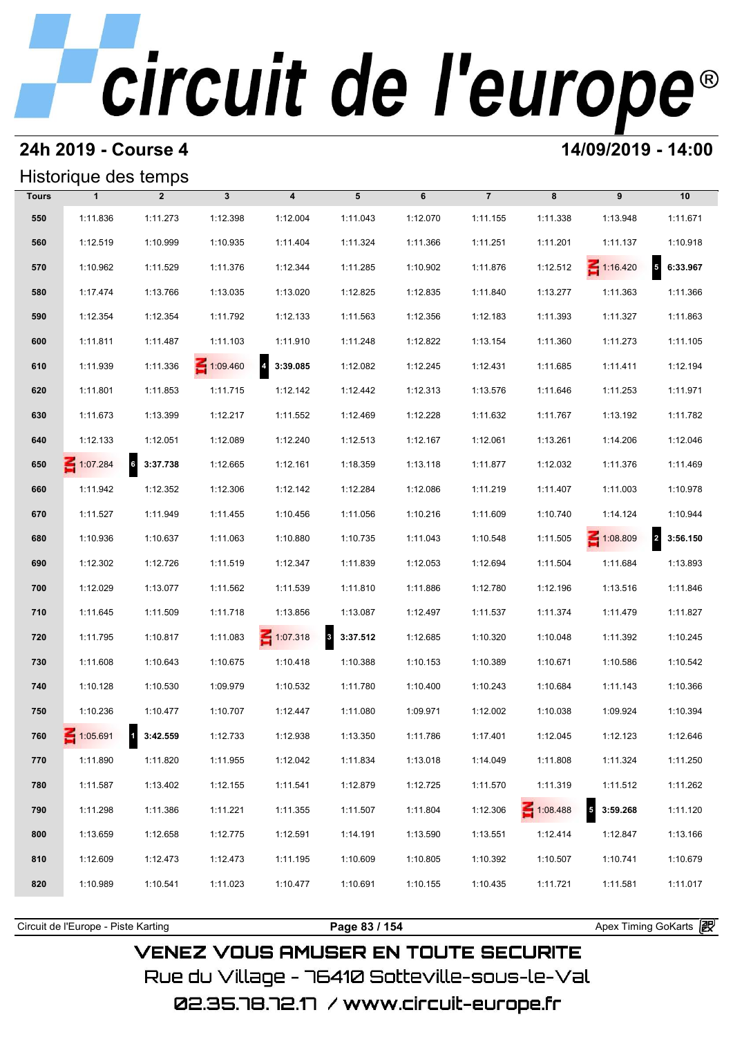## **24h 2019 - Course 4 14/09/2019 - 14:00**

## Historique des temps

|              | Historique des temps |                |              |                   |               |          |                |          |                                      |                            |
|--------------|----------------------|----------------|--------------|-------------------|---------------|----------|----------------|----------|--------------------------------------|----------------------------|
| <b>Tours</b> | $\mathbf{1}$         | $\overline{2}$ | $\mathbf{3}$ | $\boldsymbol{4}$  | 5             | 6        | $\overline{7}$ | 8        | 9                                    | 10                         |
| 550          | 1:11.836             | 1:11.273       | 1:12.398     | 1:12.004          | 1:11.043      | 1:12.070 | 1:11.155       | 1:11.338 | 1:13.948                             | 1:11.671                   |
| 560          | 1:12.519             | 1:10.999       | 1:10.935     | 1:11.404          | 1:11.324      | 1:11.366 | 1:11.251       | 1:11.201 | 1:11.137                             | 1:10.918                   |
| 570          | 1:10.962             | 1:11.529       | 1:11.376     | 1:12.344          | 1:11.285      | 1:10.902 | 1:11.876       | 1:12.512 | $\leq 1:16.420$                      | $\overline{5}$<br>6:33.967 |
| 580          | 1:17.474             | 1:13.766       | 1:13.035     | 1:13.020          | 1:12.825      | 1:12.835 | 1:11.840       | 1:13.277 | 1:11.363                             | 1:11.366                   |
| 590          | 1:12.354             | 1:12.354       | 1:11.792     | 1:12.133          | 1:11.563      | 1:12.356 | 1:12.183       | 1:11.393 | 1:11.327                             | 1:11.863                   |
| 600          | 1:11.811             | 1:11.487       | 1:11.103     | 1:11.910          | 1:11.248      | 1:12.822 | 1:13.154       | 1:11.360 | 1:11.273                             | 1:11.105                   |
| 610          | 1:11.939             | 1:11.336       | 1:09.460     | $4\quad 3:39.085$ | 1:12.082      | 1:12.245 | 1:12.431       | 1:11.685 | 1:11.411                             | 1:12.194                   |
| 620          | 1:11.801             | 1:11.853       | 1:11.715     | 1:12.142          | 1:12.442      | 1:12.313 | 1:13.576       | 1:11.646 | 1:11.253                             | 1:11.971                   |
| 630          | 1:11.673             | 1:13.399       | 1:12.217     | 1:11.552          | 1:12.469      | 1:12.228 | 1:11.632       | 1:11.767 | 1:13.192                             | 1:11.782                   |
| 640          | 1:12.133             | 1:12.051       | 1:12.089     | 1:12.240          | 1:12.513      | 1:12.167 | 1:12.061       | 1:13.261 | 1:14.206                             | 1:12.046                   |
| 650          | $-1:07.284$          | 6<br>3:37.738  | 1:12.665     | 1:12.161          | 1:18.359      | 1:13.118 | 1:11.877       | 1:12.032 | 1:11.376                             | 1:11.469                   |
| 660          | 1:11.942             | 1:12.352       | 1:12.306     | 1:12.142          | 1:12.284      | 1:12.086 | 1:11.219       | 1:11.407 | 1:11.003                             | 1:10.978                   |
| 670          | 1:11.527             | 1:11.949       | 1:11.455     | 1:10.456          | 1:11.056      | 1:10.216 | 1:11.609       | 1:10.740 | 1:14.124                             | 1:10.944                   |
| 680          | 1:10.936             | 1:10.637       | 1:11.063     | 1:10.880          | 1:10.735      | 1:11.043 | 1:10.548       | 1:11.505 | $\leq 1:08.809$                      | $\overline{a}$<br>3:56.150 |
| 690          | 1:12.302             | 1:12.726       | 1:11.519     | 1:12.347          | 1:11.839      | 1:12.053 | 1:12.694       | 1:11.504 | 1:11.684                             | 1:13.893                   |
| 700          | 1:12.029             | 1:13.077       | 1:11.562     | 1:11.539          | 1:11.810      | 1:11.886 | 1:12.780       | 1:12.196 | 1:13.516                             | 1:11.846                   |
| 710          | 1:11.645             | 1:11.509       | 1:11.718     | 1:13.856          | 1:13.087      | 1:12.497 | 1:11.537       | 1:11.374 | 1:11.479                             | 1:11.827                   |
| 720          | 1:11.795             | 1:10.817       | 1:11.083     | $\leq 1:07.318$   | 3<br>3:37.512 | 1:12.685 | 1:10.320       | 1:10.048 | 1:11.392                             | 1:10.245                   |
| 730          | 1:11.608             | 1:10.643       | 1:10.675     | 1:10.418          | 1:10.388      | 1:10.153 | 1:10.389       | 1:10.671 | 1:10.586                             | 1:10.542                   |
| 740          | 1:10.128             | 1:10.530       | 1:09.979     | 1:10.532          | 1:11.780      | 1:10.400 | 1:10.243       | 1:10.684 | 1:11.143                             | 1:10.366                   |
| 750          | 1:10.236             | 1:10.477       | 1:10.707     | 1:12.447          | 1:11.080      | 1:09.971 | 1:12.002       | 1:10.038 | 1:09.924                             | 1:10.394                   |
| 760          | $\leq 1:05.691$      | 1 3:42.559     | 1:12.733     | 1:12.938          | 1:13.350      | 1:11.786 | 1:17.401       | 1:12.045 | 1:12.123                             | 1:12.646                   |
| 770          | 1:11.890             | 1:11.820       | 1:11.955     | 1:12.042          | 1:11.834      | 1:13.018 | 1:14.049       | 1:11.808 | 1:11.324                             | 1:11.250                   |
| 780          | 1:11.587             | 1:13.402       | 1:12.155     | 1:11.541          | 1:12.879      | 1:12.725 | 1:11.570       | 1:11.319 | 1:11.512                             | 1:11.262                   |
| 790          | 1:11.298             | 1:11.386       | 1:11.221     | 1:11.355          | 1:11.507      | 1:11.804 | 1:12.306       | 1:08.488 | $\overline{\phantom{a}}$<br>3:59.268 | 1:11.120                   |
| 800          | 1:13.659             | 1:12.658       | 1:12.775     | 1:12.591          | 1:14.191      | 1:13.590 | 1:13.551       | 1:12.414 | 1:12.847                             | 1:13.166                   |
| 810          | 1:12.609             | 1:12.473       | 1:12.473     | 1:11.195          | 1:10.609      | 1:10.805 | 1:10.392       | 1:10.507 | 1:10.741                             | 1:10.679                   |
| 820          | 1:10.989             | 1:10.541       | 1:11.023     | 1:10.477          | 1:10.691      | 1:10.155 | 1:10.435       | 1:11.721 | 1:11.581                             | 1:11.017                   |
|              |                      |                |              |                   |               |          |                |          |                                      |                            |

## **VENEZ VOUS AMUSER EN TOUTE SECURITE** Rue du Village – 76410 Sotteville-sous-le-Val

02.35.78.72.17 /www.circuit-europe.fr

Circuit de l'Europe - Piste Karting **Page 83 / 154 Page 83 / 154** Apex Timing GoKarts **in Apex**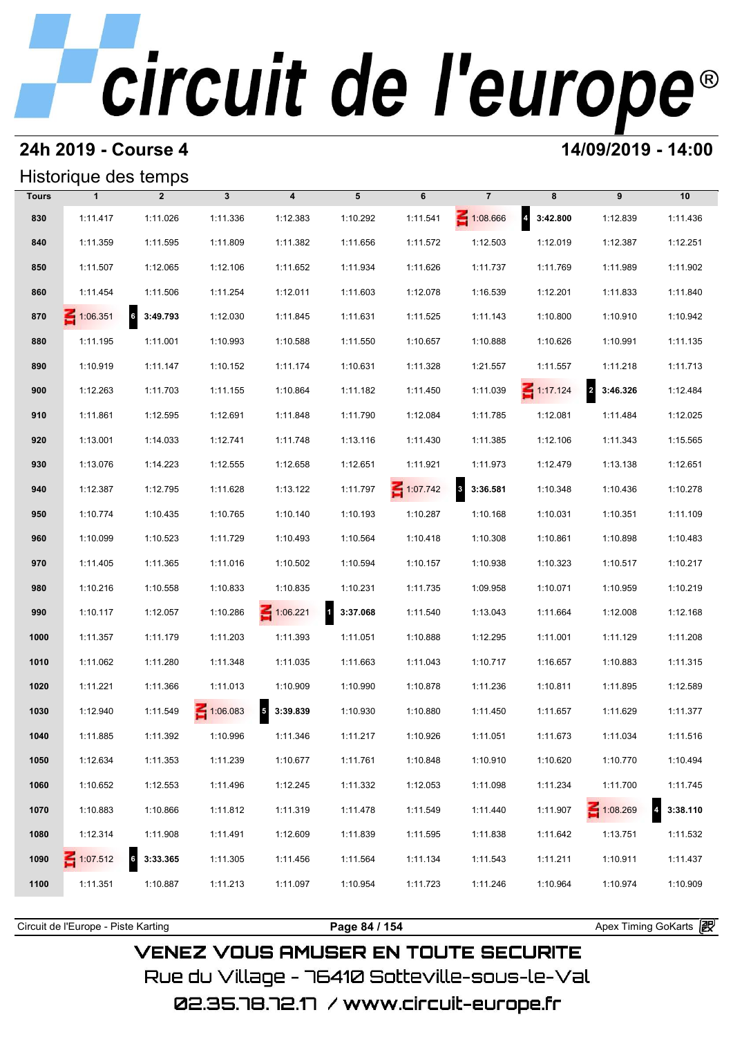## **24h 2019 - Course 4 14/09/2019 - 14:00**

### Historique des temps

|              | Historique des temps |                             |                 |                                     |                          |                 |                       |                   |                                     |          |
|--------------|----------------------|-----------------------------|-----------------|-------------------------------------|--------------------------|-----------------|-----------------------|-------------------|-------------------------------------|----------|
| <b>Tours</b> | $\mathbf{1}$         | $\overline{2}$              | $\mathbf{3}$    | $\boldsymbol{4}$                    | 5                        | 6               | $\overline{7}$        | 8                 | 9                                   | 10       |
| 830          | 1:11.417             | 1:11.026                    | 1:11.336        | 1:12.383                            | 1:10.292                 | 1:11.541        | 1:08.666              | $4\quad 3:42.800$ | 1:12.839                            | 1:11.436 |
| 840          | 1:11.359             | 1:11.595                    | 1:11.809        | 1:11.382                            | 1:11.656                 | 1:11.572        | 1:12.503              | 1:12.019          | 1:12.387                            | 1:12.251 |
| 850          | 1:11.507             | 1:12.065                    | 1:12.106        | 1:11.652                            | 1:11.934                 | 1:11.626        | 1:11.737              | 1:11.769          | 1:11.989                            | 1:11.902 |
| 860          | 1:11.454             | 1:11.506                    | 1:11.254        | 1:12.011                            | 1:11.603                 | 1:12.078        | 1:16.539              | 1:12.201          | 1:11.833                            | 1:11.840 |
| 870          | $\leq 1:06.351$      | $6\overline{6}$<br>3:49.793 | 1:12.030        | 1:11.845                            | 1:11.631                 | 1:11.525        | 1:11.143              | 1:10.800          | 1:10.910                            | 1:10.942 |
| 880          | 1:11.195             | 1:11.001                    | 1:10.993        | 1:10.588                            | 1:11.550                 | 1:10.657        | 1:10.888              | 1:10.626          | 1:10.991                            | 1:11.135 |
| 890          | 1:10.919             | 1:11.147                    | 1:10.152        | 1:11.174                            | 1:10.631                 | 1:11.328        | 1:21.557              | 1:11.557          | 1:11.218                            | 1:11.713 |
| 900          | 1:12.263             | 1:11.703                    | 1:11.155        | 1:10.864                            | 1:11.182                 | 1:11.450        | 1:11.039              | $\leq 1:17.124$   | $\overline{\mathbf{r}}$<br>3:46.326 | 1:12.484 |
| 910          | 1:11.861             | 1:12.595                    | 1:12.691        | 1:11.848                            | 1:11.790                 | 1:12.084        | 1:11.785              | 1:12.081          | 1:11.484                            | 1:12.025 |
| 920          | 1:13.001             | 1:14.033                    | 1:12.741        | 1:11.748                            | 1:13.116                 | 1:11.430        | 1:11.385              | 1:12.106          | 1:11.343                            | 1:15.565 |
| 930          | 1:13.076             | 1:14.223                    | 1:12.555        | 1:12.658                            | 1:12.651                 | 1:11.921        | 1:11.973              | 1:12.479          | 1:13.138                            | 1:12.651 |
| 940          | 1:12.387             | 1:12.795                    | 1:11.628        | 1:13.122                            | 1:11.797                 | $\leq 1:07.742$ | $\vert$ 3<br>3:36.581 | 1:10.348          | 1:10.436                            | 1:10.278 |
| 950          | 1:10.774             | 1:10.435                    | 1:10.765        | 1:10.140                            | 1:10.193                 | 1:10.287        | 1:10.168              | 1:10.031          | 1:10.351                            | 1:11.109 |
| 960          | 1:10.099             | 1:10.523                    | 1:11.729        | 1:10.493                            | 1:10.564                 | 1:10.418        | 1:10.308              | 1:10.861          | 1:10.898                            | 1:10.483 |
| 970          | 1:11.405             | 1:11.365                    | 1:11.016        | 1:10.502                            | 1:10.594                 | 1:10.157        | 1:10.938              | 1:10.323          | 1:10.517                            | 1:10.217 |
| 980          | 1:10.216             | 1:10.558                    | 1:10.833        | 1:10.835                            | 1:10.231                 | 1:11.735        | 1:09.958              | 1:10.071          | 1:10.959                            | 1:10.219 |
| 990          | 1:10.117             | 1:12.057                    | 1:10.286        | 1:06.221                            | $\mathbf{1}$<br>3:37.068 | 1:11.540        | 1:13.043              | 1:11.664          | 1:12.008                            | 1:12.168 |
| 1000         | 1:11.357             | 1:11.179                    | 1:11.203        | 1:11.393                            | 1:11.051                 | 1:10.888        | 1:12.295              | 1:11.001          | 1:11.129                            | 1:11.208 |
| 1010         | 1:11.062             | 1:11.280                    | 1:11.348        | 1:11.035                            | 1:11.663                 | 1:11.043        | 1:10.717              | 1:16.657          | 1:10.883                            | 1:11.315 |
| 1020         | 1:11.221             | 1:11.366                    | 1:11.013        | 1:10.909                            | 1:10.990                 | 1:10.878        | 1:11.236              | 1:10.811          | 1:11.895                            | 1:12.589 |
| 1030         | 1:12.940             | 1:11.549                    | $\leq 1:06.083$ | $\overline{\mathbf{5}}$<br>3:39.839 | 1:10.930                 | 1:10.880        | 1:11.450              | 1:11.657          | 1:11.629                            | 1:11.377 |
| 1040         | 1:11.885             | 1:11.392                    | 1:10.996        | 1:11.346                            | 1:11.217                 | 1:10.926        | 1:11.051              | 1:11.673          | 1:11.034                            | 1:11.516 |
| 1050         | 1:12.634             | 1:11.353                    | 1:11.239        | 1:10.677                            | 1:11.761                 | 1:10.848        | 1:10.910              | 1:10.620          | 1:10.770                            | 1:10.494 |
| 1060         | 1:10.652             | 1:12.553                    | 1:11.496        | 1:12.245                            | 1:11.332                 | 1:12.053        | 1:11.098              | 1:11.234          | 1:11.700                            | 1:11.745 |
| 1070         | 1:10.883             | 1:10.866                    | 1:11.812        | 1:11.319                            | 1:11.478                 | 1:11.549        | 1:11.440              | 1:11.907          | $\leq 1:08.269$                     | 3:38.110 |
| 1080         | 1:12.314             | 1:11.908                    | 1:11.491        | 1:12.609                            | 1:11.839                 | 1:11.595        | 1:11.838              | 1:11.642          | 1:13.751                            | 1:11.532 |
| 1090         | 1:07.512             | 6<br>3:33.365               | 1:11.305        | 1:11.456                            | 1:11.564                 | 1:11.134        | 1:11.543              | 1:11.211          | 1:10.911                            | 1:11.437 |
| 1100         | 1:11.351             | 1:10.887                    | 1:11.213        | 1:11.097                            | 1:10.954                 | 1:11.723        | 1:11.246              | 1:10.964          | 1:10.974                            | 1:10.909 |
|              |                      |                             |                 |                                     |                          |                 |                       |                   |                                     |          |

**VENEZ VOUS AMUSER EN TOUTE SECURITE** Rue du Village – 76410 Sotteville-sous-le-Val

02.35.78.72.17 / www.circuit-europe.fr

Circuit de l'Europe - Piste Karting **Page 84 / 154 Page 84 / 154** Apex Timing GoKarts and Apex Timing Apex Timing Go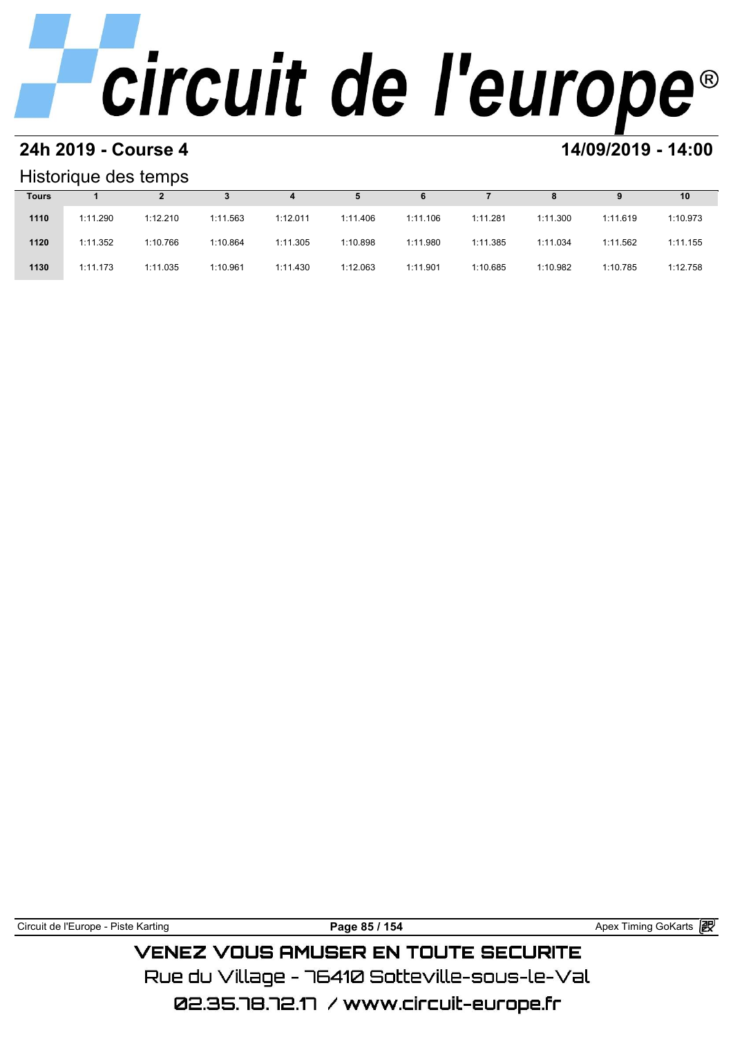# **24h 2019 - Course 4 14/09/2019 - 14:00**

## Historique des temps

| Historique des temps |          |          |          |          |          |          |          |          |          |          |  |  |
|----------------------|----------|----------|----------|----------|----------|----------|----------|----------|----------|----------|--|--|
| <b>Tours</b>         |          |          |          | 4        | 5        | 6        |          | 8        | 9        | 10       |  |  |
| 1110                 | 1:11.290 | 1:12.210 | 1:11.563 | 1:12.011 | 1:11.406 | 1:11.106 | 1:11.281 | 1:11.300 | 1:11.619 | 1:10.973 |  |  |
| 1120                 | 1:11.352 | 1:10.766 | 1:10.864 | 1:11.305 | 1:10.898 | 1:11.980 | 1:11.385 | 1:11.034 | 1:11.562 | 1:11.155 |  |  |
| 1130                 | 1:11.173 | 1:11.035 | 1:10.961 | 1:11.430 | 1:12.063 | 1:11.901 | 1:10.685 | 1:10.982 | 1:10.785 | 1:12.758 |  |  |

| Circuit de l'Europe - Piste Karting | Page 85 / 154                                 | Apex Timing GoKarts <b>段</b> |
|-------------------------------------|-----------------------------------------------|------------------------------|
|                                     | <b>VENEZ VOUS AMUSER EN TOUTE SECURITE</b>    |                              |
|                                     | Rue du Village – 76410 Sotteville–sous–le–Val |                              |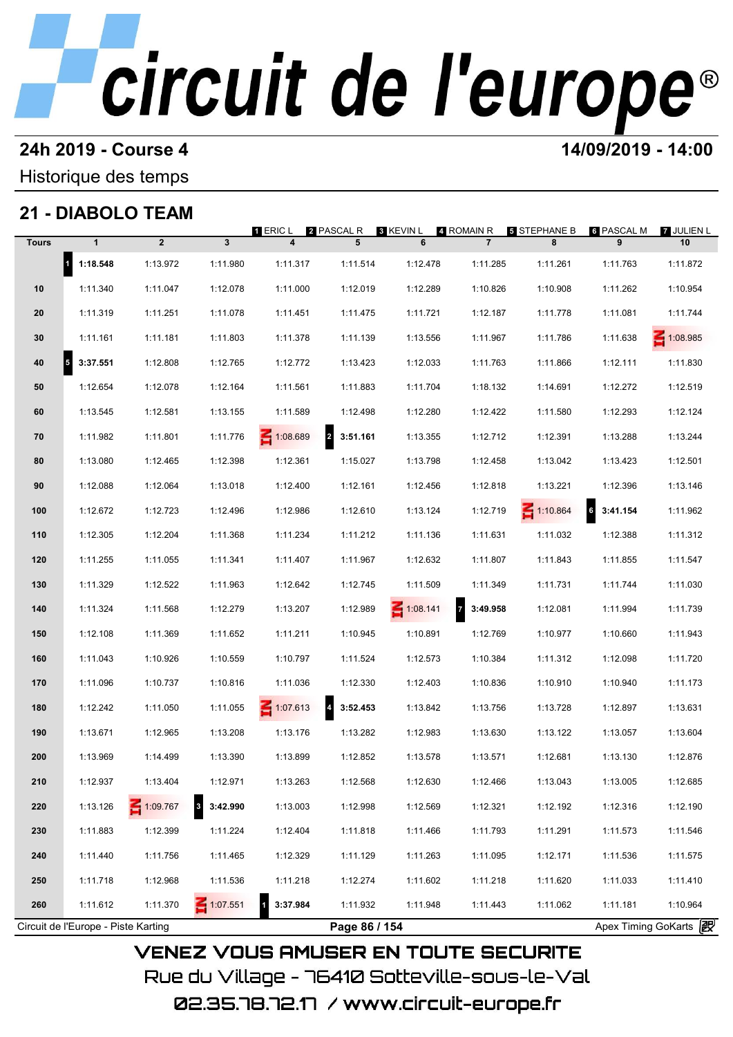# **24h 2019 - Course 4 12000 12000 14/09/2019 - 14:00**

Historique des temps

## **21 - DIABOLO TEAM**

| <b>Tours</b> | $\mathbf{1}$           | $\overline{2}$ | $\overline{\mathbf{3}}$             | 1 ERIC L<br>$\overline{\mathbf{4}}$ | 2 PASCAL R<br>5                     | 3 KEVIN L<br>6  | 4 ROMAIN R<br>$\overline{7}$        | <b>5 STEPHANE B</b><br>8 | 6 PASCAL M<br>9                   | 7 JULIEN L<br>10 |
|--------------|------------------------|----------------|-------------------------------------|-------------------------------------|-------------------------------------|-----------------|-------------------------------------|--------------------------|-----------------------------------|------------------|
|              | 1 1:18.548             | 1:13.972       | 1:11.980                            | 1:11.317                            | 1:11.514                            | 1:12.478        | 1:11.285                            | 1:11.261                 | 1:11.763                          | 1:11.872         |
| 10           | 1:11.340               | 1:11.047       | 1:12.078                            | 1:11.000                            | 1:12.019                            | 1:12.289        | 1:10.826                            | 1:10.908                 | 1:11.262                          | 1:10.954         |
| 20           | 1:11.319               | 1:11.251       | 1:11.078                            | 1:11.451                            | 1:11.475                            | 1:11.721        | 1:12.187                            | 1:11.778                 | 1:11.081                          | 1:11.744         |
| 30           | 1:11.161               | 1:11.181       | 1:11.803                            | 1:11.378                            | 1:11.139                            | 1:13.556        | 1:11.967                            | 1:11.786                 | 1:11.638                          | 1:08.985         |
|              |                        |                |                                     |                                     |                                     |                 |                                     |                          |                                   |                  |
| 40           | 3:37.551<br>$\sqrt{5}$ | 1:12.808       | 1:12.765                            | 1:12.772                            | 1:13.423                            | 1:12.033        | 1:11.763                            | 1:11.866                 | 1:12.111                          | 1:11.830         |
| 50           | 1:12.654               | 1:12.078       | 1:12.164                            | 1:11.561                            | 1:11.883                            | 1:11.704        | 1:18.132                            | 1:14.691                 | 1:12.272                          | 1:12.519         |
| 60           | 1:13.545               | 1:12.581       | 1:13.155                            | 1:11.589                            | 1:12.498                            | 1:12.280        | 1:12.422                            | 1:11.580                 | 1:12.293                          | 1:12.124         |
| 70           | 1:11.982               | 1:11.801       | 1:11.776                            | 1:08.689                            | $\overline{\mathbf{2}}$<br>3:51.161 | 1:13.355        | 1:12.712                            | 1:12.391                 | 1:13.288                          | 1:13.244         |
| 80           | 1:13.080               | 1:12.465       | 1:12.398                            | 1:12.361                            | 1:15.027                            | 1:13.798        | 1:12.458                            | 1:13.042                 | 1:13.423                          | 1:12.501         |
| 90           | 1:12.088               | 1:12.064       | 1:13.018                            | 1:12.400                            | 1:12.161                            | 1:12.456        | 1:12.818                            | 1:13.221                 | 1:12.396                          | 1:13.146         |
| 100          | 1:12.672               | 1:12.723       | 1:12.496                            | 1:12.986                            | 1:12.610                            | 1:13.124        | 1:12.719                            | $\leq 1:10.864$          | 6<br>3:41.154                     | 1:11.962         |
| 110          | 1:12.305               | 1:12.204       | 1:11.368                            | 1:11.234                            | 1:11.212                            | 1:11.136        | 1:11.631                            | 1:11.032                 | 1:12.388                          | 1:11.312         |
| 120          | 1:11.255               | 1:11.055       | 1:11.341                            | 1:11.407                            | 1:11.967                            | 1:12.632        | 1:11.807                            | 1:11.843                 | 1:11.855                          | 1:11.547         |
| 130          | 1:11.329               | 1:12.522       | 1:11.963                            | 1:12.642                            | 1:12.745                            | 1:11.509        | 1:11.349                            | 1:11.731                 | 1:11.744                          | 1:11.030         |
| 140          | 1:11.324               | 1:11.568       | 1:12.279                            | 1:13.207                            | 1:12.989                            | $\leq 1:08.141$ | $\overline{\mathbf{z}}$<br>3:49.958 | 1:12.081                 | 1:11.994                          | 1:11.739         |
| 150          | 1:12.108               | 1:11.369       | 1:11.652                            | 1:11.211                            | 1:10.945                            | 1:10.891        | 1:12.769                            | 1:10.977                 | 1:10.660                          | 1:11.943         |
| 160          | 1:11.043               | 1:10.926       | 1:10.559                            | 1:10.797                            | 1:11.524                            | 1:12.573        | 1:10.384                            | 1:11.312                 | 1:12.098                          | 1:11.720         |
| 170          | 1:11.096               | 1:10.737       | 1:10.816                            | 1:11.036                            | 1:12.330                            | 1:12.403        | 1:10.836                            | 1:10.910                 | 1:10.940                          | 1:11.173         |
| 180          | 1:12.242               | 1:11.050       | 1:11.055                            | $\leq 1:07.613$                     | 4 3:52.453                          | 1:13.842        | 1:13.756                            | 1:13.728                 | 1:12.897                          | 1:13.631         |
| 190          | 1:13.671               | 1:12.965       | 1:13.208                            | 1:13.176                            | 1:13.282                            | 1:12.983        | 1:13.630                            | 1:13.122                 | 1:13.057                          | 1:13.604         |
| 200          | 1:13.969               | 1:14.499       | 1:13.390                            | 1:13.899                            | 1:12.852                            | 1:13.578        | 1:13.571                            | 1:12.681                 | 1:13.130                          | 1:12.876         |
| 210          | 1:12.937               | 1:13.404       | 1:12.971                            | 1:13.263                            | 1:12.568                            | 1:12.630        | 1:12.466                            | 1:13.043                 | 1:13.005                          | 1:12.685         |
| 220          | 1:13.126               | 1:09.767       | $\overline{\mathbf{3}}$<br>3:42.990 | 1:13.003                            | 1:12.998                            | 1:12.569        | 1:12.321                            | 1:12.192                 | 1:12.316                          | 1:12.190         |
| 230          | 1:11.883               | 1:12.399       | 1:11.224                            | 1:12.404                            | 1:11.818                            | 1:11.466        | 1:11.793                            | 1:11.291                 | 1:11.573                          | 1:11.546         |
|              |                        |                |                                     |                                     |                                     |                 |                                     |                          |                                   |                  |
| 240          | 1:11.440               | 1:11.756       | 1:11.465                            | 1:12.329                            | 1:11.129                            | 1:11.263        | 1:11.095                            | 1:12.171                 | 1:11.536                          | 1:11.575         |
| 250          | 1:11.718               | 1:12.968       | 1:11.536                            | 1:11.218                            | 1:12.274                            | 1:11.602        | 1:11.218                            | 1:11.620                 | 1:11.033                          | 1:11.410         |
| 260          | 1:11.612               | 1:11.370       | $\leq 1:07.551$                     | 3:37.984                            | 1:11.932                            | 1:11.948        | 1:11.443                            | 1:11.062                 | 1:11.181<br>Apex Timing GoKarts 2 | 1:10.964         |

02.35.78.72.17 /www.circuit-europe.fr

Rue du Village – 76410 Sotteville-sous-le-Val

**VENEZ VOUS AMUSER EN TOUTE SECURITE**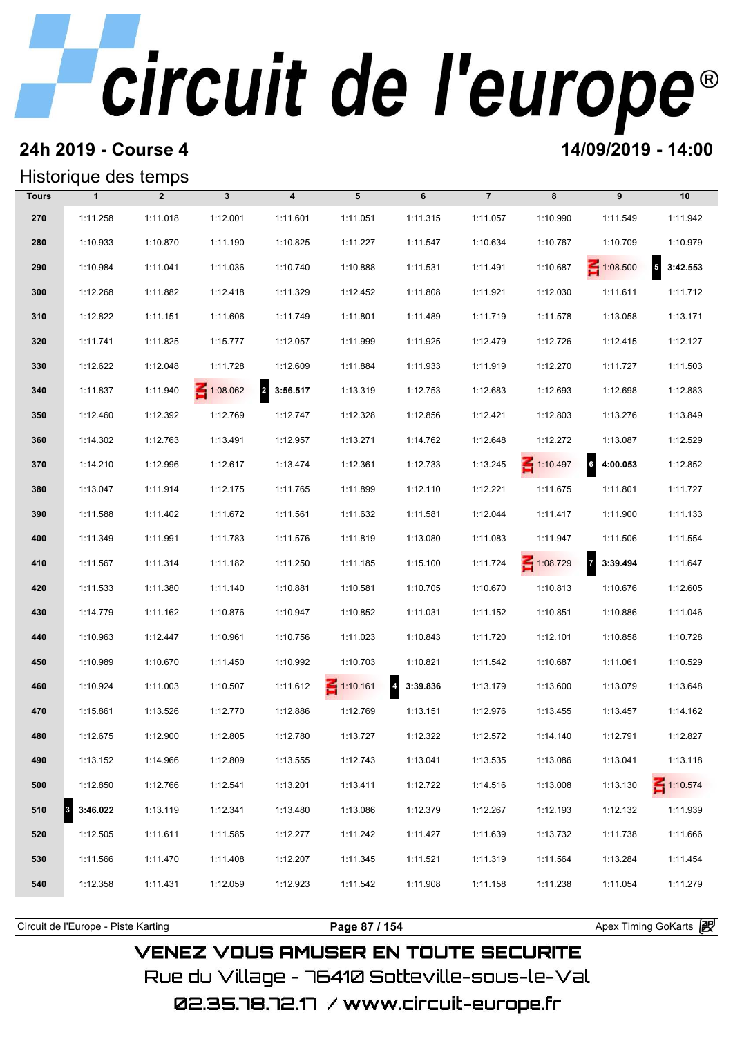## **24h 2019 - Course 4 14/09/2019 - 14:00**

## Historique des temps

|              | Historique des temps |                |              |                            |                 |          |                |                 |                                     |                            |  |  |
|--------------|----------------------|----------------|--------------|----------------------------|-----------------|----------|----------------|-----------------|-------------------------------------|----------------------------|--|--|
| <b>Tours</b> | $\mathbf{1}$         | $\overline{2}$ | $\mathbf{3}$ | $\overline{\mathbf{4}}$    | 5               | 6        | $\overline{7}$ | 8               | 9                                   | 10                         |  |  |
| 270          | 1:11.258             | 1:11.018       | 1:12.001     | 1:11.601                   | 1:11.051        | 1:11.315 | 1:11.057       | 1:10.990        | 1:11.549                            | 1:11.942                   |  |  |
| 280          | 1:10.933             | 1:10.870       | 1:11.190     | 1:10.825                   | 1:11.227        | 1:11.547 | 1:10.634       | 1:10.767        | 1:10.709                            | 1:10.979                   |  |  |
| 290          | 1:10.984             | 1:11.041       | 1:11.036     | 1:10.740                   | 1:10.888        | 1:11.531 | 1:11.491       | 1:10.687        | $\leq 1:08.500$                     | $\overline{5}$<br>3:42.553 |  |  |
| 300          | 1:12.268             | 1:11.882       | 1:12.418     | 1:11.329                   | 1:12.452        | 1:11.808 | 1:11.921       | 1:12.030        | 1:11.611                            | 1:11.712                   |  |  |
| 310          | 1:12.822             | 1:11.151       | 1:11.606     | 1:11.749                   | 1:11.801        | 1:11.489 | 1:11.719       | 1:11.578        | 1:13.058                            | 1:13.171                   |  |  |
| 320          | 1:11.741             | 1:11.825       | 1:15.777     | 1:12.057                   | 1:11.999        | 1:11.925 | 1:12.479       | 1:12.726        | 1:12.415                            | 1:12.127                   |  |  |
| 330          | 1:12.622             | 1:12.048       | 1:11.728     | 1:12.609                   | 1:11.884        | 1:11.933 | 1:11.919       | 1:12.270        | 1:11.727                            | 1:11.503                   |  |  |
| 340          | 1:11.837             | 1:11.940       | 1:08.062     | $\overline{a}$<br>3:56.517 | 1:13.319        | 1:12.753 | 1:12.683       | 1:12.693        | 1:12.698                            | 1:12.883                   |  |  |
| 350          | 1:12.460             | 1:12.392       | 1:12.769     | 1:12.747                   | 1:12.328        | 1:12.856 | 1:12.421       | 1:12.803        | 1:13.276                            | 1:13.849                   |  |  |
| 360          | 1:14.302             | 1:12.763       | 1:13.491     | 1:12.957                   | 1:13.271        | 1:14.762 | 1:12.648       | 1:12.272        | 1:13.087                            | 1:12.529                   |  |  |
| 370          | 1:14.210             | 1:12.996       | 1:12.617     | 1:13.474                   | 1:12.361        | 1:12.733 | 1:13.245       | $\leq 1:10.497$ | $6\overline{6}$<br>4:00.053         | 1:12.852                   |  |  |
| 380          | 1:13.047             | 1:11.914       | 1:12.175     | 1:11.765                   | 1:11.899        | 1:12.110 | 1:12.221       | 1:11.675        | 1:11.801                            | 1:11.727                   |  |  |
| 390          | 1:11.588             | 1:11.402       | 1:11.672     | 1:11.561                   | 1:11.632        | 1:11.581 | 1:12.044       | 1:11.417        | 1:11.900                            | 1:11.133                   |  |  |
| 400          | 1:11.349             | 1:11.991       | 1:11.783     | 1:11.576                   | 1:11.819        | 1:13.080 | 1:11.083       | 1:11.947        | 1:11.506                            | 1:11.554                   |  |  |
| 410          | 1:11.567             | 1:11.314       | 1:11.182     | 1:11.250                   | 1:11.185        | 1:15.100 | 1:11.724       | $\leq 1:08.729$ | $\overline{\mathbf{z}}$<br>3:39.494 | 1:11.647                   |  |  |
| 420          | 1:11.533             | 1:11.380       | 1:11.140     | 1:10.881                   | 1:10.581        | 1:10.705 | 1:10.670       | 1:10.813        | 1:10.676                            | 1:12.605                   |  |  |
| 430          | 1:14.779             | 1:11.162       | 1:10.876     | 1:10.947                   | 1:10.852        | 1:11.031 | 1:11.152       | 1:10.851        | 1:10.886                            | 1:11.046                   |  |  |
| 440          | 1:10.963             | 1:12.447       | 1:10.961     | 1:10.756                   | 1:11.023        | 1:10.843 | 1:11.720       | 1:12.101        | 1:10.858                            | 1:10.728                   |  |  |
| 450          | 1:10.989             | 1:10.670       | 1:11.450     | 1:10.992                   | 1:10.703        | 1:10.821 | 1:11.542       | 1:10.687        | 1:11.061                            | 1:10.529                   |  |  |
| 460          | 1:10.924             | 1:11.003       | 1:10.507     | 1:11.612                   | $\leq 1:10.161$ | 3:39.836 | 1:13.179       | 1:13.600        | 1:13.079                            | 1:13.648                   |  |  |
| 470          | 1:15.861             | 1:13.526       | 1:12.770     | 1:12.886                   | 1:12.769        | 1:13.151 | 1:12.976       | 1:13.455        | 1:13.457                            | 1:14.162                   |  |  |
| 480          | 1:12.675             | 1:12.900       | 1:12.805     | 1:12.780                   | 1:13.727        | 1:12.322 | 1:12.572       | 1:14.140        | 1:12.791                            | 1:12.827                   |  |  |
| 490          | 1:13.152             | 1:14.966       | 1:12.809     | 1:13.555                   | 1:12.743        | 1:13.041 | 1:13.535       | 1:13.086        | 1:13.041                            | 1:13.118                   |  |  |
| 500          | 1:12.850             | 1:12.766       | 1:12.541     | 1:13.201                   | 1:13.411        | 1:12.722 | 1:14.516       | 1:13.008        | 1:13.130                            | 1:10.574                   |  |  |
| 510          | 3:46.022             | 1:13.119       | 1:12.341     | 1:13.480                   | 1:13.086        | 1:12.379 | 1:12.267       | 1:12.193        | 1:12.132                            | 1:11.939                   |  |  |
| 520          | 1:12.505             | 1:11.611       | 1:11.585     | 1:12.277                   | 1:11.242        | 1:11.427 | 1:11.639       | 1:13.732        | 1:11.738                            | 1:11.666                   |  |  |
| 530          | 1:11.566             | 1:11.470       | 1:11.408     | 1:12.207                   | 1:11.345        | 1:11.521 | 1:11.319       | 1:11.564        | 1:13.284                            | 1:11.454                   |  |  |
| 540          | 1:12.358             | 1:11.431       | 1:12.059     | 1:12.923                   | 1:11.542        | 1:11.908 | 1:11.158       | 1:11.238        | 1:11.054                            | 1:11.279                   |  |  |
|              |                      |                |              |                            |                 |          |                |                 |                                     |                            |  |  |

**VENEZ VOUS AMUSER EN TOUTE SECURITE** Rue du Village – 76410 Sotteville-sous-le-Val 02.35.78.72.17 /www.circuit-europe.fr

Circuit de l'Europe - Piste Karting **Page 87 / 154 Page 87 / 154** Apex Timing GoKarts and Apex Timing Apex Timing Go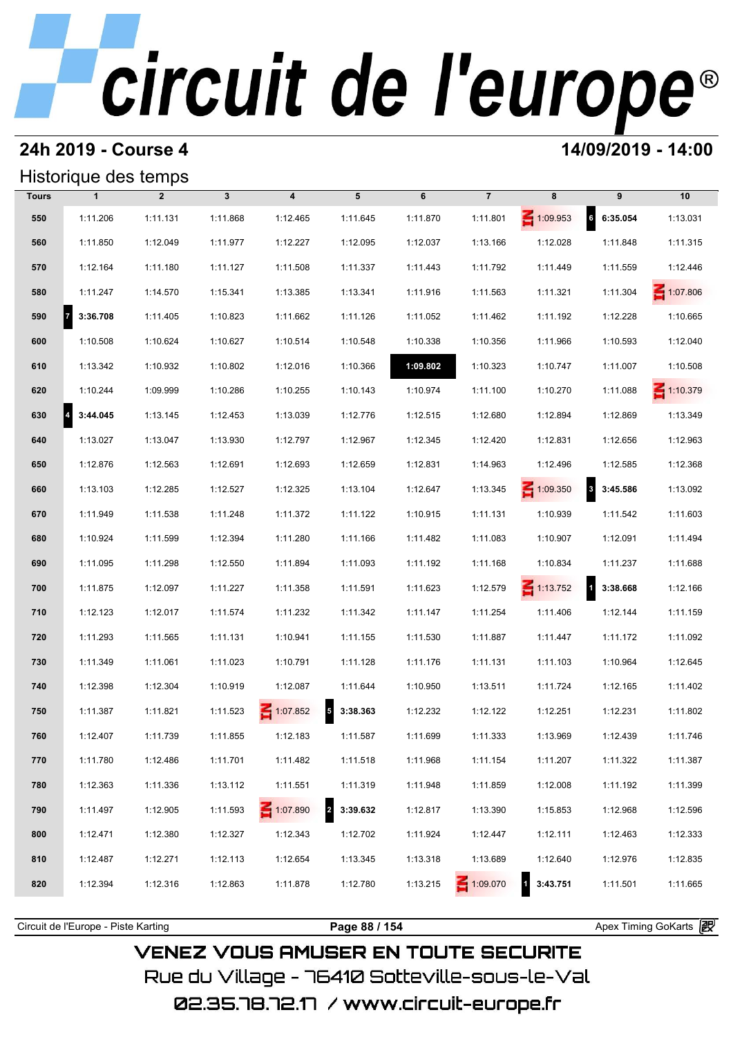## **24h 2019 - Course 4 14/09/2019 - 14:00**

### Historique des temps

|              | Historique des temps       |                |              |                         |                                     |          |                |                    |                                     |                 |
|--------------|----------------------------|----------------|--------------|-------------------------|-------------------------------------|----------|----------------|--------------------|-------------------------------------|-----------------|
| <b>Tours</b> | $\mathbf{1}$               | $\overline{2}$ | $\mathbf{3}$ | $\overline{\mathbf{4}}$ | 5                                   | 6        | $\overline{7}$ | 8                  | 9                                   | 10              |
| 550          | 1:11.206                   | 1:11.131       | 1:11.868     | 1:12.465                | 1:11.645                            | 1:11.870 | 1:11.801       | 1:09.953           | $6\overline{6}$<br>6:35.054         | 1:13.031        |
| 560          | 1:11.850                   | 1:12.049       | 1:11.977     | 1:12.227                | 1:12.095                            | 1:12.037 | 1:13.166       | 1:12.028           | 1:11.848                            | 1:11.315        |
| 570          | 1:12.164                   | 1:11.180       | 1:11.127     | 1:11.508                | 1:11.337                            | 1:11.443 | 1:11.792       | 1:11.449           | 1:11.559                            | 1:12.446        |
| 580          | 1:11.247                   | 1:14.570       | 1:15.341     | 1:13.385                | 1:13.341                            | 1:11.916 | 1:11.563       | 1:11.321           | 1:11.304                            | $\leq 1:07.806$ |
| 590          | $\overline{z}$<br>3:36.708 | 1:11.405       | 1:10.823     | 1:11.662                | 1:11.126                            | 1:11.052 | 1:11.462       | 1:11.192           | 1:12.228                            | 1:10.665        |
| 600          | 1:10.508                   | 1:10.624       | 1:10.627     | 1:10.514                | 1:10.548                            | 1:10.338 | 1:10.356       | 1:11.966           | 1:10.593                            | 1:12.040        |
| 610          | 1:13.342                   | 1:10.932       | 1:10.802     | 1:12.016                | 1:10.366                            | 1:09.802 | 1:10.323       | 1:10.747           | 1:11.007                            | 1:10.508        |
| 620          | 1:10.244                   | 1:09.999       | 1:10.286     | 1:10.255                | 1:10.143                            | 1:10.974 | 1:11.100       | 1:10.270           | 1:11.088                            | $\leq 1:10.379$ |
| 630          | 3:44.045<br>4              | 1:13.145       | 1:12.453     | 1:13.039                | 1:12.776                            | 1:12.515 | 1:12.680       | 1:12.894           | 1:12.869                            | 1:13.349        |
| 640          | 1:13.027                   | 1:13.047       | 1:13.930     | 1:12.797                | 1:12.967                            | 1:12.345 | 1:12.420       | 1:12.831           | 1:12.656                            | 1:12.963        |
| 650          | 1:12.876                   | 1:12.563       | 1:12.691     | 1:12.693                | 1:12.659                            | 1:12.831 | 1:14.963       | 1:12.496           | 1:12.585                            | 1:12.368        |
| 660          | 1:13.103                   | 1:12.285       | 1:12.527     | 1:12.325                | 1:13.104                            | 1:12.647 | 1:13.345       | $\leq 1:09.350$    | $\overline{\mathbf{3}}$<br>3:45.586 | 1:13.092        |
| 670          | 1:11.949                   | 1:11.538       | 1:11.248     | 1:11.372                | 1:11.122                            | 1:10.915 | 1:11.131       | 1:10.939           | 1:11.542                            | 1:11.603        |
| 680          | 1:10.924                   | 1:11.599       | 1:12.394     | 1:11.280                | 1:11.166                            | 1:11.482 | 1:11.083       | 1:10.907           | 1:12.091                            | 1:11.494        |
| 690          | 1:11.095                   | 1:11.298       | 1:12.550     | 1:11.894                | 1:11.093                            | 1:11.192 | 1:11.168       | 1:10.834           | 1:11.237                            | 1:11.688        |
| 700          | 1:11.875                   | 1:12.097       | 1:11.227     | 1:11.358                | 1:11.591                            | 1:11.623 | 1:12.579       | $\leq 1:13.752$    | $\mathbf{1}$<br>3:38.668            | 1:12.166        |
| 710          | 1:12.123                   | 1:12.017       | 1:11.574     | 1:11.232                | 1:11.342                            | 1:11.147 | 1:11.254       | 1:11.406           | 1:12.144                            | 1:11.159        |
| 720          | 1:11.293                   | 1:11.565       | 1:11.131     | 1:10.941                | 1:11.155                            | 1:11.530 | 1:11.887       | 1:11.447           | 1:11.172                            | 1:11.092        |
| 730          | 1:11.349                   | 1:11.061       | 1:11.023     | 1:10.791                | 1:11.128                            | 1:11.176 | 1:11.131       | 1:11.103           | 1:10.964                            | 1:12.645        |
| 740          | 1:12.398                   | 1:12.304       | 1:10.919     | 1:12.087                | 1:11.644                            | 1:10.950 | 1:13.511       | 1:11.724           | 1:12.165                            | 1:11.402        |
| 750          | 1:11.387                   | 1:11.821       | 1:11.523     | 1:07.852                | $\overline{\mathbf{5}}$<br>3:38.363 | 1:12.232 | 1:12.122       | 1:12.251           | 1:12.231                            | 1:11.802        |
| 760          | 1:12.407                   | 1:11.739       | 1:11.855     | 1:12.183                | 1:11.587                            | 1:11.699 | 1:11.333       | 1:13.969           | 1:12.439                            | 1:11.746        |
| 770          | 1:11.780                   | 1:12.486       | 1:11.701     | 1:11.482                | 1:11.518                            | 1:11.968 | 1:11.154       | 1:11.207           | 1:11.322                            | 1:11.387        |
| 780          | 1:12.363                   | 1:11.336       | 1:13.112     | 1:11.551                | 1:11.319                            | 1:11.948 | 1:11.859       | 1:12.008           | 1:11.192                            | 1:11.399        |
| 790          | 1:11.497                   | 1:12.905       | 1:11.593     | $\leq 1:07.890$         | 2 3:39.632                          | 1:12.817 | 1:13.390       | 1:15.853           | 1:12.968                            | 1:12.596        |
| 800          | 1:12.471                   | 1:12.380       | 1:12.327     | 1:12.343                | 1:12.702                            | 1:11.924 | 1:12.447       | 1:12.111           | 1:12.463                            | 1:12.333        |
| 810          | 1:12.487                   | 1:12.271       | 1:12.113     | 1:12.654                | 1:13.345                            | 1:13.318 | 1:13.689       | 1:12.640           | 1:12.976                            | 1:12.835        |
| 820          | 1:12.394                   | 1:12.316       | 1:12.863     | 1:11.878                | 1:12.780                            | 1:13.215 | $-1:09.070$    | $1 \quad 3:43.751$ | 1:11.501                            | 1:11.665        |

## **VENEZ VOUS AMUSER EN TOUTE SECURITE**

Rue du Village – 76410 Sotteville-sous-le-Val

Circuit de l'Europe - Piste Karting **Page 88 / 154 Page 88 / 154** Apex Timing GoKarts **in Apex**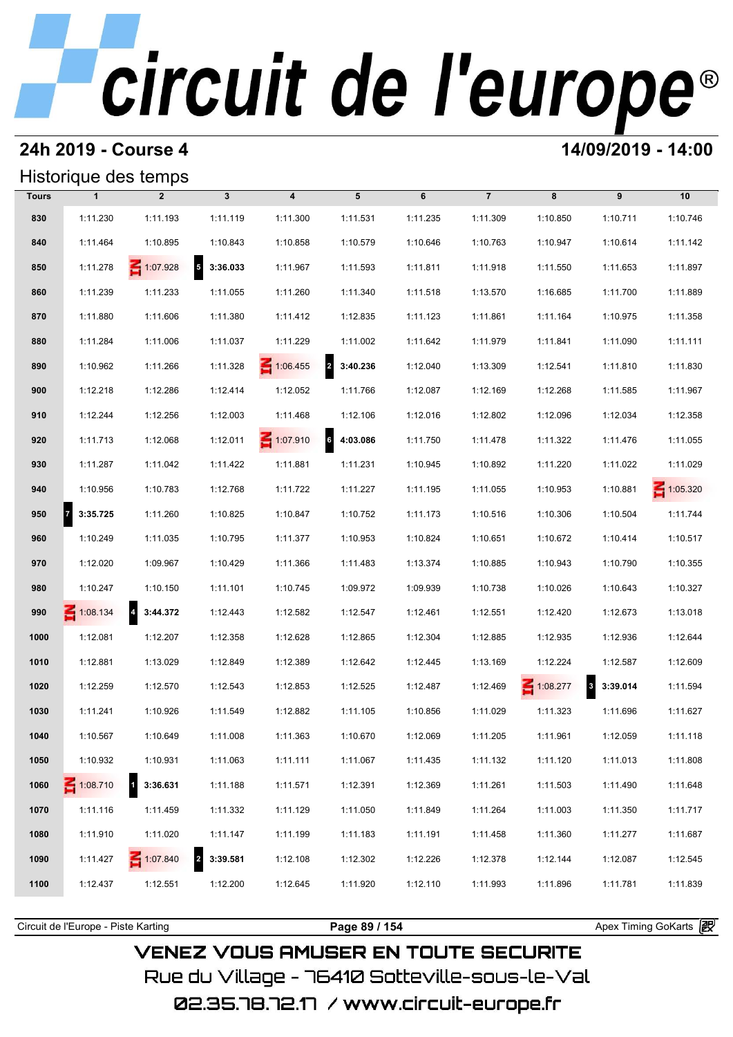## **24h 2019 - Course 4 14/09/2019 - 14:00**

## Historique des temps

|              | Historique des temps |                            |                            |                         |               |          |                |             |                                     |                 |
|--------------|----------------------|----------------------------|----------------------------|-------------------------|---------------|----------|----------------|-------------|-------------------------------------|-----------------|
| <b>Tours</b> | $\mathbf{1}$         | $\overline{2}$             | $\mathbf{3}$               | $\overline{\mathbf{4}}$ | 5             | 6        | $\overline{7}$ | 8           | 9                                   | 10              |
| 830          | 1:11.230             | 1:11.193                   | 1:11.119                   | 1:11.300                | 1:11.531      | 1:11.235 | 1:11.309       | 1:10.850    | 1:10.711                            | 1:10.746        |
| 840          | 1:11.464             | 1:10.895                   | 1:10.843                   | 1:10.858                | 1:10.579      | 1:10.646 | 1:10.763       | 1:10.947    | 1:10.614                            | 1:11.142        |
| 850          | 1:11.278             | $\leq 1:07.928$            | $5\quad 3:36.033$          | 1:11.967                | 1:11.593      | 1:11.811 | 1:11.918       | 1:11.550    | 1:11.653                            | 1:11.897        |
| 860          | 1:11.239             | 1:11.233                   | 1:11.055                   | 1:11.260                | 1:11.340      | 1:11.518 | 1:13.570       | 1:16.685    | 1:11.700                            | 1:11.889        |
| 870          | 1:11.880             | 1:11.606                   | 1:11.380                   | 1:11.412                | 1:12.835      | 1:11.123 | 1:11.861       | 1:11.164    | 1:10.975                            | 1:11.358        |
| 880          | 1:11.284             | 1:11.006                   | 1:11.037                   | 1:11.229                | 1:11.002      | 1:11.642 | 1:11.979       | 1:11.841    | 1:11.090                            | 1:11.111        |
| 890          | 1:10.962             | 1:11.266                   | 1:11.328                   | $\leq 1:06.455$         | 2 3:40.236    | 1:12.040 | 1:13.309       | 1:12.541    | 1:11.810                            | 1:11.830        |
| 900          | 1:12.218             | 1:12.286                   | 1:12.414                   | 1:12.052                | 1:11.766      | 1:12.087 | 1:12.169       | 1:12.268    | 1:11.585                            | 1:11.967        |
| 910          | 1:12.244             | 1:12.256                   | 1:12.003                   | 1:11.468                | 1:12.106      | 1:12.016 | 1:12.802       | 1:12.096    | 1:12.034                            | 1:12.358        |
| 920          | 1:11.713             | 1:12.068                   | 1:12.011                   | $\leq 1:07.910$         | 6<br>4:03.086 | 1:11.750 | 1:11.478       | 1:11.322    | 1:11.476                            | 1:11.055        |
| 930          | 1:11.287             | 1:11.042                   | 1:11.422                   | 1:11.881                | 1:11.231      | 1:10.945 | 1:10.892       | 1:11.220    | 1:11.022                            | 1:11.029        |
| 940          | 1:10.956             | 1:10.783                   | 1:12.768                   | 1:11.722                | 1:11.227      | 1:11.195 | 1:11.055       | 1:10.953    | 1:10.881                            | $\leq 1:05.320$ |
| 950          | 7 <br>3:35.725       | 1:11.260                   | 1:10.825                   | 1:10.847                | 1:10.752      | 1:11.173 | 1:10.516       | 1:10.306    | 1:10.504                            | 1:11.744        |
| 960          | 1:10.249             | 1:11.035                   | 1:10.795                   | 1:11.377                | 1:10.953      | 1:10.824 | 1:10.651       | 1:10.672    | 1:10.414                            | 1:10.517        |
| 970          | 1:12.020             | 1:09.967                   | 1:10.429                   | 1:11.366                | 1:11.483      | 1:13.374 | 1:10.885       | 1:10.943    | 1:10.790                            | 1:10.355        |
| 980          | 1:10.247             | 1:10.150                   | 1:11.101                   | 1:10.745                | 1:09.972      | 1:09.939 | 1:10.738       | 1:10.026    | 1:10.643                            | 1:10.327        |
| 990          | $\leq 1:08.134$      | $\overline{a}$<br>3:44.372 | 1:12.443                   | 1:12.582                | 1:12.547      | 1:12.461 | 1:12.551       | 1:12.420    | 1:12.673                            | 1:13.018        |
| 1000         | 1:12.081             | 1:12.207                   | 1:12.358                   | 1:12.628                | 1:12.865      | 1:12.304 | 1:12.885       | 1:12.935    | 1:12.936                            | 1:12.644        |
| 1010         | 1:12.881             | 1:13.029                   | 1:12.849                   | 1:12.389                | 1:12.642      | 1:12.445 | 1:13.169       | 1:12.224    | 1:12.587                            | 1:12.609        |
| 1020         | 1:12.259             | 1:12.570                   | 1:12.543                   | 1:12.853                | 1:12.525      | 1:12.487 | 1:12.469       | $-1:08.277$ | $\overline{\mathbf{3}}$<br>3:39.014 | 1:11.594        |
| 1030         | 1:11.241             | 1:10.926                   | 1:11.549                   | 1:12.882                | 1:11.105      | 1:10.856 | 1:11.029       | 1:11.323    | 1:11.696                            | 1:11.627        |
| 1040         | 1:10.567             | 1:10.649                   | 1:11.008                   | 1:11.363                | 1:10.670      | 1:12.069 | 1:11.205       | 1:11.961    | 1:12.059                            | 1:11.118        |
| 1050         | 1:10.932             | 1:10.931                   | 1:11.063                   | 1:11.111                | 1:11.067      | 1:11.435 | 1:11.132       | 1:11.120    | 1:11.013                            | 1:11.808        |
| 1060         | 1:08.710             | 3:36.631                   | 1:11.188                   | 1:11.571                | 1:12.391      | 1:12.369 | 1:11.261       | 1:11.503    | 1:11.490                            | 1:11.648        |
| 1070         | 1:11.116             | 1:11.459                   | 1:11.332                   | 1:11.129                | 1:11.050      | 1:11.849 | 1:11.264       | 1:11.003    | 1:11.350                            | 1:11.717        |
| 1080         | 1:11.910             | 1:11.020                   | 1:11.147                   | 1:11.199                | 1:11.183      | 1:11.191 | 1:11.458       | 1:11.360    | 1:11.277                            | 1:11.687        |
| 1090         | 1:11.427             | 1:07.840                   | $\overline{2}$<br>3:39.581 | 1:12.108                | 1:12.302      | 1:12.226 | 1:12.378       | 1:12.144    | 1:12.087                            | 1:12.545        |
| 1100         | 1:12.437             | 1:12.551                   | 1:12.200                   | 1:12.645                | 1:11.920      | 1:12.110 | 1:11.993       | 1:11.896    | 1:11.781                            | 1:11.839        |
|              |                      |                            |                            |                         |               |          |                |             |                                     |                 |

Circuit de l'Europe - Piste Karting **Page 89 / 154 Page 89 / 154** Apex Timing GoKarts **in Apex** 

**VENEZ VOUS AMUSER EN TOUTE SECURITE** Rue du Village – 76410 Sotteville-sous-le-Val 02.35.78.72.17 /www.circuit-europe.fr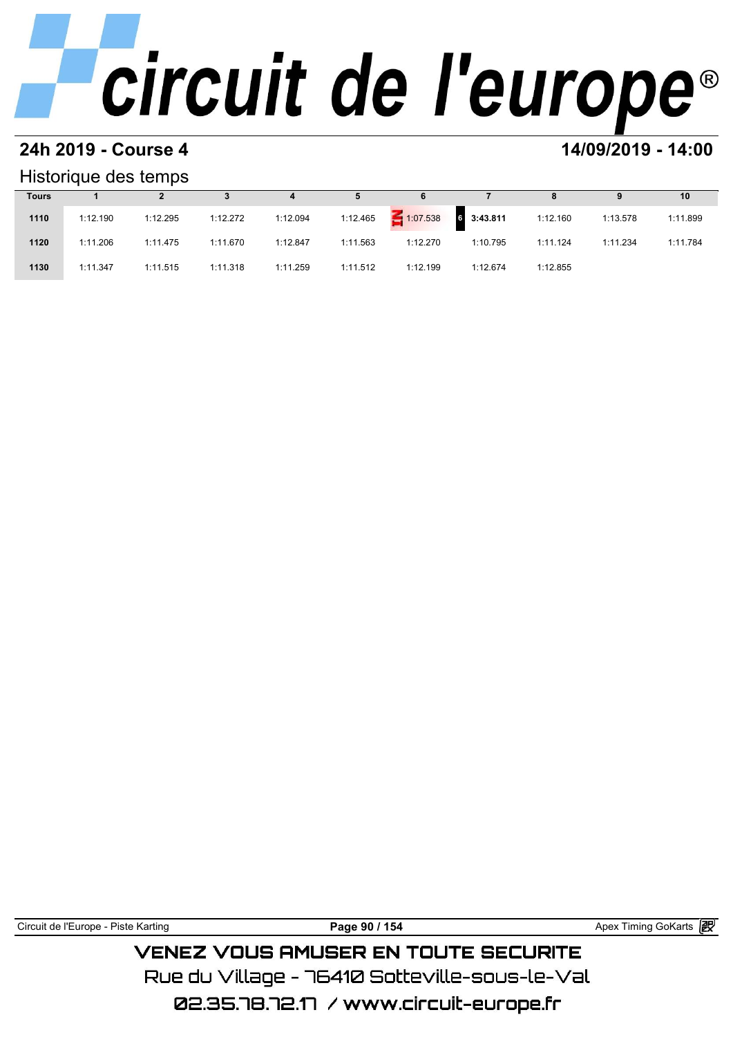### **24h 2019 - Course 4 14/09/2019 - 14:00**

### Historique des temps

|              | Historique des temps |          |          |          |          |                 |                   |          |          |          |  |  |  |  |
|--------------|----------------------|----------|----------|----------|----------|-----------------|-------------------|----------|----------|----------|--|--|--|--|
| <b>Tours</b> |                      |          |          | 4        | 5        | 6               |                   | 8        | 9        | 10       |  |  |  |  |
| 1110         | 1:12.190             | 1:12.295 | 1:12.272 | 1:12.094 | 1:12.465 | $\leq 1:07.538$ | $6\quad 3:43.811$ | 1:12.160 | 1:13.578 | 1:11.899 |  |  |  |  |
| 1120         | 1:11.206             | 1:11.475 | 1:11.670 | 1:12.847 | 1:11.563 | 1:12.270        | 1:10.795          | 1:11.124 | 1:11.234 | 1:11.784 |  |  |  |  |
| 1130         | 1:11.347             | 1:11.515 | 1:11.318 | 1:11.259 | 1:11.512 | 1:12.199        | 1:12.674          | 1:12.855 |          |          |  |  |  |  |

Circuit de l'Europe - Piste Karting **Page 90 / 154 Page 90 / 154** Apex Timing GoKarts **P VENEZ VOUS AMUSER EN TOUTE SECURITE** 

Rue du Village – 76410 Sotteville-sous-le-Val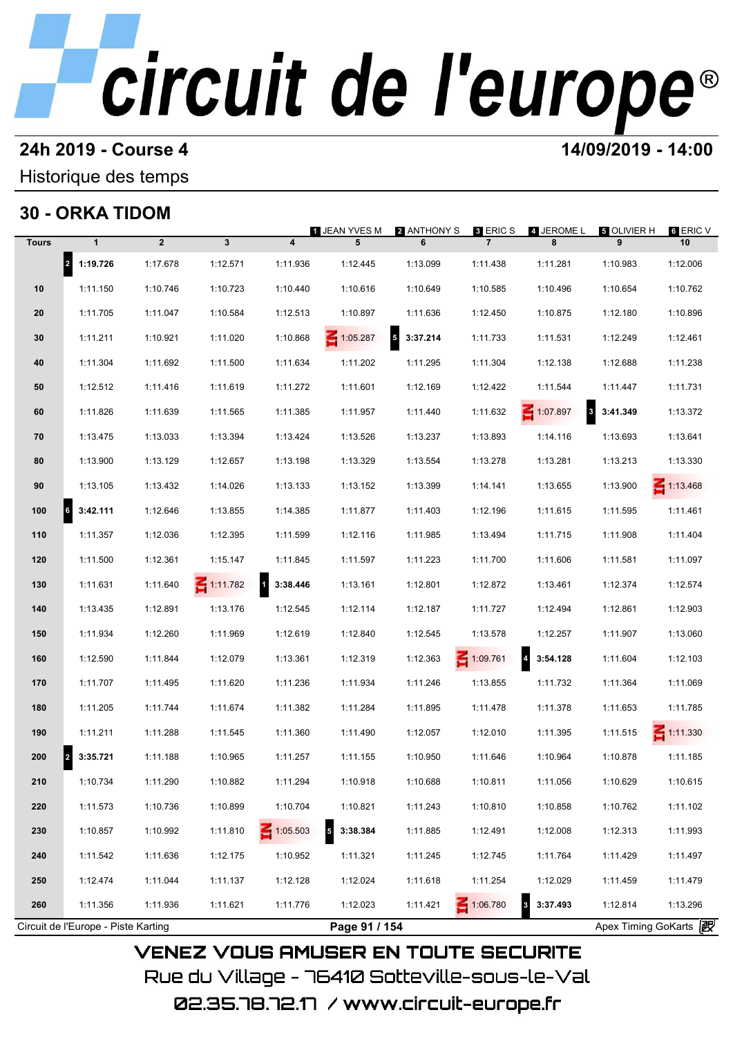## **24h 2019 - Course 4 14/09/2019 - 14:00**

### Historique des temps

## **30 - ORKA TIDOM**

|              | 30 - ORKA IIDOM                        |              |                 |                                     | <b>1 JEAN YVES M</b>                | 2 ANTHONY S  | 8 ERIC S        | 4 JEROME L                          | ឆ OLIVIER H           | 6 ERIC V        |
|--------------|----------------------------------------|--------------|-----------------|-------------------------------------|-------------------------------------|--------------|-----------------|-------------------------------------|-----------------------|-----------------|
| <b>Tours</b> | $\mathbf{1}$                           | $\mathbf{2}$ | $\mathbf{3}$    | $\overline{\mathbf{4}}$             | 5                                   | 6            | $\overline{7}$  | 8                                   | 9                     | 10              |
|              | 2 1:19.726                             | 1:17.678     | 1:12.571        | 1:11.936                            | 1:12.445                            | 1:13.099     | 1:11.438        | 1:11.281                            | 1:10.983              | 1:12.006        |
| 10           | 1:11.150                               | 1:10.746     | 1:10.723        | 1:10.440                            | 1:10.616                            | 1:10.649     | 1:10.585        | 1:10.496                            | 1:10.654              | 1:10.762        |
| 20           | 1:11.705                               | 1:11.047     | 1:10.584        | 1:12.513                            | 1:10.897                            | 1:11.636     | 1:12.450        | 1:10.875                            | 1:12.180              | 1:10.896        |
| 30           | 1:11.211                               | 1:10.921     | 1:11.020        | 1:10.868                            | $\leq 1:05.287$                     | $5$ 3:37.214 | 1:11.733        | 1:11.531                            | 1:12.249              | 1:12.461        |
| 40           | 1:11.304                               | 1:11.692     | 1:11.500        | 1:11.634                            | 1:11.202                            | 1:11.295     | 1:11.304        | 1:12.138                            | 1:12.688              | 1:11.238        |
| 50           | 1:12.512                               | 1:11.416     | 1:11.619        | 1:11.272                            | 1:11.601                            | 1:12.169     | 1:12.422        | 1:11.544                            | 1:11.447              | 1:11.731        |
| 60           | 1:11.826                               | 1:11.639     | 1:11.565        | 1:11.385                            | 1:11.957                            | 1:11.440     | 1:11.632        | $\leq 1:07.897$                     | 8 3:41.349            | 1:13.372        |
| 70           | 1:13.475                               | 1:13.033     | 1:13.394        | 1:13.424                            | 1:13.526                            | 1:13.237     | 1:13.893        | 1:14.116                            | 1:13.693              | 1:13.641        |
| 80           | 1:13.900                               | 1:13.129     | 1:12.657        | 1:13.198                            | 1:13.329                            | 1:13.554     | 1:13.278        | 1:13.281                            | 1:13.213              | 1:13.330        |
| 90           | 1:13.105                               | 1:13.432     | 1:14.026        | 1:13.133                            | 1:13.152                            | 1:13.399     | 1:14.141        | 1:13.655                            | 1:13.900              | $\leq 1:13.468$ |
| 100          | $\overline{\phantom{a}}$ 6<br>3:42.111 | 1:12.646     | 1:13.855        | 1:14.385                            | 1:11.877                            | 1:11.403     | 1:12.196        | 1:11.615                            | 1:11.595              | 1:11.461        |
| 110          | 1:11.357                               | 1:12.036     | 1:12.395        | 1:11.599                            | 1:12.116                            | 1:11.985     | 1:13.494        | 1:11.715                            | 1:11.908              | 1:11.404        |
| 120          | 1:11.500                               | 1:12.361     | 1:15.147        | 1:11.845                            | 1:11.597                            | 1:11.223     | 1:11.700        | 1:11.606                            | 1:11.581              | 1:11.097        |
| 130          | 1:11.631                               | 1:11.640     | $\leq 1:11.782$ | $\overline{\mathbf{1}}$<br>3:38.446 | 1:13.161                            | 1:12.801     | 1:12.872        | 1:13.461                            | 1:12.374              | 1:12.574        |
| 140          | 1:13.435                               | 1:12.891     | 1:13.176        | 1:12.545                            | 1:12.114                            | 1:12.187     | 1:11.727        | 1:12.494                            | 1:12.861              | 1:12.903        |
| 150          | 1:11.934                               | 1:12.260     | 1:11.969        | 1:12.619                            | 1:12.840                            | 1:12.545     | 1:13.578        | 1:12.257                            | 1:11.907              | 1:13.060        |
| 160          | 1:12.590                               | 1:11.844     | 1:12.079        | 1:13.361                            | 1:12.319                            | 1:12.363     | $\leq 1:09.761$ | $\overline{4}$<br>3:54.128          | 1:11.604              | 1:12.103        |
| 170          | 1:11.707                               | 1:11.495     | 1:11.620        | 1:11.236                            | 1:11.934                            | 1:11.246     | 1:13.855        | 1:11.732                            | 1:11.364              | 1:11.069        |
| 180          | 1:11.205                               | 1:11.744     | 1:11.674        | 1:11.382                            | 1:11.284                            | 1:11.895     | 1:11.478        | 1:11.378                            | 1:11.653              | 1:11.785        |
| 190          | 1:11.211                               | 1:11.288     | 1:11.545        | 1:11.360                            | 1:11.490                            | 1:12.057     | 1:12.010        | 1:11.395                            | 1:11.515              | $\leq 1:11.330$ |
| 200          | 3:35.721                               | 1:11.188     | 1:10.965        | 1:11.257                            | 1:11.155                            | 1:10.950     | 1:11.646        | 1:10.964                            | 1:10.878              | 1:11.185        |
| 210          | 1:10.734                               | 1:11.290     | 1:10.882        | 1:11.294                            | 1:10.918                            | 1:10.688     | 1:10.811        | 1:11.056                            | 1:10.629              | 1:10.615        |
| 220          | 1:11.573                               | 1:10.736     | 1:10.899        | 1:10.704                            | 1:10.821                            | 1:11.243     | 1:10.810        | 1:10.858                            | 1:10.762              | 1:11.102        |
| 230          | 1:10.857                               | 1:10.992     | 1:11.810        | 1:05.503                            | $\overline{\mathbf{5}}$<br>3:38.384 | 1:11.885     | 1:12.491        | 1:12.008                            | 1:12.313              | 1:11.993        |
| 240          | 1:11.542                               | 1:11.636     | 1:12.175        | 1:10.952                            | 1:11.321                            | 1:11.245     | 1:12.745        | 1:11.764                            | 1:11.429              | 1:11.497        |
| 250          | 1:12.474                               | 1:11.044     | 1:11.137        | 1:12.128                            | 1:12.024                            | 1:11.618     | 1:11.254        | 1:12.029                            | 1:11.459              | 1:11.479        |
| 260          | 1:11.356                               | 1:11.936     | 1:11.621        | 1:11.776                            | 1:12.023                            | 1:11.421     | 1:06.780        | $\overline{\mathbf{3}}$<br>3:37.493 | 1:12.814              | 1:13.296        |
|              | Circuit de l'Europe - Piste Karting    |              |                 |                                     | Page 91 / 154                       |              |                 |                                     | Apex Timing GoKarts 2 |                 |

02.35.78.72.17 / www.circuit-europe.fr

Rue du Village – 76410 Sotteville-sous-le-Val

**VENEZ VOUS AMUSER EN TOUTE SECURITE**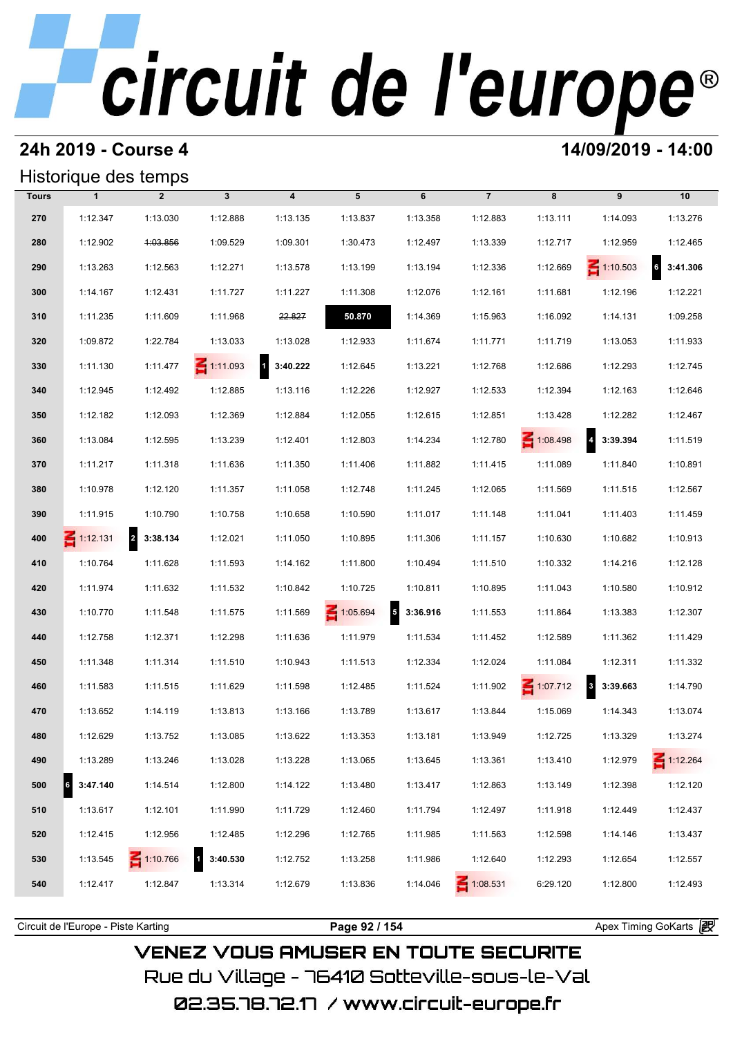## **24h 2019 - Course 4 14/09/2019 - 14:00**

## Historique des temps

|              | Historique des temps |                            |                          |                          |          |                            |                 |          |                                     |                                 |
|--------------|----------------------|----------------------------|--------------------------|--------------------------|----------|----------------------------|-----------------|----------|-------------------------------------|---------------------------------|
| <b>Tours</b> | $\mathbf{1}$         | $\overline{2}$             | $\mathbf{3}$             | $\overline{\mathbf{4}}$  | 5        | 6                          | $\overline{7}$  | 8        | 9                                   | 10                              |
| 270          | 1:12.347             | 1:13.030                   | 1:12.888                 | 1:13.135                 | 1:13.837 | 1:13.358                   | 1:12.883        | 1:13.111 | 1:14.093                            | 1:13.276                        |
| 280          | 1:12.902             | 4:03.856                   | 1:09.529                 | 1:09.301                 | 1:30.473 | 1:12.497                   | 1:13.339        | 1:12.717 | 1:12.959                            | 1:12.465                        |
| 290          | 1:13.263             | 1:12.563                   | 1:12.271                 | 1:13.578                 | 1:13.199 | 1:13.194                   | 1:12.336        | 1:12.669 | $\leq 1:10.503$                     | $\ddot{\mathbf{s}}$<br>3:41.306 |
| 300          | 1:14.167             | 1:12.431                   | 1:11.727                 | 1:11.227                 | 1:11.308 | 1:12.076                   | 1:12.161        | 1:11.681 | 1:12.196                            | 1:12.221                        |
| 310          | 1:11.235             | 1:11.609                   | 1:11.968                 | 22.827                   | 50.870   | 1:14.369                   | 1:15.963        | 1:16.092 | 1:14.131                            | 1:09.258                        |
| 320          | 1:09.872             | 1:22.784                   | 1:13.033                 | 1:13.028                 | 1:12.933 | 1:11.674                   | 1:11.771        | 1:11.719 | 1:13.053                            | 1:11.933                        |
| 330          | 1:11.130             | 1:11.477                   | $\leq 1:11.093$          | $\mathbf{1}$<br>3:40.222 | 1:12.645 | 1:13.221                   | 1:12.768        | 1:12.686 | 1:12.293                            | 1:12.745                        |
| 340          | 1:12.945             | 1:12.492                   | 1:12.885                 | 1:13.116                 | 1:12.226 | 1:12.927                   | 1:12.533        | 1:12.394 | 1:12.163                            | 1:12.646                        |
| 350          | 1:12.182             | 1:12.093                   | 1:12.369                 | 1:12.884                 | 1:12.055 | 1:12.615                   | 1:12.851        | 1:13.428 | 1:12.282                            | 1:12.467                        |
| 360          | 1:13.084             | 1:12.595                   | 1:13.239                 | 1:12.401                 | 1:12.803 | 1:14.234                   | 1:12.780        | 1:08.498 | $\overline{\mathbf{r}}$<br>3:39.394 | 1:11.519                        |
| 370          | 1:11.217             | 1:11.318                   | 1:11.636                 | 1:11.350                 | 1:11.406 | 1:11.882                   | 1:11.415        | 1:11.089 | 1:11.840                            | 1:10.891                        |
| 380          | 1:10.978             | 1:12.120                   | 1:11.357                 | 1:11.058                 | 1:12.748 | 1:11.245                   | 1:12.065        | 1:11.569 | 1:11.515                            | 1:12.567                        |
| 390          | 1:11.915             | 1:10.790                   | 1:10.758                 | 1:10.658                 | 1:10.590 | 1:11.017                   | 1:11.148        | 1:11.041 | 1:11.403                            | 1:11.459                        |
| 400          | $\leq 1:12.131$      | $\overline{2}$<br>3:38.134 | 1:12.021                 | 1:11.050                 | 1:10.895 | 1:11.306                   | 1:11.157        | 1:10.630 | 1:10.682                            | 1:10.913                        |
| 410          | 1:10.764             | 1:11.628                   | 1:11.593                 | 1:14.162                 | 1:11.800 | 1:10.494                   | 1:11.510        | 1:10.332 | 1:14.216                            | 1:12.128                        |
| 420          | 1:11.974             | 1:11.632                   | 1:11.532                 | 1:10.842                 | 1:10.725 | 1:10.811                   | 1:10.895        | 1:11.043 | 1:10.580                            | 1:10.912                        |
| 430          | 1:10.770             | 1:11.548                   | 1:11.575                 | 1:11.569                 | 1:05.694 | $\overline{5}$<br>3:36.916 | 1:11.553        | 1:11.864 | 1:13.383                            | 1:12.307                        |
| 440          | 1:12.758             | 1:12.371                   | 1:12.298                 | 1:11.636                 | 1:11.979 | 1:11.534                   | 1:11.452        | 1:12.589 | 1:11.362                            | 1:11.429                        |
| 450          | 1:11.348             | 1:11.314                   | 1:11.510                 | 1:10.943                 | 1:11.513 | 1:12.334                   | 1:12.024        | 1:11.084 | 1:12.311                            | 1:11.332                        |
| 460          | 1:11.583             | 1:11.515                   | 1:11.629                 | 1:11.598                 | 1:12.485 | 1:11.524                   | 1:11.902        | 1:07.712 | $\overline{\mathbf{3}}$<br>3:39.663 | 1:14.790                        |
| 470          | 1:13.652             | 1:14.119                   | 1:13.813                 | 1:13.166                 | 1:13.789 | 1:13.617                   | 1:13.844        | 1:15.069 | 1:14.343                            | 1:13.074                        |
| 480          | 1:12.629             | 1:13.752                   | 1:13.085                 | 1:13.622                 | 1:13.353 | 1:13.181                   | 1:13.949        | 1:12.725 | 1:13.329                            | 1:13.274                        |
| 490          | 1:13.289             | 1:13.246                   | 1:13.028                 | 1:13.228                 | 1:13.065 | 1:13.645                   | 1:13.361        | 1:13.410 | 1:12.979                            | $\leq 1:12.264$                 |
| 500          | 3:47.140             | 1:14.514                   | 1:12.800                 | 1:14.122                 | 1:13.480 | 1:13.417                   | 1:12.863        | 1:13.149 | 1:12.398                            | 1:12.120                        |
| 510          | 1:13.617             | 1:12.101                   | 1:11.990                 | 1:11.729                 | 1:12.460 | 1:11.794                   | 1:12.497        | 1:11.918 | 1:12.449                            | 1:12.437                        |
| 520          | 1:12.415             | 1:12.956                   | 1:12.485                 | 1:12.296                 | 1:12.765 | 1:11.985                   | 1:11.563        | 1:12.598 | 1:14.146                            | 1:13.437                        |
| 530          | 1:13.545             | $\leq 1:10.766$            | $\mathbf{1}$<br>3:40.530 | 1:12.752                 | 1:13.258 | 1:11.986                   | 1:12.640        | 1:12.293 | 1:12.654                            | 1:12.557                        |
| 540          | 1:12.417             | 1:12.847                   | 1:13.314                 | 1:12.679                 | 1:13.836 | 1:14.046                   | $\leq 1:08.531$ | 6:29.120 | 1:12.800                            | 1:12.493                        |
|              |                      |                            |                          |                          |          |                            |                 |          |                                     |                                 |

**VENEZ VOUS AMUSER EN TOUTE SECURITE** Rue du Village – 76410 Sotteville-sous-le-Val

Circuit de l'Europe - Piste Karting **Page 92 / 154 Page 92 / 154** Apex Timing GoKarts and Apex Timing Apex Timing Go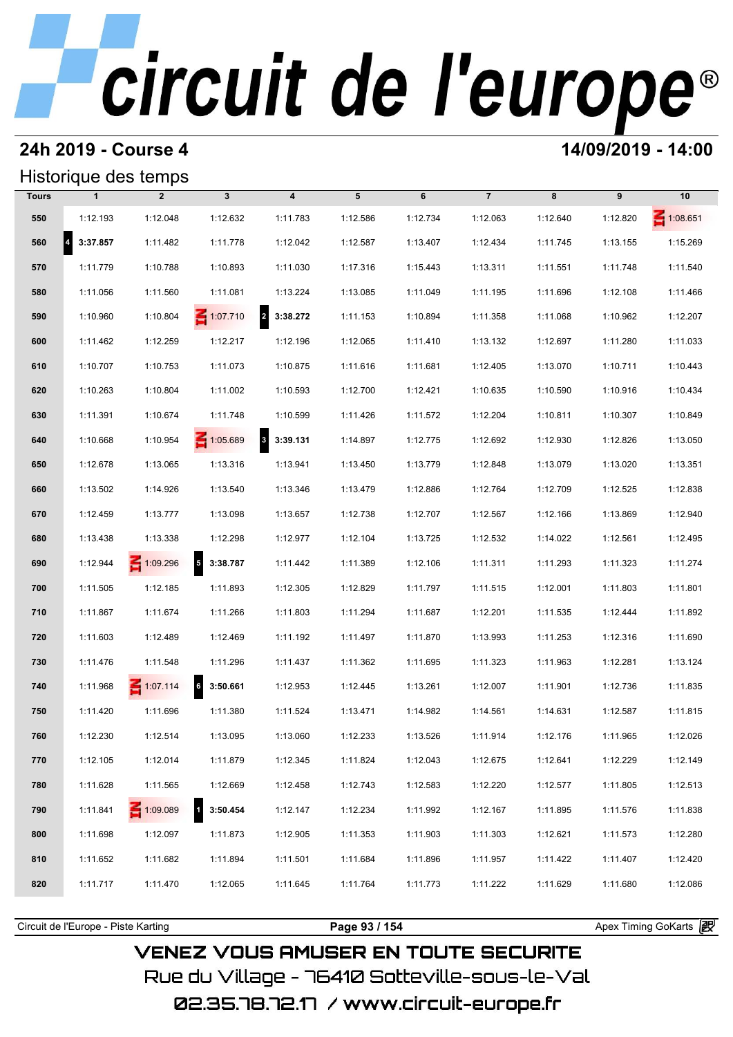## **24h 2019 - Course 4 14/09/2019 - 14:00**

## Historique des temps

|              |               | Historique des temps |                             |                                     |          |          |                |          |          |                 |
|--------------|---------------|----------------------|-----------------------------|-------------------------------------|----------|----------|----------------|----------|----------|-----------------|
| <b>Tours</b> | $\mathbf{1}$  | $\overline{2}$       | $\mathbf{3}$                | $\overline{\mathbf{4}}$             | 5        | 6        | $\overline{7}$ | 8        | 9        | 10              |
| 550          | 1:12.193      | 1:12.048             | 1:12.632                    | 1:11.783                            | 1:12.586 | 1:12.734 | 1:12.063       | 1:12.640 | 1:12.820 | $\leq 1:08.651$ |
| 560          | 4<br>3:37.857 | 1:11.482             | 1:11.778                    | 1:12.042                            | 1:12.587 | 1:13.407 | 1:12.434       | 1:11.745 | 1:13.155 | 1:15.269        |
| 570          | 1:11.779      | 1:10.788             | 1:10.893                    | 1:11.030                            | 1:17.316 | 1:15.443 | 1:13.311       | 1:11.551 | 1:11.748 | 1:11.540        |
| 580          | 1:11.056      | 1:11.560             | 1:11.081                    | 1:13.224                            | 1:13.085 | 1:11.049 | 1:11.195       | 1:11.696 | 1:12.108 | 1:11.466        |
| 590          | 1:10.960      | 1:10.804             | $\leq 1:07.710$             | $\overline{2}$<br>3:38.272          | 1:11.153 | 1:10.894 | 1:11.358       | 1:11.068 | 1:10.962 | 1:12.207        |
| 600          | 1:11.462      | 1:12.259             | 1:12.217                    | 1:12.196                            | 1:12.065 | 1:11.410 | 1:13.132       | 1:12.697 | 1:11.280 | 1:11.033        |
| 610          | 1:10.707      | 1:10.753             | 1:11.073                    | 1:10.875                            | 1:11.616 | 1:11.681 | 1:12.405       | 1:13.070 | 1:10.711 | 1:10.443        |
| 620          | 1:10.263      | 1:10.804             | 1:11.002                    | 1:10.593                            | 1:12.700 | 1:12.421 | 1:10.635       | 1:10.590 | 1:10.916 | 1:10.434        |
| 630          | 1:11.391      | 1:10.674             | 1:11.748                    | 1:10.599                            | 1:11.426 | 1:11.572 | 1:12.204       | 1:10.811 | 1:10.307 | 1:10.849        |
| 640          | 1:10.668      | 1:10.954             | $\leq 1:05.689$             | $\overline{\mathbf{3}}$<br>3:39.131 | 1:14.897 | 1:12.775 | 1:12.692       | 1:12.930 | 1:12.826 | 1:13.050        |
| 650          | 1:12.678      | 1:13.065             | 1:13.316                    | 1:13.941                            | 1:13.450 | 1:13.779 | 1:12.848       | 1:13.079 | 1:13.020 | 1:13.351        |
| 660          | 1:13.502      | 1:14.926             | 1:13.540                    | 1:13.346                            | 1:13.479 | 1:12.886 | 1:12.764       | 1:12.709 | 1:12.525 | 1:12.838        |
| 670          | 1:12.459      | 1:13.777             | 1:13.098                    | 1:13.657                            | 1:12.738 | 1:12.707 | 1:12.567       | 1:12.166 | 1:13.869 | 1:12.940        |
| 680          | 1:13.438      | 1:13.338             | 1:12.298                    | 1:12.977                            | 1:12.104 | 1:13.725 | 1:12.532       | 1:14.022 | 1:12.561 | 1:12.495        |
| 690          | 1:12.944      | $\leq 1:09.296$      | 5 3:38.787                  | 1:11.442                            | 1:11.389 | 1:12.106 | 1:11.311       | 1:11.293 | 1:11.323 | 1:11.274        |
| 700          | 1:11.505      | 1:12.185             | 1:11.893                    | 1:12.305                            | 1:12.829 | 1:11.797 | 1:11.515       | 1:12.001 | 1:11.803 | 1:11.801        |
| 710          | 1:11.867      | 1:11.674             | 1:11.266                    | 1:11.803                            | 1:11.294 | 1:11.687 | 1:12.201       | 1:11.535 | 1:12.444 | 1:11.892        |
| 720          | 1:11.603      | 1:12.489             | 1:12.469                    | 1:11.192                            | 1:11.497 | 1:11.870 | 1:13.993       | 1:11.253 | 1:12.316 | 1:11.690        |
| 730          | 1:11.476      | 1:11.548             | 1:11.296                    | 1:11.437                            | 1:11.362 | 1:11.695 | 1:11.323       | 1:11.963 | 1:12.281 | 1:13.124        |
| 740          | 1:11.968      | $\leq 1:07.114$      | $6\overline{6}$<br>3:50.661 | 1:12.953                            | 1:12.445 | 1:13.261 | 1:12.007       | 1:11.901 | 1:12.736 | 1:11.835        |
| 750          | 1:11.420      | 1:11.696             | 1:11.380                    | 1:11.524                            | 1:13.471 | 1:14.982 | 1:14.561       | 1:14.631 | 1:12.587 | 1:11.815        |
| 760          | 1:12.230      | 1:12.514             | 1:13.095                    | 1:13.060                            | 1:12.233 | 1:13.526 | 1:11.914       | 1:12.176 | 1:11.965 | 1:12.026        |
| 770          | 1:12.105      | 1:12.014             | 1:11.879                    | 1:12.345                            | 1:11.824 | 1:12.043 | 1:12.675       | 1:12.641 | 1:12.229 | 1:12.149        |
| 780          | 1:11.628      | 1:11.565             | 1:12.669                    | 1:12.458                            | 1:12.743 | 1:12.583 | 1:12.220       | 1:12.577 | 1:11.805 | 1:12.513        |
| 790          | 1:11.841      | 1:09.089             | $1 \quad 3:50.454$          | 1:12.147                            | 1:12.234 | 1:11.992 | 1:12.167       | 1:11.895 | 1:11.576 | 1:11.838        |
| 800          | 1:11.698      | 1:12.097             | 1:11.873                    | 1:12.905                            | 1:11.353 | 1:11.903 | 1:11.303       | 1:12.621 | 1:11.573 | 1:12.280        |
| 810          | 1:11.652      | 1:11.682             | 1:11.894                    | 1:11.501                            | 1:11.684 | 1:11.896 | 1:11.957       | 1:11.422 | 1:11.407 | 1:12.420        |
| 820          | 1:11.717      | 1:11.470             | 1:12.065                    | 1:11.645                            | 1:11.764 | 1:11.773 | 1:11.222       | 1:11.629 | 1:11.680 | 1:12.086        |
|              |               |                      |                             |                                     |          |          |                |          |          |                 |

**VENEZ VOUS AMUSER EN TOUTE SECURITE** Rue du Village – 76410 Sotteville-sous-le-Val

Circuit de l'Europe - Piste Karting **Page 93 / 154 Page 93 / 154** Apex Timing GoKarts and Apex Timing Apex Timing Go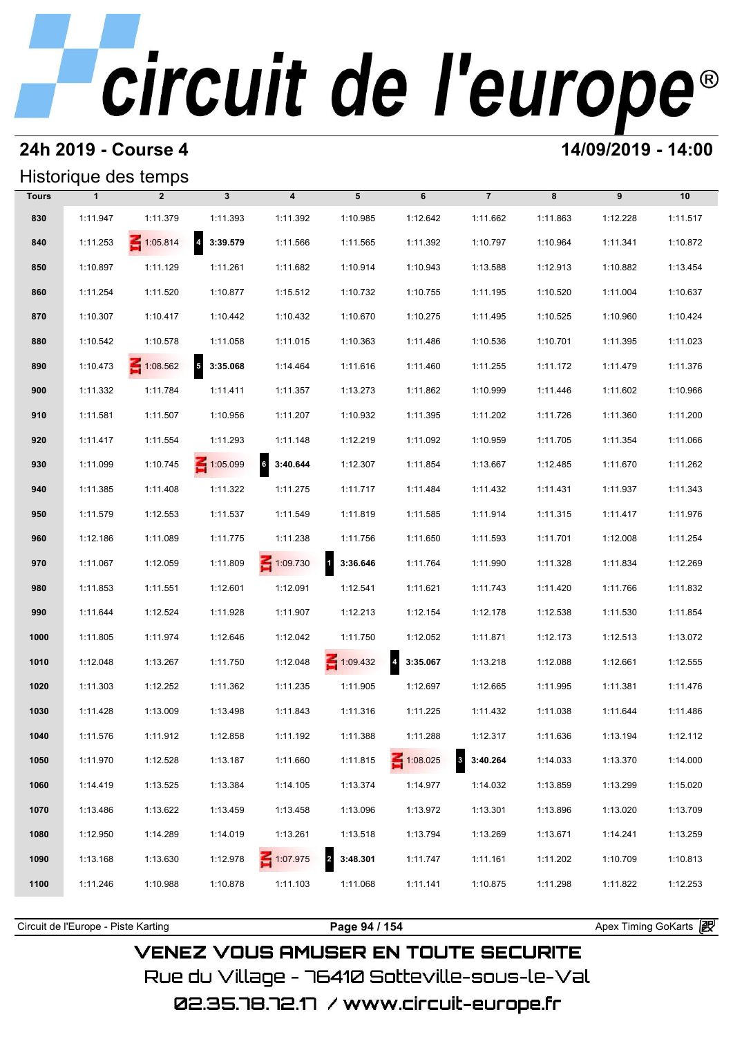## **24h 2019 - Course 4 14/09/2019 - 14:00**

## Historique des temps

|              |              | Historique des temps |                 |                         |                                     |                 |                              |          |          |          |
|--------------|--------------|----------------------|-----------------|-------------------------|-------------------------------------|-----------------|------------------------------|----------|----------|----------|
| <b>Tours</b> | $\mathbf{1}$ | $\overline{2}$       | $\mathbf{3}$    | $\overline{\mathbf{4}}$ | 5                                   | 6               | $\overline{7}$               | 8        | 9        | 10       |
| 830          | 1:11.947     | 1:11.379             | 1:11.393        | 1:11.392                | 1:10.985                            | 1:12.642        | 1:11.662                     | 1:11.863 | 1:12.228 | 1:11.517 |
| 840          | 1:11.253     | $\leq 1:05.814$      | 4 3:39.579      | 1:11.566                | 1:11.565                            | 1:11.392        | 1:10.797                     | 1:10.964 | 1:11.341 | 1:10.872 |
| 850          | 1:10.897     | 1:11.129             | 1:11.261        | 1:11.682                | 1:10.914                            | 1:10.943        | 1:13.588                     | 1:12.913 | 1:10.882 | 1:13.454 |
| 860          | 1:11.254     | 1:11.520             | 1:10.877        | 1:15.512                | 1:10.732                            | 1:10.755        | 1:11.195                     | 1:10.520 | 1:11.004 | 1:10.637 |
| 870          | 1:10.307     | 1:10.417             | 1:10.442        | 1:10.432                | 1:10.670                            | 1:10.275        | 1:11.495                     | 1:10.525 | 1:10.960 | 1:10.424 |
| 880          | 1:10.542     | 1:10.578             | 1:11.058        | 1:11.015                | 1:10.363                            | 1:11.486        | 1:10.536                     | 1:10.701 | 1:11.395 | 1:11.023 |
| 890          | 1:10.473     | $\leq 1:08.562$      | $5$ 3:35.068    | 1:14.464                | 1:11.616                            | 1:11.460        | 1:11.255                     | 1:11.172 | 1:11.479 | 1:11.376 |
| 900          | 1:11.332     | 1:11.784             | 1:11.411        | 1:11.357                | 1:13.273                            | 1:11.862        | 1:10.999                     | 1:11.446 | 1:11.602 | 1:10.966 |
| 910          | 1:11.581     | 1:11.507             | 1:10.956        | 1:11.207                | 1:10.932                            | 1:11.395        | 1:11.202                     | 1:11.726 | 1:11.360 | 1:11.200 |
| 920          | 1:11.417     | 1:11.554             | 1:11.293        | 1:11.148                | 1:12.219                            | 1:11.092        | 1:10.959                     | 1:11.705 | 1:11.354 | 1:11.066 |
| 930          | 1:11.099     | 1:10.745             | $\leq 1:05.099$ | 6<br>3:40.644           | 1:12.307                            | 1:11.854        | 1:13.667                     | 1:12.485 | 1:11.670 | 1:11.262 |
| 940          | 1:11.385     | 1:11.408             | 1:11.322        | 1:11.275                | 1:11.717                            | 1:11.484        | 1:11.432                     | 1:11.431 | 1:11.937 | 1:11.343 |
| 950          | 1:11.579     | 1:12.553             | 1:11.537        | 1:11.549                | 1:11.819                            | 1:11.585        | 1:11.914                     | 1:11.315 | 1:11.417 | 1:11.976 |
| 960          | 1:12.186     | 1:11.089             | 1:11.775        | 1:11.238                | 1:11.756                            | 1:11.650        | 1:11.593                     | 1:11.701 | 1:12.008 | 1:11.254 |
| 970          | 1:11.067     | 1:12.059             | 1:11.809        | $\leq 1:09.730$         | $\mathbf{1}$<br>3:36.646            | 1:11.764        | 1:11.990                     | 1:11.328 | 1:11.834 | 1:12.269 |
| 980          | 1:11.853     | 1:11.551             | 1:12.601        | 1:12.091                | 1:12.541                            | 1:11.621        | 1:11.743                     | 1:11.420 | 1:11.766 | 1:11.832 |
| 990          | 1:11.644     | 1:12.524             | 1:11.928        | 1:11.907                | 1:12.213                            | 1:12.154        | 1:12.178                     | 1:12.538 | 1:11.530 | 1:11.854 |
| 1000         | 1:11.805     | 1:11.974             | 1:12.646        | 1:12.042                | 1:11.750                            | 1:12.052        | 1:11.871                     | 1:12.173 | 1:12.513 | 1:13.072 |
| 1010         | 1:12.048     | 1:13.267             | 1:11.750        | 1:12.048                | 1:09.432                            | 4 3:35.067      | 1:13.218                     | 1:12.088 | 1:12.661 | 1:12.555 |
| 1020         | 1:11.303     | 1:12.252             | 1:11.362        | 1:11.235                | 1:11.905                            | 1:12.697        | 1:12.665                     | 1:11.995 | 1:11.381 | 1:11.476 |
| 1030         | 1:11.428     | 1:13.009             | 1:13.498        | 1:11.843                | 1:11.316                            | 1:11.225        | 1:11.432                     | 1:11.038 | 1:11.644 | 1:11.486 |
| 1040         | 1:11.576     | 1:11.912             | 1:12.858        | 1:11.192                | 1:11.388                            | 1:11.288        | 1:12.317                     | 1:11.636 | 1:13.194 | 1:12.112 |
| 1050         | 1:11.970     | 1:12.528             | 1:13.187        | 1:11.660                | 1:11.815                            | $\leq 1:08.025$ | $\boldsymbol{3}$<br>3:40.264 | 1:14.033 | 1:13.370 | 1:14.000 |
| 1060         | 1:14.419     | 1:13.525             | 1:13.384        | 1:14.105                | 1:13.374                            | 1:14.977        | 1:14.032                     | 1:13.859 | 1:13.299 | 1:15.020 |
| 1070         | 1:13.486     | 1:13.622             | 1:13.459        | 1:13.458                | 1:13.096                            | 1:13.972        | 1:13.301                     | 1:13.896 | 1:13.020 | 1:13.709 |
| 1080         | 1:12.950     | 1:14.289             | 1:14.019        | 1:13.261                | 1:13.518                            | 1:13.794        | 1:13.269                     | 1:13.671 | 1:14.241 | 1:13.259 |
| 1090         | 1:13.168     | 1:13.630             | 1:12.978        | 1:07.975                | 3:48.301<br>$\overline{\mathbf{z}}$ | 1:11.747        | 1:11.161                     | 1:11.202 | 1:10.709 | 1:10.813 |
| 1100         | 1:11.246     | 1:10.988             | 1:10.878        | 1:11.103                | 1:11.068                            | 1:11.141        | 1:10.875                     | 1:11.298 | 1:11.822 | 1:12.253 |
|              |              |                      |                 |                         |                                     |                 |                              |          |          |          |

**VENEZ VOUS AMUSER EN TOUTE SECURITE** Rue du Village – 76410 Sotteville-sous-le-Val

02.35.78.72.17 /www.circuit-europe.fr

Circuit de l'Europe - Piste Karting **Page 94 / 154 Page 94 / 154** Apex Timing GoKarts and Apex Timing Apex Timing Go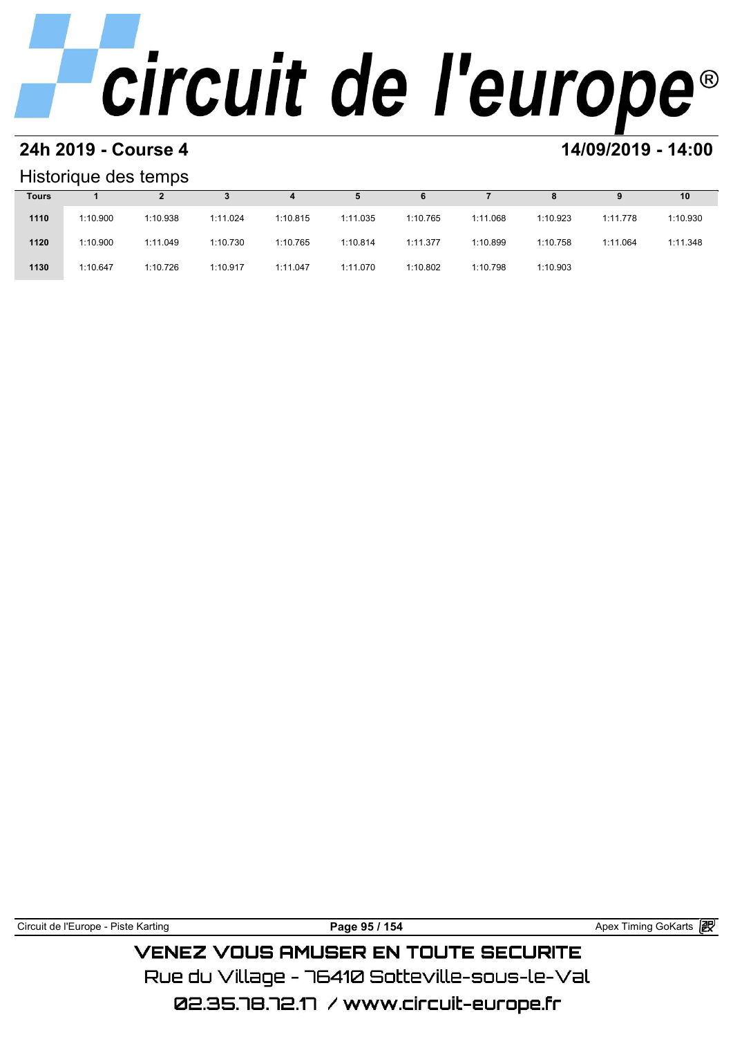### **24h 2019 - Course 4 14/09/2019 - 14:00**

### Historique des temps

| Historique des temps |          |          |          |          |          |          |          |          |          |          |  |  |
|----------------------|----------|----------|----------|----------|----------|----------|----------|----------|----------|----------|--|--|
| <b>Tours</b>         |          |          |          | 4        | 5        | 6        |          | 8        | 9        | 10       |  |  |
| 1110                 | 1:10.900 | 1:10.938 | 1:11.024 | 1:10.815 | 1:11.035 | 1:10.765 | 1:11.068 | 1:10.923 | 1:11.778 | 1:10.930 |  |  |
| 1120                 | 1:10.900 | 1:11.049 | 1:10.730 | 1:10.765 | 1:10.814 | 1:11.377 | 1:10.899 | 1:10.758 | 1:11.064 | 1:11.348 |  |  |
| 1130                 | 1:10.647 | 1:10.726 | 1:10.917 | 1:11.047 | 1:11.070 | 1:10.802 | 1:10.798 | 1:10.903 |          |          |  |  |

Circuit de l'Europe - Piste Karting **Page 95 / 154 Page 95 / 154** Apex Timing GoKarts **in Page 95 / 154 VENEZ VOUS AMUSER EN TOUTE SECURITE** 

Rue du Village – 76410 Sotteville-sous-le-Val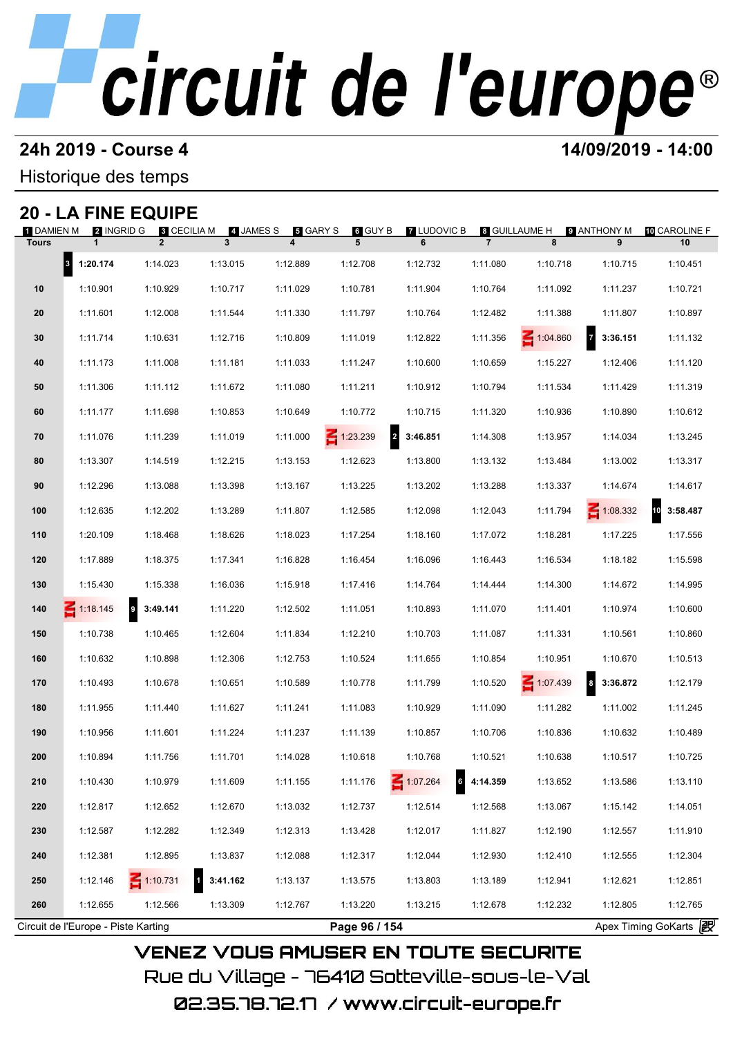## **24h 2019 - Course 4 14/09/2019 - 14:00**

Historique des temps

## **20 - LA FINE EQUIPE**

| 1 DAMIEN M<br><b>Tours</b> | <b>2</b> INGRID G<br>$\mathbf{1}$ | <b>8 CECILIA M</b><br>$\overline{2}$ | 4 JAMES S<br>$\mathbf{3}$ | $\,$ GARY S<br>$\overline{\mathbf{4}}$ | 6 GUY B<br>5                      | <b>7 LUDOVIC B</b><br>6 | $\overline{7}$ | 8 GUILLAUME H<br>8 | 9 ANTHONY M<br>9                    | 10 CAROLINE F<br>10 |
|----------------------------|-----------------------------------|--------------------------------------|---------------------------|----------------------------------------|-----------------------------------|-------------------------|----------------|--------------------|-------------------------------------|---------------------|
|                            | 3 1:20.174                        | 1:14.023                             | 1:13.015                  | 1:12.889                               | 1:12.708                          | 1:12.732                | 1:11.080       | 1:10.718           | 1:10.715                            | 1:10.451            |
| 10                         | 1:10.901                          | 1:10.929                             | 1:10.717                  | 1:11.029                               | 1:10.781                          | 1:11.904                | 1:10.764       | 1:11.092           | 1:11.237                            | 1:10.721            |
| 20                         | 1:11.601                          | 1:12.008                             | 1:11.544                  | 1:11.330                               | 1:11.797                          | 1:10.764                | 1:12.482       | 1:11.388           | 1:11.807                            | 1:10.897            |
| 30                         | 1:11.714                          | 1:10.631                             | 1:12.716                  | 1:10.809                               | 1:11.019                          | 1:12.822                | 1:11.356       | 1:04.860           | 7 3:36.151                          | 1:11.132            |
| 40                         | 1:11.173                          | 1:11.008                             | 1:11.181                  | 1:11.033                               | 1:11.247                          | 1:10.600                | 1:10.659       | 1:15.227           | 1:12.406                            | 1:11.120            |
| 50                         | 1:11.306                          | 1:11.112                             | 1:11.672                  | 1:11.080                               | 1:11.211                          | 1:10.912                | 1:10.794       | 1:11.534           | 1:11.429                            | 1:11.319            |
| 60                         | 1:11.177                          | 1:11.698                             | 1:10.853                  | 1:10.649                               | 1:10.772                          | 1:10.715                | 1:11.320       | 1:10.936           | 1:10.890                            | 1:10.612            |
| 70                         | 1:11.076                          | 1:11.239                             | 1:11.019                  | 1:11.000                               | $\overline{2}$<br>$\leq 1:23.239$ | 3:46.851                | 1:14.308       | 1:13.957           | 1:14.034                            | 1:13.245            |
| 80                         | 1:13.307                          | 1:14.519                             | 1:12.215                  | 1:13.153                               | 1:12.623                          | 1:13.800                | 1:13.132       | 1:13.484           | 1:13.002                            | 1:13.317            |
| 90                         | 1:12.296                          | 1:13.088                             | 1:13.398                  | 1:13.167                               | 1:13.225                          | 1:13.202                | 1:13.288       | 1:13.337           | 1:14.674                            | 1:14.617            |
| 100                        | 1:12.635                          | 1:12.202                             | 1:13.289                  | 1:11.807                               | 1:12.585                          | 1:12.098                | 1:12.043       | 1:11.794           | $\leq 1:08.332$                     | 10<br>3:58.487      |
| 110                        | 1:20.109                          | 1:18.468                             | 1:18.626                  | 1:18.023                               | 1:17.254                          | 1:18.160                | 1:17.072       | 1:18.281           | 1:17.225                            | 1:17.556            |
| 120                        | 1:17.889                          | 1:18.375                             | 1:17.341                  | 1:16.828                               | 1:16.454                          | 1:16.096                | 1:16.443       | 1:16.534           | 1:18.182                            | 1:15.598            |
| 130                        | 1:15.430                          | 1:15.338                             | 1:16.036                  | 1:15.918                               | 1:17.416                          | 1:14.764                | 1:14.444       | 1:14.300           | 1:14.672                            | 1:14.995            |
| 140                        | $-1:18.145$                       | $\overline{9}$<br>3:49.141           | 1:11.220                  | 1:12.502                               | 1:11.051                          | 1:10.893                | 1:11.070       | 1:11.401           | 1:10.974                            | 1:10.600            |
| 150                        | 1:10.738                          | 1:10.465                             | 1:12.604                  | 1:11.834                               | 1:12.210                          | 1:10.703                | 1:11.087       | 1:11.331           | 1:10.561                            | 1:10.860            |
| 160                        | 1:10.632                          | 1:10.898                             | 1:12.306                  | 1:12.753                               | 1:10.524                          | 1:11.655                | 1:10.854       | 1:10.951           | 1:10.670                            | 1:10.513            |
| 170                        | 1:10.493                          | 1:10.678                             | 1:10.651                  | 1:10.589                               | 1:10.778                          | 1:11.799                | 1:10.520       | $-1:07.439$        | $\overline{\mathbf{8}}$<br>3:36.872 | 1:12.179            |
| 180                        | 1:11.955                          | 1:11.440                             | 1:11.627                  | 1:11.241                               | 1:11.083                          | 1:10.929                | 1:11.090       | 1:11.282           | 1:11.002                            | 1:11.245            |
| 190                        | 1:10.956                          | 1:11.601                             | 1:11.224                  | 1:11.237                               | 1:11.139                          | 1:10.857                | 1:10.706       | 1:10.836           | 1:10.632                            | 1:10.489            |
| 200                        | 1:10.894                          | 1:11.756                             | 1:11.701                  | 1:14.028                               | 1:10.618                          | 1:10.768                | 1:10.521       | 1:10.638           | 1:10.517                            | 1:10.725            |
| 210                        | 1:10.430                          | 1:10.979                             | 1:11.609                  | 1:11.155                               | 1:11.176                          | 1:07.264                | 4:14.359       | 1:13.652           | 1:13.586                            | 1:13.110            |
| 220                        | 1:12.817                          | 1:12.652                             | 1:12.670                  | 1:13.032                               | 1:12.737                          | 1:12.514                | 1:12.568       | 1:13.067           | 1:15.142                            | 1:14.051            |
| 230                        | 1:12.587                          | 1:12.282                             | 1:12.349                  | 1:12.313                               | 1:13.428                          | 1:12.017                | 1:11.827       | 1:12.190           | 1:12.557                            | 1:11.910            |
| 240                        | 1:12.381                          | 1:12.895                             | 1:13.837                  | 1:12.088                               | 1:12.317                          | 1:12.044                | 1:12.930       | 1:12.410           | 1:12.555                            | 1:12.304            |
| 250                        | 1:12.146                          | $\leq 1:10.731$                      | $\mathbf{1}$<br>3:41.162  | 1:13.137                               | 1:13.575                          | 1:13.803                | 1:13.189       | 1:12.941           | 1:12.621                            | 1:12.851            |
| 260                        | 1:12.655                          | 1:12.566                             | 1:13.309                  | 1:12.767                               | 1:13.220                          | 1:13.215                | 1:12.678       | 1:12.232           | 1:12.805                            | 1:12.765            |

02.35.78.72.17 / www.circuit-europe.fr

Rue du Village – 76410 Sotteville–sous–le–Val

**VENEZ VOUS AMUSER EN TOUTE SECURITE**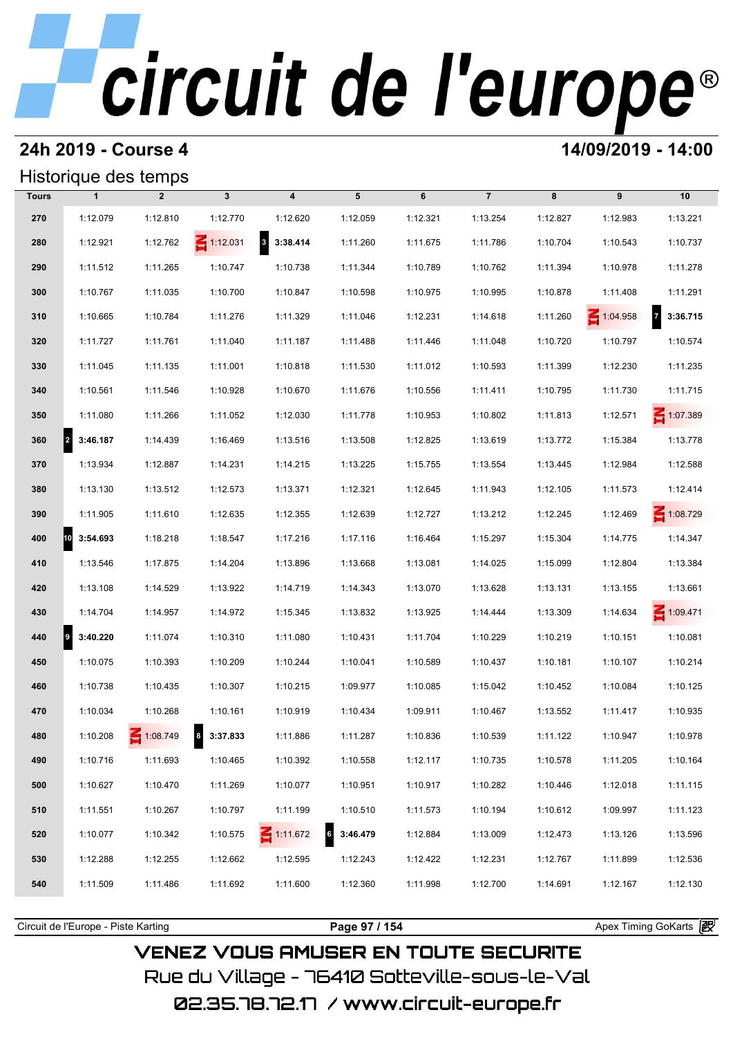## **24h 2019 - Course 4 14/09/2019 - 14:00**

## Historique des temps

|              | Historique des temps             |                |                 |                                     |               |          |                |          |          |                            |
|--------------|----------------------------------|----------------|-----------------|-------------------------------------|---------------|----------|----------------|----------|----------|----------------------------|
| <b>Tours</b> | $\mathbf{1}$                     | $\overline{2}$ | $\mathbf{3}$    | $\overline{\mathbf{4}}$             | 5             | 6        | $\overline{7}$ | 8        | 9        | 10                         |
| 270          | 1:12.079                         | 1:12.810       | 1:12.770        | 1:12.620                            | 1:12.059      | 1:12.321 | 1:13.254       | 1:12.827 | 1:12.983 | 1:13.221                   |
| 280          | 1:12.921                         | 1:12.762       | $\leq 1:12.031$ | $\overline{\mathbf{3}}$<br>3:38.414 | 1:11.260      | 1:11.675 | 1:11.786       | 1:10.704 | 1:10.543 | 1:10.737                   |
| 290          | 1:11.512                         | 1:11.265       | 1:10.747        | 1:10.738                            | 1:11.344      | 1:10.789 | 1:10.762       | 1:11.394 | 1:10.978 | 1:11.278                   |
| 300          | 1:10.767                         | 1:11.035       | 1:10.700        | 1:10.847                            | 1:10.598      | 1:10.975 | 1:10.995       | 1:10.878 | 1:11.408 | 1:11.291                   |
| 310          | 1:10.665                         | 1:10.784       | 1:11.276        | 1:11.329                            | 1:11.046      | 1:12.231 | 1:14.618       | 1:11.260 | 1:04.958 | $\overline{z}$<br>3:36.715 |
| 320          | 1:11.727                         | 1:11.761       | 1:11.040        | 1:11.187                            | 1:11.488      | 1:11.446 | 1:11.048       | 1:10.720 | 1:10.797 | 1:10.574                   |
| 330          | 1:11.045                         | 1:11.135       | 1:11.001        | 1:10.818                            | 1:11.530      | 1:11.012 | 1:10.593       | 1:11.399 | 1:12.230 | 1:11.235                   |
| 340          | 1:10.561                         | 1:11.546       | 1:10.928        | 1:10.670                            | 1:11.676      | 1:10.556 | 1:11.411       | 1:10.795 | 1:11.730 | 1:11.715                   |
| 350          | 1:11.080                         | 1:11.266       | 1:11.052        | 1:12.030                            | 1:11.778      | 1:10.953 | 1:10.802       | 1:11.813 | 1:12.571 | 1:07.389                   |
| 360          | $\vert$ <sup>2</sup><br>3:46.187 | 1:14.439       | 1:16.469        | 1:13.516                            | 1:13.508      | 1:12.825 | 1:13.619       | 1:13.772 | 1:15.384 | 1:13.778                   |
| 370          | 1:13.934                         | 1:12.887       | 1:14.231        | 1:14.215                            | 1:13.225      | 1:15.755 | 1:13.554       | 1:13.445 | 1:12.984 | 1:12.588                   |
| 380          | 1:13.130                         | 1:13.512       | 1:12.573        | 1:13.371                            | 1:12.321      | 1:12.645 | 1:11.943       | 1:12.105 | 1:11.573 | 1:12.414                   |
| 390          | 1:11.905                         | 1:11.610       | 1:12.635        | 1:12.355                            | 1:12.639      | 1:12.727 | 1:13.212       | 1:12.245 | 1:12.469 | $\leq 1:08.729$            |
| 400          | 10<br>3:54.693                   | 1:18.218       | 1:18.547        | 1:17.216                            | 1:17.116      | 1:16.464 | 1:15.297       | 1:15.304 | 1:14.775 | 1:14.347                   |
| 410          | 1:13.546                         | 1:17.875       | 1:14.204        | 1:13.896                            | 1:13.668      | 1:13.081 | 1:14.025       | 1:15.099 | 1:12.804 | 1:13.384                   |
| 420          | 1:13.108                         | 1:14.529       | 1:13.922        | 1:14.719                            | 1:14.343      | 1:13.070 | 1:13.628       | 1:13.131 | 1:13.155 | 1:13.661                   |
| 430          | 1:14.704                         | 1:14.957       | 1:14.972        | 1:15.345                            | 1:13.832      | 1:13.925 | 1:14.444       | 1:13.309 | 1:14.634 | 1:09.471                   |
| 440          | 3:40.220<br>9                    | 1:11.074       | 1:10.310        | 1:11.080                            | 1:10.431      | 1:11.704 | 1:10.229       | 1:10.219 | 1:10.151 | 1:10.081                   |
| 450          | 1:10.075                         | 1:10.393       | 1:10.209        | 1:10.244                            | 1:10.041      | 1:10.589 | 1:10.437       | 1:10.181 | 1:10.107 | 1:10.214                   |
| 460          | 1:10.738                         | 1:10.435       | 1:10.307        | 1:10.215                            | 1:09.977      | 1:10.085 | 1:15.042       | 1:10.452 | 1:10.084 | 1:10.125                   |
| 470          | 1:10.034                         | 1:10.268       | 1:10.161        | 1:10.919                            | 1:10.434      | 1:09.911 | 1:10.467       | 1:13.552 | 1:11.417 | 1:10.935                   |
| 480          | 1:10.208                         | 1:08.749       | 8 3:37.833      | 1:11.886                            | 1:11.287      | 1:10.836 | 1:10.539       | 1:11.122 | 1:10.947 | 1:10.978                   |
| 490          | 1:10.716                         | 1:11.693       | 1:10.465        | 1:10.392                            | 1:10.558      | 1:12.117 | 1:10.735       | 1:10.578 | 1:11.205 | 1:10.164                   |
| 500          | 1:10.627                         | 1:10.470       | 1:11.269        | 1:10.077                            | 1:10.951      | 1:10.917 | 1:10.282       | 1:10.446 | 1:12.018 | 1:11.115                   |
| 510          | 1:11.551                         | 1:10.267       | 1:10.797        | 1:11.199                            | 1:10.510      | 1:11.573 | 1:10.194       | 1:10.612 | 1:09.997 | 1:11.123                   |
| 520          | 1:10.077                         | 1:10.342       | 1:10.575        | $\leq 1:11.672$                     | 6<br>3:46.479 | 1:12.884 | 1:13.009       | 1:12.473 | 1:13.126 | 1:13.596                   |
| 530          | 1:12.288                         | 1:12.255       | 1:12.662        | 1:12.595                            | 1:12.243      | 1:12.422 | 1:12.231       | 1:12.767 | 1:11.899 | 1:12.536                   |
| 540          | 1:11.509                         | 1:11.486       | 1:11.692        | 1:11.600                            | 1:12.360      | 1:11.998 | 1:12.700       | 1:14.691 | 1:12.167 | 1:12.130                   |
|              |                                  |                |                 |                                     |               |          |                |          |          |                            |

Circuit de l'Europe - Piste Karting **Page 97 / 154 Page 97 / 154** Apex Timing GoKarts and Apex Timing Apex Timing Go

**VENEZ VOUS AMUSER EN TOUTE SECURITE** Rue du Village – 76410 Sotteville-sous-le-Val 02.35.78.72.17 /www.circuit-europe.fr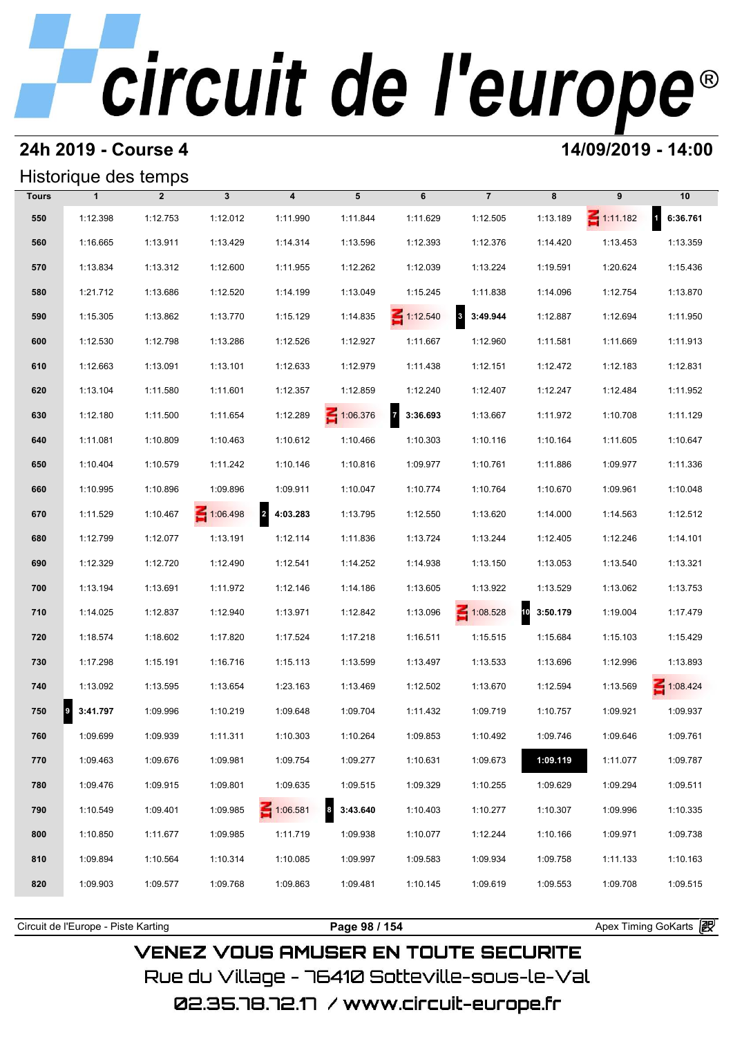### **24h 2019 - Course 4 14/09/2019 - 14:00**

### Historique des temps

|              | Historique des temps |                |              |                         |                 |                            |                                     |                |                 |                 |
|--------------|----------------------|----------------|--------------|-------------------------|-----------------|----------------------------|-------------------------------------|----------------|-----------------|-----------------|
| <b>Tours</b> | $\mathbf{1}$         | $\overline{2}$ | $\mathbf{3}$ | $\overline{\mathbf{4}}$ | 5               | 6                          | $\overline{7}$                      | 8              | 9               | 10              |
| 550          | 1:12.398             | 1:12.753       | 1:12.012     | 1:11.990                | 1:11.844        | 1:11.629                   | 1:12.505                            | 1:13.189       | $\leq 1:11.182$ | 1 6:36.761      |
| 560          | 1:16.665             | 1:13.911       | 1:13.429     | 1:14.314                | 1:13.596        | 1:12.393                   | 1:12.376                            | 1:14.420       | 1:13.453        | 1:13.359        |
| 570          | 1:13.834             | 1:13.312       | 1:12.600     | 1:11.955                | 1:12.262        | 1:12.039                   | 1:13.224                            | 1:19.591       | 1:20.624        | 1:15.436        |
| 580          | 1:21.712             | 1:13.686       | 1:12.520     | 1:14.199                | 1:13.049        | 1:15.245                   | 1:11.838                            | 1:14.096       | 1:12.754        | 1:13.870        |
| 590          | 1:15.305             | 1:13.862       | 1:13.770     | 1:15.129                | 1:14.835        | $\leq 1:12.540$            | $\overline{\mathbf{3}}$<br>3:49.944 | 1:12.887       | 1:12.694        | 1:11.950        |
| 600          | 1:12.530             | 1:12.798       | 1:13.286     | 1:12.526                | 1:12.927        | 1:11.667                   | 1:12.960                            | 1:11.581       | 1:11.669        | 1:11.913        |
| 610          | 1:12.663             | 1:13.091       | 1:13.101     | 1:12.633                | 1:12.979        | 1:11.438                   | 1:12.151                            | 1:12.472       | 1:12.183        | 1:12.831        |
| 620          | 1:13.104             | 1:11.580       | 1:11.601     | 1:12.357                | 1:12.859        | 1:12.240                   | 1:12.407                            | 1:12.247       | 1:12.484        | 1:11.952        |
| 630          | 1:12.180             | 1:11.500       | 1:11.654     | 1:12.289                | $\leq 1:06.376$ | $\overline{7}$<br>3:36.693 | 1:13.667                            | 1:11.972       | 1:10.708        | 1:11.129        |
| 640          | 1:11.081             | 1:10.809       | 1:10.463     | 1:10.612                | 1:10.466        | 1:10.303                   | 1:10.116                            | 1:10.164       | 1:11.605        | 1:10.647        |
| 650          | 1:10.404             | 1:10.579       | 1:11.242     | 1:10.146                | 1:10.816        | 1:09.977                   | 1:10.761                            | 1:11.886       | 1:09.977        | 1:11.336        |
| 660          | 1:10.995             | 1:10.896       | 1:09.896     | 1:09.911                | 1:10.047        | 1:10.774                   | 1:10.764                            | 1:10.670       | 1:09.961        | 1:10.048        |
| 670          | 1:11.529             | 1:10.467       | 1:06.498     | 2 4:03.283              | 1:13.795        | 1:12.550                   | 1:13.620                            | 1:14.000       | 1:14.563        | 1:12.512        |
| 680          | 1:12.799             | 1:12.077       | 1:13.191     | 1:12.114                | 1:11.836        | 1:13.724                   | 1:13.244                            | 1:12.405       | 1:12.246        | 1:14.101        |
| 690          | 1:12.329             | 1:12.720       | 1:12.490     | 1:12.541                | 1:14.252        | 1:14.938                   | 1:13.150                            | 1:13.053       | 1:13.540        | 1:13.321        |
| 700          | 1:13.194             | 1:13.691       | 1:11.972     | 1:12.146                | 1:14.186        | 1:13.605                   | 1:13.922                            | 1:13.529       | 1:13.062        | 1:13.753        |
| 710          | 1:14.025             | 1:12.837       | 1:12.940     | 1:13.971                | 1:12.842        | 1:13.096                   | $\leq 1:08.528$                     | 10<br>3:50.179 | 1:19.004        | 1:17.479        |
| 720          | 1:18.574             | 1:18.602       | 1:17.820     | 1:17.524                | 1:17.218        | 1:16.511                   | 1:15.515                            | 1:15.684       | 1:15.103        | 1:15.429        |
| 730          | 1:17.298             | 1:15.191       | 1:16.716     | 1:15.113                | 1:13.599        | 1:13.497                   | 1:13.533                            | 1:13.696       | 1:12.996        | 1:13.893        |
| 740          | 1:13.092             | 1:13.595       | 1:13.654     | 1:23.163                | 1:13.469        | 1:12.502                   | 1:13.670                            | 1:12.594       | 1:13.569        | $\leq 1:08.424$ |
| 750          | 3:41.797<br>9        | 1:09.996       | 1:10.219     | 1:09.648                | 1:09.704        | 1:11.432                   | 1:09.719                            | 1:10.757       | 1:09.921        | 1:09.937        |
| 760          | 1:09.699             | 1:09.939       | 1:11.311     | 1:10.303                | 1:10.264        | 1:09.853                   | 1:10.492                            | 1:09.746       | 1:09.646        | 1:09.761        |
| 770          | 1:09.463             | 1:09.676       | 1:09.981     | 1:09.754                | 1:09.277        | 1:10.631                   | 1:09.673                            | 1:09.119       | 1:11.077        | 1:09.787        |
| 780          | 1:09.476             | 1:09.915       | 1:09.801     | 1:09.635                | 1:09.515        | 1:09.329                   | 1:10.255                            | 1:09.629       | 1:09.294        | 1:09.511        |
| 790          | 1:10.549             | 1:09.401       | 1:09.985     | $\leq 1:06.581$         | 3:43.640        | 1:10.403                   | 1:10.277                            | 1:10.307       | 1:09.996        | 1:10.335        |
| 800          | 1:10.850             | 1:11.677       | 1:09.985     | 1:11.719                | 1:09.938        | 1:10.077                   | 1:12.244                            | 1:10.166       | 1:09.971        | 1:09.738        |
| 810          | 1:09.894             | 1:10.564       | 1:10.314     | 1:10.085                | 1:09.997        | 1:09.583                   | 1:09.934                            | 1:09.758       | 1:11.133        | 1:10.163        |
| 820          | 1:09.903             | 1:09.577       | 1:09.768     | 1:09.863                | 1:09.481        | 1:10.145                   | 1:09.619                            | 1:09.553       | 1:09.708        | 1:09.515        |
|              |                      |                |              |                         |                 |                            |                                     |                |                 |                 |

**VENEZ VOUS AMUSER EN TOUTE SECURITE** Rue du Village – 76410 Sotteville-sous-le-Val

02.35.78.72.17 /www.circuit-europe.fr

Circuit de l'Europe - Piste Karting **Page 98 / 154 Page 98 / 154** Apex Timing GoKarts and Apex Timing Apex Timing Go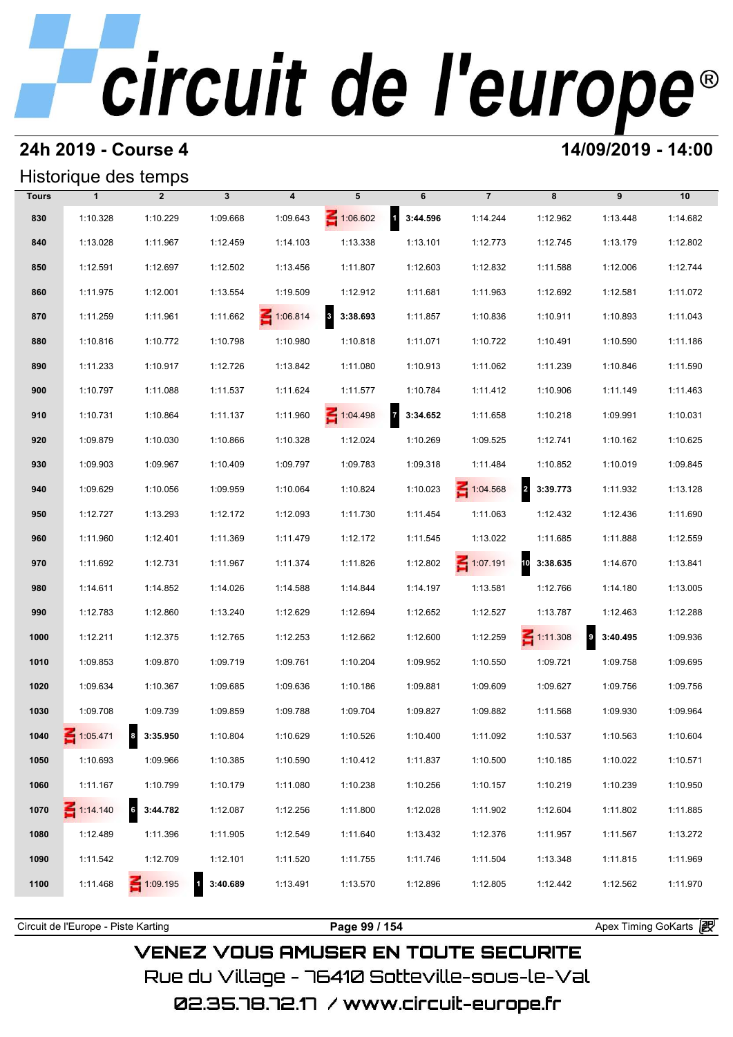### **24h 2019 - Course 4 14/09/2019 - 14:00**

### Historique des temps

|              |                 | Historique des temps |              |                         |                                     |                            |                 |                 |                              |          |
|--------------|-----------------|----------------------|--------------|-------------------------|-------------------------------------|----------------------------|-----------------|-----------------|------------------------------|----------|
| <b>Tours</b> | $\mathbf{1}$    | $\overline{2}$       | $\mathbf{3}$ | $\overline{\mathbf{4}}$ | 5                                   | 6                          | $\overline{7}$  | 8               | 9                            | 10       |
| 830          | 1:10.328        | 1:10.229             | 1:09.668     | 1:09.643                | $\leq 1:06.602$                     | $1 \quad 3:44.596$         | 1:14.244        | 1:12.962        | 1:13.448                     | 1:14.682 |
| 840          | 1:13.028        | 1:11.967             | 1:12.459     | 1:14.103                | 1:13.338                            | 1:13.101                   | 1:12.773        | 1:12.745        | 1:13.179                     | 1:12.802 |
| 850          | 1:12.591        | 1:12.697             | 1:12.502     | 1:13.456                | 1:11.807                            | 1:12.603                   | 1:12.832        | 1:11.588        | 1:12.006                     | 1:12.744 |
| 860          | 1:11.975        | 1:12.001             | 1:13.554     | 1:19.509                | 1:12.912                            | 1:11.681                   | 1:11.963        | 1:12.692        | 1:12.581                     | 1:11.072 |
| 870          | 1:11.259        | 1:11.961             | 1:11.662     | $\leq 1:06.814$         | $\overline{\mathbf{3}}$<br>3:38.693 | 1:11.857                   | 1:10.836        | 1:10.911        | 1:10.893                     | 1:11.043 |
| 880          | 1:10.816        | 1:10.772             | 1:10.798     | 1:10.980                | 1:10.818                            | 1:11.071                   | 1:10.722        | 1:10.491        | 1:10.590                     | 1:11.186 |
| 890          | 1:11.233        | 1:10.917             | 1:12.726     | 1:13.842                | 1:11.080                            | 1:10.913                   | 1:11.062        | 1:11.239        | 1:10.846                     | 1:11.590 |
| 900          | 1:10.797        | 1:11.088             | 1:11.537     | 1:11.624                | 1:11.577                            | 1:10.784                   | 1:11.412        | 1:10.906        | 1:11.149                     | 1:11.463 |
| 910          | 1:10.731        | 1:10.864             | 1:11.137     | 1:11.960                | 1:04.498                            | $\overline{z}$<br>3:34.652 | 1:11.658        | 1:10.218        | 1:09.991                     | 1:10.031 |
| 920          | 1:09.879        | 1:10.030             | 1:10.866     | 1:10.328                | 1:12.024                            | 1:10.269                   | 1:09.525        | 1:12.741        | 1:10.162                     | 1:10.625 |
| 930          | 1:09.903        | 1:09.967             | 1:10.409     | 1:09.797                | 1:09.783                            | 1:09.318                   | 1:11.484        | 1:10.852        | 1:10.019                     | 1:09.845 |
| 940          | 1:09.629        | 1:10.056             | 1:09.959     | 1:10.064                | 1:10.824                            | 1:10.023                   | $\leq 1:04.568$ | 2 3:39.773      | 1:11.932                     | 1:13.128 |
| 950          | 1:12.727        | 1:13.293             | 1:12.172     | 1:12.093                | 1:11.730                            | 1:11.454                   | 1:11.063        | 1:12.432        | 1:12.436                     | 1:11.690 |
| 960          | 1:11.960        | 1:12.401             | 1:11.369     | 1:11.479                | 1:12.172                            | 1:11.545                   | 1:13.022        | 1:11.685        | 1:11.888                     | 1:12.559 |
| 970          | 1:11.692        | 1:12.731             | 1:11.967     | 1:11.374                | 1:11.826                            | 1:12.802                   | $\leq 1:07.191$ | 10 3:38.635     | 1:14.670                     | 1:13.841 |
| 980          | 1:14.611        | 1:14.852             | 1:14.026     | 1:14.588                | 1:14.844                            | 1:14.197                   | 1:13.581        | 1:12.766        | 1:14.180                     | 1:13.005 |
| 990          | 1:12.783        | 1:12.860             | 1:13.240     | 1:12.629                | 1:12.694                            | 1:12.652                   | 1:12.527        | 1:13.787        | 1:12.463                     | 1:12.288 |
| 1000         | 1:12.211        | 1:12.375             | 1:12.765     | 1:12.253                | 1:12.662                            | 1:12.600                   | 1:12.259        | $\leq 1:11.308$ | $\boldsymbol{9}$<br>3:40.495 | 1:09.936 |
| 1010         | 1:09.853        | 1:09.870             | 1:09.719     | 1:09.761                | 1:10.204                            | 1:09.952                   | 1:10.550        | 1:09.721        | 1:09.758                     | 1:09.695 |
| 1020         | 1:09.634        | 1:10.367             | 1:09.685     | 1:09.636                | 1:10.186                            | 1:09.881                   | 1:09.609        | 1:09.627        | 1:09.756                     | 1:09.756 |
| 1030         | 1:09.708        | 1:09.739             | 1:09.859     | 1:09.788                | 1:09.704                            | 1:09.827                   | 1:09.882        | 1:11.568        | 1:09.930                     | 1:09.964 |
| 1040         | 1:05.471        | 8 3:35.950           | 1:10.804     | 1:10.629                | 1:10.526                            | 1:10.400                   | 1:11.092        | 1:10.537        | 1:10.563                     | 1:10.604 |
| 1050         | 1:10.693        | 1:09.966             | 1:10.385     | 1:10.590                | 1:10.412                            | 1:11.837                   | 1:10.500        | 1:10.185        | 1:10.022                     | 1:10.571 |
| 1060         | 1:11.167        | 1:10.799             | 1:10.179     | 1:11.080                | 1:10.238                            | 1:10.256                   | 1:10.157        | 1:10.219        | 1:10.239                     | 1:10.950 |
| 1070         | $\leq 1:14.140$ | 3:44.782             | 1:12.087     | 1:12.256                | 1:11.800                            | 1:12.028                   | 1:11.902        | 1:12.604        | 1:11.802                     | 1:11.885 |
| 1080         | 1:12.489        | 1:11.396             | 1:11.905     | 1:12.549                | 1:11.640                            | 1:13.432                   | 1:12.376        | 1:11.957        | 1:11.567                     | 1:13.272 |
| 1090         | 1:11.542        | 1:12.709             | 1:12.101     | 1:11.520                | 1:11.755                            | 1:11.746                   | 1:11.504        | 1:13.348        | 1:11.815                     | 1:11.969 |
| 1100         | 1:11.468        | $\leq 1:09.195$      | 1 3:40.689   | 1:13.491                | 1:13.570                            | 1:12.896                   | 1:12.805        | 1:12.442        | 1:12.562                     | 1:11.970 |
|              |                 |                      |              |                         |                                     |                            |                 |                 |                              |          |

**VENEZ VOUS AMUSER EN TOUTE SECURITE** Rue du Village – 76410 Sotteville-sous-le-Val 02.35.78.72.17 /www.circuit-europe.fr

Circuit de l'Europe - Piste Karting **Page 99 / 154 Page 99 / 154** Apex Timing GoKarts and Apex Timing Apex Timing Go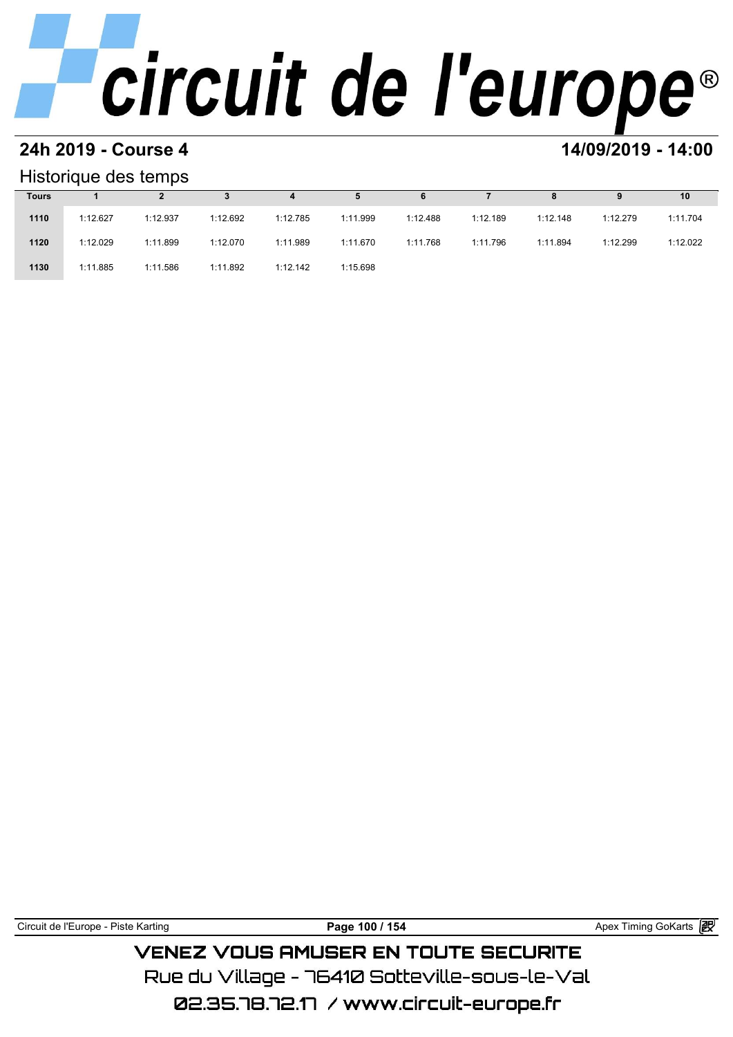# **24h 2019 - Course 4 12000 12000 14/09/2019 - 14:00**

### Historique des temps

| Historique des temps |          |          |          |          |          |          |          |          |          |          |  |
|----------------------|----------|----------|----------|----------|----------|----------|----------|----------|----------|----------|--|
| <b>Tours</b>         |          |          |          | 4        | 5        | 6        |          | 8        | 9        | 10       |  |
| 1110                 | 1:12.627 | 1:12.937 | 1:12.692 | 1:12.785 | 1:11.999 | 1:12.488 | 1:12.189 | 1:12.148 | 1:12.279 | 1:11.704 |  |
| 1120                 | 1:12.029 | 1:11.899 | 1:12.070 | 1:11.989 | 1:11.670 | 1:11.768 | 1:11.796 | 1:11.894 | 1:12.299 | 1:12.022 |  |
| 1130                 | 1:11.885 | 1:11.586 | 1:11.892 | 1:12.142 | 1:15.698 |          |          |          |          |          |  |

| Circuit de l'Europe - Piste Karting | Page 100 / 154 |
|-------------------------------------|----------------|
|                                     |                |

Apex Timing GoKarts **<sub>P</sub>p** 

## VENEZ VOUS AMUSER EN TOUTE SECURITE Rue du Village – 76410 Sotteville-sous-le-Val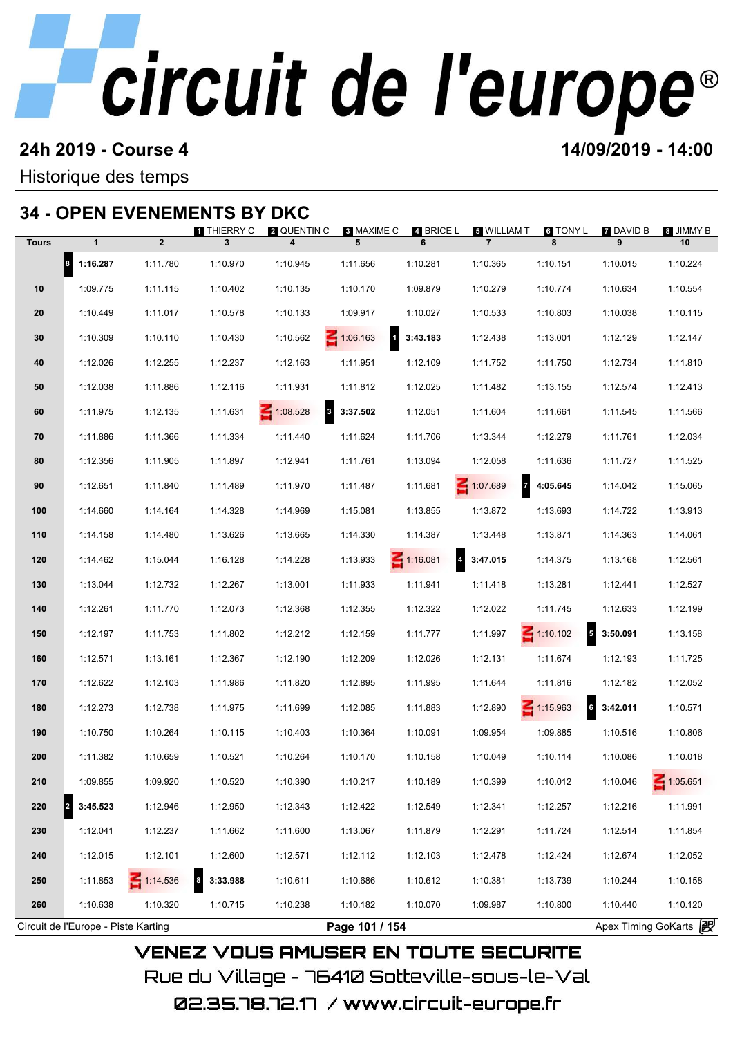### **24h 2019 - Course 4 14/09/2019 - 14:00**

## Historique des temps

## **34 - OPEN EVENEMENTS BY DKC**

|              |              |                 | <b>1</b> THIERRY C           | <b>2</b> QUENTIN C | 8 MAXIME C        | 4 BRICE L                         | 5 WILLIAM T                       | 6 TONY L        | <b>7</b> DAVID B  | 8 JIMMY B       |
|--------------|--------------|-----------------|------------------------------|--------------------|-------------------|-----------------------------------|-----------------------------------|-----------------|-------------------|-----------------|
| <b>Tours</b> | $\mathbf{1}$ | $\overline{2}$  | 3                            | 4                  | 5                 | 6                                 | $\overline{7}$                    | 8               | 9                 | 10              |
|              | 8 1:16.287   | 1:11.780        | 1:10.970                     | 1:10.945           | 1:11.656          | 1:10.281                          | 1:10.365                          | 1:10.151        | 1:10.015          | 1:10.224        |
| 10           | 1:09.775     | 1:11.115        | 1:10.402                     | 1:10.135           | 1:10.170          | 1:09.879                          | 1:10.279                          | 1:10.774        | 1:10.634          | 1:10.554        |
| 20           | 1:10.449     | 1:11.017        | 1:10.578                     | 1:10.133           | 1:09.917          | 1:10.027                          | 1:10.533                          | 1:10.803        | 1:10.038          | 1:10.115        |
| 30           | 1:10.309     | 1:10.110        | 1:10.430                     | 1:10.562           | $\leq 1:06.163$   | $1 \quad 3:43.183$                | 1:12.438                          | 1:13.001        | 1:12.129          | 1:12.147        |
| 40           | 1:12.026     | 1:12.255        | 1:12.237                     | 1:12.163           | 1:11.951          | 1:12.109                          | 1:11.752                          | 1:11.750        | 1:12.734          | 1:11.810        |
| 50           | 1:12.038     | 1:11.886        | 1:12.116                     | 1:11.931           | 1:11.812          | 1:12.025                          | 1:11.482                          | 1:13.155        | 1:12.574          | 1:12.413        |
| 60           | 1:11.975     | 1:12.135        | 1:11.631                     | $\leq 1:08.528$    | $8\quad 3:37.502$ | 1:12.051                          | 1:11.604                          | 1:11.661        | 1:11.545          | 1:11.566        |
| 70           | 1:11.886     | 1:11.366        | 1:11.334                     | 1:11.440           | 1:11.624          | 1:11.706                          | 1:13.344                          | 1:12.279        | 1:11.761          | 1:12.034        |
| 80           | 1:12.356     | 1:11.905        | 1:11.897                     | 1:12.941           | 1:11.761          | 1:13.094                          | 1:12.058                          | 1:11.636        | 1:11.727          | 1:11.525        |
| 90           | 1:12.651     | 1:11.840        | 1:11.489                     | 1:11.970           | 1:11.487          | 1:11.681                          | $\overline{z}$<br>$\leq 1:07.689$ | 4:05.645        | 1:14.042          | 1:15.065        |
| 100          | 1:14.660     | 1:14.164        | 1:14.328                     | 1:14.969           | 1:15.081          | 1:13.855                          | 1:13.872                          | 1:13.693        | 1:14.722          | 1:13.913        |
| 110          | 1:14.158     | 1:14.480        | 1:13.626                     | 1:13.665           | 1:14.330          | 1:14.387                          | 1:13.448                          | 1:13.871        | 1:14.363          | 1:14.061        |
| 120          | 1:14.462     | 1:15.044        | 1:16.128                     | 1:14.228           | 1:13.933          | $\leq 1:16.081$<br>$\overline{a}$ | 3:47.015                          | 1:14.375        | 1:13.168          | 1:12.561        |
| 130          | 1:13.044     | 1:12.732        | 1:12.267                     | 1:13.001           | 1:11.933          | 1:11.941                          | 1:11.418                          | 1:13.281        | 1:12.441          | 1:12.527        |
| 140          | 1:12.261     | 1:11.770        | 1:12.073                     | 1:12.368           | 1:12.355          | 1:12.322                          | 1:12.022                          | 1:11.745        | 1:12.633          | 1:12.199        |
| 150          | 1:12.197     | 1:11.753        | 1:11.802                     | 1:12.212           | 1:12.159          | 1:11.777                          | 1:11.997                          | $\leq 1:10.102$ | $5\quad 3:50.091$ | 1:13.158        |
| 160          | 1:12.571     | 1:13.161        | 1:12.367                     | 1:12.190           | 1:12.209          | 1:12.026                          | 1:12.131                          | 1:11.674        | 1:12.193          | 1:11.725        |
| 170          | 1:12.622     | 1:12.103        | 1:11.986                     | 1:11.820           | 1:12.895          | 1:11.995                          | 1:11.644                          | 1:11.816        | 1:12.182          | 1:12.052        |
| 180          | 1:12.273     | 1:12.738        | 1:11.975                     | 1:11.699           | 1:12.085          | 1:11.883                          | 1:12.890                          | $\leq 1:15.963$ | $6$ 3:42.011      | 1:10.571        |
| 190          | 1:10.750     | 1:10.264        | 1:10.115                     | 1:10.403           | 1:10.364          | 1:10.091                          | 1:09.954                          | 1:09.885        | 1:10.516          | 1:10.806        |
| 200          | 1:11.382     | 1:10.659        | 1:10.521                     | 1:10.264           | 1:10.170          | 1:10.158                          | 1:10.049                          | 1:10.114        | 1:10.086          | 1:10.018        |
| 210          | 1:09.855     | 1:09.920        | 1:10.520                     | 1:10.390           | 1:10.217          | 1:10.189                          | 1:10.399                          | 1:10.012        | 1:10.046          | $\leq 1:05.651$ |
| 220<br>2     | 3:45.523     | 1:12.946        | 1:12.950                     | 1:12.343           | 1:12.422          | 1:12.549                          | 1:12.341                          | 1:12.257        | 1:12.216          | 1:11.991        |
| 230          | 1:12.041     | 1:12.237        | 1:11.662                     | 1:11.600           | 1:13.067          | 1:11.879                          | 1:12.291                          | 1:11.724        | 1:12.514          | 1:11.854        |
| 240          | 1:12.015     | 1:12.101        | 1:12.600                     | 1:12.571           | 1:12.112          | 1:12.103                          | 1:12.478                          | 1:12.424        | 1:12.674          | 1:12.052        |
|              |              |                 |                              |                    |                   |                                   |                                   |                 |                   |                 |
| 250          | 1:11.853     | $\leq 1:14.536$ | 3:33.988<br>$\boldsymbol{8}$ | 1:10.611           | 1:10.686          | 1:10.612                          | 1:10.381                          | 1:13.739        | 1:10.244          | 1:10.158        |
| 260          | 1:10.638     | 1:10.320        | 1:10.715                     | 1:10.238           | 1:10.182          | 1:10.070                          | 1:09.987                          | 1:10.800        | 1:10.440          | 1:10.120        |

Rue du Village – 76410 Sotteville–sous–le–Val 02.35.78.72.17 / www.circuit-europe.fr

**VENEZ VOUS AMUSER EN TOUTE SECURITE**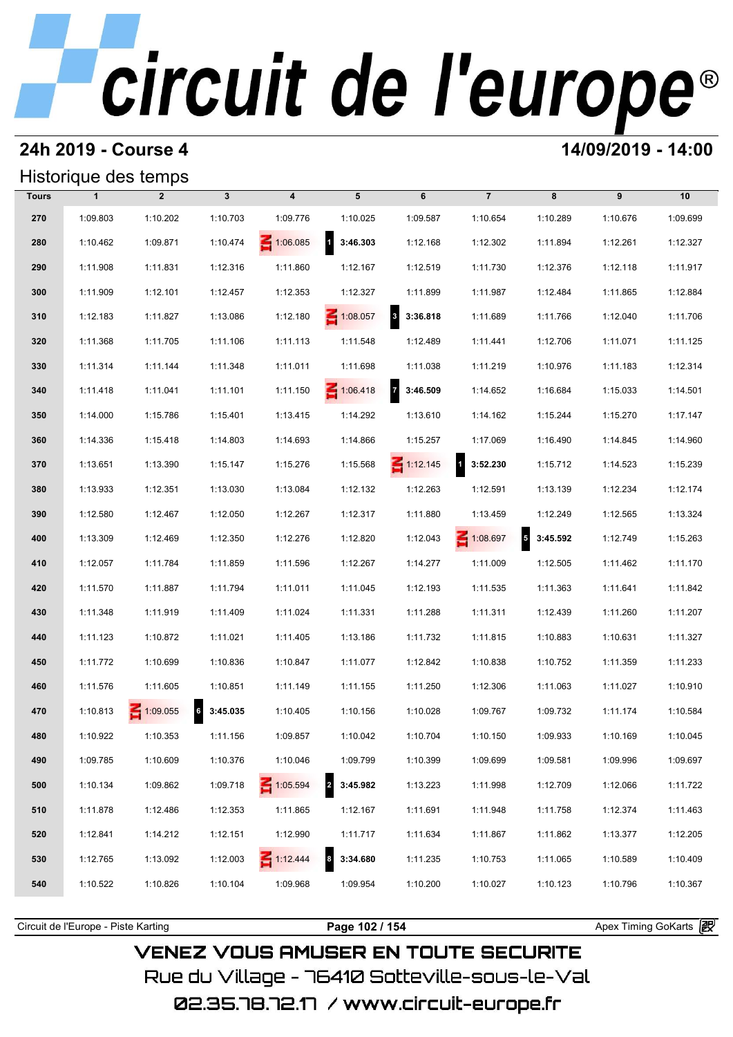## **24h 2019 - Course 4 14/09/2019 - 14:00**

## Historique des temps

| Historique des temps |              |                |              |                         |                          |                                     |                          |                                      |          |          |  |
|----------------------|--------------|----------------|--------------|-------------------------|--------------------------|-------------------------------------|--------------------------|--------------------------------------|----------|----------|--|
| <b>Tours</b>         | $\mathbf{1}$ | $\overline{2}$ | $\mathbf{3}$ | $\overline{\mathbf{4}}$ | 5                        | 6                                   | $\overline{7}$           | 8                                    | 9        | 10       |  |
| 270                  | 1:09.803     | 1:10.202       | 1:10.703     | 1:09.776                | 1:10.025                 | 1:09.587                            | 1:10.654                 | 1:10.289                             | 1:10.676 | 1:09.699 |  |
| 280                  | 1:10.462     | 1:09.871       | 1:10.474     | $\leq 1:06.085$         | $\mathbf{1}$<br>3:46.303 | 1:12.168                            | 1:12.302                 | 1:11.894                             | 1:12.261 | 1:12.327 |  |
| 290                  | 1:11.908     | 1:11.831       | 1:12.316     | 1:11.860                | 1:12.167                 | 1:12.519                            | 1:11.730                 | 1:12.376                             | 1:12.118 | 1:11.917 |  |
| 300                  | 1:11.909     | 1:12.101       | 1:12.457     | 1:12.353                | 1:12.327                 | 1:11.899                            | 1:11.987                 | 1:12.484                             | 1:11.865 | 1:12.884 |  |
| 310                  | 1:12.183     | 1:11.827       | 1:13.086     | 1:12.180                | $\leq 1:08.057$          | $\overline{\mathbf{3}}$<br>3:36.818 | 1:11.689                 | 1:11.766                             | 1:12.040 | 1:11.706 |  |
| 320                  | 1:11.368     | 1:11.705       | 1:11.106     | 1:11.113                | 1:11.548                 | 1:12.489                            | 1:11.441                 | 1:12.706                             | 1:11.071 | 1:11.125 |  |
| 330                  | 1:11.314     | 1:11.144       | 1:11.348     | 1:11.011                | 1:11.698                 | 1:11.038                            | 1:11.219                 | 1:10.976                             | 1:11.183 | 1:12.314 |  |
| 340                  | 1:11.418     | 1:11.041       | 1:11.101     | 1:11.150                | $\leq 1:06.418$          | $\overline{z}$<br>3:46.509          | 1:14.652                 | 1:16.684                             | 1:15.033 | 1:14.501 |  |
| 350                  | 1:14.000     | 1:15.786       | 1:15.401     | 1:13.415                | 1:14.292                 | 1:13.610                            | 1:14.162                 | 1:15.244                             | 1:15.270 | 1:17.147 |  |
| 360                  | 1:14.336     | 1:15.418       | 1:14.803     | 1:14.693                | 1:14.866                 | 1:15.257                            | 1:17.069                 | 1:16.490                             | 1:14.845 | 1:14.960 |  |
| 370                  | 1:13.651     | 1:13.390       | 1:15.147     | 1:15.276                | 1:15.568                 | $\leq 1:12.145$                     | $\mathbf{1}$<br>3:52.230 | 1:15.712                             | 1:14.523 | 1:15.239 |  |
| 380                  | 1:13.933     | 1:12.351       | 1:13.030     | 1:13.084                | 1:12.132                 | 1:12.263                            | 1:12.591                 | 1:13.139                             | 1:12.234 | 1:12.174 |  |
| 390                  | 1:12.580     | 1:12.467       | 1:12.050     | 1:12.267                | 1:12.317                 | 1:11.880                            | 1:13.459                 | 1:12.249                             | 1:12.565 | 1:13.324 |  |
| 400                  | 1:13.309     | 1:12.469       | 1:12.350     | 1:12.276                | 1:12.820                 | 1:12.043                            | 1:08.697                 | $\overline{\phantom{a}}$<br>3:45.592 | 1:12.749 | 1:15.263 |  |
| 410                  | 1:12.057     | 1:11.784       | 1:11.859     | 1:11.596                | 1:12.267                 | 1:14.277                            | 1:11.009                 | 1:12.505                             | 1:11.462 | 1:11.170 |  |
| 420                  | 1:11.570     | 1:11.887       | 1:11.794     | 1:11.011                | 1:11.045                 | 1:12.193                            | 1:11.535                 | 1:11.363                             | 1:11.641 | 1:11.842 |  |
| 430                  | 1:11.348     | 1:11.919       | 1:11.409     | 1:11.024                | 1:11.331                 | 1:11.288                            | 1:11.311                 | 1:12.439                             | 1:11.260 | 1:11.207 |  |
| 440                  | 1:11.123     | 1:10.872       | 1:11.021     | 1:11.405                | 1:13.186                 | 1:11.732                            | 1:11.815                 | 1:10.883                             | 1:10.631 | 1:11.327 |  |
| 450                  | 1:11.772     | 1:10.699       | 1:10.836     | 1:10.847                | 1:11.077                 | 1:12.842                            | 1:10.838                 | 1:10.752                             | 1:11.359 | 1:11.233 |  |
| 460                  | 1:11.576     | 1:11.605       | 1:10.851     | 1:11.149                | 1:11.155                 | 1:11.250                            | 1:12.306                 | 1:11.063                             | 1:11.027 | 1:10.910 |  |
| 470                  | 1:10.813     | 1:09.055       | 6 3:45.035   | 1:10.405                | 1:10.156                 | 1:10.028                            | 1:09.767                 | 1:09.732                             | 1:11.174 | 1:10.584 |  |
| 480                  | 1:10.922     | 1:10.353       | 1:11.156     | 1:09.857                | 1:10.042                 | 1:10.704                            | 1:10.150                 | 1:09.933                             | 1:10.169 | 1:10.045 |  |
| 490                  | 1:09.785     | 1:10.609       | 1:10.376     | 1:10.046                | 1:09.799                 | 1:10.399                            | 1:09.699                 | 1:09.581                             | 1:09.996 | 1:09.697 |  |
| 500                  | 1:10.134     | 1:09.862       | 1:09.718     | 1:05.594                | 3:45.982                 | 1:13.223                            | 1:11.998                 | 1:12.709                             | 1:12.066 | 1:11.722 |  |
| 510                  | 1:11.878     | 1:12.486       | 1:12.353     | 1:11.865                | 1:12.167                 | 1:11.691                            | 1:11.948                 | 1:11.758                             | 1:12.374 | 1:11.463 |  |
| 520                  | 1:12.841     | 1:14.212       | 1:12.151     | 1:12.990                | 1:11.717                 | 1:11.634                            | 1:11.867                 | 1:11.862                             | 1:13.377 | 1:12.205 |  |
| 530                  | 1:12.765     | 1:13.092       | 1:12.003     | 1:12.444                | 3:34.680                 | 1:11.235                            | 1:10.753                 | 1:11.065                             | 1:10.589 | 1:10.409 |  |
| 540                  | 1:10.522     | 1:10.826       | 1:10.104     | 1:09.968                | 1:09.954                 | 1:10.200                            | 1:10.027                 | 1:10.123                             | 1:10.796 | 1:10.367 |  |
|                      |              |                |              |                         |                          |                                     |                          |                                      |          |          |  |

Circuit de l'Europe - Piste Karting **Page 102 / 154 Page 102 / 154** Apex Timing GoKarts **in VENEZ VOUS AMUSER EN TOUTE SECURITE** Rue du Village – 76410 Sotteville-sous-le-Val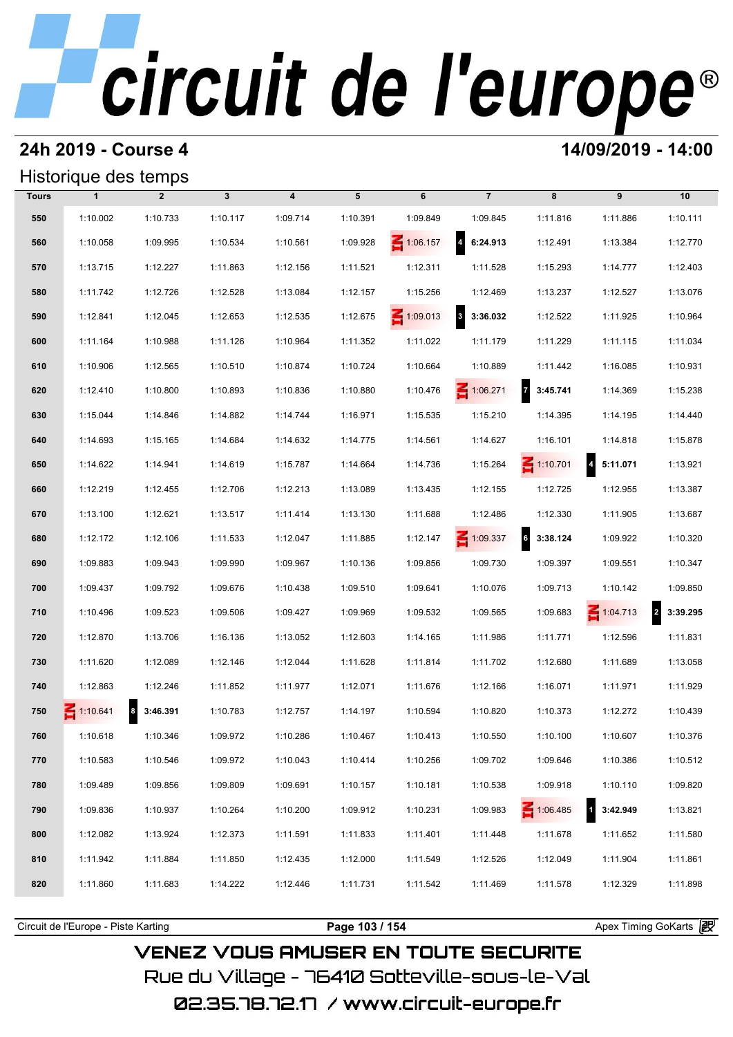## **24h 2019 - Course 4 14/09/2019 - 14:00**

## Historique des temps

|              | Historique des temps |                              |              |                         |          |                 |                                     |                             |                                     |                            |
|--------------|----------------------|------------------------------|--------------|-------------------------|----------|-----------------|-------------------------------------|-----------------------------|-------------------------------------|----------------------------|
| <b>Tours</b> | $\mathbf{1}$         | $\overline{2}$               | $\mathbf{3}$ | $\overline{\mathbf{4}}$ | 5        | 6               | $\overline{7}$                      | 8                           | 9                                   | 10                         |
| 550          | 1:10.002             | 1:10.733                     | 1:10.117     | 1:09.714                | 1:10.391 | 1:09.849        | 1:09.845                            | 1:11.816                    | 1:11.886                            | 1:10.111                   |
| 560          | 1:10.058             | 1:09.995                     | 1:10.534     | 1:10.561                | 1:09.928 | 1:06.157        | $\overline{4}$<br>6:24.913          | 1:12.491                    | 1:13.384                            | 1:12.770                   |
| 570          | 1:13.715             | 1:12.227                     | 1:11.863     | 1:12.156                | 1:11.521 | 1:12.311        | 1:11.528                            | 1:15.293                    | 1:14.777                            | 1:12.403                   |
| 580          | 1:11.742             | 1:12.726                     | 1:12.528     | 1:13.084                | 1:12.157 | 1:15.256        | 1:12.469                            | 1:13.237                    | 1:12.527                            | 1:13.076                   |
| 590          | 1:12.841             | 1:12.045                     | 1:12.653     | 1:12.535                | 1:12.675 | $\leq 1:09.013$ | $\overline{\mathbf{3}}$<br>3:36.032 | 1:12.522                    | 1:11.925                            | 1:10.964                   |
| 600          | 1:11.164             | 1:10.988                     | 1:11.126     | 1:10.964                | 1:11.352 | 1:11.022        | 1:11.179                            | 1:11.229                    | 1:11.115                            | 1:11.034                   |
| 610          | 1:10.906             | 1:12.565                     | 1:10.510     | 1:10.874                | 1:10.724 | 1:10.664        | 1:10.889                            | 1:11.442                    | 1:16.085                            | 1:10.931                   |
| 620          | 1:12.410             | 1:10.800                     | 1:10.893     | 1:10.836                | 1:10.880 | 1:10.476        | $\leq 1:06.271$                     | $\overline{7}$<br>3:45.741  | 1:14.369                            | 1:15.238                   |
| 630          | 1:15.044             | 1:14.846                     | 1:14.882     | 1:14.744                | 1:16.971 | 1:15.535        | 1:15.210                            | 1:14.395                    | 1:14.195                            | 1:14.440                   |
| 640          | 1:14.693             | 1:15.165                     | 1:14.684     | 1:14.632                | 1:14.775 | 1:14.561        | 1:14.627                            | 1:16.101                    | 1:14.818                            | 1:15.878                   |
| 650          | 1:14.622             | 1:14.941                     | 1:14.619     | 1:15.787                | 1:14.664 | 1:14.736        | 1:15.264                            | $\leq 1:10.701$             | $\overline{\mathbf{4}}$<br>5:11.071 | 1:13.921                   |
| 660          | 1:12.219             | 1:12.455                     | 1:12.706     | 1:12.213                | 1:13.089 | 1:13.435        | 1:12.155                            | 1:12.725                    | 1:12.955                            | 1:13.387                   |
| 670          | 1:13.100             | 1:12.621                     | 1:13.517     | 1:11.414                | 1:13.130 | 1:11.688        | 1:12.486                            | 1:12.330                    | 1:11.905                            | 1:13.687                   |
| 680          | 1:12.172             | 1:12.106                     | 1:11.533     | 1:12.047                | 1:11.885 | 1:12.147        | $\leq 1:09.337$                     | $6\overline{6}$<br>3:38.124 | 1:09.922                            | 1:10.320                   |
| 690          | 1:09.883             | 1:09.943                     | 1:09.990     | 1:09.967                | 1:10.136 | 1:09.856        | 1:09.730                            | 1:09.397                    | 1:09.551                            | 1:10.347                   |
| 700          | 1:09.437             | 1:09.792                     | 1:09.676     | 1:10.438                | 1:09.510 | 1:09.641        | 1:10.076                            | 1:09.713                    | 1:10.142                            | 1:09.850                   |
| 710          | 1:10.496             | 1:09.523                     | 1:09.506     | 1:09.427                | 1:09.969 | 1:09.532        | 1:09.565                            | 1:09.683                    | $\leq 1:04.713$                     | $\overline{2}$<br>3:39.295 |
| 720          | 1:12.870             | 1:13.706                     | 1:16.136     | 1:13.052                | 1:12.603 | 1:14.165        | 1:11.986                            | 1:11.771                    | 1:12.596                            | 1:11.831                   |
| 730          | 1:11.620             | 1:12.089                     | 1:12.146     | 1:12.044                | 1:11.628 | 1:11.814        | 1:11.702                            | 1:12.680                    | 1:11.689                            | 1:13.058                   |
| 740          | 1:12.863             | 1:12.246                     | 1:11.852     | 1:11.977                | 1:12.071 | 1:11.676        | 1:12.166                            | 1:16.071                    | 1:11.971                            | 1:11.929                   |
| 750          | $-1:10.641$          | $\boldsymbol{8}$<br>3:46.391 | 1:10.783     | 1:12.757                | 1:14.197 | 1:10.594        | 1:10.820                            | 1:10.373                    | 1:12.272                            | 1:10.439                   |
| 760          | 1:10.618             | 1:10.346                     | 1:09.972     | 1:10.286                | 1:10.467 | 1:10.413        | 1:10.550                            | 1:10.100                    | 1:10.607                            | 1:10.376                   |
| 770          | 1:10.583             | 1:10.546                     | 1:09.972     | 1:10.043                | 1:10.414 | 1:10.256        | 1:09.702                            | 1:09.646                    | 1:10.386                            | 1:10.512                   |
| 780          | 1:09.489             | 1:09.856                     | 1:09.809     | 1:09.691                | 1:10.157 | 1:10.181        | 1:10.538                            | 1:09.918                    | 1:10.110                            | 1:09.820                   |
| 790          | 1:09.836             | 1:10.937                     | 1:10.264     | 1:10.200                | 1:09.912 | 1:10.231        | 1:09.983                            | $\leq 1:06.485$             | 3:42.949                            | 1:13.821                   |
| 800          | 1:12.082             | 1:13.924                     | 1:12.373     | 1:11.591                | 1:11.833 | 1:11.401        | 1:11.448                            | 1:11.678                    | 1:11.652                            | 1:11.580                   |
| 810          | 1:11.942             | 1:11.884                     | 1:11.850     | 1:12.435                | 1:12.000 | 1:11.549        | 1:12.526                            | 1:12.049                    | 1:11.904                            | 1:11.861                   |
| 820          | 1:11.860             | 1:11.683                     | 1:14.222     | 1:12.446                | 1:11.731 | 1:11.542        | 1:11.469                            | 1:11.578                    | 1:12.329                            | 1:11.898                   |
|              |                      |                              |              |                         |          |                 |                                     |                             |                                     |                            |

**VENEZ VOUS AMUSER EN TOUTE SECURITE** Rue du Village – 76410 Sotteville-sous-le-Val

Circuit de l'Europe - Piste Karting **Page 103 / 154 Page 103 / 154** Apex Timing GoKarts **in**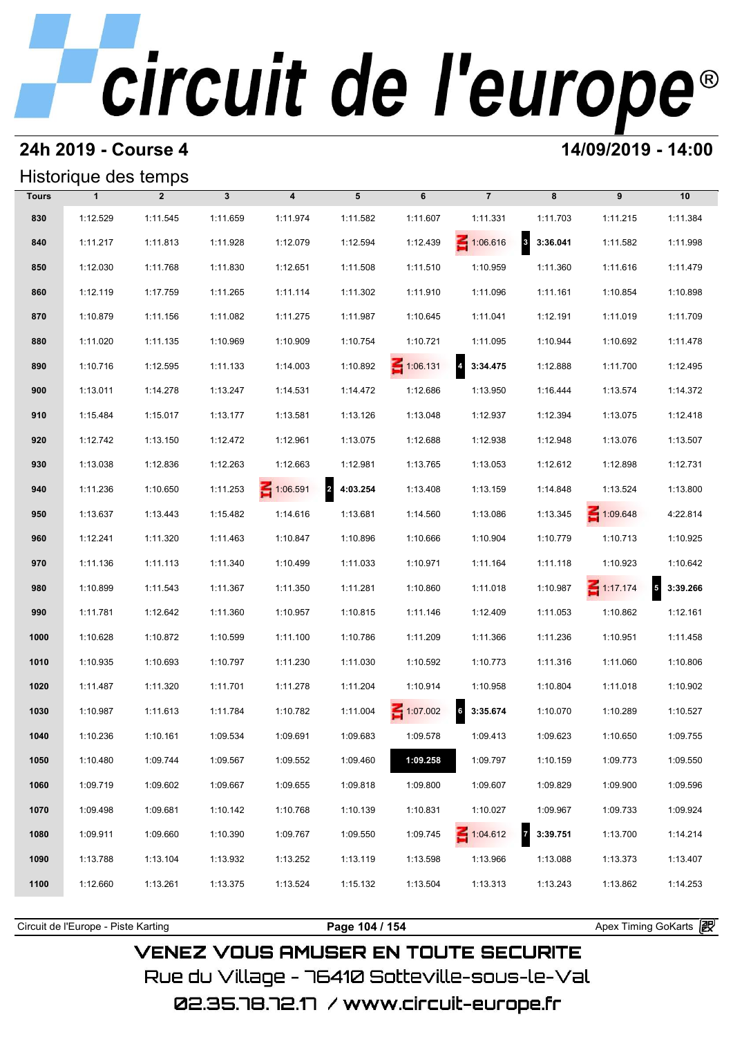### **24h 2019 - Course 4 14/09/2019 - 14:00**

## Historique des temps

|              | Historique des temps |                |              |                         |            |                 |                 |                                     |                 |                                     |
|--------------|----------------------|----------------|--------------|-------------------------|------------|-----------------|-----------------|-------------------------------------|-----------------|-------------------------------------|
| <b>Tours</b> | $\mathbf{1}$         | $\overline{2}$ | $\mathbf{3}$ | $\overline{\mathbf{4}}$ | 5          | 6               | $\overline{7}$  | 8                                   | 9               | 10                                  |
| 830          | 1:12.529             | 1:11.545       | 1:11.659     | 1:11.974                | 1:11.582   | 1:11.607        | 1:11.331        | 1:11.703                            | 1:11.215        | 1:11.384                            |
| 840          | 1:11.217             | 1:11.813       | 1:11.928     | 1:12.079                | 1:12.594   | 1:12.439        | $\leq 1:06.616$ | $\overline{\mathbf{3}}$<br>3:36.041 | 1:11.582        | 1:11.998                            |
| 850          | 1:12.030             | 1:11.768       | 1:11.830     | 1:12.651                | 1:11.508   | 1:11.510        | 1:10.959        | 1:11.360                            | 1:11.616        | 1:11.479                            |
| 860          | 1:12.119             | 1:17.759       | 1:11.265     | 1:11.114                | 1:11.302   | 1:11.910        | 1:11.096        | 1:11.161                            | 1:10.854        | 1:10.898                            |
| 870          | 1:10.879             | 1:11.156       | 1:11.082     | 1:11.275                | 1:11.987   | 1:10.645        | 1:11.041        | 1:12.191                            | 1:11.019        | 1:11.709                            |
| 880          | 1:11.020             | 1:11.135       | 1:10.969     | 1:10.909                | 1:10.754   | 1:10.721        | 1:11.095        | 1:10.944                            | 1:10.692        | 1:11.478                            |
| 890          | 1:10.716             | 1:12.595       | 1:11.133     | 1:14.003                | 1:10.892   | $\leq 1:06.131$ | 4 3:34.475      | 1:12.888                            | 1:11.700        | 1:12.495                            |
| 900          | 1:13.011             | 1:14.278       | 1:13.247     | 1:14.531                | 1:14.472   | 1:12.686        | 1:13.950        | 1:16.444                            | 1:13.574        | 1:14.372                            |
| 910          | 1:15.484             | 1:15.017       | 1:13.177     | 1:13.581                | 1:13.126   | 1:13.048        | 1:12.937        | 1:12.394                            | 1:13.075        | 1:12.418                            |
| 920          | 1:12.742             | 1:13.150       | 1:12.472     | 1:12.961                | 1:13.075   | 1:12.688        | 1:12.938        | 1:12.948                            | 1:13.076        | 1:13.507                            |
| 930          | 1:13.038             | 1:12.836       | 1:12.263     | 1:12.663                | 1:12.981   | 1:13.765        | 1:13.053        | 1:12.612                            | 1:12.898        | 1:12.731                            |
| 940          | 1:11.236             | 1:10.650       | 1:11.253     | $\leq 1:06.591$         | 2 4:03.254 | 1:13.408        | 1:13.159        | 1:14.848                            | 1:13.524        | 1:13.800                            |
| 950          | 1:13.637             | 1:13.443       | 1:15.482     | 1:14.616                | 1:13.681   | 1:14.560        | 1:13.086        | 1:13.345                            | $\leq 1:09.648$ | 4:22.814                            |
| 960          | 1:12.241             | 1:11.320       | 1:11.463     | 1:10.847                | 1:10.896   | 1:10.666        | 1:10.904        | 1:10.779                            | 1:10.713        | 1:10.925                            |
| 970          | 1:11.136             | 1:11.113       | 1:11.340     | 1:10.499                | 1:11.033   | 1:10.971        | 1:11.164        | 1:11.118                            | 1:10.923        | 1:10.642                            |
| 980          | 1:10.899             | 1:11.543       | 1:11.367     | 1:11.350                | 1:11.281   | 1:10.860        | 1:11.018        | 1:10.987                            | $\leq 1:17.174$ | 3:39.266<br>$\overline{\mathbf{5}}$ |
| 990          | 1:11.781             | 1:12.642       | 1:11.360     | 1:10.957                | 1:10.815   | 1:11.146        | 1:12.409        | 1:11.053                            | 1:10.862        | 1:12.161                            |
| 1000         | 1:10.628             | 1:10.872       | 1:10.599     | 1:11.100                | 1:10.786   | 1:11.209        | 1:11.366        | 1:11.236                            | 1:10.951        | 1:11.458                            |
| 1010         | 1:10.935             | 1:10.693       | 1:10.797     | 1:11.230                | 1:11.030   | 1:10.592        | 1:10.773        | 1:11.316                            | 1:11.060        | 1:10.806                            |
| 1020         | 1:11.487             | 1:11.320       | 1:11.701     | 1:11.278                | 1:11.204   | 1:10.914        | 1:10.958        | 1:10.804                            | 1:11.018        | 1:10.902                            |
| 1030         | 1:10.987             | 1:11.613       | 1:11.784     | 1:10.782                | 1:11.004   | $\leq 1:07.002$ | 6<br>3:35.674   | 1:10.070                            | 1:10.289        | 1:10.527                            |
| 1040         | 1:10.236             | 1:10.161       | 1:09.534     | 1:09.691                | 1:09.683   | 1:09.578        | 1:09.413        | 1:09.623                            | 1:10.650        | 1:09.755                            |
| 1050         | 1:10.480             | 1:09.744       | 1:09.567     | 1:09.552                | 1:09.460   | 1:09.258        | 1:09.797        | 1:10.159                            | 1:09.773        | 1:09.550                            |
| 1060         | 1:09.719             | 1:09.602       | 1:09.667     | 1:09.655                | 1:09.818   | 1:09.800        | 1:09.607        | 1:09.829                            | 1:09.900        | 1:09.596                            |
| 1070         | 1:09.498             | 1:09.681       | 1:10.142     | 1:10.768                | 1:10.139   | 1:10.831        | 1:10.027        | 1:09.967                            | 1:09.733        | 1:09.924                            |
| 1080         | 1:09.911             | 1:09.660       | 1:10.390     | 1:09.767                | 1:09.550   | 1:09.745        | $\leq 1:04.612$ | 73:39.751                           | 1:13.700        | 1:14.214                            |
| 1090         | 1:13.788             | 1:13.104       | 1:13.932     | 1:13.252                | 1:13.119   | 1:13.598        | 1:13.966        | 1:13.088                            | 1:13.373        | 1:13.407                            |
| 1100         | 1:12.660             | 1:13.261       | 1:13.375     | 1:13.524                | 1:15.132   | 1:13.504        | 1:13.313        | 1:13.243                            | 1:13.862        | 1:14.253                            |
|              |                      |                |              |                         |            |                 |                 |                                     |                 |                                     |

**VENEZ VOUS AMUSER EN TOUTE SECURITE** Rue du Village – 76410 Sotteville-sous-le-Val 02.35.78.72.17 / www.circuit-europe.fr

Circuit de l'Europe - Piste Karting **Page 104 / 154 Page 104 / 154** Apex Timing GoKarts (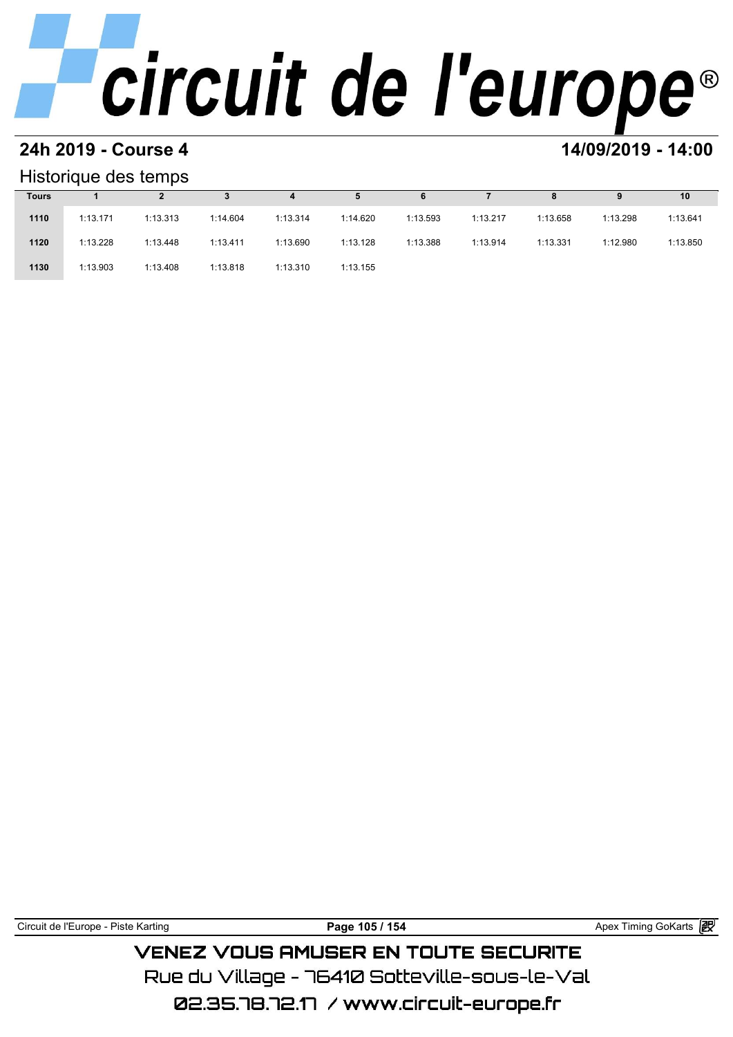### **24h 2019 - Course 4 14/09/2019 - 14:00**

### Historique des temps

|              | Historique des temps |          |          |          |          |          |          |          |          |          |
|--------------|----------------------|----------|----------|----------|----------|----------|----------|----------|----------|----------|
| <b>Tours</b> |                      |          |          | 4        | 5        | 6        |          | 8        | 9        | 10       |
| 1110         | 1:13.171             | 1:13.313 | 1:14.604 | 1:13.314 | 1:14.620 | 1:13.593 | 1:13.217 | 1:13.658 | 1:13.298 | 1:13.641 |
| 1120         | 1:13.228             | 1:13.448 | 1:13.411 | 1:13.690 | 1:13.128 | 1:13.388 | 1:13.914 | 1:13.331 | 1:12.980 | 1:13.850 |
| 1130         | 1:13.903             | 1:13.408 | 1:13.818 | 1:13.310 | 1:13.155 |          |          |          |          |          |

Circuit de l'Europe - Piste Karting **Page 105 / 154 Page 105 / 154** Apex Timing GoKarts **in** 

**VENEZ VOUS AMUSER EN TOUTE SECURITE** Rue du Village – 76410 Sotteville-sous-le-Val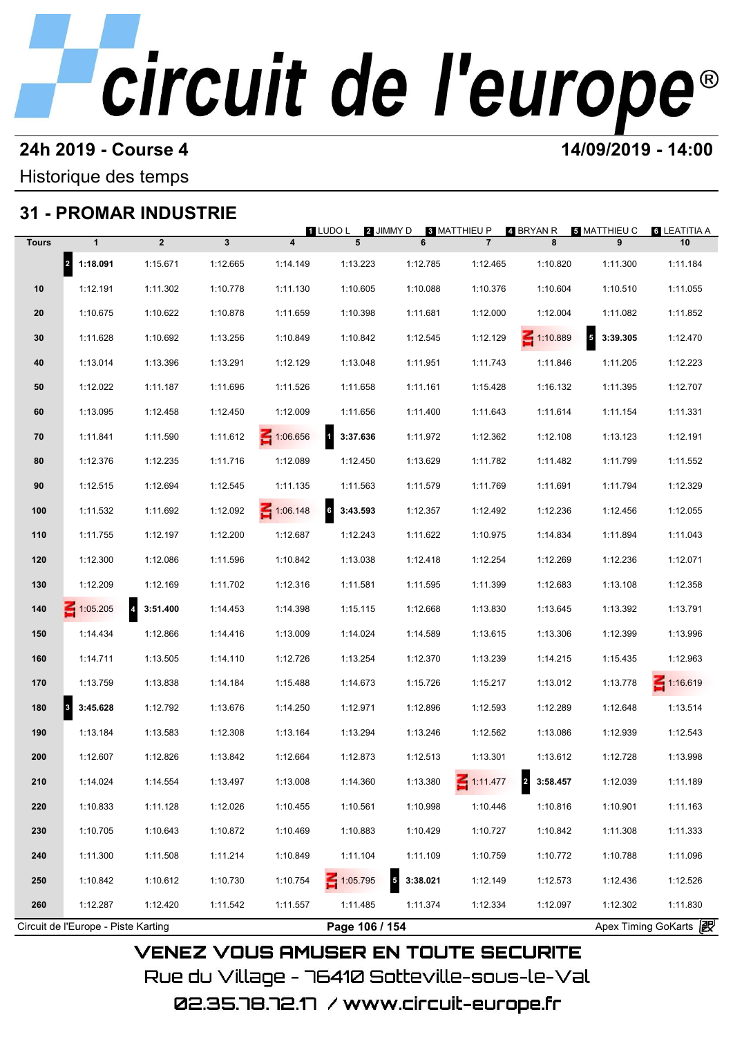### **24h 2019 - Course 4 14/09/2019 - 14:00**

## Historique des temps

## **31 - PROMAR INDUSTRIE**

|              |                                     | 31 - PROMAR INDUSTRIE               |          |                         | 1 LUDO L<br>2 JIMMY D    |               | 8 MATTHIEU P    | 4 BRYAN R                  | <b>5 MATTHIEU C</b> | <b>6 LEATITIA A</b>   |
|--------------|-------------------------------------|-------------------------------------|----------|-------------------------|--------------------------|---------------|-----------------|----------------------------|---------------------|-----------------------|
| <b>Tours</b> | $\mathbf{1}$                        | $\overline{2}$                      | 3        | $\overline{\mathbf{4}}$ | 5                        | 6             | $\overline{7}$  | 8                          | 9                   | 10                    |
|              | 2 1:18.091                          | 1:15.671                            | 1:12.665 | 1:14.149                | 1:13.223                 | 1:12.785      | 1:12.465        | 1:10.820                   | 1:11.300            | 1:11.184              |
| 10           | 1:12.191                            | 1:11.302                            | 1:10.778 | 1:11.130                | 1:10.605                 | 1:10.088      | 1:10.376        | 1:10.604                   | 1:10.510            | 1:11.055              |
| 20           | 1:10.675                            | 1:10.622                            | 1:10.878 | 1:11.659                | 1:10.398                 | 1:11.681      | 1:12.000        | 1:12.004                   | 1:11.082            | 1:11.852              |
| 30           | 1:11.628                            | 1:10.692                            | 1:13.256 | 1:10.849                | 1:10.842                 | 1:12.545      | 1:12.129        | $-1:10.889$                | $5 - 3:39.305$      | 1:12.470              |
| 40           | 1:13.014                            | 1:13.396                            | 1:13.291 | 1:12.129                | 1:13.048                 | 1:11.951      | 1:11.743        | 1:11.846                   | 1:11.205            | 1:12.223              |
| 50           | 1:12.022                            | 1:11.187                            | 1:11.696 | 1:11.526                | 1:11.658                 | 1:11.161      | 1:15.428        | 1:16.132                   | 1:11.395            | 1:12.707              |
| 60           | 1:13.095                            | 1:12.458                            | 1:12.450 | 1:12.009                | 1:11.656                 | 1:11.400      | 1:11.643        | 1:11.614                   | 1:11.154            | 1:11.331              |
| 70           | 1:11.841                            | 1:11.590                            | 1:11.612 | 1:06.656                | $\mathbf{1}$<br>3:37.636 | 1:11.972      | 1:12.362        | 1:12.108                   | 1:13.123            | 1:12.191              |
| 80           | 1:12.376                            | 1:12.235                            | 1:11.716 | 1:12.089                | 1:12.450                 | 1:13.629      | 1:11.782        | 1:11.482                   | 1:11.799            | 1:11.552              |
| 90           | 1:12.515                            | 1:12.694                            | 1:12.545 | 1:11.135                | 1:11.563                 | 1:11.579      | 1:11.769        | 1:11.691                   | 1:11.794            | 1:12.329              |
| 100          | 1:11.532                            | 1:11.692                            | 1:12.092 | $\leq 1:06.148$         | $\bf 6$<br>3:43.593      | 1:12.357      | 1:12.492        | 1:12.236                   | 1:12.456            | 1:12.055              |
| 110          | 1:11.755                            | 1:12.197                            | 1:12.200 | 1:12.687                | 1:12.243                 | 1:11.622      | 1:10.975        | 1:14.834                   | 1:11.894            | 1:11.043              |
| 120          | 1:12.300                            | 1:12.086                            | 1:11.596 | 1:10.842                | 1:13.038                 | 1:12.418      | 1:12.254        | 1:12.269                   | 1:12.236            | 1:12.071              |
| 130          | 1:12.209                            | 1:12.169                            | 1:11.702 | 1:12.316                | 1:11.581                 | 1:11.595      | 1:11.399        | 1:12.683                   | 1:13.108            | 1:12.358              |
| 140          | 1:05.205                            | $\overline{\mathbf{4}}$<br>3:51.400 | 1:14.453 | 1:14.398                | 1:15.115                 | 1:12.668      | 1:13.830        | 1:13.645                   | 1:13.392            | 1:13.791              |
| 150          | 1:14.434                            | 1:12.866                            | 1:14.416 | 1:13.009                | 1:14.024                 | 1:14.589      | 1:13.615        | 1:13.306                   | 1:12.399            | 1:13.996              |
| 160          | 1:14.711                            | 1:13.505                            | 1:14.110 | 1:12.726                | 1:13.254                 | 1:12.370      | 1:13.239        | 1:14.215                   | 1:15.435            | 1:12.963              |
| 170          | 1:13.759                            | 1:13.838                            | 1:14.184 | 1:15.488                | 1:14.673                 | 1:15.726      | 1:15.217        | 1:13.012                   | 1:13.778            | $\leq 1:16.619$       |
| 180          | 3:45.628<br>$\vert$ <sub>3</sub>    | 1:12.792                            | 1:13.676 | 1:14.250                | 1:12.971                 | 1:12.896      | 1:12.593        | 1:12.289                   | 1:12.648            | 1:13.514              |
| 190          | 1:13.184                            | 1:13.583                            | 1:12.308 | 1:13.164                | 1:13.294                 | 1:13.246      | 1:12.562        | 1:13.086                   | 1:12.939            | 1:12.543              |
| 200          | 1:12.607                            | 1:12.826                            | 1:13.842 | 1:12.664                | 1:12.873                 | 1:12.513      | 1:13.301        | 1:13.612                   | 1:12.728            | 1:13.998              |
| 210          | 1:14.024                            | 1:14.554                            | 1:13.497 | 1:13.008                | 1:14.360                 | 1:13.380      | $\leq 1:11.477$ | $\overline{2}$<br>3:58.457 | 1:12.039            | 1:11.189              |
| 220          | 1:10.833                            | 1:11.128                            | 1:12.026 | 1:10.455                | 1:10.561                 | 1:10.998      | 1:10.446        | 1:10.816                   | 1:10.901            | 1:11.163              |
| 230          | 1:10.705                            | 1:10.643                            | 1:10.872 | 1:10.469                | 1:10.883                 | 1:10.429      | 1:10.727        | 1:10.842                   | 1:11.308            | 1:11.333              |
| 240          | 1:11.300                            | 1:11.508                            | 1:11.214 | 1:10.849                | 1:11.104                 | 1:11.109      | 1:10.759        | 1:10.772                   | 1:10.788            | 1:11.096              |
| 250          | 1:10.842                            | 1:10.612                            | 1:10.730 | 1:10.754                | 1:05.795                 | 3:38.021<br>5 | 1:12.149        | 1:12.573                   | 1:12.436            | 1:12.526              |
| 260          | 1:12.287                            | 1:12.420                            | 1:11.542 | 1:11.557                | 1:11.485                 | 1:11.374      | 1:12.334        | 1:12.097                   | 1:12.302            | 1:11.830              |
|              | Circuit de l'Europe - Piste Karting |                                     |          |                         | Page 106 / 154           |               |                 |                            |                     | Apex Timing GoKarts 2 |

02.35.78.72.17 / www.circuit-europe.fr

**VENEZ VOUS AMUSER EN TOUTE SECURITE** 

Rue du Village – 76410 Sotteville-sous-le-Val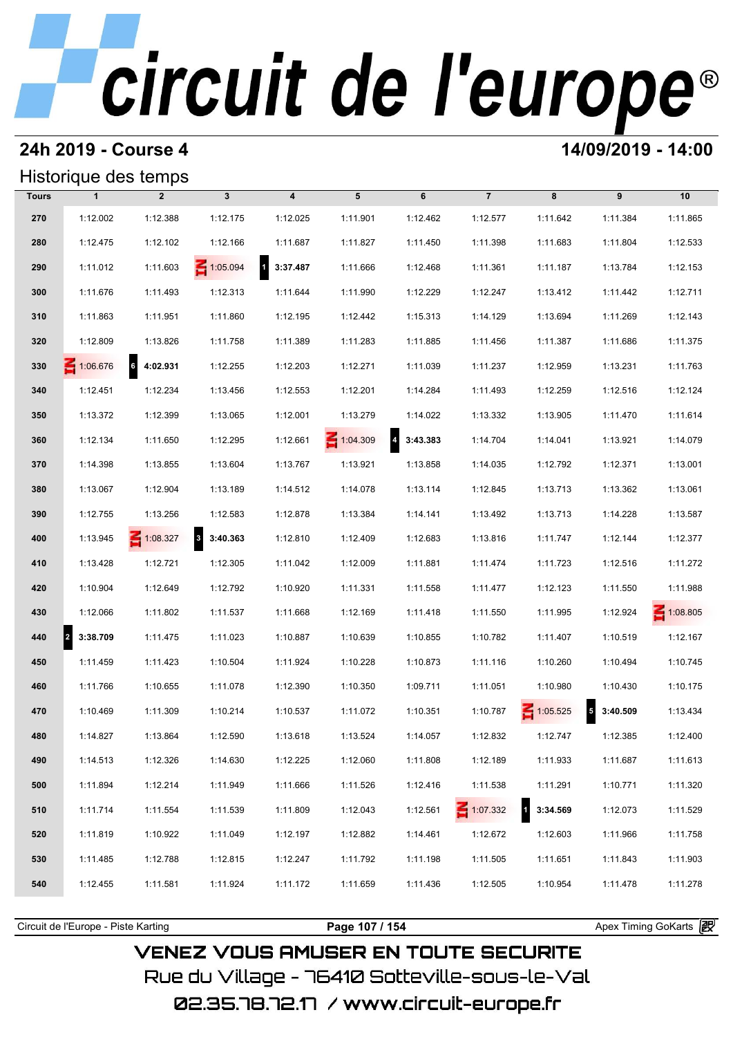## **24h 2019 - Course 4 14/09/2019 - 14:00**

## Historique des temps

| Historique des temps |                          |                 |                                     |                          |                 |                            |                 |                 |                                     |                 |
|----------------------|--------------------------|-----------------|-------------------------------------|--------------------------|-----------------|----------------------------|-----------------|-----------------|-------------------------------------|-----------------|
| <b>Tours</b>         | $\mathbf{1}$             | $\overline{2}$  | $\mathbf{3}$                        | $\overline{\mathbf{4}}$  | 5               | 6                          | $\overline{7}$  | 8               | 9                                   | 10              |
| 270                  | 1:12.002                 | 1:12.388        | 1:12.175                            | 1:12.025                 | 1:11.901        | 1:12.462                   | 1:12.577        | 1:11.642        | 1:11.384                            | 1:11.865        |
| 280                  | 1:12.475                 | 1:12.102        | 1:12.166                            | 1:11.687                 | 1:11.827        | 1:11.450                   | 1:11.398        | 1:11.683        | 1:11.804                            | 1:12.533        |
| 290                  | 1:11.012                 | 1:11.603        | 1:05.094                            | $\mathbf{1}$<br>3:37.487 | 1:11.666        | 1:12.468                   | 1:11.361        | 1:11.187        | 1:13.784                            | 1:12.153        |
| 300                  | 1:11.676                 | 1:11.493        | 1:12.313                            | 1:11.644                 | 1:11.990        | 1:12.229                   | 1:12.247        | 1:13.412        | 1:11.442                            | 1:12.711        |
| 310                  | 1:11.863                 | 1:11.951        | 1:11.860                            | 1:12.195                 | 1:12.442        | 1:15.313                   | 1:14.129        | 1:13.694        | 1:11.269                            | 1:12.143        |
| 320                  | 1:12.809                 | 1:13.826        | 1:11.758                            | 1:11.389                 | 1:11.283        | 1:11.885                   | 1:11.456        | 1:11.387        | 1:11.686                            | 1:11.375        |
| 330                  | 1:06.676                 | 64:02.931       | 1:12.255                            | 1:12.203                 | 1:12.271        | 1:11.039                   | 1:11.237        | 1:12.959        | 1:13.231                            | 1:11.763        |
| 340                  | 1:12.451                 | 1:12.234        | 1:13.456                            | 1:12.553                 | 1:12.201        | 1:14.284                   | 1:11.493        | 1:12.259        | 1:12.516                            | 1:12.124        |
| 350                  | 1:13.372                 | 1:12.399        | 1:13.065                            | 1:12.001                 | 1:13.279        | 1:14.022                   | 1:13.332        | 1:13.905        | 1:11.470                            | 1:11.614        |
| 360                  | 1:12.134                 | 1:11.650        | 1:12.295                            | 1:12.661                 | $\leq 1:04.309$ | $\overline{4}$<br>3:43.383 | 1:14.704        | 1:14.041        | 1:13.921                            | 1:14.079        |
| 370                  | 1:14.398                 | 1:13.855        | 1:13.604                            | 1:13.767                 | 1:13.921        | 1:13.858                   | 1:14.035        | 1:12.792        | 1:12.371                            | 1:13.001        |
| 380                  | 1:13.067                 | 1:12.904        | 1:13.189                            | 1:14.512                 | 1:14.078        | 1:13.114                   | 1:12.845        | 1:13.713        | 1:13.362                            | 1:13.061        |
| 390                  | 1:12.755                 | 1:13.256        | 1:12.583                            | 1:12.878                 | 1:13.384        | 1:14.141                   | 1:13.492        | 1:13.713        | 1:14.228                            | 1:13.587        |
| 400                  | 1:13.945                 | $\leq 1:08.327$ | $\overline{\mathbf{3}}$<br>3:40.363 | 1:12.810                 | 1:12.409        | 1:12.683                   | 1:13.816        | 1:11.747        | 1:12.144                            | 1:12.377        |
| 410                  | 1:13.428                 | 1:12.721        | 1:12.305                            | 1:11.042                 | 1:12.009        | 1:11.881                   | 1:11.474        | 1:11.723        | 1:12.516                            | 1:11.272        |
| 420                  | 1:10.904                 | 1:12.649        | 1:12.792                            | 1:10.920                 | 1:11.331        | 1:11.558                   | 1:11.477        | 1:12.123        | 1:11.550                            | 1:11.988        |
| 430                  | 1:12.066                 | 1:11.802        | 1:11.537                            | 1:11.668                 | 1:12.169        | 1:11.418                   | 1:11.550        | 1:11.995        | 1:12.924                            | $\leq 1:08.805$ |
| 440                  | 3:38.709<br>$\mathbf{z}$ | 1:11.475        | 1:11.023                            | 1:10.887                 | 1:10.639        | 1:10.855                   | 1:10.782        | 1:11.407        | 1:10.519                            | 1:12.167        |
| 450                  | 1:11.459                 | 1:11.423        | 1:10.504                            | 1:11.924                 | 1:10.228        | 1:10.873                   | 1:11.116        | 1:10.260        | 1:10.494                            | 1:10.745        |
| 460                  | 1:11.766                 | 1:10.655        | 1:11.078                            | 1:12.390                 | 1:10.350        | 1:09.711                   | 1:11.051        | 1:10.980        | 1:10.430                            | 1:10.175        |
| 470                  | 1:10.469                 | 1:11.309        | 1:10.214                            | 1:10.537                 | 1:11.072        | 1:10.351                   | 1:10.787        | $\leq 1:05.525$ | $\overline{\mathbf{5}}$<br>3:40.509 | 1:13.434        |
| 480                  | 1:14.827                 | 1:13.864        | 1:12.590                            | 1:13.618                 | 1:13.524        | 1:14.057                   | 1:12.832        | 1:12.747        | 1:12.385                            | 1:12.400        |
| 490                  | 1:14.513                 | 1:12.326        | 1:14.630                            | 1:12.225                 | 1:12.060        | 1:11.808                   | 1:12.189        | 1:11.933        | 1:11.687                            | 1:11.613        |
| 500                  | 1:11.894                 | 1:12.214        | 1:11.949                            | 1:11.666                 | 1:11.526        | 1:12.416                   | 1:11.538        | 1:11.291        | 1:10.771                            | 1:11.320        |
| 510                  | 1:11.714                 | 1:11.554        | 1:11.539                            | 1:11.809                 | 1:12.043        | 1:12.561                   | $\leq 1:07.332$ | 3:34.569        | 1:12.073                            | 1:11.529        |
| 520                  | 1:11.819                 | 1:10.922        | 1:11.049                            | 1:12.197                 | 1:12.882        | 1:14.461                   | 1:12.672        | 1:12.603        | 1:11.966                            | 1:11.758        |
| 530                  | 1:11.485                 | 1:12.788        | 1:12.815                            | 1:12.247                 | 1:11.792        | 1:11.198                   | 1:11.505        | 1:11.651        | 1:11.843                            | 1:11.903        |
| 540                  | 1:12.455                 | 1:11.581        | 1:11.924                            | 1:11.172                 | 1:11.659        | 1:11.436                   | 1:12.505        | 1:10.954        | 1:11.478                            | 1:11.278        |
|                      |                          |                 |                                     |                          |                 |                            |                 |                 |                                     |                 |

**VENEZ VOUS AMUSER EN TOUTE SECURITE** Rue du Village – 76410 Sotteville-sous-le-Val

Circuit de l'Europe - Piste Karting **Page 107 / 154 Page 107 / 154** Apex Timing GoKarts **in**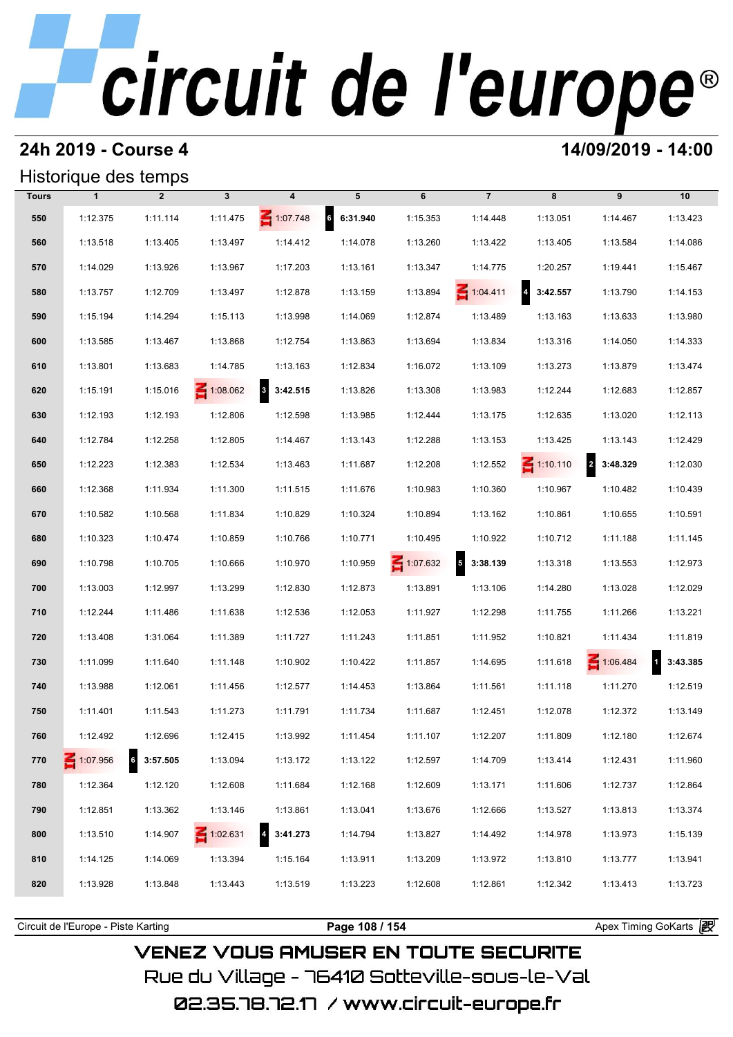## **24h 2019 - Course 4 14/09/2019 - 14:00**

## Historique des temps

| Historique des temps |              |                             |                 |                                     |                             |          |                            |                 |                                     |           |
|----------------------|--------------|-----------------------------|-----------------|-------------------------------------|-----------------------------|----------|----------------------------|-----------------|-------------------------------------|-----------|
| <b>Tours</b>         | $\mathbf{1}$ | $\overline{2}$              | $\mathbf{3}$    | 4                                   | 5                           | 6        | $\overline{7}$             | 8               | 9                                   | 10        |
| 550                  | 1:12.375     | 1:11.114                    | 1:11.475        | $\leq 1:07.748$                     | $6\overline{6}$<br>6:31.940 | 1:15.353 | 1:14.448                   | 1:13.051        | 1:14.467                            | 1:13.423  |
| 560                  | 1:13.518     | 1:13.405                    | 1:13.497        | 1:14.412                            | 1:14.078                    | 1:13.260 | 1:13.422                   | 1:13.405        | 1:13.584                            | 1:14.086  |
| 570                  | 1:14.029     | 1:13.926                    | 1:13.967        | 1:17.203                            | 1:13.161                    | 1:13.347 | 1:14.775                   | 1:20.257        | 1:19.441                            | 1:15.467  |
| 580                  | 1:13.757     | 1:12.709                    | 1:13.497        | 1:12.878                            | 1:13.159                    | 1:13.894 | $\leq 1:04.411$            | 4 3:42.557      | 1:13.790                            | 1:14.153  |
| 590                  | 1:15.194     | 1:14.294                    | 1:15.113        | 1:13.998                            | 1:14.069                    | 1:12.874 | 1:13.489                   | 1:13.163        | 1:13.633                            | 1:13.980  |
| 600                  | 1:13.585     | 1:13.467                    | 1:13.868        | 1:12.754                            | 1:13.863                    | 1:13.694 | 1:13.834                   | 1:13.316        | 1:14.050                            | 1:14.333  |
| 610                  | 1:13.801     | 1:13.683                    | 1:14.785        | 1:13.163                            | 1:12.834                    | 1:16.072 | 1:13.109                   | 1:13.273        | 1:13.879                            | 1:13.474  |
| 620                  | 1:15.191     | 1:15.016                    | 1:08.062        | $\overline{\mathbf{3}}$<br>3:42.515 | 1:13.826                    | 1:13.308 | 1:13.983                   | 1:12.244        | 1:12.683                            | 1:12.857  |
| 630                  | 1:12.193     | 1:12.193                    | 1:12.806        | 1:12.598                            | 1:13.985                    | 1:12.444 | 1:13.175                   | 1:12.635        | 1:13.020                            | 1:12.113  |
| 640                  | 1:12.784     | 1:12.258                    | 1:12.805        | 1:14.467                            | 1:13.143                    | 1:12.288 | 1:13.153                   | 1:13.425        | 1:13.143                            | 1:12.429  |
| 650                  | 1:12.223     | 1:12.383                    | 1:12.534        | 1:13.463                            | 1:11.687                    | 1:12.208 | 1:12.552                   | $\leq 1:10.110$ | $\overline{\mathbf{c}}$<br>3:48.329 | 1:12.030  |
| 660                  | 1:12.368     | 1:11.934                    | 1:11.300        | 1:11.515                            | 1:11.676                    | 1:10.983 | 1:10.360                   | 1:10.967        | 1:10.482                            | 1:10.439  |
| 670                  | 1:10.582     | 1:10.568                    | 1:11.834        | 1:10.829                            | 1:10.324                    | 1:10.894 | 1:13.162                   | 1:10.861        | 1:10.655                            | 1:10.591  |
| 680                  | 1:10.323     | 1:10.474                    | 1:10.859        | 1:10.766                            | 1:10.771                    | 1:10.495 | 1:10.922                   | 1:10.712        | 1:11.188                            | 1:11.145  |
| 690                  | 1:10.798     | 1:10.705                    | 1:10.666        | 1:10.970                            | 1:10.959                    | 1:07.632 | $\overline{5}$<br>3:38.139 | 1:13.318        | 1:13.553                            | 1:12.973  |
| 700                  | 1:13.003     | 1:12.997                    | 1:13.299        | 1:12.830                            | 1:12.873                    | 1:13.891 | 1:13.106                   | 1:14.280        | 1:13.028                            | 1:12.029  |
| 710                  | 1:12.244     | 1:11.486                    | 1:11.638        | 1:12.536                            | 1:12.053                    | 1:11.927 | 1:12.298                   | 1:11.755        | 1:11.266                            | 1:13.221  |
| 720                  | 1:13.408     | 1:31.064                    | 1:11.389        | 1:11.727                            | 1:11.243                    | 1:11.851 | 1:11.952                   | 1:10.821        | 1:11.434                            | 1:11.819  |
| 730                  | 1:11.099     | 1:11.640                    | 1:11.148        | 1:10.902                            | 1:10.422                    | 1:11.857 | 1:14.695                   | 1:11.618        | 1:06.484                            | 13:43.385 |
| 740                  | 1:13.988     | 1:12.061                    | 1:11.456        | 1:12.577                            | 1:14.453                    | 1:13.864 | 1:11.561                   | 1:11.118        | 1:11.270                            | 1:12.519  |
| 750                  | 1:11.401     | 1:11.543                    | 1:11.273        | 1:11.791                            | 1:11.734                    | 1:11.687 | 1:12.451                   | 1:12.078        | 1:12.372                            | 1:13.149  |
| 760                  | 1:12.492     | 1:12.696                    | 1:12.415        | 1:13.992                            | 1:11.454                    | 1:11.107 | 1:12.207                   | 1:11.809        | 1:12.180                            | 1:12.674  |
| 770                  | 1:07.956     | $6\overline{6}$<br>3:57.505 | 1:13.094        | 1:13.172                            | 1:13.122                    | 1:12.597 | 1:14.709                   | 1:13.414        | 1:12.431                            | 1:11.960  |
| 780                  | 1:12.364     | 1:12.120                    | 1:12.608        | 1:11.684                            | 1:12.168                    | 1:12.609 | 1:13.171                   | 1:11.606        | 1:12.737                            | 1:12.864  |
| 790                  | 1:12.851     | 1:13.362                    | 1:13.146        | 1:13.861                            | 1:13.041                    | 1:13.676 | 1:12.666                   | 1:13.527        | 1:13.813                            | 1:13.374  |
| 800                  | 1:13.510     | 1:14.907                    | $\leq 1:02.631$ | $\overline{a}$<br>3:41.273          | 1:14.794                    | 1:13.827 | 1:14.492                   | 1:14.978        | 1:13.973                            | 1:15.139  |
| 810                  | 1:14.125     | 1:14.069                    | 1:13.394        | 1:15.164                            | 1:13.911                    | 1:13.209 | 1:13.972                   | 1:13.810        | 1:13.777                            | 1:13.941  |
| 820                  | 1:13.928     | 1:13.848                    | 1:13.443        | 1:13.519                            | 1:13.223                    | 1:12.608 | 1:12.861                   | 1:12.342        | 1:13.413                            | 1:13.723  |
|                      |              |                             |                 |                                     |                             |          |                            |                 |                                     |           |

**VENEZ VOUS AMUSER EN TOUTE SECURITE** Rue du Village – 76410 Sotteville-sous-le-Val

02.35.78.72.17 / www.circuit-europe.fr

Circuit de l'Europe - Piste Karting **Page 108 / 154 Page 108 / 154** Apex Timing GoKarts **intervent**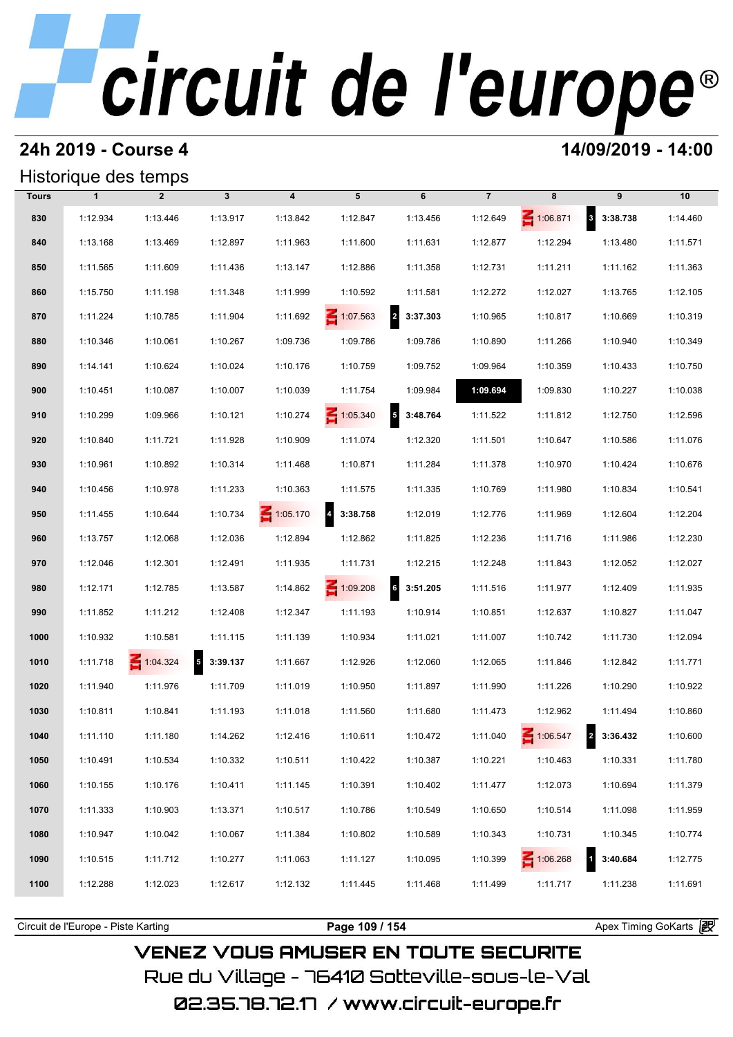#### **24h 2019 - Course 4 14/09/2019 - 14:00**

### Historique des temps

|              |              | Historique des temps |              |                         |                                     |                                      |                |                 |            |          |
|--------------|--------------|----------------------|--------------|-------------------------|-------------------------------------|--------------------------------------|----------------|-----------------|------------|----------|
| <b>Tours</b> | $\mathbf{1}$ | $\overline{2}$       | $\mathbf{3}$ | $\overline{\mathbf{4}}$ | 5                                   | 6                                    | $\overline{7}$ | 8               | 9          | 10       |
| 830          | 1:12.934     | 1:13.446             | 1:13.917     | 1:13.842                | 1:12.847                            | 1:13.456                             | 1:12.649       | $\leq 1:06.871$ | 8 3:38.738 | 1:14.460 |
| 840          | 1:13.168     | 1:13.469             | 1:12.897     | 1:11.963                | 1:11.600                            | 1:11.631                             | 1:12.877       | 1:12.294        | 1:13.480   | 1:11.571 |
| 850          | 1:11.565     | 1:11.609             | 1:11.436     | 1:13.147                | 1:12.886                            | 1:11.358                             | 1:12.731       | 1:11.211        | 1:11.162   | 1:11.363 |
| 860          | 1:15.750     | 1:11.198             | 1:11.348     | 1:11.999                | 1:10.592                            | 1:11.581                             | 1:12.272       | 1:12.027        | 1:13.765   | 1:12.105 |
| 870          | 1:11.224     | 1:10.785             | 1:11.904     | 1:11.692                | $\leq 1:07.563$                     | $\overline{a}$<br>3:37.303           | 1:10.965       | 1:10.817        | 1:10.669   | 1:10.319 |
| 880          | 1:10.346     | 1:10.061             | 1:10.267     | 1:09.736                | 1:09.786                            | 1:09.786                             | 1:10.890       | 1:11.266        | 1:10.940   | 1:10.349 |
| 890          | 1:14.141     | 1:10.624             | 1:10.024     | 1:10.176                | 1:10.759                            | 1:09.752                             | 1:09.964       | 1:10.359        | 1:10.433   | 1:10.750 |
| 900          | 1:10.451     | 1:10.087             | 1:10.007     | 1:10.039                | 1:11.754                            | 1:09.984                             | 1:09.694       | 1:09.830        | 1:10.227   | 1:10.038 |
| 910          | 1:10.299     | 1:09.966             | 1:10.121     | 1:10.274                | 1:05.340                            | $\overline{\phantom{a}}$<br>3:48.764 | 1:11.522       | 1:11.812        | 1:12.750   | 1:12.596 |
| 920          | 1:10.840     | 1:11.721             | 1:11.928     | 1:10.909                | 1:11.074                            | 1:12.320                             | 1:11.501       | 1:10.647        | 1:10.586   | 1:11.076 |
| 930          | 1:10.961     | 1:10.892             | 1:10.314     | 1:11.468                | 1:10.871                            | 1:11.284                             | 1:11.378       | 1:10.970        | 1:10.424   | 1:10.676 |
| 940          | 1:10.456     | 1:10.978             | 1:11.233     | 1:10.363                | 1:11.575                            | 1:11.335                             | 1:10.769       | 1:11.980        | 1:10.834   | 1:10.541 |
| 950          | 1:11.455     | 1:10.644             | 1:10.734     | $\leq 1:05.170$         | $\overline{\mathbf{r}}$<br>3:38.758 | 1:12.019                             | 1:12.776       | 1:11.969        | 1:12.604   | 1:12.204 |
| 960          | 1:13.757     | 1:12.068             | 1:12.036     | 1:12.894                | 1:12.862                            | 1:11.825                             | 1:12.236       | 1:11.716        | 1:11.986   | 1:12.230 |
| 970          | 1:12.046     | 1:12.301             | 1:12.491     | 1:11.935                | 1:11.731                            | 1:12.215                             | 1:12.248       | 1:11.843        | 1:12.052   | 1:12.027 |
| 980          | 1:12.171     | 1:12.785             | 1:13.587     | 1:14.862                | $\leq 1:09.208$                     | 6 3:51.205                           | 1:11.516       | 1:11.977        | 1:12.409   | 1:11.935 |
| 990          | 1:11.852     | 1:11.212             | 1:12.408     | 1:12.347                | 1:11.193                            | 1:10.914                             | 1:10.851       | 1:12.637        | 1:10.827   | 1:11.047 |
| 1000         | 1:10.932     | 1:10.581             | 1:11.115     | 1:11.139                | 1:10.934                            | 1:11.021                             | 1:11.007       | 1:10.742        | 1:11.730   | 1:12.094 |
| 1010         | 1:11.718     | $\leq 1:04.324$      | $5$ 3:39.137 | 1:11.667                | 1:12.926                            | 1:12.060                             | 1:12.065       | 1:11.846        | 1:12.842   | 1:11.771 |
| 1020         | 1:11.940     | 1:11.976             | 1:11.709     | 1:11.019                | 1:10.950                            | 1:11.897                             | 1:11.990       | 1:11.226        | 1:10.290   | 1:10.922 |
| 1030         | 1:10.811     | 1:10.841             | 1:11.193     | 1:11.018                | 1:11.560                            | 1:11.680                             | 1:11.473       | 1:12.962        | 1:11.494   | 1:10.860 |
| 1040         | 1:11.110     | 1:11.180             | 1:14.262     | 1:12.416                | 1:10.611                            | 1:10.472                             | 1:11.040       | $\leq 1:06.547$ | 2 3:36.432 | 1:10.600 |
| 1050         | 1:10.491     | 1:10.534             | 1:10.332     | 1:10.511                | 1:10.422                            | 1:10.387                             | 1:10.221       | 1:10.463        | 1:10.331   | 1:11.780 |
| 1060         | 1:10.155     | 1:10.176             | 1:10.411     | 1:11.145                | 1:10.391                            | 1:10.402                             | 1:11.477       | 1:12.073        | 1:10.694   | 1:11.379 |
| 1070         | 1:11.333     | 1:10.903             | 1:13.371     | 1:10.517                | 1:10.786                            | 1:10.549                             | 1:10.650       | 1:10.514        | 1:11.098   | 1:11.959 |
| 1080         | 1:10.947     | 1:10.042             | 1:10.067     | 1:11.384                | 1:10.802                            | 1:10.589                             | 1:10.343       | 1:10.731        | 1:10.345   | 1:10.774 |
| 1090         | 1:10.515     | 1:11.712             | 1:10.277     | 1:11.063                | 1:11.127                            | 1:10.095                             | 1:10.399       | $\leq 1:06.268$ | 3:40.684   | 1:12.775 |
| 1100         | 1:12.288     | 1:12.023             | 1:12.617     | 1:12.132                | 1:11.445                            | 1:11.468                             | 1:11.499       | 1:11.717        | 1:11.238   | 1:11.691 |
|              |              |                      |              |                         |                                     |                                      |                |                 |            |          |

**VENEZ VOUS AMUSER EN TOUTE SECURITE** 

Rue du Village – 76410 Sotteville-sous-le-Val

Circuit de l'Europe - Piste Karting **Page 109 / 154 Page 109 / 154** Apex Timing GoKarts **in**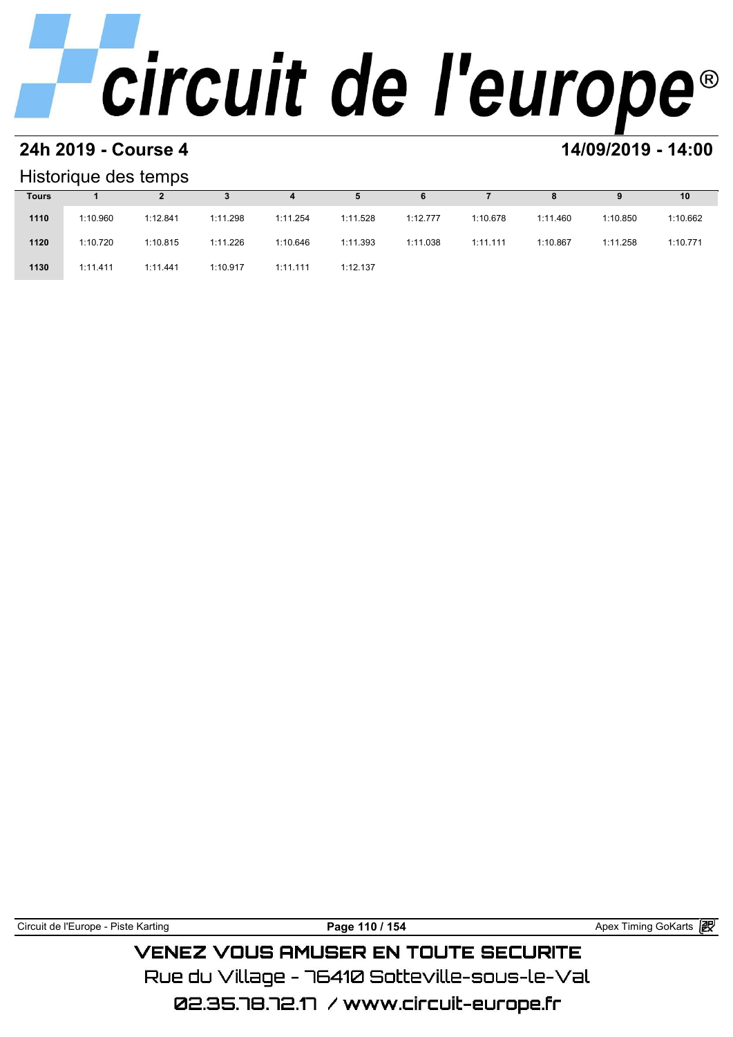#### **24h 2019 - Course 4 14/09/2019 - 14:00**

#### Historique des temps

|              | Historique des temps |          |          |          |          |          |          |          |          |          |  |  |  |  |  |
|--------------|----------------------|----------|----------|----------|----------|----------|----------|----------|----------|----------|--|--|--|--|--|
| <b>Tours</b> |                      |          |          | 4        | 5        | 6        |          | 8        | 9        | 10       |  |  |  |  |  |
| 1110         | 1:10.960             | 1:12.841 | 1:11.298 | 1:11.254 | 1:11.528 | 1:12.777 | 1:10.678 | 1:11.460 | 1:10.850 | 1:10.662 |  |  |  |  |  |
| 1120         | 1:10.720             | 1:10.815 | 1:11.226 | 1:10.646 | 1:11.393 | 1:11.038 | 1:11.111 | 1:10.867 | 1:11.258 | 1:10.771 |  |  |  |  |  |
| 1130         | 1:11.411             | 1:11.441 | 1:10.917 | 1:11.111 | 1:12.137 |          |          |          |          |          |  |  |  |  |  |

Circuit de l'Europe - Piste Karting **Page 110 / 154 Page 110 / 154** Apex Timing GoKarts **in** 

### **VENEZ VOUS AMUSER EN TOUTE SECURITE** Rue du Village – 76410 Sotteville-sous-le-Val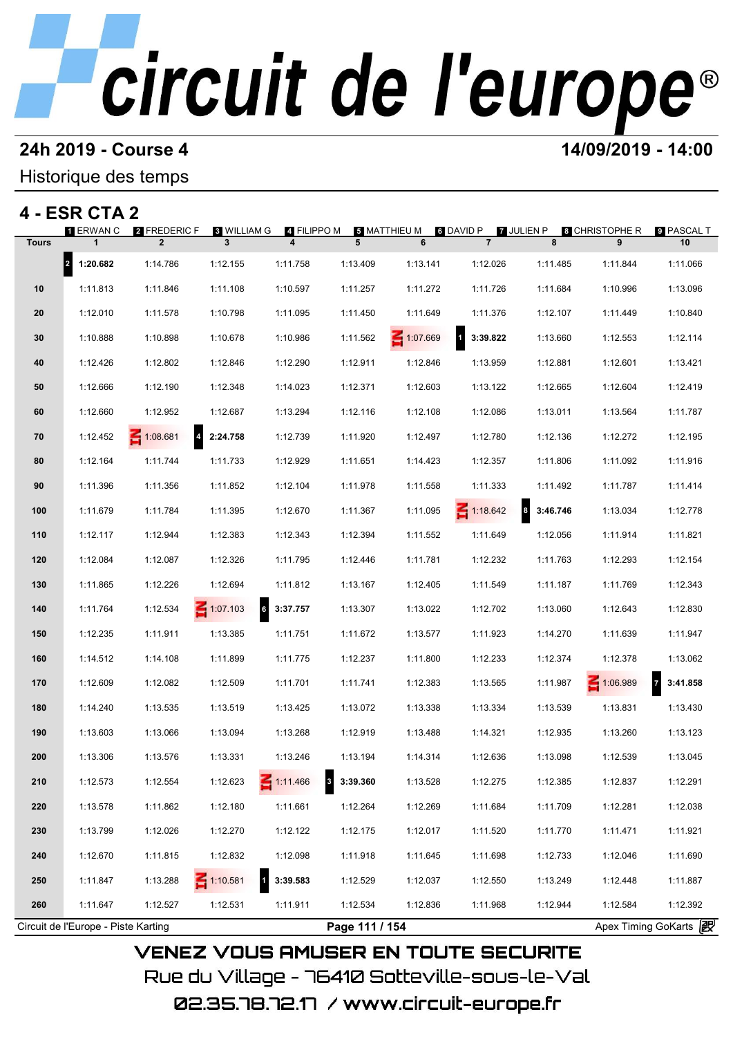# **24h 2019 - Course 4 12000 12000 14/09/2019 - 14:00**

#### Historique des temps

### **4 - ESR CTA 2**

|              | 1 ERWAN C  | 2 FREDERIC F<br>$\overline{2}$      | <b>8 WILLIAM G</b> | 4 FILIPPO M                         |                            | <b>5 MATTHIEU M</b> | <b>6 DAVID P</b> | <b>7 JULIEN P</b>            | <b>8 CHRISTOPHE R</b><br>9 | ္ PASCAL T                        |
|--------------|------------|-------------------------------------|--------------------|-------------------------------------|----------------------------|---------------------|------------------|------------------------------|----------------------------|-----------------------------------|
| <b>Tours</b> |            |                                     | 3                  | 4                                   | 5                          | 6                   | $\overline{7}$   | 8                            |                            | 10                                |
|              | 2 1:20.682 | 1:14.786                            | 1:12.155           | 1:11.758                            | 1:13.409                   | 1:13.141            | 1:12.026         | 1:11.485                     | 1:11.844                   | 1:11.066                          |
| 10           | 1:11.813   | 1:11.846                            | 1:11.108           | 1:10.597                            | 1:11.257                   | 1:11.272            | 1:11.726         | 1:11.684                     | 1:10.996                   | 1:13.096                          |
| 20           | 1:12.010   | 1:11.578                            | 1:10.798           | 1:11.095                            | 1:11.450                   | 1:11.649            | 1:11.376         | 1:12.107                     | 1:11.449                   | 1:10.840                          |
| 30           | 1:10.888   | 1:10.898                            | 1:10.678           | 1:10.986                            | 1:11.562                   | 1:07.669            | 3:39.822         | 1:13.660                     | 1:12.553                   | 1:12.114                          |
| 40           | 1:12.426   | 1:12.802                            | 1:12.846           | 1:12.290                            | 1:12.911                   | 1:12.846            | 1:13.959         | 1:12.881                     | 1:12.601                   | 1:13.421                          |
| 50           | 1:12.666   | 1:12.190                            | 1:12.348           | 1:14.023                            | 1:12.371                   | 1:12.603            | 1:13.122         | 1:12.665                     | 1:12.604                   | 1:12.419                          |
| 60           | 1:12.660   | 1:12.952                            | 1:12.687           | 1:13.294                            | 1:12.116                   | 1:12.108            | 1:12.086         | 1:13.011                     | 1:13.564                   | 1:11.787                          |
| 70           | 1:12.452   | $\overline{\mathbf{4}}$<br>1:08.681 | 2:24.758           | 1:12.739                            | 1:11.920                   | 1:12.497            | 1:12.780         | 1:12.136                     | 1:12.272                   | 1:12.195                          |
| 80           | 1:12.164   | 1:11.744                            | 1:11.733           | 1:12.929                            | 1:11.651                   | 1:14.423            | 1:12.357         | 1:11.806                     | 1:11.092                   | 1:11.916                          |
| 90           | 1:11.396   | 1:11.356                            | 1:11.852           | 1:12.104                            | 1:11.978                   | 1:11.558            | 1:11.333         | 1:11.492                     | 1:11.787                   | 1:11.414                          |
| 100          | 1:11.679   | 1:11.784                            | 1:11.395           | 1:12.670                            | 1:11.367                   | 1:11.095            | $\leq 1:18.642$  | $\boldsymbol{8}$<br>3:46.746 | 1:13.034                   | 1:12.778                          |
| 110          | 1:12.117   | 1:12.944                            | 1:12.383           | 1:12.343                            | 1:12.394                   | 1:11.552            | 1:11.649         | 1:12.056                     | 1:11.914                   | 1:11.821                          |
| 120          | 1:12.084   | 1:12.087                            | 1:12.326           | 1:11.795                            | 1:12.446                   | 1:11.781            | 1:12.232         | 1:11.763                     | 1:12.293                   | 1:12.154                          |
| 130          | 1:11.865   | 1:12.226                            | 1:12.694           | 1:11.812                            | 1:13.167                   | 1:12.405            | 1:11.549         | 1:11.187                     | 1:11.769                   | 1:12.343                          |
| 140          | 1:11.764   | 1:12.534                            | $\leq 1:07.103$    | 6 3:37.757                          | 1:13.307                   | 1:13.022            | 1:12.702         | 1:13.060                     | 1:12.643                   | 1:12.830                          |
| 150          | 1:12.235   | 1:11.911                            | 1:13.385           | 1:11.751                            | 1:11.672                   | 1:13.577            | 1:11.923         | 1:14.270                     | 1:11.639                   | 1:11.947                          |
| 160          | 1:14.512   | 1:14.108                            | 1:11.899           | 1:11.775                            | 1:12.237                   | 1:11.800            | 1:12.233         | 1:12.374                     | 1:12.378                   | 1:13.062                          |
| 170          | 1:12.609   | 1:12.082                            | 1:12.509           | 1:11.701                            | 1:11.741                   | 1:12.383            | 1:13.565         | 1:11.987                     | 1:06.989                   | $\overline{7}$<br>3:41.858        |
| 180          | 1:14.240   | 1:13.535                            | 1:13.519           | 1:13.425                            | 1:13.072                   | 1:13.338            | 1:13.334         | 1:13.539                     | 1:13.831                   | 1:13.430                          |
| 190          | 1:13.603   | 1:13.066                            | 1:13.094           | 1:13.268                            | 1:12.919                   | 1:13.488            | 1:14.321         | 1:12.935                     | 1:13.260                   | 1:13.123                          |
| 200          | 1:13.306   | 1:13.576                            | 1:13.331           | 1:13.246                            | 1:13.194                   | 1:14.314            | 1:12.636         | 1:13.098                     | 1:12.539                   | 1:13.045                          |
| 210          | 1:12.573   | 1:12.554                            | 1:12.623           | 1:11.466<br>$\overline{\mathbf{3}}$ | 3:39.360                   | 1:13.528            | 1:12.275         | 1:12.385                     | 1:12.837                   | 1:12.291                          |
| 220          | 1:13.578   | 1:11.862                            | 1:12.180           | 1:11.661                            | 1:12.264                   | 1:12.269            | 1:11.684         | 1:11.709                     | 1:12.281                   | 1:12.038                          |
| 230          | 1:13.799   | 1:12.026                            | 1:12.270           | 1:12.122                            | 1:12.175                   | 1:12.017            | 1:11.520         | 1:11.770                     | 1:11.471                   | 1:11.921                          |
| 240          | 1:12.670   | 1:11.815                            | 1:12.832           | 1:12.098                            | 1:11.918                   | 1:11.645            | 1:11.698         | 1:12.733                     | 1:12.046                   | 1:11.690                          |
|              |            |                                     | $\leq 1:10.581$    | $\mathbf{1}$<br>3:39.583            |                            |                     |                  |                              |                            |                                   |
| 250          | 1:11.847   | 1:13.288                            |                    |                                     | 1:12.529                   | 1:12.037            | 1:12.550         | 1:13.249                     | 1:12.448                   | 1:11.887                          |
| 260          | 1:11.647   | 1:12.527                            | 1:12.531           | 1:11.911                            | 1:12.534<br>Page 111 / 154 | 1:12.836            | 1:11.968         | 1:12.944                     | 1:12.584                   | 1:12.392<br>Apex Timing GoKarts 2 |

Rue du Village – 76410 Sotteville-sous-le-Val 02.35.78.72.17 /www.circuit-europe.fr

**VENEZ VOUS AMUSER EN TOUTE SECURITE**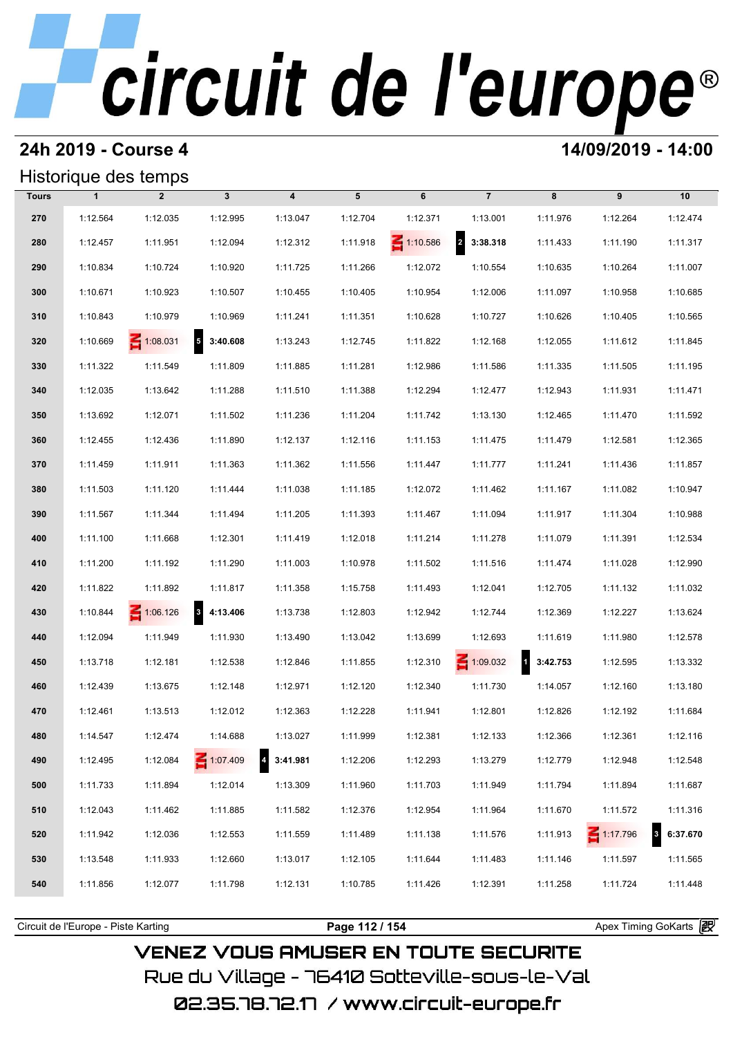#### **24h 2019 - Course 4 14/09/2019 - 14:00**

### Historique des temps

|              |              | Historique des temps |                                      |                                     |          |          |                            |           |                 |                          |
|--------------|--------------|----------------------|--------------------------------------|-------------------------------------|----------|----------|----------------------------|-----------|-----------------|--------------------------|
| <b>Tours</b> | $\mathbf{1}$ | $\overline{2}$       | $\mathbf{3}$                         | $\boldsymbol{4}$                    | 5        | 6        | $\overline{7}$             | 8         | 9               | 10                       |
| 270          | 1:12.564     | 1:12.035             | 1:12.995                             | 1:13.047                            | 1:12.704 | 1:12.371 | 1:13.001                   | 1:11.976  | 1:12.264        | 1:12.474                 |
| 280          | 1:12.457     | 1:11.951             | 1:12.094                             | 1:12.312                            | 1:11.918 | 1:10.586 | $\overline{a}$<br>3:38.318 | 1:11.433  | 1:11.190        | 1:11.317                 |
| 290          | 1:10.834     | 1:10.724             | 1:10.920                             | 1:11.725                            | 1:11.266 | 1:12.072 | 1:10.554                   | 1:10.635  | 1:10.264        | 1:11.007                 |
| 300          | 1:10.671     | 1:10.923             | 1:10.507                             | 1:10.455                            | 1:10.405 | 1:10.954 | 1:12.006                   | 1:11.097  | 1:10.958        | 1:10.685                 |
| 310          | 1:10.843     | 1:10.979             | 1:10.969                             | 1:11.241                            | 1:11.351 | 1:10.628 | 1:10.727                   | 1:10.626  | 1:10.405        | 1:10.565                 |
| 320          | 1:10.669     | $\leq 1:08.031$      | $\overline{\phantom{a}}$<br>3:40.608 | 1:13.243                            | 1:12.745 | 1:11.822 | 1:12.168                   | 1:12.055  | 1:11.612        | 1:11.845                 |
| 330          | 1:11.322     | 1:11.549             | 1:11.809                             | 1:11.885                            | 1:11.281 | 1:12.986 | 1:11.586                   | 1:11.335  | 1:11.505        | 1:11.195                 |
| 340          | 1:12.035     | 1:13.642             | 1:11.288                             | 1:11.510                            | 1:11.388 | 1:12.294 | 1:12.477                   | 1:12.943  | 1:11.931        | 1:11.471                 |
| 350          | 1:13.692     | 1:12.071             | 1:11.502                             | 1:11.236                            | 1:11.204 | 1:11.742 | 1:13.130                   | 1:12.465  | 1:11.470        | 1:11.592                 |
| 360          | 1:12.455     | 1:12.436             | 1:11.890                             | 1:12.137                            | 1:12.116 | 1:11.153 | 1:11.475                   | 1:11.479  | 1:12.581        | 1:12.365                 |
| 370          | 1:11.459     | 1:11.911             | 1:11.363                             | 1:11.362                            | 1:11.556 | 1:11.447 | 1:11.777                   | 1:11.241  | 1:11.436        | 1:11.857                 |
| 380          | 1:11.503     | 1:11.120             | 1:11.444                             | 1:11.038                            | 1:11.185 | 1:12.072 | 1:11.462                   | 1:11.167  | 1:11.082        | 1:10.947                 |
| 390          | 1:11.567     | 1:11.344             | 1:11.494                             | 1:11.205                            | 1:11.393 | 1:11.467 | 1:11.094                   | 1:11.917  | 1:11.304        | 1:10.988                 |
| 400          | 1:11.100     | 1:11.668             | 1:12.301                             | 1:11.419                            | 1:12.018 | 1:11.214 | 1:11.278                   | 1:11.079  | 1:11.391        | 1:12.534                 |
| 410          | 1:11.200     | 1:11.192             | 1:11.290                             | 1:11.003                            | 1:10.978 | 1:11.502 | 1:11.516                   | 1:11.474  | 1:11.028        | 1:12.990                 |
| 420          | 1:11.822     | 1:11.892             | 1:11.817                             | 1:11.358                            | 1:15.758 | 1:11.493 | 1:12.041                   | 1:12.705  | 1:11.132        | 1:11.032                 |
| 430          | 1:10.844     | $\leq 1:06.126$      | $\overline{\mathbf{3}}$<br>4:13.406  | 1:13.738                            | 1:12.803 | 1:12.942 | 1:12.744                   | 1:12.369  | 1:12.227        | 1:13.624                 |
| 440          | 1:12.094     | 1:11.949             | 1:11.930                             | 1:13.490                            | 1:13.042 | 1:13.699 | 1:12.693                   | 1:11.619  | 1:11.980        | 1:12.578                 |
| 450          | 1:13.718     | 1:12.181             | 1:12.538                             | 1:12.846                            | 1:11.855 | 1:12.310 | $\leq 1:09.032$            | 13:42.753 | 1:12.595        | 1:13.332                 |
| 460          | 1:12.439     | 1:13.675             | 1:12.148                             | 1:12.971                            | 1:12.120 | 1:12.340 | 1:11.730                   | 1:14.057  | 1:12.160        | 1:13.180                 |
| 470          | 1:12.461     | 1:13.513             | 1:12.012                             | 1:12.363                            | 1:12.228 | 1:11.941 | 1:12.801                   | 1:12.826  | 1:12.192        | 1:11.684                 |
| 480          | 1:14.547     | 1:12.474             | 1:14.688                             | 1:13.027                            | 1:11.999 | 1:12.381 | 1:12.133                   | 1:12.366  | 1:12.361        | 1:12.116                 |
| 490          | 1:12.495     | 1:12.084             | $-1:07.409$                          | $\overline{\mathbf{4}}$<br>3:41.981 | 1:12.206 | 1:12.293 | 1:13.279                   | 1:12.779  | 1:12.948        | 1:12.548                 |
| 500          | 1:11.733     | 1:11.894             | 1:12.014                             | 1:13.309                            | 1:11.960 | 1:11.703 | 1:11.949                   | 1:11.794  | 1:11.894        | 1:11.687                 |
| 510          | 1:12.043     | 1:11.462             | 1:11.885                             | 1:11.582                            | 1:12.376 | 1:12.954 | 1:11.964                   | 1:11.670  | 1:11.572        | 1:11.316                 |
| 520          | 1:11.942     | 1:12.036             | 1:12.553                             | 1:11.559                            | 1:11.489 | 1:11.138 | 1:11.576                   | 1:11.913  | $\leq 1:17.796$ | $\mathbf{3}$<br>6:37.670 |
| 530          | 1:13.548     | 1:11.933             | 1:12.660                             | 1:13.017                            | 1:12.105 | 1:11.644 | 1:11.483                   | 1:11.146  | 1:11.597        | 1:11.565                 |
| 540          | 1:11.856     | 1:12.077             | 1:11.798                             | 1:12.131                            | 1:10.785 | 1:11.426 | 1:12.391                   | 1:11.258  | 1:11.724        | 1:11.448                 |
|              |              |                      |                                      |                                     |          |          |                            |           |                 |                          |

**VENEZ VOUS AMUSER EN TOUTE SECURITE** Rue du Village – 76410 Sotteville-sous-le-Val

Circuit de l'Europe - Piste Karting **Page 112 / 154 Page 112 / 154** Apex Timing GoKarts **in**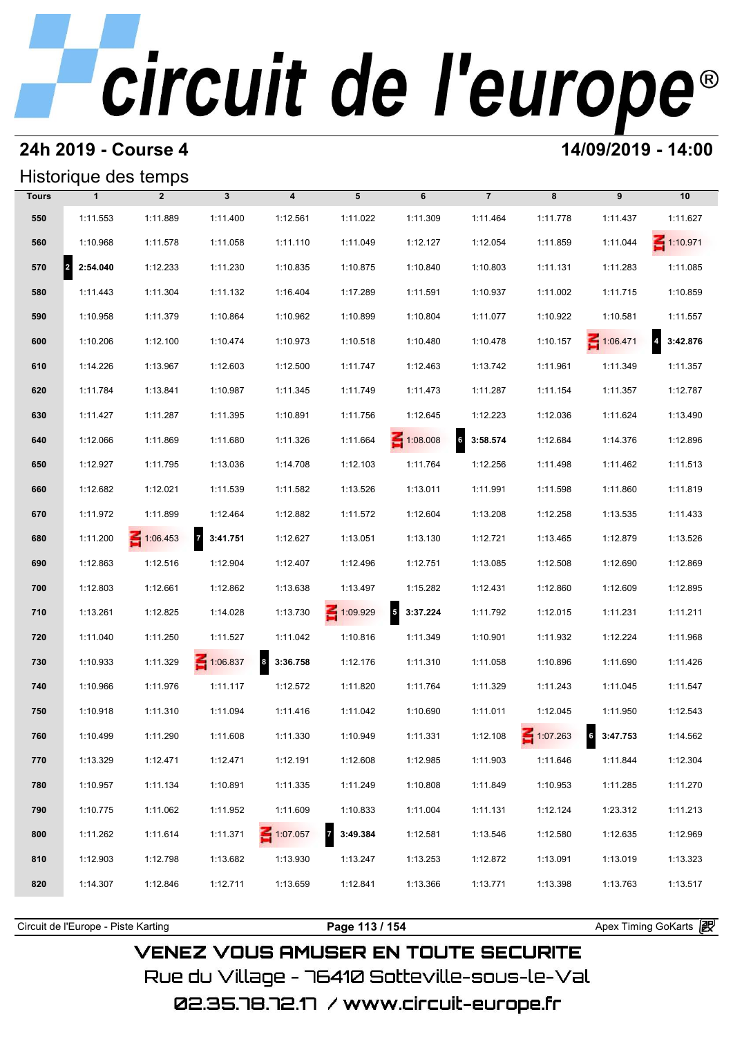#### **24h 2019 - Course 4 14/09/2019 - 14:00**

### Historique des temps

|       | Historique des temps             |                 |                            |                         |            |                                      |                            |                 |                   |                            |
|-------|----------------------------------|-----------------|----------------------------|-------------------------|------------|--------------------------------------|----------------------------|-----------------|-------------------|----------------------------|
| Tours | $\mathbf{1}$                     | $\overline{2}$  | $\mathbf{3}$               | $\overline{\mathbf{4}}$ | 5          | 6                                    | $\overline{7}$             | 8               | 9                 | 10                         |
| 550   | 1:11.553                         | 1:11.889        | 1:11.400                   | 1:12.561                | 1:11.022   | 1:11.309                             | 1:11.464                   | 1:11.778        | 1:11.437          | 1:11.627                   |
| 560   | 1:10.968                         | 1:11.578        | 1:11.058                   | 1:11.110                | 1:11.049   | 1:12.127                             | 1:12.054                   | 1:11.859        | 1:11.044          | $\leq 1:10.971$            |
| 570   | $\vert$ <sub>2</sub><br>2:54.040 | 1:12.233        | 1:11.230                   | 1:10.835                | 1:10.875   | 1:10.840                             | 1:10.803                   | 1:11.131        | 1:11.283          | 1:11.085                   |
| 580   | 1:11.443                         | 1:11.304        | 1:11.132                   | 1:16.404                | 1:17.289   | 1:11.591                             | 1:10.937                   | 1:11.002        | 1:11.715          | 1:10.859                   |
| 590   | 1:10.958                         | 1:11.379        | 1:10.864                   | 1:10.962                | 1:10.899   | 1:10.804                             | 1:11.077                   | 1:10.922        | 1:10.581          | 1:11.557                   |
| 600   | 1:10.206                         | 1:12.100        | 1:10.474                   | 1:10.973                | 1:10.518   | 1:10.480                             | 1:10.478                   | 1:10.157        | $\leq 1:06.471$   | $\overline{4}$<br>3:42.876 |
| 610   | 1:14.226                         | 1:13.967        | 1:12.603                   | 1:12.500                | 1:11.747   | 1:12.463                             | 1:13.742                   | 1:11.961        | 1:11.349          | 1:11.357                   |
| 620   | 1:11.784                         | 1:13.841        | 1:10.987                   | 1:11.345                | 1:11.749   | 1:11.473                             | 1:11.287                   | 1:11.154        | 1:11.357          | 1:12.787                   |
| 630   | 1:11.427                         | 1:11.287        | 1:11.395                   | 1:10.891                | 1:11.756   | 1:12.645                             | 1:12.223                   | 1:12.036        | 1:11.624          | 1:13.490                   |
| 640   | 1:12.066                         | 1:11.869        | 1:11.680                   | 1:11.326                | 1:11.664   | $\leq 1:08.008$                      | $6\phantom{a}$<br>3:58.574 | 1:12.684        | 1:14.376          | 1:12.896                   |
| 650   | 1:12.927                         | 1:11.795        | 1:13.036                   | 1:14.708                | 1:12.103   | 1:11.764                             | 1:12.256                   | 1:11.498        | 1:11.462          | 1:11.513                   |
| 660   | 1:12.682                         | 1:12.021        | 1:11.539                   | 1:11.582                | 1:13.526   | 1:13.011                             | 1:11.991                   | 1:11.598        | 1:11.860          | 1:11.819                   |
| 670   | 1:11.972                         | 1:11.899        | 1:12.464                   | 1:12.882                | 1:11.572   | 1:12.604                             | 1:13.208                   | 1:12.258        | 1:13.535          | 1:11.433                   |
| 680   | 1:11.200                         | $\leq 1:06.453$ | $\overline{7}$<br>3:41.751 | 1:12.627                | 1:13.051   | 1:13.130                             | 1:12.721                   | 1:13.465        | 1:12.879          | 1:13.526                   |
| 690   | 1:12.863                         | 1:12.516        | 1:12.904                   | 1:12.407                | 1:12.496   | 1:12.751                             | 1:13.085                   | 1:12.508        | 1:12.690          | 1:12.869                   |
| 700   | 1:12.803                         | 1:12.661        | 1:12.862                   | 1:13.638                | 1:13.497   | 1:15.282                             | 1:12.431                   | 1:12.860        | 1:12.609          | 1:12.895                   |
| 710   | 1:13.261                         | 1:12.825        | 1:14.028                   | 1:13.730                | 1:09.929   | $\overline{\phantom{a}}$<br>3:37.224 | 1:11.792                   | 1:12.015        | 1:11.231          | 1:11.211                   |
| 720   | 1:11.040                         | 1:11.250        | 1:11.527                   | 1:11.042                | 1:10.816   | 1:11.349                             | 1:10.901                   | 1:11.932        | 1:12.224          | 1:11.968                   |
| 730   | 1:10.933                         | 1:11.329        | $\leq 1:06.837$            | $8 - 3:36.758$          | 1:12.176   | 1:11.310                             | 1:11.058                   | 1:10.896        | 1:11.690          | 1:11.426                   |
| 740   | 1:10.966                         | 1:11.976        | 1:11.117                   | 1:12.572                | 1:11.820   | 1:11.764                             | 1:11.329                   | 1:11.243        | 1:11.045          | 1:11.547                   |
| 750   | 1:10.918                         | 1:11.310        | 1:11.094                   | 1:11.416                | 1:11.042   | 1:10.690                             | 1:11.011                   | 1:12.045        | 1:11.950          | 1:12.543                   |
| 760   | 1:10.499                         | 1:11.290        | 1:11.608                   | 1:11.330                | 1:10.949   | 1:11.331                             | 1:12.108                   | $\leq 1:07.263$ | $6\quad 3:47.753$ | 1:14.562                   |
| 770   | 1:13.329                         | 1:12.471        | 1:12.471                   | 1:12.191                | 1:12.608   | 1:12.985                             | 1:11.903                   | 1:11.646        | 1:11.844          | 1:12.304                   |
| 780   | 1:10.957                         | 1:11.134        | 1:10.891                   | 1:11.335                | 1:11.249   | 1:10.808                             | 1:11.849                   | 1:10.953        | 1:11.285          | 1:11.270                   |
| 790   | 1:10.775                         | 1:11.062        | 1:11.952                   | 1:11.609                | 1:10.833   | 1:11.004                             | 1:11.131                   | 1:12.124        | 1:23.312          | 1:11.213                   |
| 800   | 1:11.262                         | 1:11.614        | 1:11.371                   | $\leq 1:07.057$         | 7 3:49.384 | 1:12.581                             | 1:13.546                   | 1:12.580        | 1:12.635          | 1:12.969                   |
| 810   | 1:12.903                         | 1:12.798        | 1:13.682                   | 1:13.930                | 1:13.247   | 1:13.253                             | 1:12.872                   | 1:13.091        | 1:13.019          | 1:13.323                   |
| 820   | 1:14.307                         | 1:12.846        | 1:12.711                   | 1:13.659                | 1:12.841   | 1:13.366                             | 1:13.771                   | 1:13.398        | 1:13.763          | 1:13.517                   |
|       |                                  |                 |                            |                         |            |                                      |                            |                 |                   |                            |

**VENEZ VOUS AMUSER EN TOUTE SECURITE** Rue du Village – 76410 Sotteville-sous-le-Val

02.35.78.72.17 / www.circuit-europe.fr

Circuit de l'Europe - Piste Karting **Page 113 / 154 Page 113 / 154** Apex Timing GoKarts **in**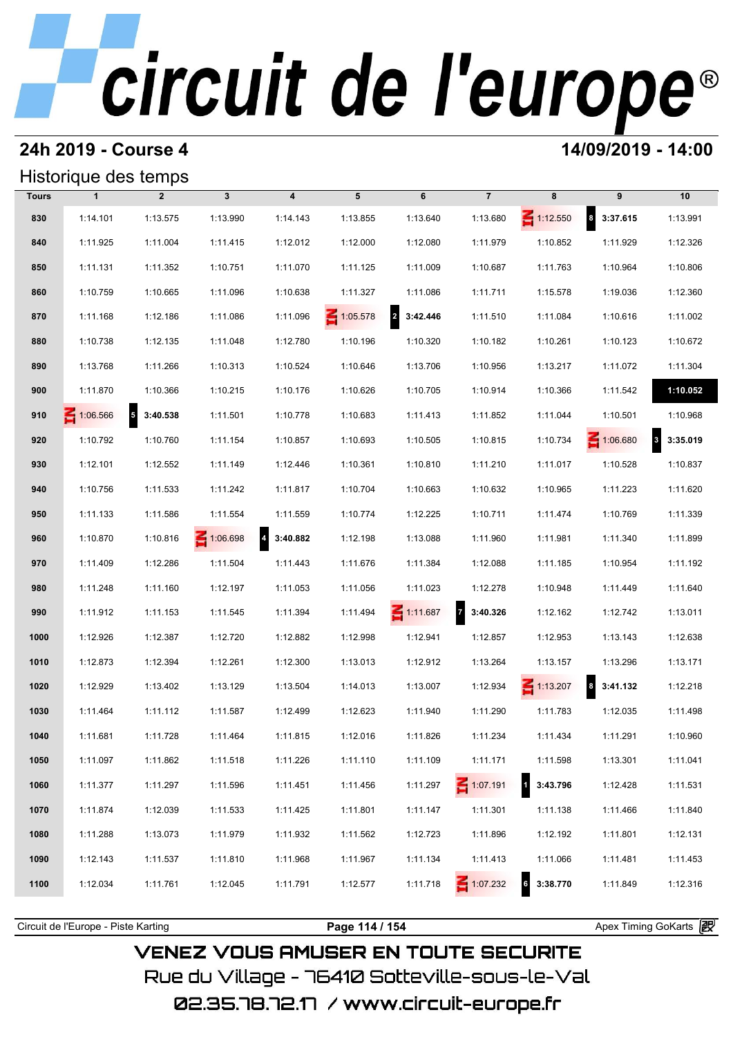#### **24h 2019 - Course 4 14/09/2019 - 14:00**

### Historique des temps

|              | Historique des temps |                            |              |                            |                 |                            |                            |                             |                      |                          |
|--------------|----------------------|----------------------------|--------------|----------------------------|-----------------|----------------------------|----------------------------|-----------------------------|----------------------|--------------------------|
| <b>Tours</b> | $\mathbf{1}$         | $\overline{2}$             | $\mathbf{3}$ | $\overline{\mathbf{4}}$    | 5               | 6                          | $\overline{7}$             | 8                           | 9                    | 10                       |
| 830          | 1:14.101             | 1:13.575                   | 1:13.990     | 1:14.143                   | 1:13.855        | 1:13.640                   | 1:13.680                   | $\leq 1:12.550$             | $8 - 3:37.615$       | 1:13.991                 |
| 840          | 1:11.925             | 1:11.004                   | 1:11.415     | 1:12.012                   | 1:12.000        | 1:12.080                   | 1:11.979                   | 1:10.852                    | 1:11.929             | 1:12.326                 |
| 850          | 1:11.131             | 1:11.352                   | 1:10.751     | 1:11.070                   | 1:11.125        | 1:11.009                   | 1:10.687                   | 1:11.763                    | 1:10.964             | 1:10.806                 |
| 860          | 1:10.759             | 1:10.665                   | 1:11.096     | 1:10.638                   | 1:11.327        | 1:11.086                   | 1:11.711                   | 1:15.578                    | 1:19.036             | 1:12.360                 |
| 870          | 1:11.168             | 1:12.186                   | 1:11.086     | 1:11.096                   | $\leq 1:05.578$ | $\overline{2}$<br>3:42.446 | 1:11.510                   | 1:11.084                    | 1:10.616             | 1:11.002                 |
| 880          | 1:10.738             | 1:12.135                   | 1:11.048     | 1:12.780                   | 1:10.196        | 1:10.320                   | 1:10.182                   | 1:10.261                    | 1:10.123             | 1:10.672                 |
| 890          | 1:13.768             | 1:11.266                   | 1:10.313     | 1:10.524                   | 1:10.646        | 1:13.706                   | 1:10.956                   | 1:13.217                    | 1:11.072             | 1:11.304                 |
| 900          | 1:11.870             | 1:10.366                   | 1:10.215     | 1:10.176                   | 1:10.626        | 1:10.705                   | 1:10.914                   | 1:10.366                    | 1:11.542             | 1:10.052                 |
| 910          | 1:06.566             | $\overline{5}$<br>3:40.538 | 1:11.501     | 1:10.778                   | 1:10.683        | 1:11.413                   | 1:11.852                   | 1:11.044                    | 1:10.501             | 1:10.968                 |
| 920          | 1:10.792             | 1:10.760                   | 1:11.154     | 1:10.857                   | 1:10.693        | 1:10.505                   | 1:10.815                   | 1:10.734                    | 1:06.680             | 3:35.019<br>$\mathbf{3}$ |
| 930          | 1:12.101             | 1:12.552                   | 1:11.149     | 1:12.446                   | 1:10.361        | 1:10.810                   | 1:11.210                   | 1:11.017                    | 1:10.528             | 1:10.837                 |
| 940          | 1:10.756             | 1:11.533                   | 1:11.242     | 1:11.817                   | 1:10.704        | 1:10.663                   | 1:10.632                   | 1:10.965                    | 1:11.223             | 1:11.620                 |
| 950          | 1:11.133             | 1:11.586                   | 1:11.554     | 1:11.559                   | 1:10.774        | 1:12.225                   | 1:10.711                   | 1:11.474                    | 1:10.769             | 1:11.339                 |
| 960          | 1:10.870             | 1:10.816                   | 1:06.698     | $\overline{4}$<br>3:40.882 | 1:12.198        | 1:13.088                   | 1:11.960                   | 1:11.981                    | 1:11.340             | 1:11.899                 |
| 970          | 1:11.409             | 1:12.286                   | 1:11.504     | 1:11.443                   | 1:11.676        | 1:11.384                   | 1:12.088                   | 1:11.185                    | 1:10.954             | 1:11.192                 |
| 980          | 1:11.248             | 1:11.160                   | 1:12.197     | 1:11.053                   | 1:11.056        | 1:11.023                   | 1:12.278                   | 1:10.948                    | 1:11.449             | 1:11.640                 |
| 990          | 1:11.912             | 1:11.153                   | 1:11.545     | 1:11.394                   | 1:11.494        | $\leq 1:11.687$            | $\overline{7}$<br>3:40.326 | 1:12.162                    | 1:12.742             | 1:13.011                 |
| 1000         | 1:12.926             | 1:12.387                   | 1:12.720     | 1:12.882                   | 1:12.998        | 1:12.941                   | 1:12.857                   | 1:12.953                    | 1:13.143             | 1:12.638                 |
| 1010         | 1:12.873             | 1:12.394                   | 1:12.261     | 1:12.300                   | 1:13.013        | 1:12.912                   | 1:13.264                   | 1:13.157                    | 1:13.296             | 1:13.171                 |
| 1020         | 1:12.929             | 1:13.402                   | 1:13.129     | 1:13.504                   | 1:14.013        | 1:13.007                   | 1:12.934                   | $\leq 1:13.207$             | $\bf{8}$<br>3:41.132 | 1:12.218                 |
| 1030         | 1:11.464             | 1:11.112                   | 1:11.587     | 1:12.499                   | 1:12.623        | 1:11.940                   | 1:11.290                   | 1:11.783                    | 1:12.035             | 1:11.498                 |
| 1040         | 1:11.681             | 1:11.728                   | 1:11.464     | 1:11.815                   | 1:12.016        | 1:11.826                   | 1:11.234                   | 1:11.434                    | 1:11.291             | 1:10.960                 |
| 1050         | 1:11.097             | 1:11.862                   | 1:11.518     | 1:11.226                   | 1:11.110        | 1:11.109                   | 1:11.171                   | 1:11.598                    | 1:13.301             | 1:11.041                 |
| 1060         | 1:11.377             | 1:11.297                   | 1:11.596     | 1:11.451                   | 1:11.456        | 1:11.297                   | $\leq 1:07.191$            | $\overline{1}$<br>3:43.796  | 1:12.428             | 1:11.531                 |
| 1070         | 1:11.874             | 1:12.039                   | 1:11.533     | 1:11.425                   | 1:11.801        | 1:11.147                   | 1:11.301                   | 1:11.138                    | 1:11.466             | 1:11.840                 |
| 1080         | 1:11.288             | 1:13.073                   | 1:11.979     | 1:11.932                   | 1:11.562        | 1:12.723                   | 1:11.896                   | 1:12.192                    | 1:11.801             | 1:12.131                 |
| 1090         | 1:12.143             | 1:11.537                   | 1:11.810     | 1:11.968                   | 1:11.967        | 1:11.134                   | 1:11.413                   | 1:11.066                    | 1:11.481             | 1:11.453                 |
| 1100         | 1:12.034             | 1:11.761                   | 1:12.045     | 1:11.791                   | 1:12.577        | 1:11.718                   | 1:07.232                   | $6\overline{6}$<br>3:38.770 | 1:11.849             | 1:12.316                 |
|              |                      |                            |              |                            |                 |                            |                            |                             |                      |                          |

**VENEZ VOUS AMUSER EN TOUTE SECURITE** Rue du Village – 76410 Sotteville-sous-le-Val

Circuit de l'Europe - Piste Karting **Page 114 / 154 Page 114 / 154** Apex Timing GoKarts **in**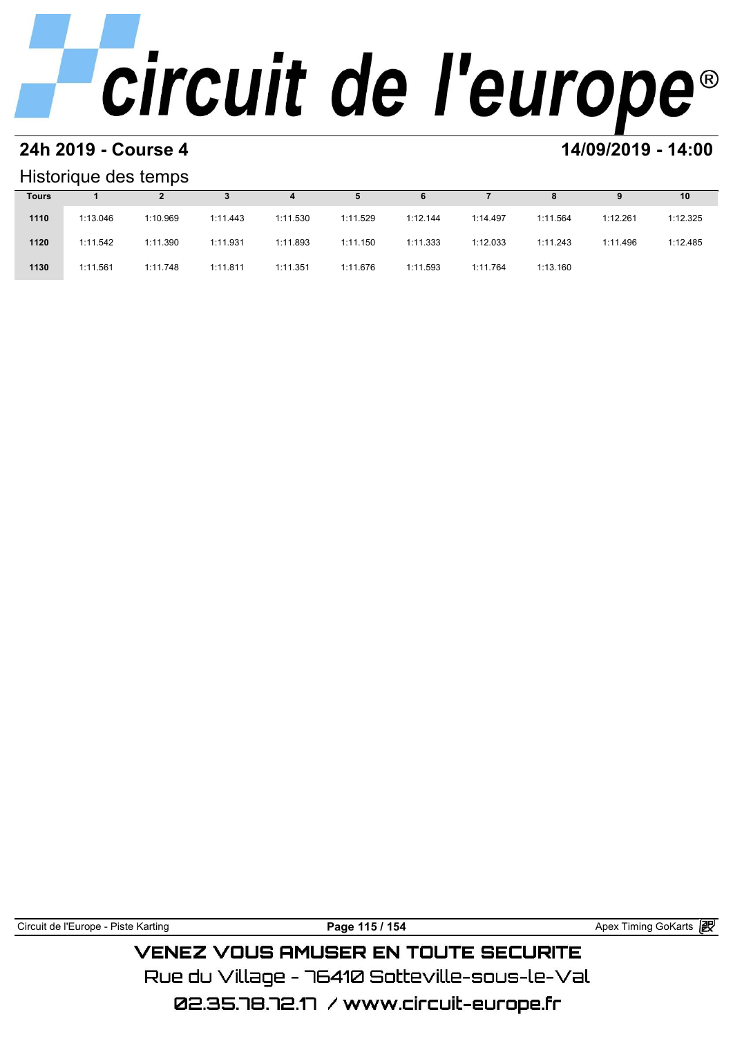#### **24h 2019 - Course 4 14/09/2019 - 14:00**

#### Historique des temps

|              | Historique des temps |          |          |          |          |          |          |          |          |          |  |  |  |  |
|--------------|----------------------|----------|----------|----------|----------|----------|----------|----------|----------|----------|--|--|--|--|
| <b>Tours</b> |                      |          |          | 4        | 5        | 6        |          | 8        | 9        | 10       |  |  |  |  |
| 1110         | 1:13.046             | 1:10.969 | 1:11.443 | 1:11.530 | 1:11.529 | 1:12.144 | 1:14.497 | 1:11.564 | 1:12.261 | 1:12.325 |  |  |  |  |
| 1120         | 1:11.542             | 1:11.390 | 1:11.931 | 1:11.893 | 1:11.150 | 1:11.333 | 1:12.033 | 1:11.243 | 1:11.496 | 1:12.485 |  |  |  |  |
| 1130         | 1:11.561             | 1:11.748 | 1:11.811 | 1:11.351 | 1:11.676 | 1:11.593 | 1:11.764 | 1:13.160 |          |          |  |  |  |  |

Circuit de l'Europe - Piste Karting **Page 115 / 154 Page 115 / 154** Apex Timing GoKarts **in** 

**VENEZ VOUS AMUSER EN TOUTE SECURITE** Rue du Village – 76410 Sotteville-sous-le-Val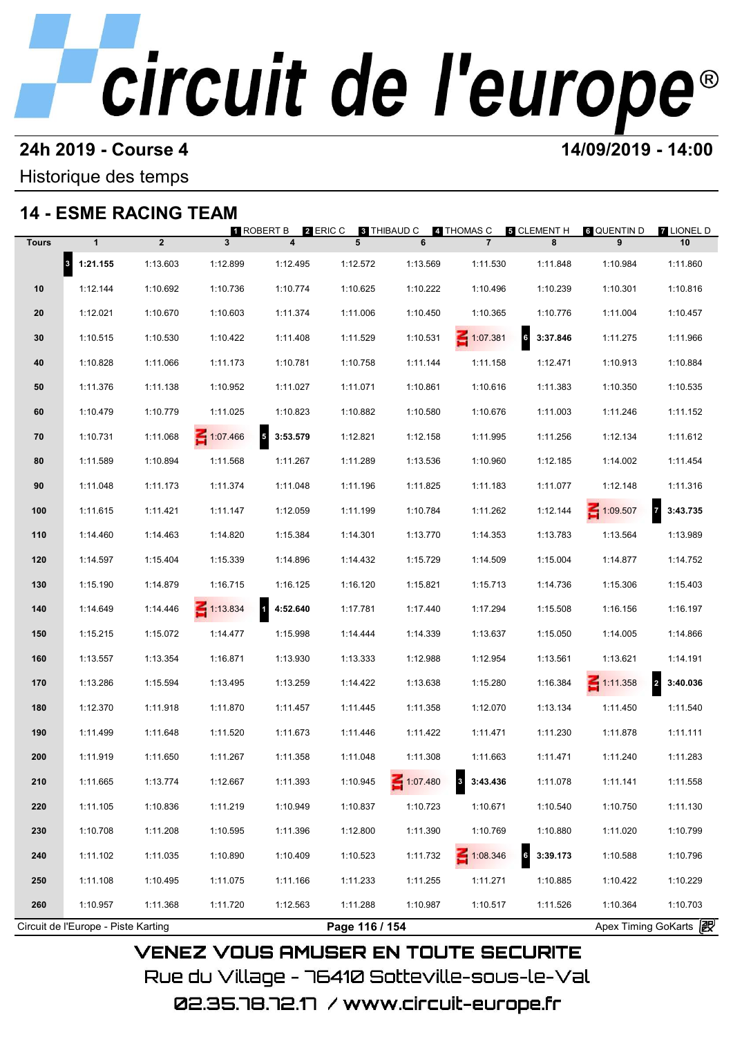#### **24h 2019 - Course 4 14/09/2019 - 14:00**

#### Historique des temps

### **14 - ESME RACING TEAM**

|              | 14 - ESME RACING TEAM               |                | 1 ROBERT B      | 2 ERIC C                             | 8 THIBAUD C    |          | 4 THOMAS C      | 5 CLEMENT H                 | <b>6 QUENTIN D</b> | <b>7 LIONEL D</b>          |
|--------------|-------------------------------------|----------------|-----------------|--------------------------------------|----------------|----------|-----------------|-----------------------------|--------------------|----------------------------|
| <b>Tours</b> | $\mathbf{1}$                        | $\overline{2}$ | 3 <sup>1</sup>  | $\overline{\mathbf{4}}$              | 5              | 6        | $\overline{7}$  | 8                           | 9                  | 10                         |
|              | $8$ 1:21.155                        | 1:13.603       | 1:12.899        | 1:12.495                             | 1:12.572       | 1:13.569 | 1:11.530        | 1:11.848                    | 1:10.984           | 1:11.860                   |
| 10           | 1:12.144                            | 1:10.692       | 1:10.736        | 1:10.774                             | 1:10.625       | 1:10.222 | 1:10.496        | 1:10.239                    | 1:10.301           | 1:10.816                   |
| 20           | 1:12.021                            | 1:10.670       | 1:10.603        | 1:11.374                             | 1:11.006       | 1:10.450 | 1:10.365        | 1:10.776                    | 1:11.004           | 1:10.457                   |
| 30           | 1:10.515                            | 1:10.530       | 1:10.422        | 1:11.408                             | 1:11.529       | 1:10.531 | $\leq 1:07.381$ | $\mathbf{6}$<br>3:37.846    | 1:11.275           | 1:11.966                   |
| 40           | 1:10.828                            | 1:11.066       | 1:11.173        | 1:10.781                             | 1:10.758       | 1:11.144 | 1:11.158        | 1:12.471                    | 1:10.913           | 1:10.884                   |
| 50           | 1:11.376                            | 1:11.138       | 1:10.952        | 1:11.027                             | 1:11.071       | 1:10.861 | 1:10.616        | 1:11.383                    | 1:10.350           | 1:10.535                   |
| 60           | 1:10.479                            | 1:10.779       | 1:11.025        | 1:10.823                             | 1:10.882       | 1:10.580 | 1:10.676        | 1:11.003                    | 1:11.246           | 1:11.152                   |
| 70           | 1:10.731                            | 1:11.068       | 1:07.466        | $\overline{\phantom{a}}$<br>3:53.579 | 1:12.821       | 1:12.158 | 1:11.995        | 1:11.256                    | 1:12.134           | 1:11.612                   |
| 80           | 1:11.589                            | 1:10.894       | 1:11.568        | 1:11.267                             | 1:11.289       | 1:13.536 | 1:10.960        | 1:12.185                    | 1:14.002           | 1:11.454                   |
| 90           | 1:11.048                            | 1:11.173       | 1:11.374        | 1:11.048                             | 1:11.196       | 1:11.825 | 1:11.183        | 1:11.077                    | 1:12.148           | 1:11.316                   |
| 100          | 1:11.615                            | 1:11.421       | 1:11.147        | 1:12.059                             | 1:11.199       | 1:10.784 | 1:11.262        | 1:12.144                    | $\leq 1:09.507$    | $\overline{7}$<br>3:43.735 |
| 110          | 1:14.460                            | 1:14.463       | 1:14.820        | 1:15.384                             | 1:14.301       | 1:13.770 | 1:14.353        | 1:13.783                    | 1:13.564           | 1:13.989                   |
| 120          | 1:14.597                            | 1:15.404       | 1:15.339        | 1:14.896                             | 1:14.432       | 1:15.729 | 1:14.509        | 1:15.004                    | 1:14.877           | 1:14.752                   |
| 130          | 1:15.190                            | 1:14.879       | 1:16.715        | 1:16.125                             | 1:16.120       | 1:15.821 | 1:15.713        | 1:14.736                    | 1:15.306           | 1:15.403                   |
| 140          | 1:14.649                            | 1:14.446       | $\leq 1:13.834$ | $\overline{\mathbf{1}}$<br>4:52.640  | 1:17.781       | 1:17.440 | 1:17.294        | 1:15.508                    | 1:16.156           | 1:16.197                   |
| 150          | 1:15.215                            | 1:15.072       | 1:14.477        | 1:15.998                             | 1:14.444       | 1:14.339 | 1:13.637        | 1:15.050                    | 1:14.005           | 1:14.866                   |
| 160          | 1:13.557                            | 1:13.354       | 1:16.871        | 1:13.930                             | 1:13.333       | 1:12.988 | 1:12.954        | 1:13.561                    | 1:13.621           | 1:14.191                   |
| 170          | 1:13.286                            | 1:15.594       | 1:13.495        | 1:13.259                             | 1:14.422       | 1:13.638 | 1:15.280        | 1:16.384                    | $\leq 1:11.358$    | $\overline{a}$<br>3:40.036 |
| 180          | 1:12.370                            | 1:11.918       | 1:11.870        | 1:11.457                             | 1:11.445       | 1:11.358 | 1:12.070        | 1:13.134                    | 1:11.450           | 1:11.540                   |
| 190          | 1:11.499                            | 1:11.648       | 1:11.520        | 1:11.673                             | 1:11.446       | 1:11.422 | 1:11.471        | 1:11.230                    | 1:11.878           | 1:11.111                   |
| 200          | 1:11.919                            | 1:11.650       | 1:11.267        | 1:11.358                             | 1:11.048       | 1:11.308 | 1:11.663        | 1:11.471                    | 1:11.240           | 1:11.283                   |
| 210          | 1:11.665                            | 1:13.774       | 1:12.667        | 1:11.393                             | 1:10.945       | 1:07.480 | 3:43.436        | 1:11.078                    | 1:11.141           | 1:11.558                   |
| 220          | 1:11.105                            | 1:10.836       | 1:11.219        | 1:10.949                             | 1:10.837       | 1:10.723 | 1:10.671        | 1:10.540                    | 1:10.750           | 1:11.130                   |
| 230          | 1:10.708                            | 1:11.208       | 1:10.595        | 1:11.396                             | 1:12.800       | 1:11.390 | 1:10.769        | 1:10.880                    | 1:11.020           | 1:10.799                   |
| 240          | 1:11.102                            | 1:11.035       | 1:10.890        | 1:10.409                             | 1:10.523       | 1:11.732 | $\leq 1:08.346$ | $6\overline{6}$<br>3:39.173 | 1:10.588           | 1:10.796                   |
| 250          | 1:11.108                            | 1:10.495       | 1:11.075        | 1:11.166                             | 1:11.233       | 1:11.255 | 1:11.271        | 1:10.885                    | 1:10.422           | 1:10.229                   |
| 260          | 1:10.957                            | 1:11.368       | 1:11.720        | 1:12.563                             | 1:11.288       | 1:10.987 | 1:10.517        | 1:11.526                    | 1:10.364           | 1:10.703                   |
|              | Circuit de l'Europe - Piste Karting |                |                 |                                      | Page 116 / 154 |          |                 |                             |                    | Apex Timing GoKarts 2      |

02.35.78.72.17 / www.circuit-europe.fr

Rue du Village – 76410 Sotteville-sous-le-Val

**VENEZ VOUS AMUSER EN TOUTE SECURITE**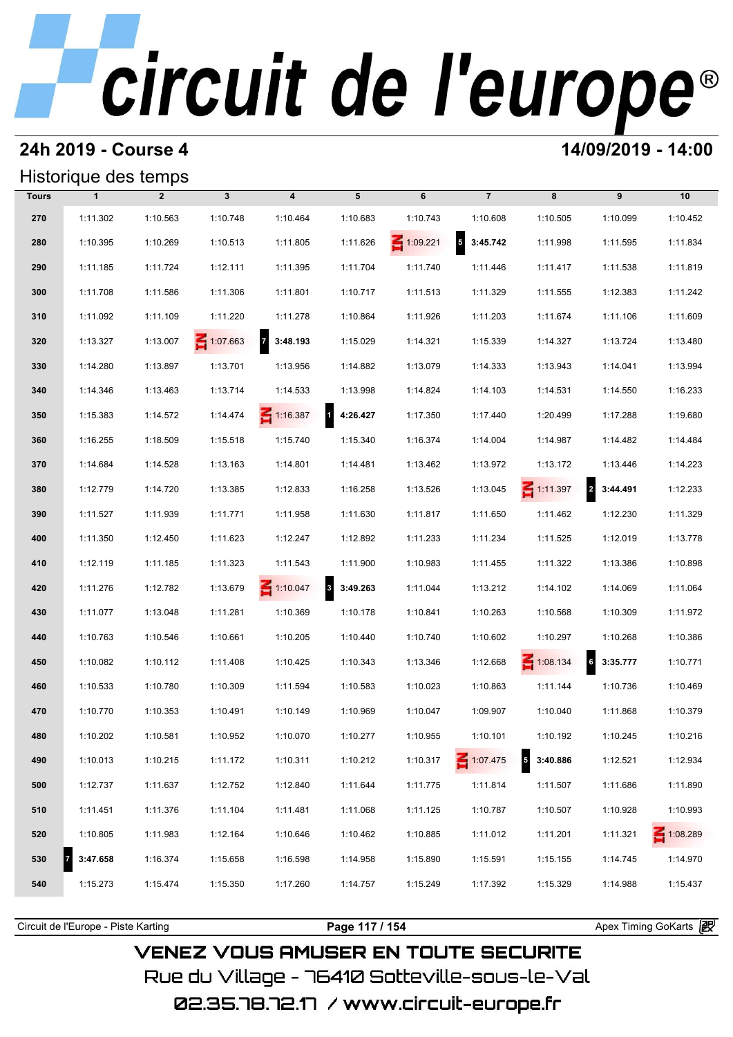#### **24h 2019 - Course 4 14/09/2019 - 14:00**

#### Historique des temps

|              | Historique des temps |                |                 |                            |                          |                 |                                      |                 |                                     |                 |
|--------------|----------------------|----------------|-----------------|----------------------------|--------------------------|-----------------|--------------------------------------|-----------------|-------------------------------------|-----------------|
| <b>Tours</b> | $\mathbf{1}$         | $\overline{2}$ | $\mathbf{3}$    | $\overline{\mathbf{4}}$    | 5                        | 6               | $\overline{7}$                       | 8               | 9                                   | 10              |
| 270          | 1:11.302             | 1:10.563       | 1:10.748        | 1:10.464                   | 1:10.683                 | 1:10.743        | 1:10.608                             | 1:10.505        | 1:10.099                            | 1:10.452        |
| 280          | 1:10.395             | 1:10.269       | 1:10.513        | 1:11.805                   | 1:11.626                 | $\leq 1:09.221$ | $\overline{\phantom{a}}$<br>3:45.742 | 1:11.998        | 1:11.595                            | 1:11.834        |
| 290          | 1:11.185             | 1:11.724       | 1:12.111        | 1:11.395                   | 1:11.704                 | 1:11.740        | 1:11.446                             | 1:11.417        | 1:11.538                            | 1:11.819        |
| 300          | 1:11.708             | 1:11.586       | 1:11.306        | 1:11.801                   | 1:10.717                 | 1:11.513        | 1:11.329                             | 1:11.555        | 1:12.383                            | 1:11.242        |
| 310          | 1:11.092             | 1:11.109       | 1:11.220        | 1:11.278                   | 1:10.864                 | 1:11.926        | 1:11.203                             | 1:11.674        | 1:11.106                            | 1:11.609        |
| 320          | 1:13.327             | 1:13.007       | $\leq 1:07.663$ | $\overline{7}$<br>3:48.193 | 1:15.029                 | 1:14.321        | 1:15.339                             | 1:14.327        | 1:13.724                            | 1:13.480        |
| 330          | 1:14.280             | 1:13.897       | 1:13.701        | 1:13.956                   | 1:14.882                 | 1:13.079        | 1:14.333                             | 1:13.943        | 1:14.041                            | 1:13.994        |
| 340          | 1:14.346             | 1:13.463       | 1:13.714        | 1:14.533                   | 1:13.998                 | 1:14.824        | 1:14.103                             | 1:14.531        | 1:14.550                            | 1:16.233        |
| 350          | 1:15.383             | 1:14.572       | 1:14.474        | $\leq 1:16.387$            | $\mathbf{1}$<br>4:26.427 | 1:17.350        | 1:17.440                             | 1:20.499        | 1:17.288                            | 1:19.680        |
| 360          | 1:16.255             | 1:18.509       | 1:15.518        | 1:15.740                   | 1:15.340                 | 1:16.374        | 1:14.004                             | 1:14.987        | 1:14.482                            | 1:14.484        |
| 370          | 1:14.684             | 1:14.528       | 1:13.163        | 1:14.801                   | 1:14.481                 | 1:13.462        | 1:13.972                             | 1:13.172        | 1:13.446                            | 1:14.223        |
| 380          | 1:12.779             | 1:14.720       | 1:13.385        | 1:12.833                   | 1:16.258                 | 1:13.526        | 1:13.045                             | $\leq 1:11.397$ | $\overline{\mathbf{c}}$<br>3:44.491 | 1:12.233        |
| 390          | 1:11.527             | 1:11.939       | 1:11.771        | 1:11.958                   | 1:11.630                 | 1:11.817        | 1:11.650                             | 1:11.462        | 1:12.230                            | 1:11.329        |
| 400          | 1:11.350             | 1:12.450       | 1:11.623        | 1:12.247                   | 1:12.892                 | 1:11.233        | 1:11.234                             | 1:11.525        | 1:12.019                            | 1:13.778        |
| 410          | 1:12.119             | 1:11.185       | 1:11.323        | 1:11.543                   | 1:11.900                 | 1:10.983        | 1:11.455                             | 1:11.322        | 1:13.386                            | 1:10.898        |
| 420          | 1:11.276             | 1:12.782       | 1:13.679        | $\leq 1:10.047$            | 3 3:49.263               | 1:11.044        | 1:13.212                             | 1:14.102        | 1:14.069                            | 1:11.064        |
| 430          | 1:11.077             | 1:13.048       | 1:11.281        | 1:10.369                   | 1:10.178                 | 1:10.841        | 1:10.263                             | 1:10.568        | 1:10.309                            | 1:11.972        |
| 440          | 1:10.763             | 1:10.546       | 1:10.661        | 1:10.205                   | 1:10.440                 | 1:10.740        | 1:10.602                             | 1:10.297        | 1:10.268                            | 1:10.386        |
| 450          | 1:10.082             | 1:10.112       | 1:11.408        | 1:10.425                   | 1:10.343                 | 1:13.346        | 1:12.668                             | $\leq 1:08.134$ | $6\overline{6}$<br>3:35.777         | 1:10.771        |
| 460          | 1:10.533             | 1:10.780       | 1:10.309        | 1:11.594                   | 1:10.583                 | 1:10.023        | 1:10.863                             | 1:11.144        | 1:10.736                            | 1:10.469        |
| 470          | 1:10.770             | 1:10.353       | 1:10.491        | 1:10.149                   | 1:10.969                 | 1:10.047        | 1:09.907                             | 1:10.040        | 1:11.868                            | 1:10.379        |
| 480          | 1:10.202             | 1:10.581       | 1:10.952        | 1:10.070                   | 1:10.277                 | 1:10.955        | 1:10.101                             | 1:10.192        | 1:10.245                            | 1:10.216        |
| 490          | 1:10.013             | 1:10.215       | 1:11.172        | 1:10.311                   | 1:10.212                 | 1:10.317        | 1:07.475                             | 5<br>3:40.886   | 1:12.521                            | 1:12.934        |
| 500          | 1:12.737             | 1:11.637       | 1:12.752        | 1:12.840                   | 1:11.644                 | 1:11.775        | 1:11.814                             | 1:11.507        | 1:11.686                            | 1:11.890        |
| 510          | 1:11.451             | 1:11.376       | 1:11.104        | 1:11.481                   | 1:11.068                 | 1:11.125        | 1:10.787                             | 1:10.507        | 1:10.928                            | 1:10.993        |
| 520          | 1:10.805             | 1:11.983       | 1:12.164        | 1:10.646                   | 1:10.462                 | 1:10.885        | 1:11.012                             | 1:11.201        | 1:11.321                            | $\leq 1:08.289$ |
| 530          | 3:47.658             | 1:16.374       | 1:15.658        | 1:16.598                   | 1:14.958                 | 1:15.890        | 1:15.591                             | 1:15.155        | 1:14.745                            | 1:14.970        |
| 540          | 1:15.273             | 1:15.474       | 1:15.350        | 1:17.260                   | 1:14.757                 | 1:15.249        | 1:17.392                             | 1:15.329        | 1:14.988                            | 1:15.437        |
|              |                      |                |                 |                            |                          |                 |                                      |                 |                                     |                 |

**VENEZ VOUS AMUSER EN TOUTE SECURITE** Rue du Village – 76410 Sotteville-sous-le-Val

02.35.78.72.17 /www.circuit-europe.fr

Circuit de l'Europe - Piste Karting **Page 117 / 154 Page 117 / 154** Apex Timing GoKarts **in**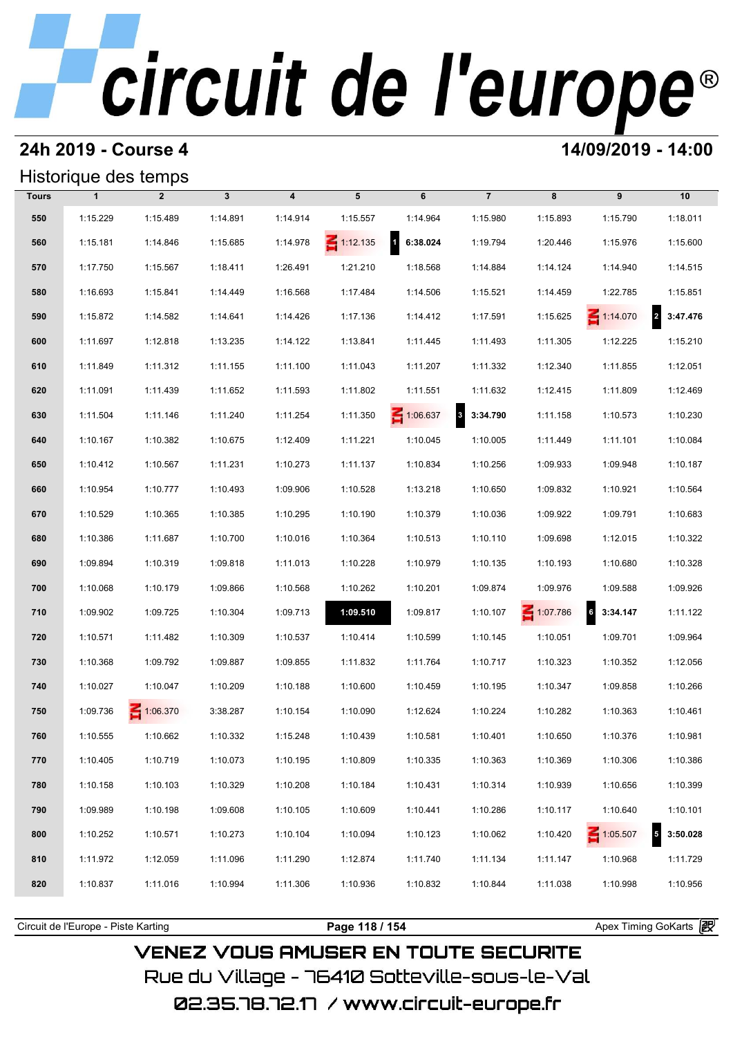#### **24h 2019 - Course 4 14/09/2019 - 14:00**

#### Historique des temps

|              | Historique des temps |                 |              |                         |                 |                          |                      |          |                                      |                                      |
|--------------|----------------------|-----------------|--------------|-------------------------|-----------------|--------------------------|----------------------|----------|--------------------------------------|--------------------------------------|
| <b>Tours</b> | $\mathbf{1}$         | $\overline{2}$  | $\mathbf{3}$ | $\overline{\mathbf{4}}$ | 5               | 6                        | $\overline{7}$       | 8        | 9                                    | 10                                   |
| 550          | 1:15.229             | 1:15.489        | 1:14.891     | 1:14.914                | 1:15.557        | 1:14.964                 | 1:15.980             | 1:15.893 | 1:15.790                             | 1:18.011                             |
| 560          | 1:15.181             | 1:14.846        | 1:15.685     | 1:14.978                | $\leq 1:12.135$ | $\mathbf{d}$<br>6:38.024 | 1:19.794             | 1:20.446 | 1:15.976                             | 1:15.600                             |
| 570          | 1:17.750             | 1:15.567        | 1:18.411     | 1:26.491                | 1:21.210        | 1:18.568                 | 1:14.884             | 1:14.124 | 1:14.940                             | 1:14.515                             |
| 580          | 1:16.693             | 1:15.841        | 1:14.449     | 1:16.568                | 1:17.484        | 1:14.506                 | 1:15.521             | 1:14.459 | 1:22.785                             | 1:15.851                             |
| 590          | 1:15.872             | 1:14.582        | 1:14.641     | 1:14.426                | 1:17.136        | 1:14.412                 | 1:17.591             | 1:15.625 | $\leq 1:14.070$                      | $\overline{\mathbf{2}}$<br>3:47.476  |
| 600          | 1:11.697             | 1:12.818        | 1:13.235     | 1:14.122                | 1:13.841        | 1:11.445                 | 1:11.493             | 1:11.305 | 1:12.225                             | 1:15.210                             |
| 610          | 1:11.849             | 1:11.312        | 1:11.155     | 1:11.100                | 1:11.043        | 1:11.207                 | 1:11.332             | 1:12.340 | 1:11.855                             | 1:12.051                             |
| 620          | 1:11.091             | 1:11.439        | 1:11.652     | 1:11.593                | 1:11.802        | 1:11.551                 | 1:11.632             | 1:12.415 | 1:11.809                             | 1:12.469                             |
| 630          | 1:11.504             | 1:11.146        | 1:11.240     | 1:11.254                | 1:11.350        | 1:06.637                 | $\bf{3}$<br>3:34.790 | 1:11.158 | 1:10.573                             | 1:10.230                             |
| 640          | 1:10.167             | 1:10.382        | 1:10.675     | 1:12.409                | 1:11.221        | 1:10.045                 | 1:10.005             | 1:11.449 | 1:11.101                             | 1:10.084                             |
| 650          | 1:10.412             | 1:10.567        | 1:11.231     | 1:10.273                | 1:11.137        | 1:10.834                 | 1:10.256             | 1:09.933 | 1:09.948                             | 1:10.187                             |
| 660          | 1:10.954             | 1:10.777        | 1:10.493     | 1:09.906                | 1:10.528        | 1:13.218                 | 1:10.650             | 1:09.832 | 1:10.921                             | 1:10.564                             |
| 670          | 1:10.529             | 1:10.365        | 1:10.385     | 1:10.295                | 1:10.190        | 1:10.379                 | 1:10.036             | 1:09.922 | 1:09.791                             | 1:10.683                             |
| 680          | 1:10.386             | 1:11.687        | 1:10.700     | 1:10.016                | 1:10.364        | 1:10.513                 | 1:10.110             | 1:09.698 | 1:12.015                             | 1:10.322                             |
| 690          | 1:09.894             | 1:10.319        | 1:09.818     | 1:11.013                | 1:10.228        | 1:10.979                 | 1:10.135             | 1:10.193 | 1:10.680                             | 1:10.328                             |
| 700          | 1:10.068             | 1:10.179        | 1:09.866     | 1:10.568                | 1:10.262        | 1:10.201                 | 1:09.874             | 1:09.976 | 1:09.588                             | 1:09.926                             |
| 710          | 1:09.902             | 1:09.725        | 1:10.304     | 1:09.713                | 1:09.510        | 1:09.817                 | 1:10.107             | 1:07.786 | $\overline{\phantom{a}}$<br>3:34.147 | 1:11.122                             |
| 720          | 1:10.571             | 1:11.482        | 1:10.309     | 1:10.537                | 1:10.414        | 1:10.599                 | 1:10.145             | 1:10.051 | 1:09.701                             | 1:09.964                             |
| 730          | 1:10.368             | 1:09.792        | 1:09.887     | 1:09.855                | 1:11.832        | 1:11.764                 | 1:10.717             | 1:10.323 | 1:10.352                             | 1:12.056                             |
| 740          | 1:10.027             | 1:10.047        | 1:10.209     | 1:10.188                | 1:10.600        | 1:10.459                 | 1:10.195             | 1:10.347 | 1:09.858                             | 1:10.266                             |
| 750          | 1:09.736             | $\leq 1:06.370$ | 3:38.287     | 1:10.154                | 1:10.090        | 1:12.624                 | 1:10.224             | 1:10.282 | 1:10.363                             | 1:10.461                             |
| 760          | 1:10.555             | 1:10.662        | 1:10.332     | 1:15.248                | 1:10.439        | 1:10.581                 | 1:10.401             | 1:10.650 | 1:10.376                             | 1:10.981                             |
| 770          | 1:10.405             | 1:10.719        | 1:10.073     | 1:10.195                | 1:10.809        | 1:10.335                 | 1:10.363             | 1:10.369 | 1:10.306                             | 1:10.386                             |
| 780          | 1:10.158             | 1:10.103        | 1:10.329     | 1:10.208                | 1:10.184        | 1:10.431                 | 1:10.314             | 1:10.939 | 1:10.656                             | 1:10.399                             |
| 790          | 1:09.989             | 1:10.198        | 1:09.608     | 1:10.105                | 1:10.609        | 1:10.441                 | 1:10.286             | 1:10.117 | 1:10.640                             | 1:10.101                             |
| 800          | 1:10.252             | 1:10.571        | 1:10.273     | 1:10.104                | 1:10.094        | 1:10.123                 | 1:10.062             | 1:10.420 | $\leq 1:05.507$                      | $\overline{\phantom{a}}$<br>3:50.028 |
| 810          | 1:11.972             | 1:12.059        | 1:11.096     | 1:11.290                | 1:12.874        | 1:11.740                 | 1:11.134             | 1:11.147 | 1:10.968                             | 1:11.729                             |
| 820          | 1:10.837             | 1:11.016        | 1:10.994     | 1:11.306                | 1:10.936        | 1:10.832                 | 1:10.844             | 1:11.038 | 1:10.998                             | 1:10.956                             |
|              |                      |                 |              |                         |                 |                          |                      |          |                                      |                                      |

**VENEZ VOUS AMUSER EN TOUTE SECURITE** Rue du Village – 76410 Sotteville-sous-le-Val 02.35.78.72.17 / www.circuit-europe.fr

Circuit de l'Europe - Piste Karting **Page 118 / 154 Page 118 / 154** Apex Timing GoKarts **in**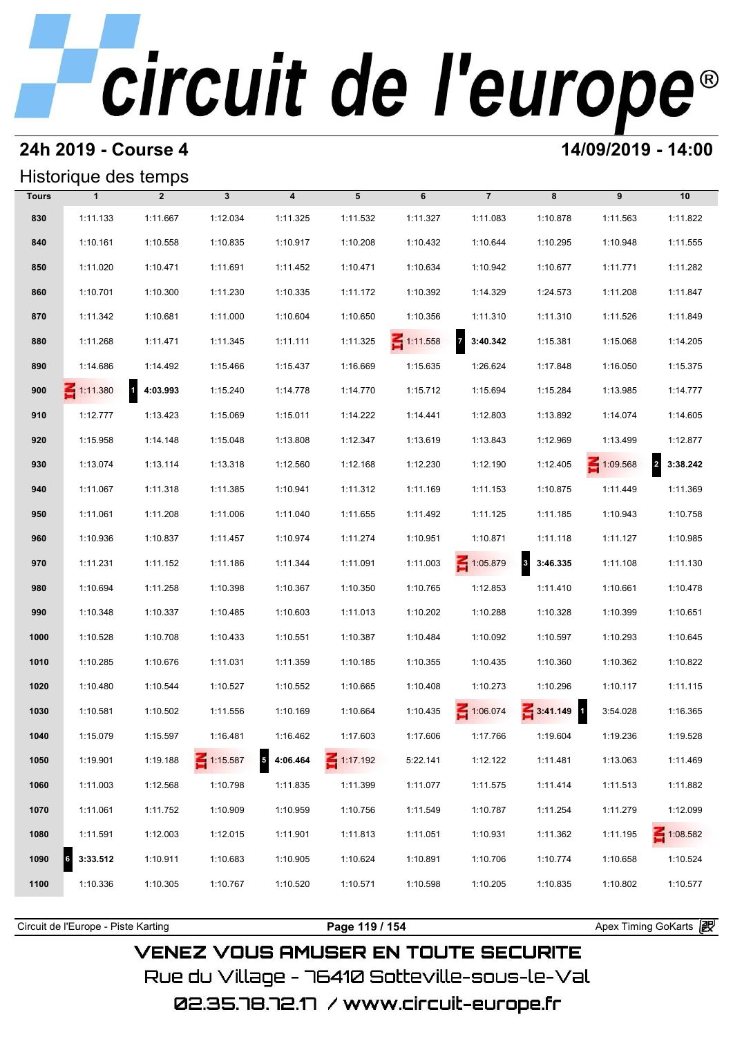#### **24h 2019 - Course 4 14/09/2019 - 14:00**

| Historique des temps |  |
|----------------------|--|
|----------------------|--|

|              | Historique des temps |                |                 |                            |                 |                 |                            |                      |                 |                            |
|--------------|----------------------|----------------|-----------------|----------------------------|-----------------|-----------------|----------------------------|----------------------|-----------------|----------------------------|
| <b>Tours</b> | $\mathbf{1}$         | $\overline{2}$ | $\mathbf{3}$    | $\overline{\mathbf{4}}$    | 5               | 6               | $\overline{7}$             | 8                    | 9               | 10                         |
| 830          | 1:11.133             | 1:11.667       | 1:12.034        | 1:11.325                   | 1:11.532        | 1:11.327        | 1:11.083                   | 1:10.878             | 1:11.563        | 1:11.822                   |
| 840          | 1:10.161             | 1:10.558       | 1:10.835        | 1:10.917                   | 1:10.208        | 1:10.432        | 1:10.644                   | 1:10.295             | 1:10.948        | 1:11.555                   |
| 850          | 1:11.020             | 1:10.471       | 1:11.691        | 1:11.452                   | 1:10.471        | 1:10.634        | 1:10.942                   | 1:10.677             | 1:11.771        | 1:11.282                   |
| 860          | 1:10.701             | 1:10.300       | 1:11.230        | 1:10.335                   | 1:11.172        | 1:10.392        | 1:14.329                   | 1:24.573             | 1:11.208        | 1:11.847                   |
| 870          | 1:11.342             | 1:10.681       | 1:11.000        | 1:10.604                   | 1:10.650        | 1:10.356        | 1:11.310                   | 1:11.310             | 1:11.526        | 1:11.849                   |
| 880          | 1:11.268             | 1:11.471       | 1:11.345        | 1:11.111                   | 1:11.325        | $\leq 1:11.558$ | $\overline{7}$<br>3:40.342 | 1:15.381             | 1:15.068        | 1:14.205                   |
| 890          | 1:14.686             | 1:14.492       | 1:15.466        | 1:15.437                   | 1:16.669        | 1:15.635        | 1:26.624                   | 1:17.848             | 1:16.050        | 1:15.375                   |
| 900          | $\leq 1:11.380$      | 4:03.993       | 1:15.240        | 1:14.778                   | 1:14.770        | 1:15.712        | 1:15.694                   | 1:15.284             | 1:13.985        | 1:14.777                   |
| 910          | 1:12.777             | 1:13.423       | 1:15.069        | 1:15.011                   | 1:14.222        | 1:14.441        | 1:12.803                   | 1:13.892             | 1:14.074        | 1:14.605                   |
| 920          | 1:15.958             | 1:14.148       | 1:15.048        | 1:13.808                   | 1:12.347        | 1:13.619        | 1:13.843                   | 1:12.969             | 1:13.499        | 1:12.877                   |
| 930          | 1:13.074             | 1:13.114       | 1:13.318        | 1:12.560                   | 1:12.168        | 1:12.230        | 1:12.190                   | 1:12.405             | $\leq 1:09.568$ | $\overline{a}$<br>3:38.242 |
| 940          | 1:11.067             | 1:11.318       | 1:11.385        | 1:10.941                   | 1:11.312        | 1:11.169        | 1:11.153                   | 1:10.875             | 1:11.449        | 1:11.369                   |
| 950          | 1:11.061             | 1:11.208       | 1:11.006        | 1:11.040                   | 1:11.655        | 1:11.492        | 1:11.125                   | 1:11.185             | 1:10.943        | 1:10.758                   |
| 960          | 1:10.936             | 1:10.837       | 1:11.457        | 1:10.974                   | 1:11.274        | 1:10.951        | 1:10.871                   | 1:11.118             | 1:11.127        | 1:10.985                   |
| 970          | 1:11.231             | 1:11.152       | 1:11.186        | 1:11.344                   | 1:11.091        | 1:11.003        | $\leq 1:05.879$            | $\bf{3}$<br>3:46.335 | 1:11.108        | 1:11.130                   |
| 980          | 1:10.694             | 1:11.258       | 1:10.398        | 1:10.367                   | 1:10.350        | 1:10.765        | 1:12.853                   | 1:11.410             | 1:10.661        | 1:10.478                   |
| 990          | 1:10.348             | 1:10.337       | 1:10.485        | 1:10.603                   | 1:11.013        | 1:10.202        | 1:10.288                   | 1:10.328             | 1:10.399        | 1:10.651                   |
| 1000         | 1:10.528             | 1:10.708       | 1:10.433        | 1:10.551                   | 1:10.387        | 1:10.484        | 1:10.092                   | 1:10.597             | 1:10.293        | 1:10.645                   |
| 1010         | 1:10.285             | 1:10.676       | 1:11.031        | 1:11.359                   | 1:10.185        | 1:10.355        | 1:10.435                   | 1:10.360             | 1:10.362        | 1:10.822                   |
| 1020         | 1:10.480             | 1:10.544       | 1:10.527        | 1:10.552                   | 1:10.665        | 1:10.408        | 1:10.273                   | 1:10.296             | 1:10.117        | 1:11.115                   |
| 1030         | 1:10.581             | 1:10.502       | 1:11.556        | 1:10.169                   | 1:10.664        | 1:10.435        | 1:06.074                   | $\frac{2}{3:}41.149$ | 3:54.028        | 1:16.365                   |
| 1040         | 1:15.079             | 1:15.597       | 1:16.481        | 1:16.462                   | 1:17.603        | 1:17.606        | 1:17.766                   | 1:19.604             | 1:19.236        | 1:19.528                   |
| 1050         | 1:19.901             | 1:19.188       | $\leq 1:15.587$ | $\overline{5}$<br>4:06.464 | $\leq 1:17.192$ | 5:22.141        | 1:12.122                   | 1:11.481             | 1:13.063        | 1:11.469                   |
| 1060         | 1:11.003             | 1:12.568       | 1:10.798        | 1:11.835                   | 1:11.399        | 1:11.077        | 1:11.575                   | 1:11.414             | 1:11.513        | 1:11.882                   |
| 1070         | 1:11.061             | 1:11.752       | 1:10.909        | 1:10.959                   | 1:10.756        | 1:11.549        | 1:10.787                   | 1:11.254             | 1:11.279        | 1:12.099                   |
| 1080         | 1:11.591             | 1:12.003       | 1:12.015        | 1:11.901                   | 1:11.813        | 1:11.051        | 1:10.931                   | 1:11.362             | 1:11.195        | $\leq 1:08.582$            |
| 1090         | 3:33.512             | 1:10.911       | 1:10.683        | 1:10.905                   | 1:10.624        | 1:10.891        | 1:10.706                   | 1:10.774             | 1:10.658        | 1:10.524                   |
| 1100         | 1:10.336             | 1:10.305       | 1:10.767        | 1:10.520                   | 1:10.571        | 1:10.598        | 1:10.205                   | 1:10.835             | 1:10.802        | 1:10.577                   |

**VENEZ VOUS AMUSER EN TOUTE SECURITE** 

Rue du Village – 76410 Sotteville-sous-le-Val

Circuit de l'Europe - Piste Karting **Page 119 / 154 Page 119 / 154** Apex Timing GoKarts and Timing Apex Timing Apex Timing GoKarts and Timing Apex Timing Apex Timing Apex Timing Apex Timing Apex Timing Apex Timing Apex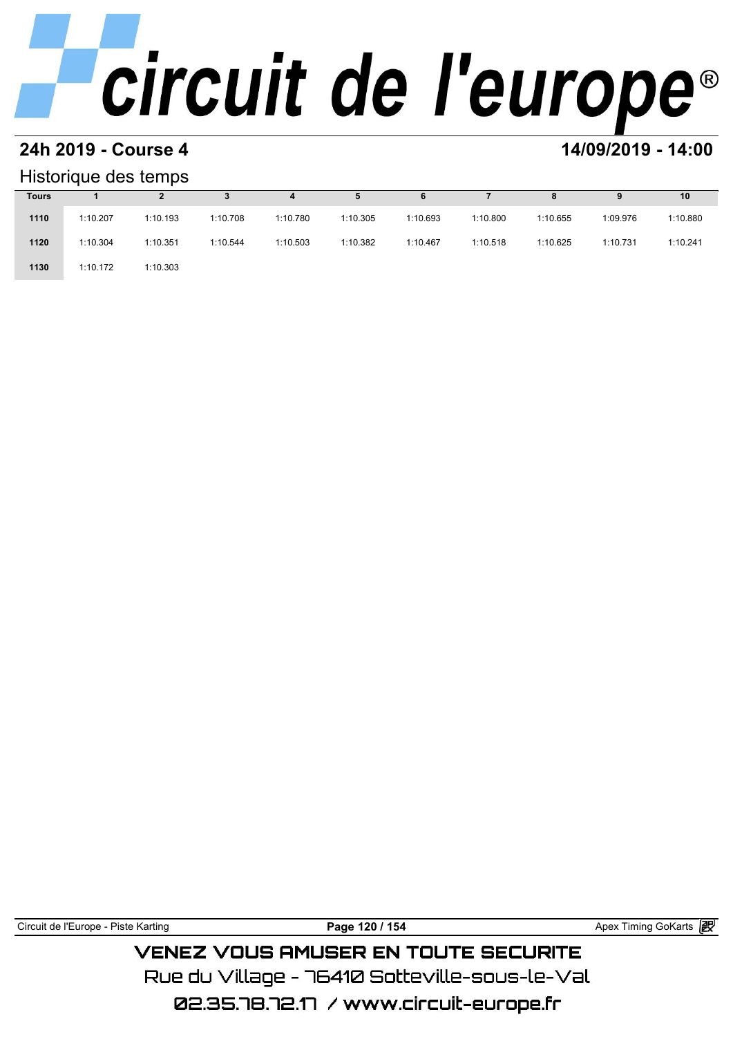# **24h 2019 - Course 4 14/09/2019 - 14:00**

#### Historique des temps

|              | Historique des temps |          |          |          |          |          |          |          |          |          |  |  |  |  |
|--------------|----------------------|----------|----------|----------|----------|----------|----------|----------|----------|----------|--|--|--|--|
| <b>Tours</b> |                      |          |          | 4        | 5        | 6        |          | 8        | 9        | 10       |  |  |  |  |
| 1110         | 1:10.207             | 1:10.193 | 1:10.708 | 1:10.780 | 1:10.305 | 1:10.693 | 1:10.800 | 1:10.655 | 1:09.976 | 1:10.880 |  |  |  |  |
| 1120         | 1:10.304             | 1:10.351 | 1:10.544 | 1:10.503 | 1:10.382 | 1:10.467 | 1:10.518 | 1:10.625 | 1:10.731 | 1:10.241 |  |  |  |  |
| 1130         | 1:10.172             | 1:10.303 |          |          |          |          |          |          |          |          |  |  |  |  |

Circuit de l'Europe - Piste Karting **Page 120 / 154 Page 120 / 154** Apex Timing GoKarts **in** 

### **VENEZ VOUS AMUSER EN TOUTE SECURITE** Rue du Village – 76410 Sotteville-sous-le-Val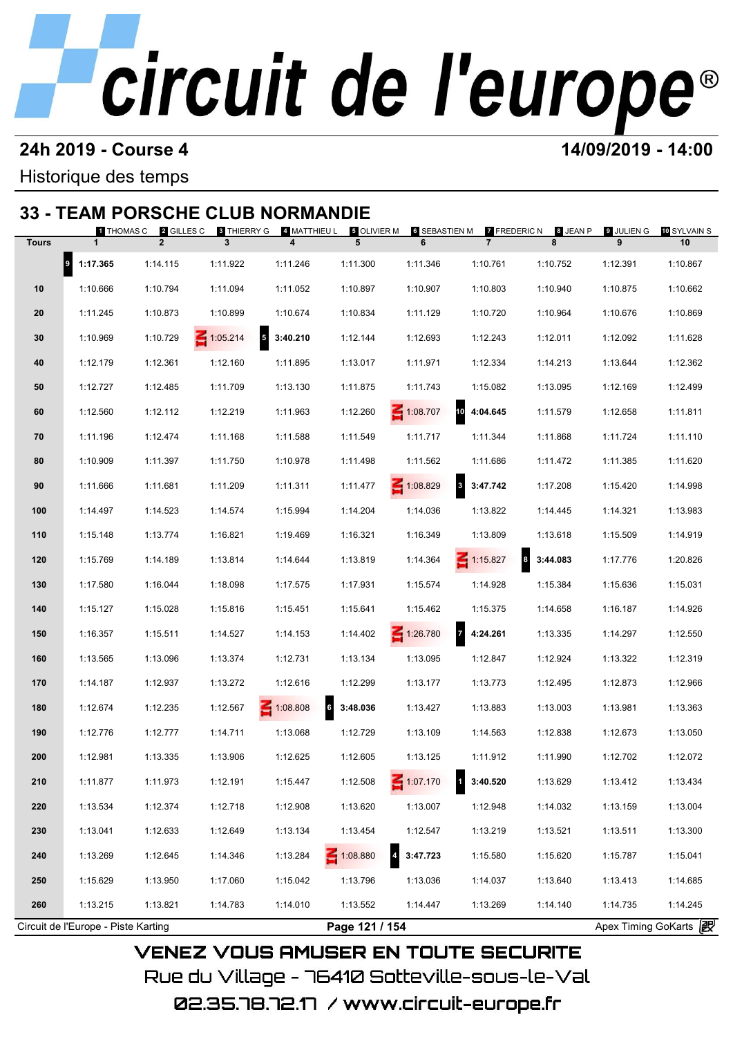#### **24h 2019 - Course 4 14/09/2019 - 14:00**

Historique des temps

### **33 - TEAM PORSCHE CLUB NORMANDIE**

| <b>Tours</b> | $\mathbf{1}$   | 1 THOMAS C 2 GILLES C<br>$\overline{2}$ | <b>8 THIERRY G</b><br>3 | 4 MATTHIEU L<br>$\overline{\mathbf{4}}$ | 5 OLIVIER M<br>5 | 6 SEBASTIEN M<br>6 | <b>7 FREDERIC N</b><br>$\overline{7}$ | 8 JEAN P<br>8 | 9 JULIEN G<br>9 | 10 SYLVAIN S<br>10 |
|--------------|----------------|-----------------------------------------|-------------------------|-----------------------------------------|------------------|--------------------|---------------------------------------|---------------|-----------------|--------------------|
|              |                | 1:14.115                                | 1:11.922                | 1:11.246                                |                  | 1:11.346           | 1:10.761                              | 1:10.752      | 1:12.391        | 1:10.867           |
|              | $9 - 1:17.365$ |                                         |                         |                                         | 1:11.300         |                    |                                       |               |                 |                    |
| 10           | 1:10.666       | 1:10.794                                | 1:11.094                | 1:11.052                                | 1:10.897         | 1:10.907           | 1:10.803                              | 1:10.940      | 1:10.875        | 1:10.662           |
| 20           | 1:11.245       | 1:10.873                                | 1:10.899                | 1:10.674                                | 1:10.834         | 1:11.129           | 1:10.720                              | 1:10.964      | 1:10.676        | 1:10.869           |
| 30           | 1:10.969       | 1:10.729                                | $\leq 1:05.214$         | $5\quad 3:40.210$                       | 1:12.144         | 1:12.693           | 1:12.243                              | 1:12.011      | 1:12.092        | 1:11.628           |
| 40           | 1:12.179       | 1:12.361                                | 1:12.160                | 1:11.895                                | 1:13.017         | 1:11.971           | 1:12.334                              | 1:14.213      | 1:13.644        | 1:12.362           |
| 50           | 1:12.727       | 1:12.485                                | 1:11.709                | 1:13.130                                | 1:11.875         | 1:11.743           | 1:15.082                              | 1:13.095      | 1:12.169        | 1:12.499           |
| 60           | 1:12.560       | 1:12.112                                | 1:12.219                | 1:11.963                                | 1:12.260         | $\leq 1:08.707$    | 10 4:04.645                           | 1:11.579      | 1:12.658        | 1:11.811           |
| 70           | 1:11.196       | 1:12.474                                | 1:11.168                | 1:11.588                                | 1:11.549         | 1:11.717           | 1:11.344                              | 1:11.868      | 1:11.724        | 1:11.110           |
| 80           | 1:10.909       | 1:11.397                                | 1:11.750                | 1:10.978                                | 1:11.498         | 1:11.562           | 1:11.686                              | 1:11.472      | 1:11.385        | 1:11.620           |
| 90           | 1:11.666       | 1:11.681                                | 1:11.209                | 1:11.311                                | 1:11.477         | $\leq 1:08.829$    | 3 3:47.742                            | 1:17.208      | 1:15.420        | 1:14.998           |
| 100          | 1:14.497       | 1:14.523                                | 1:14.574                | 1:15.994                                | 1:14.204         | 1:14.036           | 1:13.822                              | 1:14.445      | 1:14.321        | 1:13.983           |
| 110          | 1:15.148       | 1:13.774                                | 1:16.821                | 1:19.469                                | 1:16.321         | 1:16.349           | 1:13.809                              | 1:13.618      | 1:15.509        | 1:14.919           |
| 120          | 1:15.769       | 1:14.189                                | 1:13.814                | 1:14.644                                | 1:13.819         | 1:14.364           | $\leq 1:15.827$                       | 3:44.083      | 1:17.776        | 1:20.826           |
| 130          | 1:17.580       | 1:16.044                                | 1:18.098                | 1:17.575                                | 1:17.931         | 1:15.574           | 1:14.928                              | 1:15.384      | 1:15.636        | 1:15.031           |
| 140          | 1:15.127       | 1:15.028                                | 1:15.816                | 1:15.451                                | 1:15.641         | 1:15.462           | 1:15.375                              | 1:14.658      | 1:16.187        | 1:14.926           |
| 150          | 1:16.357       | 1:15.511                                | 1:14.527                | 1:14.153                                | 1:14.402         | 1:26.780           | 74:24.261                             | 1:13.335      | 1:14.297        | 1:12.550           |
| 160          | 1:13.565       | 1:13.096                                | 1:13.374                | 1:12.731                                | 1:13.134         | 1:13.095           | 1:12.847                              | 1:12.924      | 1:13.322        | 1:12.319           |
| 170          | 1:14.187       | 1:12.937                                | 1:13.272                | 1:12.616                                | 1:12.299         | 1:13.177           | 1:13.773                              | 1:12.495      | 1:12.873        | 1:12.966           |
| 180          | 1:12.674       | 1:12.235                                | 1:12.567                | $\leq 1:08.808$                         | 63:48.036        | 1:13.427           | 1:13.883                              | 1:13.003      | 1:13.981        | 1:13.363           |
| 190          | 1:12.776       | 1:12.777                                | 1:14.711                | 1:13.068                                | 1:12.729         | 1:13.109           | 1:14.563                              | 1:12.838      | 1:12.673        | 1:13.050           |
| 200          | 1:12.981       | 1:13.335                                | 1:13.906                | 1:12.625                                | 1:12.605         | 1:13.125           | 1:11.912                              | 1:11.990      | 1:12.702        | 1:12.072           |
| 210          | 1:11.877       | 1:11.973                                | 1:12.191                | 1:15.447                                | 1:12.508         | 1:07.170           | 3:40.520                              | 1:13.629      | 1:13.412        | 1:13.434           |
| 220          | 1:13.534       | 1:12.374                                | 1:12.718                | 1:12.908                                | 1:13.620         | 1:13.007           | 1:12.948                              | 1:14.032      | 1:13.159        | 1:13.004           |
| 230          | 1:13.041       | 1:12.633                                | 1:12.649                | 1:13.134                                | 1:13.454         | 1:12.547           | 1:13.219                              | 1:13.521      | 1:13.511        | 1:13.300           |
|              |                | 1:12.645                                |                         |                                         |                  | 4 3:47.723         |                                       |               |                 | 1:15.041           |
| 240          | 1:13.269       |                                         | 1:14.346                | 1:13.284                                | $-1:08.880$      |                    | 1:15.580                              | 1:15.620      | 1:15.787        |                    |
| 250          | 1:15.629       | 1:13.950                                | 1:17.060                | 1:15.042                                | 1:13.796         | 1:13.036           | 1:14.037                              | 1:13.640      | 1:13.413        | 1:14.685           |
| 260          | 1:13.215       | 1:13.821                                | 1:14.783                | 1:14.010                                | 1:13.552         | 1:14.447           | 1:13.269                              | 1:14.140      | 1:14.735        | 1:14.245           |

02.35.78.72.17 / www.circuit-europe.fr

Rue du Village – 76410 Sotteville–sous–le–Val

**VENEZ VOUS AMUSER EN TOUTE SECURITE**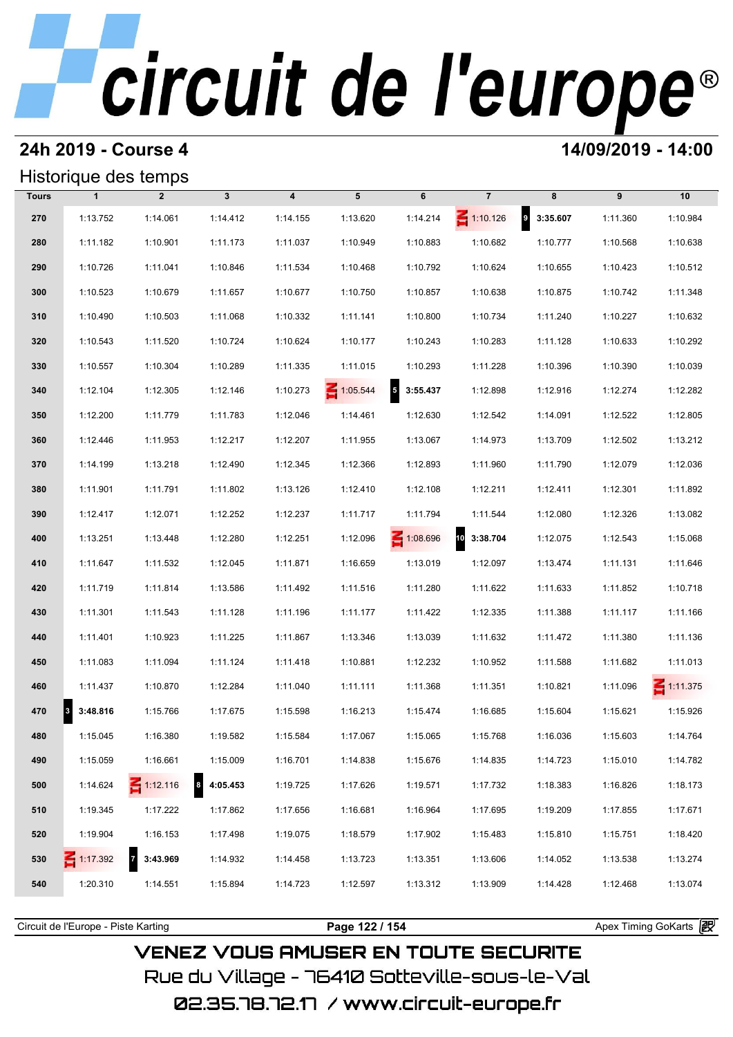#### **24h 2019 - Course 4 14/09/2019 - 14:00**

### Historique des temps

|              | Historique des temps    |                            |               |                         |                 |                                      |                 |                   |          |                 |
|--------------|-------------------------|----------------------------|---------------|-------------------------|-----------------|--------------------------------------|-----------------|-------------------|----------|-----------------|
| <b>Tours</b> | $\mathbf{1}$            | $\overline{2}$             | $\mathbf{3}$  | $\overline{\mathbf{4}}$ | 5               | 6                                    | $\overline{7}$  | 8                 | 9        | 10              |
| 270          | 1:13.752                | 1:14.061                   | 1:14.412      | 1:14.155                | 1:13.620        | 1:14.214                             | $\leq 1:10.126$ | $9\quad 3:35.607$ | 1:11.360 | 1:10.984        |
| 280          | 1:11.182                | 1:10.901                   | 1:11.173      | 1:11.037                | 1:10.949        | 1:10.883                             | 1:10.682        | 1:10.777          | 1:10.568 | 1:10.638        |
| 290          | 1:10.726                | 1:11.041                   | 1:10.846      | 1:11.534                | 1:10.468        | 1:10.792                             | 1:10.624        | 1:10.655          | 1:10.423 | 1:10.512        |
| 300          | 1:10.523                | 1:10.679                   | 1:11.657      | 1:10.677                | 1:10.750        | 1:10.857                             | 1:10.638        | 1:10.875          | 1:10.742 | 1:11.348        |
| 310          | 1:10.490                | 1:10.503                   | 1:11.068      | 1:10.332                | 1:11.141        | 1:10.800                             | 1:10.734        | 1:11.240          | 1:10.227 | 1:10.632        |
| 320          | 1:10.543                | 1:11.520                   | 1:10.724      | 1:10.624                | 1:10.177        | 1:10.243                             | 1:10.283        | 1:11.128          | 1:10.633 | 1:10.292        |
| 330          | 1:10.557                | 1:10.304                   | 1:10.289      | 1:11.335                | 1:11.015        | 1:10.293                             | 1:11.228        | 1:10.396          | 1:10.390 | 1:10.039        |
| 340          | 1:12.104                | 1:12.305                   | 1:12.146      | 1:10.273                | $\leq 1:05.544$ | $\overline{\phantom{a}}$<br>3:55.437 | 1:12.898        | 1:12.916          | 1:12.274 | 1:12.282        |
| 350          | 1:12.200                | 1:11.779                   | 1:11.783      | 1:12.046                | 1:14.461        | 1:12.630                             | 1:12.542        | 1:14.091          | 1:12.522 | 1:12.805        |
| 360          | 1:12.446                | 1:11.953                   | 1:12.217      | 1:12.207                | 1:11.955        | 1:13.067                             | 1:14.973        | 1:13.709          | 1:12.502 | 1:13.212        |
| 370          | 1:14.199                | 1:13.218                   | 1:12.490      | 1:12.345                | 1:12.366        | 1:12.893                             | 1:11.960        | 1:11.790          | 1:12.079 | 1:12.036        |
| 380          | 1:11.901                | 1:11.791                   | 1:11.802      | 1:13.126                | 1:12.410        | 1:12.108                             | 1:12.211        | 1:12.411          | 1:12.301 | 1:11.892        |
| 390          | 1:12.417                | 1:12.071                   | 1:12.252      | 1:12.237                | 1:11.717        | 1:11.794                             | 1:11.544        | 1:12.080          | 1:12.326 | 1:13.082        |
| 400          | 1:13.251                | 1:13.448                   | 1:12.280      | 1:12.251                | 1:12.096        | 1:08.696                             | 10<br>3:38.704  | 1:12.075          | 1:12.543 | 1:15.068        |
| 410          | 1:11.647                | 1:11.532                   | 1:12.045      | 1:11.871                | 1:16.659        | 1:13.019                             | 1:12.097        | 1:13.474          | 1:11.131 | 1:11.646        |
| 420          | 1:11.719                | 1:11.814                   | 1:13.586      | 1:11.492                | 1:11.516        | 1:11.280                             | 1:11.622        | 1:11.633          | 1:11.852 | 1:10.718        |
| 430          | 1:11.301                | 1:11.543                   | 1:11.128      | 1:11.196                | 1:11.177        | 1:11.422                             | 1:12.335        | 1:11.388          | 1:11.117 | 1:11.166        |
| 440          | 1:11.401                | 1:10.923                   | 1:11.225      | 1:11.867                | 1:13.346        | 1:13.039                             | 1:11.632        | 1:11.472          | 1:11.380 | 1:11.136        |
| 450          | 1:11.083                | 1:11.094                   | 1:11.124      | 1:11.418                | 1:10.881        | 1:12.232                             | 1:10.952        | 1:11.588          | 1:11.682 | 1:11.013        |
| 460          | 1:11.437                | 1:10.870                   | 1:12.284      | 1:11.040                | 1:11.111        | 1:11.368                             | 1:11.351        | 1:10.821          | 1:11.096 | $\leq 1:11.375$ |
| 470          | 3:48.816<br>$3^{\circ}$ | 1:15.766                   | 1:17.675      | 1:15.598                | 1:16.213        | 1:15.474                             | 1:16.685        | 1:15.604          | 1:15.621 | 1:15.926        |
| 480          | 1:15.045                | 1:16.380                   | 1:19.582      | 1:15.584                | 1:17.067        | 1:15.065                             | 1:15.768        | 1:16.036          | 1:15.603 | 1:14.764        |
| 490          | 1:15.059                | 1:16.661                   | 1:15.009      | 1:16.701                | 1:14.838        | 1:15.676                             | 1:14.835        | 1:14.723          | 1:15.010 | 1:14.782        |
| 500          | 1:14.624                | 1:12.116                   | 4:05.453<br>8 | 1:19.725                | 1:17.626        | 1:19.571                             | 1:17.732        | 1:18.383          | 1:16.826 | 1:18.173        |
| 510          | 1:19.345                | 1:17.222                   | 1:17.862      | 1:17.656                | 1:16.681        | 1:16.964                             | 1:17.695        | 1:19.209          | 1:17.855 | 1:17.671        |
| 520          | 1:19.904                | 1:16.153                   | 1:17.498      | 1:19.075                | 1:18.579        | 1:17.902                             | 1:15.483        | 1:15.810          | 1:15.751 | 1:18.420        |
| 530          | $\leq 1:17.392$         | $\overline{7}$<br>3:43.969 | 1:14.932      | 1:14.458                | 1:13.723        | 1:13.351                             | 1:13.606        | 1:14.052          | 1:13.538 | 1:13.274        |
| 540          | 1:20.310                | 1:14.551                   | 1:15.894      | 1:14.723                | 1:12.597        | 1:13.312                             | 1:13.909        | 1:14.428          | 1:12.468 | 1:13.074        |
|              |                         |                            |               |                         |                 |                                      |                 |                   |          |                 |

Circuit de l'Europe - Piste Karting **Page 122 / 154 Page 122 / 154** Apex Timing GoKarts **in** 

### **VENEZ VOUS AMUSER EN TOUTE SECURITE** Rue du Village – 76410 Sotteville-sous-le-Val 02.35.78.72.17 / www.circuit-europe.fr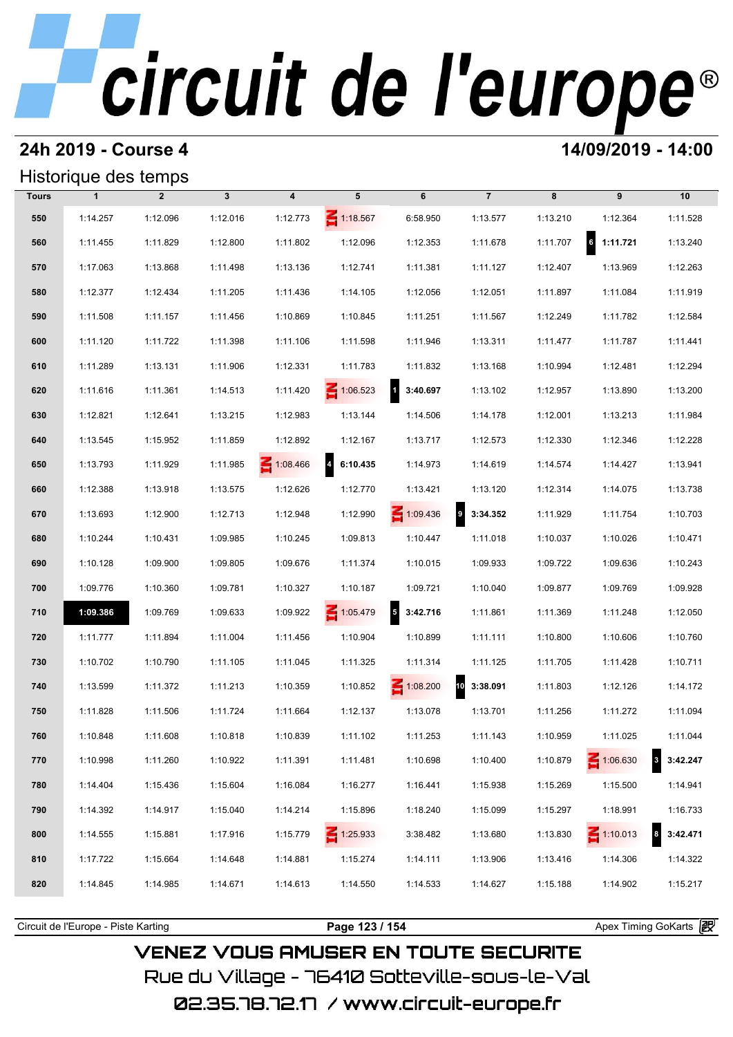#### **24h 2019 - Course 4 14/09/2019 - 14:00**

### Historique des temps

|              | Historique des temps |                |              |                         |                                     |                            |                |          |                      |                             |
|--------------|----------------------|----------------|--------------|-------------------------|-------------------------------------|----------------------------|----------------|----------|----------------------|-----------------------------|
| <b>Tours</b> | $\mathbf{1}$         | $\overline{2}$ | $\mathbf{3}$ | $\overline{\mathbf{4}}$ | 5                                   | 6                          | $\overline{7}$ | 8        | 9                    | 10                          |
| 550          | 1:14.257             | 1:12.096       | 1:12.016     | 1:12.773                | 1:18.567                            | 6:58.950                   | 1:13.577       | 1:13.210 | 1:12.364             | 1:11.528                    |
| 560          | 1:11.455             | 1:11.829       | 1:12.800     | 1:11.802                | 1:12.096                            | 1:12.353                   | 1:11.678       | 1:11.707 | $\bf{6}$<br>1:11.721 | 1:13.240                    |
| 570          | 1:17.063             | 1:13.868       | 1:11.498     | 1:13.136                | 1:12.741                            | 1:11.381                   | 1:11.127       | 1:12.407 | 1:13.969             | 1:12.263                    |
| 580          | 1:12.377             | 1:12.434       | 1:11.205     | 1:11.436                | 1:14.105                            | 1:12.056                   | 1:12.051       | 1:11.897 | 1:11.084             | 1:11.919                    |
| 590          | 1:11.508             | 1:11.157       | 1:11.456     | 1:10.869                | 1:10.845                            | 1:11.251                   | 1:11.567       | 1:12.249 | 1:11.782             | 1:12.584                    |
| 600          | 1:11.120             | 1:11.722       | 1:11.398     | 1:11.106                | 1:11.598                            | 1:11.946                   | 1:13.311       | 1:11.477 | 1:11.787             | 1:11.441                    |
| 610          | 1:11.289             | 1:13.131       | 1:11.906     | 1:12.331                | 1:11.783                            | 1:11.832                   | 1:13.168       | 1:10.994 | 1:12.481             | 1:12.294                    |
| 620          | 1:11.616             | 1:11.361       | 1:14.513     | 1:11.420                | $\leq 1:06.523$                     | $\mathbf{r}$<br>3:40.697   | 1:13.102       | 1:12.957 | 1:13.890             | 1:13.200                    |
| 630          | 1:12.821             | 1:12.641       | 1:13.215     | 1:12.983                | 1:13.144                            | 1:14.506                   | 1:14.178       | 1:12.001 | 1:13.213             | 1:11.984                    |
| 640          | 1:13.545             | 1:15.952       | 1:11.859     | 1:12.892                | 1:12.167                            | 1:13.717                   | 1:12.573       | 1:12.330 | 1:12.346             | 1:12.228                    |
| 650          | 1:13.793             | 1:11.929       | 1:11.985     | 1:08.466                | $\overline{\mathbf{A}}$<br>6:10.435 | 1:14.973                   | 1:14.619       | 1:14.574 | 1:14.427             | 1:13.941                    |
| 660          | 1:12.388             | 1:13.918       | 1:13.575     | 1:12.626                | 1:12.770                            | 1:13.421                   | 1:13.120       | 1:12.314 | 1:14.075             | 1:13.738                    |
| 670          | 1:13.693             | 1:12.900       | 1:12.713     | 1:12.948                | 1:12.990                            | $\leq 1:09.436$            | $9$ 3:34.352   | 1:11.929 | 1:11.754             | 1:10.703                    |
| 680          | 1:10.244             | 1:10.431       | 1:09.985     | 1:10.245                | 1:09.813                            | 1:10.447                   | 1:11.018       | 1:10.037 | 1:10.026             | 1:10.471                    |
| 690          | 1:10.128             | 1:09.900       | 1:09.805     | 1:09.676                | 1:11.374                            | 1:10.015                   | 1:09.933       | 1:09.722 | 1:09.636             | 1:10.243                    |
| 700          | 1:09.776             | 1:10.360       | 1:09.781     | 1:10.327                | 1:10.187                            | 1:09.721                   | 1:10.040       | 1:09.877 | 1:09.769             | 1:09.928                    |
| 710          | 1:09.386             | 1:09.769       | 1:09.633     | 1:09.922                | 1:05.479                            | $\overline{5}$<br>3:42.716 | 1:11.861       | 1:11.369 | 1:11.248             | 1:12.050                    |
| 720          | 1:11.777             | 1:11.894       | 1:11.004     | 1:11.456                | 1:10.904                            | 1:10.899                   | 1:11.111       | 1:10.800 | 1:10.606             | 1:10.760                    |
| 730          | 1:10.702             | 1:10.790       | 1:11.105     | 1:11.045                | 1:11.325                            | 1:11.314                   | 1:11.125       | 1:11.705 | 1:11.428             | 1:10.711                    |
| 740          | 1:13.599             | 1:11.372       | 1:11.213     | 1:10.359                | 1:10.852                            | 1:08.200                   | 10<br>3:38.091 | 1:11.803 | 1:12.126             | 1:14.172                    |
| 750          | 1:11.828             | 1:11.506       | 1:11.724     | 1:11.664                | 1:12.137                            | 1:13.078                   | 1:13.701       | 1:11.256 | 1:11.272             | 1:11.094                    |
| 760          | 1:10.848             | 1:11.608       | 1:10.818     | 1:10.839                | 1:11.102                            | 1:11.253                   | 1:11.143       | 1:10.959 | 1:11.025             | 1:11.044                    |
| 770          | 1:10.998             | 1:11.260       | 1:10.922     | 1:11.391                | 1:11.481                            | 1:10.698                   | 1:10.400       | 1:10.879 | $\leq 1:06.630$      | $3\overline{3}$<br>3:42.247 |
| 780          | 1:14.404             | 1:15.436       | 1:15.604     | 1:16.084                | 1:16.277                            | 1:16.441                   | 1:15.938       | 1:15.269 | 1:15.500             | 1:14.941                    |
| 790          | 1:14.392             | 1:14.917       | 1:15.040     | 1:14.214                | 1:15.896                            | 1:18.240                   | 1:15.099       | 1:15.297 | 1:18.991             | 1:16.733                    |
| 800          | 1:14.555             | 1:15.881       | 1:17.916     | 1:15.779                | $\leq 1:25.933$                     | 3:38.482                   | 1:13.680       | 1:13.830 | $\leq 1:10.013$      | 3:42.471                    |
| 810          | 1:17.722             | 1:15.664       | 1:14.648     | 1:14.881                | 1:15.274                            | 1:14.111                   | 1:13.906       | 1:13.416 | 1:14.306             | 1:14.322                    |
| 820          | 1:14.845             | 1:14.985       | 1:14.671     | 1:14.613                | 1:14.550                            | 1:14.533                   | 1:14.627       | 1:15.188 | 1:14.902             | 1:15.217                    |

**VENEZ VOUS AMUSER EN TOUTE SECURITE** Rue du Village – 76410 Sotteville-sous-le-Val

02.35.78.72.17 / www.circuit-europe.fr

Circuit de l'Europe - Piste Karting **Page 123 / 154 Page 123 / 154** Apex Timing GoKarts **in**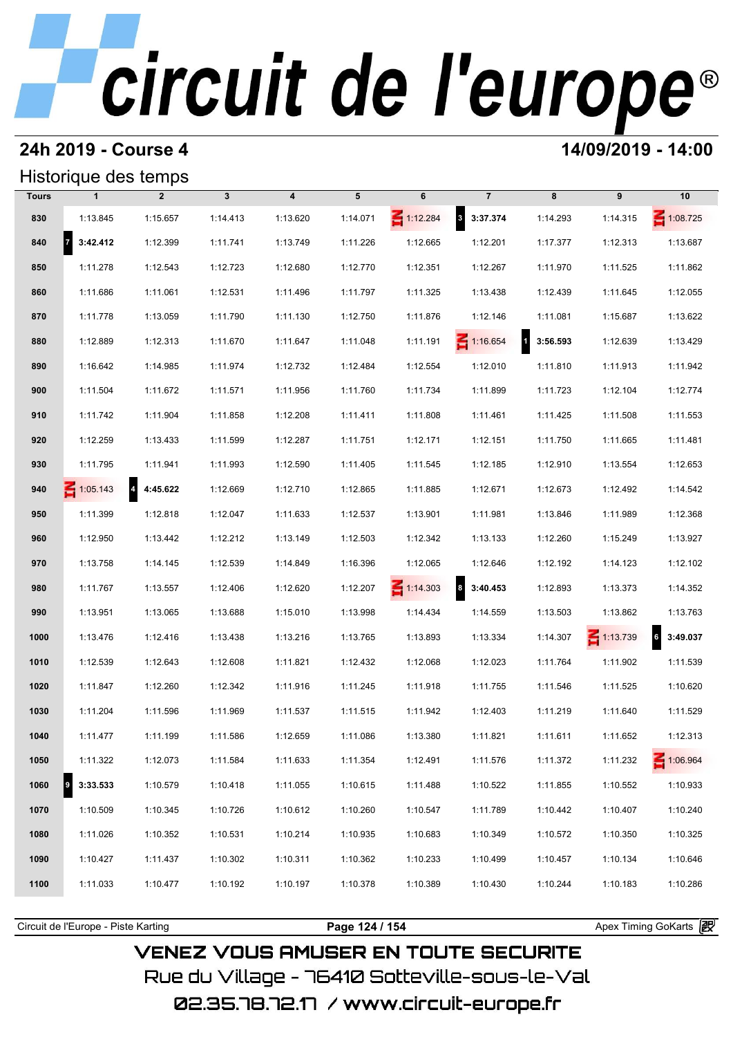#### **24h 2019 - Course 4 14/09/2019 - 14:00**

#### Historique des temps

|              | Historique des temps |                            |              |                         |          |                 |                   |                                     |                 |                 |  |  |  |
|--------------|----------------------|----------------------------|--------------|-------------------------|----------|-----------------|-------------------|-------------------------------------|-----------------|-----------------|--|--|--|
| <b>Tours</b> | $\mathbf{1}$         | $\overline{2}$             | $\mathbf{3}$ | $\overline{\mathbf{4}}$ | 5        | 6               | $\overline{7}$    | 8                                   | 9               | 10              |  |  |  |
| 830          | 1:13.845             | 1:15.657                   | 1:14.413     | 1:13.620                | 1:14.071 | $\leq 1:12.284$ | 8 3:37.374        | 1:14.293                            | 1:14.315        | $\leq 1:08.725$ |  |  |  |
| 840          | 73:42.412            | 1:12.399                   | 1:11.741     | 1:13.749                | 1:11.226 | 1:12.665        | 1:12.201          | 1:17.377                            | 1:12.313        | 1:13.687        |  |  |  |
| 850          | 1:11.278             | 1:12.543                   | 1:12.723     | 1:12.680                | 1:12.770 | 1:12.351        | 1:12.267          | 1:11.970                            | 1:11.525        | 1:11.862        |  |  |  |
| 860          | 1:11.686             | 1:11.061                   | 1:12.531     | 1:11.496                | 1:11.797 | 1:11.325        | 1:13.438          | 1:12.439                            | 1:11.645        | 1:12.055        |  |  |  |
| 870          | 1:11.778             | 1:13.059                   | 1:11.790     | 1:11.130                | 1:12.750 | 1:11.876        | 1:12.146          | 1:11.081                            | 1:15.687        | 1:13.622        |  |  |  |
| 880          | 1:12.889             | 1:12.313                   | 1:11.670     | 1:11.647                | 1:11.048 | 1:11.191        | $\leq 1:16.654$   | $\overline{\mathbf{a}}$<br>3:56.593 | 1:12.639        | 1:13.429        |  |  |  |
| 890          | 1:16.642             | 1:14.985                   | 1:11.974     | 1:12.732                | 1:12.484 | 1:12.554        | 1:12.010          | 1:11.810                            | 1:11.913        | 1:11.942        |  |  |  |
| 900          | 1:11.504             | 1:11.672                   | 1:11.571     | 1:11.956                | 1:11.760 | 1:11.734        | 1:11.899          | 1:11.723                            | 1:12.104        | 1:12.774        |  |  |  |
| 910          | 1:11.742             | 1:11.904                   | 1:11.858     | 1:12.208                | 1:11.411 | 1:11.808        | 1:11.461          | 1:11.425                            | 1:11.508        | 1:11.553        |  |  |  |
| 920          | 1:12.259             | 1:13.433                   | 1:11.599     | 1:12.287                | 1:11.751 | 1:12.171        | 1:12.151          | 1:11.750                            | 1:11.665        | 1:11.481        |  |  |  |
| 930          | 1:11.795             | 1:11.941                   | 1:11.993     | 1:12.590                | 1:11.405 | 1:11.545        | 1:12.185          | 1:12.910                            | 1:13.554        | 1:12.653        |  |  |  |
| 940          | $\leq 1:05.143$      | $\overline{4}$<br>4:45.622 | 1:12.669     | 1:12.710                | 1:12.865 | 1:11.885        | 1:12.671          | 1:12.673                            | 1:12.492        | 1:14.542        |  |  |  |
| 950          | 1:11.399             | 1:12.818                   | 1:12.047     | 1:11.633                | 1:12.537 | 1:13.901        | 1:11.981          | 1:13.846                            | 1:11.989        | 1:12.368        |  |  |  |
| 960          | 1:12.950             | 1:13.442                   | 1:12.212     | 1:13.149                | 1:12.503 | 1:12.342        | 1:13.133          | 1:12.260                            | 1:15.249        | 1:13.927        |  |  |  |
| 970          | 1:13.758             | 1:14.145                   | 1:12.539     | 1:14.849                | 1:16.396 | 1:12.065        | 1:12.646          | 1:12.192                            | 1:14.123        | 1:12.102        |  |  |  |
| 980          | 1:11.767             | 1:13.557                   | 1:12.406     | 1:12.620                | 1:12.207 | $\leq 1:14.303$ | $8\quad 3:40.453$ | 1:12.893                            | 1:13.373        | 1:14.352        |  |  |  |
| 990          | 1:13.951             | 1:13.065                   | 1:13.688     | 1:15.010                | 1:13.998 | 1:14.434        | 1:14.559          | 1:13.503                            | 1:13.862        | 1:13.763        |  |  |  |
| 1000         | 1:13.476             | 1:12.416                   | 1:13.438     | 1:13.216                | 1:13.765 | 1:13.893        | 1:13.334          | 1:14.307                            | $\leq 1:13.739$ | 6<br>3:49.037   |  |  |  |
| 1010         | 1:12.539             | 1:12.643                   | 1:12.608     | 1:11.821                | 1:12.432 | 1:12.068        | 1:12.023          | 1:11.764                            | 1:11.902        | 1:11.539        |  |  |  |
| 1020         | 1:11.847             | 1:12.260                   | 1:12.342     | 1:11.916                | 1:11.245 | 1:11.918        | 1:11.755          | 1:11.546                            | 1:11.525        | 1:10.620        |  |  |  |
| 1030         | 1:11.204             | 1:11.596                   | 1:11.969     | 1:11.537                | 1:11.515 | 1:11.942        | 1:12.403          | 1:11.219                            | 1:11.640        | 1:11.529        |  |  |  |
| 1040         | 1:11.477             | 1:11.199                   | 1:11.586     | 1:12.659                | 1:11.086 | 1:13.380        | 1:11.821          | 1:11.611                            | 1:11.652        | 1:12.313        |  |  |  |
| 1050         | 1:11.322             | 1:12.073                   | 1:11.584     | 1:11.633                | 1:11.354 | 1:12.491        | 1:11.576          | 1:11.372                            | 1:11.232        | 1:06.964        |  |  |  |
| 1060         | 3:33.533             | 1:10.579                   | 1:10.418     | 1:11.055                | 1:10.615 | 1:11.488        | 1:10.522          | 1:11.855                            | 1:10.552        | 1:10.933        |  |  |  |
| 1070         | 1:10.509             | 1:10.345                   | 1:10.726     | 1:10.612                | 1:10.260 | 1:10.547        | 1:11.789          | 1:10.442                            | 1:10.407        | 1:10.240        |  |  |  |
| 1080         | 1:11.026             | 1:10.352                   | 1:10.531     | 1:10.214                | 1:10.935 | 1:10.683        | 1:10.349          | 1:10.572                            | 1:10.350        | 1:10.325        |  |  |  |
| 1090         | 1:10.427             | 1:11.437                   | 1:10.302     | 1:10.311                | 1:10.362 | 1:10.233        | 1:10.499          | 1:10.457                            | 1:10.134        | 1:10.646        |  |  |  |
| 1100         | 1:11.033             | 1:10.477                   | 1:10.192     | 1:10.197                | 1:10.378 | 1:10.389        | 1:10.430          | 1:10.244                            | 1:10.183        | 1:10.286        |  |  |  |
|              |                      |                            |              |                         |          |                 |                   |                                     |                 |                 |  |  |  |

**VENEZ VOUS AMUSER EN TOUTE SECURITE** Rue du Village – 76410 Sotteville-sous-le-Val 02.35.78.72.17 /www.circuit-europe.fr

Circuit de l'Europe - Piste Karting **Page 124 / 154 Page 124 / 154** Apex Timing GoKarts **in**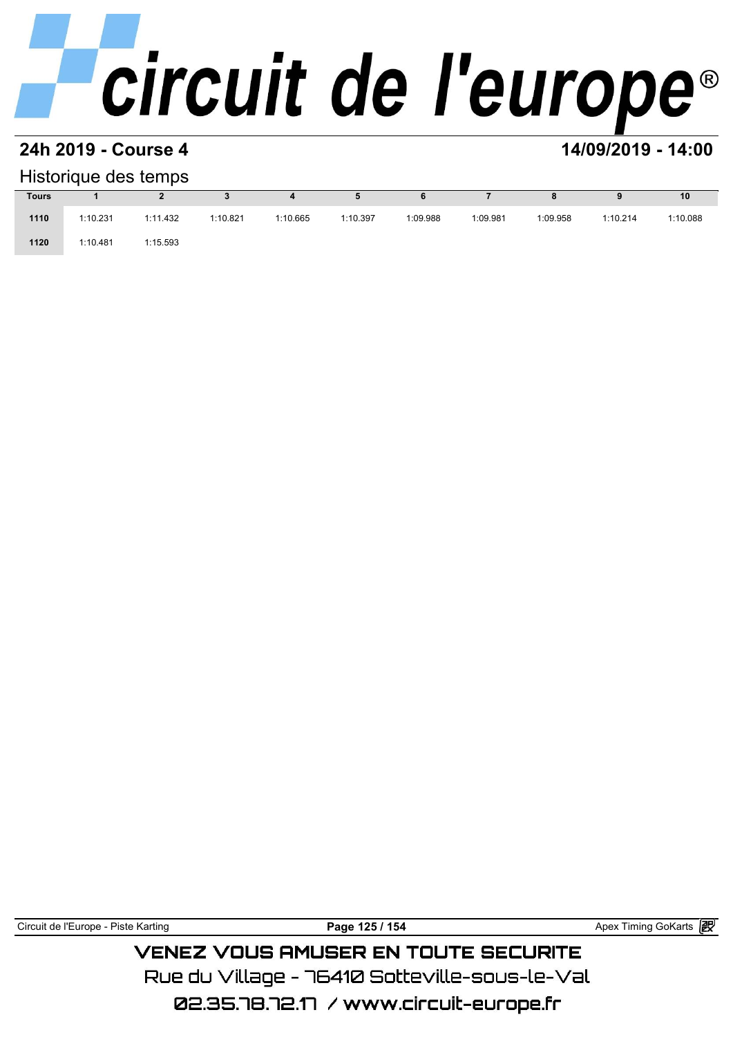#### **24h 2019 - Course 4 14/09/2019 - 14:00**

#### Historique des temps

| Historique des temps |          |          |          |          |          |          |          |          |          |          |  |  |  |
|----------------------|----------|----------|----------|----------|----------|----------|----------|----------|----------|----------|--|--|--|
| <b>Tours</b>         |          |          |          |          | Ð        | 6        |          |          |          | 10       |  |  |  |
| 1110                 | 1:10.231 | 1:11.432 | 1:10.821 | 1:10.665 | 1:10.397 | 1:09.988 | 1:09.981 | 1:09.958 | 1:10.214 | 1:10.088 |  |  |  |
| 1120                 | 1:10.481 | 1:15.593 |          |          |          |          |          |          |          |          |  |  |  |

### **VENEZ VOUS AMUSER EN TOUTE SECURITE** Rue du Village – 76410 Sotteville-sous-le-Val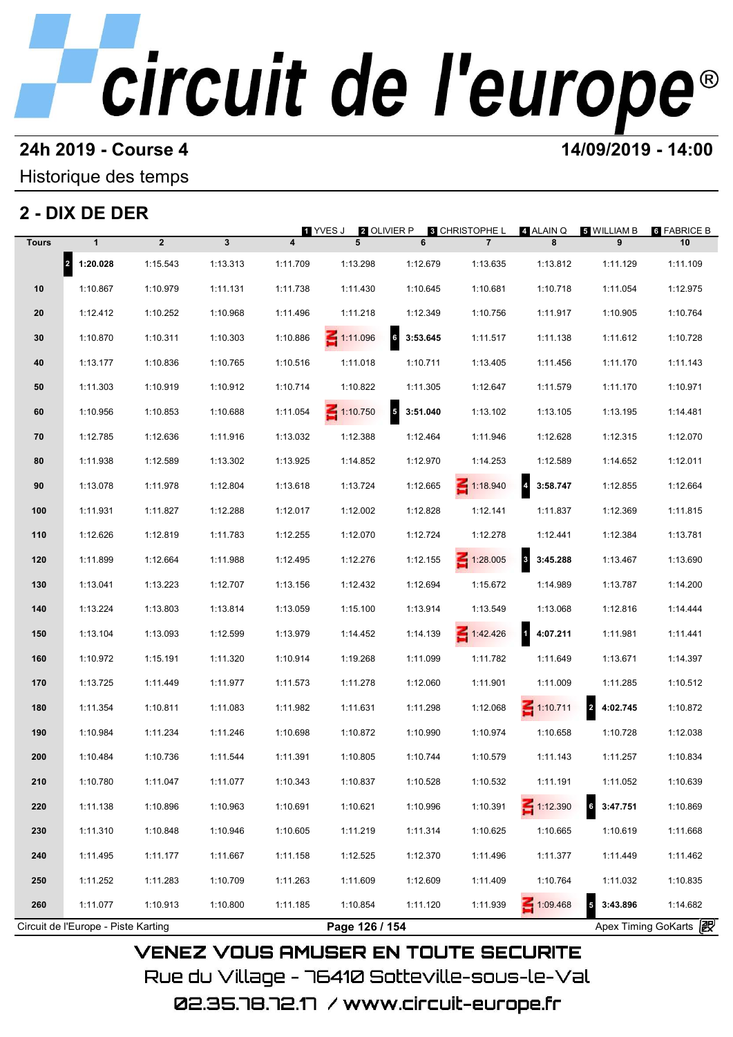#### **24h 2019 - Course 4 14/09/2019 - 14:00**

### Historique des temps

### **2 - DIX DE DER**

| <u>2 - DIX DE DER</u><br><b>8 CHRISTOPHE L</b><br>4 ALAIN Q<br>5 WILLIAM B<br>6 FABRICE B<br>1 YVES J<br><b>2</b> OLIVIER P |                                     |                |              |                         |                 |            |                 |                        |                                     |                       |  |
|-----------------------------------------------------------------------------------------------------------------------------|-------------------------------------|----------------|--------------|-------------------------|-----------------|------------|-----------------|------------------------|-------------------------------------|-----------------------|--|
| <b>Tours</b>                                                                                                                | $\mathbf{1}$                        | $\overline{2}$ | $\mathbf{3}$ | $\overline{\mathbf{4}}$ | 5               | 6          | $\overline{7}$  | 8                      | 9                                   | 10                    |  |
|                                                                                                                             | 2 1:20.028                          | 1:15.543       | 1:13.313     | 1:11.709                | 1:13.298        | 1:12.679   | 1:13.635        | 1:13.812               | 1:11.129                            | 1:11.109              |  |
| 10                                                                                                                          | 1:10.867                            | 1:10.979       | 1:11.131     | 1:11.738                | 1:11.430        | 1:10.645   | 1:10.681        | 1:10.718               | 1:11.054                            | 1:12.975              |  |
| 20                                                                                                                          | 1:12.412                            | 1:10.252       | 1:10.968     | 1:11.496                | 1:11.218        | 1:12.349   | 1:10.756        | 1:11.917               | 1:10.905                            | 1:10.764              |  |
| 30                                                                                                                          | 1:10.870                            | 1:10.311       | 1:10.303     | 1:10.886                | $\leq 1:11.096$ | 63:53.645  | 1:11.517        | 1:11.138               | 1:11.612                            | 1:10.728              |  |
| 40                                                                                                                          | 1:13.177                            | 1:10.836       | 1:10.765     | 1:10.516                | 1:11.018        | 1:10.711   | 1:13.405        | 1:11.456               | 1:11.170                            | 1:11.143              |  |
| 50                                                                                                                          | 1:11.303                            | 1:10.919       | 1:10.912     | 1:10.714                | 1:10.822        | 1:11.305   | 1:12.647        | 1:11.579               | 1:11.170                            | 1:10.971              |  |
| 60                                                                                                                          | 1:10.956                            | 1:10.853       | 1:10.688     | 1:11.054                | $\leq 1:10.750$ | 5 3:51.040 | 1:13.102        | 1:13.105               | 1:13.195                            | 1:14.481              |  |
| 70                                                                                                                          | 1:12.785                            | 1:12.636       | 1:11.916     | 1:13.032                | 1:12.388        | 1:12.464   | 1:11.946        | 1:12.628               | 1:12.315                            | 1:12.070              |  |
| 80                                                                                                                          | 1:11.938                            | 1:12.589       | 1:13.302     | 1:13.925                | 1:14.852        | 1:12.970   | 1:14.253        | 1:12.589               | 1:14.652                            | 1:12.011              |  |
| 90                                                                                                                          | 1:13.078                            | 1:11.978       | 1:12.804     | 1:13.618                | 1:13.724        | 1:12.665   | $\leq 1:18.940$ | $4\overline{3:}58.747$ | 1:12.855                            | 1:12.664              |  |
| 100                                                                                                                         | 1:11.931                            | 1:11.827       | 1:12.288     | 1:12.017                | 1:12.002        | 1:12.828   | 1:12.141        | 1:11.837               | 1:12.369                            | 1:11.815              |  |
| 110                                                                                                                         | 1:12.626                            | 1:12.819       | 1:11.783     | 1:12.255                | 1:12.070        | 1:12.724   | 1:12.278        | 1:12.441               | 1:12.384                            | 1:13.781              |  |
| 120                                                                                                                         | 1:11.899                            | 1:12.664       | 1:11.988     | 1:12.495                | 1:12.276        | 1:12.155   | $\leq 1:28.005$ | 3:45.288               | 1:13.467                            | 1:13.690              |  |
| 130                                                                                                                         | 1:13.041                            | 1:13.223       | 1:12.707     | 1:13.156                | 1:12.432        | 1:12.694   | 1:15.672        | 1:14.989               | 1:13.787                            | 1:14.200              |  |
| 140                                                                                                                         | 1:13.224                            | 1:13.803       | 1:13.814     | 1:13.059                | 1:15.100        | 1:13.914   | 1:13.549        | 1:13.068               | 1:12.816                            | 1:14.444              |  |
| 150                                                                                                                         | 1:13.104                            | 1:13.093       | 1:12.599     | 1:13.979                | 1:14.452        | 1:14.139   | 1:42.426        | 1 4:07.211             | 1:11.981                            | 1:11.441              |  |
| 160                                                                                                                         | 1:10.972                            | 1:15.191       | 1:11.320     | 1:10.914                | 1:19.268        | 1:11.099   | 1:11.782        | 1:11.649               | 1:13.671                            | 1:14.397              |  |
| 170                                                                                                                         | 1:13.725                            | 1:11.449       | 1:11.977     | 1:11.573                | 1:11.278        | 1:12.060   | 1:11.901        | 1:11.009               | 1:11.285                            | 1:10.512              |  |
| 180                                                                                                                         | 1:11.354                            | 1:10.811       | 1:11.083     | 1:11.982                | 1:11.631        | 1:11.298   | 1:12.068        | $\leq 1:10.711$        | 2 4:02.745                          | 1:10.872              |  |
| 190                                                                                                                         | 1:10.984                            | 1:11.234       | 1:11.246     | 1:10.698                | 1:10.872        | 1:10.990   | 1:10.974        | 1:10.658               | 1:10.728                            | 1:12.038              |  |
| 200                                                                                                                         | 1:10.484                            | 1:10.736       | 1:11.544     | 1:11.391                | 1:10.805        | 1:10.744   | 1:10.579        | 1:11.143               | 1:11.257                            | 1:10.834              |  |
| 210                                                                                                                         | 1:10.780                            | 1:11.047       | 1:11.077     | 1:10.343                | 1:10.837        | 1:10.528   | 1:10.532        | 1:11.191               | 1:11.052                            | 1:10.639              |  |
| 220                                                                                                                         | 1:11.138                            | 1:10.896       | 1:10.963     | 1:10.691                | 1:10.621        | 1:10.996   | 1:10.391        | $\leq 1:12.390$        | $6\quad 3:47.751$                   | 1:10.869              |  |
| 230                                                                                                                         | 1:11.310                            | 1:10.848       | 1:10.946     | 1:10.605                | 1:11.219        | 1:11.314   | 1:10.625        | 1:10.665               | 1:10.619                            | 1:11.668              |  |
| 240                                                                                                                         | 1:11.495                            | 1:11.177       | 1:11.667     | 1:11.158                | 1:12.525        | 1:12.370   | 1:11.496        | 1:11.377               | 1:11.449                            | 1:11.462              |  |
| 250                                                                                                                         | 1:11.252                            | 1:11.283       | 1:10.709     | 1:11.263                | 1:11.609        | 1:12.609   | 1:11.409        | 1:10.764               | 1:11.032                            | 1:10.835              |  |
| 260                                                                                                                         | 1:11.077                            | 1:10.913       | 1:10.800     | 1:11.185                | 1:10.854        | 1:11.120   | 1:11.939        | 1:09.468               | $\overline{\mathbf{5}}$<br>3:43.896 | 1:14.682              |  |
|                                                                                                                             | Circuit de l'Europe - Piste Karting |                |              |                         | Page 126 / 154  |            |                 |                        |                                     | Apex Timing GoKarts 2 |  |

02.35.78.72.17 / www.circuit-europe.fr

Rue du Village – 76410 Sotteville-sous-le-Val

**VENEZ VOUS AMUSER EN TOUTE SECURITE**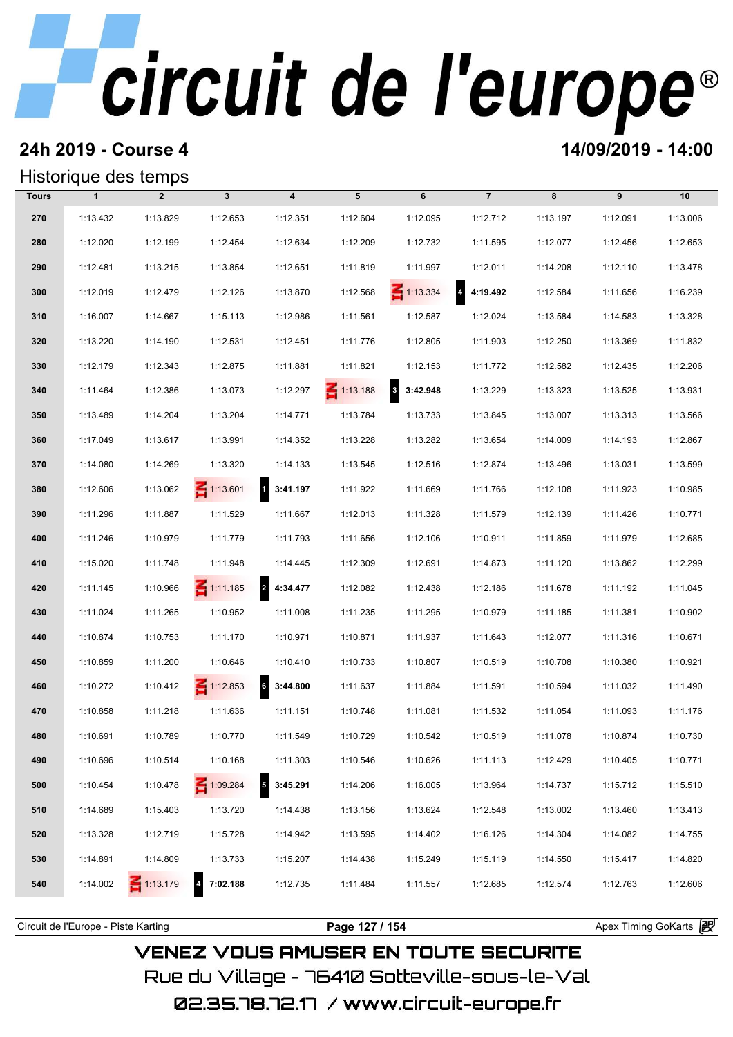#### **24h 2019 - Course 4 14/09/2019 - 14:00**

#### Historique des temps

|              | Historique des temps |                 |                 |                                     |                 |                                     |                |          |          |          |  |  |  |
|--------------|----------------------|-----------------|-----------------|-------------------------------------|-----------------|-------------------------------------|----------------|----------|----------|----------|--|--|--|
| <b>Tours</b> | $\mathbf{1}$         | $\overline{2}$  | $\mathbf{3}$    | $\overline{\mathbf{4}}$             | 5               | 6                                   | $\overline{7}$ | 8        | 9        | 10       |  |  |  |
| 270          | 1:13.432             | 1:13.829        | 1:12.653        | 1:12.351                            | 1:12.604        | 1:12.095                            | 1:12.712       | 1:13.197 | 1:12.091 | 1:13.006 |  |  |  |
| 280          | 1:12.020             | 1:12.199        | 1:12.454        | 1:12.634                            | 1:12.209        | 1:12.732                            | 1:11.595       | 1:12.077 | 1:12.456 | 1:12.653 |  |  |  |
| 290          | 1:12.481             | 1:13.215        | 1:13.854        | 1:12.651                            | 1:11.819        | 1:11.997                            | 1:12.011       | 1:14.208 | 1:12.110 | 1:13.478 |  |  |  |
| 300          | 1:12.019             | 1:12.479        | 1:12.126        | 1:13.870                            | 1:12.568        | $\leq 1:13.334$                     | 4.4:19.492     | 1:12.584 | 1:11.656 | 1:16.239 |  |  |  |
| 310          | 1:16.007             | 1:14.667        | 1:15.113        | 1:12.986                            | 1:11.561        | 1:12.587                            | 1:12.024       | 1:13.584 | 1:14.583 | 1:13.328 |  |  |  |
| 320          | 1:13.220             | 1:14.190        | 1:12.531        | 1:12.451                            | 1:11.776        | 1:12.805                            | 1:11.903       | 1:12.250 | 1:13.369 | 1:11.832 |  |  |  |
| 330          | 1:12.179             | 1:12.343        | 1:12.875        | 1:11.881                            | 1:11.821        | 1:12.153                            | 1:11.772       | 1:12.582 | 1:12.435 | 1:12.206 |  |  |  |
| 340          | 1:11.464             | 1:12.386        | 1:13.073        | 1:12.297                            | $\leq 1:13.188$ | $\overline{\mathbf{3}}$<br>3:42.948 | 1:13.229       | 1:13.323 | 1:13.525 | 1:13.931 |  |  |  |
| 350          | 1:13.489             | 1:14.204        | 1:13.204        | 1:14.771                            | 1:13.784        | 1:13.733                            | 1:13.845       | 1:13.007 | 1:13.313 | 1:13.566 |  |  |  |
| 360          | 1:17.049             | 1:13.617        | 1:13.991        | 1:14.352                            | 1:13.228        | 1:13.282                            | 1:13.654       | 1:14.009 | 1:14.193 | 1:12.867 |  |  |  |
| 370          | 1:14.080             | 1:14.269        | 1:13.320        | 1:14.133                            | 1:13.545        | 1:12.516                            | 1:12.874       | 1:13.496 | 1:13.031 | 1:13.599 |  |  |  |
| 380          | 1:12.606             | 1:13.062        | $\leq 1:13.601$ | $\overline{\mathbf{1}}$<br>3:41.197 | 1:11.922        | 1:11.669                            | 1:11.766       | 1:12.108 | 1:11.923 | 1:10.985 |  |  |  |
| 390          | 1:11.296             | 1:11.887        | 1:11.529        | 1:11.667                            | 1:12.013        | 1:11.328                            | 1:11.579       | 1:12.139 | 1:11.426 | 1:10.771 |  |  |  |
| 400          | 1:11.246             | 1:10.979        | 1:11.779        | 1:11.793                            | 1:11.656        | 1:12.106                            | 1:10.911       | 1:11.859 | 1:11.979 | 1:12.685 |  |  |  |
| 410          | 1:15.020             | 1:11.748        | 1:11.948        | 1:14.445                            | 1:12.309        | 1:12.691                            | 1:14.873       | 1:11.120 | 1:13.862 | 1:12.299 |  |  |  |
| 420          | 1:11.145             | 1:10.966        | $\leq 1:11.185$ | 2 4:34.477                          | 1:12.082        | 1:12.438                            | 1:12.186       | 1:11.678 | 1:11.192 | 1:11.045 |  |  |  |
| 430          | 1:11.024             | 1:11.265        | 1:10.952        | 1:11.008                            | 1:11.235        | 1:11.295                            | 1:10.979       | 1:11.185 | 1:11.381 | 1:10.902 |  |  |  |
| 440          | 1:10.874             | 1:10.753        | 1:11.170        | 1:10.971                            | 1:10.871        | 1:11.937                            | 1:11.643       | 1:12.077 | 1:11.316 | 1:10.671 |  |  |  |
| 450          | 1:10.859             | 1:11.200        | 1:10.646        | 1:10.410                            | 1:10.733        | 1:10.807                            | 1:10.519       | 1:10.708 | 1:10.380 | 1:10.921 |  |  |  |
| 460          | 1:10.272             | 1:10.412        | $\leq 1:12.853$ | $6\overline{6}$<br>3:44.800         | 1:11.637        | 1:11.884                            | 1:11.591       | 1:10.594 | 1:11.032 | 1:11.490 |  |  |  |
| 470          | 1:10.858             | 1:11.218        | 1:11.636        | 1:11.151                            | 1:10.748        | 1:11.081                            | 1:11.532       | 1:11.054 | 1:11.093 | 1:11.176 |  |  |  |
| 480          | 1:10.691             | 1:10.789        | 1:10.770        | 1:11.549                            | 1:10.729        | 1:10.542                            | 1:10.519       | 1:11.078 | 1:10.874 | 1:10.730 |  |  |  |
| 490          | 1:10.696             | 1:10.514        | 1:10.168        | 1:11.303                            | 1:10.546        | 1:10.626                            | 1:11.113       | 1:12.429 | 1:10.405 | 1:10.771 |  |  |  |
| 500          | 1:10.454             | 1:10.478        | 1:09.284        | $\overline{\mathbf{5}}$<br>3:45.291 | 1:14.206        | 1:16.005                            | 1:13.964       | 1:14.737 | 1:15.712 | 1:15.510 |  |  |  |
| 510          | 1:14.689             | 1:15.403        | 1:13.720        | 1:14.438                            | 1:13.156        | 1:13.624                            | 1:12.548       | 1:13.002 | 1:13.460 | 1:13.413 |  |  |  |
| 520          | 1:13.328             | 1:12.719        | 1:15.728        | 1:14.942                            | 1:13.595        | 1:14.402                            | 1:16.126       | 1:14.304 | 1:14.082 | 1:14.755 |  |  |  |
| 530          | 1:14.891             | 1:14.809        | 1:13.733        | 1:15.207                            | 1:14.438        | 1:15.249                            | 1:15.119       | 1:14.550 | 1:15.417 | 1:14.820 |  |  |  |
| 540          | 1:14.002             | $\leq 1:13.179$ | 4 7:02.188      | 1:12.735                            | 1:11.484        | 1:11.557                            | 1:12.685       | 1:12.574 | 1:12.763 | 1:12.606 |  |  |  |
|              |                      |                 |                 |                                     |                 |                                     |                |          |          |          |  |  |  |

**VENEZ VOUS AMUSER EN TOUTE SECURITE** Rue du Village – 76410 Sotteville-sous-le-Val

02.35.78.72.17 /www.circuit-europe.fr

Circuit de l'Europe - Piste Karting **Page 127 / 154 Page 127 / 154** Apex Timing GoKarts **in**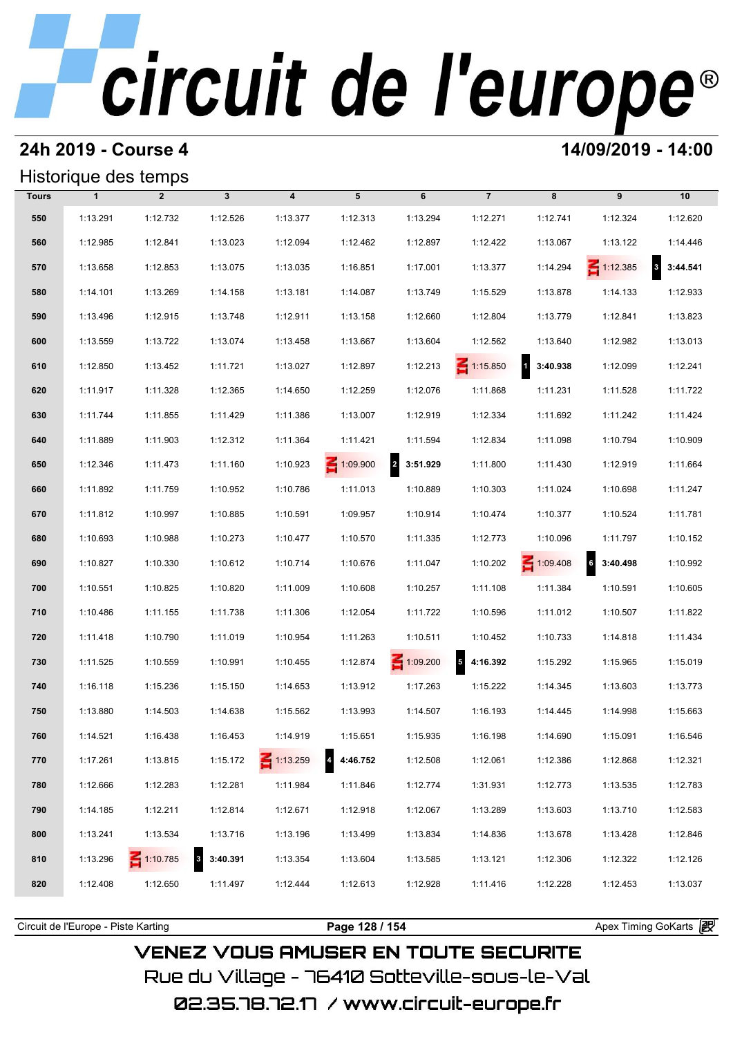#### **24h 2019 - Course 4 14/09/2019 - 14:00**

#### Historique des temps

|              |              | Historique des temps |                                     |                         |                 |                            |                 |            |                 |                             |
|--------------|--------------|----------------------|-------------------------------------|-------------------------|-----------------|----------------------------|-----------------|------------|-----------------|-----------------------------|
| <b>Tours</b> | $\mathbf{1}$ | $\overline{2}$       | $\mathbf{3}$                        | $\overline{\mathbf{4}}$ | 5               | 6                          | $\overline{7}$  | 8          | 9               | 10                          |
| 550          | 1:13.291     | 1:12.732             | 1:12.526                            | 1:13.377                | 1:12.313        | 1:13.294                   | 1:12.271        | 1:12.741   | 1:12.324        | 1:12.620                    |
| 560          | 1:12.985     | 1:12.841             | 1:13.023                            | 1:12.094                | 1:12.462        | 1:12.897                   | 1:12.422        | 1:13.067   | 1:13.122        | 1:14.446                    |
| 570          | 1:13.658     | 1:12.853             | 1:13.075                            | 1:13.035                | 1:16.851        | 1:17.001                   | 1:13.377        | 1:14.294   | $\leq 1:12.385$ | $3\overline{3}$<br>3:44.541 |
| 580          | 1:14.101     | 1:13.269             | 1:14.158                            | 1:13.181                | 1:14.087        | 1:13.749                   | 1:15.529        | 1:13.878   | 1:14.133        | 1:12.933                    |
| 590          | 1:13.496     | 1:12.915             | 1:13.748                            | 1:12.911                | 1:13.158        | 1:12.660                   | 1:12.804        | 1:13.779   | 1:12.841        | 1:13.823                    |
| 600          | 1:13.559     | 1:13.722             | 1:13.074                            | 1:13.458                | 1:13.667        | 1:13.604                   | 1:12.562        | 1:13.640   | 1:12.982        | 1:13.013                    |
| 610          | 1:12.850     | 1:13.452             | 1:11.721                            | 1:13.027                | 1:12.897        | 1:12.213                   | $\leq 1:15.850$ | 1 3:40.938 | 1:12.099        | 1:12.241                    |
| 620          | 1:11.917     | 1:11.328             | 1:12.365                            | 1:14.650                | 1:12.259        | 1:12.076                   | 1:11.868        | 1:11.231   | 1:11.528        | 1:11.722                    |
| 630          | 1:11.744     | 1:11.855             | 1:11.429                            | 1:11.386                | 1:13.007        | 1:12.919                   | 1:12.334        | 1:11.692   | 1:11.242        | 1:11.424                    |
| 640          | 1:11.889     | 1:11.903             | 1:12.312                            | 1:11.364                | 1:11.421        | 1:11.594                   | 1:12.834        | 1:11.098   | 1:10.794        | 1:10.909                    |
| 650          | 1:12.346     | 1:11.473             | 1:11.160                            | 1:10.923                | $\leq 1:09.900$ | $\overline{2}$<br>3:51.929 | 1:11.800        | 1:11.430   | 1:12.919        | 1:11.664                    |
| 660          | 1:11.892     | 1:11.759             | 1:10.952                            | 1:10.786                | 1:11.013        | 1:10.889                   | 1:10.303        | 1:11.024   | 1:10.698        | 1:11.247                    |
| 670          | 1:11.812     | 1:10.997             | 1:10.885                            | 1:10.591                | 1:09.957        | 1:10.914                   | 1:10.474        | 1:10.377   | 1:10.524        | 1:11.781                    |
| 680          | 1:10.693     | 1:10.988             | 1:10.273                            | 1:10.477                | 1:10.570        | 1:11.335                   | 1:12.773        | 1:10.096   | 1:11.797        | 1:10.152                    |
| 690          | 1:10.827     | 1:10.330             | 1:10.612                            | 1:10.714                | 1:10.676        | 1:11.047                   | 1:10.202        | 1:09.408   | 6<br>3:40.498   | 1:10.992                    |
| 700          | 1:10.551     | 1:10.825             | 1:10.820                            | 1:11.009                | 1:10.608        | 1:10.257                   | 1:11.108        | 1:11.384   | 1:10.591        | 1:10.605                    |
| 710          | 1:10.486     | 1:11.155             | 1:11.738                            | 1:11.306                | 1:12.054        | 1:11.722                   | 1:10.596        | 1:11.012   | 1:10.507        | 1:11.822                    |
| 720          | 1:11.418     | 1:10.790             | 1:11.019                            | 1:10.954                | 1:11.263        | 1:10.511                   | 1:10.452        | 1:10.733   | 1:14.818        | 1:11.434                    |
| 730          | 1:11.525     | 1:10.559             | 1:10.991                            | 1:10.455                | 1:12.874        | $\leq 1:09.200$            | 54:16.392       | 1:15.292   | 1:15.965        | 1:15.019                    |
| 740          | 1:16.118     | 1:15.236             | 1:15.150                            | 1:14.653                | 1:13.912        | 1:17.263                   | 1:15.222        | 1:14.345   | 1:13.603        | 1:13.773                    |
| 750          | 1:13.880     | 1:14.503             | 1:14.638                            | 1:15.562                | 1:13.993        | 1:14.507                   | 1:16.193        | 1:14.445   | 1:14.998        | 1:15.663                    |
| 760          | 1:14.521     | 1:16.438             | 1:16.453                            | 1:14.919                | 1:15.651        | 1:15.935                   | 1:16.198        | 1:14.690   | 1:15.091        | 1:16.546                    |
| 770          | 1:17.261     | 1:13.815             | 1:15.172                            | $\leq 1:13.259$         | 4:46.752        | 1:12.508                   | 1:12.061        | 1:12.386   | 1:12.868        | 1:12.321                    |
| 780          | 1:12.666     | 1:12.283             | 1:12.281                            | 1:11.984                | 1:11.846        | 1:12.774                   | 1:31.931        | 1:12.773   | 1:13.535        | 1:12.783                    |
| 790          | 1:14.185     | 1:12.211             | 1:12.814                            | 1:12.671                | 1:12.918        | 1:12.067                   | 1:13.289        | 1:13.603   | 1:13.710        | 1:12.583                    |
| 800          | 1:13.241     | 1:13.534             | 1:13.716                            | 1:13.196                | 1:13.499        | 1:13.834                   | 1:14.836        | 1:13.678   | 1:13.428        | 1:12.846                    |
| 810          | 1:13.296     | $\leq 1:10.785$      | $\overline{\mathbf{3}}$<br>3:40.391 | 1:13.354                | 1:13.604        | 1:13.585                   | 1:13.121        | 1:12.306   | 1:12.322        | 1:12.126                    |
| 820          | 1:12.408     | 1:12.650             | 1:11.497                            | 1:12.444                | 1:12.613        | 1:12.928                   | 1:11.416        | 1:12.228   | 1:12.453        | 1:13.037                    |
|              |              |                      |                                     |                         |                 |                            |                 |            |                 |                             |

**VENEZ VOUS AMUSER EN TOUTE SECURITE** Rue du Village – 76410 Sotteville-sous-le-Val

02.35.78.72.17 /www.circuit-europe.fr

Circuit de l'Europe - Piste Karting **Page 128 / 154 Page 128 / 154** Apex Timing GoKarts **intervent**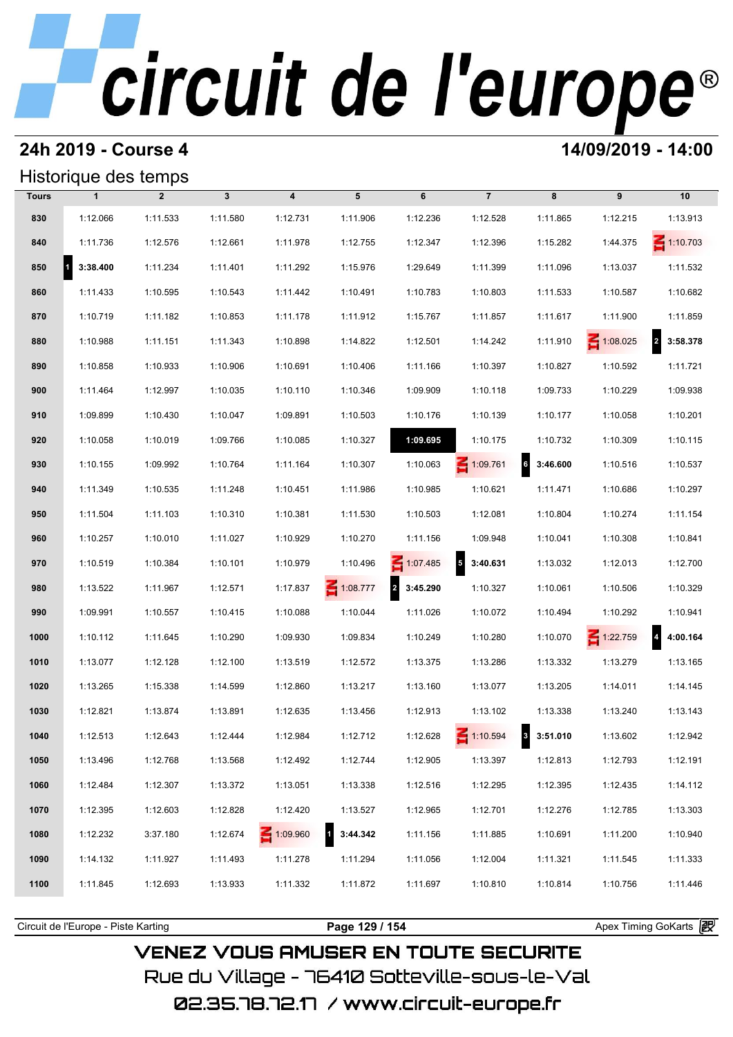#### **24h 2019 - Course 4 14/09/2019 - 14:00**

### Historique des temps

|              | Historique des temps |                |              |                         |                    |            |                            |                            |                 |                            |  |  |  |
|--------------|----------------------|----------------|--------------|-------------------------|--------------------|------------|----------------------------|----------------------------|-----------------|----------------------------|--|--|--|
| <b>Tours</b> | $\mathbf{1}$         | $\overline{2}$ | $\mathbf{3}$ | $\overline{\mathbf{4}}$ | 5                  | 6          | $\overline{7}$             | 8                          | 9               | 10                         |  |  |  |
| 830          | 1:12.066             | 1:11.533       | 1:11.580     | 1:12.731                | 1:11.906           | 1:12.236   | 1:12.528                   | 1:11.865                   | 1:12.215        | 1:13.913                   |  |  |  |
| 840          | 1:11.736             | 1:12.576       | 1:12.661     | 1:11.978                | 1:12.755           | 1:12.347   | 1:12.396                   | 1:15.282                   | 1:44.375        | $\leq 1:10.703$            |  |  |  |
| 850          | 3:38.400<br>и        | 1:11.234       | 1:11.401     | 1:11.292                | 1:15.976           | 1:29.649   | 1:11.399                   | 1:11.096                   | 1:13.037        | 1:11.532                   |  |  |  |
| 860          | 1:11.433             | 1:10.595       | 1:10.543     | 1:11.442                | 1:10.491           | 1:10.783   | 1:10.803                   | 1:11.533                   | 1:10.587        | 1:10.682                   |  |  |  |
| 870          | 1:10.719             | 1:11.182       | 1:10.853     | 1:11.178                | 1:11.912           | 1:15.767   | 1:11.857                   | 1:11.617                   | 1:11.900        | 1:11.859                   |  |  |  |
| 880          | 1:10.988             | 1:11.151       | 1:11.343     | 1:10.898                | 1:14.822           | 1:12.501   | 1:14.242                   | 1:11.910                   | $\leq 1:08.025$ | $\overline{2}$<br>3:58.378 |  |  |  |
| 890          | 1:10.858             | 1:10.933       | 1:10.906     | 1:10.691                | 1:10.406           | 1:11.166   | 1:10.397                   | 1:10.827                   | 1:10.592        | 1:11.721                   |  |  |  |
| 900          | 1:11.464             | 1:12.997       | 1:10.035     | 1:10.110                | 1:10.346           | 1:09.909   | 1:10.118                   | 1:09.733                   | 1:10.229        | 1:09.938                   |  |  |  |
| 910          | 1:09.899             | 1:10.430       | 1:10.047     | 1:09.891                | 1:10.503           | 1:10.176   | 1:10.139                   | 1:10.177                   | 1:10.058        | 1:10.201                   |  |  |  |
| 920          | 1:10.058             | 1:10.019       | 1:09.766     | 1:10.085                | 1:10.327           | 1:09.695   | 1:10.175                   | 1:10.732                   | 1:10.309        | 1:10.115                   |  |  |  |
| 930          | 1:10.155             | 1:09.992       | 1:10.764     | 1:11.164                | 1:10.307           | 1:10.063   | $\leq 1:09.761$            | $\overline{6}$<br>3:46.600 | 1:10.516        | 1:10.537                   |  |  |  |
| 940          | 1:11.349             | 1:10.535       | 1:11.248     | 1:10.451                | 1:11.986           | 1:10.985   | 1:10.621                   | 1:11.471                   | 1:10.686        | 1:10.297                   |  |  |  |
| 950          | 1:11.504             | 1:11.103       | 1:10.310     | 1:10.381                | 1:11.530           | 1:10.503   | 1:12.081                   | 1:10.804                   | 1:10.274        | 1:11.154                   |  |  |  |
| 960          | 1:10.257             | 1:10.010       | 1:11.027     | 1:10.929                | 1:10.270           | 1:11.156   | 1:09.948                   | 1:10.041                   | 1:10.308        | 1:10.841                   |  |  |  |
| 970          | 1:10.519             | 1:10.384       | 1:10.101     | 1:10.979                | 1:10.496           | 1:07.485   | 3:40.631<br>$\overline{5}$ | 1:13.032                   | 1:12.013        | 1:12.700                   |  |  |  |
| 980          | 1:13.522             | 1:11.967       | 1:12.571     | 1:17.837                | 1:08.777           | 2 3:45.290 | 1:10.327                   | 1:10.061                   | 1:10.506        | 1:10.329                   |  |  |  |
| 990          | 1:09.991             | 1:10.557       | 1:10.415     | 1:10.088                | 1:10.044           | 1:11.026   | 1:10.072                   | 1:10.494                   | 1:10.292        | 1:10.941                   |  |  |  |
| 1000         | 1:10.112             | 1:11.645       | 1:10.290     | 1:09.930                | 1:09.834           | 1:10.249   | 1:10.280                   | 1:10.070                   | $\leq 1:22.759$ | 4:00.164                   |  |  |  |
| 1010         | 1:13.077             | 1:12.128       | 1:12.100     | 1:13.519                | 1:12.572           | 1:13.375   | 1:13.286                   | 1:13.332                   | 1:13.279        | 1:13.165                   |  |  |  |
| 1020         | 1:13.265             | 1:15.338       | 1:14.599     | 1:12.860                | 1:13.217           | 1:13.160   | 1:13.077                   | 1:13.205                   | 1:14.011        | 1:14.145                   |  |  |  |
| 1030         | 1:12.821             | 1:13.874       | 1:13.891     | 1:12.635                | 1:13.456           | 1:12.913   | 1:13.102                   | 1:13.338                   | 1:13.240        | 1:13.143                   |  |  |  |
| 1040         | 1:12.513             | 1:12.643       | 1:12.444     | 1:12.984                | 1:12.712           | 1:12.628   | $\leq 1:10.594$            | 8 3:51.010                 | 1:13.602        | 1:12.942                   |  |  |  |
| 1050         | 1:13.496             | 1:12.768       | 1:13.568     | 1:12.492                | 1:12.744           | 1:12.905   | 1:13.397                   | 1:12.813                   | 1:12.793        | 1:12.191                   |  |  |  |
| 1060         | 1:12.484             | 1:12.307       | 1:13.372     | 1:13.051                | 1:13.338           | 1:12.516   | 1:12.295                   | 1:12.395                   | 1:12.435        | 1:14.112                   |  |  |  |
| 1070         | 1:12.395             | 1:12.603       | 1:12.828     | 1:12.420                | 1:13.527           | 1:12.965   | 1:12.701                   | 1:12.276                   | 1:12.785        | 1:13.303                   |  |  |  |
| 1080         | 1:12.232             | 3:37.180       | 1:12.674     | $\leq 1:09.960$         | $1 \quad 3:44.342$ | 1:11.156   | 1:11.885                   | 1:10.691                   | 1:11.200        | 1:10.940                   |  |  |  |
| 1090         | 1:14.132             | 1:11.927       | 1:11.493     | 1:11.278                | 1:11.294           | 1:11.056   | 1:12.004                   | 1:11.321                   | 1:11.545        | 1:11.333                   |  |  |  |
| 1100         | 1:11.845             | 1:12.693       | 1:13.933     | 1:11.332                | 1:11.872           | 1:11.697   | 1:10.810                   | 1:10.814                   | 1:10.756        | 1:11.446                   |  |  |  |
|              |                      |                |              |                         |                    |            |                            |                            |                 |                            |  |  |  |

**VENEZ VOUS AMUSER EN TOUTE SECURITE** Rue du Village – 76410 Sotteville-sous-le-Val

Circuit de l'Europe - Piste Karting **Page 129 / 154 Page 129 / 154** Apex Timing GoKarts **intervent**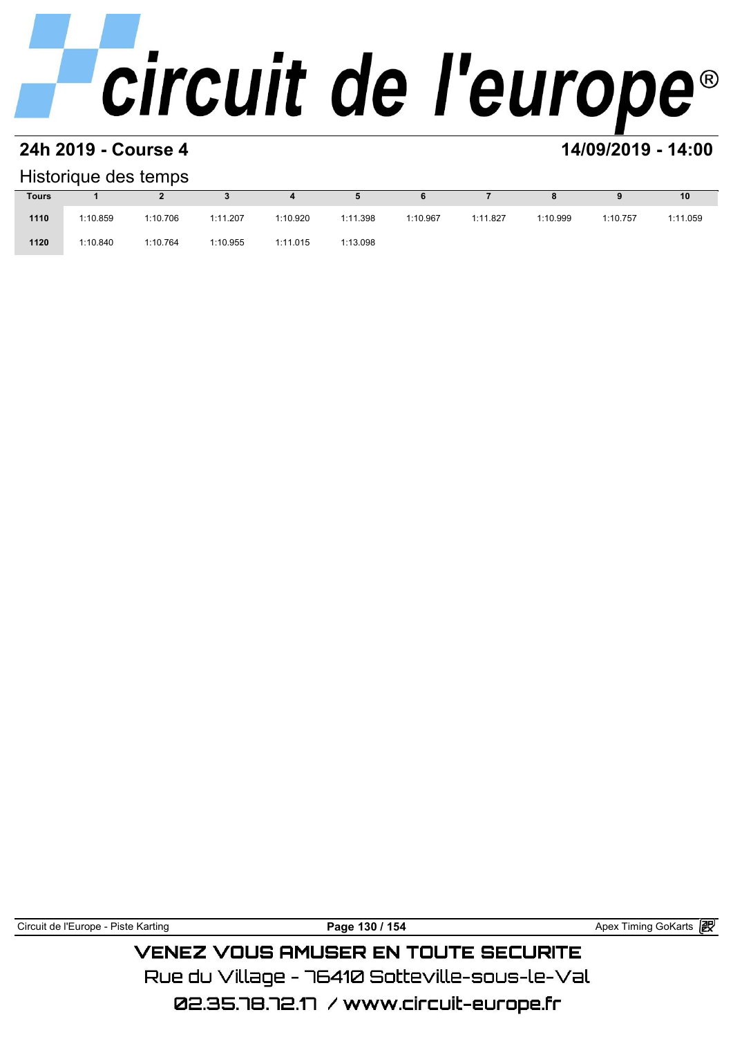#### **24h 2019 - Course 4 14/09/2019 - 14:00**

#### Historique des temps

| Historique des temps |          |          |          |          |          |          |          |          |          |          |  |  |  |
|----------------------|----------|----------|----------|----------|----------|----------|----------|----------|----------|----------|--|--|--|
| <b>Tours</b>         |          |          |          | 4        | 5        | 6        |          | 8        |          | 10       |  |  |  |
| 1110                 | 1:10.859 | 1:10.706 | 1:11.207 | 1:10.920 | 1:11.398 | 1:10.967 | 1:11.827 | 1:10.999 | 1:10.757 | 1:11.059 |  |  |  |
| 1120                 | 1:10.840 | 1:10.764 | 1:10.955 | 1:11.015 | 1:13.098 |          |          |          |          |          |  |  |  |

|  | Circuit de l'Europe - Piste Karting | 154<br>130<br>Page | 假<br>g GoKarts<br>Timing<br>Apex |
|--|-------------------------------------|--------------------|----------------------------------|
|--|-------------------------------------|--------------------|----------------------------------|

### **VENEZ VOUS AMUSER EN TOUTE SECURITE**

Rue du Village – 76410 Sotteville-sous-le-Val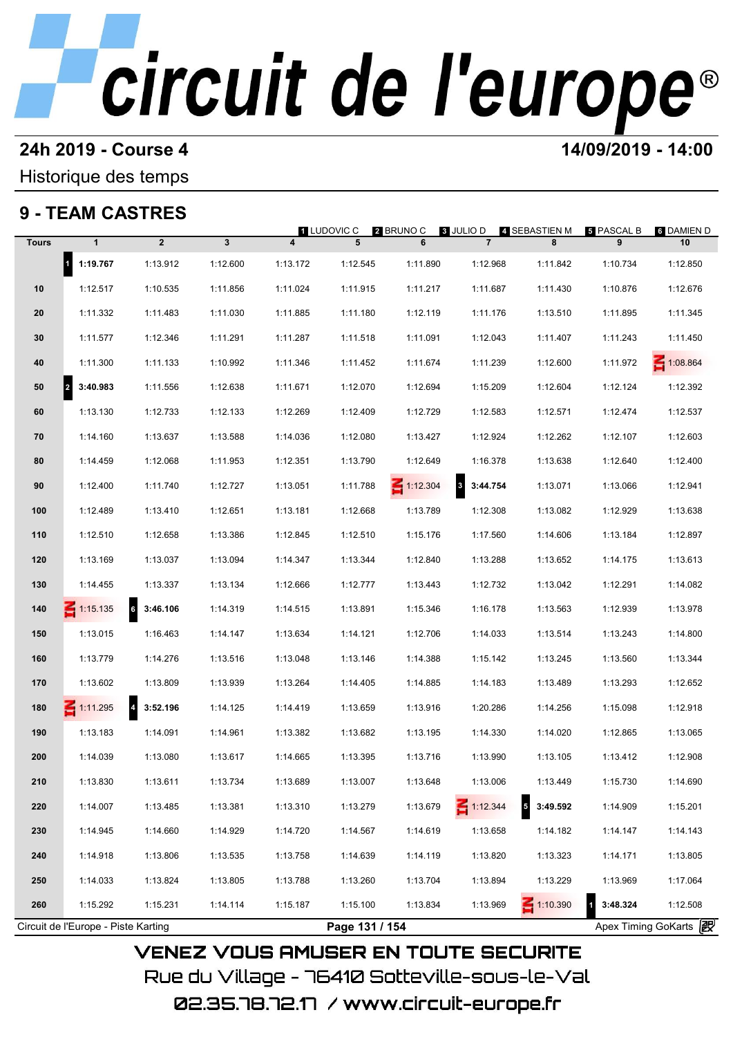#### **24h 2019 - Course 4 14/09/2019 - 14:00**

### Historique des temps

### **9 - TEAM CASTRES**

|              |                                     |                   |          |                | 1 LUDOVIC C    | <b>2</b> BRUNO C | <b>8 JULIO D</b> | 4 SEBASTIEN M                        | <b>5 PASCAL B</b>       | 6 DAMIEN D            |
|--------------|-------------------------------------|-------------------|----------|----------------|----------------|------------------|------------------|--------------------------------------|-------------------------|-----------------------|
| <b>Tours</b> | $\mathbf{1}$                        | $\overline{2}$    | 3        | $\overline{4}$ | 5              | 6                | $\overline{7}$   | 8                                    | 9                       | 10                    |
|              | 1 1:19.767                          | 1:13.912          | 1:12.600 | 1:13.172       | 1:12.545       | 1:11.890         | 1:12.968         | 1:11.842                             | 1:10.734                | 1:12.850              |
| 10           | 1:12.517                            | 1:10.535          | 1:11.856 | 1:11.024       | 1:11.915       | 1:11.217         | 1:11.687         | 1:11.430                             | 1:10.876                | 1:12.676              |
| 20           | 1:11.332                            | 1:11.483          | 1:11.030 | 1:11.885       | 1:11.180       | 1:12.119         | 1:11.176         | 1:13.510                             | 1:11.895                | 1:11.345              |
| 30           | 1:11.577                            | 1:12.346          | 1:11.291 | 1:11.287       | 1:11.518       | 1:11.091         | 1:12.043         | 1:11.407                             | 1:11.243                | 1:11.450              |
| 40           | 1:11.300                            | 1:11.133          | 1:10.992 | 1:11.346       | 1:11.452       | 1:11.674         | 1:11.239         | 1:12.600                             | 1:11.972                | 1:08.864              |
| 50           | 3:40.983<br>2                       | 1:11.556          | 1:12.638 | 1:11.671       | 1:12.070       | 1:12.694         | 1:15.209         | 1:12.604                             | 1:12.124                | 1:12.392              |
| 60           | 1:13.130                            | 1:12.733          | 1:12.133 | 1:12.269       | 1:12.409       | 1:12.729         | 1:12.583         | 1:12.571                             | 1:12.474                | 1:12.537              |
| 70           | 1:14.160                            | 1:13.637          | 1:13.588 | 1:14.036       | 1:12.080       | 1:13.427         | 1:12.924         | 1:12.262                             | 1:12.107                | 1:12.603              |
| 80           | 1:14.459                            | 1:12.068          | 1:11.953 | 1:12.351       | 1:13.790       | 1:12.649         | 1:16.378         | 1:13.638                             | 1:12.640                | 1:12.400              |
| 90           | 1:12.400                            | 1:11.740          | 1:12.727 | 1:13.051       | 1:11.788       | $\leq 1:12.304$  | 3 3:44.754       | 1:13.071                             | 1:13.066                | 1:12.941              |
| 100          | 1:12.489                            | 1:13.410          | 1:12.651 | 1:13.181       | 1:12.668       | 1:13.789         | 1:12.308         | 1:13.082                             | 1:12.929                | 1:13.638              |
| 110          | 1:12.510                            | 1:12.658          | 1:13.386 | 1:12.845       | 1:12.510       | 1:15.176         | 1:17.560         | 1:14.606                             | 1:13.184                | 1:12.897              |
| 120          | 1:13.169                            | 1:13.037          | 1:13.094 | 1:14.347       | 1:13.344       | 1:12.840         | 1:13.288         | 1:13.652                             | 1:14.175                | 1:13.613              |
| 130          | 1:14.455                            | 1:13.337          | 1:13.134 | 1:12.666       | 1:12.777       | 1:13.443         | 1:12.732         | 1:13.042                             | 1:12.291                | 1:14.082              |
| 140          | $\leq 1:15.135$                     | 6<br>3:46.106     | 1:14.319 | 1:14.515       | 1:13.891       | 1:15.346         | 1:16.178         | 1:13.563                             | 1:12.939                | 1:13.978              |
| 150          | 1:13.015                            | 1:16.463          | 1:14.147 | 1:13.634       | 1:14.121       | 1:12.706         | 1:14.033         | 1:13.514                             | 1:13.243                | 1:14.800              |
| 160          | 1:13.779                            | 1:14.276          | 1:13.516 | 1:13.048       | 1:13.146       | 1:14.388         | 1:15.142         | 1:13.245                             | 1:13.560                | 1:13.344              |
| 170          | 1:13.602                            | 1:13.809          | 1:13.939 | 1:13.264       | 1:14.405       | 1:14.885         | 1:14.183         | 1:13.489                             | 1:13.293                | 1:12.652              |
| 180          | $\leq 1:11.295$                     | $4\quad 3:52.196$ | 1:14.125 | 1:14.419       | 1:13.659       | 1:13.916         | 1:20.286         | 1:14.256                             | 1:15.098                | 1:12.918              |
| 190          | 1:13.183                            | 1:14.091          | 1:14.961 | 1:13.382       | 1:13.682       | 1:13.195         | 1:14.330         | 1:14.020                             | 1:12.865                | 1:13.065              |
| 200          | 1:14.039                            | 1:13.080          | 1:13.617 | 1:14.665       | 1:13.395       | 1:13.716         | 1:13.990         | 1:13.105                             | 1:13.412                | 1:12.908              |
| 210          | 1:13.830                            | 1:13.611          | 1:13.734 | 1:13.689       | 1:13.007       | 1:13.648         | 1:13.006         | 1:13.449                             | 1:15.730                | 1:14.690              |
| 220          | 1:14.007                            | 1:13.485          | 1:13.381 | 1:13.310       | 1:13.279       | 1:13.679         | $\leq 1:12.344$  | $\overline{\phantom{a}}$<br>3:49.592 | 1:14.909                | 1:15.201              |
| 230          | 1:14.945                            | 1:14.660          | 1:14.929 | 1:14.720       | 1:14.567       | 1:14.619         | 1:13.658         | 1:14.182                             | 1:14.147                | 1:14.143              |
| 240          | 1:14.918                            | 1:13.806          | 1:13.535 | 1:13.758       | 1:14.639       | 1:14.119         | 1:13.820         | 1:13.323                             | 1:14.171                | 1:13.805              |
| 250          | 1:14.033                            | 1:13.824          | 1:13.805 | 1:13.788       | 1:13.260       | 1:13.704         | 1:13.894         | 1:13.229                             | 1:13.969                | 1:17.064              |
| 260          | 1:15.292                            | 1:15.231          | 1:14.114 | 1:15.187       | 1:15.100       | 1:13.834         | 1:13.969         | 1:10.390                             | 3:48.324<br>$\mathbf 1$ | 1:12.508              |
|              | Circuit de l'Europe - Piste Karting |                   |          |                | Page 131 / 154 |                  |                  |                                      |                         | Apex Timing GoKarts 2 |

02.35.78.72.17 /www.circuit-europe.fr

Rue du Village – 76410 Sotteville-sous-le-Val

**VENEZ VOUS AMUSER EN TOUTE SECURITE**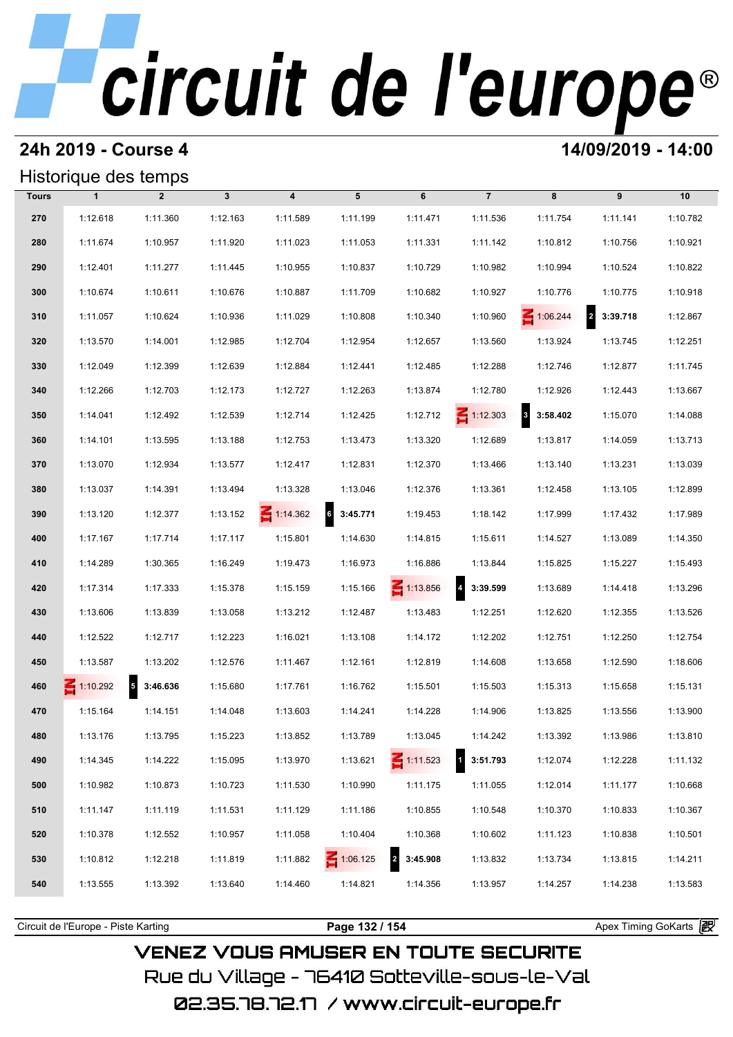#### **24h 2019 - Course 4 14/09/2019 - 14:00**

#### Historique des temps

|              | Historique des temps |                        |              |                         |                 |                            |                          |                                     |                            |          |
|--------------|----------------------|------------------------|--------------|-------------------------|-----------------|----------------------------|--------------------------|-------------------------------------|----------------------------|----------|
| <b>Tours</b> | $\mathbf{1}$         | $\overline{2}$         | $\mathbf{3}$ | $\overline{\mathbf{4}}$ | 5               | 6                          | $\overline{7}$           | 8                                   | 9                          | 10       |
| 270          | 1:12.618             | 1:11.360               | 1:12.163     | 1:11.589                | 1:11.199        | 1:11.471                   | 1:11.536                 | 1:11.754                            | 1:11.141                   | 1:10.782 |
| 280          | 1:11.674             | 1:10.957               | 1:11.920     | 1:11.023                | 1:11.053        | 1:11.331                   | 1:11.142                 | 1:10.812                            | 1:10.756                   | 1:10.921 |
| 290          | 1:12.401             | 1:11.277               | 1:11.445     | 1:10.955                | 1:10.837        | 1:10.729                   | 1:10.982                 | 1:10.994                            | 1:10.524                   | 1:10.822 |
| 300          | 1:10.674             | 1:10.611               | 1:10.676     | 1:10.887                | 1:11.709        | 1:10.682                   | 1:10.927                 | 1:10.776                            | 1:10.775                   | 1:10.918 |
| 310          | 1:11.057             | 1:10.624               | 1:10.936     | 1:11.029                | 1:10.808        | 1:10.340                   | 1:10.960                 | $\leq 1:06.244$                     | $\overline{a}$<br>3:39.718 | 1:12.867 |
| 320          | 1:13.570             | 1:14.001               | 1:12.985     | 1:12.704                | 1:12.954        | 1:12.657                   | 1:13.560                 | 1:13.924                            | 1:13.745                   | 1:12.251 |
| 330          | 1:12.049             | 1:12.399               | 1:12.639     | 1:12.884                | 1:12.441        | 1:12.485                   | 1:12.288                 | 1:12.746                            | 1:12.877                   | 1:11.745 |
| 340          | 1:12.266             | 1:12.703               | 1:12.173     | 1:12.727                | 1:12.263        | 1:13.874                   | 1:12.780                 | 1:12.926                            | 1:12.443                   | 1:13.667 |
| 350          | 1:14.041             | 1:12.492               | 1:12.539     | 1:12.714                | 1:12.425        | 1:12.712                   | $\leq 1:12.303$          | $\overline{\mathbf{3}}$<br>3:58.402 | 1:15.070                   | 1:14.088 |
| 360          | 1:14.101             | 1:13.595               | 1:13.188     | 1:12.753                | 1:13.473        | 1:13.320                   | 1:12.689                 | 1:13.817                            | 1:14.059                   | 1:13.713 |
| 370          | 1:13.070             | 1:12.934               | 1:13.577     | 1:12.417                | 1:12.831        | 1:12.370                   | 1:13.466                 | 1:13.140                            | 1:13.231                   | 1:13.039 |
| 380          | 1:13.037             | 1:14.391               | 1:13.494     | 1:13.328                | 1:13.046        | 1:12.376                   | 1:13.361                 | 1:12.458                            | 1:13.105                   | 1:12.899 |
| 390          | 1:13.120             | 1:12.377               | 1:13.152     | $\leq 1:14.362$         | 6 3:45.771      | 1:19.453                   | 1:18.142                 | 1:17.999                            | 1:17.432                   | 1:17.989 |
| 400          | 1:17.167             | 1:17.714               | 1:17.117     | 1:15.801                | 1:14.630        | 1:14.815                   | 1:15.611                 | 1:14.527                            | 1:13.089                   | 1:14.350 |
| 410          | 1:14.289             | 1:30.365               | 1:16.249     | 1:19.473                | 1:16.973        | 1:16.886                   | 1:13.844                 | 1:15.825                            | 1:15.227                   | 1:15.493 |
| 420          | 1:17.314             | 1:17.333               | 1:15.378     | 1:15.159                | 1:15.166        | $\leq 1:13.856$            | 4 3:39.599               | 1:13.689                            | 1:14.418                   | 1:13.296 |
| 430          | 1:13.606             | 1:13.839               | 1:13.058     | 1:13.212                | 1:12.487        | 1:13.483                   | 1:12.251                 | 1:12.620                            | 1:12.355                   | 1:13.526 |
| 440          | 1:12.522             | 1:12.717               | 1:12.223     | 1:16.021                | 1:13.108        | 1:14.172                   | 1:12.202                 | 1:12.751                            | 1:12.250                   | 1:12.754 |
| 450          | 1:13.587             | 1:13.202               | 1:12.576     | 1:11.467                | 1:12.161        | 1:12.819                   | 1:14.608                 | 1:13.658                            | 1:12.590                   | 1:18.606 |
| 460          | $\leq 1:10.292$      | $\sqrt{5}$<br>3:46.636 | 1:15.680     | 1:17.761                | 1:16.762        | 1:15.501                   | 1:15.503                 | 1:15.313                            | 1:15.658                   | 1:15.131 |
| 470          | 1:15.164             | 1:14.151               | 1:14.048     | 1:13.603                | 1:14.241        | 1:14.228                   | 1:14.906                 | 1:13.825                            | 1:13.556                   | 1:13.900 |
| 480          | 1:13.176             | 1:13.795               | 1:15.223     | 1:13.852                | 1:13.789        | 1:13.045                   | 1:14.242                 | 1:13.392                            | 1:13.986                   | 1:13.810 |
| 490          | 1:14.345             | 1:14.222               | 1:15.095     | 1:13.970                | 1:13.621        | $\leq$ 1:11.523            | $\mathbf{1}$<br>3:51.793 | 1:12.074                            | 1:12.228                   | 1:11.132 |
| 500          | 1:10.982             | 1:10.873               | 1:10.723     | 1:11.530                | 1:10.990        | 1:11.175                   | 1:11.055                 | 1:12.014                            | 1:11.177                   | 1:10.668 |
| 510          | 1:11.147             | 1:11.119               | 1:11.531     | 1:11.129                | 1:11.186        | 1:10.855                   | 1:10.548                 | 1:10.370                            | 1:10.833                   | 1:10.367 |
| 520          | 1:10.378             | 1:12.552               | 1:10.957     | 1:11.058                | 1:10.404        | 1:10.368                   | 1:10.602                 | 1:11.123                            | 1:10.838                   | 1:10.501 |
| 530          | 1:10.812             | 1:12.218               | 1:11.819     | 1:11.882                | $\leq 1:06.125$ | $\overline{2}$<br>3:45.908 | 1:13.832                 | 1:13.734                            | 1:13.815                   | 1:14.211 |
| 540          | 1:13.555             | 1:13.392               | 1:13.640     | 1:14.460                | 1:14.821        | 1:14.356                   | 1:13.957                 | 1:14.257                            | 1:14.238                   | 1:13.583 |
|              |                      |                        |              |                         |                 |                            |                          |                                     |                            |          |

**VENEZ VOUS AMUSER EN TOUTE SECURITE** Rue du Village – 76410 Sotteville-sous-le-Val

02.35.78.72.17 /www.circuit-europe.fr

Circuit de l'Europe - Piste Karting **Page 132 / 154 Page 132 / 154** Apex Timing GoKarts **in**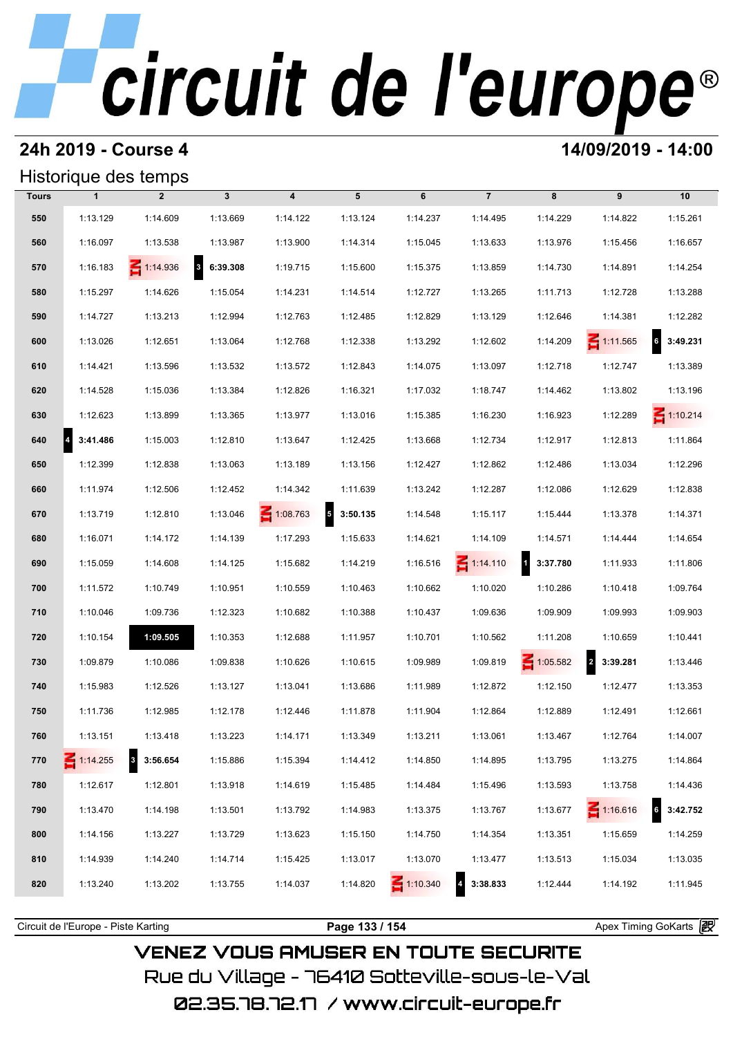### **24h 2019 - Course 4 14/09/2019 - 14:00**

### Historique des temps

|              |                 | Historique des temps                |                                     |                         |                                     |                 |                 |            |                 |                             |
|--------------|-----------------|-------------------------------------|-------------------------------------|-------------------------|-------------------------------------|-----------------|-----------------|------------|-----------------|-----------------------------|
| <b>Tours</b> | $\mathbf{1}$    | $\overline{2}$                      | $\mathbf{3}$                        | $\overline{\mathbf{4}}$ | 5                                   | 6               | $\overline{7}$  | 8          | 9               | 10                          |
| 550          | 1:13.129        | 1:14.609                            | 1:13.669                            | 1:14.122                | 1:13.124                            | 1:14.237        | 1:14.495        | 1:14.229   | 1:14.822        | 1:15.261                    |
| 560          | 1:16.097        | 1:13.538                            | 1:13.987                            | 1:13.900                | 1:14.314                            | 1:15.045        | 1:13.633        | 1:13.976   | 1:15.456        | 1:16.657                    |
| 570          | 1:16.183        | $\leq 1:14.936$                     | $\overline{\mathbf{3}}$<br>6:39.308 | 1:19.715                | 1:15.600                            | 1:15.375        | 1:13.859        | 1:14.730   | 1:14.891        | 1:14.254                    |
| 580          | 1:15.297        | 1:14.626                            | 1:15.054                            | 1:14.231                | 1:14.514                            | 1:12.727        | 1:13.265        | 1:11.713   | 1:12.728        | 1:13.288                    |
| 590          | 1:14.727        | 1:13.213                            | 1:12.994                            | 1:12.763                | 1:12.485                            | 1:12.829        | 1:13.129        | 1:12.646   | 1:14.381        | 1:12.282                    |
| 600          | 1:13.026        | 1:12.651                            | 1:13.064                            | 1:12.768                | 1:12.338                            | 1:13.292        | 1:12.602        | 1:14.209   | $\leq 1:11.565$ | $6\overline{6}$<br>3:49.231 |
| 610          | 1:14.421        | 1:13.596                            | 1:13.532                            | 1:13.572                | 1:12.843                            | 1:14.075        | 1:13.097        | 1:12.718   | 1:12.747        | 1:13.389                    |
| 620          | 1:14.528        | 1:15.036                            | 1:13.384                            | 1:12.826                | 1:16.321                            | 1:17.032        | 1:18.747        | 1:14.462   | 1:13.802        | 1:13.196                    |
| 630          | 1:12.623        | 1:13.899                            | 1:13.365                            | 1:13.977                | 1:13.016                            | 1:15.385        | 1:16.230        | 1:16.923   | 1:12.289        | $\leq 1:10.214$             |
| 640          | 3:41.486        | 1:15.003                            | 1:12.810                            | 1:13.647                | 1:12.425                            | 1:13.668        | 1:12.734        | 1:12.917   | 1:12.813        | 1:11.864                    |
| 650          | 1:12.399        | 1:12.838                            | 1:13.063                            | 1:13.189                | 1:13.156                            | 1:12.427        | 1:12.862        | 1:12.486   | 1:13.034        | 1:12.296                    |
| 660          | 1:11.974        | 1:12.506                            | 1:12.452                            | 1:14.342                | 1:11.639                            | 1:13.242        | 1:12.287        | 1:12.086   | 1:12.629        | 1:12.838                    |
| 670          | 1:13.719        | 1:12.810                            | 1:13.046                            | $\leq 1:08.763$         | 3:50.135<br>$\overline{\mathbf{5}}$ | 1:14.548        | 1:15.117        | 1:15.444   | 1:13.378        | 1:14.371                    |
| 680          | 1:16.071        | 1:14.172                            | 1:14.139                            | 1:17.293                | 1:15.633                            | 1:14.621        | 1:14.109        | 1:14.571   | 1:14.444        | 1:14.654                    |
| 690          | 1:15.059        | 1:14.608                            | 1:14.125                            | 1:15.682                | 1:14.219                            | 1:16.516        | $\leq 1:14.110$ | 1 3:37.780 | 1:11.933        | 1:11.806                    |
| 700          | 1:11.572        | 1:10.749                            | 1:10.951                            | 1:10.559                | 1:10.463                            | 1:10.662        | 1:10.020        | 1:10.286   | 1:10.418        | 1:09.764                    |
| 710          | 1:10.046        | 1:09.736                            | 1:12.323                            | 1:10.682                | 1:10.388                            | 1:10.437        | 1:09.636        | 1:09.909   | 1:09.993        | 1:09.903                    |
| 720          | 1:10.154        | 1:09.505                            | 1:10.353                            | 1:12.688                | 1:11.957                            | 1:10.701        | 1:10.562        | 1:11.208   | 1:10.659        | 1:10.441                    |
| 730          | 1:09.879        | 1:10.086                            | 1:09.838                            | 1:10.626                | 1:10.615                            | 1:09.989        | 1:09.819        | 1:05.582   | 2 3:39.281      | 1:13.446                    |
| 740          | 1:15.983        | 1:12.526                            | 1:13.127                            | 1:13.041                | 1:13.686                            | 1:11.989        | 1:12.872        | 1:12.150   | 1:12.477        | 1:13.353                    |
| 750          | 1:11.736        | 1:12.985                            | 1:12.178                            | 1:12.446                | 1:11.878                            | 1:11.904        | 1:12.864        | 1:12.889   | 1:12.491        | 1:12.661                    |
| 760          | 1:13.151        | 1:13.418                            | 1:13.223                            | 1:14.171                | 1:13.349                            | 1:13.211        | 1:13.061        | 1:13.467   | 1:12.764        | 1:14.007                    |
| 770          | $\leq 1:14.255$ | $\overline{\mathbf{3}}$<br>3:56.654 | 1:15.886                            | 1:15.394                | 1:14.412                            | 1:14.850        | 1:14.895        | 1:13.795   | 1:13.275        | 1:14.864                    |
| 780          | 1:12.617        | 1:12.801                            | 1:13.918                            | 1:14.619                | 1:15.485                            | 1:14.484        | 1:15.496        | 1:13.593   | 1:13.758        | 1:14.436                    |
| 790          | 1:13.470        | 1:14.198                            | 1:13.501                            | 1:13.792                | 1:14.983                            | 1:13.375        | 1:13.767        | 1:13.677   | $\leq 1:16.616$ | 3:42.752                    |
| 800          | 1:14.156        | 1:13.227                            | 1:13.729                            | 1:13.623                | 1:15.150                            | 1:14.750        | 1:14.354        | 1:13.351   | 1:15.659        | 1:14.259                    |
| 810          | 1:14.939        | 1:14.240                            | 1:14.714                            | 1:15.425                | 1:13.017                            | 1:13.070        | 1:13.477        | 1:13.513   | 1:15.034        | 1:13.035                    |
| 820          | 1:13.240        | 1:13.202                            | 1:13.755                            | 1:14.037                | 1:14.820                            | $\leq 1:10.340$ | 3:38.833        | 1:12.444   | 1:14.192        | 1:11.945                    |
|              |                 |                                     |                                     |                         |                                     |                 |                 |            |                 |                             |

### **VENEZ VOUS AMUSER EN TOUTE SECURITE** Rue du Village – 76410 Sotteville-sous-le-Val

Circuit de l'Europe - Piste Karting **Page 133 / 154 Page 133 / 154** Apex Timing GoKarts **in**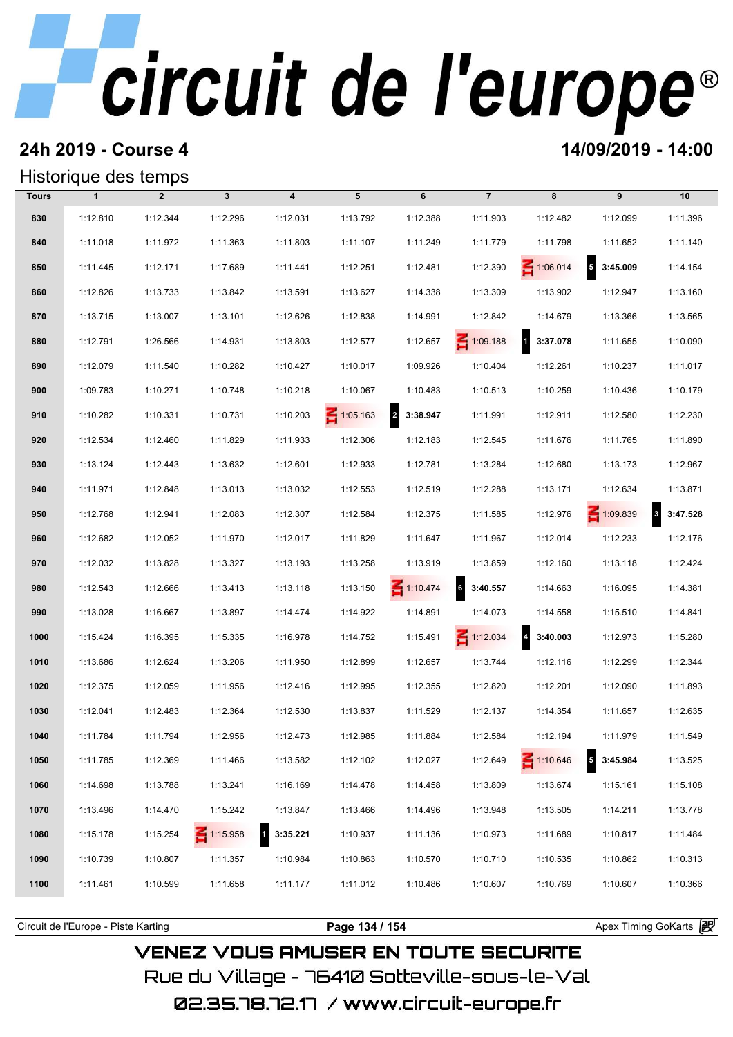#### **24h 2019 - Course 4 14/09/2019 - 14:00**

### Historique des temps

|              | Historique des temps |                |                 |                          |                 |                                     |                 |                   |                                      |            |
|--------------|----------------------|----------------|-----------------|--------------------------|-----------------|-------------------------------------|-----------------|-------------------|--------------------------------------|------------|
| <b>Tours</b> | $\mathbf{1}$         | $\overline{2}$ | $\mathbf{3}$    | $\overline{\mathbf{4}}$  | 5               | 6                                   | $\overline{7}$  | 8                 | 9                                    | 10         |
| 830          | 1:12.810             | 1:12.344       | 1:12.296        | 1:12.031                 | 1:13.792        | 1:12.388                            | 1:11.903        | 1:12.482          | 1:12.099                             | 1:11.396   |
| 840          | 1:11.018             | 1:11.972       | 1:11.363        | 1:11.803                 | 1:11.107        | 1:11.249                            | 1:11.779        | 1:11.798          | 1:11.652                             | 1:11.140   |
| 850          | 1:11.445             | 1:12.171       | 1:17.689        | 1:11.441                 | 1:12.251        | 1:12.481                            | 1:12.390        | $\leq 1:06.014$   | $\overline{\phantom{a}}$<br>3:45.009 | 1:14.154   |
| 860          | 1:12.826             | 1:13.733       | 1:13.842        | 1:13.591                 | 1:13.627        | 1:14.338                            | 1:13.309        | 1:13.902          | 1:12.947                             | 1:13.160   |
| 870          | 1:13.715             | 1:13.007       | 1:13.101        | 1:12.626                 | 1:12.838        | 1:14.991                            | 1:12.842        | 1:14.679          | 1:13.366                             | 1:13.565   |
| 880          | 1:12.791             | 1:26.566       | 1:14.931        | 1:13.803                 | 1:12.577        | 1:12.657                            | $\leq 1:09.188$ | 1 3:37.078        | 1:11.655                             | 1:10.090   |
| 890          | 1:12.079             | 1:11.540       | 1:10.282        | 1:10.427                 | 1:10.017        | 1:09.926                            | 1:10.404        | 1:12.261          | 1:10.237                             | 1:11.017   |
| 900          | 1:09.783             | 1:10.271       | 1:10.748        | 1:10.218                 | 1:10.067        | 1:10.483                            | 1:10.513        | 1:10.259          | 1:10.436                             | 1:10.179   |
| 910          | 1:10.282             | 1:10.331       | 1:10.731        | 1:10.203                 | $\leq 1:05.163$ | $\overline{\mathbf{z}}$<br>3:38.947 | 1:11.991        | 1:12.911          | 1:12.580                             | 1:12.230   |
| 920          | 1:12.534             | 1:12.460       | 1:11.829        | 1:11.933                 | 1:12.306        | 1:12.183                            | 1:12.545        | 1:11.676          | 1:11.765                             | 1:11.890   |
| 930          | 1:13.124             | 1:12.443       | 1:13.632        | 1:12.601                 | 1:12.933        | 1:12.781                            | 1:13.284        | 1:12.680          | 1:13.173                             | 1:12.967   |
| 940          | 1:11.971             | 1:12.848       | 1:13.013        | 1:13.032                 | 1:12.553        | 1:12.519                            | 1:12.288        | 1:13.171          | 1:12.634                             | 1:13.871   |
| 950          | 1:12.768             | 1:12.941       | 1:12.083        | 1:12.307                 | 1:12.584        | 1:12.375                            | 1:11.585        | 1:12.976          | $\leq 1:09.839$                      | 3 3:47.528 |
| 960          | 1:12.682             | 1:12.052       | 1:11.970        | 1:12.017                 | 1:11.829        | 1:11.647                            | 1:11.967        | 1:12.014          | 1:12.233                             | 1:12.176   |
| 970          | 1:12.032             | 1:13.828       | 1:13.327        | 1:13.193                 | 1:13.258        | 1:13.919                            | 1:13.859        | 1:12.160          | 1:13.118                             | 1:12.424   |
| 980          | 1:12.543             | 1:12.666       | 1:13.413        | 1:13.118                 | 1:13.150        | $\leq 1:10.474$                     | $6$ 3:40.557    | 1:14.663          | 1:16.095                             | 1:14.381   |
| 990          | 1:13.028             | 1:16.667       | 1:13.897        | 1:14.474                 | 1:14.922        | 1:14.891                            | 1:14.073        | 1:14.558          | 1:15.510                             | 1:14.841   |
| 1000         | 1:15.424             | 1:16.395       | 1:15.335        | 1:16.978                 | 1:14.752        | 1:15.491                            | $\leq 1:12.034$ | $4\quad 3:40.003$ | 1:12.973                             | 1:15.280   |
| 1010         | 1:13.686             | 1:12.624       | 1:13.206        | 1:11.950                 | 1:12.899        | 1:12.657                            | 1:13.744        | 1:12.116          | 1:12.299                             | 1:12.344   |
| 1020         | 1:12.375             | 1:12.059       | 1:11.956        | 1:12.416                 | 1:12.995        | 1:12.355                            | 1:12.820        | 1:12.201          | 1:12.090                             | 1:11.893   |
| 1030         | 1:12.041             | 1:12.483       | 1:12.364        | 1:12.530                 | 1:13.837        | 1:11.529                            | 1:12.137        | 1:14.354          | 1:11.657                             | 1:12.635   |
| 1040         | 1:11.784             | 1:11.794       | 1:12.956        | 1:12.473                 | 1:12.985        | 1:11.884                            | 1:12.584        | 1:12.194          | 1:11.979                             | 1:11.549   |
| 1050         | 1:11.785             | 1:12.369       | 1:11.466        | 1:13.582                 | 1:12.102        | 1:12.027                            | 1:12.649        | $\leq 1:10.646$   | 3:45.984                             | 1:13.525   |
| 1060         | 1:14.698             | 1:13.788       | 1:13.241        | 1:16.169                 | 1:14.478        | 1:14.458                            | 1:13.809        | 1:13.674          | 1:15.161                             | 1:15.108   |
| 1070         | 1:13.496             | 1:14.470       | 1:15.242        | 1:13.847                 | 1:13.466        | 1:14.496                            | 1:13.948        | 1:13.505          | 1:14.211                             | 1:13.778   |
| 1080         | 1:15.178             | 1:15.254       | $\leq 1:15.958$ | $\mathbf{1}$<br>3:35.221 | 1:10.937        | 1:11.136                            | 1:10.973        | 1:11.689          | 1:10.817                             | 1:11.484   |
| 1090         | 1:10.739             | 1:10.807       | 1:11.357        | 1:10.984                 | 1:10.863        | 1:10.570                            | 1:10.710        | 1:10.535          | 1:10.862                             | 1:10.313   |
| 1100         | 1:11.461             | 1:10.599       | 1:11.658        | 1:11.177                 | 1:11.012        | 1:10.486                            | 1:10.607        | 1:10.769          | 1:10.607                             | 1:10.366   |
|              |                      |                |                 |                          |                 |                                     |                 |                   |                                      |            |

**VENEZ VOUS AMUSER EN TOUTE SECURITE** Rue du Village – 76410 Sotteville-sous-le-Val 02.35.78.72.17 / www.circuit-europe.fr

Circuit de l'Europe - Piste Karting **Page 134 / 154 Page 134 / 154** Apex Timing GoKarts and Apex Timing Apex Timing Go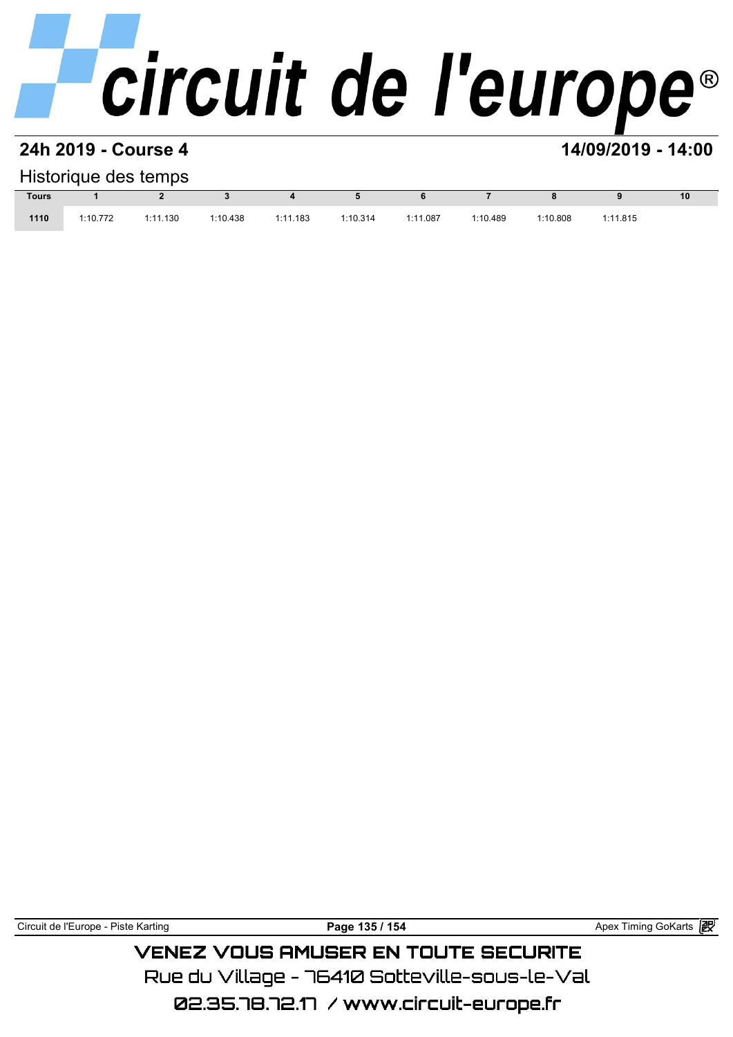#### **24h 2019 - Course 4 14/09/2019 - 14:00**

#### Historique des temps

|              |          | Historique des temps |          |          |          |          |          |          |          |                 |
|--------------|----------|----------------------|----------|----------|----------|----------|----------|----------|----------|-----------------|
| <b>Tours</b> |          |                      |          |          |          |          |          |          |          | 10 <sup>°</sup> |
| 1110         | 1:10.772 | 1:11.130             | 1:10.438 | 1:11.183 | 1:10.314 | 1:11.087 | 1:10.489 | 1:10.808 | 1:11.815 |                 |

Circuit de l'Europe - Piste Karting **Page 135 / 154 Page 135 / 154** Apex Timing GoKarts **in** 

**VENEZ VOUS AMUSER EN TOUTE SECURITE** Rue du Village – 76410 Sotteville-sous-le-Val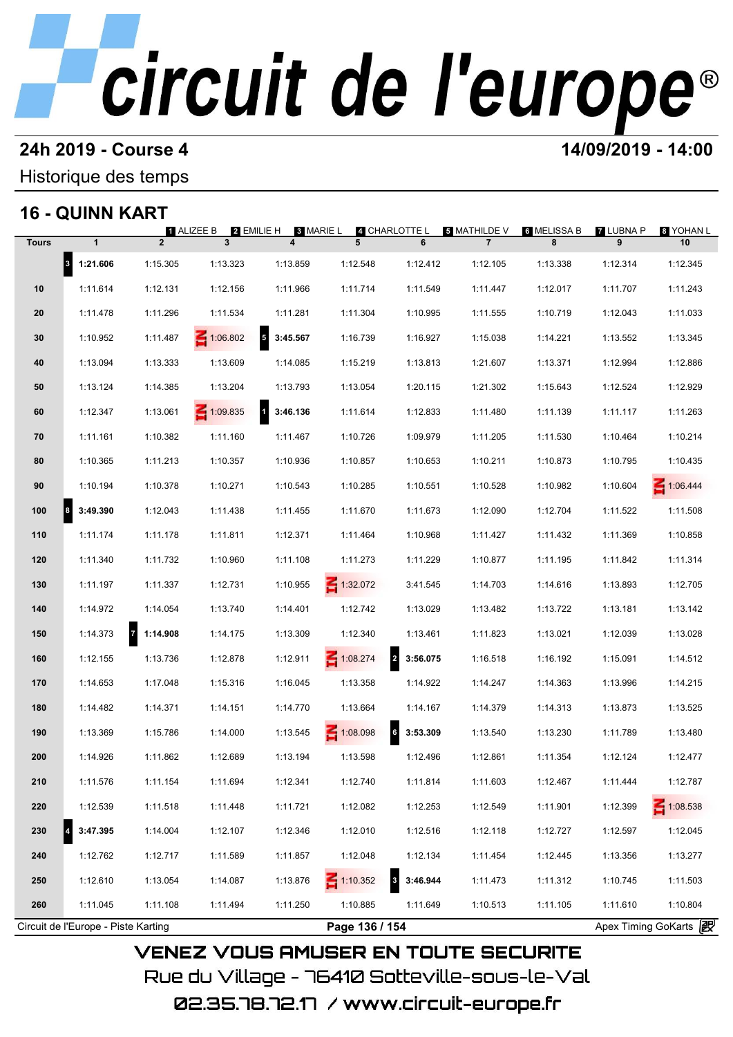#### **24h 2019 - Course 4 14/09/2019 - 14:00**

Historique des temps

### **16 - QUINN KART**

|              |                                     |                          | 2 EMILIE H<br><b>1 ALIZEE B</b> | <b>8 MARIE L</b> |                 | 4 CHARLOTTE L              | <b>ឆ MATHILDE V</b> | 6 MELISSA B | <b>7 LUBNA P</b>      | 8 YOHAN L       |
|--------------|-------------------------------------|--------------------------|---------------------------------|------------------|-----------------|----------------------------|---------------------|-------------|-----------------------|-----------------|
| <b>Tours</b> | $\mathbf{1}$                        | $\overline{2}$           | $\mathbf{3}$                    | 4                | 5               | 6                          | $\overline{7}$      | 8           | 9                     | 10              |
|              | 8 1:21.606                          | 1:15.305                 | 1:13.323                        | 1:13.859         | 1:12.548        | 1:12.412                   | 1:12.105            | 1:13.338    | 1:12.314              | 1:12.345        |
| 10           | 1:11.614                            | 1:12.131                 | 1:12.156                        | 1:11.966         | 1:11.714        | 1:11.549                   | 1:11.447            | 1:12.017    | 1:11.707              | 1:11.243        |
| 20           | 1:11.478                            | 1:11.296                 | 1:11.534                        | 1:11.281         | 1:11.304        | 1:10.995                   | 1:11.555            | 1:10.719    | 1:12.043              | 1:11.033        |
| 30           | 1:10.952                            | 1:11.487                 | 1:06.802                        | Б.<br>3:45.567   | 1:16.739        | 1:16.927                   | 1:15.038            | 1:14.221    | 1:13.552              | 1:13.345        |
| 40           | 1:13.094                            | 1:13.333                 | 1:13.609                        | 1:14.085         | 1:15.219        | 1:13.813                   | 1:21.607            | 1:13.371    | 1:12.994              | 1:12.886        |
| 50           | 1:13.124                            | 1:14.385                 | 1:13.204                        | 1:13.793         | 1:13.054        | 1:20.115                   | 1:21.302            | 1:15.643    | 1:12.524              | 1:12.929        |
| 60           | 1:12.347                            | 1:13.061                 | $\leq 1:09.835$                 | И<br>3:46.136    | 1:11.614        | 1:12.833                   | 1:11.480            | 1:11.139    | 1:11.117              | 1:11.263        |
| 70           | 1:11.161                            | 1:10.382                 | 1:11.160                        | 1:11.467         | 1:10.726        | 1:09.979                   | 1:11.205            | 1:11.530    | 1:10.464              | 1:10.214        |
| 80           | 1:10.365                            | 1:11.213                 | 1:10.357                        | 1:10.936         | 1:10.857        | 1:10.653                   | 1:10.211            | 1:10.873    | 1:10.795              | 1:10.435        |
| 90           | 1:10.194                            | 1:10.378                 | 1:10.271                        | 1:10.543         | 1:10.285        | 1:10.551                   | 1:10.528            | 1:10.982    | 1:10.604              | 1:06.444        |
| 100          | 3:49.390<br>$\vert$ 8               | 1:12.043                 | 1:11.438                        | 1:11.455         | 1:11.670        | 1:11.673                   | 1:12.090            | 1:12.704    | 1:11.522              | 1:11.508        |
| 110          | 1:11.174                            | 1:11.178                 | 1:11.811                        | 1:12.371         | 1:11.464        | 1:10.968                   | 1:11.427            | 1:11.432    | 1:11.369              | 1:10.858        |
| 120          | 1:11.340                            | 1:11.732                 | 1:10.960                        | 1:11.108         | 1:11.273        | 1:11.229                   | 1:10.877            | 1:11.195    | 1:11.842              | 1:11.314        |
| 130          | 1:11.197                            | 1:11.337                 | 1:12.731                        | 1:10.955         | $-1:32.072$     | 3:41.545                   | 1:14.703            | 1:14.616    | 1:13.893              | 1:12.705        |
| 140          | 1:14.972                            | 1:14.054                 | 1:13.740                        | 1:14.401         | 1:12.742        | 1:13.029                   | 1:13.482            | 1:13.722    | 1:13.181              | 1:13.142        |
| 150          | 1:14.373                            | $\mathbf{z}$<br>1:14.908 | 1:14.175                        | 1:13.309         | 1:12.340        | 1:13.461                   | 1:11.823            | 1:13.021    | 1:12.039              | 1:13.028        |
| 160          | 1:12.155                            | 1:13.736                 | 1:12.878                        | 1:12.911         | 1:08.274        | $\overline{2}$<br>3:56.075 | 1:16.518            | 1:16.192    | 1:15.091              | 1:14.512        |
| 170          | 1:14.653                            | 1:17.048                 | 1:15.316                        | 1:16.045         | 1:13.358        | 1:14.922                   | 1:14.247            | 1:14.363    | 1:13.996              | 1:14.215        |
| 180          | 1:14.482                            | 1:14.371                 | 1:14.151                        | 1:14.770         | 1:13.664        | 1:14.167                   | 1:14.379            | 1:14.313    | 1:13.873              | 1:13.525        |
| 190          | 1:13.369                            | 1:15.786                 | 1:14.000                        | 1:13.545         | 1:08.098        | 6<br>3:53.309              | 1:13.540            | 1:13.230    | 1:11.789              | 1:13.480        |
| 200          | 1:14.926                            | 1:11.862                 | 1:12.689                        | 1:13.194         | 1:13.598        | 1:12.496                   | 1:12.861            | 1:11.354    | 1:12.124              | 1:12.477        |
| 210          | 1:11.576                            | 1:11.154                 | 1:11.694                        | 1:12.341         | 1:12.740        | 1:11.814                   | 1:11.603            | 1:12.467    | 1:11.444              | 1:12.787        |
| 220          | 1:12.539                            | 1:11.518                 | 1:11.448                        | 1:11.721         | 1:12.082        | 1:12.253                   | 1:12.549            | 1:11.901    | 1:12.399              | $\leq 1:08.538$ |
| 230          | 3:47.395                            | 1:14.004                 | 1:12.107                        | 1:12.346         | 1:12.010        | 1:12.516                   | 1:12.118            | 1:12.727    | 1:12.597              | 1:12.045        |
| 240          | 1:12.762                            | 1:12.717                 | 1:11.589                        | 1:11.857         | 1:12.048        | 1:12.134                   | 1:11.454            | 1:12.445    | 1:13.356              | 1:13.277        |
| 250          | 1:12.610                            | 1:13.054                 | 1:14.087                        | 1:13.876         | $\leq 1:10.352$ | $\vert$ 3<br>3:46.944      | 1:11.473            | 1:11.312    | 1:10.745              | 1:11.503        |
| 260          | 1:11.045                            | 1:11.108                 | 1:11.494                        | 1:11.250         | 1:10.885        | 1:11.649                   | 1:10.513            | 1:11.105    | 1:11.610              | 1:10.804        |
|              | Circuit de l'Europe - Piste Karting |                          |                                 |                  | Page 136 / 154  |                            |                     |             | Apex Timing GoKarts 2 |                 |

02.35.78.72.17 / www.circuit-europe.fr

Rue du Village – 76410 Sotteville–sous–le–Val

**VENEZ VOUS AMUSER EN TOUTE SECURITE**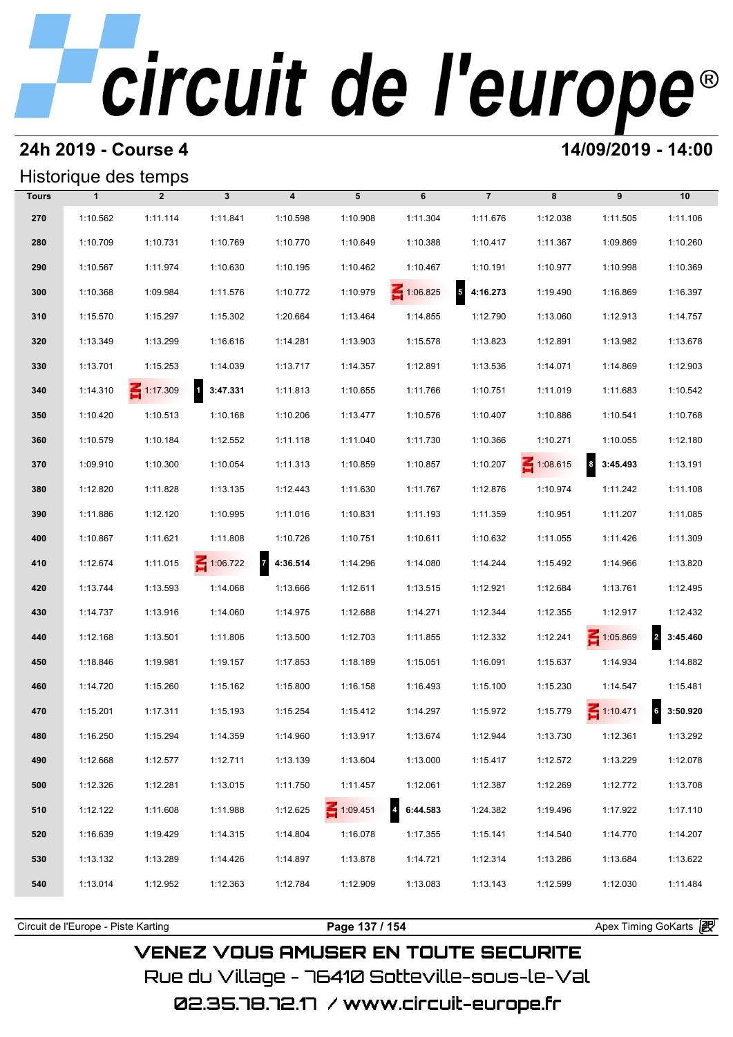#### **24h 2019 - Course 4 14/09/2019 - 14:00**

### Historique des temps

|              | Historique des temps |                 |                            |                            |                 |                 |                                     |                 |                      |                            |
|--------------|----------------------|-----------------|----------------------------|----------------------------|-----------------|-----------------|-------------------------------------|-----------------|----------------------|----------------------------|
| <b>Tours</b> | $\mathbf{1}$         | $\overline{2}$  | $\mathbf{3}$               | $\boldsymbol{4}$           | 5               | 6               | $\overline{7}$                      | 8               | 9                    | 10                         |
| 270          | 1:10.562             | 1:11.114        | 1:11.841                   | 1:10.598                   | 1:10.908        | 1:11.304        | 1:11.676                            | 1:12.038        | 1:11.505             | 1:11.106                   |
| 280          | 1:10.709             | 1:10.731        | 1:10.769                   | 1:10.770                   | 1:10.649        | 1:10.388        | 1:10.417                            | 1:11.367        | 1:09.869             | 1:10.260                   |
| 290          | 1:10.567             | 1:11.974        | 1:10.630                   | 1:10.195                   | 1:10.462        | 1:10.467        | 1:10.191                            | 1:10.977        | 1:10.998             | 1:10.369                   |
| 300          | 1:10.368             | 1:09.984        | 1:11.576                   | 1:10.772                   | 1:10.979        | $\leq 1:06.825$ | $\overline{\mathbf{5}}$<br>4:16.273 | 1:19.490        | 1:16.869             | 1:16.397                   |
| 310          | 1:15.570             | 1:15.297        | 1:15.302                   | 1:20.664                   | 1:13.464        | 1:14.855        | 1:12.790                            | 1:13.060        | 1:12.913             | 1:14.757                   |
| 320          | 1:13.349             | 1:13.299        | 1:16.616                   | 1:14.281                   | 1:13.903        | 1:15.578        | 1:13.823                            | 1:12.891        | 1:13.982             | 1:13.678                   |
| 330          | 1:13.701             | 1:15.253        | 1:14.039                   | 1:13.717                   | 1:14.357        | 1:12.891        | 1:13.536                            | 1:14.071        | 1:14.869             | 1:12.903                   |
| 340          | 1:14.310             | $\leq 1:17.309$ | $\overline{1}$<br>3:47.331 | 1:11.813                   | 1:10.655        | 1:11.766        | 1:10.751                            | 1:11.019        | 1:11.683             | 1:10.542                   |
| 350          | 1:10.420             | 1:10.513        | 1:10.168                   | 1:10.206                   | 1:13.477        | 1:10.576        | 1:10.407                            | 1:10.886        | 1:10.541             | 1:10.768                   |
| 360          | 1:10.579             | 1:10.184        | 1:12.552                   | 1:11.118                   | 1:11.040        | 1:11.730        | 1:10.366                            | 1:10.271        | 1:10.055             | 1:12.180                   |
| 370          | 1:09.910             | 1:10.300        | 1:10.054                   | 1:11.313                   | 1:10.859        | 1:10.857        | 1:10.207                            | $\leq 1:08.615$ | $\bf{8}$<br>3:45.493 | 1:13.191                   |
| 380          | 1:12.820             | 1:11.828        | 1:13.135                   | 1:12.443                   | 1:11.630        | 1:11.767        | 1:12.876                            | 1:10.974        | 1:11.242             | 1:11.108                   |
| 390          | 1:11.886             | 1:12.120        | 1:10.995                   | 1:11.016                   | 1:10.831        | 1:11.193        | 1:11.359                            | 1:10.951        | 1:11.207             | 1:11.085                   |
| 400          | 1:10.867             | 1:11.621        | 1:11.808                   | 1:10.726                   | 1:10.751        | 1:10.611        | 1:10.632                            | 1:11.055        | 1:11.426             | 1:11.309                   |
| 410          | 1:12.674             | 1:11.015        | 1:06.722                   | $\overline{7}$<br>4:36.514 | 1:14.296        | 1:14.080        | 1:14.244                            | 1:15.492        | 1:14.966             | 1:13.820                   |
| 420          | 1:13.744             | 1:13.593        | 1:14.068                   | 1:13.666                   | 1:12.611        | 1:13.515        | 1:12.921                            | 1:12.684        | 1:13.761             | 1:12.495                   |
| 430          | 1:14.737             | 1:13.916        | 1:14.060                   | 1:14.975                   | 1:12.688        | 1:14.271        | 1:12.344                            | 1:12.355        | 1:12.917             | 1:12.432                   |
| 440          | 1:12.168             | 1:13.501        | 1:11.806                   | 1:13.500                   | 1:12.703        | 1:11.855        | 1:12.332                            | 1:12.241        | $\leq 1:05.869$      | $\mathbf{z}$<br>3:45.460   |
| 450          | 1:18.846             | 1:19.981        | 1:19.157                   | 1:17.853                   | 1:18.189        | 1:15.051        | 1:16.091                            | 1:15.637        | 1:14.934             | 1:14.882                   |
| 460          | 1:14.720             | 1:15.260        | 1:15.162                   | 1:15.800                   | 1:16.158        | 1:16.493        | 1:15.100                            | 1:15.230        | 1:14.547             | 1:15.481                   |
| 470          | 1:15.201             | 1:17.311        | 1:15.193                   | 1:15.254                   | 1:15.412        | 1:14.297        | 1:15.972                            | 1:15.779        | $\leq 1:10.471$      | 6 <sub>1</sub><br>3:50.920 |
| 480          | 1:16.250             | 1:15.294        | 1:14.359                   | 1:14.960                   | 1:13.917        | 1:13.674        | 1:12.944                            | 1:13.730        | 1:12.361             | 1:13.292                   |
| 490          | 1:12.668             | 1:12.577        | 1:12.711                   | 1:13.139                   | 1:13.604        | 1:13.000        | 1:15.417                            | 1:12.572        | 1:13.229             | 1:12.078                   |
| 500          | 1:12.326             | 1:12.281        | 1:13.015                   | 1:11.750                   | 1:11.457        | 1:12.061        | 1:12.387                            | 1:12.269        | 1:12.772             | 1:13.708                   |
| 510          | 1:12.122             | 1:11.608        | 1:11.988                   | 1:12.625                   | $\leq 1:09.451$ | 6:44.583        | 1:24.382                            | 1:19.496        | 1:17.922             | 1:17.110                   |
| 520          | 1:16.639             | 1:19.429        | 1:14.315                   | 1:14.804                   | 1:16.078        | 1:17.355        | 1:15.141                            | 1:14.540        | 1:14.770             | 1:14.207                   |
| 530          | 1:13.132             | 1:13.289        | 1:14.426                   | 1:14.897                   | 1:13.878        | 1:14.721        | 1:12.314                            | 1:13.286        | 1:13.684             | 1:13.622                   |
| 540          | 1:13.014             | 1:12.952        | 1:12.363                   | 1:12.784                   | 1:12.909        | 1:13.083        | 1:13.143                            | 1:12.599        | 1:12.030             | 1:11.484                   |
|              |                      |                 |                            |                            |                 |                 |                                     |                 |                      |                            |

**VENEZ VOUS AMUSER EN TOUTE SECURITE** Rue du Village – 76410 Sotteville-sous-le-Val

Circuit de l'Europe - Piste Karting **Page 137 / 154 Page 137 / 154** Apex Timing GoKarts **in**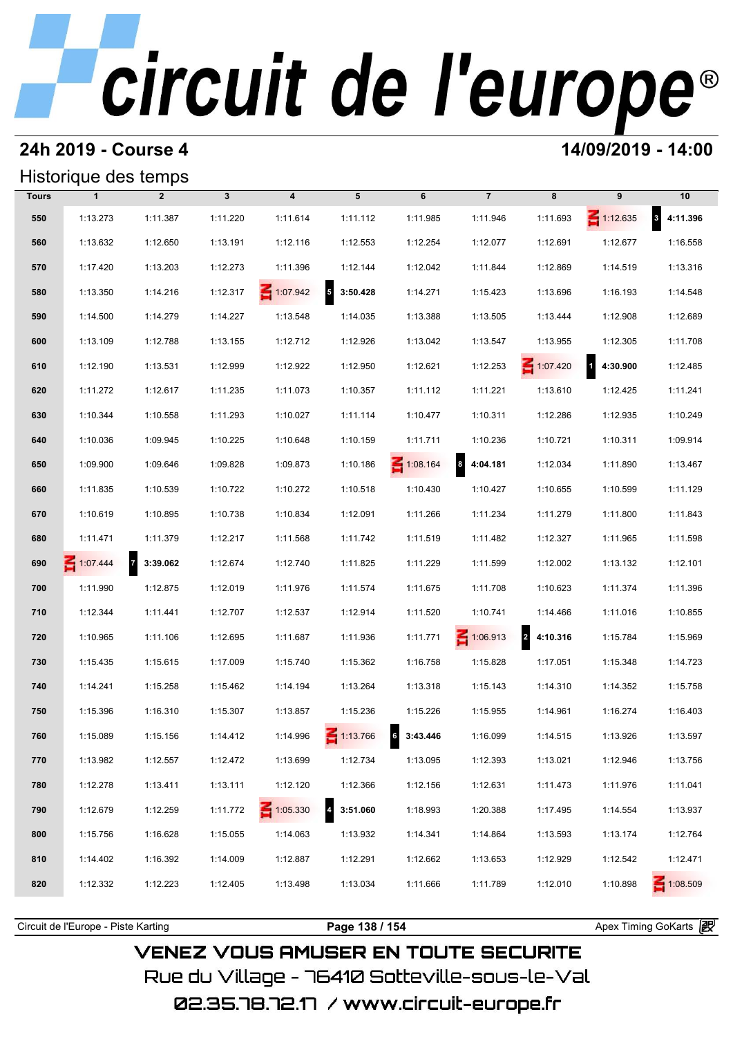#### **24h 2019 - Course 4 14/09/2019 - 14:00**

#### Historique des temps

|                          |                 |            |                              |                 |               |                         |              | Historique des temps       |              |              |
|--------------------------|-----------------|------------|------------------------------|-----------------|---------------|-------------------------|--------------|----------------------------|--------------|--------------|
| 10                       | 9               | 8          | $\overline{7}$               | 6               | 5             | $\overline{\mathbf{4}}$ | $\mathbf{3}$ | $\overline{2}$             | $\mathbf{1}$ | <b>Tours</b> |
| $\mathbf{3}$<br>4:11.396 | $\leq 1:12.635$ | 1:11.693   | 1:11.946                     | 1:11.985        | 1:11.112      | 1:11.614                | 1:11.220     | 1:11.387                   | 1:13.273     | 550          |
| 1:16.558                 | 1:12.677        | 1:12.691   | 1:12.077                     | 1:12.254        | 1:12.553      | 1:12.116                | 1:13.191     | 1:12.650                   | 1:13.632     | 560          |
| 1:13.316                 | 1:14.519        | 1:12.869   | 1:11.844                     | 1:12.042        | 1:12.144      | 1:11.396                | 1:12.273     | 1:13.203                   | 1:17.420     | 570          |
| 1:14.548                 | 1:16.193        | 1:13.696   | 1:15.423                     | 1:14.271        | 5<br>3:50.428 | $\leq 1:07.942$         | 1:12.317     | 1:14.216                   | 1:13.350     | 580          |
| 1:12.689                 | 1:12.908        | 1:13.444   | 1:13.505                     | 1:13.388        | 1:14.035      | 1:13.548                | 1:14.227     | 1:14.279                   | 1:14.500     | 590          |
| 1:11.708                 | 1:12.305        | 1:13.955   | 1:13.547                     | 1:13.042        | 1:12.926      | 1:12.712                | 1:13.155     | 1:12.788                   | 1:13.109     | 600          |
| 1:12.485                 | 14:30.900       | 1:07.420   | 1:12.253                     | 1:12.621        | 1:12.950      | 1:12.922                | 1:12.999     | 1:13.531                   | 1:12.190     | 610          |
| 1:11.241                 | 1:12.425        | 1:13.610   | 1:11.221                     | 1:11.112        | 1:10.357      | 1:11.073                | 1:11.235     | 1:12.617                   | 1:11.272     | 620          |
| 1:10.249                 | 1:12.935        | 1:12.286   | 1:10.311                     | 1:10.477        | 1:11.114      | 1:10.027                | 1:11.293     | 1:10.558                   | 1:10.344     | 630          |
| 1:09.914                 | 1:10.311        | 1:10.721   | 1:10.236                     | 1:11.711        | 1:10.159      | 1:10.648                | 1:10.225     | 1:09.945                   | 1:10.036     | 640          |
| 1:13.467                 | 1:11.890        | 1:12.034   | $\boldsymbol{8}$<br>4:04.181 | $\leq 1:08.164$ | 1:10.186      | 1:09.873                | 1:09.828     | 1:09.646                   | 1:09.900     | 650          |
| 1:11.129                 | 1:10.599        | 1:10.655   | 1:10.427                     | 1:10.430        | 1:10.518      | 1:10.272                | 1:10.722     | 1:10.539                   | 1:11.835     | 660          |
| 1:11.843                 | 1:11.800        | 1:11.279   | 1:11.234                     | 1:11.266        | 1:12.091      | 1:10.834                | 1:10.738     | 1:10.895                   | 1:10.619     | 670          |
| 1:11.598                 | 1:11.965        | 1:12.327   | 1:11.482                     | 1:11.519        | 1:11.742      | 1:11.568                | 1:12.217     | 1:11.379                   | 1:11.471     | 680          |
| 1:12.101                 | 1:13.132        | 1:12.002   | 1:11.599                     | 1:11.229        | 1:11.825      | 1:12.740                | 1:12.674     | $\overline{7}$<br>3:39.062 | 1:07.444     | 690          |
| 1:11.396                 | 1:11.374        | 1:10.623   | 1:11.708                     | 1:11.675        | 1:11.574      | 1:11.976                | 1:12.019     | 1:12.875                   | 1:11.990     | 700          |
| 1:10.855                 | 1:11.016        | 1:14.466   | 1:10.741                     | 1:11.520        | 1:12.914      | 1:12.537                | 1:12.707     | 1:11.441                   | 1:12.344     | 710          |
| 1:15.969                 | 1:15.784        | 2 4:10.316 | $\leq 1:06.913$              | 1:11.771        | 1:11.936      | 1:11.687                | 1:12.695     | 1:11.106                   | 1:10.965     | 720          |
| 1:14.723                 | 1:15.348        | 1:17.051   | 1:15.828                     | 1:16.758        | 1:15.362      | 1:15.740                | 1:17.009     | 1:15.615                   | 1:15.435     | 730          |
| 1:15.758                 | 1:14.352        | 1:14.310   | 1:15.143                     | 1:13.318        | 1:13.264      | 1:14.194                | 1:15.462     | 1:15.258                   | 1:14.241     | 740          |
| 1:16.403                 | 1:16.274        | 1:14.961   | 1:15.955                     | 1:15.226        | 1:15.236      | 1:13.857                | 1:15.307     | 1:16.310                   | 1:15.396     | 750          |
| 1:13.597                 | 1:13.926        | 1:14.515   | 1:16.099                     | 3:43.446        | 1:13.766      | 1:14.996                | 1:14.412     | 1:15.156                   | 1:15.089     | 760          |
| 1:13.756                 | 1:12.946        | 1:13.021   | 1:12.393                     | 1:13.095        | 1:12.734      | 1:13.699                | 1:12.472     | 1:12.557                   | 1:13.982     | 770          |
| 1:11.041                 | 1:11.976        | 1:11.473   | 1:12.631                     | 1:12.156        | 1:12.366      | 1:12.120                | 1:13.111     | 1:13.411                   | 1:12.278     | 780          |
| 1:13.937                 | 1:14.554        | 1:17.495   | 1:20.388                     | 1:18.993        | 3:51.060      | 1:05.330                | 1:11.772     | 1:12.259                   | 1:12.679     | 790          |
| 1:12.764                 | 1:13.174        | 1:13.593   | 1:14.864                     | 1:14.341        | 1:13.932      | 1:14.063                | 1:15.055     | 1:16.628                   | 1:15.756     | 800          |
| 1:12.471                 | 1:12.542        | 1:12.929   | 1:13.653                     | 1:12.662        | 1:12.291      | 1:12.887                | 1:14.009     | 1:16.392                   | 1:14.402     | 810          |
| $\leq 1:08.509$          | 1:10.898        | 1:12.010   | 1:11.789                     | 1:11.666        | 1:13.034      | 1:13.498                | 1:12.405     | 1:12.223                   | 1:12.332     | 820          |
|                          |                 |            |                              |                 |               |                         |              |                            |              |              |

**VENEZ VOUS AMUSER EN TOUTE SECURITE** Rue du Village – 76410 Sotteville-sous-le-Val 02.35.78.72.17 /www.circuit-europe.fr

Circuit de l'Europe - Piste Karting **Page 138 / 154 Page 138 / 154** Apex Timing GoKarts **intervent**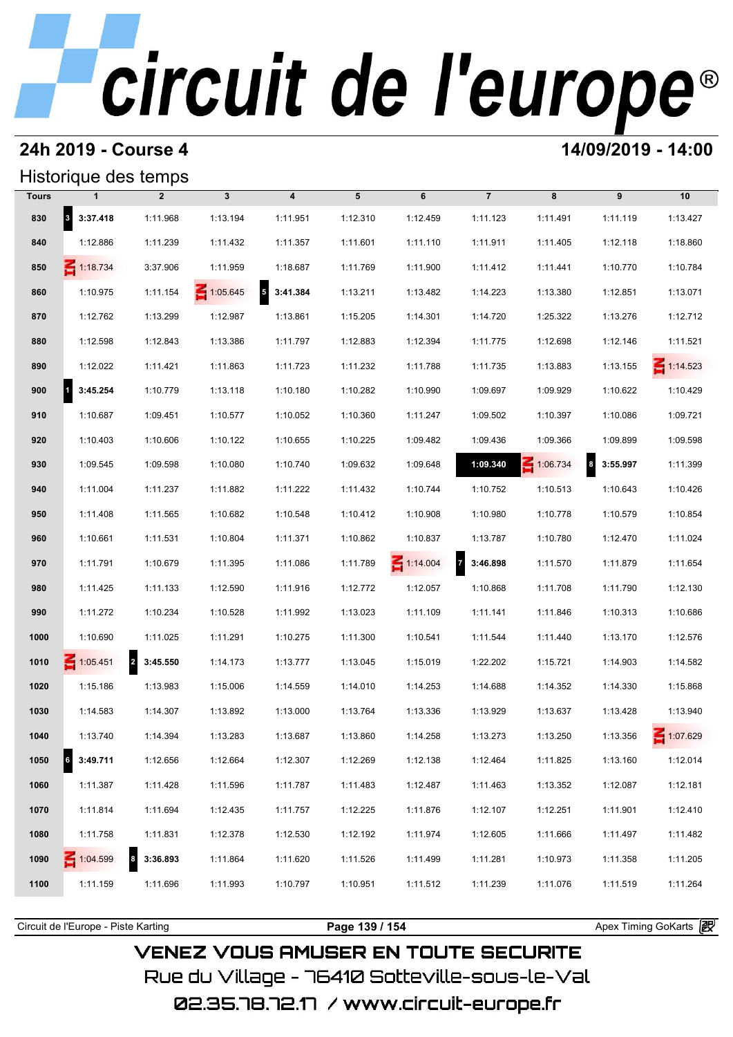### **24h 2019 - Course 4 14/09/2019 - 14:00**

### Historique des temps

|              | Historique des temps     |                              |                 |                         |          |                 |                            |                 |                      |                 |
|--------------|--------------------------|------------------------------|-----------------|-------------------------|----------|-----------------|----------------------------|-----------------|----------------------|-----------------|
| <b>Tours</b> | $\mathbf{1}$             | $\overline{2}$               | $\mathbf{3}$    | $\overline{\mathbf{4}}$ | 5        | 6               | $\overline{7}$             | 8               | 9                    | 10              |
| 830          | 8 3:37.418               | 1:11.968                     | 1:13.194        | 1:11.951                | 1:12.310 | 1:12.459        | 1:11.123                   | 1:11.491        | 1:11.119             | 1:13.427        |
| 840          | 1:12.886                 | 1:11.239                     | 1:11.432        | 1:11.357                | 1:11.601 | 1:11.110        | 1:11.911                   | 1:11.405        | 1:12.118             | 1:18.860        |
| 850          | $\leq 1:18.734$          | 3:37.906                     | 1:11.959        | 1:18.687                | 1:11.769 | 1:11.900        | 1:11.412                   | 1:11.441        | 1:10.770             | 1:10.784        |
| 860          | 1:10.975                 | 1:11.154                     | $\leq 1:05.645$ | $5\quad 3:41.384$       | 1:13.211 | 1:13.482        | 1:14.223                   | 1:13.380        | 1:12.851             | 1:13.071        |
| 870          | 1:12.762                 | 1:13.299                     | 1:12.987        | 1:13.861                | 1:15.205 | 1:14.301        | 1:14.720                   | 1:25.322        | 1:13.276             | 1:12.712        |
| 880          | 1:12.598                 | 1:12.843                     | 1:13.386        | 1:11.797                | 1:12.883 | 1:12.394        | 1:11.775                   | 1:12.698        | 1:12.146             | 1:11.521        |
| 890          | 1:12.022                 | 1:11.421                     | 1:11.863        | 1:11.723                | 1:11.232 | 1:11.788        | 1:11.735                   | 1:13.883        | 1:13.155             | $\leq 1:14.523$ |
| 900          | 1<br>3:45.254            | 1:10.779                     | 1:13.118        | 1:10.180                | 1:10.282 | 1:10.990        | 1:09.697                   | 1:09.929        | 1:10.622             | 1:10.429        |
| 910          | 1:10.687                 | 1:09.451                     | 1:10.577        | 1:10.052                | 1:10.360 | 1:11.247        | 1:09.502                   | 1:10.397        | 1:10.086             | 1:09.721        |
| 920          | 1:10.403                 | 1:10.606                     | 1:10.122        | 1:10.655                | 1:10.225 | 1:09.482        | 1:09.436                   | 1:09.366        | 1:09.899             | 1:09.598        |
| 930          | 1:09.545                 | 1:09.598                     | 1:10.080        | 1:10.740                | 1:09.632 | 1:09.648        | 1:09.340                   | $\leq 1:06.734$ | $\bf{8}$<br>3:55.997 | 1:11.399        |
| 940          | 1:11.004                 | 1:11.237                     | 1:11.882        | 1:11.222                | 1:11.432 | 1:10.744        | 1:10.752                   | 1:10.513        | 1:10.643             | 1:10.426        |
| 950          | 1:11.408                 | 1:11.565                     | 1:10.682        | 1:10.548                | 1:10.412 | 1:10.908        | 1:10.980                   | 1:10.778        | 1:10.579             | 1:10.854        |
| 960          | 1:10.661                 | 1:11.531                     | 1:10.804        | 1:11.371                | 1:10.862 | 1:10.837        | 1:13.787                   | 1:10.780        | 1:12.470             | 1:11.024        |
| 970          | 1:11.791                 | 1:10.679                     | 1:11.395        | 1:11.086                | 1:11.789 | $\leq 1:14.004$ | $\overline{7}$<br>3:46.898 | 1:11.570        | 1:11.879             | 1:11.654        |
| 980          | 1:11.425                 | 1:11.133                     | 1:12.590        | 1:11.916                | 1:12.772 | 1:12.057        | 1:10.868                   | 1:11.708        | 1:11.790             | 1:12.130        |
| 990          | 1:11.272                 | 1:10.234                     | 1:10.528        | 1:11.992                | 1:13.023 | 1:11.109        | 1:11.141                   | 1:11.846        | 1:10.313             | 1:10.686        |
| 1000         | 1:10.690                 | 1:11.025                     | 1:11.291        | 1:10.275                | 1:11.300 | 1:10.541        | 1:11.544                   | 1:11.440        | 1:13.170             | 1:12.576        |
| 1010         | 1:05.451                 | 2 3:45.550                   | 1:14.173        | 1:13.777                | 1:13.045 | 1:15.019        | 1:22.202                   | 1:15.721        | 1:14.903             | 1:14.582        |
| 1020         | 1:15.186                 | 1:13.983                     | 1:15.006        | 1:14.559                | 1:14.010 | 1:14.253        | 1:14.688                   | 1:14.352        | 1:14.330             | 1:15.868        |
| 1030         | 1:14.583                 | 1:14.307                     | 1:13.892        | 1:13.000                | 1:13.764 | 1:13.336        | 1:13.929                   | 1:13.637        | 1:13.428             | 1:13.940        |
| 1040         | 1:13.740                 | 1:14.394                     | 1:13.283        | 1:13.687                | 1:13.860 | 1:14.258        | 1:13.273                   | 1:13.250        | 1:13.356             | 1:07.629        |
| 1050         | $\mathbf{G}$<br>3:49.711 | 1:12.656                     | 1:12.664        | 1:12.307                | 1:12.269 | 1:12.138        | 1:12.464                   | 1:11.825        | 1:13.160             | 1:12.014        |
| 1060         | 1:11.387                 | 1:11.428                     | 1:11.596        | 1:11.787                | 1:11.483 | 1:12.487        | 1:11.463                   | 1:13.352        | 1:12.087             | 1:12.181        |
| 1070         | 1:11.814                 | 1:11.694                     | 1:12.435        | 1:11.757                | 1:12.225 | 1:11.876        | 1:12.107                   | 1:12.251        | 1:11.901             | 1:12.410        |
| 1080         | 1:11.758                 | 1:11.831                     | 1:12.378        | 1:12.530                | 1:12.192 | 1:11.974        | 1:12.605                   | 1:11.666        | 1:11.497             | 1:11.482        |
| 1090         | 1:04.599                 | $\boldsymbol{8}$<br>3:36.893 | 1:11.864        | 1:11.620                | 1:11.526 | 1:11.499        | 1:11.281                   | 1:10.973        | 1:11.358             | 1:11.205        |
| 1100         | 1:11.159                 | 1:11.696                     | 1:11.993        | 1:10.797                | 1:10.951 | 1:11.512        | 1:11.239                   | 1:11.076        | 1:11.519             | 1:11.264        |
|              |                          |                              |                 |                         |          |                 |                            |                 |                      |                 |

**VENEZ VOUS AMUSER EN TOUTE SECURITE** Rue du Village – 76410 Sotteville-sous-le-Val 02.35.78.72.17 / www.circuit-europe.fr

Circuit de l'Europe - Piste Karting **Page 139 / 154 Page 139 / 154** Apex Timing GoKarts **intervent**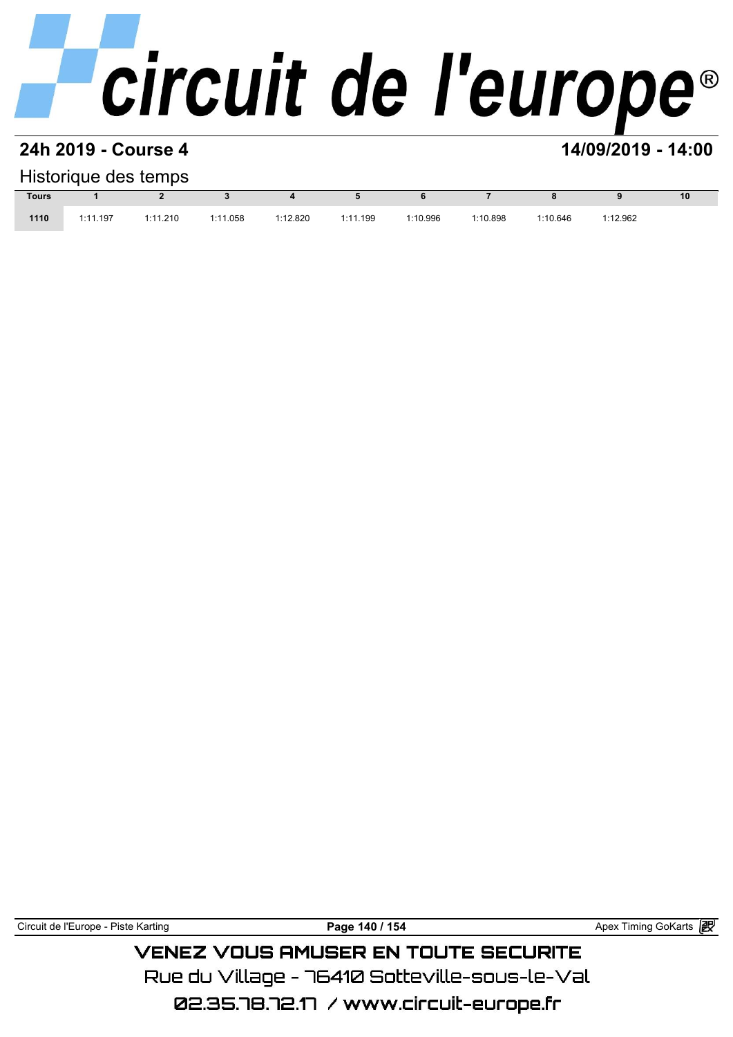#### **24h 2019 - Course 4 14/09/2019 - 14:00**

#### Historique des temps

|              |          | Historique des temps |          |          |          |          |          |          |          |    |
|--------------|----------|----------------------|----------|----------|----------|----------|----------|----------|----------|----|
| <b>Tours</b> |          |                      |          |          |          |          |          |          |          | 10 |
| 1110         | 1:11.197 | 1:11.210             | 1:11.058 | 1:12.820 | 1:11.199 | 1:10.996 | 1:10.898 | 1:10.646 | 1:12.962 |    |

Circuit de l'Europe - Piste Karting **Page 140 / 154 Page 140 / 154** Apex Timing GoKarts **i Propinsi Access** 

### **VENEZ VOUS AMUSER EN TOUTE SECURITE** Rue du Village – 76410 Sotteville-sous-le-Val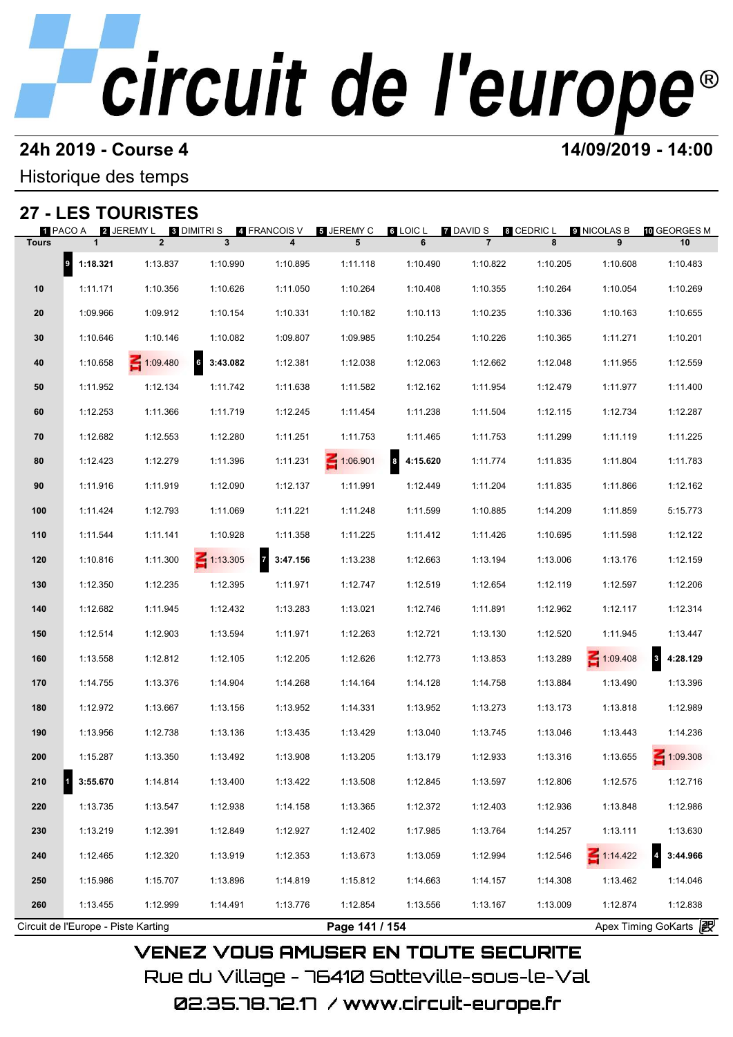#### **24h 2019 - Course 4 14/09/2019 - 14:00**

Historique des temps

### **27 - LES TOURISTES**

| 27 -         |                                     | <b>LES TOURISTES</b>                     |                     |                   |                 |               |                                    |                 |                  |                          |
|--------------|-------------------------------------|------------------------------------------|---------------------|-------------------|-----------------|---------------|------------------------------------|-----------------|------------------|--------------------------|
| <b>Tours</b> | 1 PACO A<br>$\mathbf{1}$            | 2 JEREMY L 3 DIMITRI S<br>$\overline{2}$ | $\mathbf{3}$        | 4 FRANCOIS V<br>4 | 5 JEREMY C<br>5 | 6 LOIC L<br>6 | <b>7 DAVID S</b><br>$\overline{7}$ | 8 CEDRIC L<br>8 | 9 NICOLAS B<br>9 | 10 GEORGES M<br>10       |
|              | $\vert$ 9<br>1:18.321               | 1:13.837                                 | 1:10.990            | 1:10.895          | 1:11.118        | 1:10.490      | 1:10.822                           | 1:10.205        | 1:10.608         | 1:10.483                 |
| 10           | 1:11.171                            | 1:10.356                                 | 1:10.626            | 1:11.050          | 1:10.264        | 1:10.408      | 1:10.355                           | 1:10.264        | 1:10.054         | 1:10.269                 |
| 20           | 1:09.966                            | 1:09.912                                 | 1:10.154            | 1:10.331          | 1:10.182        | 1:10.113      | 1:10.235                           | 1:10.336        | 1:10.163         | 1:10.655                 |
| 30           | 1:10.646                            | 1:10.146                                 | 1:10.082            | 1:09.807          | 1:09.985        | 1:10.254      | 1:10.226                           | 1:10.365        | 1:11.271         | 1:10.201                 |
| 40           | 1:10.658                            | 1:09.480                                 | $\bf 6$<br>3:43.082 | 1:12.381          | 1:12.038        | 1:12.063      | 1:12.662                           | 1:12.048        | 1:11.955         | 1:12.559                 |
| 50           | 1:11.952                            | 1:12.134                                 | 1:11.742            | 1:11.638          | 1:11.582        | 1:12.162      | 1:11.954                           | 1:12.479        | 1:11.977         | 1:11.400                 |
| 60           | 1:12.253                            | 1:11.366                                 | 1:11.719            | 1:12.245          | 1:11.454        | 1:11.238      | 1:11.504                           | 1:12.115        | 1:12.734         | 1:12.287                 |
| 70           | 1:12.682                            | 1:12.553                                 | 1:12.280            | 1:11.251          | 1:11.753        | 1:11.465      | 1:11.753                           | 1:11.299        | 1:11.119         | 1:11.225                 |
| 80           | 1:12.423                            | 1:12.279                                 | 1:11.396            | 1:11.231          | 1:06.901        | 8<br>4:15.620 | 1:11.774                           | 1:11.835        | 1:11.804         | 1:11.783                 |
| 90           | 1:11.916                            | 1:11.919                                 | 1:12.090            | 1:12.137          | 1:11.991        | 1:12.449      | 1:11.204                           | 1:11.835        | 1:11.866         | 1:12.162                 |
| 100          | 1:11.424                            | 1:12.793                                 | 1:11.069            | 1:11.221          | 1:11.248        | 1:11.599      | 1:10.885                           | 1:14.209        | 1:11.859         | 5:15.773                 |
| 110          | 1:11.544                            | 1:11.141                                 | 1:10.928            | 1:11.358          | 1:11.225        | 1:11.412      | 1:11.426                           | 1:10.695        | 1:11.598         | 1:12.122                 |
| 120          | 1:10.816                            | 1:11.300                                 | $\leq 1:13.305$     | 7 3:47.156        | 1:13.238        | 1:12.663      | 1:13.194                           | 1:13.006        | 1:13.176         | 1:12.159                 |
| 130          | 1:12.350                            | 1:12.235                                 | 1:12.395            | 1:11.971          | 1:12.747        | 1:12.519      | 1:12.654                           | 1:12.119        | 1:12.597         | 1:12.206                 |
| 140          | 1:12.682                            | 1:11.945                                 | 1:12.432            | 1:13.283          | 1:13.021        | 1:12.746      | 1:11.891                           | 1:12.962        | 1:12.117         | 1:12.314                 |
| 150          | 1:12.514                            | 1:12.903                                 | 1:13.594            | 1:11.971          | 1:12.263        | 1:12.721      | 1:13.130                           | 1:12.520        | 1:11.945         | 1:13.447                 |
| 160          | 1:13.558                            | 1:12.812                                 | 1:12.105            | 1:12.205          | 1:12.626        | 1:12.773      | 1:13.853                           | 1:13.289        | $-1:09.408$      | $\mathbf{3}$<br>4:28.129 |
| 170          | 1:14.755                            | 1:13.376                                 | 1:14.904            | 1:14.268          | 1:14.164        | 1:14.128      | 1:14.758                           | 1:13.884        | 1:13.490         | 1:13.396                 |
| 180          | 1:12.972                            | 1:13.667                                 | 1:13.156            | 1:13.952          | 1:14.331        | 1:13.952      | 1:13.273                           | 1:13.173        | 1:13.818         | 1:12.989                 |
| 190          | 1:13.956                            | 1:12.738                                 | 1:13.136            | 1:13.435          | 1:13.429        | 1:13.040      | 1:13.745                           | 1:13.046        | 1:13.443         | 1:14.236                 |
| 200          | 1:15.287                            | 1:13.350                                 | 1:13.492            | 1:13.908          | 1:13.205        | 1:13.179      | 1:12.933                           | 1:13.316        | 1:13.655         | $-1:09.308$              |
| 210          | 3:55.670                            | 1:14.814                                 | 1:13.400            | 1:13.422          | 1:13.508        | 1:12.845      | 1:13.597                           | 1:12.806        | 1:12.575         | 1:12.716                 |
| 220          | 1:13.735                            | 1:13.547                                 | 1:12.938            | 1:14.158          | 1:13.365        | 1:12.372      | 1:12.403                           | 1:12.936        | 1:13.848         | 1:12.986                 |
| 230          | 1:13.219                            | 1:12.391                                 | 1:12.849            | 1:12.927          | 1:12.402        | 1:17.985      | 1:13.764                           | 1:14.257        | 1:13.111         | 1:13.630                 |
| 240          | 1:12.465                            | 1:12.320                                 | 1:13.919            | 1:12.353          | 1:13.673        | 1:13.059      | 1:12.994                           | 1:12.546        | 1:14.422         | 3:44.966                 |
| 250          | 1:15.986                            | 1:15.707                                 | 1:13.896            | 1:14.819          | 1:15.812        | 1:14.663      | 1:14.157                           | 1:14.308        | 1:13.462         | 1:14.046                 |
| 260          | 1:13.455                            | 1:12.999                                 | 1:14.491            | 1:13.776          | 1:12.854        | 1:13.556      | 1:13.167                           | 1:13.009        | 1:12.874         | 1:12.838                 |
|              | Circuit de l'Europe - Piste Karting |                                          |                     |                   | Page 141 / 154  |               |                                    |                 |                  | Apex Timing GoKarts 2    |

02.35.78.72.17 / www.circuit-europe.fr

Rue du Village – 76410 Sotteville-sous-le-Val

**VENEZ VOUS AMUSER EN TOUTE SECURITE**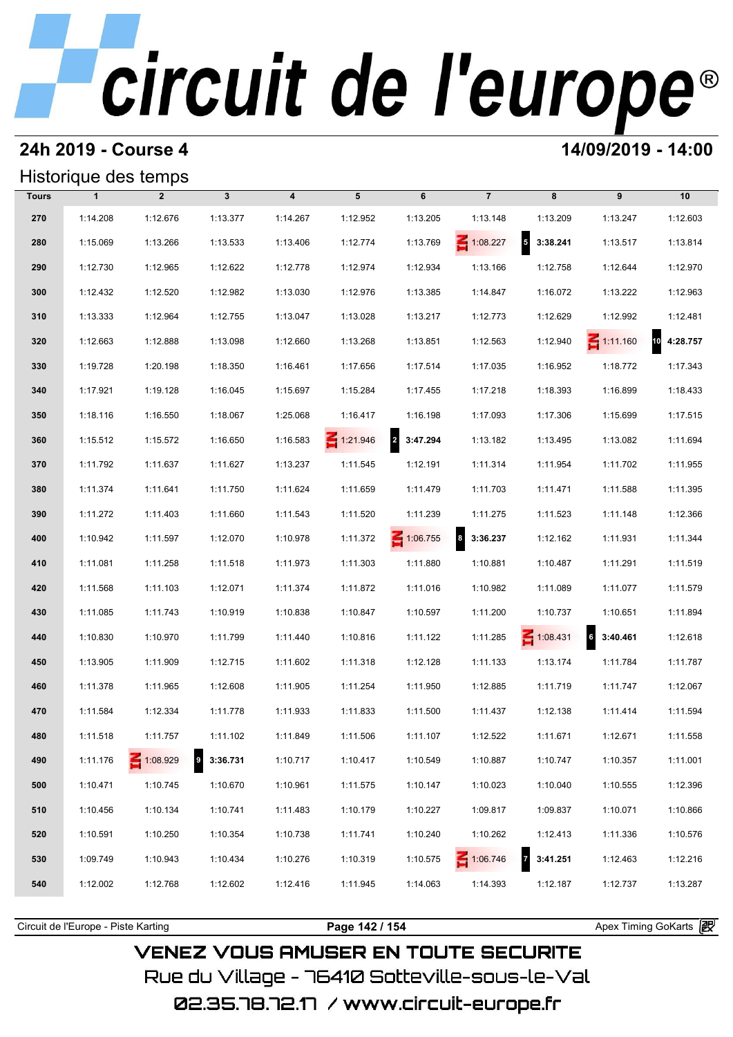#### **24h 2019 - Course 4 14/09/2019 - 14:00**

### Historique des temps

| Historique des temps |              |                 |              |                         |                 |            |                              |                                      |                            |                |
|----------------------|--------------|-----------------|--------------|-------------------------|-----------------|------------|------------------------------|--------------------------------------|----------------------------|----------------|
| <b>Tours</b>         | $\mathbf{1}$ | $\overline{2}$  | $\mathbf{3}$ | $\overline{\mathbf{4}}$ | 5               | 6          | $\overline{7}$               | 8                                    | 9                          | 10             |
| 270                  | 1:14.208     | 1:12.676        | 1:13.377     | 1:14.267                | 1:12.952        | 1:13.205   | 1:13.148                     | 1:13.209                             | 1:13.247                   | 1:12.603       |
| 280                  | 1:15.069     | 1:13.266        | 1:13.533     | 1:13.406                | 1:12.774        | 1:13.769   | $\leq 1:08.227$              | $\overline{\phantom{a}}$<br>3:38.241 | 1:13.517                   | 1:13.814       |
| 290                  | 1:12.730     | 1:12.965        | 1:12.622     | 1:12.778                | 1:12.974        | 1:12.934   | 1:13.166                     | 1:12.758                             | 1:12.644                   | 1:12.970       |
| 300                  | 1:12.432     | 1:12.520        | 1:12.982     | 1:13.030                | 1:12.976        | 1:13.385   | 1:14.847                     | 1:16.072                             | 1:13.222                   | 1:12.963       |
| 310                  | 1:13.333     | 1:12.964        | 1:12.755     | 1:13.047                | 1:13.028        | 1:13.217   | 1:12.773                     | 1:12.629                             | 1:12.992                   | 1:12.481       |
| 320                  | 1:12.663     | 1:12.888        | 1:13.098     | 1:12.660                | 1:13.268        | 1:13.851   | 1:12.563                     | 1:12.940                             | $\leq 1:11.160$            | 10<br>4:28.757 |
| 330                  | 1:19.728     | 1:20.198        | 1:18.350     | 1:16.461                | 1:17.656        | 1:17.514   | 1:17.035                     | 1:16.952                             | 1:18.772                   | 1:17.343       |
| 340                  | 1:17.921     | 1:19.128        | 1:16.045     | 1:15.697                | 1:15.284        | 1:17.455   | 1:17.218                     | 1:18.393                             | 1:16.899                   | 1:18.433       |
| 350                  | 1:18.116     | 1:16.550        | 1:18.067     | 1:25.068                | 1:16.417        | 1:16.198   | 1:17.093                     | 1:17.306                             | 1:15.699                   | 1:17.515       |
| 360                  | 1:15.512     | 1:15.572        | 1:16.650     | 1:16.583                | $\leq 1:21.946$ | 2 3:47.294 | 1:13.182                     | 1:13.495                             | 1:13.082                   | 1:11.694       |
| 370                  | 1:11.792     | 1:11.637        | 1:11.627     | 1:13.237                | 1:11.545        | 1:12.191   | 1:11.314                     | 1:11.954                             | 1:11.702                   | 1:11.955       |
| 380                  | 1:11.374     | 1:11.641        | 1:11.750     | 1:11.624                | 1:11.659        | 1:11.479   | 1:11.703                     | 1:11.471                             | 1:11.588                   | 1:11.395       |
| 390                  | 1:11.272     | 1:11.403        | 1:11.660     | 1:11.543                | 1:11.520        | 1:11.239   | 1:11.275                     | 1:11.523                             | 1:11.148                   | 1:12.366       |
| 400                  | 1:10.942     | 1:11.597        | 1:12.070     | 1:10.978                | 1:11.372        | 1:06.755   | $\boldsymbol{8}$<br>3:36.237 | 1:12.162                             | 1:11.931                   | 1:11.344       |
| 410                  | 1:11.081     | 1:11.258        | 1:11.518     | 1:11.973                | 1:11.303        | 1:11.880   | 1:10.881                     | 1:10.487                             | 1:11.291                   | 1:11.519       |
| 420                  | 1:11.568     | 1:11.103        | 1:12.071     | 1:11.374                | 1:11.872        | 1:11.016   | 1:10.982                     | 1:11.089                             | 1:11.077                   | 1:11.579       |
| 430                  | 1:11.085     | 1:11.743        | 1:10.919     | 1:10.838                | 1:10.847        | 1:10.597   | 1:11.200                     | 1:10.737                             | 1:10.651                   | 1:11.894       |
| 440                  | 1:10.830     | 1:10.970        | 1:11.799     | 1:11.440                | 1:10.816        | 1:11.122   | 1:11.285                     | $\leq 1:08.431$                      | $\overline{6}$<br>3:40.461 | 1:12.618       |
| 450                  | 1:13.905     | 1:11.909        | 1:12.715     | 1:11.602                | 1:11.318        | 1:12.128   | 1:11.133                     | 1:13.174                             | 1:11.784                   | 1:11.787       |
| 460                  | 1:11.378     | 1:11.965        | 1:12.608     | 1:11.905                | 1:11.254        | 1:11.950   | 1:12.885                     | 1:11.719                             | 1:11.747                   | 1:12.067       |
| 470                  | 1:11.584     | 1:12.334        | 1:11.778     | 1:11.933                | 1:11.833        | 1:11.500   | 1:11.437                     | 1:12.138                             | 1:11.414                   | 1:11.594       |
| 480                  | 1:11.518     | 1:11.757        | 1:11.102     | 1:11.849                | 1:11.506        | 1:11.107   | 1:12.522                     | 1:11.671                             | 1:12.671                   | 1:11.558       |
| 490                  | 1:11.176     | $\leq 1:08.929$ | $9$ 3:36.731 | 1:10.717                | 1:10.417        | 1:10.549   | 1:10.887                     | 1:10.747                             | 1:10.357                   | 1:11.001       |
| 500                  | 1:10.471     | 1:10.745        | 1:10.670     | 1:10.961                | 1:11.575        | 1:10.147   | 1:10.023                     | 1:10.040                             | 1:10.555                   | 1:12.396       |
| 510                  | 1:10.456     | 1:10.134        | 1:10.741     | 1:11.483                | 1:10.179        | 1:10.227   | 1:09.817                     | 1:09.837                             | 1:10.071                   | 1:10.866       |
| 520                  | 1:10.591     | 1:10.250        | 1:10.354     | 1:10.738                | 1:11.741        | 1:10.240   | 1:10.262                     | 1:12.413                             | 1:11.336                   | 1:10.576       |
| 530                  | 1:09.749     | 1:10.943        | 1:10.434     | 1:10.276                | 1:10.319        | 1:10.575   | 1:06.746                     | $\overline{7}$<br>3:41.251           | 1:12.463                   | 1:12.216       |
| 540                  | 1:12.002     | 1:12.768        | 1:12.602     | 1:12.416                | 1:11.945        | 1:14.063   | 1:14.393                     | 1:12.187                             | 1:12.737                   | 1:13.287       |
|                      |              |                 |              |                         |                 |            |                              |                                      |                            |                |

**VENEZ VOUS AMUSER EN TOUTE SECURITE** Rue du Village – 76410 Sotteville-sous-le-Val

Circuit de l'Europe - Piste Karting **Page 142 / 154 Page 142 / 154** Apex Timing GoKarts **in**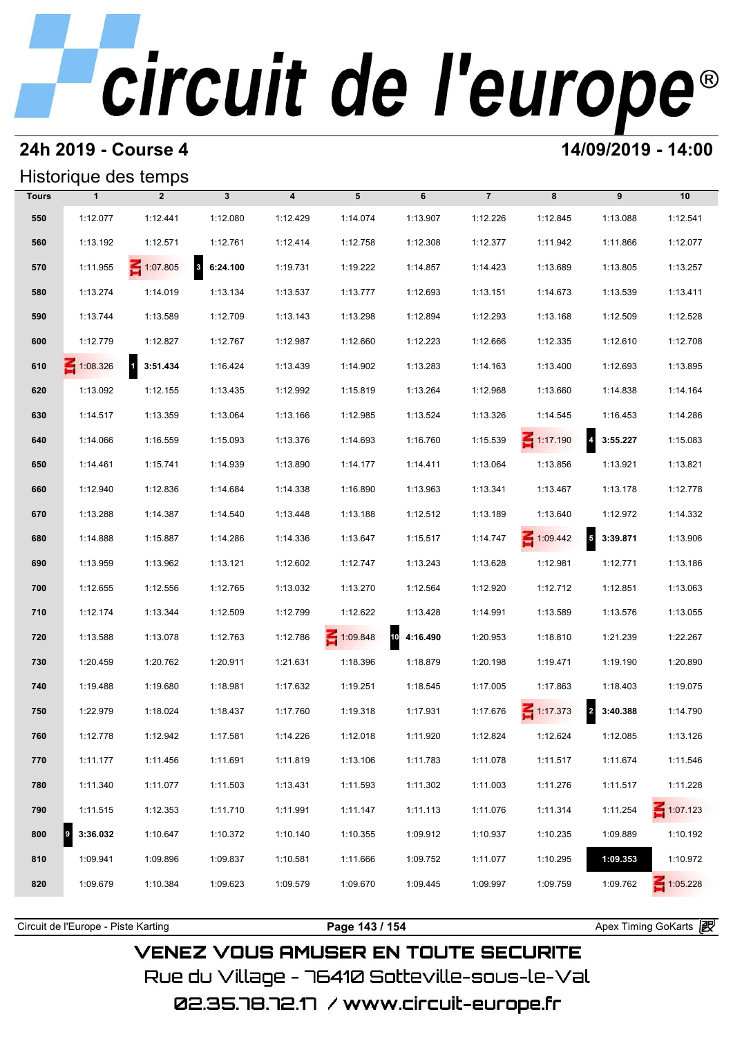#### **24h 2019 - Course 4 14/09/2019 - 14:00**

#### Historique des temps

|              | Historique des temps |                 |                                     |                  |          |             |                |                 |                                     |                 |
|--------------|----------------------|-----------------|-------------------------------------|------------------|----------|-------------|----------------|-----------------|-------------------------------------|-----------------|
| <b>Tours</b> | $\mathbf{1}$         | $\overline{2}$  | $\mathbf{3}$                        | $\boldsymbol{4}$ | 5        | 6           | $\overline{7}$ | 8               | 9                                   | 10              |
| 550          | 1:12.077             | 1:12.441        | 1:12.080                            | 1:12.429         | 1:14.074 | 1:13.907    | 1:12.226       | 1:12.845        | 1:13.088                            | 1:12.541        |
| 560          | 1:13.192             | 1:12.571        | 1:12.761                            | 1:12.414         | 1:12.758 | 1:12.308    | 1:12.377       | 1:11.942        | 1:11.866                            | 1:12.077        |
| 570          | 1:11.955             | $\leq 1:07.805$ | $\overline{\mathbf{3}}$<br>6:24.100 | 1:19.731         | 1:19.222 | 1:14.857    | 1:14.423       | 1:13.689        | 1:13.805                            | 1:13.257        |
| 580          | 1:13.274             | 1:14.019        | 1:13.134                            | 1:13.537         | 1:13.777 | 1:12.693    | 1:13.151       | 1:14.673        | 1:13.539                            | 1:13.411        |
| 590          | 1:13.744             | 1:13.589        | 1:12.709                            | 1:13.143         | 1:13.298 | 1:12.894    | 1:12.293       | 1:13.168        | 1:12.509                            | 1:12.528        |
| 600          | 1:12.779             | 1:12.827        | 1:12.767                            | 1:12.987         | 1:12.660 | 1:12.223    | 1:12.666       | 1:12.335        | 1:12.610                            | 1:12.708        |
| 610          | $\leq 1:08.326$      | 1 3:51.434      | 1:16.424                            | 1:13.439         | 1:14.902 | 1:13.283    | 1:14.163       | 1:13.400        | 1:12.693                            | 1:13.895        |
| 620          | 1:13.092             | 1:12.155        | 1:13.435                            | 1:12.992         | 1:15.819 | 1:13.264    | 1:12.968       | 1:13.660        | 1:14.838                            | 1:14.164        |
| 630          | 1:14.517             | 1:13.359        | 1:13.064                            | 1:13.166         | 1:12.985 | 1:13.524    | 1:13.326       | 1:14.545        | 1:16.453                            | 1:14.286        |
| 640          | 1:14.066             | 1:16.559        | 1:15.093                            | 1:13.376         | 1:14.693 | 1:16.760    | 1:15.539       | $\leq 1:17.190$ | $\overline{\mathbf{r}}$<br>3:55.227 | 1:15.083        |
| 650          | 1:14.461             | 1:15.741        | 1:14.939                            | 1:13.890         | 1:14.177 | 1:14.411    | 1:13.064       | 1:13.856        | 1:13.921                            | 1:13.821        |
| 660          | 1:12.940             | 1:12.836        | 1:14.684                            | 1:14.338         | 1:16.890 | 1:13.963    | 1:13.341       | 1:13.467        | 1:13.178                            | 1:12.778        |
| 670          | 1:13.288             | 1:14.387        | 1:14.540                            | 1:13.448         | 1:13.188 | 1:12.512    | 1:13.189       | 1:13.640        | 1:12.972                            | 1:14.332        |
| 680          | 1:14.888             | 1:15.887        | 1:14.286                            | 1:14.336         | 1:13.647 | 1:15.517    | 1:14.747       | $\leq 1:09.442$ | $\sf 5$<br>3:39.871                 | 1:13.906        |
| 690          | 1:13.959             | 1:13.962        | 1:13.121                            | 1:12.602         | 1:12.747 | 1:13.243    | 1:13.628       | 1:12.981        | 1:12.771                            | 1:13.186        |
| 700          | 1:12.655             | 1:12.556        | 1:12.765                            | 1:13.032         | 1:13.270 | 1:12.564    | 1:12.920       | 1:12.712        | 1:12.851                            | 1:13.063        |
| 710          | 1:12.174             | 1:13.344        | 1:12.509                            | 1:12.799         | 1:12.622 | 1:13.428    | 1:14.991       | 1:13.589        | 1:13.576                            | 1:13.055        |
| 720          | 1:13.588             | 1:13.078        | 1:12.763                            | 1:12.786         | 1:09.848 | 10 4:16.490 | 1:20.953       | 1:18.810        | 1:21.239                            | 1:22.267        |
| 730          | 1:20.459             | 1:20.762        | 1:20.911                            | 1:21.631         | 1:18.396 | 1:18.879    | 1:20.198       | 1:19.471        | 1:19.190                            | 1:20.890        |
| 740          | 1:19.488             | 1:19.680        | 1:18.981                            | 1:17.632         | 1:19.251 | 1:18.545    | 1:17.005       | 1:17.863        | 1:18.403                            | 1:19.075        |
| 750          | 1:22.979             | 1:18.024        | 1:18.437                            | 1:17.760         | 1:19.318 | 1:17.931    | 1:17.676       | $\leq 1:17.373$ | $\mathbf{2}$<br>3:40.388            | 1:14.790        |
| 760          | 1:12.778             | 1:12.942        | 1:17.581                            | 1:14.226         | 1:12.018 | 1:11.920    | 1:12.824       | 1:12.624        | 1:12.085                            | 1:13.126        |
| 770          | 1:11.177             | 1:11.456        | 1:11.691                            | 1:11.819         | 1:13.106 | 1:11.783    | 1:11.078       | 1:11.517        | 1:11.674                            | 1:11.546        |
| 780          | 1:11.340             | 1:11.077        | 1:11.503                            | 1:13.431         | 1:11.593 | 1:11.302    | 1:11.003       | 1:11.276        | 1:11.517                            | 1:11.228        |
| 790          | 1:11.515             | 1:12.353        | 1:11.710                            | 1:11.991         | 1:11.147 | 1:11.113    | 1:11.076       | 1:11.314        | 1:11.254                            | $\leq 1:07.123$ |
| 800          | 3:36.032<br>9        | 1:10.647        | 1:10.372                            | 1:10.140         | 1:10.355 | 1:09.912    | 1:10.937       | 1:10.235        | 1:09.889                            | 1:10.192        |
| 810          | 1:09.941             | 1:09.896        | 1:09.837                            | 1:10.581         | 1:11.666 | 1:09.752    | 1:11.077       | 1:10.295        | 1:09.353                            | 1:10.972        |
| 820          | 1:09.679             | 1:10.384        | 1:09.623                            | 1:09.579         | 1:09.670 | 1:09.445    | 1:09.997       | 1:09.759        | 1:09.762                            | $\leq 1:05.228$ |
|              |                      |                 |                                     |                  |          |             |                |                 |                                     |                 |

**VENEZ VOUS AMUSER EN TOUTE SECURITE** Rue du Village – 76410 Sotteville-sous-le-Val 02.35.78.72.17 /www.circuit-europe.fr

Circuit de l'Europe - Piste Karting **Page 143 / 154 Page 143 / 154** Apex Timing GoKarts **in**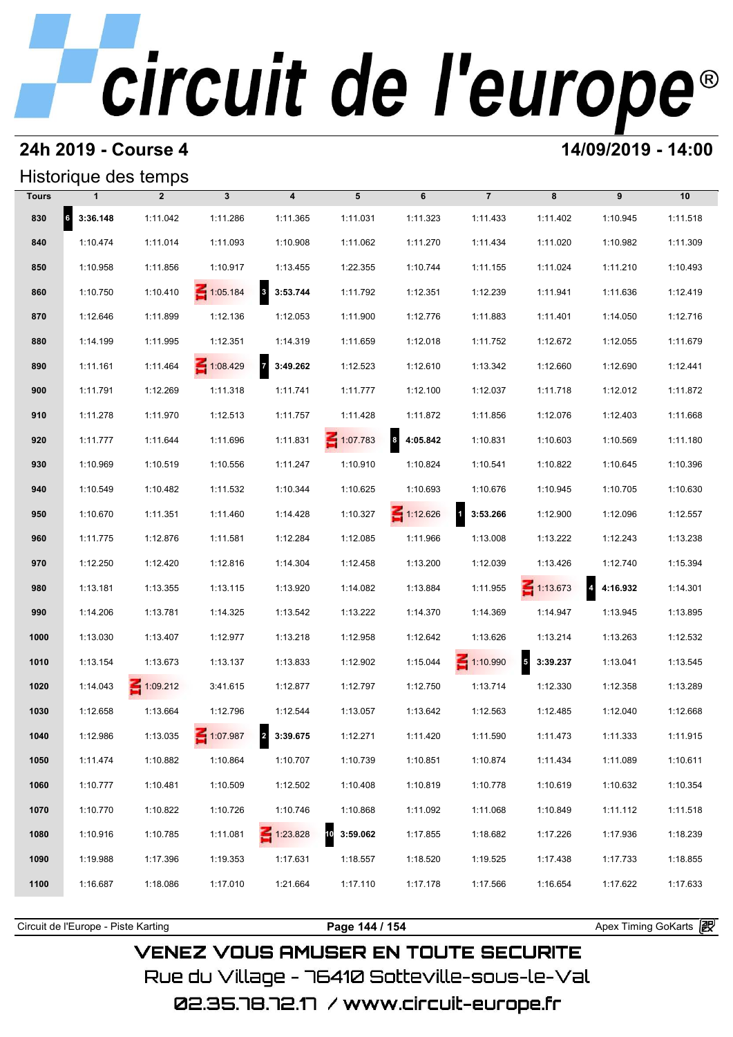### **24h 2019 - Course 4 14/09/2019 - 14:00**

### Historique des temps

| Historique des temps |                   |                 |                 |                                     |                 |                 |                    |                 |            |          |
|----------------------|-------------------|-----------------|-----------------|-------------------------------------|-----------------|-----------------|--------------------|-----------------|------------|----------|
| <b>Tours</b>         | $\mathbf{1}$      | $\overline{2}$  | $\mathbf{3}$    | $\overline{\mathbf{4}}$             | 5               | 6               | $\overline{7}$     | 8               | 9          | 10       |
| 830                  | $6\quad 3:36.148$ | 1:11.042        | 1:11.286        | 1:11.365                            | 1:11.031        | 1:11.323        | 1:11.433           | 1:11.402        | 1:10.945   | 1:11.518 |
| 840                  | 1:10.474          | 1:11.014        | 1:11.093        | 1:10.908                            | 1:11.062        | 1:11.270        | 1:11.434           | 1:11.020        | 1:10.982   | 1:11.309 |
| 850                  | 1:10.958          | 1:11.856        | 1:10.917        | 1:13.455                            | 1:22.355        | 1:10.744        | 1:11.155           | 1:11.024        | 1:11.210   | 1:10.493 |
| 860                  | 1:10.750          | 1:10.410        | $\leq 1:05.184$ | $\overline{\mathbf{3}}$<br>3:53.744 | 1:11.792        | 1:12.351        | 1:12.239           | 1:11.941        | 1:11.636   | 1:12.419 |
| 870                  | 1:12.646          | 1:11.899        | 1:12.136        | 1:12.053                            | 1:11.900        | 1:12.776        | 1:11.883           | 1:11.401        | 1:14.050   | 1:12.716 |
| 880                  | 1:14.199          | 1:11.995        | 1:12.351        | 1:14.319                            | 1:11.659        | 1:12.018        | 1:11.752           | 1:12.672        | 1:12.055   | 1:11.679 |
| 890                  | 1:11.161          | 1:11.464        | 1:08.429        | $\overline{7}$<br>3:49.262          | 1:12.523        | 1:12.610        | 1:13.342           | 1:12.660        | 1:12.690   | 1:12.441 |
| 900                  | 1:11.791          | 1:12.269        | 1:11.318        | 1:11.741                            | 1:11.777        | 1:12.100        | 1:12.037           | 1:11.718        | 1:12.012   | 1:11.872 |
| 910                  | 1:11.278          | 1:11.970        | 1:12.513        | 1:11.757                            | 1:11.428        | 1:11.872        | 1:11.856           | 1:12.076        | 1:12.403   | 1:11.668 |
| 920                  | 1:11.777          | 1:11.644        | 1:11.696        | 1:11.831                            | $\leq 1:07.783$ | 84:05.842       | 1:10.831           | 1:10.603        | 1:10.569   | 1:11.180 |
| 930                  | 1:10.969          | 1:10.519        | 1:10.556        | 1:11.247                            | 1:10.910        | 1:10.824        | 1:10.541           | 1:10.822        | 1:10.645   | 1:10.396 |
| 940                  | 1:10.549          | 1:10.482        | 1:11.532        | 1:10.344                            | 1:10.625        | 1:10.693        | 1:10.676           | 1:10.945        | 1:10.705   | 1:10.630 |
| 950                  | 1:10.670          | 1:11.351        | 1:11.460        | 1:14.428                            | 1:10.327        | $\leq 1:12.626$ | $1 \quad 3:53.266$ | 1:12.900        | 1:12.096   | 1:12.557 |
| 960                  | 1:11.775          | 1:12.876        | 1:11.581        | 1:12.284                            | 1:12.085        | 1:11.966        | 1:13.008           | 1:13.222        | 1:12.243   | 1:13.238 |
| 970                  | 1:12.250          | 1:12.420        | 1:12.816        | 1:14.304                            | 1:12.458        | 1:13.200        | 1:12.039           | 1:13.426        | 1:12.740   | 1:15.394 |
| 980                  | 1:13.181          | 1:13.355        | 1:13.115        | 1:13.920                            | 1:14.082        | 1:13.884        | 1:11.955           | $\leq 1:13.673$ | 4.4:16.932 | 1:14.301 |
| 990                  | 1:14.206          | 1:13.781        | 1:14.325        | 1:13.542                            | 1:13.222        | 1:14.370        | 1:14.369           | 1:14.947        | 1:13.945   | 1:13.895 |
| 1000                 | 1:13.030          | 1:13.407        | 1:12.977        | 1:13.218                            | 1:12.958        | 1:12.642        | 1:13.626           | 1:13.214        | 1:13.263   | 1:12.532 |
| 1010                 | 1:13.154          | 1:13.673        | 1:13.137        | 1:13.833                            | 1:12.902        | 1:15.044        | $\leq 1:10.990$    | $5 - 3:39.237$  | 1:13.041   | 1:13.545 |
| 1020                 | 1:14.043          | $\leq 1:09.212$ | 3:41.615        | 1:12.877                            | 1:12.797        | 1:12.750        | 1:13.714           | 1:12.330        | 1:12.358   | 1:13.289 |
| 1030                 | 1:12.658          | 1:13.664        | 1:12.796        | 1:12.544                            | 1:13.057        | 1:13.642        | 1:12.563           | 1:12.485        | 1:12.040   | 1:12.668 |
| 1040                 | 1:12.986          | 1:13.035        | 1:07.987        | 2 3:39.675                          | 1:12.271        | 1:11.420        | 1:11.590           | 1:11.473        | 1:11.333   | 1:11.915 |
| 1050                 | 1:11.474          | 1:10.882        | 1:10.864        | 1:10.707                            | 1:10.739        | 1:10.851        | 1:10.874           | 1:11.434        | 1:11.089   | 1:10.611 |
| 1060                 | 1:10.777          | 1:10.481        | 1:10.509        | 1:12.502                            | 1:10.408        | 1:10.819        | 1:10.778           | 1:10.619        | 1:10.632   | 1:10.354 |
| 1070                 | 1:10.770          | 1:10.822        | 1:10.726        | 1:10.746                            | 1:10.868        | 1:11.092        | 1:11.068           | 1:10.849        | 1:11.112   | 1:11.518 |
| 1080                 | 1:10.916          | 1:10.785        | 1:11.081        | $\leq 1:23.828$                     | 3:59.062<br>10  | 1:17.855        | 1:18.682           | 1:17.226        | 1:17.936   | 1:18.239 |
| 1090                 | 1:19.988          | 1:17.396        | 1:19.353        | 1:17.631                            | 1:18.557        | 1:18.520        | 1:19.525           | 1:17.438        | 1:17.733   | 1:18.855 |
| 1100                 | 1:16.687          | 1:18.086        | 1:17.010        | 1:21.664                            | 1:17.110        | 1:17.178        | 1:17.566           | 1:16.654        | 1:17.622   | 1:17.633 |
|                      |                   |                 |                 |                                     |                 |                 |                    |                 |            |          |

**VENEZ VOUS AMUSER EN TOUTE SECURITE** 

Rue du Village – 76410 Sotteville-sous-le-Val

Circuit de l'Europe - Piste Karting **Page 144 / 154 Page 144 / 154** Apex Timing GoKarts **in**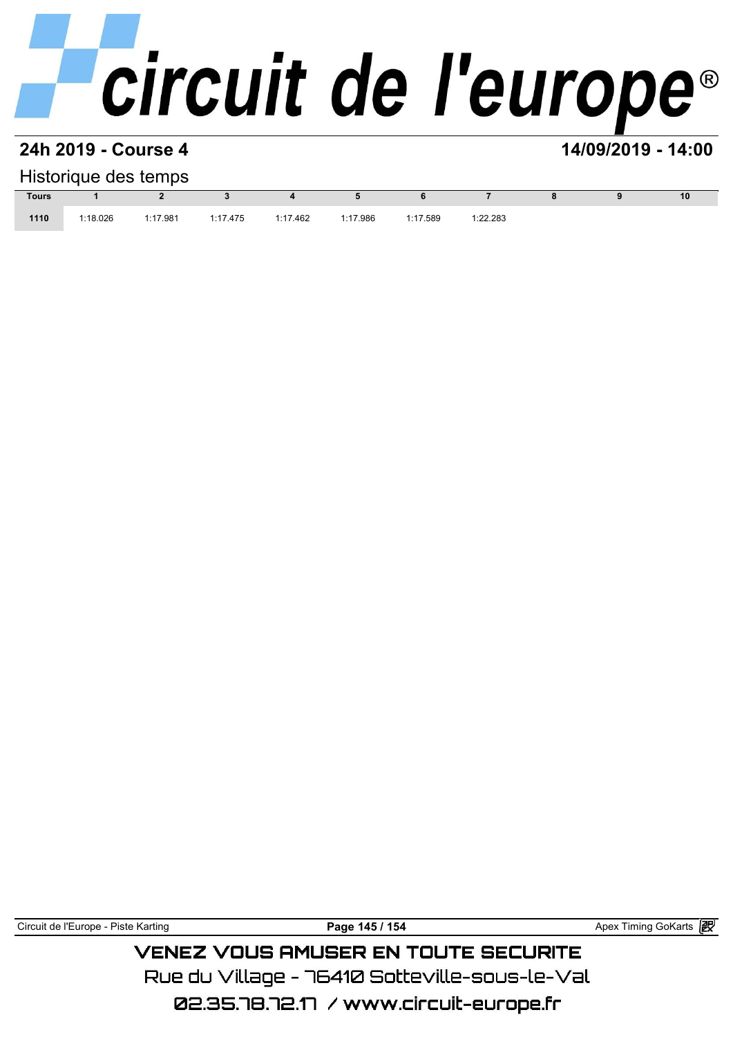### **24h 2019 - Course 4 14/09/2019 - 14:00**

### Historique des temps

| Historique des temps |          |          |          |          |          |          |          |  |  |    |  |  |
|----------------------|----------|----------|----------|----------|----------|----------|----------|--|--|----|--|--|
| <b>Tours</b>         |          |          |          |          |          |          |          |  |  | 10 |  |  |
| 1110                 | 1:18.026 | 1:17.981 | 1:17.475 | 1:17.462 | 1:17.986 | 1:17.589 | 1:22.283 |  |  |    |  |  |

Circuit de l'Europe - Piste Karting **Page 145 / 154 Page 145 / 154** Apex Timing GoKarts **in** 

**VENEZ VOUS AMUSER EN TOUTE SECURITE** Rue du Village – 76410 Sotteville-sous-le-Val

02.35.78.72.17 / www.circuit-europe.fr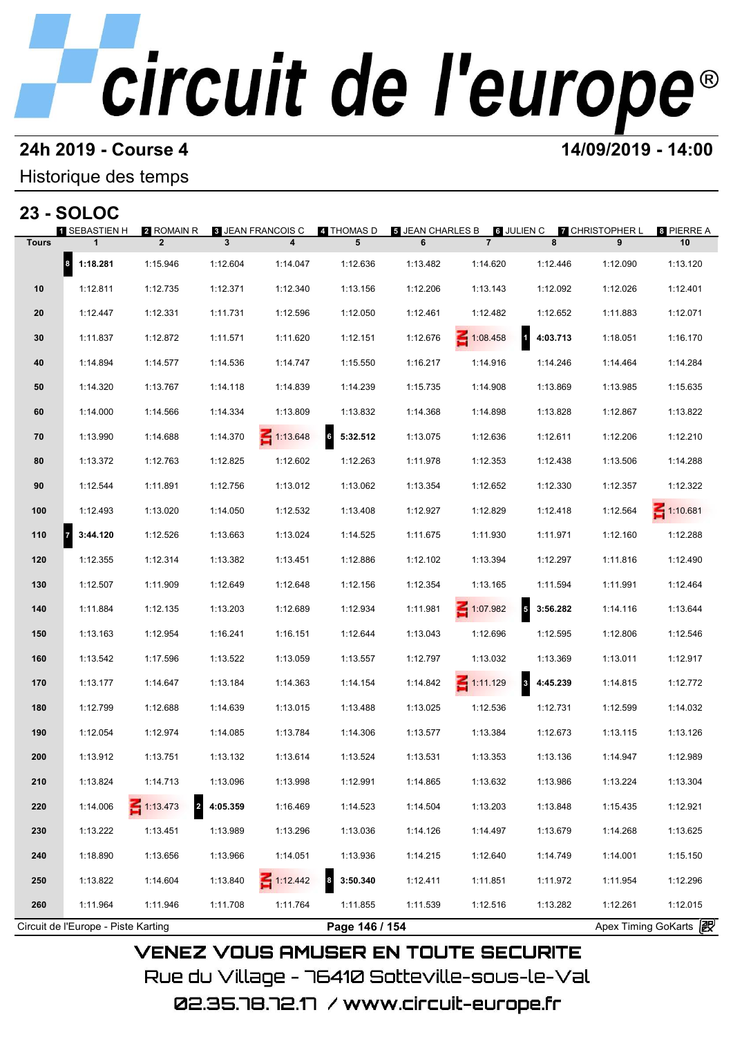# **24h 2019 - Course 4 14/09/2019 - 14:00**

## Historique des temps

|              | <b>23 - SOLOC</b> |                                        |          |                               |                 |                       |                              |                              |                             |                  |
|--------------|-------------------|----------------------------------------|----------|-------------------------------|-----------------|-----------------------|------------------------------|------------------------------|-----------------------------|------------------|
| <b>Tours</b> | 1 SEBASTIEN H     | 2 ROMAIN R<br>$\overline{2}$           | 3        | <b>3 JEAN FRANCOIS C</b><br>4 | 4 THOMAS D<br>5 | 5 JEAN CHARLES B<br>6 | 6 JULIEN C<br>$\overline{7}$ | 8                            | <b>7 CHRISTOPHER L</b><br>9 | 8 PIERRE A<br>10 |
|              | 8 <br>1:18.281    | 1:15.946                               | 1:12.604 | 1:14.047                      | 1:12.636        | 1:13.482              | 1:14.620                     | 1:12.446                     | 1:12.090                    | 1:13.120         |
| 10           | 1:12.811          | 1:12.735                               | 1:12.371 | 1:12.340                      | 1:13.156        | 1:12.206              | 1:13.143                     | 1:12.092                     | 1:12.026                    | 1:12.401         |
| 20           | 1:12.447          | 1:12.331                               | 1:11.731 | 1:12.596                      | 1:12.050        | 1:12.461              | 1:12.482                     | 1:12.652                     | 1:11.883                    | 1:12.071         |
| 30           | 1:11.837          | 1:12.872                               | 1:11.571 | 1:11.620                      | 1:12.151        | 1:12.676              | 1:08.458                     | $\mathbf{1}$<br>4:03.713     | 1:18.051                    | 1:16.170         |
| 40           | 1:14.894          | 1:14.577                               | 1:14.536 | 1:14.747                      | 1:15.550        | 1:16.217              | 1:14.916                     | 1:14.246                     | 1:14.464                    | 1:14.284         |
| 50           | 1:14.320          | 1:13.767                               | 1:14.118 | 1:14.839                      | 1:14.239        | 1:15.735              | 1:14.908                     | 1:13.869                     | 1:13.985                    | 1:15.635         |
| 60           | 1:14.000          | 1:14.566                               | 1:14.334 | 1:13.809                      | 1:13.832        | 1:14.368              | 1:14.898                     | 1:13.828                     | 1:12.867                    | 1:13.822         |
| 70           | 1:13.990          | 1:14.688                               | 1:14.370 | $\leq 1:13.648$               | 5:32.512<br>6   | 1:13.075              | 1:12.636                     | 1:12.611                     | 1:12.206                    | 1:12.210         |
| 80           | 1:13.372          | 1:12.763                               | 1:12.825 | 1:12.602                      | 1:12.263        | 1:11.978              | 1:12.353                     | 1:12.438                     | 1:13.506                    | 1:14.288         |
| 90           | 1:12.544          | 1:11.891                               | 1:12.756 | 1:13.012                      | 1:13.062        | 1:13.354              | 1:12.652                     | 1:12.330                     | 1:12.357                    | 1:12.322         |
| 100          | 1:12.493          | 1:13.020                               | 1:14.050 | 1:12.532                      | 1:13.408        | 1:12.927              | 1:12.829                     | 1:12.418                     | 1:12.564                    | $\leq 1:10.681$  |
| 110          | 3:44.120          | 1:12.526                               | 1:13.663 | 1:13.024                      | 1:14.525        | 1:11.675              | 1:11.930                     | 1:11.971                     | 1:12.160                    | 1:12.288         |
| 120          | 1:12.355          | 1:12.314                               | 1:13.382 | 1:13.451                      | 1:12.886        | 1:12.102              | 1:13.394                     | 1:12.297                     | 1:11.816                    | 1:12.490         |
| 130          | 1:12.507          | 1:11.909                               | 1:12.649 | 1:12.648                      | 1:12.156        | 1:12.354              | 1:13.165                     | 1:11.594                     | 1:11.991                    | 1:12.464         |
| 140          | 1:11.884          | 1:12.135                               | 1:13.203 | 1:12.689                      | 1:12.934        | 1:11.981              | $\leq 1:07.982$              | 5<br>3:56.282                | 1:14.116                    | 1:13.644         |
| 150          | 1:13.163          | 1:12.954                               | 1:16.241 | 1:16.151                      | 1:12.644        | 1:13.043              | 1:12.696                     | 1:12.595                     | 1:12.806                    | 1:12.546         |
| 160          | 1:13.542          | 1:17.596                               | 1:13.522 | 1:13.059                      | 1:13.557        | 1:12.797              | 1:13.032                     | 1:13.369                     | 1:13.011                    | 1:12.917         |
| 170          | 1:13.177          | 1:14.647                               | 1:13.184 | 1:14.363                      | 1:14.154        | 1:14.842              | $\leq 1:11.129$              | $\boldsymbol{3}$<br>4:45.239 | 1:14.815                    | 1:12.772         |
| 180          | 1:12.799          | 1:12.688                               | 1:14.639 | 1:13.015                      | 1:13.488        | 1:13.025              | 1:12.536                     | 1:12.731                     | 1:12.599                    | 1:14.032         |
| 190          | 1:12.054          | 1:12.974                               | 1:14.085 | 1:13.784                      | 1:14.306        | 1:13.577              | 1:13.384                     | 1:12.673                     | 1:13.115                    | 1:13.126         |
| 200          | 1:13.912          | 1:13.751                               | 1:13.132 | 1:13.614                      | 1:13.524        | 1:13.531              | 1:13.353                     | 1:13.136                     | 1:14.947                    | 1:12.989         |
| 210          | 1:13.824          | 1:14.713                               | 1:13.096 | 1:13.998                      | 1:12.991        | 1:14.865              | 1:13.632                     | 1:13.986                     | 1:13.224                    | 1:13.304         |
| 220          | 1:14.006          | $-1:13.473$<br>$\overline{\mathbf{z}}$ | 4:05.359 | 1:16.469                      | 1:14.523        | 1:14.504              | 1:13.203                     | 1:13.848                     | 1:15.435                    | 1:12.921         |
| 230          | 1:13.222          | 1:13.451                               | 1:13.989 | 1:13.296                      | 1:13.036        | 1:14.126              | 1:14.497                     | 1:13.679                     | 1:14.268                    | 1:13.625         |
| 240          | 1:18.890          | 1:13.656                               | 1:13.966 | 1:14.051                      | 1:13.936        | 1:14.215              | 1:12.640                     | 1:14.749                     | 1:14.001                    | 1:15.150         |
| 250          | 1:13.822          | 1:14.604                               | 1:13.840 | $\leq 1:12.442$               | 3:50.340<br>8   | 1:12.411              | 1:11.851                     | 1:11.972                     | 1:11.954                    | 1:12.296         |
| 260          | 1:11.964          | 1:11.946                               | 1:11.708 | 1:11.764                      | 1:11.855        | 1:11.539              | 1:12.516                     | 1:13.282                     | 1:12.261                    | 1:12.015         |

Rue du Village – 76410 Sotteville-sous-le-Val 02.35.78.72.17 / www.circuit-europe.fr

**VENEZ VOUS AMUSER EN TOUTE SECURITE** 

Circuit de l'Europe - Piste Karting **Page 146 / 154 Page 146 / 154** Apex Timing GoKarts **in**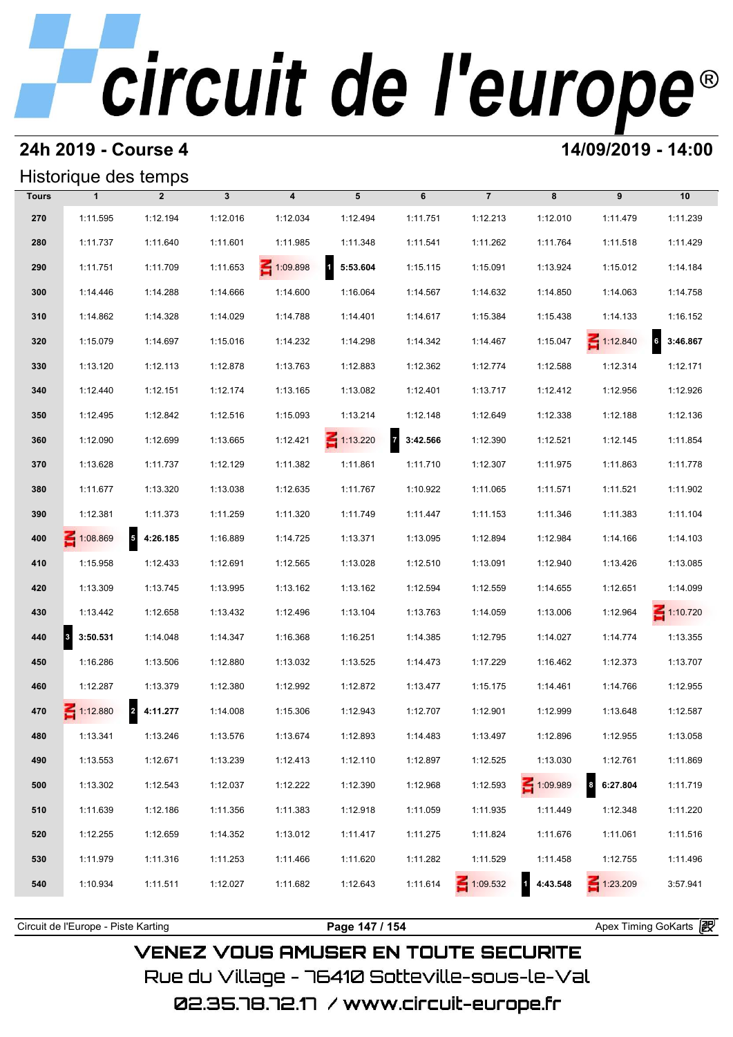## **24h 2019 - Course 4 14/09/2019 - 14:00**

## Historique des temps

|              | Historique des temps |                                      |              |                  |                          |           |                 |            |                    |                 |  |  |
|--------------|----------------------|--------------------------------------|--------------|------------------|--------------------------|-----------|-----------------|------------|--------------------|-----------------|--|--|
| <b>Tours</b> | $\mathbf{1}$         | $\overline{2}$                       | $\mathbf{3}$ | $\boldsymbol{4}$ | 5                        | 6         | $\overline{7}$  | 8          | 9                  | 10              |  |  |
| 270          | 1:11.595             | 1:12.194                             | 1:12.016     | 1:12.034         | 1:12.494                 | 1:11.751  | 1:12.213        | 1:12.010   | 1:11.479           | 1:11.239        |  |  |
| 280          | 1:11.737             | 1:11.640                             | 1:11.601     | 1:11.985         | 1:11.348                 | 1:11.541  | 1:11.262        | 1:11.764   | 1:11.518           | 1:11.429        |  |  |
| 290          | 1:11.751             | 1:11.709                             | 1:11.653     | $-1:09.898$      | $\mathbf{d}$<br>5:53.604 | 1:15.115  | 1:15.091        | 1:13.924   | 1:15.012           | 1:14.184        |  |  |
| 300          | 1:14.446             | 1:14.288                             | 1:14.666     | 1:14.600         | 1:16.064                 | 1:14.567  | 1:14.632        | 1:14.850   | 1:14.063           | 1:14.758        |  |  |
| 310          | 1:14.862             | 1:14.328                             | 1:14.029     | 1:14.788         | 1:14.401                 | 1:14.617  | 1:15.384        | 1:15.438   | 1:14.133           | 1:16.152        |  |  |
| 320          | 1:15.079             | 1:14.697                             | 1:15.016     | 1:14.232         | 1:14.298                 | 1:14.342  | 1:14.467        | 1:15.047   | $\leq 1:12.840$    | 6<br>3:46.867   |  |  |
| 330          | 1:13.120             | 1:12.113                             | 1:12.878     | 1:13.763         | 1:12.883                 | 1:12.362  | 1:12.774        | 1:12.588   | 1:12.314           | 1:12.171        |  |  |
| 340          | 1:12.440             | 1:12.151                             | 1:12.174     | 1:13.165         | 1:13.082                 | 1:12.401  | 1:13.717        | 1:12.412   | 1:12.956           | 1:12.926        |  |  |
| 350          | 1:12.495             | 1:12.842                             | 1:12.516     | 1:15.093         | 1:13.214                 | 1:12.148  | 1:12.649        | 1:12.338   | 1:12.188           | 1:12.136        |  |  |
| 360          | 1:12.090             | 1:12.699                             | 1:13.665     | 1:12.421         | $\leq 1:13.220$          | 73:42.566 | 1:12.390        | 1:12.521   | 1:12.145           | 1:11.854        |  |  |
| 370          | 1:13.628             | 1:11.737                             | 1:12.129     | 1:11.382         | 1:11.861                 | 1:11.710  | 1:12.307        | 1:11.975   | 1:11.863           | 1:11.778        |  |  |
| 380          | 1:11.677             | 1:13.320                             | 1:13.038     | 1:12.635         | 1:11.767                 | 1:10.922  | 1:11.065        | 1:11.571   | 1:11.521           | 1:11.902        |  |  |
| 390          | 1:12.381             | 1:11.373                             | 1:11.259     | 1:11.320         | 1:11.749                 | 1:11.447  | 1:11.153        | 1:11.346   | 1:11.383           | 1:11.104        |  |  |
| 400          | 1:08.869             | $\overline{\phantom{a}}$<br>4:26.185 | 1:16.889     | 1:14.725         | 1:13.371                 | 1:13.095  | 1:12.894        | 1:12.984   | 1:14.166           | 1:14.103        |  |  |
| 410          | 1:15.958             | 1:12.433                             | 1:12.691     | 1:12.565         | 1:13.028                 | 1:12.510  | 1:13.091        | 1:12.940   | 1:13.426           | 1:13.085        |  |  |
| 420          | 1:13.309             | 1:13.745                             | 1:13.995     | 1:13.162         | 1:13.162                 | 1:12.594  | 1:12.559        | 1:14.655   | 1:12.651           | 1:14.099        |  |  |
| 430          | 1:13.442             | 1:12.658                             | 1:13.432     | 1:12.496         | 1:13.104                 | 1:13.763  | 1:14.059        | 1:13.006   | 1:12.964           | $\leq 1:10.720$ |  |  |
| 440          | 3:50.531<br>3        | 1:14.048                             | 1:14.347     | 1:16.368         | 1:16.251                 | 1:14.385  | 1:12.795        | 1:14.027   | 1:14.774           | 1:13.355        |  |  |
| 450          | 1:16.286             | 1:13.506                             | 1:12.880     | 1:13.032         | 1:13.525                 | 1:14.473  | 1:17.229        | 1:16.462   | 1:12.373           | 1:13.707        |  |  |
| 460          | 1:12.287             | 1:13.379                             | 1:12.380     | 1:12.992         | 1:12.872                 | 1:13.477  | 1:15.175        | 1:14.461   | 1:14.766           | 1:12.955        |  |  |
| 470          | $-1:12.880$          | $\overline{2}$<br>4:11.277           | 1:14.008     | 1:15.306         | 1:12.943                 | 1:12.707  | 1:12.901        | 1:12.999   | 1:13.648           | 1:12.587        |  |  |
| 480          | 1:13.341             | 1:13.246                             | 1:13.576     | 1:13.674         | 1:12.893                 | 1:14.483  | 1:13.497        | 1:12.896   | 1:12.955           | 1:13.058        |  |  |
| 490          | 1:13.553             | 1:12.671                             | 1:13.239     | 1:12.413         | 1:12.110                 | 1:12.897  | 1:12.525        | 1:13.030   | 1:12.761           | 1:11.869        |  |  |
| 500          | 1:13.302             | 1:12.543                             | 1:12.037     | 1:12.222         | 1:12.390                 | 1:12.968  | 1:12.593        | 1:09.989   | $\bf8$<br>6:27.804 | 1:11.719        |  |  |
| 510          | 1:11.639             | 1:12.186                             | 1:11.356     | 1:11.383         | 1:12.918                 | 1:11.059  | 1:11.935        | 1:11.449   | 1:12.348           | 1:11.220        |  |  |
| 520          | 1:12.255             | 1:12.659                             | 1:14.352     | 1:13.012         | 1:11.417                 | 1:11.275  | 1:11.824        | 1:11.676   | 1:11.061           | 1:11.516        |  |  |
| 530          | 1:11.979             | 1:11.316                             | 1:11.253     | 1:11.466         | 1:11.620                 | 1:11.282  | 1:11.529        | 1:11.458   | 1:12.755           | 1:11.496        |  |  |
| 540          | 1:10.934             | 1:11.511                             | 1:12.027     | 1:11.682         | 1:12.643                 | 1:11.614  | $\leq 1:09.532$ | 1 4:43.548 | $\leq 1:23.209$    | 3:57.941        |  |  |
|              |                      |                                      |              |                  |                          |           |                 |            |                    |                 |  |  |

## **VENEZ VOUS AMUSER EN TOUTE SECURITE** Rue du Village – 76410 Sotteville-sous-le-Val

Circuit de l'Europe - Piste Karting **Page 147 / 154 Page 147 / 154** Apex Timing GoKarts and Apex Timing Apex Timing Go

02.35.78.72.17 /www.circuit-europe.fr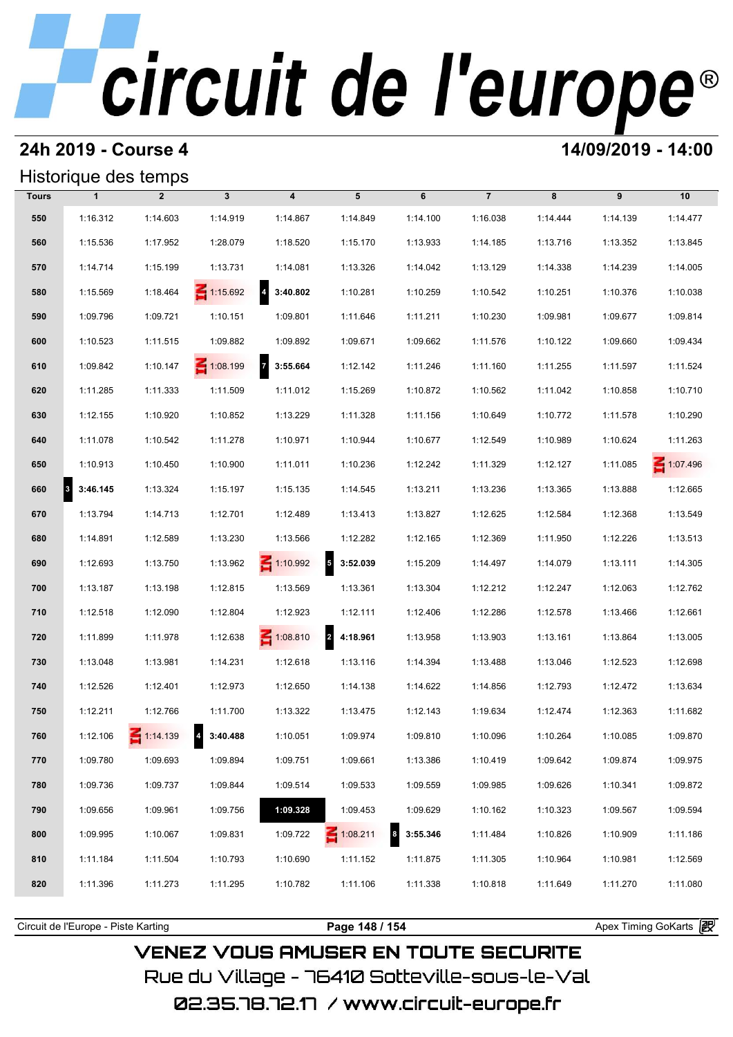## **24h 2019 - Course 4 14/09/2019 - 14:00**

## Historique des temps

|              | Historique des temps             |                 |                   |                         |                 |                              |                |          |          |          |  |  |
|--------------|----------------------------------|-----------------|-------------------|-------------------------|-----------------|------------------------------|----------------|----------|----------|----------|--|--|
| <b>Tours</b> | $\mathbf{1}$                     | $\overline{2}$  | $\mathbf{3}$      | $\overline{\mathbf{4}}$ | 5               | 6                            | $\overline{7}$ | 8        | 9        | 10       |  |  |
| 550          | 1:16.312                         | 1:14.603        | 1:14.919          | 1:14.867                | 1:14.849        | 1:14.100                     | 1:16.038       | 1:14.444 | 1:14.139 | 1:14.477 |  |  |
| 560          | 1:15.536                         | 1:17.952        | 1:28.079          | 1:18.520                | 1:15.170        | 1:13.933                     | 1:14.185       | 1:13.716 | 1:13.352 | 1:13.845 |  |  |
| 570          | 1:14.714                         | 1:15.199        | 1:13.731          | 1:14.081                | 1:13.326        | 1:14.042                     | 1:13.129       | 1:14.338 | 1:14.239 | 1:14.005 |  |  |
| 580          | 1:15.569                         | 1:18.464        | $\leq 1:15.692$   | $4\quad 3:40.802$       | 1:10.281        | 1:10.259                     | 1:10.542       | 1:10.251 | 1:10.376 | 1:10.038 |  |  |
| 590          | 1:09.796                         | 1:09.721        | 1:10.151          | 1:09.801                | 1:11.646        | 1:11.211                     | 1:10.230       | 1:09.981 | 1:09.677 | 1:09.814 |  |  |
| 600          | 1:10.523                         | 1:11.515        | 1:09.882          | 1:09.892                | 1:09.671        | 1:09.662                     | 1:11.576       | 1:10.122 | 1:09.660 | 1:09.434 |  |  |
| 610          | 1:09.842                         | 1:10.147        | $\leq 1:08.199$   | 7 3:55.664              | 1:12.142        | 1:11.246                     | 1:11.160       | 1:11.255 | 1:11.597 | 1:11.524 |  |  |
| 620          | 1:11.285                         | 1:11.333        | 1:11.509          | 1:11.012                | 1:15.269        | 1:10.872                     | 1:10.562       | 1:11.042 | 1:10.858 | 1:10.710 |  |  |
| 630          | 1:12.155                         | 1:10.920        | 1:10.852          | 1:13.229                | 1:11.328        | 1:11.156                     | 1:10.649       | 1:10.772 | 1:11.578 | 1:10.290 |  |  |
| 640          | 1:11.078                         | 1:10.542        | 1:11.278          | 1:10.971                | 1:10.944        | 1:10.677                     | 1:12.549       | 1:10.989 | 1:10.624 | 1:11.263 |  |  |
| 650          | 1:10.913                         | 1:10.450        | 1:10.900          | 1:11.011                | 1:10.236        | 1:12.242                     | 1:11.329       | 1:12.127 | 1:11.085 | 1:07.496 |  |  |
| 660          | 3:46.145<br>$\vert$ <sup>3</sup> | 1:13.324        | 1:15.197          | 1:15.135                | 1:14.545        | 1:13.211                     | 1:13.236       | 1:13.365 | 1:13.888 | 1:12.665 |  |  |
| 670          | 1:13.794                         | 1:14.713        | 1:12.701          | 1:12.489                | 1:13.413        | 1:13.827                     | 1:12.625       | 1:12.584 | 1:12.368 | 1:13.549 |  |  |
| 680          | 1:14.891                         | 1:12.589        | 1:13.230          | 1:13.566                | 1:12.282        | 1:12.165                     | 1:12.369       | 1:11.950 | 1:12.226 | 1:13.513 |  |  |
| 690          | 1:12.693                         | 1:13.750        | 1:13.962          | $\leq 1:10.992$         | $5$ 3:52.039    | 1:15.209                     | 1:14.497       | 1:14.079 | 1:13.111 | 1:14.305 |  |  |
| 700          | 1:13.187                         | 1:13.198        | 1:12.815          | 1:13.569                | 1:13.361        | 1:13.304                     | 1:12.212       | 1:12.247 | 1:12.063 | 1:12.762 |  |  |
| 710          | 1:12.518                         | 1:12.090        | 1:12.804          | 1:12.923                | 1:12.111        | 1:12.406                     | 1:12.286       | 1:12.578 | 1:13.466 | 1:12.661 |  |  |
| 720          | 1:11.899                         | 1:11.978        | 1:12.638          | $\leq 1:08.810$         | 2 4:18.961      | 1:13.958                     | 1:13.903       | 1:13.161 | 1:13.864 | 1:13.005 |  |  |
| 730          | 1:13.048                         | 1:13.981        | 1:14.231          | 1:12.618                | 1:13.116        | 1:14.394                     | 1:13.488       | 1:13.046 | 1:12.523 | 1:12.698 |  |  |
| 740          | 1:12.526                         | 1:12.401        | 1:12.973          | 1:12.650                | 1:14.138        | 1:14.622                     | 1:14.856       | 1:12.793 | 1:12.472 | 1:13.634 |  |  |
| 750          | 1:12.211                         | 1:12.766        | 1:11.700          | 1:13.322                | 1:13.475        | 1:12.143                     | 1:19.634       | 1:12.474 | 1:12.363 | 1:11.682 |  |  |
| 760          | 1:12.106                         | $\leq 1:14.139$ | $4\quad 3:40.488$ | 1:10.051                | 1:09.974        | 1:09.810                     | 1:10.096       | 1:10.264 | 1:10.085 | 1:09.870 |  |  |
| 770          | 1:09.780                         | 1:09.693        | 1:09.894          | 1:09.751                | 1:09.661        | 1:13.386                     | 1:10.419       | 1:09.642 | 1:09.874 | 1:09.975 |  |  |
| 780          | 1:09.736                         | 1:09.737        | 1:09.844          | 1:09.514                | 1:09.533        | 1:09.559                     | 1:09.985       | 1:09.626 | 1:10.341 | 1:09.872 |  |  |
| 790          | 1:09.656                         | 1:09.961        | 1:09.756          | 1:09.328                | 1:09.453        | 1:09.629                     | 1:10.162       | 1:10.323 | 1:09.567 | 1:09.594 |  |  |
| 800          | 1:09.995                         | 1:10.067        | 1:09.831          | 1:09.722                | $\leq 1:08.211$ | $\boldsymbol{8}$<br>3:55.346 | 1:11.484       | 1:10.826 | 1:10.909 | 1:11.186 |  |  |
| 810          | 1:11.184                         | 1:11.504        | 1:10.793          | 1:10.690                | 1:11.152        | 1:11.875                     | 1:11.305       | 1:10.964 | 1:10.981 | 1:12.569 |  |  |
| 820          | 1:11.396                         | 1:11.273        | 1:11.295          | 1:10.782                | 1:11.106        | 1:11.338                     | 1:10.818       | 1:11.649 | 1:11.270 | 1:11.080 |  |  |
|              |                                  |                 |                   |                         |                 |                              |                |          |          |          |  |  |

**VENEZ VOUS AMUSER EN TOUTE SECURITE** Rue du Village – 76410 Sotteville-sous-le-Val

Circuit de l'Europe - Piste Karting **Page 148 / 154 Page 148 / 154** Apex Timing GoKarts (

02.35.78.72.17 /www.circuit-europe.fr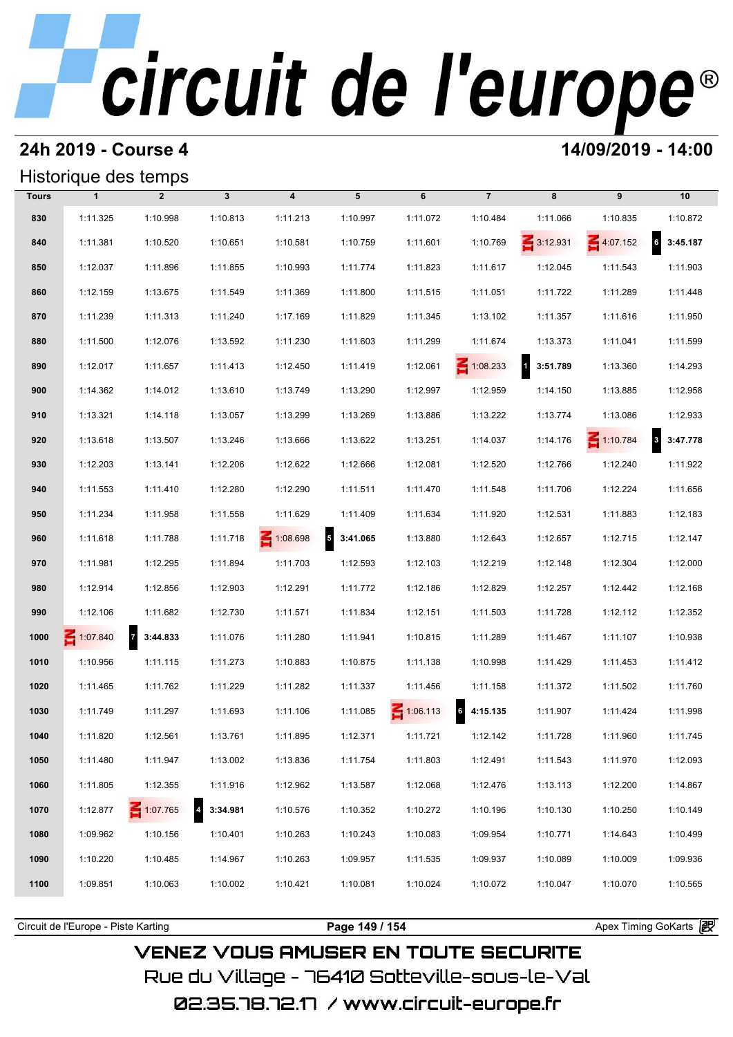### **24h 2019 - Course 4 14/09/2019 - 14:00**

## Historique des temps

|              | Historique des temps |                            |                   |                         |                                     |                 |                            |                    |                 |                             |  |  |  |
|--------------|----------------------|----------------------------|-------------------|-------------------------|-------------------------------------|-----------------|----------------------------|--------------------|-----------------|-----------------------------|--|--|--|
| <b>Tours</b> | $\mathbf{1}$         | $\overline{2}$             | $\mathbf{3}$      | $\overline{\mathbf{4}}$ | 5                                   | 6               | $\overline{7}$             | 8                  | 9               | 10                          |  |  |  |
| 830          | 1:11.325             | 1:10.998                   | 1:10.813          | 1:11.213                | 1:10.997                            | 1:11.072        | 1:10.484                   | 1:11.066           | 1:10.835        | 1:10.872                    |  |  |  |
| 840          | 1:11.381             | 1:10.520                   | 1:10.651          | 1:10.581                | 1:10.759                            | 1:11.601        | 1:10.769                   | $\leq 3:12.931$    | 4:07.152        | $6\overline{6}$<br>3:45.187 |  |  |  |
| 850          | 1:12.037             | 1:11.896                   | 1:11.855          | 1:10.993                | 1:11.774                            | 1:11.823        | 1:11.617                   | 1:12.045           | 1:11.543        | 1:11.903                    |  |  |  |
| 860          | 1:12.159             | 1:13.675                   | 1:11.549          | 1:11.369                | 1:11.800                            | 1:11.515        | 1:11.051                   | 1:11.722           | 1:11.289        | 1:11.448                    |  |  |  |
| 870          | 1:11.239             | 1:11.313                   | 1:11.240          | 1:17.169                | 1:11.829                            | 1:11.345        | 1:13.102                   | 1:11.357           | 1:11.616        | 1:11.950                    |  |  |  |
| 880          | 1:11.500             | 1:12.076                   | 1:13.592          | 1:11.230                | 1:11.603                            | 1:11.299        | 1:11.674                   | 1:13.373           | 1:11.041        | 1:11.599                    |  |  |  |
| 890          | 1:12.017             | 1:11.657                   | 1:11.413          | 1:12.450                | 1:11.419                            | 1:12.061        | $\leq 1:08.233$            | $1 \quad 3:51.789$ | 1:13.360        | 1:14.293                    |  |  |  |
| 900          | 1:14.362             | 1:14.012                   | 1:13.610          | 1:13.749                | 1:13.290                            | 1:12.997        | 1:12.959                   | 1:14.150           | 1:13.885        | 1:12.958                    |  |  |  |
| 910          | 1:13.321             | 1:14.118                   | 1:13.057          | 1:13.299                | 1:13.269                            | 1:13.886        | 1:13.222                   | 1:13.774           | 1:13.086        | 1:12.933                    |  |  |  |
| 920          | 1:13.618             | 1:13.507                   | 1:13.246          | 1:13.666                | 1:13.622                            | 1:13.251        | 1:14.037                   | 1:14.176           | $\leq 1:10.784$ | 3:47.778                    |  |  |  |
| 930          | 1:12.203             | 1:13.141                   | 1:12.206          | 1:12.622                | 1:12.666                            | 1:12.081        | 1:12.520                   | 1:12.766           | 1:12.240        | 1:11.922                    |  |  |  |
| 940          | 1:11.553             | 1:11.410                   | 1:12.280          | 1:12.290                | 1:11.511                            | 1:11.470        | 1:11.548                   | 1:11.706           | 1:12.224        | 1:11.656                    |  |  |  |
| 950          | 1:11.234             | 1:11.958                   | 1:11.558          | 1:11.629                | 1:11.409                            | 1:11.634        | 1:11.920                   | 1:12.531           | 1:11.883        | 1:12.183                    |  |  |  |
| 960          | 1:11.618             | 1:11.788                   | 1:11.718          | 1:08.698                | $\overline{\mathbf{5}}$<br>3:41.065 | 1:13.880        | 1:12.643                   | 1:12.657           | 1:12.715        | 1:12.147                    |  |  |  |
| 970          | 1:11.981             | 1:12.295                   | 1:11.894          | 1:11.703                | 1:12.593                            | 1:12.103        | 1:12.219                   | 1:12.148           | 1:12.304        | 1:12.000                    |  |  |  |
| 980          | 1:12.914             | 1:12.856                   | 1:12.903          | 1:12.291                | 1:11.772                            | 1:12.186        | 1:12.829                   | 1:12.257           | 1:12.442        | 1:12.168                    |  |  |  |
| 990          | 1:12.106             | 1:11.682                   | 1:12.730          | 1:11.571                | 1:11.834                            | 1:12.151        | 1:11.503                   | 1:11.728           | 1:12.112        | 1:12.352                    |  |  |  |
| 1000         | 1:07.840             | $\overline{z}$<br>3:44.833 | 1:11.076          | 1:11.280                | 1:11.941                            | 1:10.815        | 1:11.289                   | 1:11.467           | 1:11.107        | 1:10.938                    |  |  |  |
| 1010         | 1:10.956             | 1:11.115                   | 1:11.273          | 1:10.883                | 1:10.875                            | 1:11.138        | 1:10.998                   | 1:11.429           | 1:11.453        | 1:11.412                    |  |  |  |
| 1020         | 1:11.465             | 1:11.762                   | 1:11.229          | 1:11.282                | 1:11.337                            | 1:11.456        | 1:11.158                   | 1:11.372           | 1:11.502        | 1:11.760                    |  |  |  |
| 1030         | 1:11.749             | 1:11.297                   | 1:11.693          | 1:11.106                | 1:11.085                            | $\leq 1:06.113$ | $6\phantom{a}$<br>4:15.135 | 1:11.907           | 1:11.424        | 1:11.998                    |  |  |  |
| 1040         | 1:11.820             | 1:12.561                   | 1:13.761          | 1:11.895                | 1:12.371                            | 1:11.721        | 1:12.142                   | 1:11.728           | 1:11.960        | 1:11.745                    |  |  |  |
| 1050         | 1:11.480             | 1:11.947                   | 1:13.002          | 1:13.836                | 1:11.754                            | 1:11.803        | 1:12.491                   | 1:11.543           | 1:11.970        | 1:12.093                    |  |  |  |
| 1060         | 1:11.805             | 1:12.355                   | 1:11.916          | 1:12.962                | 1:13.587                            | 1:12.068        | 1:12.476                   | 1:13.113           | 1:12.200        | 1:14.867                    |  |  |  |
| 1070         | 1:12.877             | 1:07.765                   | $4\quad 3:34.981$ | 1:10.576                | 1:10.352                            | 1:10.272        | 1:10.196                   | 1:10.130           | 1:10.250        | 1:10.149                    |  |  |  |
| 1080         | 1:09.962             | 1:10.156                   | 1:10.401          | 1:10.263                | 1:10.243                            | 1:10.083        | 1:09.954                   | 1:10.771           | 1:14.643        | 1:10.499                    |  |  |  |
| 1090         | 1:10.220             | 1:10.485                   | 1:14.967          | 1:10.263                | 1:09.957                            | 1:11.535        | 1:09.937                   | 1:10.089           | 1:10.009        | 1:09.936                    |  |  |  |
| 1100         | 1:09.851             | 1:10.063                   | 1:10.002          | 1:10.421                | 1:10.081                            | 1:10.024        | 1:10.072                   | 1:10.047           | 1:10.070        | 1:10.565                    |  |  |  |
|              |                      |                            |                   |                         |                                     |                 |                            |                    |                 |                             |  |  |  |

**VENEZ VOUS AMUSER EN TOUTE SECURITE** Rue du Village – 76410 Sotteville-sous-le-Val 02.35.78.72.17 /www.circuit-europe.fr

Circuit de l'Europe - Piste Karting **Page 149 / 154 Page 149 / 154** Apex Timing GoKarts **intervent**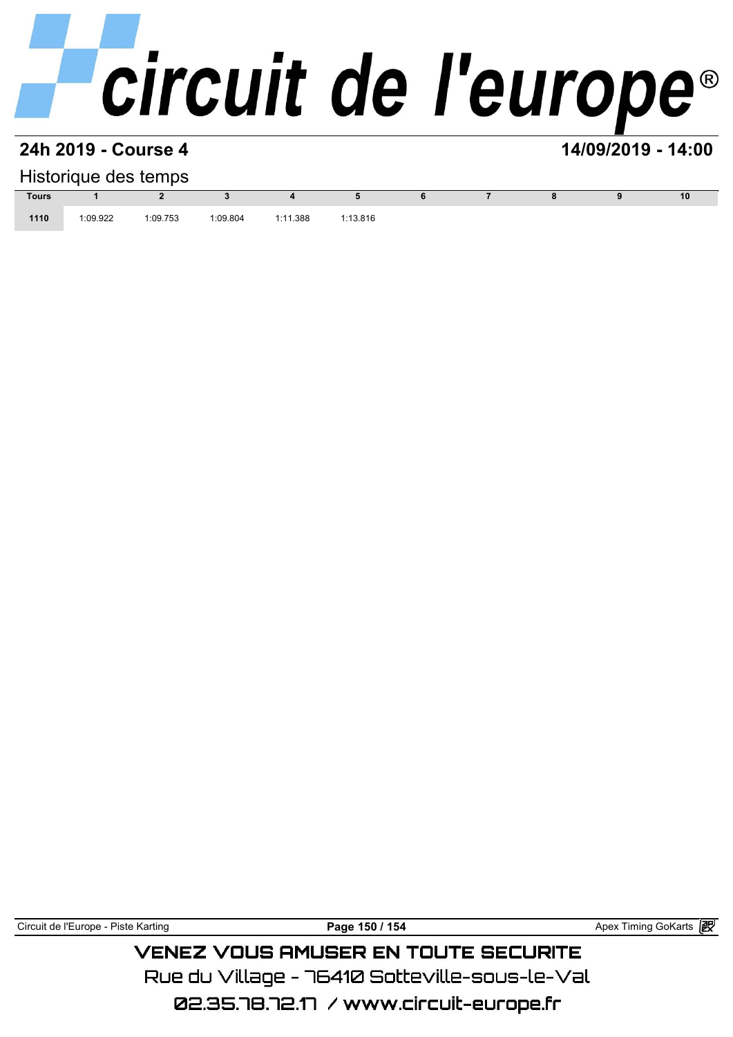# **24h 2019 - Course 4 14/09/2019 - 14:00**

| Historique des temps |          |          |          |          |          |  |  |  |  |    |  |  |
|----------------------|----------|----------|----------|----------|----------|--|--|--|--|----|--|--|
| <b>Tours</b>         |          |          |          |          |          |  |  |  |  | 10 |  |  |
| 1110                 | 1:09.922 | 1:09.753 | 1:09.804 | 1:11.388 | 1:13.816 |  |  |  |  |    |  |  |

Circuit de l'Europe - Piste Karting **Page 150 / 154 Page 150 / 154** Apex Timing GoKarts **in** 

## **VENEZ VOUS AMUSER EN TOUTE SECURITE** Rue du Village – 76410 Sotteville-sous-le-Val

02.35.78.72.17 / www.circuit-europe.fr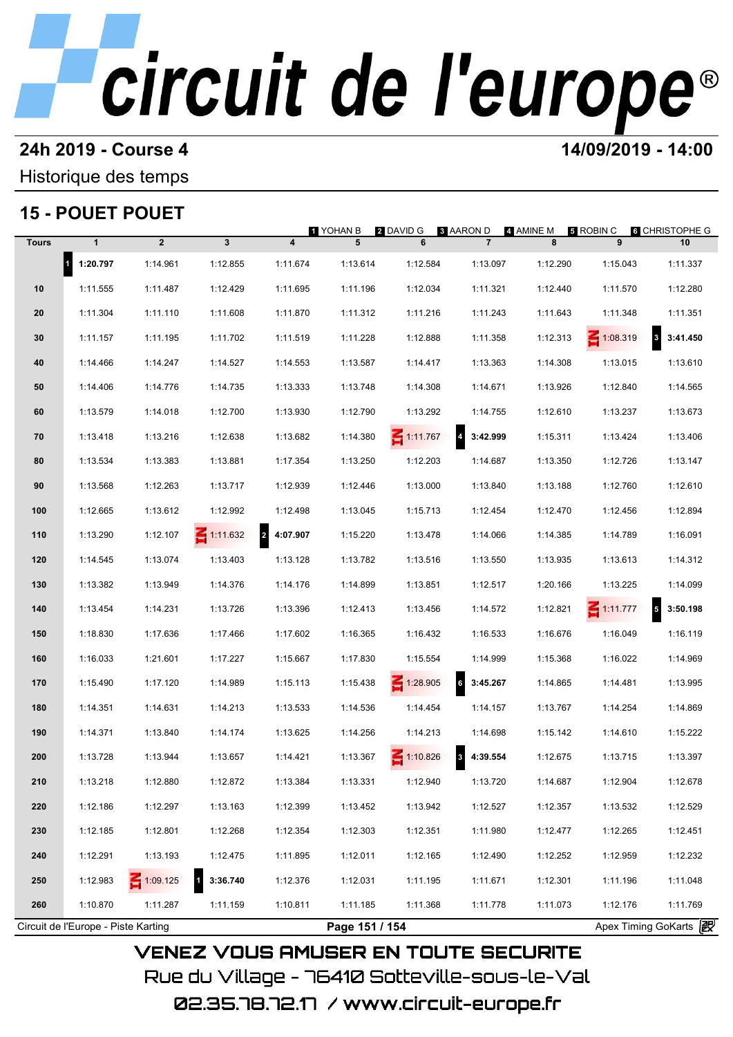# **24h 2019 - Course 4 12000 12000 14/09/2019 - 14:00**

### Historique des temps

## **15 - POUET POUET**

|              | 15 - POUET POUET                     |              |                          |                            |                |                 | <b>8 AARON D</b>                    | 4 AMINE M | <b>B</b> ROBIN C | <b>6</b> CHRISTOPHE G |
|--------------|--------------------------------------|--------------|--------------------------|----------------------------|----------------|-----------------|-------------------------------------|-----------|------------------|-----------------------|
| <b>Tours</b> | $\mathbf{1}$                         | $\mathbf{2}$ | $\mathbf{3}$             | $\overline{\mathbf{4}}$    | 1 YOHAN B<br>5 | 2 DAVID G<br>6  | $\overline{7}$                      | 8         | 9                | 10                    |
|              | $\overline{\phantom{a}}$<br>1:20.797 | 1:14.961     | 1:12.855                 | 1:11.674                   | 1:13.614       | 1:12.584        | 1:13.097                            | 1:12.290  | 1:15.043         | 1:11.337              |
| 10           | 1:11.555                             | 1:11.487     | 1:12.429                 | 1:11.695                   | 1:11.196       | 1:12.034        | 1:11.321                            | 1:12.440  | 1:11.570         | 1:12.280              |
| 20           | 1:11.304                             | 1:11.110     | 1:11.608                 | 1:11.870                   | 1:11.312       | 1:11.216        | 1:11.243                            | 1:11.643  | 1:11.348         | 1:11.351              |
| 30           | 1:11.157                             | 1:11.195     | 1:11.702                 | 1:11.519                   | 1:11.228       | 1:12.888        | 1:11.358                            | 1:12.313  | $\leq 1:08.319$  | $8\quad 3:41.450$     |
| 40           | 1:14.466                             | 1:14.247     | 1:14.527                 | 1:14.553                   | 1:13.587       | 1:14.417        | 1:13.363                            | 1:14.308  | 1:13.015         | 1:13.610              |
| 50           | 1:14.406                             | 1:14.776     | 1:14.735                 | 1:13.333                   | 1:13.748       | 1:14.308        | 1:14.671                            | 1:13.926  | 1:12.840         | 1:14.565              |
| 60           | 1:13.579                             | 1:14.018     | 1:12.700                 | 1:13.930                   | 1:12.790       | 1:13.292        | 1:14.755                            | 1:12.610  | 1:13.237         | 1:13.673              |
| 70           | 1:13.418                             | 1:13.216     | 1:12.638                 | 1:13.682                   | 1:14.380       | $\leq 1:11.767$ | $\overline{\mathbf{4}}$<br>3:42.999 | 1:15.311  | 1:13.424         | 1:13.406              |
| 80           | 1:13.534                             | 1:13.383     | 1:13.881                 | 1:17.354                   | 1:13.250       | 1:12.203        | 1:14.687                            | 1:13.350  | 1:12.726         | 1:13.147              |
| 90           | 1:13.568                             | 1:12.263     | 1:13.717                 | 1:12.939                   | 1:12.446       | 1:13.000        | 1:13.840                            | 1:13.188  | 1:12.760         | 1:12.610              |
| 100          | 1:12.665                             | 1:13.612     | 1:12.992                 | 1:12.498                   | 1:13.045       | 1:15.713        | 1:12.454                            | 1:12.470  | 1:12.456         | 1:12.894              |
| 110          | 1:13.290                             | 1:12.107     | $\leq 1:11.632$          | $\overline{a}$<br>4:07.907 | 1:15.220       | 1:13.478        | 1:14.066                            | 1:14.385  | 1:14.789         | 1:16.091              |
| 120          | 1:14.545                             | 1:13.074     | 1:13.403                 | 1:13.128                   | 1:13.782       | 1:13.516        | 1:13.550                            | 1:13.935  | 1:13.613         | 1:14.312              |
| 130          | 1:13.382                             | 1:13.949     | 1:14.376                 | 1:14.176                   | 1:14.899       | 1:13.851        | 1:12.517                            | 1:20.166  | 1:13.225         | 1:14.099              |
| 140          | 1:13.454                             | 1:14.231     | 1:13.726                 | 1:13.396                   | 1:12.413       | 1:13.456        | 1:14.572                            | 1:12.821  | $\leq 1:11.777$  | 5<br>3:50.198         |
| 150          | 1:18.830                             | 1:17.636     | 1:17.466                 | 1:17.602                   | 1:16.365       | 1:16.432        | 1:16.533                            | 1:16.676  | 1:16.049         | 1:16.119              |
| 160          | 1:16.033                             | 1:21.601     | 1:17.227                 | 1:15.667                   | 1:17.830       | 1:15.554        | 1:14.999                            | 1:15.368  | 1:16.022         | 1:14.969              |
| 170          | 1:15.490                             | 1:17.120     | 1:14.989                 | 1:15.113                   | 1:15.438       | $-1:28.905$     | $6\phantom{a}$<br>3:45.267          | 1:14.865  | 1:14.481         | 1:13.995              |
| 180          | 1:14.351                             | 1:14.631     | 1:14.213                 | 1:13.533                   | 1:14.536       | 1:14.454        | 1:14.157                            | 1:13.767  | 1:14.254         | 1:14.869              |
| 190          | 1:14.371                             | 1:13.840     | 1:14.174                 | 1:13.625                   | 1:14.256       | 1:14.213        | 1:14.698                            | 1:15.142  | 1:14.610         | 1:15.222              |
| 200          | 1:13.728                             | 1:13.944     | 1:13.657                 | 1:14.421                   | 1:13.367       | 1:10.826        | 8 4:39.554                          | 1:12.675  | 1:13.715         | 1:13.397              |
| 210          | 1:13.218                             | 1:12.880     | 1:12.872                 | 1:13.384                   | 1:13.331       | 1:12.940        | 1:13.720                            | 1:14.687  | 1:12.904         | 1:12.678              |
| 220          | 1:12.186                             | 1:12.297     | 1:13.163                 | 1:12.399                   | 1:13.452       | 1:13.942        | 1:12.527                            | 1:12.357  | 1:13.532         | 1:12.529              |
| 230          | 1:12.185                             | 1:12.801     | 1:12.268                 | 1:12.354                   | 1:12.303       | 1:12.351        | 1:11.980                            | 1:12.477  | 1:12.265         | 1:12.451              |
| 240          | 1:12.291                             | 1:13.193     | 1:12.475                 | 1:11.895                   | 1:12.011       | 1:12.165        | 1:12.490                            | 1:12.252  | 1:12.959         | 1:12.232              |
| 250          | 1:12.983                             | 1:09.125     | $\mathbf{1}$<br>3:36.740 | 1:12.376                   | 1:12.031       | 1:11.195        | 1:11.671                            | 1:12.301  | 1:11.196         | 1:11.048              |
| 260          | 1:10.870                             | 1:11.287     | 1:11.159                 | 1:10.811                   | 1:11.185       | 1:11.368        | 1:11.778                            | 1:11.073  | 1:12.176         | 1:11.769              |
|              | Circuit de l'Europe - Piste Karting  |              |                          |                            | Page 151 / 154 |                 |                                     |           |                  | Apex Timing GoKarts 2 |

02.35.78.72.17 / www.circuit-europe.fr

Rue du Village – 76410 Sotteville-sous-le-Val

**VENEZ VOUS AMUSER EN TOUTE SECURITE**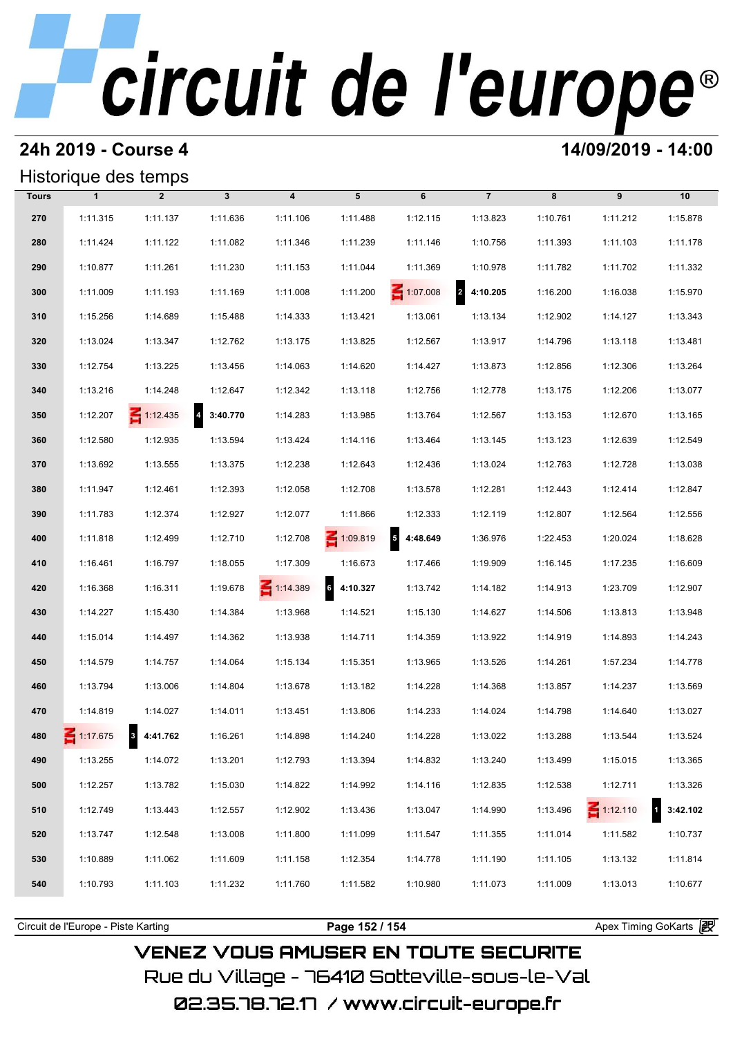### **24h 2019 - Course 4 14/09/2019 - 14:00**

## Historique des temps

|              | Historique des temps |                 |              |                         |            |                                      |                |          |                 |          |  |  |
|--------------|----------------------|-----------------|--------------|-------------------------|------------|--------------------------------------|----------------|----------|-----------------|----------|--|--|
| <b>Tours</b> | $\mathbf{1}$         | $\overline{2}$  | $\mathbf{3}$ | $\overline{\mathbf{4}}$ | 5          | 6                                    | $\overline{7}$ | 8        | 9               | 10       |  |  |
| 270          | 1:11.315             | 1:11.137        | 1:11.636     | 1:11.106                | 1:11.488   | 1:12.115                             | 1:13.823       | 1:10.761 | 1:11.212        | 1:15.878 |  |  |
| 280          | 1:11.424             | 1:11.122        | 1:11.082     | 1:11.346                | 1:11.239   | 1:11.146                             | 1:10.756       | 1:11.393 | 1:11.103        | 1:11.178 |  |  |
| 290          | 1:10.877             | 1:11.261        | 1:11.230     | 1:11.153                | 1:11.044   | 1:11.369                             | 1:10.978       | 1:11.782 | 1:11.702        | 1:11.332 |  |  |
| 300          | 1:11.009             | 1:11.193        | 1:11.169     | 1:11.008                | 1:11.200   | $\leq 1:07.008$                      | 2 4:10.205     | 1:16.200 | 1:16.038        | 1:15.970 |  |  |
| 310          | 1:15.256             | 1:14.689        | 1:15.488     | 1:14.333                | 1:13.421   | 1:13.061                             | 1:13.134       | 1:12.902 | 1:14.127        | 1:13.343 |  |  |
| 320          | 1:13.024             | 1:13.347        | 1:12.762     | 1:13.175                | 1:13.825   | 1:12.567                             | 1:13.917       | 1:14.796 | 1:13.118        | 1:13.481 |  |  |
| 330          | 1:12.754             | 1:13.225        | 1:13.456     | 1:14.063                | 1:14.620   | 1:14.427                             | 1:13.873       | 1:12.856 | 1:12.306        | 1:13.264 |  |  |
| 340          | 1:13.216             | 1:14.248        | 1:12.647     | 1:12.342                | 1:13.118   | 1:12.756                             | 1:12.778       | 1:13.175 | 1:12.206        | 1:13.077 |  |  |
| 350          | 1:12.207             | $\leq 1:12.435$ | 4 3:40.770   | 1:14.283                | 1:13.985   | 1:13.764                             | 1:12.567       | 1:13.153 | 1:12.670        | 1:13.165 |  |  |
| 360          | 1:12.580             | 1:12.935        | 1:13.594     | 1:13.424                | 1:14.116   | 1:13.464                             | 1:13.145       | 1:13.123 | 1:12.639        | 1:12.549 |  |  |
| 370          | 1:13.692             | 1:13.555        | 1:13.375     | 1:12.238                | 1:12.643   | 1:12.436                             | 1:13.024       | 1:12.763 | 1:12.728        | 1:13.038 |  |  |
| 380          | 1:11.947             | 1:12.461        | 1:12.393     | 1:12.058                | 1:12.708   | 1:13.578                             | 1:12.281       | 1:12.443 | 1:12.414        | 1:12.847 |  |  |
| 390          | 1:11.783             | 1:12.374        | 1:12.927     | 1:12.077                | 1:11.866   | 1:12.333                             | 1:12.119       | 1:12.807 | 1:12.564        | 1:12.556 |  |  |
| 400          | 1:11.818             | 1:12.499        | 1:12.710     | 1:12.708                | 1:09.819   | $\overline{\phantom{a}}$<br>4:48.649 | 1:36.976       | 1:22.453 | 1:20.024        | 1:18.628 |  |  |
| 410          | 1:16.461             | 1:16.797        | 1:18.055     | 1:17.309                | 1:16.673   | 1:17.466                             | 1:19.909       | 1:16.145 | 1:17.235        | 1:16.609 |  |  |
| 420          | 1:16.368             | 1:16.311        | 1:19.678     | $\leq 1:14.389$         | 6 4:10.327 | 1:13.742                             | 1:14.182       | 1:14.913 | 1:23.709        | 1:12.907 |  |  |
| 430          | 1:14.227             | 1:15.430        | 1:14.384     | 1:13.968                | 1:14.521   | 1:15.130                             | 1:14.627       | 1:14.506 | 1:13.813        | 1:13.948 |  |  |
| 440          | 1:15.014             | 1:14.497        | 1:14.362     | 1:13.938                | 1:14.711   | 1:14.359                             | 1:13.922       | 1:14.919 | 1:14.893        | 1:14.243 |  |  |
| 450          | 1:14.579             | 1:14.757        | 1:14.064     | 1:15.134                | 1:15.351   | 1:13.965                             | 1:13.526       | 1:14.261 | 1:57.234        | 1:14.778 |  |  |
| 460          | 1:13.794             | 1:13.006        | 1:14.804     | 1:13.678                | 1:13.182   | 1:14.228                             | 1:14.368       | 1:13.857 | 1:14.237        | 1:13.569 |  |  |
| 470          | 1:14.819             | 1:14.027        | 1:14.011     | 1:13.451                | 1:13.806   | 1:14.233                             | 1:14.024       | 1:14.798 | 1:14.640        | 1:13.027 |  |  |
| 480          | $\leq 1:17.675$      | 3 4:41.762      | 1:16.261     | 1:14.898                | 1:14.240   | 1:14.228                             | 1:13.022       | 1:13.288 | 1:13.544        | 1:13.524 |  |  |
| 490          | 1:13.255             | 1:14.072        | 1:13.201     | 1:12.793                | 1:13.394   | 1:14.832                             | 1:13.240       | 1:13.499 | 1:15.015        | 1:13.365 |  |  |
| 500          | 1:12.257             | 1:13.782        | 1:15.030     | 1:14.822                | 1:14.992   | 1:14.116                             | 1:12.835       | 1:12.538 | 1:12.711        | 1:13.326 |  |  |
| 510          | 1:12.749             | 1:13.443        | 1:12.557     | 1:12.902                | 1:13.436   | 1:13.047                             | 1:14.990       | 1:13.496 | $\leq$ 1:12.110 | 3:42.102 |  |  |
| 520          | 1:13.747             | 1:12.548        | 1:13.008     | 1:11.800                | 1:11.099   | 1:11.547                             | 1:11.355       | 1:11.014 | 1:11.582        | 1:10.737 |  |  |
| 530          | 1:10.889             | 1:11.062        | 1:11.609     | 1:11.158                | 1:12.354   | 1:14.778                             | 1:11.190       | 1:11.105 | 1:13.132        | 1:11.814 |  |  |
| 540          | 1:10.793             | 1:11.103        | 1:11.232     | 1:11.760                | 1:11.582   | 1:10.980                             | 1:11.073       | 1:11.009 | 1:13.013        | 1:10.677 |  |  |
|              |                      |                 |              |                         |            |                                      |                |          |                 |          |  |  |

**VENEZ VOUS AMUSER EN TOUTE SECURITE** Rue du Village – 76410 Sotteville-sous-le-Val 02.35.78.72.17 /www.circuit-europe.fr

Circuit de l'Europe - Piste Karting **Page 152 / 154 Page 152 / 154** Apex Timing GoKarts **in**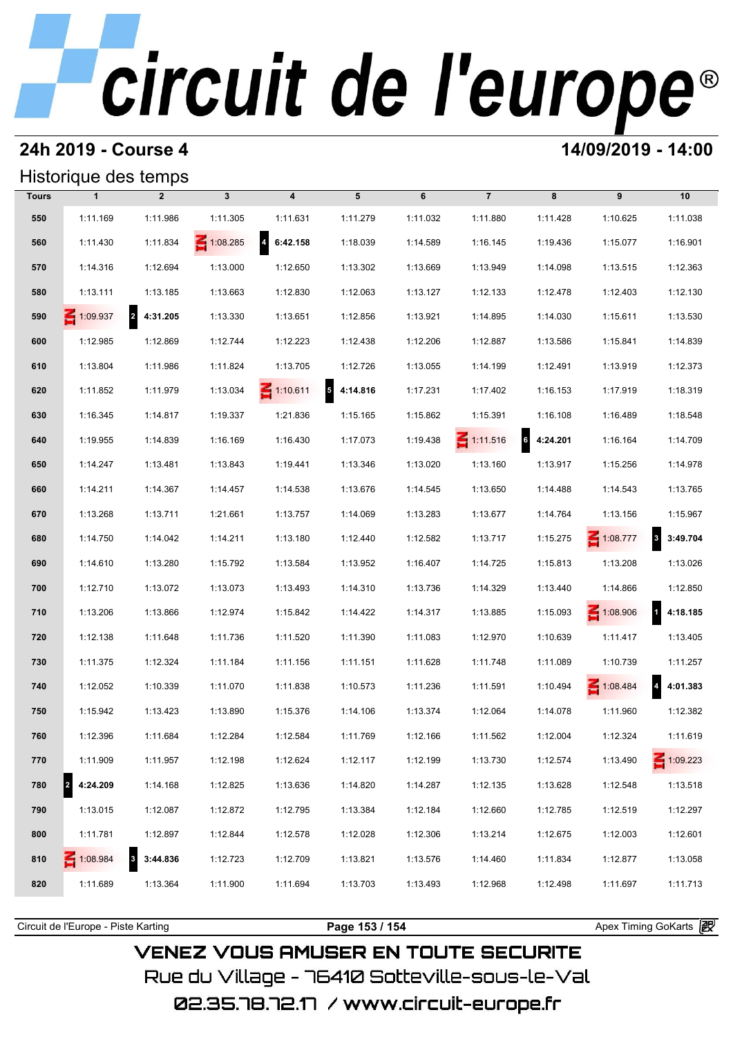## **24h 2019 - Course 4 14/09/2019 - 14:00**

## Historique des temps

| Historique des temps |               |                            |                 |                                     |               |          |                 |            |             |                                     |  |
|----------------------|---------------|----------------------------|-----------------|-------------------------------------|---------------|----------|-----------------|------------|-------------|-------------------------------------|--|
| <b>Tours</b>         | $\mathbf{1}$  | $\overline{2}$             | $\mathbf{3}$    | $\overline{\mathbf{4}}$             | 5             | 6        | $\overline{7}$  | 8          | 9           | 10                                  |  |
| 550                  | 1:11.169      | 1:11.986                   | 1:11.305        | 1:11.631                            | 1:11.279      | 1:11.032 | 1:11.880        | 1:11.428   | 1:10.625    | 1:11.038                            |  |
| 560                  | 1:11.430      | 1:11.834                   | $\leq 1:08.285$ | $\overline{\mathbf{r}}$<br>6:42.158 | 1:18.039      | 1:14.589 | 1:16.145        | 1:19.436   | 1:15.077    | 1:16.901                            |  |
| 570                  | 1:14.316      | 1:12.694                   | 1:13.000        | 1:12.650                            | 1:13.302      | 1:13.669 | 1:13.949        | 1:14.098   | 1:13.515    | 1:12.363                            |  |
| 580                  | 1:13.111      | 1:13.185                   | 1:13.663        | 1:12.830                            | 1:12.063      | 1:13.127 | 1:12.133        | 1:12.478   | 1:12.403    | 1:12.130                            |  |
| 590                  | 1:09.937      | $\overline{2}$<br>4:31.205 | 1:13.330        | 1:13.651                            | 1:12.856      | 1:13.921 | 1:14.895        | 1:14.030   | 1:15.611    | 1:13.530                            |  |
| 600                  | 1:12.985      | 1:12.869                   | 1:12.744        | 1:12.223                            | 1:12.438      | 1:12.206 | 1:12.887        | 1:13.586   | 1:15.841    | 1:14.839                            |  |
| 610                  | 1:13.804      | 1:11.986                   | 1:11.824        | 1:13.705                            | 1:12.726      | 1:13.055 | 1:14.199        | 1:12.491   | 1:13.919    | 1:12.373                            |  |
| 620                  | 1:11.852      | 1:11.979                   | 1:13.034        | $\leq 1:10.611$                     | 5<br>4:14.816 | 1:17.231 | 1:17.402        | 1:16.153   | 1:17.919    | 1:18.319                            |  |
| 630                  | 1:16.345      | 1:14.817                   | 1:19.337        | 1:21.836                            | 1:15.165      | 1:15.862 | 1:15.391        | 1:16.108   | 1:16.489    | 1:18.548                            |  |
| 640                  | 1:19.955      | 1:14.839                   | 1:16.169        | 1:16.430                            | 1:17.073      | 1:19.438 | $\leq 1:11.516$ | 6 4:24.201 | 1:16.164    | 1:14.709                            |  |
| 650                  | 1:14.247      | 1:13.481                   | 1:13.843        | 1:19.441                            | 1:13.346      | 1:13.020 | 1:13.160        | 1:13.917   | 1:15.256    | 1:14.978                            |  |
| 660                  | 1:14.211      | 1:14.367                   | 1:14.457        | 1:14.538                            | 1:13.676      | 1:14.545 | 1:13.650        | 1:14.488   | 1:14.543    | 1:13.765                            |  |
| 670                  | 1:13.268      | 1:13.711                   | 1:21.661        | 1:13.757                            | 1:14.069      | 1:13.283 | 1:13.677        | 1:14.764   | 1:13.156    | 1:15.967                            |  |
| 680                  | 1:14.750      | 1:14.042                   | 1:14.211        | 1:13.180                            | 1:12.440      | 1:12.582 | 1:13.717        | 1:15.275   | 1:08.777    | $\overline{\mathbf{3}}$<br>3:49.704 |  |
| 690                  | 1:14.610      | 1:13.280                   | 1:15.792        | 1:13.584                            | 1:13.952      | 1:16.407 | 1:14.725        | 1:15.813   | 1:13.208    | 1:13.026                            |  |
| 700                  | 1:12.710      | 1:13.072                   | 1:13.073        | 1:13.493                            | 1:14.310      | 1:13.736 | 1:14.329        | 1:13.440   | 1:14.866    | 1:12.850                            |  |
| 710                  | 1:13.206      | 1:13.866                   | 1:12.974        | 1:15.842                            | 1:14.422      | 1:14.317 | 1:13.885        | 1:15.093   | $-1:08.906$ | 4:18.185                            |  |
| 720                  | 1:12.138      | 1:11.648                   | 1:11.736        | 1:11.520                            | 1:11.390      | 1:11.083 | 1:12.970        | 1:10.639   | 1:11.417    | 1:13.405                            |  |
| 730                  | 1:11.375      | 1:12.324                   | 1:11.184        | 1:11.156                            | 1:11.151      | 1:11.628 | 1:11.748        | 1:11.089   | 1:10.739    | 1:11.257                            |  |
| 740                  | 1:12.052      | 1:10.339                   | 1:11.070        | 1:11.838                            | 1:10.573      | 1:11.236 | 1:11.591        | 1:10.494   | 1:08.484    | 4:01.383                            |  |
| 750                  | 1:15.942      | 1:13.423                   | 1:13.890        | 1:15.376                            | 1:14.106      | 1:13.374 | 1:12.064        | 1:14.078   | 1:11.960    | 1:12.382                            |  |
| 760                  | 1:12.396      | 1:11.684                   | 1:12.284        | 1:12.584                            | 1:11.769      | 1:12.166 | 1:11.562        | 1:12.004   | 1:12.324    | 1:11.619                            |  |
| 770                  | 1:11.909      | 1:11.957                   | 1:12.198        | 1:12.624                            | 1:12.117      | 1:12.199 | 1:13.730        | 1:12.574   | 1:13.490    | $\leq 1:09.223$                     |  |
| 780                  | 2<br>4:24.209 | 1:14.168                   | 1:12.825        | 1:13.636                            | 1:14.820      | 1:14.287 | 1:12.135        | 1:13.628   | 1:12.548    | 1:13.518                            |  |
| 790                  | 1:13.015      | 1:12.087                   | 1:12.872        | 1:12.795                            | 1:13.384      | 1:12.184 | 1:12.660        | 1:12.785   | 1:12.519    | 1:12.297                            |  |
| 800                  | 1:11.781      | 1:12.897                   | 1:12.844        | 1:12.578                            | 1:12.028      | 1:12.306 | 1:13.214        | 1:12.675   | 1:12.003    | 1:12.601                            |  |
| 810                  | 1:08.984      | 3<br>3:44.836              | 1:12.723        | 1:12.709                            | 1:13.821      | 1:13.576 | 1:14.460        | 1:11.834   | 1:12.877    | 1:13.058                            |  |
| 820                  | 1:11.689      | 1:13.364                   | 1:11.900        | 1:11.694                            | 1:13.703      | 1:13.493 | 1:12.968        | 1:12.498   | 1:11.697    | 1:11.713                            |  |
|                      |               |                            |                 |                                     |               |          |                 |            |             |                                     |  |

**VENEZ VOUS AMUSER EN TOUTE SECURITE** Rue du Village – 76410 Sotteville-sous-le-Val 02.35.78.72.17 / www.circuit-europe.fr

Circuit de l'Europe - Piste Karting **Page 153 / 154 Page 153 / 154** Apex Timing GoKarts **in**